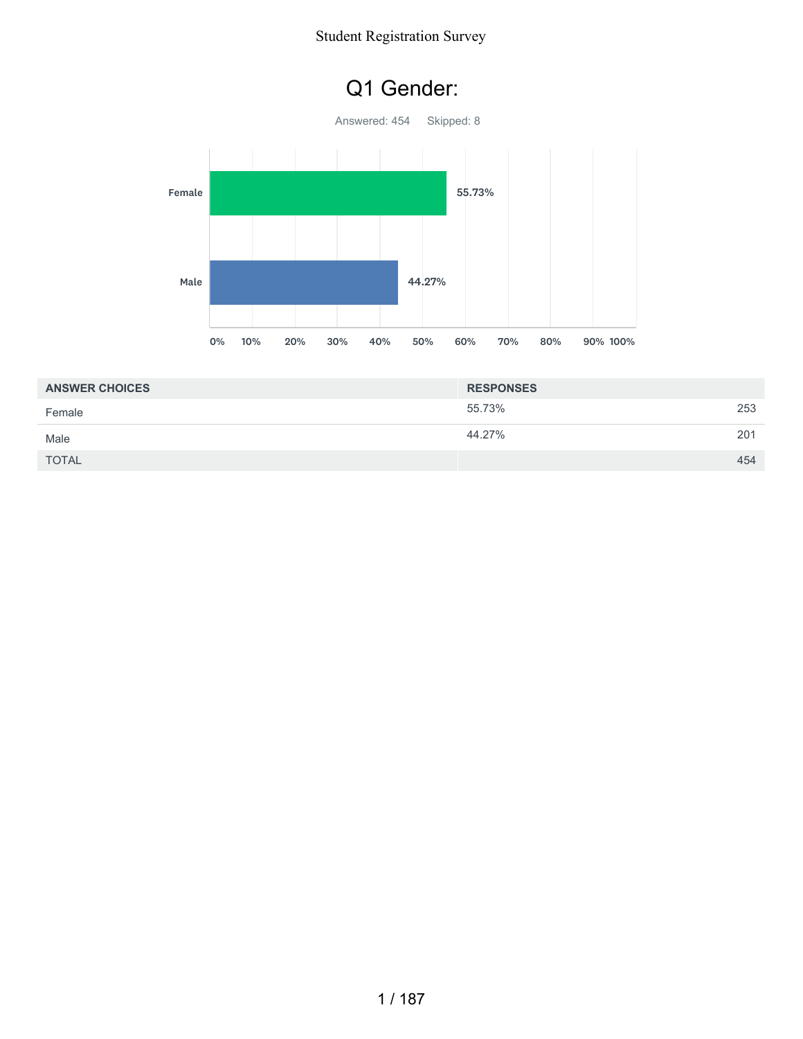### Q1 Gender:



| <b>ANSWER CHOICES</b> | <b>RESPONSES</b> |     |
|-----------------------|------------------|-----|
| Female                | 55.73%           | 253 |
| Male                  | 44.27%           | 201 |
| <b>TOTAL</b>          |                  | 454 |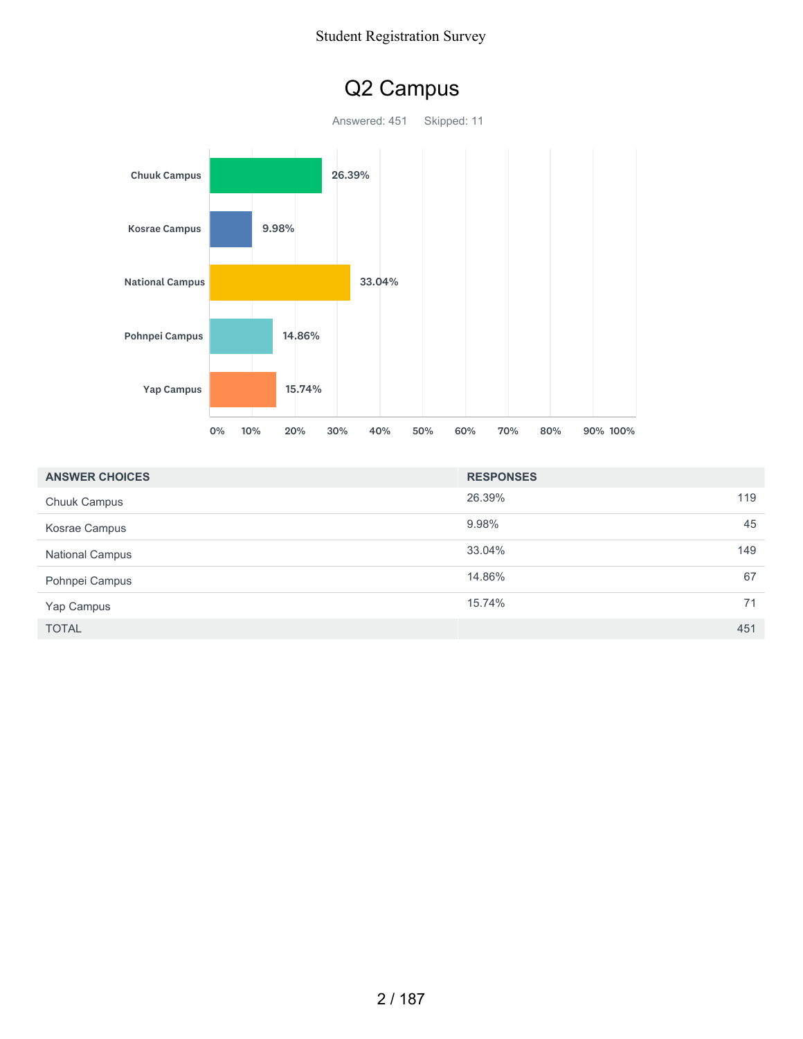

| <b>ANSWER CHOICES</b>  | <b>RESPONSES</b> |     |
|------------------------|------------------|-----|
| <b>Chuuk Campus</b>    | 26.39%           | 119 |
| Kosrae Campus          | 9.98%            | 45  |
| <b>National Campus</b> | 33.04%           | 149 |
| Pohnpei Campus         | 14.86%           | 67  |
| Yap Campus             | 15.74%           | 71  |
| <b>TOTAL</b>           |                  | 451 |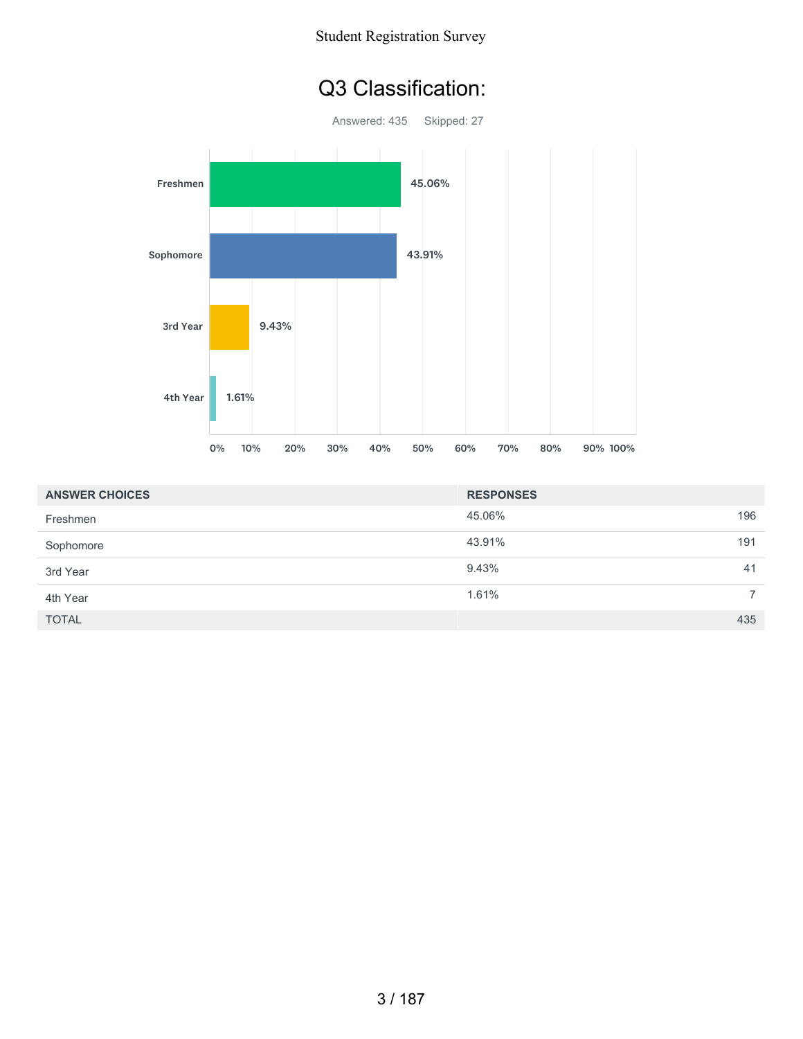### Q3 Classification:

Answered: 435 Skipped: 27



| <b>ANSWER CHOICES</b> | <b>RESPONSES</b> |                |
|-----------------------|------------------|----------------|
| Freshmen              | 45.06%           | 196            |
| Sophomore             | 43.91%           | 191            |
| 3rd Year              | 9.43%            | 41             |
| 4th Year              | 1.61%            | $\overline{7}$ |
| <b>TOTAL</b>          |                  | 435            |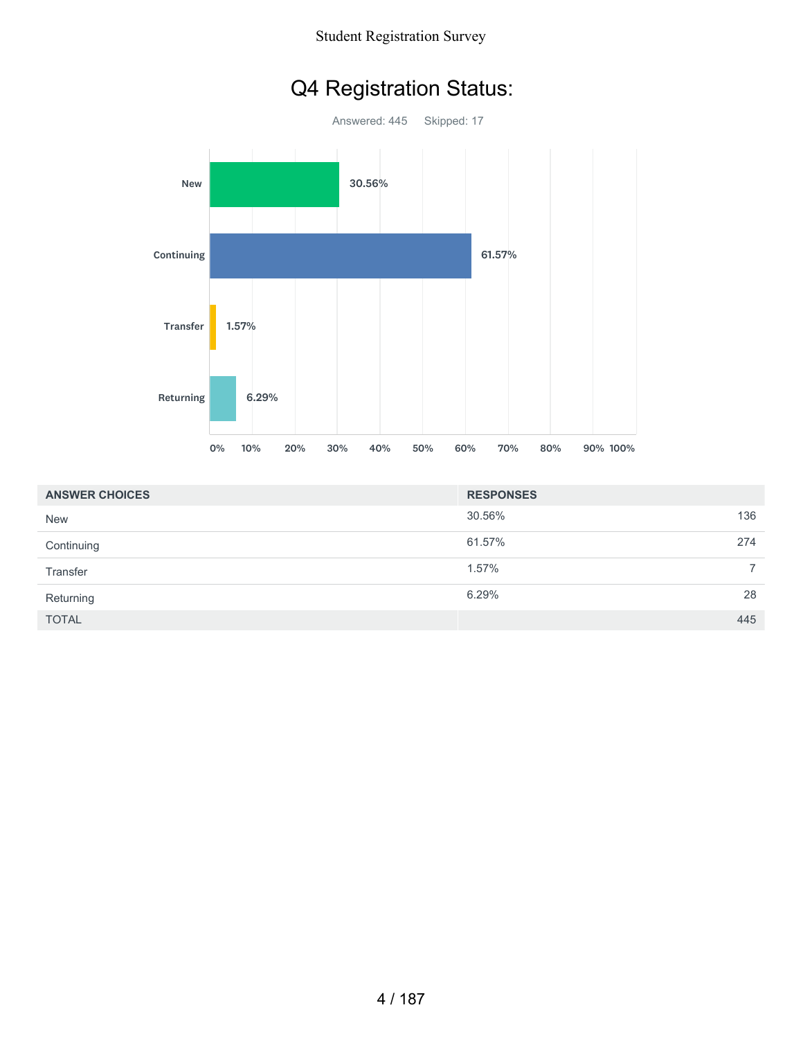## Q4 Registration Status:



| <b>ANSWER CHOICES</b> | <b>RESPONSES</b> |                |
|-----------------------|------------------|----------------|
| <b>New</b>            | 30.56%           | 136            |
| Continuing            | 61.57%           | 274            |
| Transfer              | 1.57%            | $\overline{ }$ |
| Returning             | 6.29%            | 28             |
| <b>TOTAL</b>          |                  | 445            |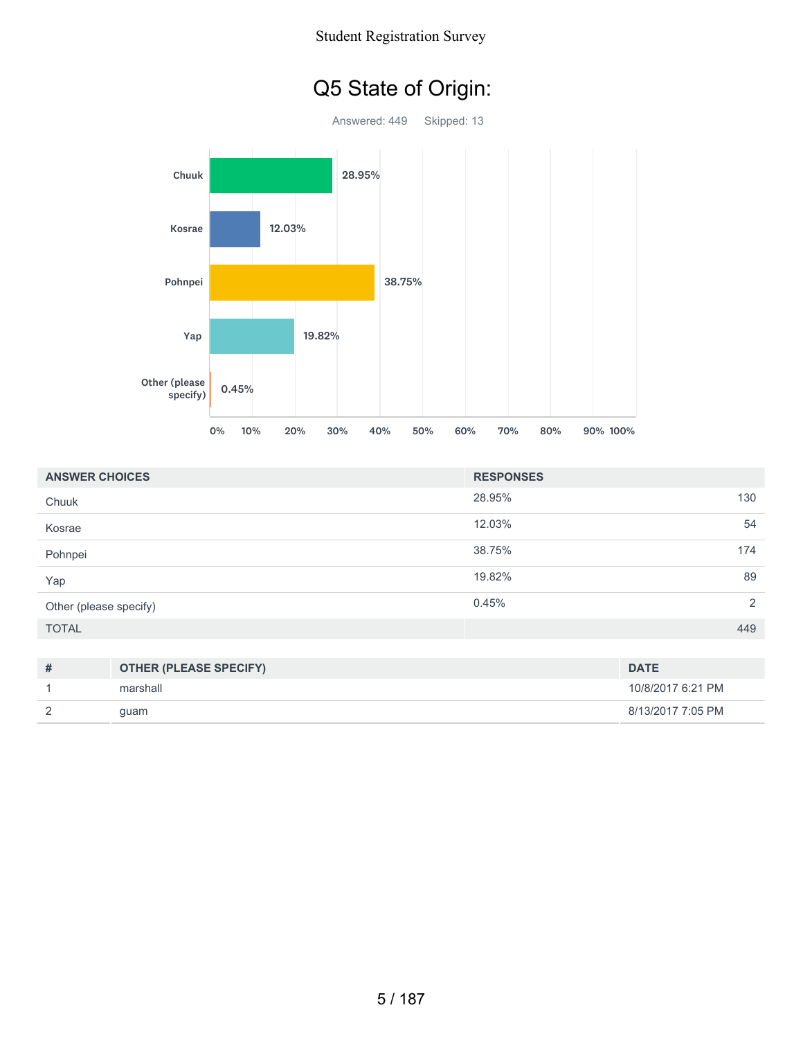# Q5 State of Origin:

Answered: 449 Skipped: 13 Chuuk Kosrae Pohnpei 28.95%  $28.95\%$ 12.03% 12.03% 12.03% 12.03% 38.75% 38.75%<br>19.82%



| <b>ANSWER CHOICES</b>  |                               | <b>RESPONSES</b> |                   |
|------------------------|-------------------------------|------------------|-------------------|
| Chuuk                  |                               | 28.95%           | 130               |
| Kosrae                 |                               | 12.03%           | 54                |
| Pohnpei                |                               | 38.75%           | 174               |
| Yap                    |                               | 19.82%           | 89                |
| Other (please specify) |                               | 0.45%            | 2                 |
| <b>TOTAL</b>           |                               |                  | 449               |
|                        |                               |                  |                   |
| #                      | <b>OTHER (PLEASE SPECIFY)</b> |                  | <b>DATE</b>       |
|                        | marshall                      |                  | 10/8/2017 6:21 PM |

2 guam 8/13/2017 7:05 PM

| 5/187 |  |  |
|-------|--|--|
|-------|--|--|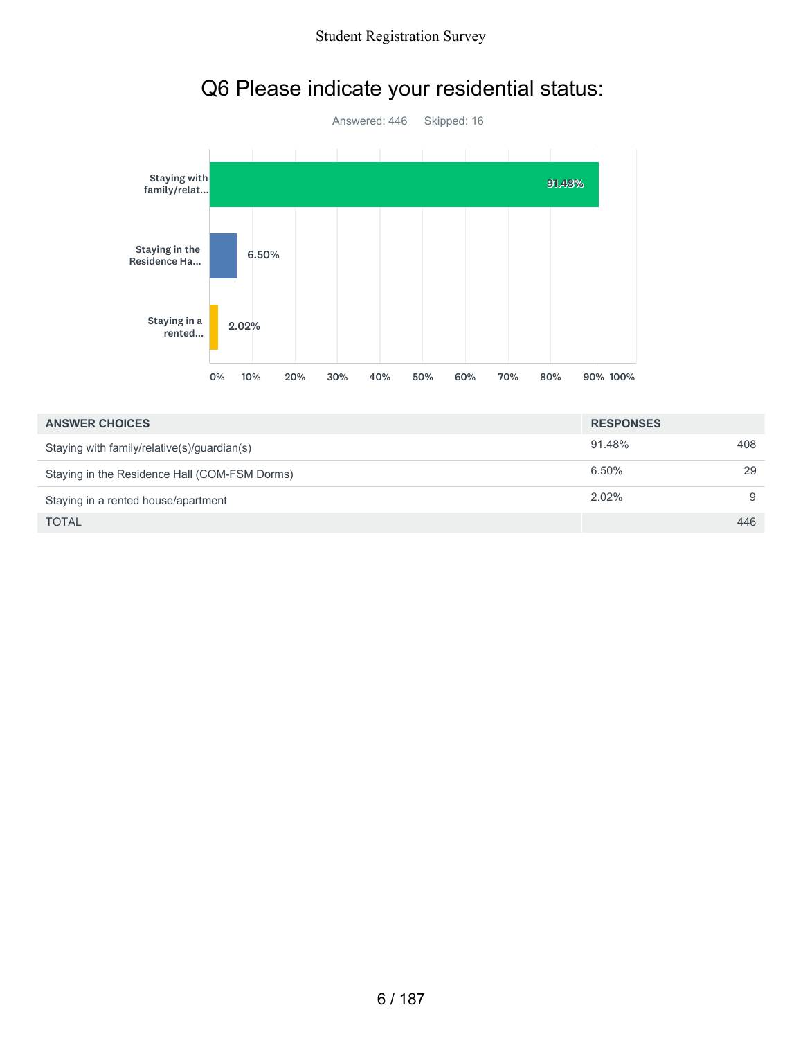

# Q6 Please indicate your residential status:

| <b>ANSWER CHOICES</b>                         | <b>RESPONSES</b> |     |
|-----------------------------------------------|------------------|-----|
| Staying with family/relative(s)/guardian(s)   | 91.48%           | 408 |
| Staying in the Residence Hall (COM-FSM Dorms) | 6.50%            | 29  |
| Staying in a rented house/apartment           | $2.02\%$         | 9   |
| <b>TOTAL</b>                                  |                  | 446 |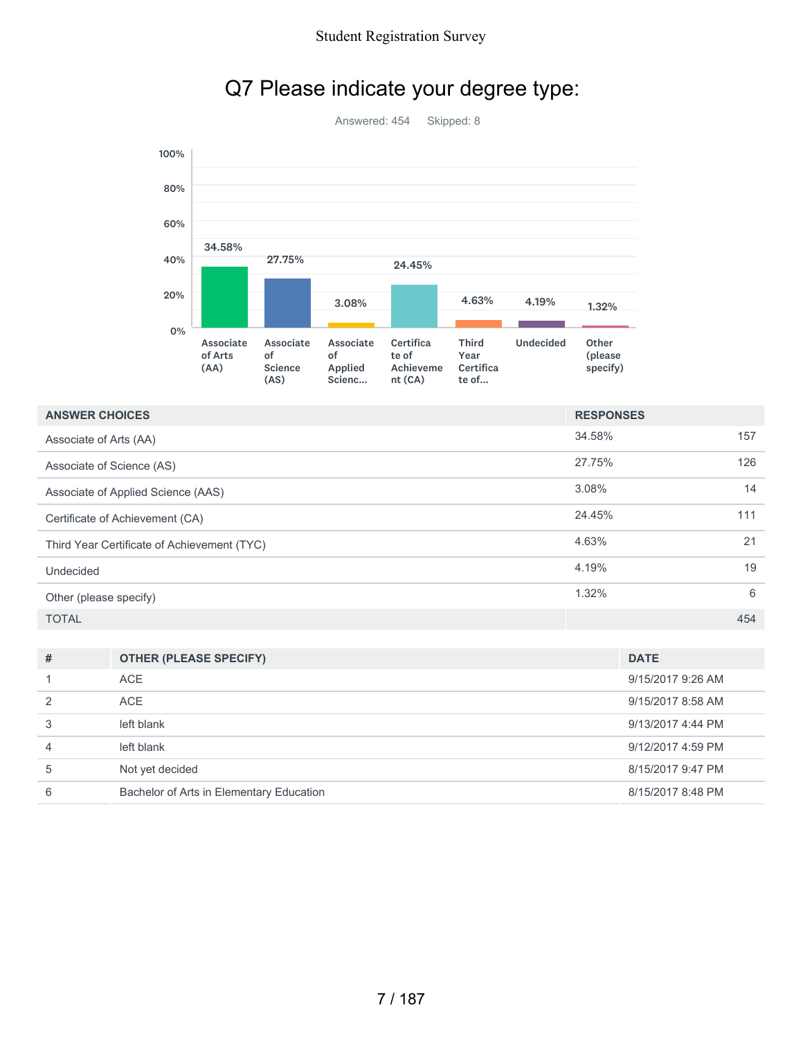

## Q7 Please indicate your degree type:

| <b>ANSWER CHOICES</b>                       | <b>RESPONSES</b> |     |
|---------------------------------------------|------------------|-----|
| Associate of Arts (AA)                      | 34.58%           | 157 |
| Associate of Science (AS)                   | 27.75%           | 126 |
| Associate of Applied Science (AAS)          | 3.08%            | 14  |
| Certificate of Achievement (CA)             | 24.45%           | 111 |
| Third Year Certificate of Achievement (TYC) | 4.63%            | 21  |
| Undecided                                   | 4.19%            | 19  |
| Other (please specify)                      | 1.32%            | 6   |
| <b>TOTAL</b>                                |                  | 454 |

| # | <b>OTHER (PLEASE SPECIFY)</b>            | <b>DATE</b>       |
|---|------------------------------------------|-------------------|
|   | ACE                                      | 9/15/2017 9:26 AM |
|   | ACE                                      | 9/15/2017 8:58 AM |
|   | left blank                               | 9/13/2017 4:44 PM |
| 4 | left blank                               | 9/12/2017 4:59 PM |
| 5 | Not yet decided                          | 8/15/2017 9:47 PM |
| 6 | Bachelor of Arts in Elementary Education | 8/15/2017 8:48 PM |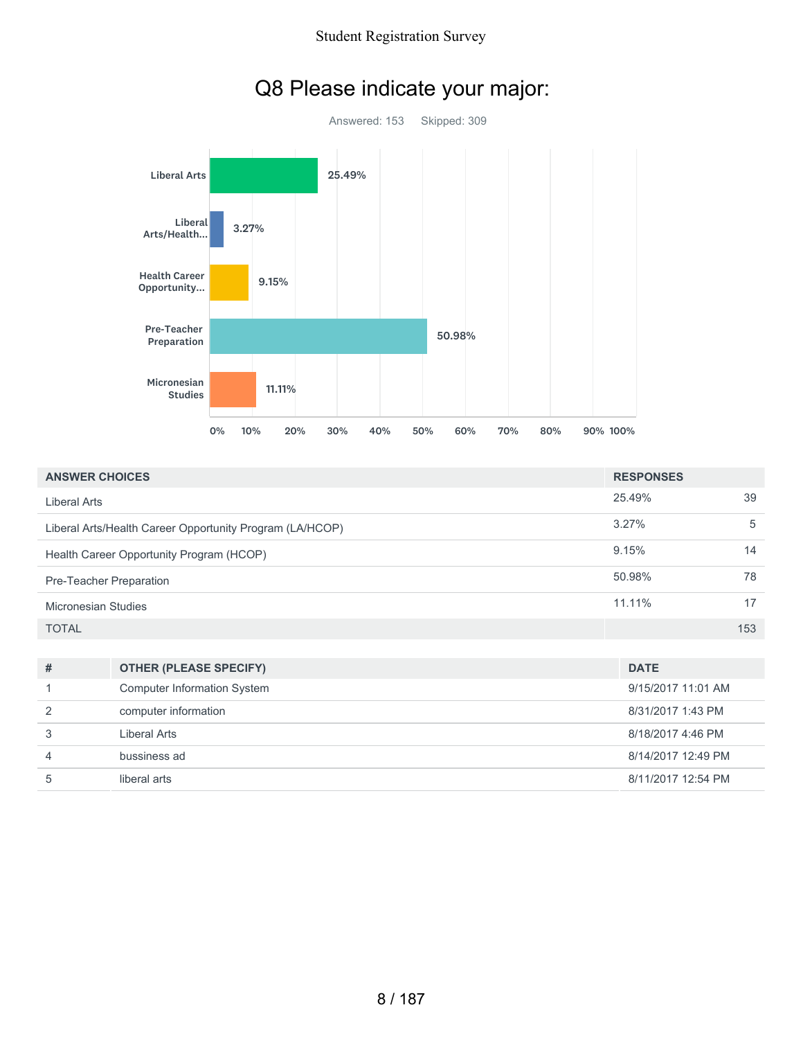

| Q8 Please indicate your major: |  |  |  |
|--------------------------------|--|--|--|
|--------------------------------|--|--|--|

| <b>ANSWER CHOICES</b>                                    | <b>RESPONSES</b> |     |
|----------------------------------------------------------|------------------|-----|
| Liberal Arts                                             | 25.49%           | 39  |
| Liberal Arts/Health Career Opportunity Program (LA/HCOP) | 3.27%            | 5   |
| Health Career Opportunity Program (HCOP)                 | 9.15%            | 14  |
| Pre-Teacher Preparation                                  | 50.98%           | 78  |
| Micronesian Studies                                      | $11.11\%$        | 17  |
| <b>TOTAL</b>                                             |                  | 153 |
|                                                          |                  |     |

| # | <b>OTHER (PLEASE SPECIFY)</b>      | <b>DATE</b>        |
|---|------------------------------------|--------------------|
|   | <b>Computer Information System</b> | 9/15/2017 11:01 AM |
| 2 | computer information               | 8/31/2017 1:43 PM  |
|   | Liberal Arts                       | 8/18/2017 4:46 PM  |
| 4 | bussiness ad                       | 8/14/2017 12:49 PM |
|   | liberal arts                       | 8/11/2017 12:54 PM |
|   |                                    |                    |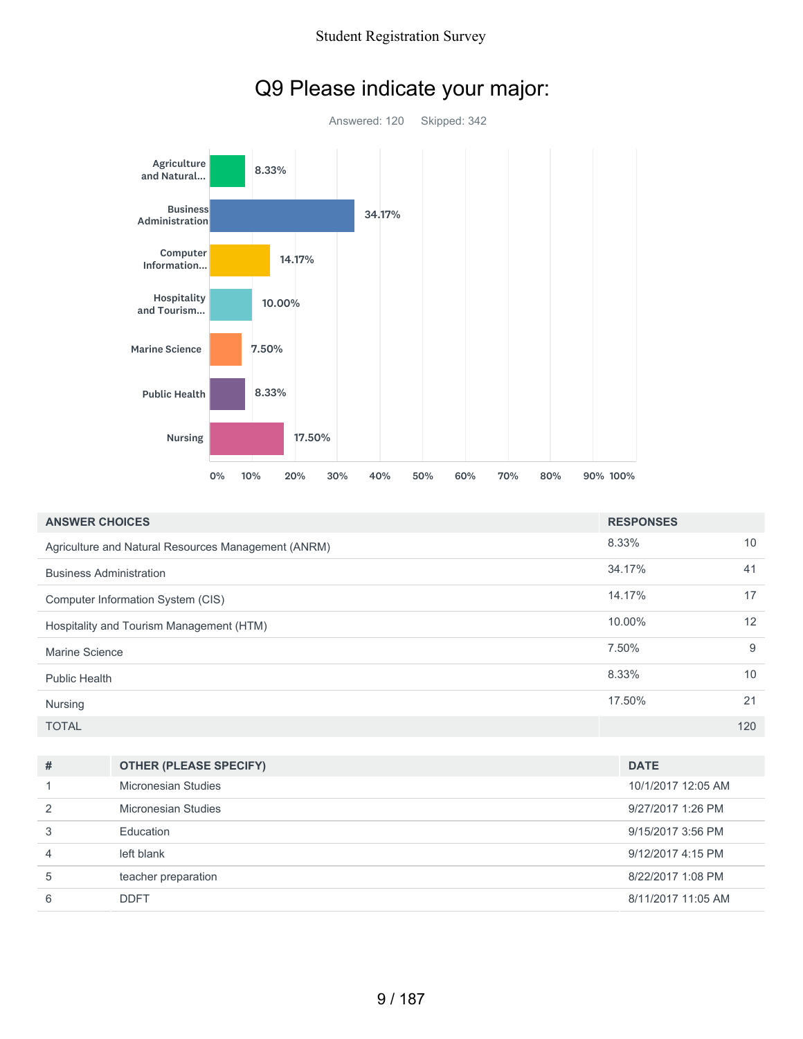

## Q9 Please indicate your major:

| <b>ANSWER CHOICES</b>                               | <b>RESPONSES</b> |     |
|-----------------------------------------------------|------------------|-----|
| Agriculture and Natural Resources Management (ANRM) | 8.33%            | 10  |
| <b>Business Administration</b>                      | 34.17%           | 41  |
| Computer Information System (CIS)                   | 14.17%           | 17  |
| Hospitality and Tourism Management (HTM)            | 10.00%           | 12  |
| Marine Science                                      | 7.50%            | 9   |
| <b>Public Health</b>                                | 8.33%            | 10  |
| Nursing                                             | 17.50%           | 21  |
| <b>TOTAL</b>                                        |                  | 120 |

| #             | <b>OTHER (PLEASE SPECIFY)</b> | <b>DATE</b>        |
|---------------|-------------------------------|--------------------|
|               | Micronesian Studies           | 10/1/2017 12:05 AM |
| $\mathcal{P}$ | Micronesian Studies           | 9/27/2017 1:26 PM  |
| 3             | Education                     | 9/15/2017 3:56 PM  |
| 4             | left blank                    | 9/12/2017 4:15 PM  |
| 5             | teacher preparation           | 8/22/2017 1:08 PM  |
| 6             | <b>DDFT</b>                   | 8/11/2017 11:05 AM |
|               |                               |                    |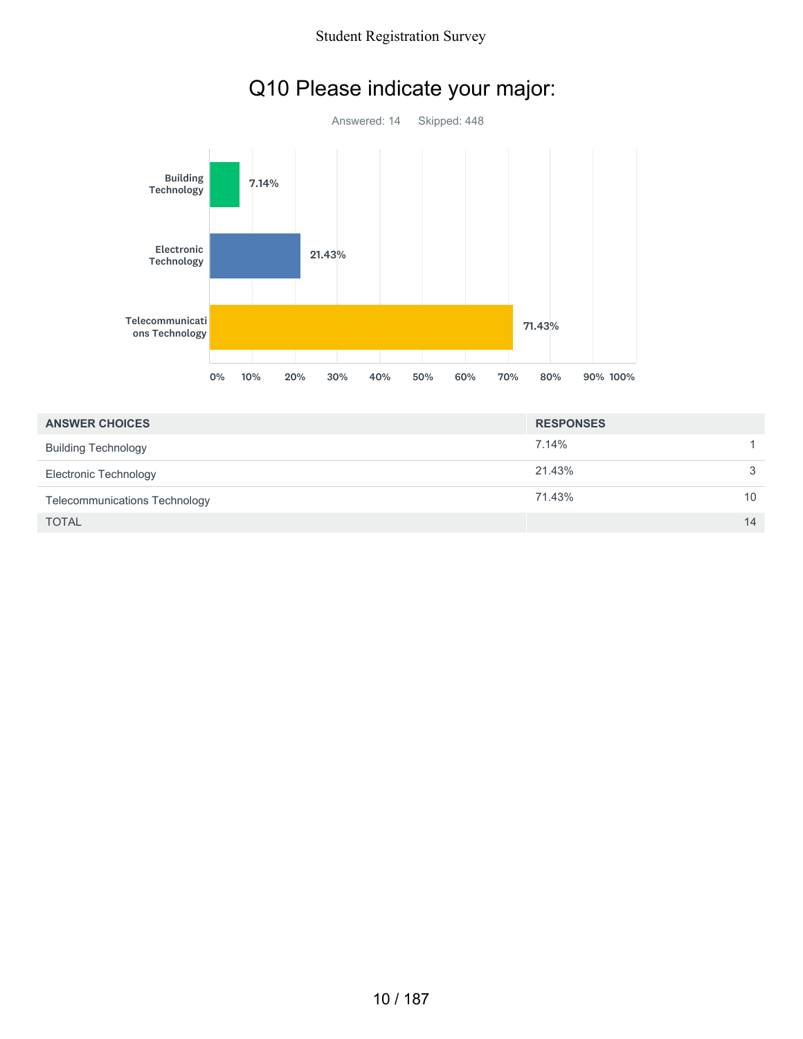

## Q10 Please indicate your major:

| <b>ANSWER CHOICES</b>                | <b>RESPONSES</b> |    |
|--------------------------------------|------------------|----|
| <b>Building Technology</b>           | 7.14%            |    |
| <b>Electronic Technology</b>         | 21.43%           | 3  |
| <b>Telecommunications Technology</b> | 71.43%           | 10 |
| <b>TOTAL</b>                         |                  | 14 |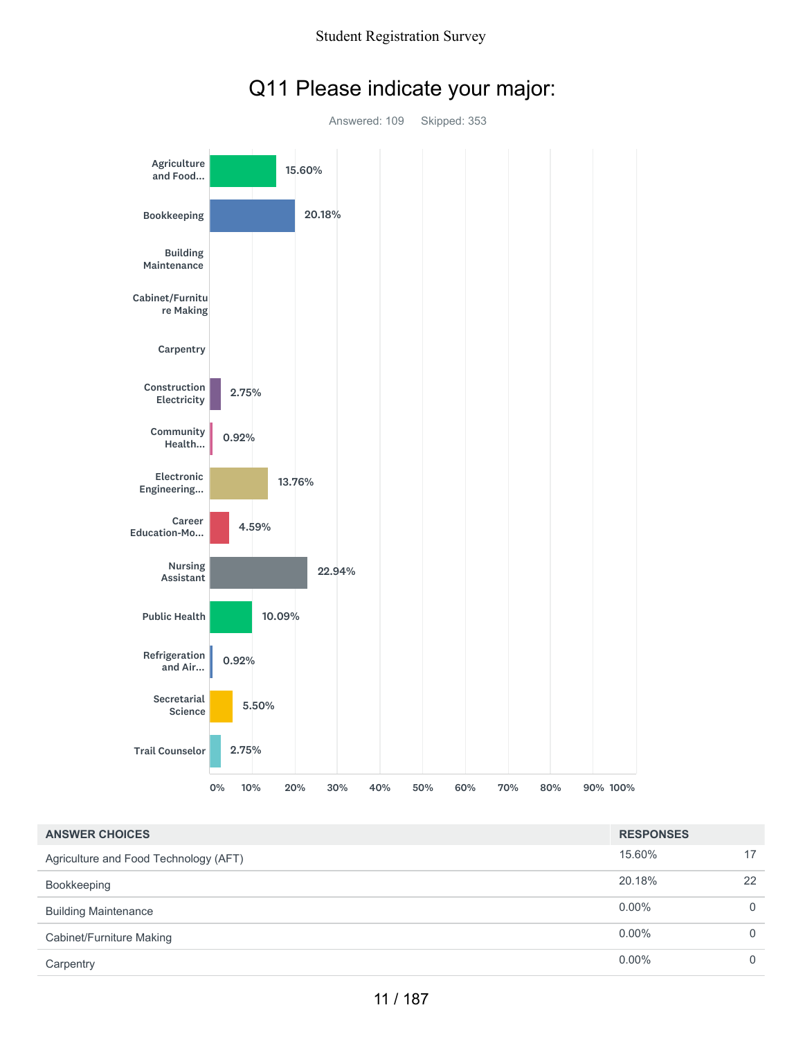

### Q11 Please indicate your major:

| <b>ANSWER CHOICES</b>                 | <b>RESPONSES</b> |          |
|---------------------------------------|------------------|----------|
| Agriculture and Food Technology (AFT) | 15.60%           | 17       |
| Bookkeeping                           | 20.18%           | 22       |
| <b>Building Maintenance</b>           | $0.00\%$         | $\Omega$ |
| Cabinet/Furniture Making              | $0.00\%$         | $\Omega$ |
| Carpentry                             | $0.00\%$         | $\Omega$ |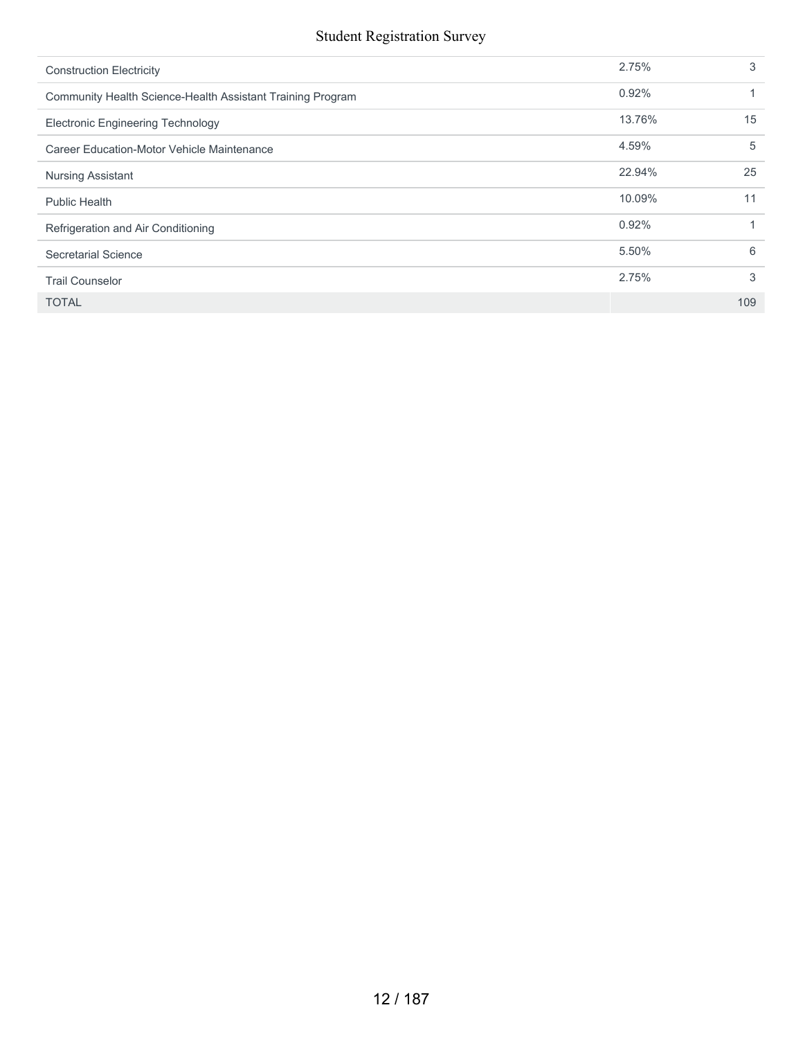| <b>Construction Electricity</b>                            | 2.75%  | 3   |
|------------------------------------------------------------|--------|-----|
| Community Health Science-Health Assistant Training Program | 0.92%  |     |
| <b>Electronic Engineering Technology</b>                   | 13.76% | 15  |
| Career Education-Motor Vehicle Maintenance                 | 4.59%  | 5   |
| <b>Nursing Assistant</b>                                   | 22.94% | 25  |
| <b>Public Health</b>                                       | 10.09% | 11  |
| Refrigeration and Air Conditioning                         | 0.92%  |     |
| Secretarial Science                                        | 5.50%  | 6   |
| <b>Trail Counselor</b>                                     | 2.75%  | 3   |
| <b>TOTAL</b>                                               |        | 109 |
|                                                            |        |     |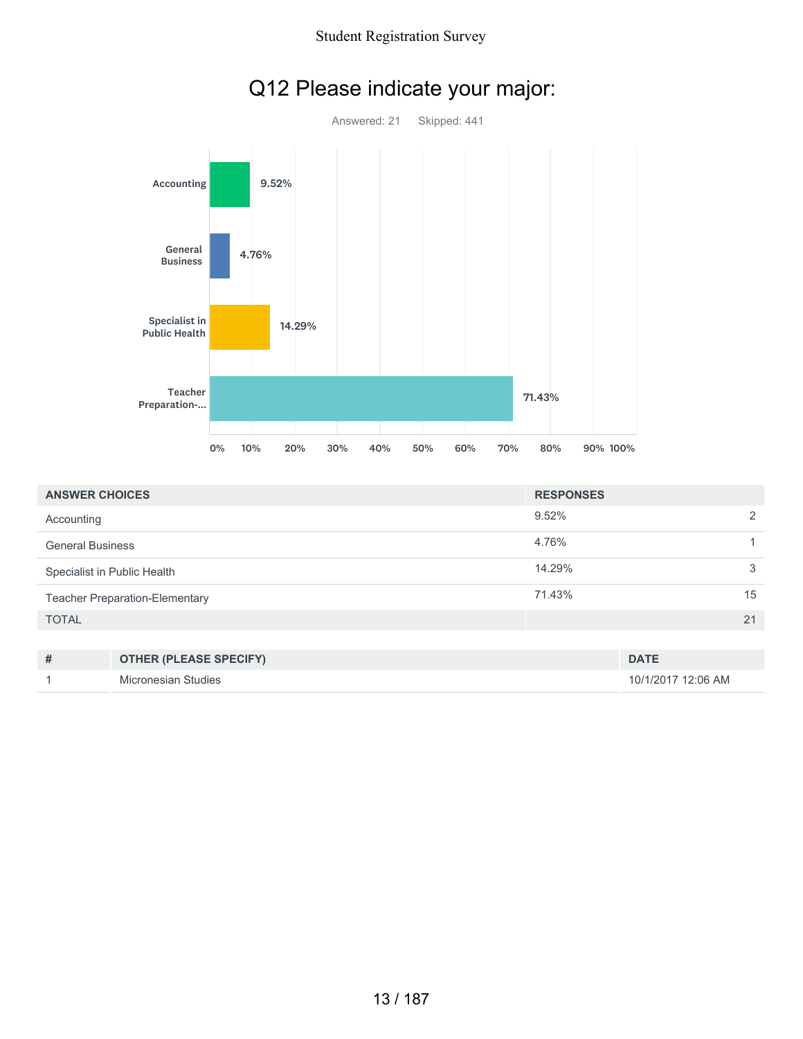

| Q12 Please indicate your major: |  |  |  |
|---------------------------------|--|--|--|
|---------------------------------|--|--|--|

| <b>ANSWER CHOICES</b>                 | <b>RESPONSES</b> |               |
|---------------------------------------|------------------|---------------|
| Accounting                            | 9.52%            | $\mathcal{P}$ |
| <b>General Business</b>               | 4.76%            |               |
| Specialist in Public Health           | 14.29%           | 3             |
| <b>Teacher Preparation-Elementary</b> | 71.43%           | 15            |
| <b>TOTAL</b>                          |                  | 21            |
|                                       |                  |               |

| # | <b>OTHER (PLEASE SPECIFY)</b> | <b>DATE</b>        |
|---|-------------------------------|--------------------|
|   | Micronesian Studies           | 10/1/2017 12:06 AM |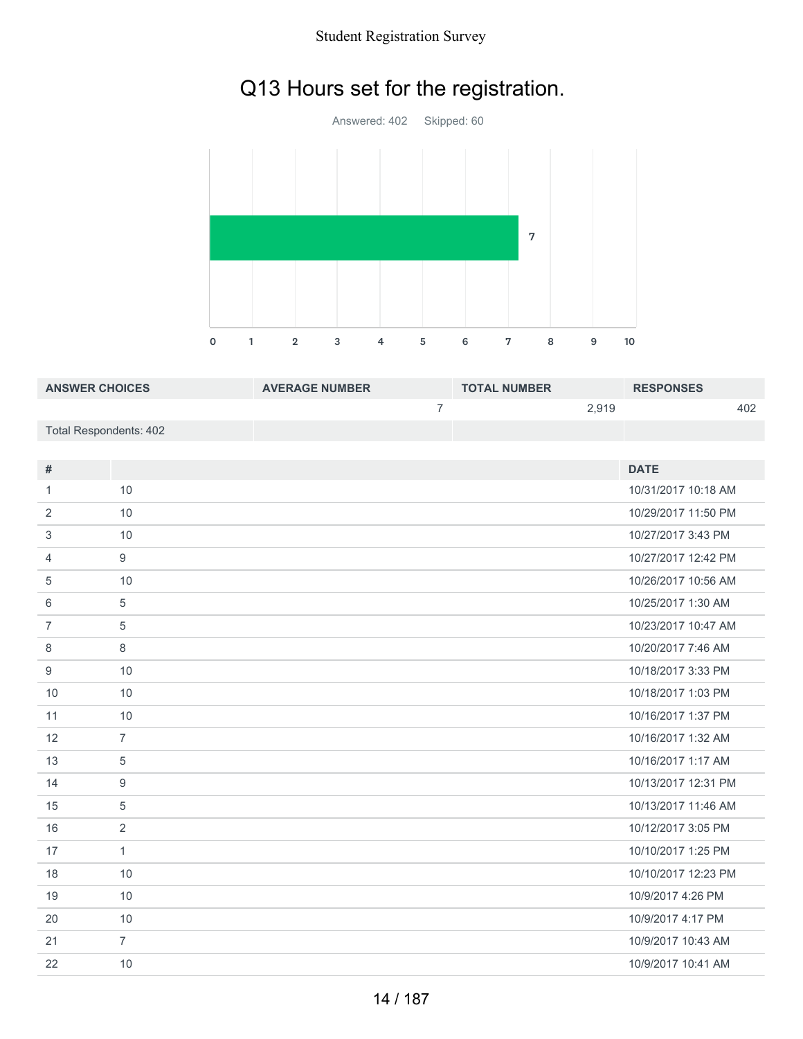# Q13 Hours set for the registration.



| <b>ANSWER CHOICES</b>  | <b>AVERAGE NUMBER</b> | <b>TOTAL NUMBER</b> | <b>RESPONSES</b> |
|------------------------|-----------------------|---------------------|------------------|
|                        |                       | 2.919               | 402              |
| Total Respondents: 402 |                       |                     |                  |

| #              |                | <b>DATE</b>         |
|----------------|----------------|---------------------|
| 1              | 10             | 10/31/2017 10:18 AM |
| 2              | 10             | 10/29/2017 11:50 PM |
| 3              | 10             | 10/27/2017 3:43 PM  |
| $\overline{4}$ | 9              | 10/27/2017 12:42 PM |
| 5              | 10             | 10/26/2017 10:56 AM |
| 6              | 5              | 10/25/2017 1:30 AM  |
| $\overline{7}$ | 5              | 10/23/2017 10:47 AM |
| 8              | 8              | 10/20/2017 7:46 AM  |
| 9              | 10             | 10/18/2017 3:33 PM  |
| 10             | 10             | 10/18/2017 1:03 PM  |
| 11             | 10             | 10/16/2017 1:37 PM  |
| 12             | $\overline{7}$ | 10/16/2017 1:32 AM  |
| 13             | 5              | 10/16/2017 1:17 AM  |
| 14             | 9              | 10/13/2017 12:31 PM |
| 15             | 5              | 10/13/2017 11:46 AM |
| 16             | 2              | 10/12/2017 3:05 PM  |
| 17             | $\mathbf{1}$   | 10/10/2017 1:25 PM  |
| 18             | 10             | 10/10/2017 12:23 PM |
| 19             | 10             | 10/9/2017 4:26 PM   |
| 20             | 10             | 10/9/2017 4:17 PM   |
| 21             | $\overline{7}$ | 10/9/2017 10:43 AM  |
| 22             | 10             | 10/9/2017 10:41 AM  |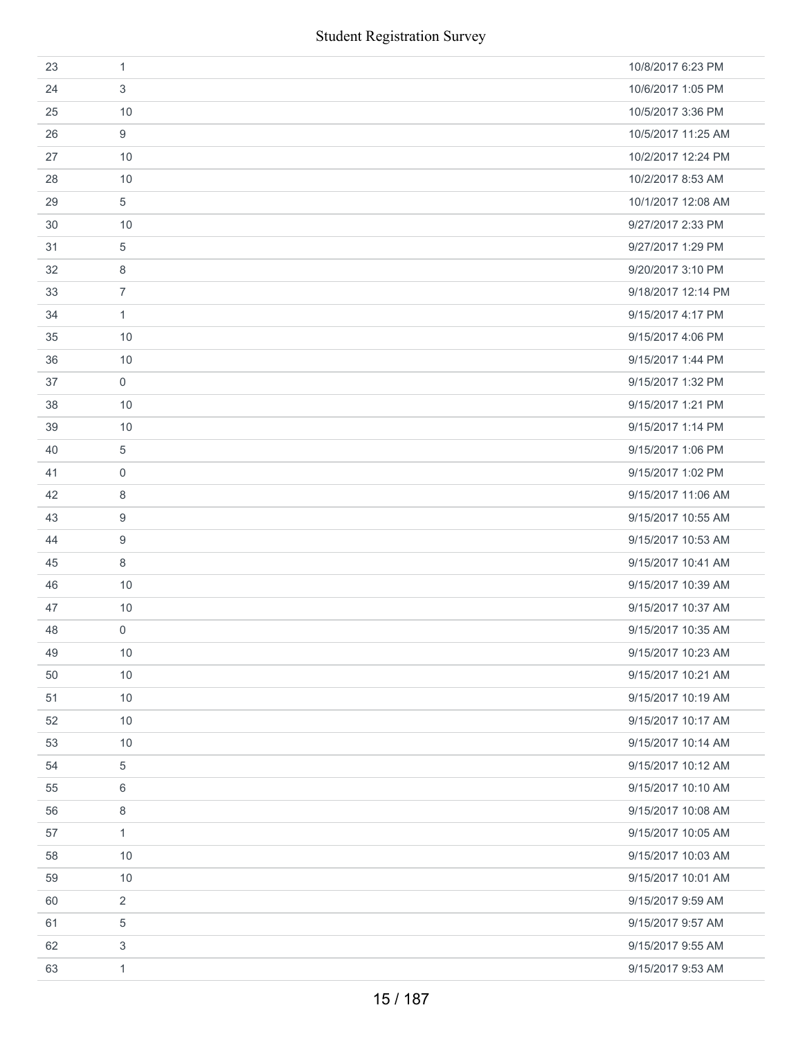|    | <b>Student Registration Survey</b> |                    |
|----|------------------------------------|--------------------|
| 23 | $\mathbf{1}$                       | 10/8/2017 6:23 PM  |
| 24 | 3                                  | 10/6/2017 1:05 PM  |
| 25 | 10                                 | 10/5/2017 3:36 PM  |
| 26 | 9                                  | 10/5/2017 11:25 AM |
| 27 | 10                                 | 10/2/2017 12:24 PM |
| 28 | 10                                 | 10/2/2017 8:53 AM  |
| 29 | 5                                  | 10/1/2017 12:08 AM |
| 30 | 10                                 | 9/27/2017 2:33 PM  |
| 31 | 5                                  | 9/27/2017 1:29 PM  |
| 32 | 8                                  | 9/20/2017 3:10 PM  |
| 33 | $\overline{7}$                     | 9/18/2017 12:14 PM |
| 34 | $\mathbf{1}$                       | 9/15/2017 4:17 PM  |
| 35 | 10                                 | 9/15/2017 4:06 PM  |
| 36 | 10                                 | 9/15/2017 1:44 PM  |
| 37 | $\mathbf 0$                        | 9/15/2017 1:32 PM  |
| 38 | 10                                 | 9/15/2017 1:21 PM  |
| 39 | 10                                 | 9/15/2017 1:14 PM  |
| 40 | 5                                  | 9/15/2017 1:06 PM  |
| 41 | $\mathbf 0$                        | 9/15/2017 1:02 PM  |
| 42 | 8                                  | 9/15/2017 11:06 AM |
| 43 | 9                                  | 9/15/2017 10:55 AM |
| 44 | 9                                  | 9/15/2017 10:53 AM |
| 45 | 8                                  | 9/15/2017 10:41 AM |
| 46 | 10                                 | 9/15/2017 10:39 AM |
| 47 | 10                                 | 9/15/2017 10:37 AM |
| 48 | 0                                  | 9/15/2017 10:35 AM |
| 49 | 10                                 | 9/15/2017 10:23 AM |
| 50 | 10                                 | 9/15/2017 10:21 AM |
| 51 | 10                                 | 9/15/2017 10:19 AM |
| 52 | 10                                 | 9/15/2017 10:17 AM |
| 53 | 10                                 | 9/15/2017 10:14 AM |
| 54 | 5                                  | 9/15/2017 10:12 AM |
| 55 | 6                                  | 9/15/2017 10:10 AM |
| 56 | 8                                  | 9/15/2017 10:08 AM |
| 57 | 1                                  | 9/15/2017 10:05 AM |
| 58 | 10                                 | 9/15/2017 10:03 AM |
| 59 | 10                                 | 9/15/2017 10:01 AM |
| 60 | 2                                  | 9/15/2017 9:59 AM  |
| 61 | 5                                  | 9/15/2017 9:57 AM  |
| 62 | 3                                  | 9/15/2017 9:55 AM  |
| 63 | $\mathbf{1}$                       | 9/15/2017 9:53 AM  |
|    | 15 / 187                           |                    |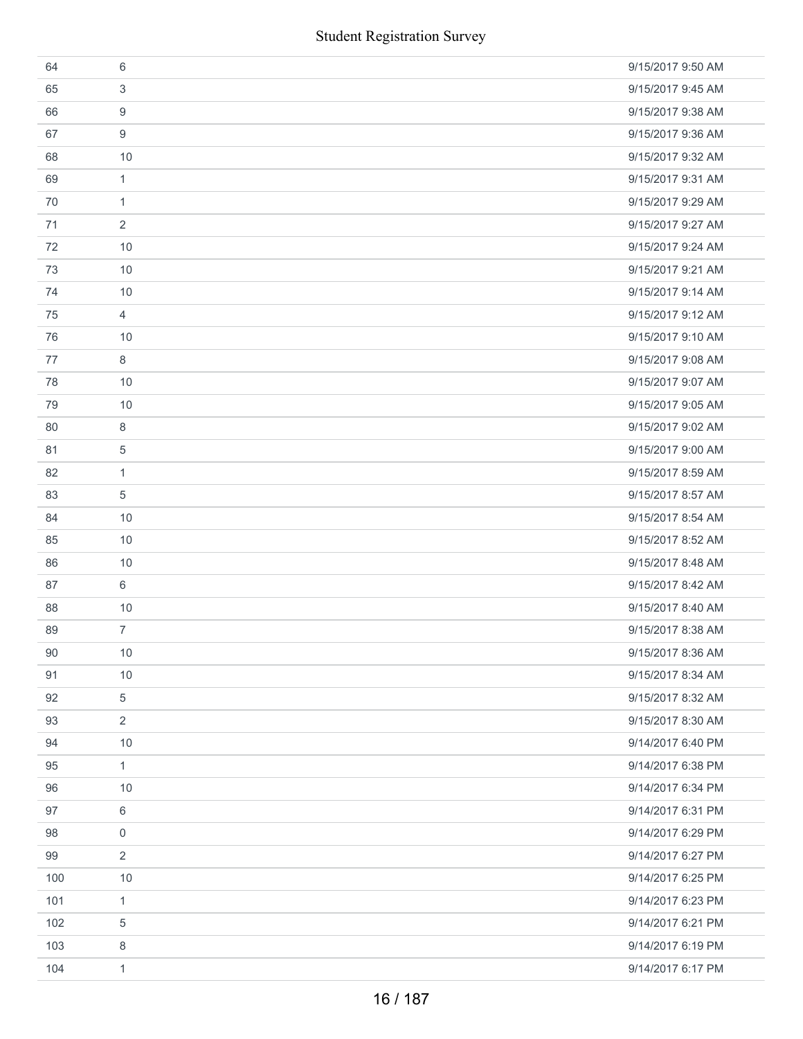|     | <b>Student Registration Survey</b> |                   |
|-----|------------------------------------|-------------------|
| 64  | 6                                  | 9/15/2017 9:50 AM |
| 65  | 3                                  | 9/15/2017 9:45 AM |
| 66  | 9                                  | 9/15/2017 9:38 AM |
| 67  | 9                                  | 9/15/2017 9:36 AM |
| 68  | 10                                 | 9/15/2017 9:32 AM |
| 69  | $\mathbf{1}$                       | 9/15/2017 9:31 AM |
| 70  | $\mathbf{1}$                       | 9/15/2017 9:29 AM |
| 71  | 2                                  | 9/15/2017 9:27 AM |
| 72  | 10                                 | 9/15/2017 9:24 AM |
| 73  | 10                                 | 9/15/2017 9:21 AM |
| 74  | 10                                 | 9/15/2017 9:14 AM |
| 75  | $\overline{4}$                     | 9/15/2017 9:12 AM |
| 76  | 10                                 | 9/15/2017 9:10 AM |
| 77  | 8                                  | 9/15/2017 9:08 AM |
| 78  | 10                                 | 9/15/2017 9:07 AM |
| 79  | 10                                 | 9/15/2017 9:05 AM |
| 80  | 8                                  | 9/15/2017 9:02 AM |
| 81  | 5                                  | 9/15/2017 9:00 AM |
| 82  | $\mathbf{1}$                       | 9/15/2017 8:59 AM |
| 83  | 5                                  | 9/15/2017 8:57 AM |
| 84  | 10                                 | 9/15/2017 8:54 AM |
| 85  | 10                                 | 9/15/2017 8:52 AM |
| 86  | 10                                 | 9/15/2017 8:48 AM |
| 87  | 6                                  | 9/15/2017 8:42 AM |
| 88  | 10                                 | 9/15/2017 8:40 AM |
| 89  | $\overline{7}$                     | 9/15/2017 8:38 AM |
| 90  | $10$                               | 9/15/2017 8:36 AM |
| 91  | 10                                 | 9/15/2017 8:34 AM |
| 92  | 5                                  | 9/15/2017 8:32 AM |
| 93  | $\overline{2}$                     | 9/15/2017 8:30 AM |
| 94  | 10                                 | 9/14/2017 6:40 PM |
| 95  | $\mathbf{1}$                       | 9/14/2017 6:38 PM |
| 96  | 10                                 | 9/14/2017 6:34 PM |
| 97  | 6                                  | 9/14/2017 6:31 PM |
| 98  | 0                                  | 9/14/2017 6:29 PM |
| 99  | 2                                  | 9/14/2017 6:27 PM |
| 100 | $10$                               | 9/14/2017 6:25 PM |
| 101 | $\mathbf{1}$                       | 9/14/2017 6:23 PM |
| 102 | 5                                  | 9/14/2017 6:21 PM |
| 103 | 8                                  | 9/14/2017 6:19 PM |
| 104 | $\mathbf{1}$                       | 9/14/2017 6:17 PM |
|     | 16 / 187                           |                   |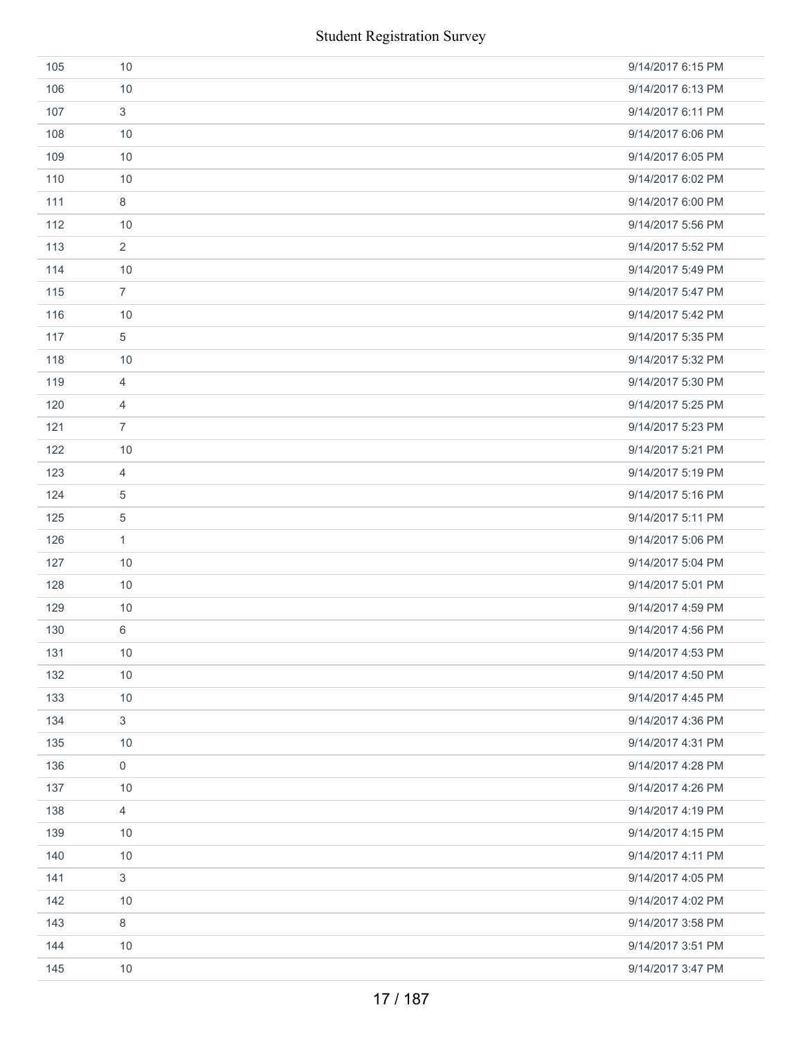|     | <b>Student Registration Survey</b> |                   |
|-----|------------------------------------|-------------------|
| 105 | 10                                 | 9/14/2017 6:15 PM |
| 106 | 10                                 | 9/14/2017 6:13 PM |
| 107 | $\mathfrak{S}$                     | 9/14/2017 6:11 PM |
| 108 | 10                                 | 9/14/2017 6:06 PM |
| 109 | 10                                 | 9/14/2017 6:05 PM |
| 110 | 10                                 | 9/14/2017 6:02 PM |
| 111 | 8                                  | 9/14/2017 6:00 PM |
| 112 | 10                                 | 9/14/2017 5:56 PM |
| 113 | $\overline{2}$                     | 9/14/2017 5:52 PM |
| 114 | 10                                 | 9/14/2017 5:49 PM |
| 115 | $\overline{7}$                     | 9/14/2017 5:47 PM |
| 116 | 10                                 | 9/14/2017 5:42 PM |
| 117 | 5                                  | 9/14/2017 5:35 PM |
| 118 | 10                                 | 9/14/2017 5:32 PM |
| 119 | 4                                  | 9/14/2017 5:30 PM |
| 120 | $\overline{4}$                     | 9/14/2017 5:25 PM |
| 121 | $\overline{7}$                     | 9/14/2017 5:23 PM |
| 122 | 10                                 | 9/14/2017 5:21 PM |
| 123 | $\overline{4}$                     | 9/14/2017 5:19 PM |
| 124 | 5                                  | 9/14/2017 5:16 PM |
| 125 | $\,$ 5 $\,$                        | 9/14/2017 5:11 PM |
| 126 | $\mathbf{1}$                       | 9/14/2017 5:06 PM |
| 127 | 10                                 | 9/14/2017 5:04 PM |
| 128 | 10                                 | 9/14/2017 5:01 PM |
| 129 | 10                                 | 9/14/2017 4:59 PM |
| 130 | 6                                  | 9/14/2017 4:56 PM |
| 131 | 10                                 | 9/14/2017 4:53 PM |
| 132 | 10                                 | 9/14/2017 4:50 PM |
| 133 | 10                                 | 9/14/2017 4:45 PM |
| 134 | $\mathfrak{S}$                     | 9/14/2017 4:36 PM |
| 135 | 10                                 | 9/14/2017 4:31 PM |
| 136 | $\mathsf{O}\xspace$                | 9/14/2017 4:28 PM |
| 137 | 10                                 | 9/14/2017 4:26 PM |
| 138 | $\overline{4}$                     | 9/14/2017 4:19 PM |
| 139 | 10                                 | 9/14/2017 4:15 PM |
| 140 | 10                                 | 9/14/2017 4:11 PM |
| 141 | $\mathfrak{S}$                     | 9/14/2017 4:05 PM |
| 142 | 10                                 | 9/14/2017 4:02 PM |
| 143 | $\,8\,$                            | 9/14/2017 3:58 PM |
| 144 | 10                                 | 9/14/2017 3:51 PM |
| 145 | 10                                 | 9/14/2017 3:47 PM |
|     | 17 / 187                           |                   |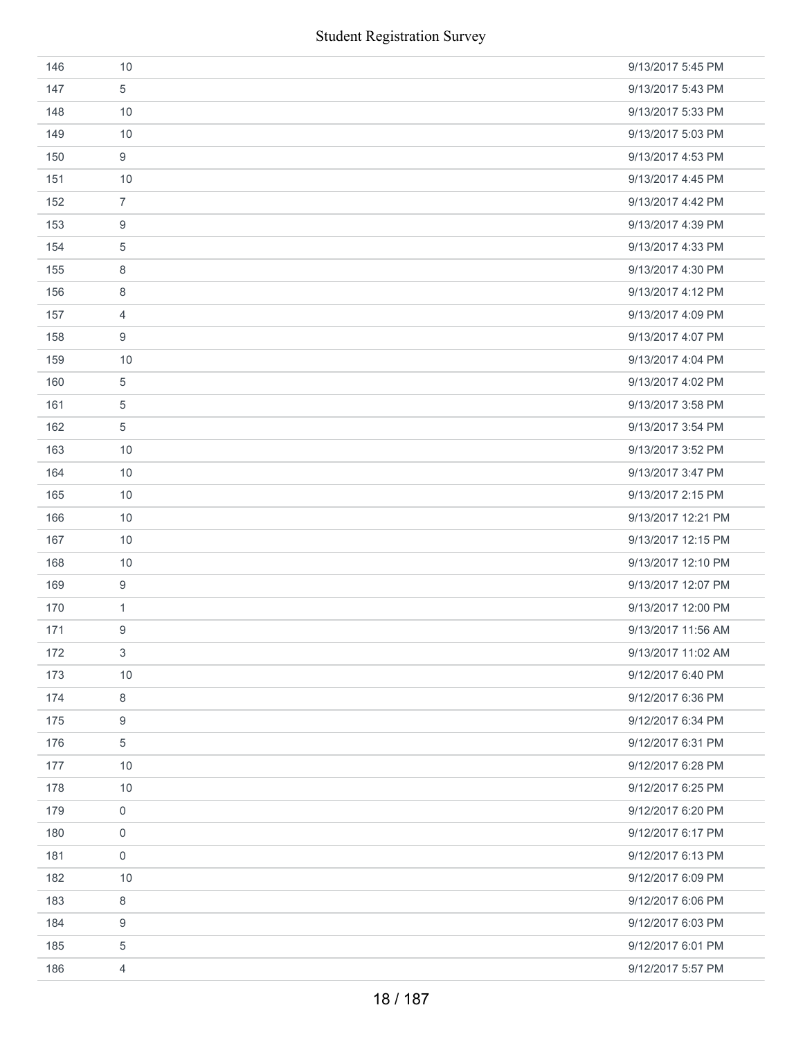|     | <b>Student Registration Survey</b> |                    |
|-----|------------------------------------|--------------------|
| 146 | 10                                 | 9/13/2017 5:45 PM  |
| 147 | 5                                  | 9/13/2017 5:43 PM  |
| 148 | 10                                 | 9/13/2017 5:33 PM  |
| 149 | 10                                 | 9/13/2017 5:03 PM  |
| 150 | $\boldsymbol{9}$                   | 9/13/2017 4:53 PM  |
| 151 | 10                                 | 9/13/2017 4:45 PM  |
| 152 | $\overline{7}$                     | 9/13/2017 4:42 PM  |
| 153 | $\boldsymbol{9}$                   | 9/13/2017 4:39 PM  |
| 154 | $\sqrt{5}$                         | 9/13/2017 4:33 PM  |
| 155 | 8                                  | 9/13/2017 4:30 PM  |
| 156 | 8                                  | 9/13/2017 4:12 PM  |
| 157 | 4                                  | 9/13/2017 4:09 PM  |
| 158 | 9                                  | 9/13/2017 4:07 PM  |
| 159 | 10                                 | 9/13/2017 4:04 PM  |
| 160 | 5                                  | 9/13/2017 4:02 PM  |
| 161 | $\sqrt{5}$                         | 9/13/2017 3:58 PM  |
| 162 | $\sqrt{5}$                         | 9/13/2017 3:54 PM  |
| 163 | 10                                 | 9/13/2017 3:52 PM  |
| 164 | 10                                 | 9/13/2017 3:47 PM  |
| 165 | 10                                 | 9/13/2017 2:15 PM  |
| 166 | 10                                 | 9/13/2017 12:21 PM |
| 167 | 10                                 | 9/13/2017 12:15 PM |
| 168 | 10                                 | 9/13/2017 12:10 PM |
| 169 | 9                                  | 9/13/2017 12:07 PM |
| 170 | $\mathbf{1}$                       | 9/13/2017 12:00 PM |
| 171 | 9                                  | 9/13/2017 11:56 AM |
| 172 | $\mathfrak{Z}$                     | 9/13/2017 11:02 AM |
| 173 | 10                                 | 9/12/2017 6:40 PM  |
| 174 | 8                                  | 9/12/2017 6:36 PM  |
| 175 | $\boldsymbol{9}$                   | 9/12/2017 6:34 PM  |
| 176 | 5                                  | 9/12/2017 6:31 PM  |
| 177 | 10                                 | 9/12/2017 6:28 PM  |
| 178 | 10                                 | 9/12/2017 6:25 PM  |
| 179 | $\mathsf{O}\xspace$                | 9/12/2017 6:20 PM  |
| 180 | 0                                  | 9/12/2017 6:17 PM  |
| 181 | $\mathbf 0$                        | 9/12/2017 6:13 PM  |
| 182 | 10                                 | 9/12/2017 6:09 PM  |
| 183 | 8                                  | 9/12/2017 6:06 PM  |
| 184 | 9                                  | 9/12/2017 6:03 PM  |
| 185 | 5                                  | 9/12/2017 6:01 PM  |
| 186 | 4                                  | 9/12/2017 5:57 PM  |
|     | 18 / 187                           |                    |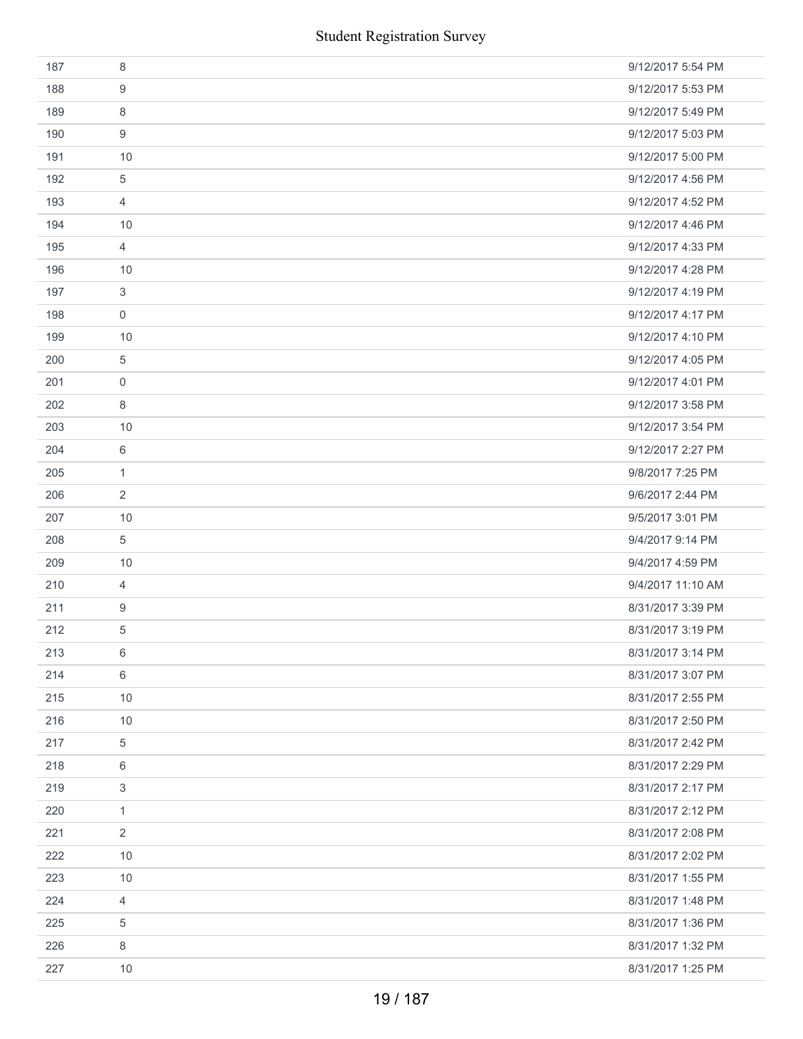| 187 | 8              | 9/12/2017 5:54 PM |
|-----|----------------|-------------------|
| 188 | 9              | 9/12/2017 5:53 PM |
| 189 | 8              | 9/12/2017 5:49 PM |
| 190 | 9              | 9/12/2017 5:03 PM |
| 191 | 10             | 9/12/2017 5:00 PM |
| 192 | 5              | 9/12/2017 4:56 PM |
| 193 | $\overline{4}$ | 9/12/2017 4:52 PM |
| 194 | 10             | 9/12/2017 4:46 PM |
| 195 | $\overline{4}$ | 9/12/2017 4:33 PM |
| 196 | 10             | 9/12/2017 4:28 PM |
| 197 | $\sqrt{3}$     | 9/12/2017 4:19 PM |
| 198 | $\mathbf 0$    | 9/12/2017 4:17 PM |
| 199 | 10             | 9/12/2017 4:10 PM |
| 200 | $\,$ 5 $\,$    | 9/12/2017 4:05 PM |
| 201 | 0              | 9/12/2017 4:01 PM |
| 202 | 8              | 9/12/2017 3:58 PM |
| 203 | 10             | 9/12/2017 3:54 PM |
| 204 | 6              | 9/12/2017 2:27 PM |
| 205 | $\mathbf{1}$   | 9/8/2017 7:25 PM  |
| 206 | $\overline{2}$ | 9/6/2017 2:44 PM  |
| 207 | 10             | 9/5/2017 3:01 PM  |
| 208 | 5              | 9/4/2017 9:14 PM  |
| 209 | 10             | 9/4/2017 4:59 PM  |
| 210 | $\overline{4}$ | 9/4/2017 11:10 AM |
| 211 | 9              | 8/31/2017 3:39 PM |
| 212 | 5              | 8/31/2017 3:19 PM |
| 213 | 6              | 8/31/2017 3:14 PM |
| 214 | 6              | 8/31/2017 3:07 PM |
| 215 | 10             | 8/31/2017 2:55 PM |
| 216 | 10             | 8/31/2017 2:50 PM |
| 217 | $\,$ 5 $\,$    | 8/31/2017 2:42 PM |
| 218 | 6              | 8/31/2017 2:29 PM |
| 219 | 3              | 8/31/2017 2:17 PM |
| 220 | $\mathbf{1}$   | 8/31/2017 2:12 PM |
| 221 | $\overline{2}$ | 8/31/2017 2:08 PM |
| 222 | 10             | 8/31/2017 2:02 PM |
| 223 | 10             | 8/31/2017 1:55 PM |
| 224 | $\overline{4}$ | 8/31/2017 1:48 PM |
| 225 | 5              | 8/31/2017 1:36 PM |
| 226 | 8              | 8/31/2017 1:32 PM |
| 227 | 10             | 8/31/2017 1:25 PM |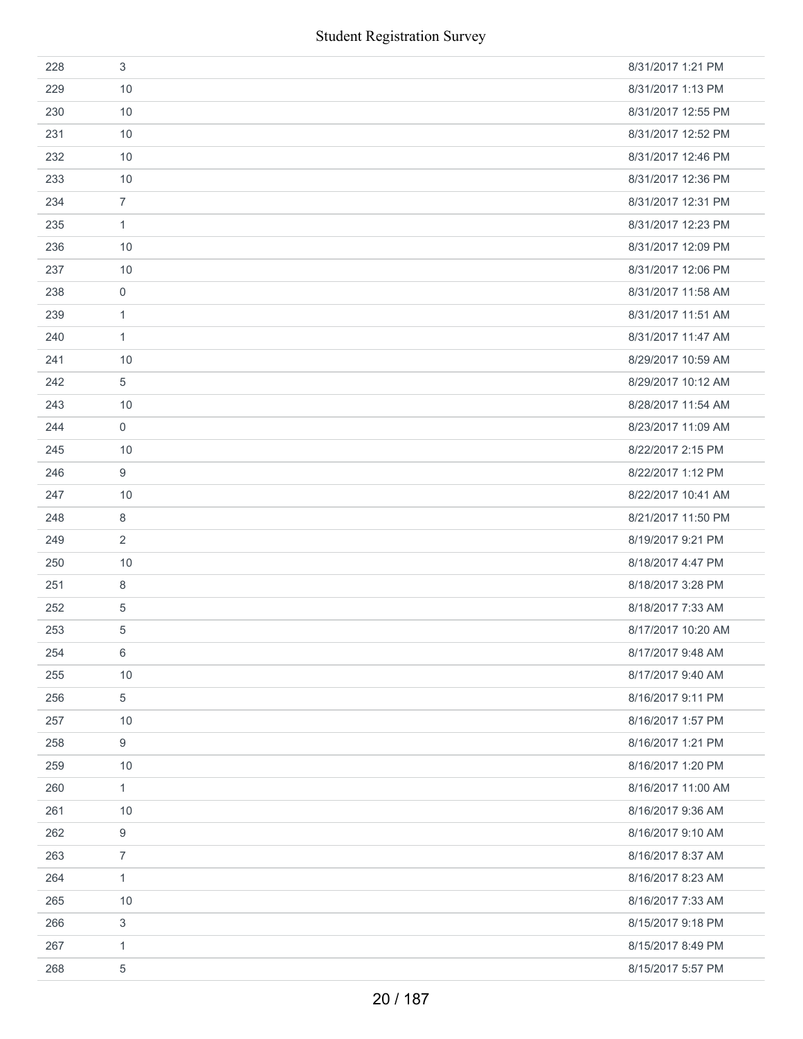| 228 | 3              | 8/31/2017 1:21 PM  |
|-----|----------------|--------------------|
| 229 | 10             | 8/31/2017 1:13 PM  |
| 230 | 10             | 8/31/2017 12:55 PM |
| 231 | 10             | 8/31/2017 12:52 PM |
| 232 | 10             | 8/31/2017 12:46 PM |
| 233 | 10             | 8/31/2017 12:36 PM |
| 234 | $\overline{7}$ | 8/31/2017 12:31 PM |
| 235 | $\mathbf{1}$   | 8/31/2017 12:23 PM |
| 236 | 10             | 8/31/2017 12:09 PM |
| 237 | 10             | 8/31/2017 12:06 PM |
| 238 | $\mathbf 0$    | 8/31/2017 11:58 AM |
| 239 | $\mathbf{1}$   | 8/31/2017 11:51 AM |
| 240 | 1              | 8/31/2017 11:47 AM |
| 241 | 10             | 8/29/2017 10:59 AM |
| 242 | 5              | 8/29/2017 10:12 AM |
| 243 | 10             | 8/28/2017 11:54 AM |
| 244 | 0              | 8/23/2017 11:09 AM |
| 245 | 10             | 8/22/2017 2:15 PM  |
| 246 | 9              | 8/22/2017 1:12 PM  |
| 247 | 10             | 8/22/2017 10:41 AM |
| 248 | 8              | 8/21/2017 11:50 PM |
| 249 | 2              | 8/19/2017 9:21 PM  |
| 250 | 10             | 8/18/2017 4:47 PM  |
| 251 | 8              | 8/18/2017 3:28 PM  |
| 252 | 5              | 8/18/2017 7:33 AM  |
| 253 | 5              | 8/17/2017 10:20 AM |
| 254 | 6              | 8/17/2017 9:48 AM  |
| 255 | 10             | 8/17/2017 9:40 AM  |
| 256 | 5              | 8/16/2017 9:11 PM  |
| 257 | 10             | 8/16/2017 1:57 PM  |
| 258 | 9              | 8/16/2017 1:21 PM  |
| 259 | 10             | 8/16/2017 1:20 PM  |
| 260 | $\mathbf{1}$   | 8/16/2017 11:00 AM |
| 261 | 10             | 8/16/2017 9:36 AM  |
| 262 | 9              | 8/16/2017 9:10 AM  |
| 263 | $\overline{7}$ | 8/16/2017 8:37 AM  |
| 264 | $\mathbf{1}$   | 8/16/2017 8:23 AM  |
| 265 | 10             | 8/16/2017 7:33 AM  |
| 266 | 3              | 8/15/2017 9:18 PM  |
| 267 | $\mathbf{1}$   | 8/15/2017 8:49 PM  |
| 268 | 5              | 8/15/2017 5:57 PM  |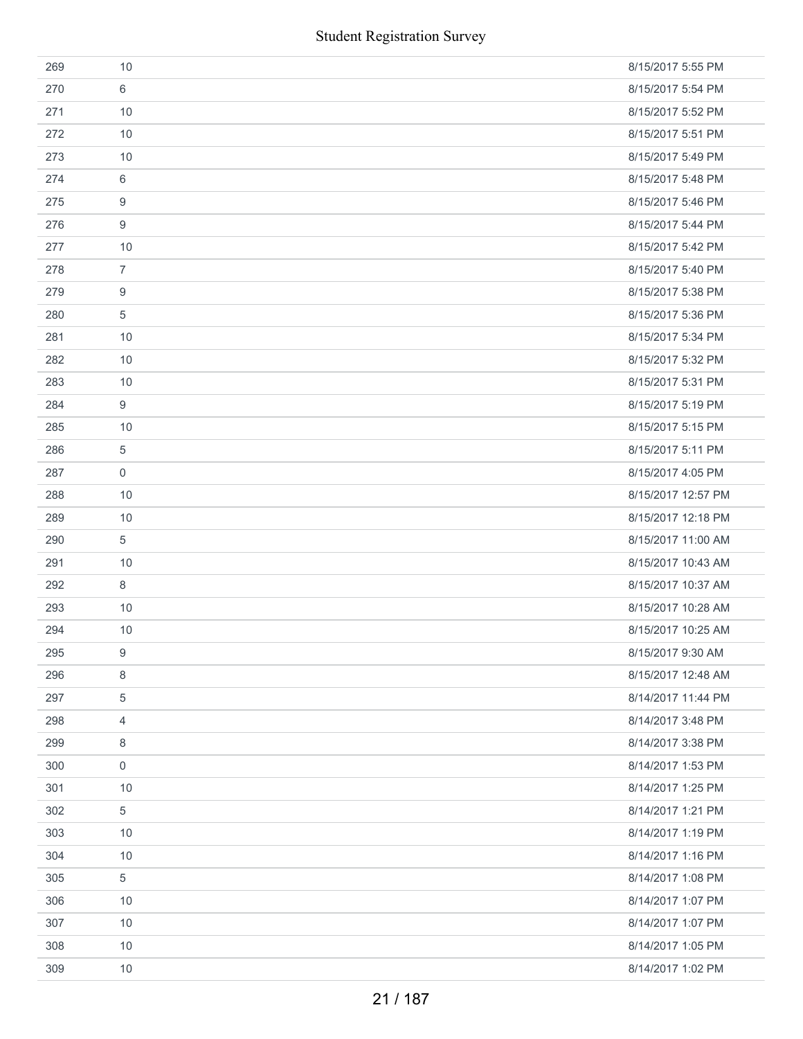|     | <b>Student Registration Survey</b> |                    |
|-----|------------------------------------|--------------------|
| 269 | 10                                 | 8/15/2017 5:55 PM  |
| 270 | 6                                  | 8/15/2017 5:54 PM  |
| 271 | 10                                 | 8/15/2017 5:52 PM  |
| 272 | 10                                 | 8/15/2017 5:51 PM  |
| 273 | 10                                 | 8/15/2017 5:49 PM  |
| 274 | 6                                  | 8/15/2017 5:48 PM  |
| 275 | 9                                  | 8/15/2017 5:46 PM  |
| 276 | $9$                                | 8/15/2017 5:44 PM  |
| 277 | 10                                 | 8/15/2017 5:42 PM  |
| 278 | $\overline{7}$                     | 8/15/2017 5:40 PM  |
| 279 | 9                                  | 8/15/2017 5:38 PM  |
| 280 | 5                                  | 8/15/2017 5:36 PM  |
| 281 | 10                                 | 8/15/2017 5:34 PM  |
| 282 | 10                                 | 8/15/2017 5:32 PM  |
| 283 | 10                                 | 8/15/2017 5:31 PM  |
| 284 | 9                                  | 8/15/2017 5:19 PM  |
| 285 | 10                                 | 8/15/2017 5:15 PM  |
| 286 | 5                                  | 8/15/2017 5:11 PM  |
| 287 | $\boldsymbol{0}$                   | 8/15/2017 4:05 PM  |
| 288 | 10                                 | 8/15/2017 12:57 PM |
| 289 | 10                                 | 8/15/2017 12:18 PM |
| 290 | 5                                  | 8/15/2017 11:00 AM |
| 291 | 10                                 | 8/15/2017 10:43 AM |
| 292 | 8                                  | 8/15/2017 10:37 AM |
| 293 | 10                                 | 8/15/2017 10:28 AM |
| 294 | 10                                 | 8/15/2017 10:25 AM |
| 295 | 9                                  | 8/15/2017 9:30 AM  |
| 296 | 8                                  | 8/15/2017 12:48 AM |
| 297 | 5                                  | 8/14/2017 11:44 PM |
| 298 | $\overline{4}$                     | 8/14/2017 3:48 PM  |
| 299 | 8                                  | 8/14/2017 3:38 PM  |
| 300 | $\mathsf{O}\xspace$                | 8/14/2017 1:53 PM  |
| 301 | 10                                 | 8/14/2017 1:25 PM  |
| 302 | 5                                  | 8/14/2017 1:21 PM  |
| 303 | 10                                 | 8/14/2017 1:19 PM  |
| 304 | 10                                 | 8/14/2017 1:16 PM  |
| 305 | 5                                  | 8/14/2017 1:08 PM  |
| 306 | 10                                 | 8/14/2017 1:07 PM  |
| 307 | 10                                 | 8/14/2017 1:07 PM  |
| 308 | 10                                 | 8/14/2017 1:05 PM  |
| 309 | 10                                 | 8/14/2017 1:02 PM  |
|     | 21 / 187                           |                    |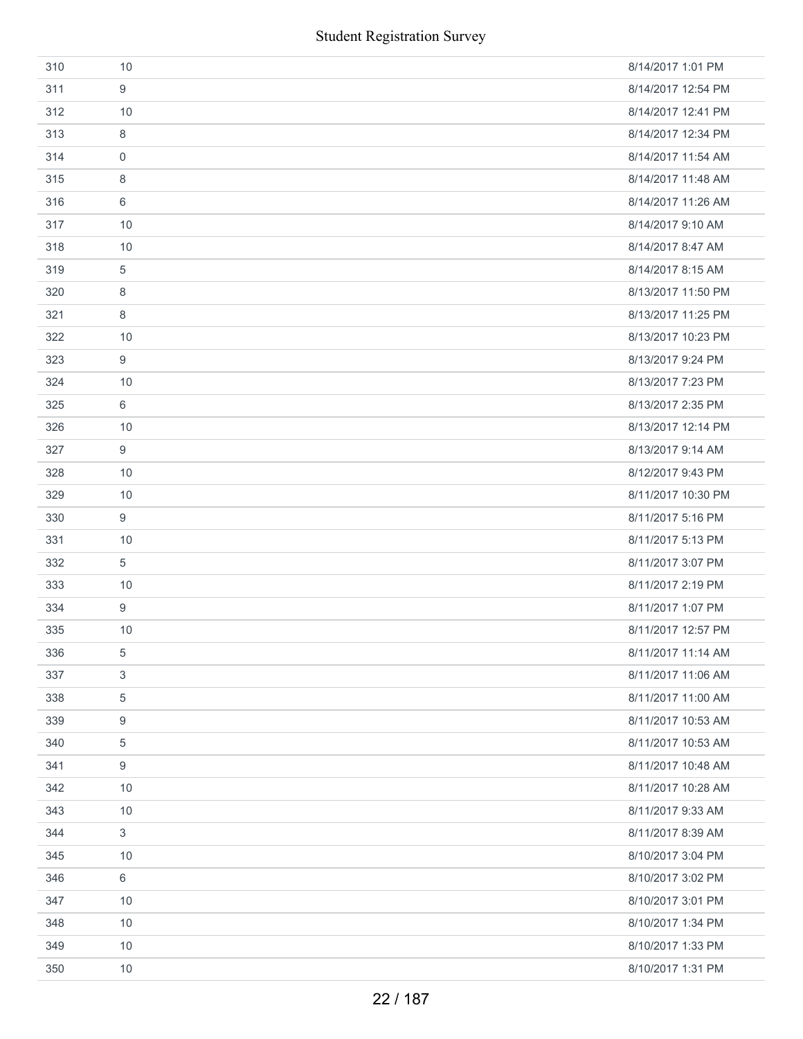|     |             | <b>Student Registration Survey</b> |
|-----|-------------|------------------------------------|
| 310 | 10          | 8/14/2017 1:01 PM                  |
| 311 | 9           | 8/14/2017 12:54 PM                 |
| 312 | 10          | 8/14/2017 12:41 PM                 |
| 313 | 8           | 8/14/2017 12:34 PM                 |
| 314 | $\mathbf 0$ | 8/14/2017 11:54 AM                 |
| 315 | 8           | 8/14/2017 11:48 AM                 |
| 316 | 6           | 8/14/2017 11:26 AM                 |
| 317 | 10          | 8/14/2017 9:10 AM                  |
| 318 | 10          | 8/14/2017 8:47 AM                  |
| 319 | 5           | 8/14/2017 8:15 AM                  |
| 320 | 8           | 8/13/2017 11:50 PM                 |
| 321 | 8           | 8/13/2017 11:25 PM                 |
| 322 | 10          | 8/13/2017 10:23 PM                 |
| 323 | 9           | 8/13/2017 9:24 PM                  |
| 324 | 10          | 8/13/2017 7:23 PM                  |
| 325 | 6           | 8/13/2017 2:35 PM                  |
| 326 | 10          | 8/13/2017 12:14 PM                 |
| 327 | 9           | 8/13/2017 9:14 AM                  |
| 328 | 10          | 8/12/2017 9:43 PM                  |
| 329 | 10          | 8/11/2017 10:30 PM                 |
| 330 | 9           | 8/11/2017 5:16 PM                  |
| 331 | 10          | 8/11/2017 5:13 PM                  |
| 332 | 5           | 8/11/2017 3:07 PM                  |
| 333 | 10          | 8/11/2017 2:19 PM                  |
| 334 | 9           | 8/11/2017 1:07 PM                  |
| 335 | 10          | 8/11/2017 12:57 PM                 |
| 336 | 5           | 8/11/2017 11:14 AM                 |
| 337 | 3           | 8/11/2017 11:06 AM                 |
| 338 | 5           | 8/11/2017 11:00 AM                 |
| 339 | 9           | 8/11/2017 10:53 AM                 |
| 340 | 5           | 8/11/2017 10:53 AM                 |
| 341 | 9           | 8/11/2017 10:48 AM                 |
| 342 | 10          | 8/11/2017 10:28 AM                 |
| 343 | 10          | 8/11/2017 9:33 AM                  |
| 344 | 3           | 8/11/2017 8:39 AM                  |
| 345 | 10          | 8/10/2017 3:04 PM                  |
| 346 | 6           | 8/10/2017 3:02 PM                  |
| 347 | 10          | 8/10/2017 3:01 PM                  |
| 348 | $10$        | 8/10/2017 1:34 PM                  |
| 349 | 10          | 8/10/2017 1:33 PM                  |
| 350 | 10          | 8/10/2017 1:31 PM                  |
|     |             | 22 / 187                           |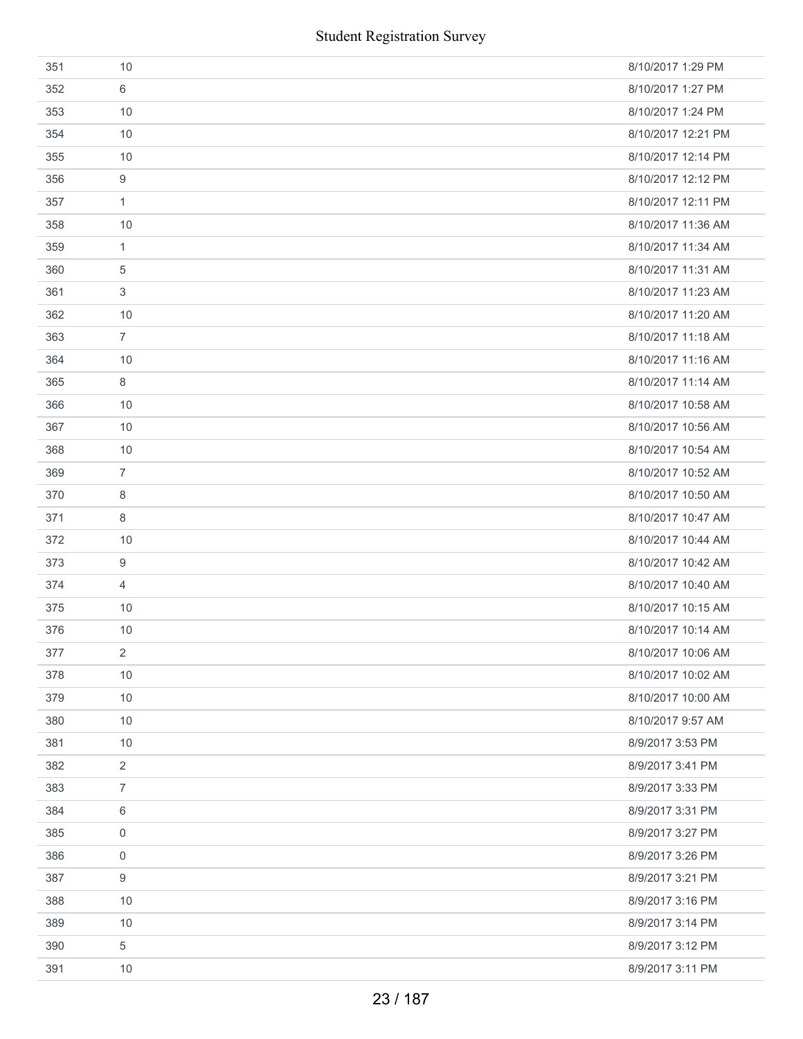| 351 | 10                  | 8/10/2017 1:29 PM  |
|-----|---------------------|--------------------|
| 352 | 6                   | 8/10/2017 1:27 PM  |
| 353 | 10                  | 8/10/2017 1:24 PM  |
| 354 | 10                  | 8/10/2017 12:21 PM |
| 355 | 10                  | 8/10/2017 12:14 PM |
| 356 | 9                   | 8/10/2017 12:12 PM |
| 357 | $\mathbf{1}$        | 8/10/2017 12:11 PM |
| 358 | 10                  | 8/10/2017 11:36 AM |
| 359 | $\mathbf{1}$        | 8/10/2017 11:34 AM |
| 360 | 5                   | 8/10/2017 11:31 AM |
| 361 | 3                   | 8/10/2017 11:23 AM |
| 362 | 10                  | 8/10/2017 11:20 AM |
| 363 | $\overline{7}$      | 8/10/2017 11:18 AM |
| 364 | 10                  | 8/10/2017 11:16 AM |
| 365 | 8                   | 8/10/2017 11:14 AM |
| 366 | 10                  | 8/10/2017 10:58 AM |
| 367 | 10                  | 8/10/2017 10:56 AM |
| 368 | 10                  | 8/10/2017 10:54 AM |
| 369 | $\overline{7}$      | 8/10/2017 10:52 AM |
| 370 | 8                   | 8/10/2017 10:50 AM |
| 371 | $\,8\,$             | 8/10/2017 10:47 AM |
| 372 | 10                  | 8/10/2017 10:44 AM |
| 373 | 9                   | 8/10/2017 10:42 AM |
| 374 | 4                   | 8/10/2017 10:40 AM |
| 375 | 10                  | 8/10/2017 10:15 AM |
| 376 | 10                  | 8/10/2017 10:14 AM |
| 377 | 2                   | 8/10/2017 10:06 AM |
| 378 | 10                  | 8/10/2017 10:02 AM |
| 379 | 10                  | 8/10/2017 10:00 AM |
| 380 | 10                  | 8/10/2017 9:57 AM  |
| 381 | 10                  | 8/9/2017 3:53 PM   |
| 382 | $\overline{2}$      | 8/9/2017 3:41 PM   |
| 383 | $\overline{7}$      | 8/9/2017 3:33 PM   |
| 384 | 6                   | 8/9/2017 3:31 PM   |
| 385 | $\mathbf 0$         | 8/9/2017 3:27 PM   |
| 386 | $\mathsf{O}\xspace$ | 8/9/2017 3:26 PM   |
| 387 | 9                   | 8/9/2017 3:21 PM   |
| 388 | 10                  | 8/9/2017 3:16 PM   |
| 389 | 10                  | 8/9/2017 3:14 PM   |
| 390 | 5                   | 8/9/2017 3:12 PM   |
| 391 | 10                  | 8/9/2017 3:11 PM   |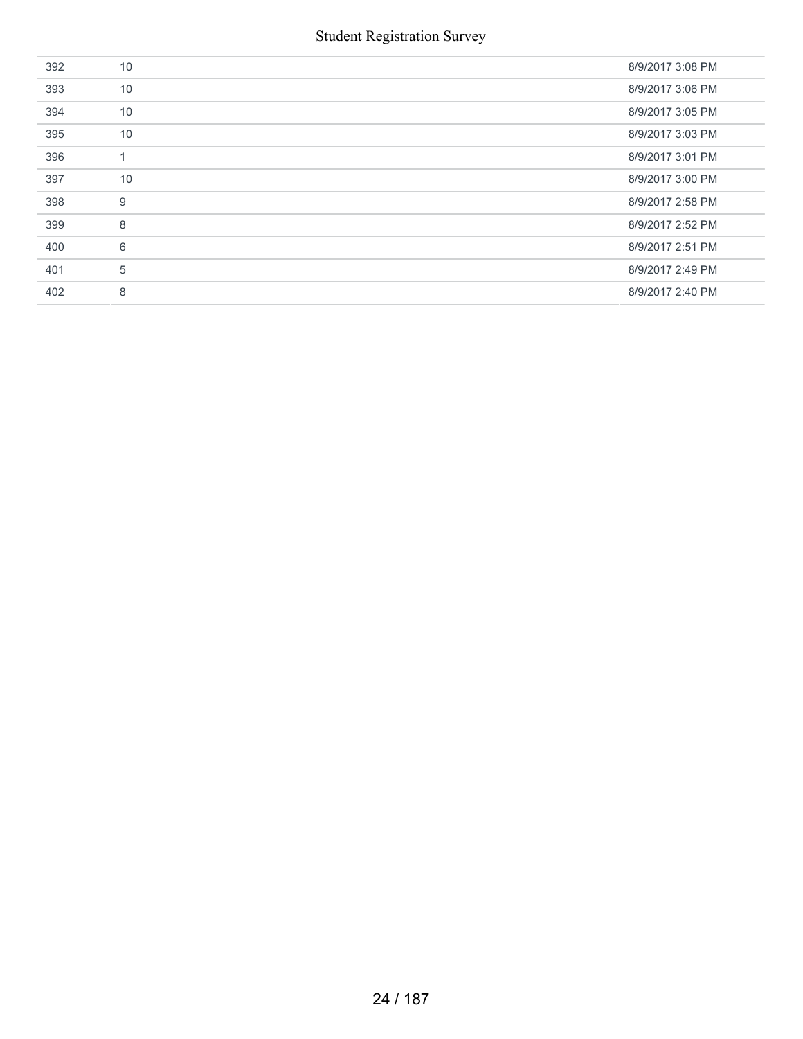| 392 | 10             | 8/9/2017 3:08 PM |
|-----|----------------|------------------|
| 393 | 10             | 8/9/2017 3:06 PM |
| 394 | 10             | 8/9/2017 3:05 PM |
| 395 | 10             | 8/9/2017 3:03 PM |
| 396 | $\overline{1}$ | 8/9/2017 3:01 PM |
| 397 | 10             | 8/9/2017 3:00 PM |
| 398 | 9              | 8/9/2017 2:58 PM |
| 399 | 8              | 8/9/2017 2:52 PM |
| 400 | 6              | 8/9/2017 2:51 PM |
| 401 | 5              | 8/9/2017 2:49 PM |
| 402 | 8              | 8/9/2017 2:40 PM |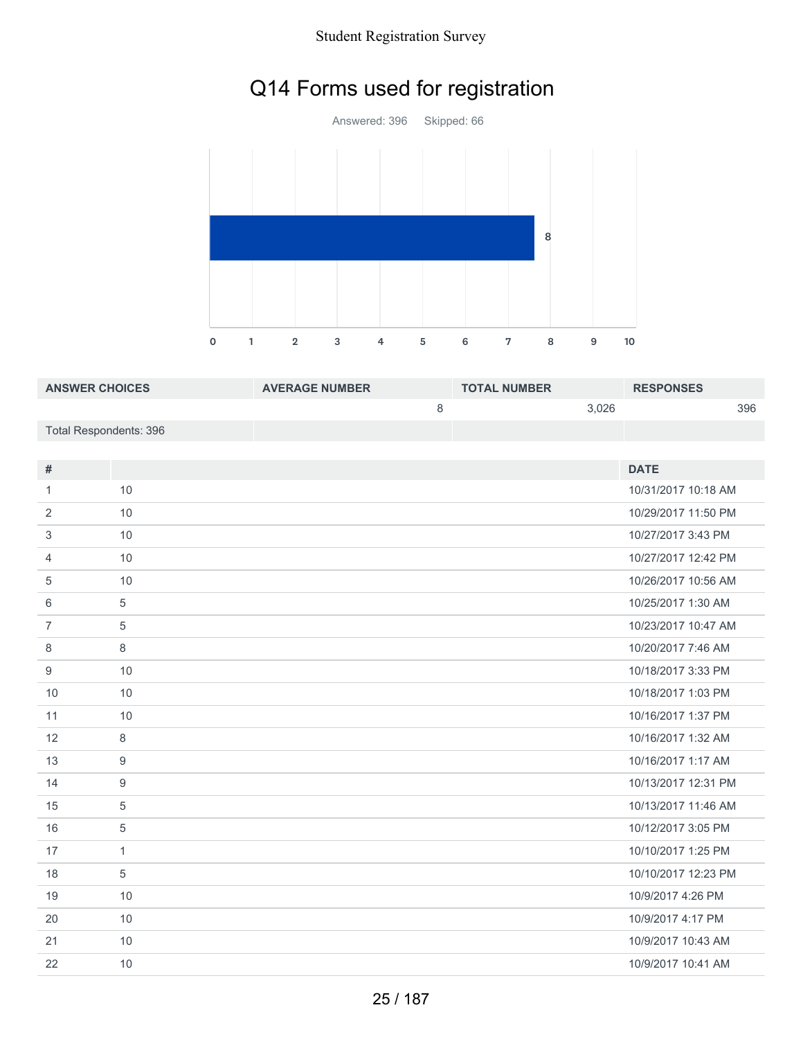# Q14 Forms used for registration



| <b>ANSWER CHOICES</b>  | <b>AVERAGE NUMBER</b> | <b>TOTAL NUMBER</b> | <b>RESPONSES</b> |
|------------------------|-----------------------|---------------------|------------------|
|                        |                       | 3.026               | 396              |
| Total Respondents: 396 |                       |                     |                  |

| #              |              | <b>DATE</b>         |
|----------------|--------------|---------------------|
| 1.             | 10           | 10/31/2017 10:18 AM |
| 2              | 10           | 10/29/2017 11:50 PM |
| 3              | 10           | 10/27/2017 3:43 PM  |
| 4              | 10           | 10/27/2017 12:42 PM |
| 5              | 10           | 10/26/2017 10:56 AM |
| 6              | 5            | 10/25/2017 1:30 AM  |
| $\overline{7}$ | 5            | 10/23/2017 10:47 AM |
| 8              | 8            | 10/20/2017 7:46 AM  |
| 9              | 10           | 10/18/2017 3:33 PM  |
| 10             | 10           | 10/18/2017 1:03 PM  |
| 11             | 10           | 10/16/2017 1:37 PM  |
| 12             | 8            | 10/16/2017 1:32 AM  |
| 13             | 9            | 10/16/2017 1:17 AM  |
| 14             | 9            | 10/13/2017 12:31 PM |
| 15             | 5            | 10/13/2017 11:46 AM |
| 16             | 5            | 10/12/2017 3:05 PM  |
| 17             | $\mathbf{1}$ | 10/10/2017 1:25 PM  |
| 18             | 5            | 10/10/2017 12:23 PM |
| 19             | 10           | 10/9/2017 4:26 PM   |
| 20             | 10           | 10/9/2017 4:17 PM   |
| 21             | 10           | 10/9/2017 10:43 AM  |
| 22             | 10           | 10/9/2017 10:41 AM  |
|                |              |                     |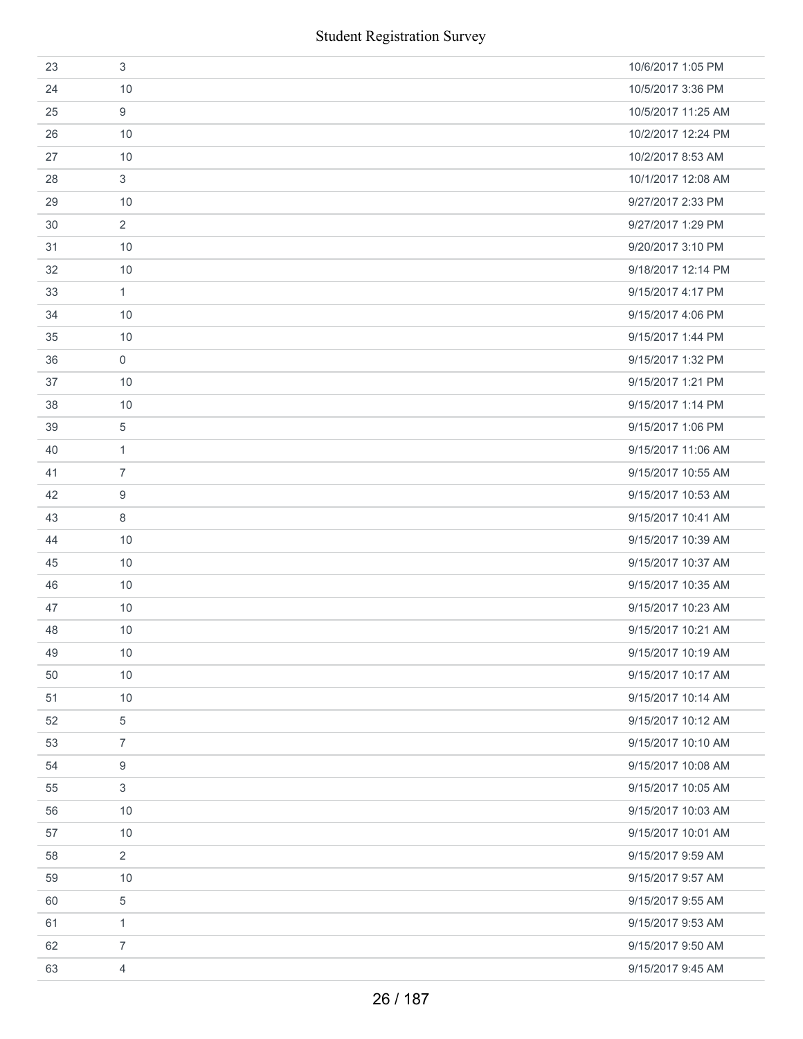|    | <b>Student Registration Survey</b> |                    |
|----|------------------------------------|--------------------|
| 23 | $\sqrt{3}$                         | 10/6/2017 1:05 PM  |
| 24 | 10                                 | 10/5/2017 3:36 PM  |
| 25 | 9                                  | 10/5/2017 11:25 AM |
| 26 | 10                                 | 10/2/2017 12:24 PM |
| 27 | 10                                 | 10/2/2017 8:53 AM  |
| 28 | $\sqrt{3}$                         | 10/1/2017 12:08 AM |
| 29 | 10                                 | 9/27/2017 2:33 PM  |
| 30 | $\overline{2}$                     | 9/27/2017 1:29 PM  |
| 31 | 10                                 | 9/20/2017 3:10 PM  |
| 32 | 10                                 | 9/18/2017 12:14 PM |
| 33 | $\mathbf{1}$                       | 9/15/2017 4:17 PM  |
| 34 | 10                                 | 9/15/2017 4:06 PM  |
| 35 | 10                                 | 9/15/2017 1:44 PM  |
| 36 | $\mathsf{O}\xspace$                | 9/15/2017 1:32 PM  |
| 37 | 10                                 | 9/15/2017 1:21 PM  |
| 38 | 10                                 | 9/15/2017 1:14 PM  |
| 39 | 5                                  | 9/15/2017 1:06 PM  |
| 40 | $\mathbf{1}$                       | 9/15/2017 11:06 AM |
| 41 | $\overline{7}$                     | 9/15/2017 10:55 AM |
| 42 | 9                                  | 9/15/2017 10:53 AM |
| 43 | $\,8\,$                            | 9/15/2017 10:41 AM |
| 44 | 10                                 | 9/15/2017 10:39 AM |
| 45 | 10                                 | 9/15/2017 10:37 AM |
| 46 | 10                                 | 9/15/2017 10:35 AM |
| 47 | 10                                 | 9/15/2017 10:23 AM |
| 48 | 10                                 | 9/15/2017 10:21 AM |
| 49 | 10                                 | 9/15/2017 10:19 AM |
| 50 | 10                                 | 9/15/2017 10:17 AM |
| 51 | 10                                 | 9/15/2017 10:14 AM |
| 52 | 5                                  | 9/15/2017 10:12 AM |
| 53 | $\overline{7}$                     | 9/15/2017 10:10 AM |
| 54 | 9                                  | 9/15/2017 10:08 AM |
| 55 | 3                                  | 9/15/2017 10:05 AM |
| 56 | 10                                 | 9/15/2017 10:03 AM |
| 57 | 10                                 | 9/15/2017 10:01 AM |
| 58 | $\overline{2}$                     | 9/15/2017 9:59 AM  |
| 59 | 10                                 | 9/15/2017 9:57 AM  |
| 60 | 5                                  | 9/15/2017 9:55 AM  |
| 61 | $\mathbf{1}$                       | 9/15/2017 9:53 AM  |
| 62 | $\overline{7}$                     | 9/15/2017 9:50 AM  |
| 63 | $\overline{4}$                     | 9/15/2017 9:45 AM  |
|    | 26 / 187                           |                    |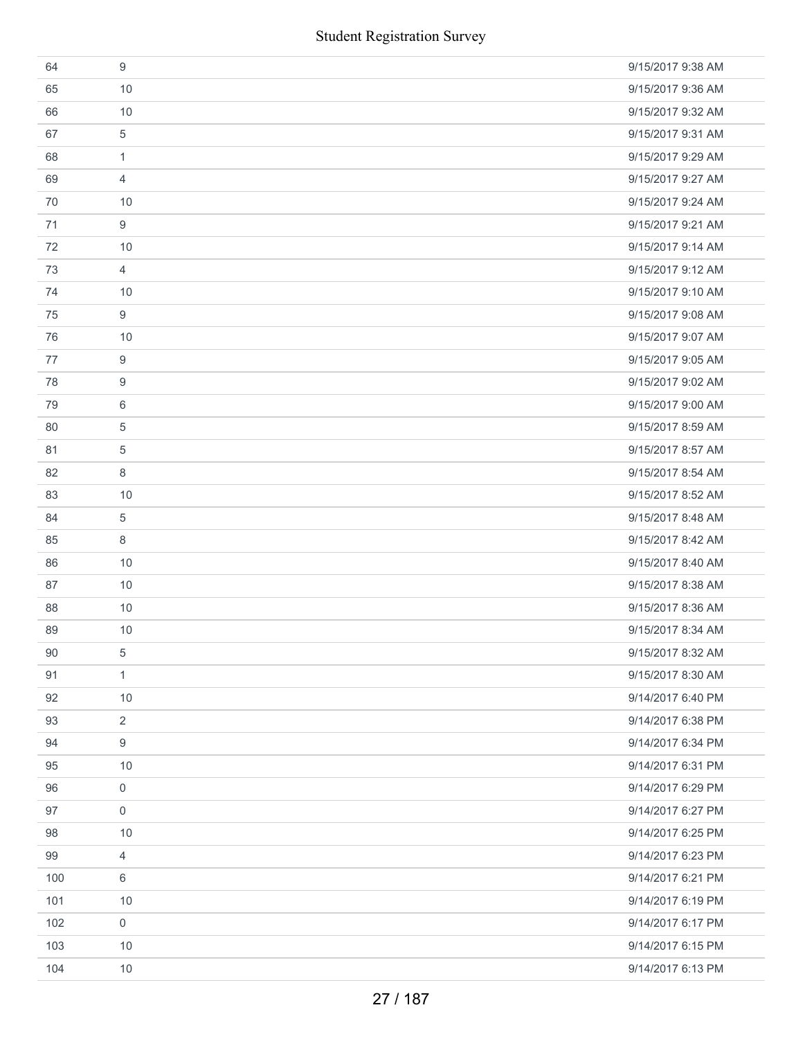|     | <b>Student Registration Survey</b> |                   |
|-----|------------------------------------|-------------------|
| 64  | 9                                  | 9/15/2017 9:38 AM |
| 65  | 10                                 | 9/15/2017 9:36 AM |
| 66  | 10                                 | 9/15/2017 9:32 AM |
| 67  | 5                                  | 9/15/2017 9:31 AM |
| 68  | 1                                  | 9/15/2017 9:29 AM |
| 69  | $\overline{4}$                     | 9/15/2017 9:27 AM |
| 70  | 10                                 | 9/15/2017 9:24 AM |
| 71  | 9                                  | 9/15/2017 9:21 AM |
| 72  | 10                                 | 9/15/2017 9:14 AM |
| 73  | 4                                  | 9/15/2017 9:12 AM |
| 74  | 10                                 | 9/15/2017 9:10 AM |
| 75  | 9                                  | 9/15/2017 9:08 AM |
| 76  | 10                                 | 9/15/2017 9:07 AM |
| 77  | 9                                  | 9/15/2017 9:05 AM |
| 78  | 9                                  | 9/15/2017 9:02 AM |
| 79  | 6                                  | 9/15/2017 9:00 AM |
| 80  | 5                                  | 9/15/2017 8:59 AM |
| 81  | 5                                  | 9/15/2017 8:57 AM |
| 82  | 8                                  | 9/15/2017 8:54 AM |
| 83  | 10                                 | 9/15/2017 8:52 AM |
| 84  | 5                                  | 9/15/2017 8:48 AM |
| 85  | 8                                  | 9/15/2017 8:42 AM |
| 86  | 10                                 | 9/15/2017 8:40 AM |
| 87  | 10                                 | 9/15/2017 8:38 AM |
| 88  | 10                                 | 9/15/2017 8:36 AM |
| 89  | 10                                 | 9/15/2017 8:34 AM |
| 90  | 5                                  | 9/15/2017 8:32 AM |
| 91  | $\mathbf{1}$                       | 9/15/2017 8:30 AM |
| 92  | 10                                 | 9/14/2017 6:40 PM |
| 93  | $\overline{2}$                     | 9/14/2017 6:38 PM |
| 94  | 9                                  | 9/14/2017 6:34 PM |
| 95  | 10                                 | 9/14/2017 6:31 PM |
| 96  | 0                                  | 9/14/2017 6:29 PM |
| 97  | $\mathbf 0$                        | 9/14/2017 6:27 PM |
| 98  | 10                                 | 9/14/2017 6:25 PM |
| 99  | 4                                  | 9/14/2017 6:23 PM |
| 100 | 6                                  | 9/14/2017 6:21 PM |
| 101 | 10                                 | 9/14/2017 6:19 PM |
| 102 | $\mathbf 0$                        | 9/14/2017 6:17 PM |
| 103 | 10                                 | 9/14/2017 6:15 PM |
| 104 | $10$                               | 9/14/2017 6:13 PM |
|     | 27 / 187                           |                   |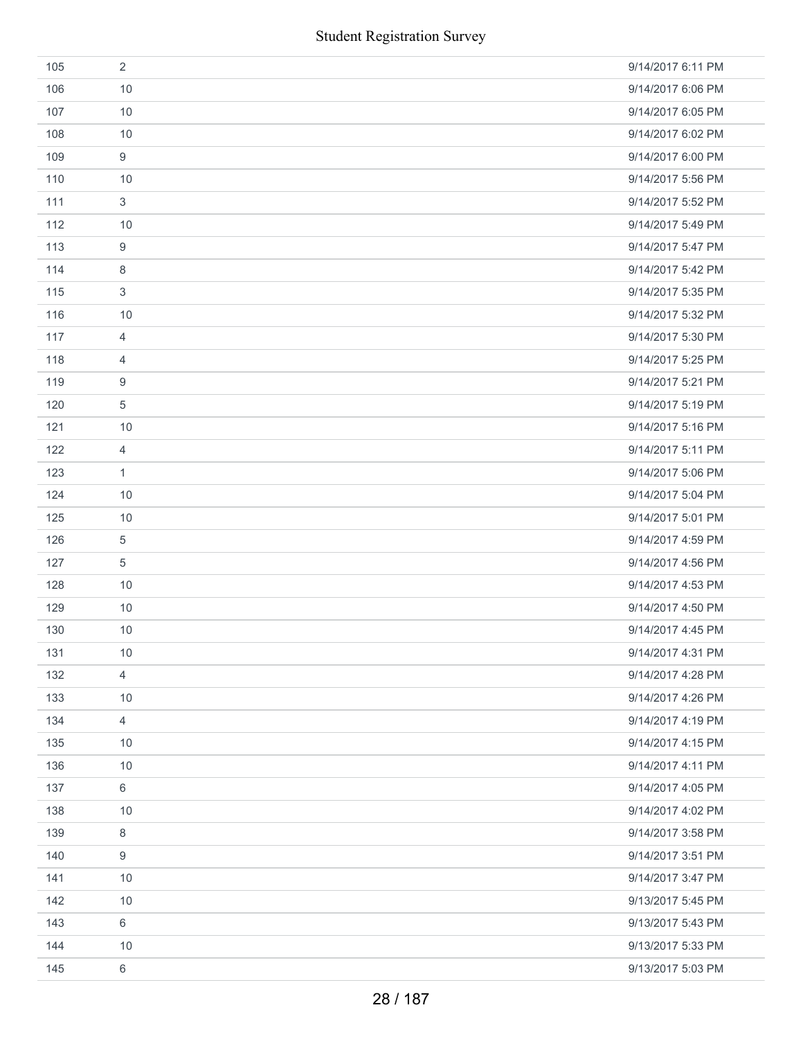|     | <b>Student Registration Survey</b> |                   |
|-----|------------------------------------|-------------------|
| 105 | $\overline{2}$                     | 9/14/2017 6:11 PM |
| 106 | 10                                 | 9/14/2017 6:06 PM |
| 107 | 10                                 | 9/14/2017 6:05 PM |
| 108 | 10                                 | 9/14/2017 6:02 PM |
| 109 | $\boldsymbol{9}$                   | 9/14/2017 6:00 PM |
| 110 | 10                                 | 9/14/2017 5:56 PM |
| 111 | $\mathfrak{S}$                     | 9/14/2017 5:52 PM |
| 112 | 10                                 | 9/14/2017 5:49 PM |
| 113 | 9                                  | 9/14/2017 5:47 PM |
| 114 | 8                                  | 9/14/2017 5:42 PM |
| 115 | 3                                  | 9/14/2017 5:35 PM |
| 116 | 10                                 | 9/14/2017 5:32 PM |
| 117 | $\overline{4}$                     | 9/14/2017 5:30 PM |
| 118 | $\overline{4}$                     | 9/14/2017 5:25 PM |
| 119 | 9                                  | 9/14/2017 5:21 PM |
| 120 | $\sqrt{5}$                         | 9/14/2017 5:19 PM |
| 121 | 10                                 | 9/14/2017 5:16 PM |
| 122 | 4                                  | 9/14/2017 5:11 PM |
| 123 | $\mathbf{1}$                       | 9/14/2017 5:06 PM |
| 124 | 10                                 | 9/14/2017 5:04 PM |
| 125 | 10                                 | 9/14/2017 5:01 PM |
| 126 | $\sqrt{5}$                         | 9/14/2017 4:59 PM |
| 127 | $\sqrt{5}$                         | 9/14/2017 4:56 PM |
| 128 | 10                                 | 9/14/2017 4:53 PM |
| 129 | 10                                 | 9/14/2017 4:50 PM |
| 130 | 10                                 | 9/14/2017 4:45 PM |
| 131 | 10                                 | 9/14/2017 4:31 PM |
| 132 | $\overline{4}$                     | 9/14/2017 4:28 PM |
| 133 | 10                                 | 9/14/2017 4:26 PM |
| 134 | $\overline{4}$                     | 9/14/2017 4:19 PM |
| 135 | 10                                 | 9/14/2017 4:15 PM |
| 136 | 10                                 | 9/14/2017 4:11 PM |
| 137 | 6                                  | 9/14/2017 4:05 PM |
| 138 | 10                                 | 9/14/2017 4:02 PM |
| 139 | 8                                  | 9/14/2017 3:58 PM |
| 140 | 9                                  | 9/14/2017 3:51 PM |
| 141 | 10                                 | 9/14/2017 3:47 PM |
| 142 | 10                                 | 9/13/2017 5:45 PM |
| 143 | $6\,$                              | 9/13/2017 5:43 PM |
| 144 | 10                                 | 9/13/2017 5:33 PM |
| 145 | $\,6\,$                            | 9/13/2017 5:03 PM |
|     | 28 / 187                           |                   |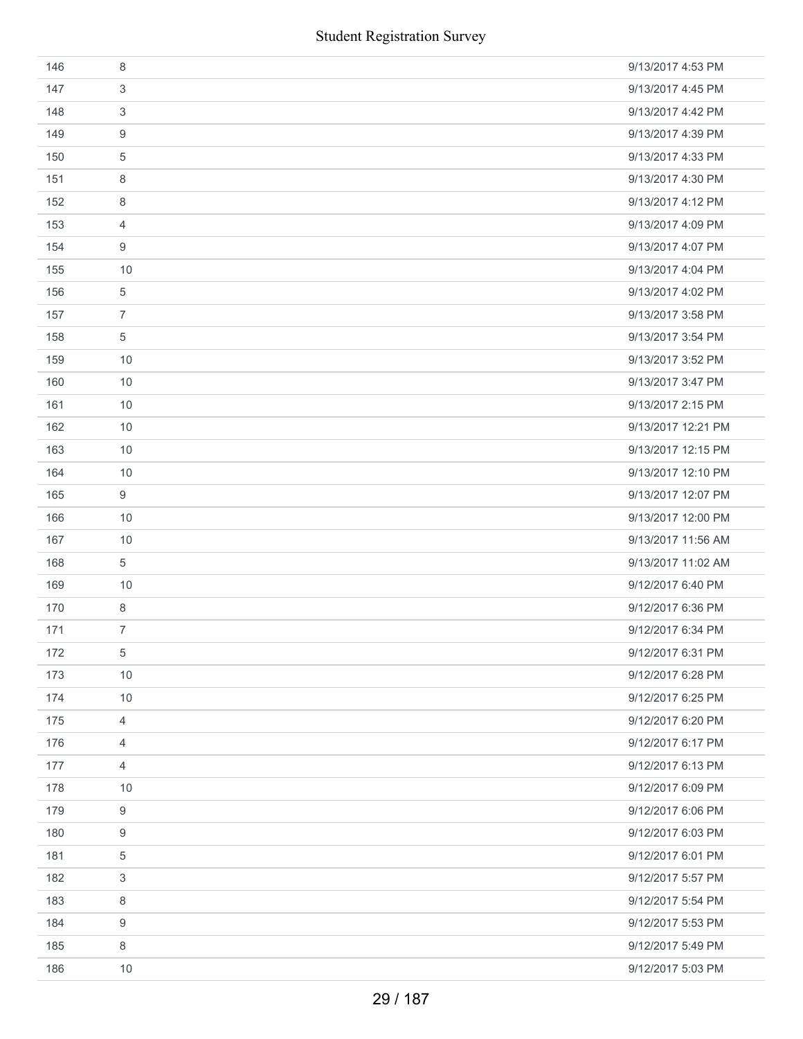|     | <b>Student Registration Survey</b> |                    |
|-----|------------------------------------|--------------------|
| 146 | 8                                  | 9/13/2017 4:53 PM  |
| 147 | 3                                  | 9/13/2017 4:45 PM  |
| 148 | 3                                  | 9/13/2017 4:42 PM  |
| 149 | 9                                  | 9/13/2017 4:39 PM  |
| 150 | 5                                  | 9/13/2017 4:33 PM  |
| 151 | 8                                  | 9/13/2017 4:30 PM  |
| 152 | 8                                  | 9/13/2017 4:12 PM  |
| 153 | $\overline{4}$                     | 9/13/2017 4:09 PM  |
| 154 | 9                                  | 9/13/2017 4:07 PM  |
| 155 | 10                                 | 9/13/2017 4:04 PM  |
| 156 | 5                                  | 9/13/2017 4:02 PM  |
| 157 | $\overline{7}$                     | 9/13/2017 3:58 PM  |
| 158 | $\sqrt{5}$                         | 9/13/2017 3:54 PM  |
| 159 | 10                                 | 9/13/2017 3:52 PM  |
| 160 | 10                                 | 9/13/2017 3:47 PM  |
| 161 | 10                                 | 9/13/2017 2:15 PM  |
| 162 | 10                                 | 9/13/2017 12:21 PM |
| 163 | 10                                 | 9/13/2017 12:15 PM |
| 164 | 10                                 | 9/13/2017 12:10 PM |
| 165 | 9                                  | 9/13/2017 12:07 PM |
| 166 | 10                                 | 9/13/2017 12:00 PM |
| 167 | 10                                 | 9/13/2017 11:56 AM |
| 168 | $\sqrt{5}$                         | 9/13/2017 11:02 AM |
| 169 | 10                                 | 9/12/2017 6:40 PM  |
| 170 | 8                                  | 9/12/2017 6:36 PM  |
| 171 | $\overline{7}$                     | 9/12/2017 6:34 PM  |
| 172 | $\,$ 5 $\,$                        | 9/12/2017 6:31 PM  |
| 173 | 10                                 | 9/12/2017 6:28 PM  |
| 174 | 10                                 | 9/12/2017 6:25 PM  |
| 175 | $\overline{4}$                     | 9/12/2017 6:20 PM  |
| 176 | 4                                  | 9/12/2017 6:17 PM  |
| 177 | $\overline{4}$                     | 9/12/2017 6:13 PM  |
| 178 | 10                                 | 9/12/2017 6:09 PM  |
| 179 | $\boldsymbol{9}$                   | 9/12/2017 6:06 PM  |
| 180 | 9                                  | 9/12/2017 6:03 PM  |
| 181 | 5                                  | 9/12/2017 6:01 PM  |
| 182 | 3                                  | 9/12/2017 5:57 PM  |
| 183 | 8                                  | 9/12/2017 5:54 PM  |
| 184 | 9                                  | 9/12/2017 5:53 PM  |
| 185 | 8                                  | 9/12/2017 5:49 PM  |
| 186 | 10                                 | 9/12/2017 5:03 PM  |
|     | 29 / 187                           |                    |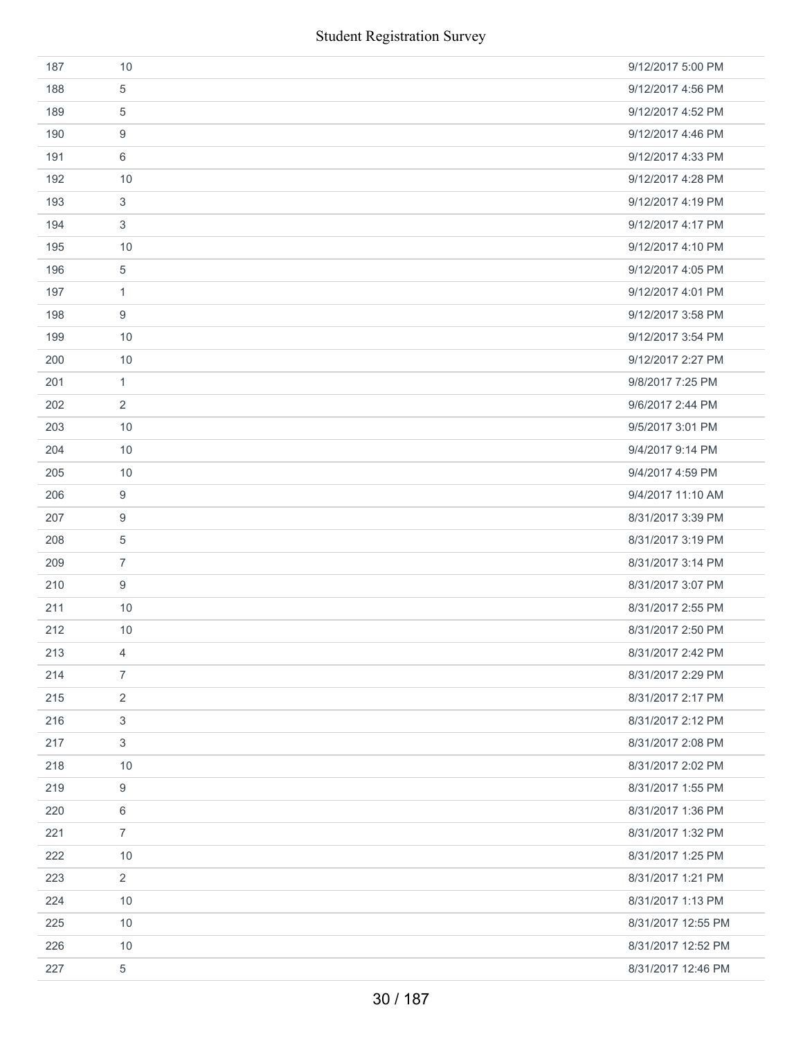| 187 | 10                        | 9/12/2017 5:00 PM  |
|-----|---------------------------|--------------------|
| 188 | 5                         | 9/12/2017 4:56 PM  |
| 189 | 5                         | 9/12/2017 4:52 PM  |
| 190 | 9                         | 9/12/2017 4:46 PM  |
| 191 | 6                         | 9/12/2017 4:33 PM  |
| 192 | 10                        | 9/12/2017 4:28 PM  |
| 193 | 3                         | 9/12/2017 4:19 PM  |
| 194 | 3                         | 9/12/2017 4:17 PM  |
| 195 | 10                        | 9/12/2017 4:10 PM  |
| 196 | 5                         | 9/12/2017 4:05 PM  |
| 197 | $\mathbf{1}$              | 9/12/2017 4:01 PM  |
| 198 | 9                         | 9/12/2017 3:58 PM  |
| 199 | 10                        | 9/12/2017 3:54 PM  |
| 200 | 10                        | 9/12/2017 2:27 PM  |
| 201 | $\mathbf{1}$              | 9/8/2017 7:25 PM   |
| 202 | 2                         | 9/6/2017 2:44 PM   |
| 203 | 10                        | 9/5/2017 3:01 PM   |
| 204 | 10                        | 9/4/2017 9:14 PM   |
| 205 | 10                        | 9/4/2017 4:59 PM   |
| 206 | 9                         | 9/4/2017 11:10 AM  |
| 207 | 9                         | 8/31/2017 3:39 PM  |
| 208 | 5                         | 8/31/2017 3:19 PM  |
| 209 | $\overline{7}$            | 8/31/2017 3:14 PM  |
| 210 | 9                         | 8/31/2017 3:07 PM  |
| 211 | 10                        | 8/31/2017 2:55 PM  |
| 212 | 10                        | 8/31/2017 2:50 PM  |
| 213 | 4                         | 8/31/2017 2:42 PM  |
| 214 | $\overline{7}$            | 8/31/2017 2:29 PM  |
| 215 | $\overline{2}$            | 8/31/2017 2:17 PM  |
| 216 | $\ensuremath{\mathsf{3}}$ | 8/31/2017 2:12 PM  |
| 217 | $\sqrt{3}$                | 8/31/2017 2:08 PM  |
| 218 | 10                        | 8/31/2017 2:02 PM  |
| 219 | $\boldsymbol{9}$          | 8/31/2017 1:55 PM  |
| 220 | 6                         | 8/31/2017 1:36 PM  |
| 221 | $\overline{7}$            | 8/31/2017 1:32 PM  |
| 222 | 10                        | 8/31/2017 1:25 PM  |
| 223 | $\overline{2}$            | 8/31/2017 1:21 PM  |
| 224 | 10                        | 8/31/2017 1:13 PM  |
| 225 | 10                        | 8/31/2017 12:55 PM |
| 226 | 10                        | 8/31/2017 12:52 PM |
| 227 | $\sqrt{5}$                | 8/31/2017 12:46 PM |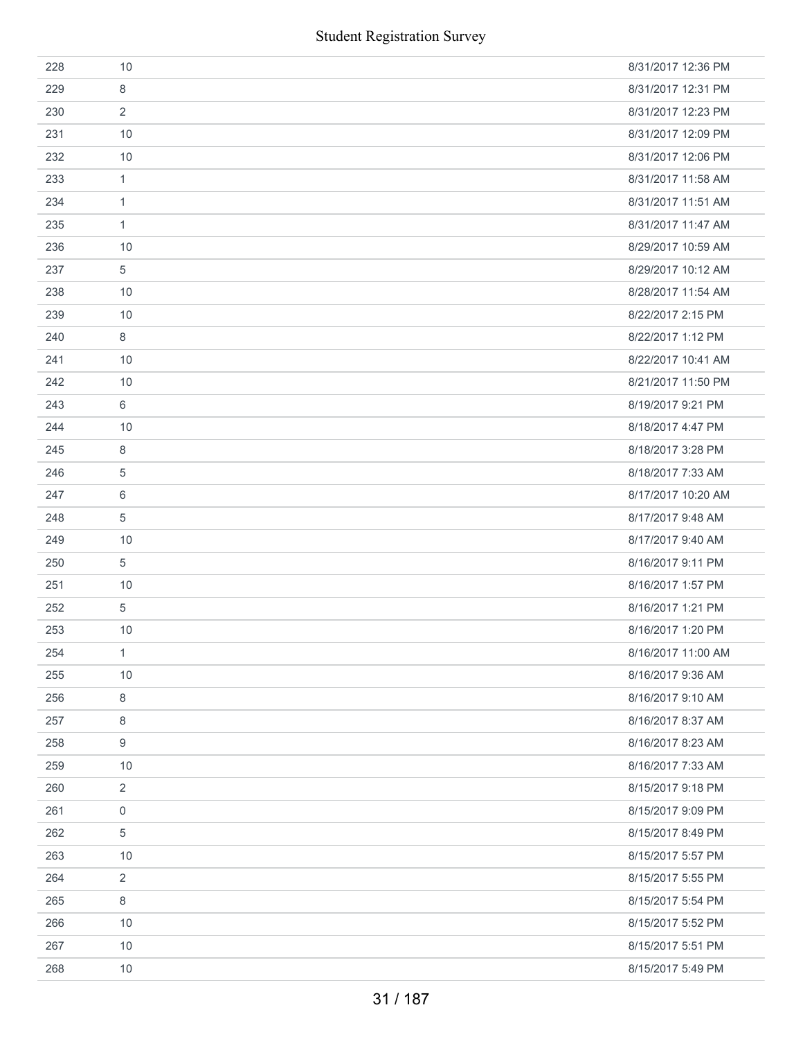| 228 | 10               | 8/31/2017 12:36 PM |
|-----|------------------|--------------------|
| 229 | 8                | 8/31/2017 12:31 PM |
| 230 | 2                | 8/31/2017 12:23 PM |
| 231 | 10               | 8/31/2017 12:09 PM |
| 232 | 10               | 8/31/2017 12:06 PM |
| 233 | 1                | 8/31/2017 11:58 AM |
| 234 | $\mathbf{1}$     | 8/31/2017 11:51 AM |
| 235 | 1                | 8/31/2017 11:47 AM |
| 236 | 10               | 8/29/2017 10:59 AM |
| 237 | 5                | 8/29/2017 10:12 AM |
| 238 | 10               | 8/28/2017 11:54 AM |
| 239 | 10               | 8/22/2017 2:15 PM  |
| 240 | 8                | 8/22/2017 1:12 PM  |
| 241 | 10               | 8/22/2017 10:41 AM |
| 242 | 10               | 8/21/2017 11:50 PM |
| 243 | 6                | 8/19/2017 9:21 PM  |
| 244 | 10               | 8/18/2017 4:47 PM  |
| 245 | 8                | 8/18/2017 3:28 PM  |
| 246 | $\overline{5}$   | 8/18/2017 7:33 AM  |
| 247 | 6                | 8/17/2017 10:20 AM |
| 248 | $\overline{5}$   | 8/17/2017 9:48 AM  |
| 249 | 10               | 8/17/2017 9:40 AM  |
| 250 | 5                | 8/16/2017 9:11 PM  |
| 251 | 10               | 8/16/2017 1:57 PM  |
| 252 | 5                | 8/16/2017 1:21 PM  |
| 253 | 10               | 8/16/2017 1:20 PM  |
| 254 | 1                | 8/16/2017 11:00 AM |
| 255 | 10               | 8/16/2017 9:36 AM  |
| 256 | 8                | 8/16/2017 9:10 AM  |
| 257 | $\,8\,$          | 8/16/2017 8:37 AM  |
| 258 | 9                | 8/16/2017 8:23 AM  |
| 259 | 10               | 8/16/2017 7:33 AM  |
| 260 | 2                | 8/15/2017 9:18 PM  |
| 261 | $\boldsymbol{0}$ | 8/15/2017 9:09 PM  |
| 262 | 5                | 8/15/2017 8:49 PM  |
| 263 | 10               | 8/15/2017 5:57 PM  |
| 264 | 2                | 8/15/2017 5:55 PM  |
| 265 | 8                | 8/15/2017 5:54 PM  |
| 266 | 10               | 8/15/2017 5:52 PM  |
| 267 | 10               | 8/15/2017 5:51 PM  |
| 268 | 10               | 8/15/2017 5:49 PM  |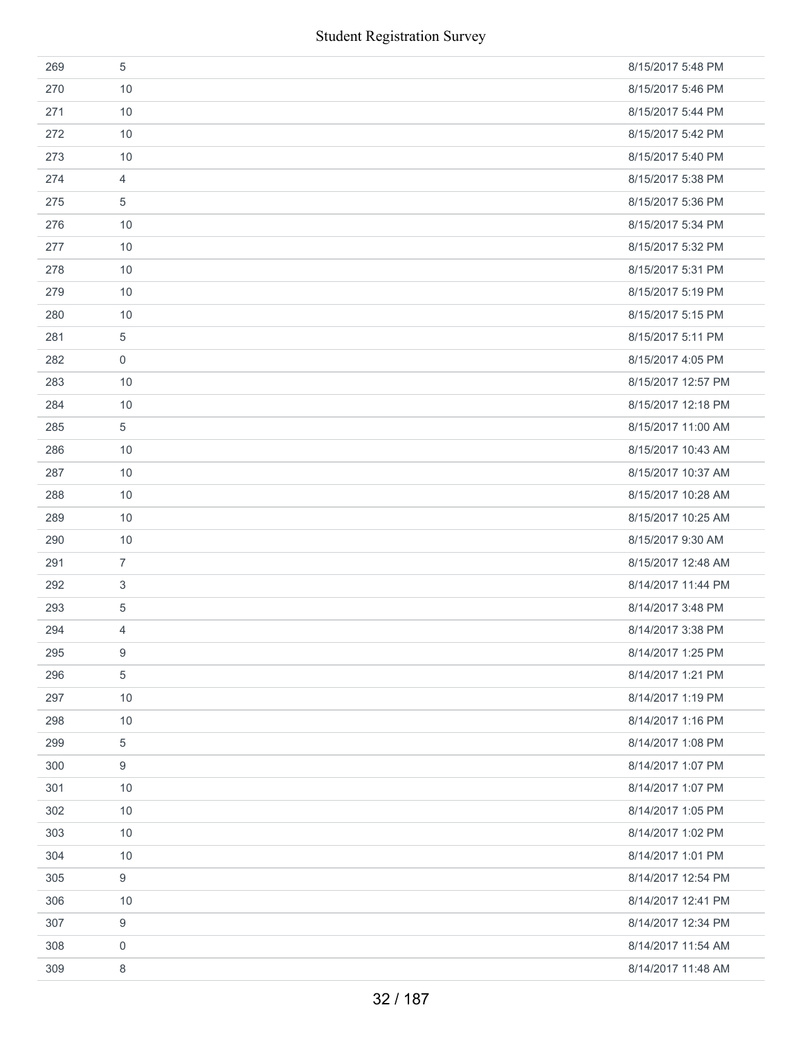|     | <b>Student Registration Survey</b> |                    |
|-----|------------------------------------|--------------------|
| 269 | 5                                  | 8/15/2017 5:48 PM  |
| 270 | 10                                 | 8/15/2017 5:46 PM  |
| 271 | 10                                 | 8/15/2017 5:44 PM  |
| 272 | 10                                 | 8/15/2017 5:42 PM  |
| 273 | 10                                 | 8/15/2017 5:40 PM  |
| 274 | $\overline{4}$                     | 8/15/2017 5:38 PM  |
| 275 | 5                                  | 8/15/2017 5:36 PM  |
| 276 | 10                                 | 8/15/2017 5:34 PM  |
| 277 | 10                                 | 8/15/2017 5:32 PM  |
| 278 | 10                                 | 8/15/2017 5:31 PM  |
| 279 | 10                                 | 8/15/2017 5:19 PM  |
| 280 | 10                                 | 8/15/2017 5:15 PM  |
| 281 | 5                                  | 8/15/2017 5:11 PM  |
| 282 | $\boldsymbol{0}$                   | 8/15/2017 4:05 PM  |
| 283 | 10                                 | 8/15/2017 12:57 PM |
| 284 | 10                                 | 8/15/2017 12:18 PM |
| 285 | $\sqrt{5}$                         | 8/15/2017 11:00 AM |
| 286 | 10                                 | 8/15/2017 10:43 AM |
| 287 | 10                                 | 8/15/2017 10:37 AM |
| 288 | 10                                 | 8/15/2017 10:28 AM |
| 289 | 10                                 | 8/15/2017 10:25 AM |
| 290 | 10                                 | 8/15/2017 9:30 AM  |
| 291 | $\overline{7}$                     | 8/15/2017 12:48 AM |
| 292 | 3                                  | 8/14/2017 11:44 PM |
| 293 | $\sqrt{5}$                         | 8/14/2017 3:48 PM  |
| 294 | 4                                  | 8/14/2017 3:38 PM  |
| 295 | 9                                  | 8/14/2017 1:25 PM  |
| 296 | $\,$ 5 $\,$                        | 8/14/2017 1:21 PM  |
| 297 | 10                                 | 8/14/2017 1:19 PM  |
| 298 | 10                                 | 8/14/2017 1:16 PM  |
| 299 | 5                                  | 8/14/2017 1:08 PM  |
| 300 | $\boldsymbol{9}$                   | 8/14/2017 1:07 PM  |
| 301 | 10                                 | 8/14/2017 1:07 PM  |
| 302 | 10                                 | 8/14/2017 1:05 PM  |
| 303 | 10                                 | 8/14/2017 1:02 PM  |
| 304 | 10                                 | 8/14/2017 1:01 PM  |
| 305 | 9                                  | 8/14/2017 12:54 PM |
| 306 | 10                                 | 8/14/2017 12:41 PM |
| 307 | $\boldsymbol{9}$                   | 8/14/2017 12:34 PM |
| 308 | $\mathbf 0$                        | 8/14/2017 11:54 AM |
| 309 | 8                                  | 8/14/2017 11:48 AM |
|     | 32 / 187                           |                    |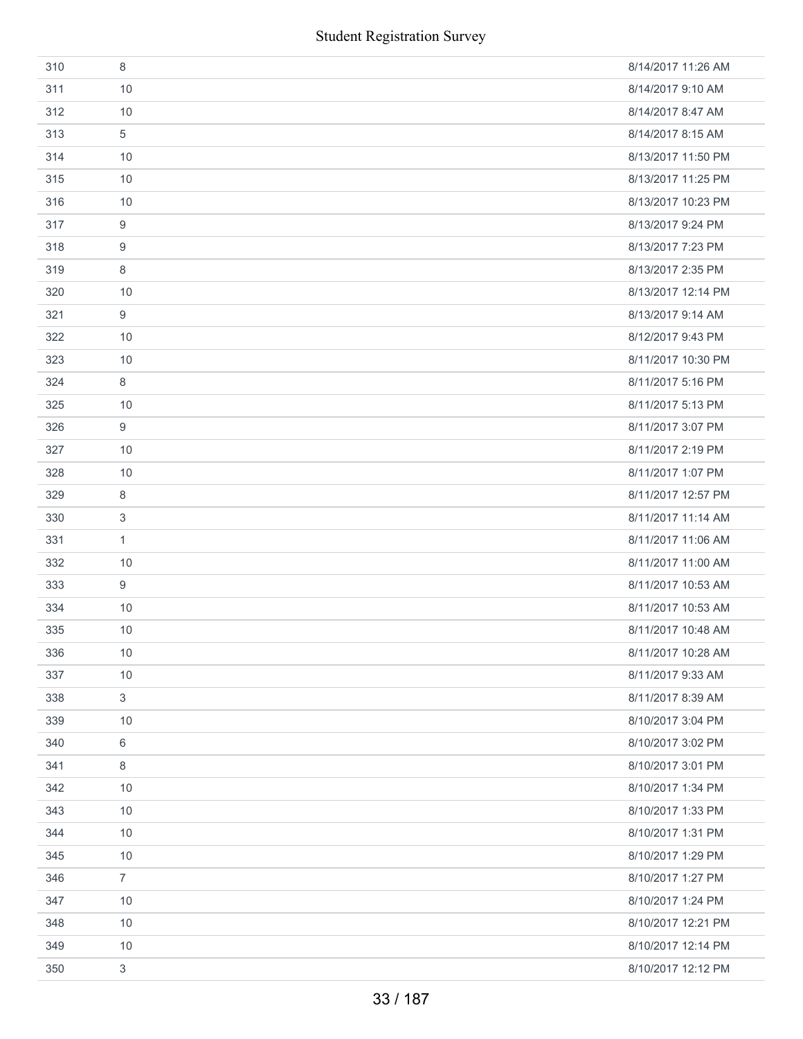|     | <b>Student Registration Survey</b> |                    |
|-----|------------------------------------|--------------------|
| 310 | 8                                  | 8/14/2017 11:26 AM |
| 311 | 10                                 | 8/14/2017 9:10 AM  |
| 312 | 10                                 | 8/14/2017 8:47 AM  |
| 313 | 5                                  | 8/14/2017 8:15 AM  |
| 314 | 10                                 | 8/13/2017 11:50 PM |
| 315 | 10                                 | 8/13/2017 11:25 PM |
| 316 | 10                                 | 8/13/2017 10:23 PM |
| 317 | 9                                  | 8/13/2017 9:24 PM  |
| 318 | 9                                  | 8/13/2017 7:23 PM  |
| 319 | 8                                  | 8/13/2017 2:35 PM  |
| 320 | 10                                 | 8/13/2017 12:14 PM |
| 321 | 9                                  | 8/13/2017 9:14 AM  |
| 322 | 10                                 | 8/12/2017 9:43 PM  |
| 323 | 10                                 | 8/11/2017 10:30 PM |
| 324 | 8                                  | 8/11/2017 5:16 PM  |
| 325 | 10                                 | 8/11/2017 5:13 PM  |
| 326 | 9                                  | 8/11/2017 3:07 PM  |
| 327 | 10                                 | 8/11/2017 2:19 PM  |
| 328 | 10                                 | 8/11/2017 1:07 PM  |
| 329 | 8                                  | 8/11/2017 12:57 PM |
| 330 | 3                                  | 8/11/2017 11:14 AM |
| 331 | $\mathbf{1}$                       | 8/11/2017 11:06 AM |
| 332 | 10                                 | 8/11/2017 11:00 AM |
| 333 | 9                                  | 8/11/2017 10:53 AM |
| 334 | 10                                 | 8/11/2017 10:53 AM |
| 335 | 10                                 | 8/11/2017 10:48 AM |
| 336 | $10$                               | 8/11/2017 10:28 AM |
| 337 | 10                                 | 8/11/2017 9:33 AM  |
| 338 | $\sqrt{3}$                         | 8/11/2017 8:39 AM  |
| 339 | 10                                 | 8/10/2017 3:04 PM  |
| 340 | 6                                  | 8/10/2017 3:02 PM  |
| 341 | 8                                  | 8/10/2017 3:01 PM  |
| 342 | 10                                 | 8/10/2017 1:34 PM  |
| 343 | 10                                 | 8/10/2017 1:33 PM  |
| 344 | $10$                               | 8/10/2017 1:31 PM  |
| 345 | 10                                 | 8/10/2017 1:29 PM  |
| 346 | $\overline{7}$                     | 8/10/2017 1:27 PM  |
| 347 | $10$                               | 8/10/2017 1:24 PM  |
| 348 | $10$                               | 8/10/2017 12:21 PM |
| 349 | $10$                               | 8/10/2017 12:14 PM |
| 350 | $\sqrt{3}$                         | 8/10/2017 12:12 PM |
|     | 33 / 187                           |                    |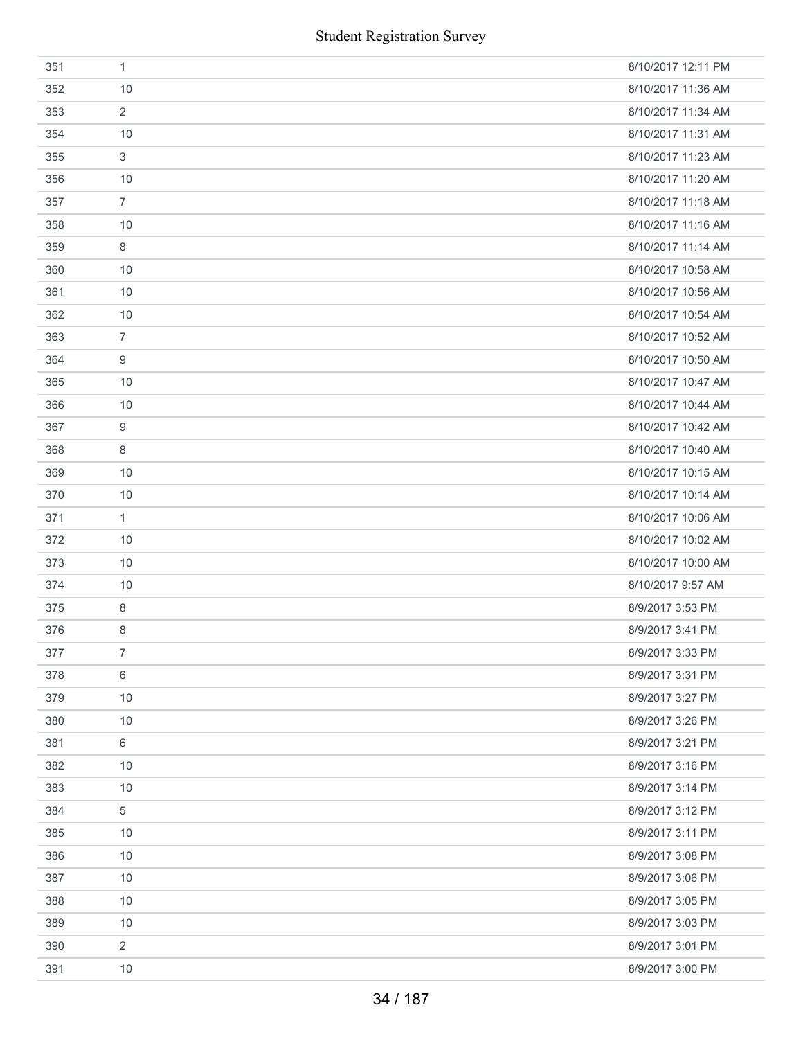| 351 | 1              | 8/10/2017 12:11 PM |
|-----|----------------|--------------------|
| 352 | 10             | 8/10/2017 11:36 AM |
| 353 | $\overline{2}$ | 8/10/2017 11:34 AM |
| 354 | 10             | 8/10/2017 11:31 AM |
| 355 | 3              | 8/10/2017 11:23 AM |
| 356 | 10             | 8/10/2017 11:20 AM |
| 357 | $\overline{7}$ | 8/10/2017 11:18 AM |
| 358 | 10             | 8/10/2017 11:16 AM |
| 359 | 8              | 8/10/2017 11:14 AM |
| 360 | 10             | 8/10/2017 10:58 AM |
| 361 | 10             | 8/10/2017 10:56 AM |
| 362 | 10             | 8/10/2017 10:54 AM |
| 363 | $\overline{7}$ | 8/10/2017 10:52 AM |
| 364 | 9              | 8/10/2017 10:50 AM |
| 365 | 10             | 8/10/2017 10:47 AM |
| 366 | 10             | 8/10/2017 10:44 AM |
| 367 | 9              | 8/10/2017 10:42 AM |
| 368 | 8              | 8/10/2017 10:40 AM |
| 369 | 10             | 8/10/2017 10:15 AM |
| 370 | 10             | 8/10/2017 10:14 AM |
| 371 | $\mathbf{1}$   | 8/10/2017 10:06 AM |
| 372 | 10             | 8/10/2017 10:02 AM |
| 373 | 10             | 8/10/2017 10:00 AM |
| 374 | 10             | 8/10/2017 9:57 AM  |
| 375 | 8              | 8/9/2017 3:53 PM   |
| 376 | 8              | 8/9/2017 3:41 PM   |
| 377 | $\overline{7}$ | 8/9/2017 3:33 PM   |
| 378 | 6              | 8/9/2017 3:31 PM   |
| 379 | 10             | 8/9/2017 3:27 PM   |
| 380 | 10             | 8/9/2017 3:26 PM   |
| 381 | 6              | 8/9/2017 3:21 PM   |
| 382 | 10             | 8/9/2017 3:16 PM   |
| 383 | 10             | 8/9/2017 3:14 PM   |
| 384 | 5              | 8/9/2017 3:12 PM   |
| 385 | 10             | 8/9/2017 3:11 PM   |
| 386 | 10             | 8/9/2017 3:08 PM   |
| 387 | 10             | 8/9/2017 3:06 PM   |
| 388 | 10             | 8/9/2017 3:05 PM   |
| 389 | 10             | 8/9/2017 3:03 PM   |
| 390 | $\overline{2}$ | 8/9/2017 3:01 PM   |
| 391 | 10             | 8/9/2017 3:00 PM   |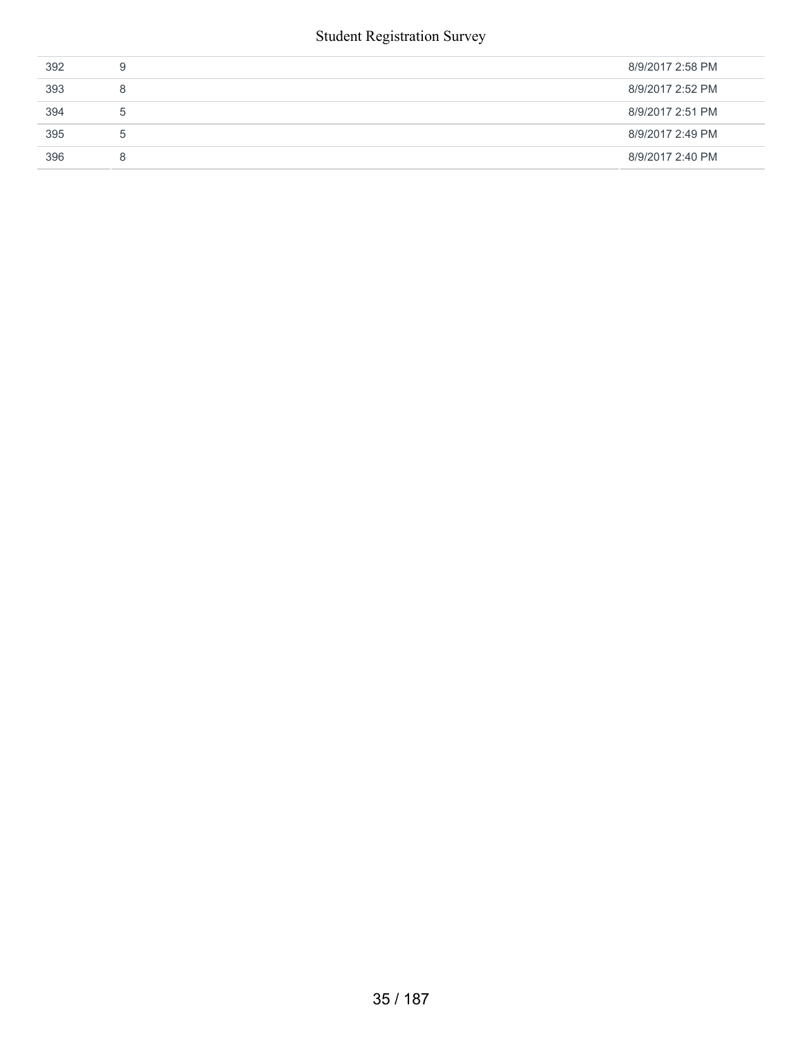| 392 | 9           | 8/9/2017 2:58 PM |
|-----|-------------|------------------|
| 393 | 8           | 8/9/2017 2:52 PM |
| 394 | $\mathbf b$ | 8/9/2017 2:51 PM |
| 395 | b           | 8/9/2017 2:49 PM |
| 396 | 8           | 8/9/2017 2:40 PM |
|     |             |                  |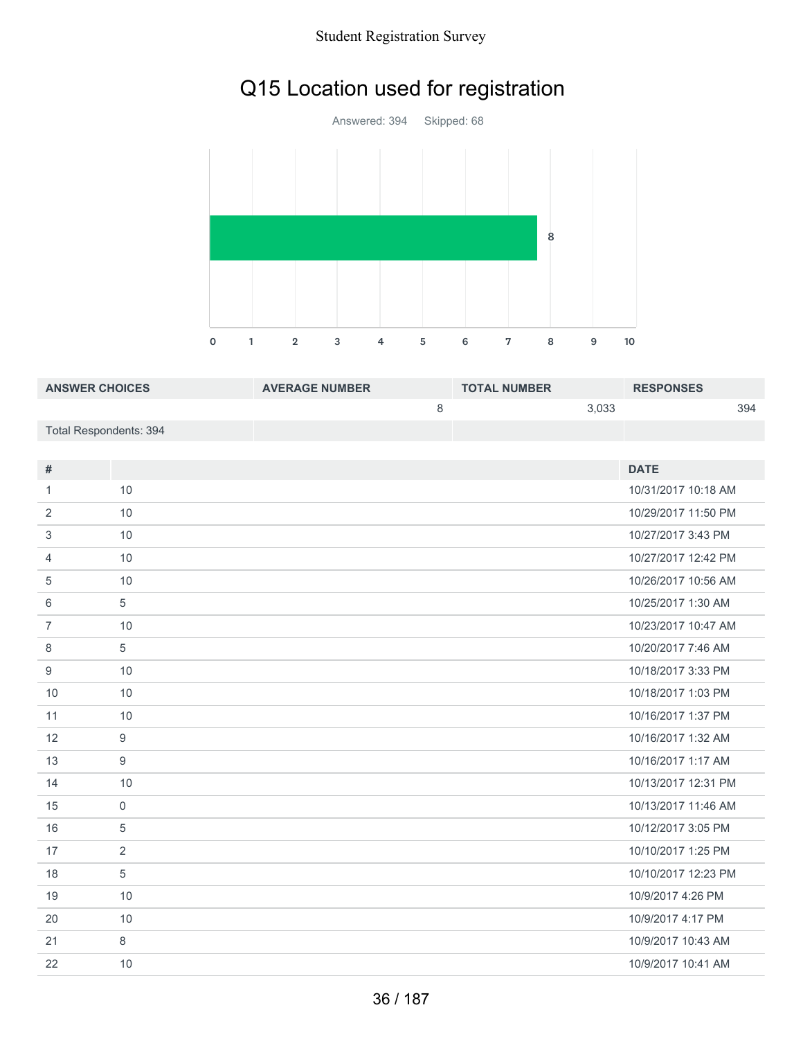# Q15 Location used for registration



| <b>ANSWER CHOICES</b>  | <b>AVERAGE NUMBER</b> | <b>TOTAL NUMBER</b> | <b>RESPONSES</b> |
|------------------------|-----------------------|---------------------|------------------|
|                        |                       | 3.033               | 394              |
| Total Respondents: 394 |                       |                     |                  |

| #              |                | <b>DATE</b>         |
|----------------|----------------|---------------------|
| 1              | 10             | 10/31/2017 10:18 AM |
| 2              | 10             | 10/29/2017 11:50 PM |
| 3              | 10             | 10/27/2017 3:43 PM  |
| 4              | 10             | 10/27/2017 12:42 PM |
| 5              | 10             | 10/26/2017 10:56 AM |
| 6              | 5              | 10/25/2017 1:30 AM  |
| $\overline{7}$ | 10             | 10/23/2017 10:47 AM |
| 8              | 5              | 10/20/2017 7:46 AM  |
| 9              | 10             | 10/18/2017 3:33 PM  |
| 10             | 10             | 10/18/2017 1:03 PM  |
| 11             | 10             | 10/16/2017 1:37 PM  |
| 12             | 9              | 10/16/2017 1:32 AM  |
| 13             | 9              | 10/16/2017 1:17 AM  |
| 14             | 10             | 10/13/2017 12:31 PM |
| 15             | $\overline{0}$ | 10/13/2017 11:46 AM |
| 16             | 5              | 10/12/2017 3:05 PM  |
| 17             | 2              | 10/10/2017 1:25 PM  |
| 18             | $\sqrt{5}$     | 10/10/2017 12:23 PM |
| 19             | 10             | 10/9/2017 4:26 PM   |
| 20             | 10             | 10/9/2017 4:17 PM   |
| 21             | 8              | 10/9/2017 10:43 AM  |
| 22             | 10             | 10/9/2017 10:41 AM  |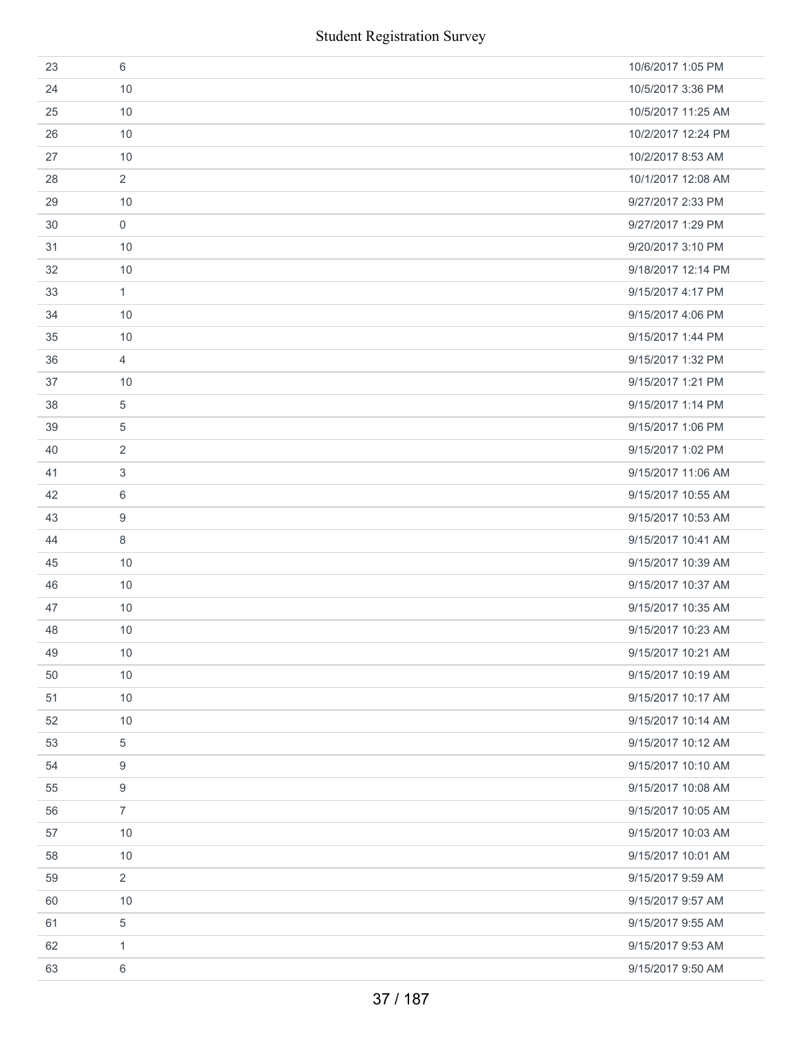|    | <b>Student Registration Survey</b> |                    |
|----|------------------------------------|--------------------|
| 23 | 6                                  | 10/6/2017 1:05 PM  |
| 24 | 10                                 | 10/5/2017 3:36 PM  |
| 25 | 10                                 | 10/5/2017 11:25 AM |
| 26 | 10                                 | 10/2/2017 12:24 PM |
| 27 | 10                                 | 10/2/2017 8:53 AM  |
| 28 | $\overline{2}$                     | 10/1/2017 12:08 AM |
| 29 | 10                                 | 9/27/2017 2:33 PM  |
| 30 | $\mathbf 0$                        | 9/27/2017 1:29 PM  |
| 31 | 10                                 | 9/20/2017 3:10 PM  |
| 32 | 10                                 | 9/18/2017 12:14 PM |
| 33 | $\mathbf{1}$                       | 9/15/2017 4:17 PM  |
| 34 | 10                                 | 9/15/2017 4:06 PM  |
| 35 | 10                                 | 9/15/2017 1:44 PM  |
| 36 | $\overline{4}$                     | 9/15/2017 1:32 PM  |
| 37 | 10                                 | 9/15/2017 1:21 PM  |
| 38 | 5                                  | 9/15/2017 1:14 PM  |
| 39 | 5                                  | 9/15/2017 1:06 PM  |
| 40 | 2                                  | 9/15/2017 1:02 PM  |
| 41 | 3                                  | 9/15/2017 11:06 AM |
| 42 | 6                                  | 9/15/2017 10:55 AM |
| 43 | 9                                  | 9/15/2017 10:53 AM |
| 44 | 8                                  | 9/15/2017 10:41 AM |
| 45 | 10                                 | 9/15/2017 10:39 AM |
| 46 | 10                                 | 9/15/2017 10:37 AM |
| 47 | 10                                 | 9/15/2017 10:35 AM |
| 48 | 10                                 | 9/15/2017 10:23 AM |
| 49 | 10                                 | 9/15/2017 10:21 AM |
| 50 | 10                                 | 9/15/2017 10:19 AM |
| 51 | 10                                 | 9/15/2017 10:17 AM |
| 52 | 10                                 | 9/15/2017 10:14 AM |
| 53 | 5                                  | 9/15/2017 10:12 AM |
| 54 | 9                                  | 9/15/2017 10:10 AM |
| 55 | 9                                  | 9/15/2017 10:08 AM |
| 56 | $\overline{7}$                     | 9/15/2017 10:05 AM |
| 57 | 10                                 | 9/15/2017 10:03 AM |
| 58 | 10                                 | 9/15/2017 10:01 AM |
| 59 | $\overline{2}$                     | 9/15/2017 9:59 AM  |
| 60 | 10                                 | 9/15/2017 9:57 AM  |
| 61 | 5                                  | 9/15/2017 9:55 AM  |
| 62 | 1                                  | 9/15/2017 9:53 AM  |
| 63 | $\,6\,$                            | 9/15/2017 9:50 AM  |
|    | 37 / 187                           |                    |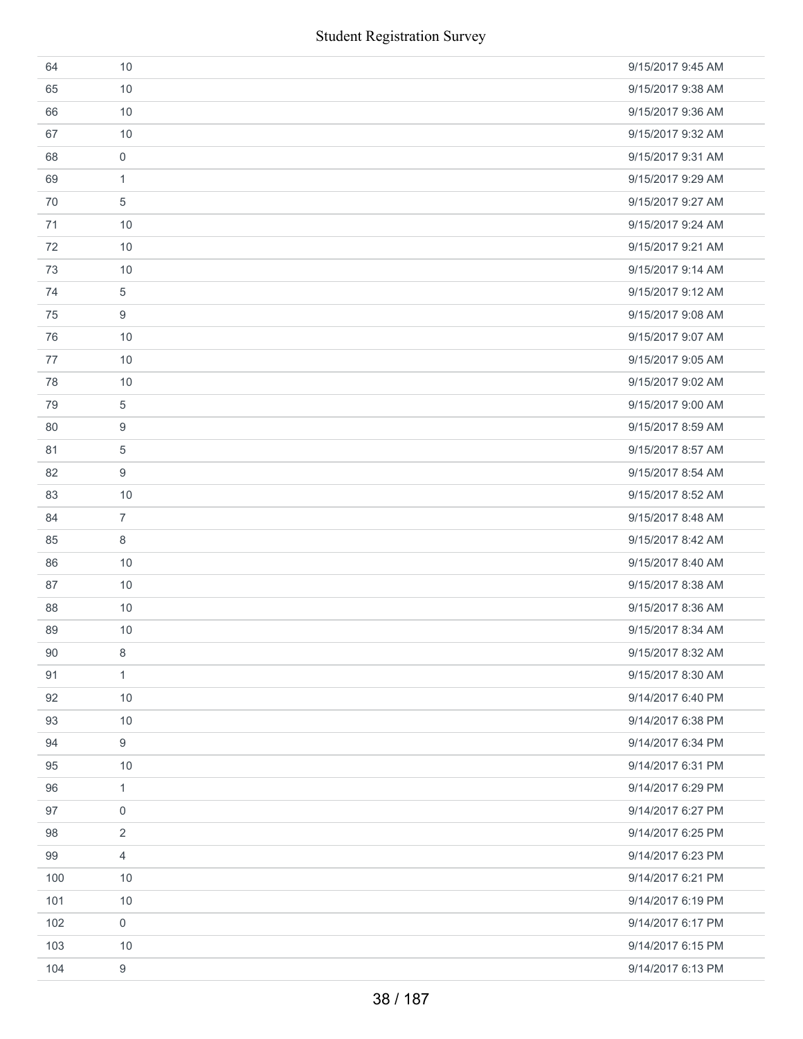|     | <b>Student Registration Survey</b> |                   |
|-----|------------------------------------|-------------------|
| 64  | 10                                 | 9/15/2017 9:45 AM |
| 65  | 10                                 | 9/15/2017 9:38 AM |
| 66  | 10                                 | 9/15/2017 9:36 AM |
| 67  | 10                                 | 9/15/2017 9:32 AM |
| 68  | $\mathbf 0$                        | 9/15/2017 9:31 AM |
| 69  | $\mathbf{1}$                       | 9/15/2017 9:29 AM |
| 70  | 5                                  | 9/15/2017 9:27 AM |
| 71  | 10                                 | 9/15/2017 9:24 AM |
| 72  | 10                                 | 9/15/2017 9:21 AM |
| 73  | 10                                 | 9/15/2017 9:14 AM |
| 74  | 5                                  | 9/15/2017 9:12 AM |
| 75  | 9                                  | 9/15/2017 9:08 AM |
| 76  | 10                                 | 9/15/2017 9:07 AM |
| 77  | 10                                 | 9/15/2017 9:05 AM |
| 78  | 10                                 | 9/15/2017 9:02 AM |
| 79  | 5                                  | 9/15/2017 9:00 AM |
| 80  | 9                                  | 9/15/2017 8:59 AM |
| 81  | 5                                  | 9/15/2017 8:57 AM |
| 82  | 9                                  | 9/15/2017 8:54 AM |
| 83  | 10                                 | 9/15/2017 8:52 AM |
| 84  | $\overline{7}$                     | 9/15/2017 8:48 AM |
| 85  | 8                                  | 9/15/2017 8:42 AM |
| 86  | 10                                 | 9/15/2017 8:40 AM |
| 87  | 10                                 | 9/15/2017 8:38 AM |
| 88  | 10                                 | 9/15/2017 8:36 AM |
| 89  | 10                                 | 9/15/2017 8:34 AM |
| 90  | 8                                  | 9/15/2017 8:32 AM |
| 91  | $\mathbf{1}$                       | 9/15/2017 8:30 AM |
| 92  | 10                                 | 9/14/2017 6:40 PM |
| 93  | 10                                 | 9/14/2017 6:38 PM |
| 94  | 9                                  | 9/14/2017 6:34 PM |
| 95  | 10                                 | 9/14/2017 6:31 PM |
| 96  | $\mathbf{1}$                       | 9/14/2017 6:29 PM |
| 97  | $\mathbf 0$                        | 9/14/2017 6:27 PM |
| 98  | $\overline{2}$                     | 9/14/2017 6:25 PM |
| 99  | 4                                  | 9/14/2017 6:23 PM |
| 100 | 10                                 | 9/14/2017 6:21 PM |
| 101 | 10                                 | 9/14/2017 6:19 PM |
| 102 | $\mathbf 0$                        | 9/14/2017 6:17 PM |
| 103 | 10                                 | 9/14/2017 6:15 PM |
| 104 | 9                                  | 9/14/2017 6:13 PM |
|     | 38 / 187                           |                   |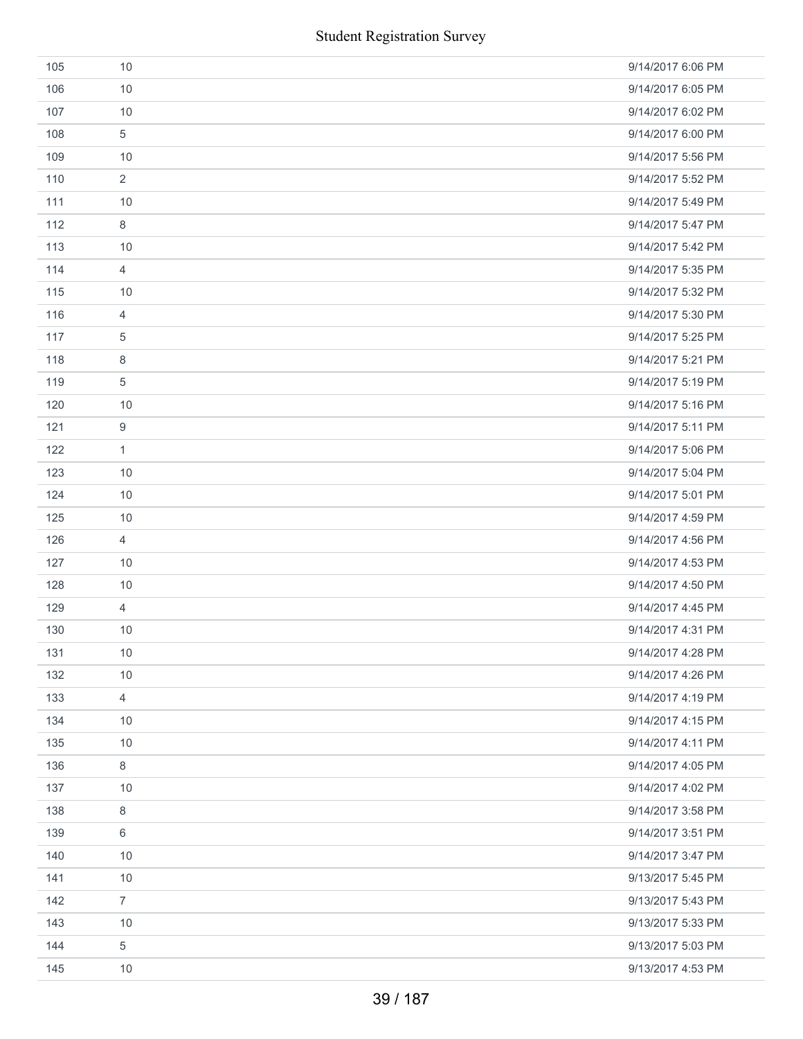|     | <b>Student Registration Survey</b> |                   |
|-----|------------------------------------|-------------------|
| 105 | 10                                 | 9/14/2017 6:06 PM |
| 106 | 10                                 | 9/14/2017 6:05 PM |
| 107 | 10                                 | 9/14/2017 6:02 PM |
| 108 | 5                                  | 9/14/2017 6:00 PM |
| 109 | 10                                 | 9/14/2017 5:56 PM |
| 110 | $\overline{2}$                     | 9/14/2017 5:52 PM |
| 111 | 10                                 | 9/14/2017 5:49 PM |
| 112 | 8                                  | 9/14/2017 5:47 PM |
| 113 | 10                                 | 9/14/2017 5:42 PM |
| 114 | $\overline{4}$                     | 9/14/2017 5:35 PM |
| 115 | 10                                 | 9/14/2017 5:32 PM |
| 116 | $\overline{4}$                     | 9/14/2017 5:30 PM |
| 117 | 5                                  | 9/14/2017 5:25 PM |
| 118 | $\,8\,$                            | 9/14/2017 5:21 PM |
| 119 | 5                                  | 9/14/2017 5:19 PM |
| 120 | 10                                 | 9/14/2017 5:16 PM |
| 121 | $\boldsymbol{9}$                   | 9/14/2017 5:11 PM |
| 122 | $\mathbf{1}$                       | 9/14/2017 5:06 PM |
| 123 | 10                                 | 9/14/2017 5:04 PM |
| 124 | 10                                 | 9/14/2017 5:01 PM |
| 125 | 10                                 | 9/14/2017 4:59 PM |
| 126 | $\overline{4}$                     | 9/14/2017 4:56 PM |
| 127 | 10                                 | 9/14/2017 4:53 PM |
| 128 | 10                                 | 9/14/2017 4:50 PM |
| 129 | $\overline{4}$                     | 9/14/2017 4:45 PM |
| 130 | 10                                 | 9/14/2017 4:31 PM |
| 131 | 10                                 | 9/14/2017 4:28 PM |
| 132 | 10                                 | 9/14/2017 4:26 PM |
| 133 | $\overline{4}$                     | 9/14/2017 4:19 PM |
| 134 | 10                                 | 9/14/2017 4:15 PM |
| 135 | 10                                 | 9/14/2017 4:11 PM |
| 136 | $\,8\,$                            | 9/14/2017 4:05 PM |
| 137 | 10                                 | 9/14/2017 4:02 PM |
| 138 | $\,8\,$                            | 9/14/2017 3:58 PM |
| 139 | 6                                  | 9/14/2017 3:51 PM |
| 140 | 10                                 | 9/14/2017 3:47 PM |
| 141 | 10                                 | 9/13/2017 5:45 PM |
| 142 | $\overline{7}$                     | 9/13/2017 5:43 PM |
| 143 | 10                                 | 9/13/2017 5:33 PM |
| 144 | $\,$ 5 $\,$                        | 9/13/2017 5:03 PM |
| 145 | 10                                 | 9/13/2017 4:53 PM |
|     | 39 / 187                           |                   |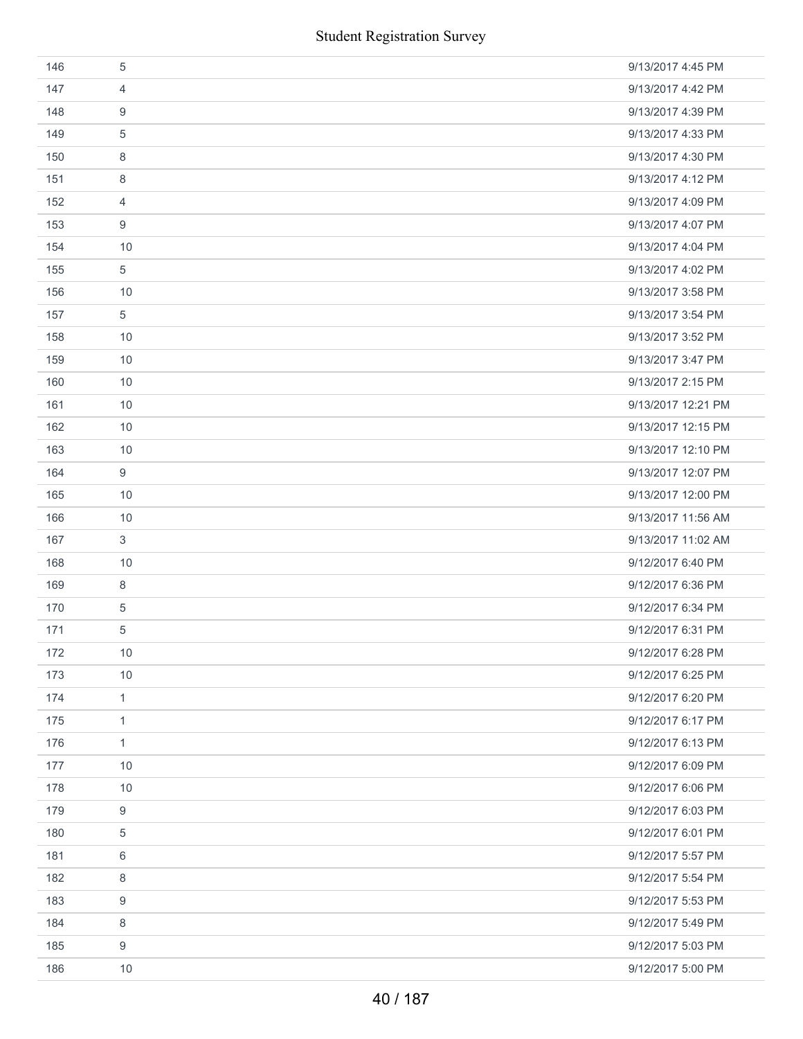|     | <b>Student Registration Survey</b> |                    |
|-----|------------------------------------|--------------------|
| 146 | $\sqrt{5}$                         | 9/13/2017 4:45 PM  |
| 147 | $\overline{4}$                     | 9/13/2017 4:42 PM  |
| 148 | 9                                  | 9/13/2017 4:39 PM  |
| 149 | 5                                  | 9/13/2017 4:33 PM  |
| 150 | 8                                  | 9/13/2017 4:30 PM  |
| 151 | 8                                  | 9/13/2017 4:12 PM  |
| 152 | $\overline{4}$                     | 9/13/2017 4:09 PM  |
| 153 | $\boldsymbol{9}$                   | 9/13/2017 4:07 PM  |
| 154 | 10                                 | 9/13/2017 4:04 PM  |
| 155 | $\sqrt{5}$                         | 9/13/2017 4:02 PM  |
| 156 | 10                                 | 9/13/2017 3:58 PM  |
| 157 | $\,$ 5 $\,$                        | 9/13/2017 3:54 PM  |
| 158 | 10                                 | 9/13/2017 3:52 PM  |
| 159 | 10                                 | 9/13/2017 3:47 PM  |
| 160 | 10                                 | 9/13/2017 2:15 PM  |
| 161 | 10                                 | 9/13/2017 12:21 PM |
| 162 | 10                                 | 9/13/2017 12:15 PM |
| 163 | 10                                 | 9/13/2017 12:10 PM |
| 164 | 9                                  | 9/13/2017 12:07 PM |
| 165 | 10                                 | 9/13/2017 12:00 PM |
| 166 | 10                                 | 9/13/2017 11:56 AM |
| 167 | $\mathfrak{S}$                     | 9/13/2017 11:02 AM |
| 168 | 10                                 | 9/12/2017 6:40 PM  |
| 169 | 8                                  | 9/12/2017 6:36 PM  |
| 170 | $\sqrt{5}$                         | 9/12/2017 6:34 PM  |
| 171 | 5                                  | 9/12/2017 6:31 PM  |
| 172 | 10                                 | 9/12/2017 6:28 PM  |
| 173 | 10                                 | 9/12/2017 6:25 PM  |
| 174 | $\mathbf{1}$                       | 9/12/2017 6:20 PM  |
| 175 | $\mathbf{1}$                       | 9/12/2017 6:17 PM  |
| 176 | $\mathbf{1}$                       | 9/12/2017 6:13 PM  |
| 177 | 10                                 | 9/12/2017 6:09 PM  |
| 178 | 10                                 | 9/12/2017 6:06 PM  |
| 179 | $\boldsymbol{9}$                   | 9/12/2017 6:03 PM  |
| 180 | 5                                  | 9/12/2017 6:01 PM  |
| 181 | 6                                  | 9/12/2017 5:57 PM  |
| 182 | 8                                  | 9/12/2017 5:54 PM  |
| 183 | 9                                  | 9/12/2017 5:53 PM  |
| 184 | 8                                  | 9/12/2017 5:49 PM  |
| 185 | 9                                  | 9/12/2017 5:03 PM  |
| 186 | 10                                 | 9/12/2017 5:00 PM  |
|     | 40 / 187                           |                    |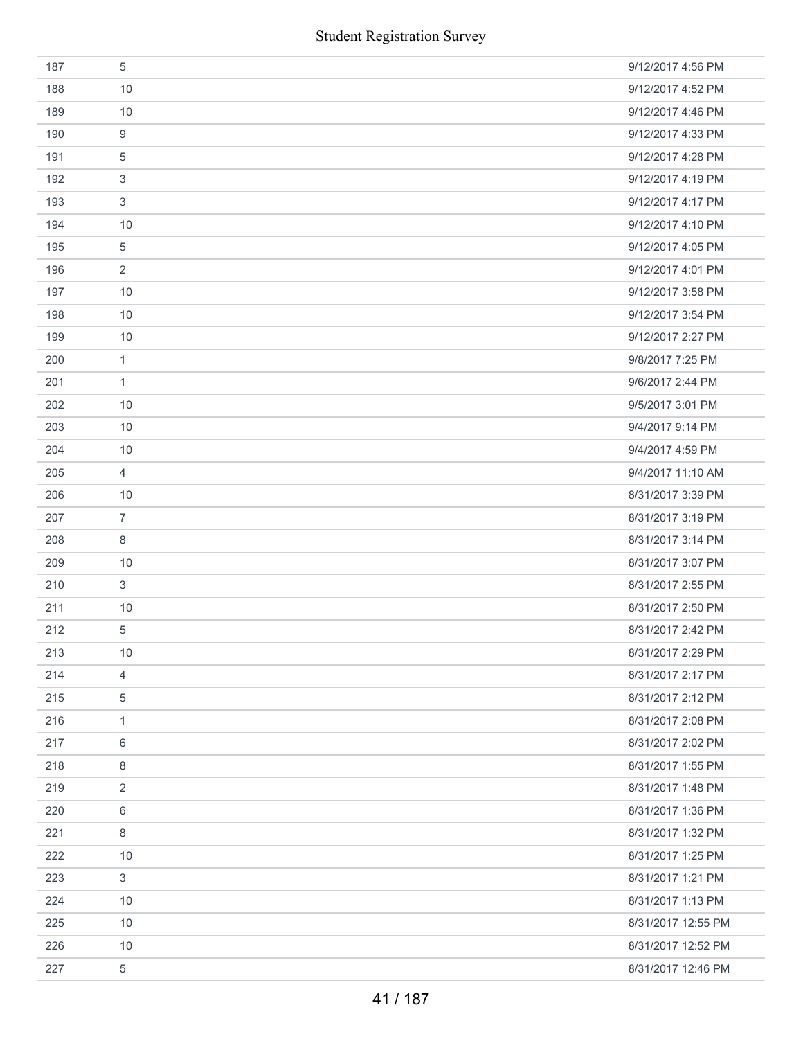| 187 | 5              | 9/12/2017 4:56 PM  |
|-----|----------------|--------------------|
| 188 | 10             | 9/12/2017 4:52 PM  |
| 189 | 10             | 9/12/2017 4:46 PM  |
| 190 | 9              | 9/12/2017 4:33 PM  |
| 191 | 5              | 9/12/2017 4:28 PM  |
| 192 | 3              | 9/12/2017 4:19 PM  |
| 193 | 3              | 9/12/2017 4:17 PM  |
| 194 | 10             | 9/12/2017 4:10 PM  |
| 195 | 5              | 9/12/2017 4:05 PM  |
| 196 | 2              | 9/12/2017 4:01 PM  |
| 197 | 10             | 9/12/2017 3:58 PM  |
| 198 | 10             | 9/12/2017 3:54 PM  |
| 199 | 10             | 9/12/2017 2:27 PM  |
| 200 | $\mathbf{1}$   | 9/8/2017 7:25 PM   |
| 201 | 1              | 9/6/2017 2:44 PM   |
| 202 | 10             | 9/5/2017 3:01 PM   |
| 203 | 10             | 9/4/2017 9:14 PM   |
| 204 | 10             | 9/4/2017 4:59 PM   |
| 205 | 4              | 9/4/2017 11:10 AM  |
| 206 | 10             | 8/31/2017 3:39 PM  |
| 207 | $\overline{7}$ | 8/31/2017 3:19 PM  |
| 208 | 8              | 8/31/2017 3:14 PM  |
| 209 | 10             | 8/31/2017 3:07 PM  |
| 210 | 3              | 8/31/2017 2:55 PM  |
| 211 | $10$           | 8/31/2017 2:50 PM  |
| 212 | 5              | 8/31/2017 2:42 PM  |
| 213 | 10             | 8/31/2017 2:29 PM  |
| 214 | $\overline{4}$ | 8/31/2017 2:17 PM  |
| 215 | 5              | 8/31/2017 2:12 PM  |
| 216 | 1              | 8/31/2017 2:08 PM  |
| 217 | 6              | 8/31/2017 2:02 PM  |
| 218 | 8              | 8/31/2017 1:55 PM  |
| 219 | 2              | 8/31/2017 1:48 PM  |
| 220 | 6              | 8/31/2017 1:36 PM  |
| 221 | 8              | 8/31/2017 1:32 PM  |
| 222 | 10             | 8/31/2017 1:25 PM  |
| 223 | 3              | 8/31/2017 1:21 PM  |
| 224 | 10             | 8/31/2017 1:13 PM  |
| 225 | 10             | 8/31/2017 12:55 PM |
| 226 | 10             | 8/31/2017 12:52 PM |
| 227 | 5              | 8/31/2017 12:46 PM |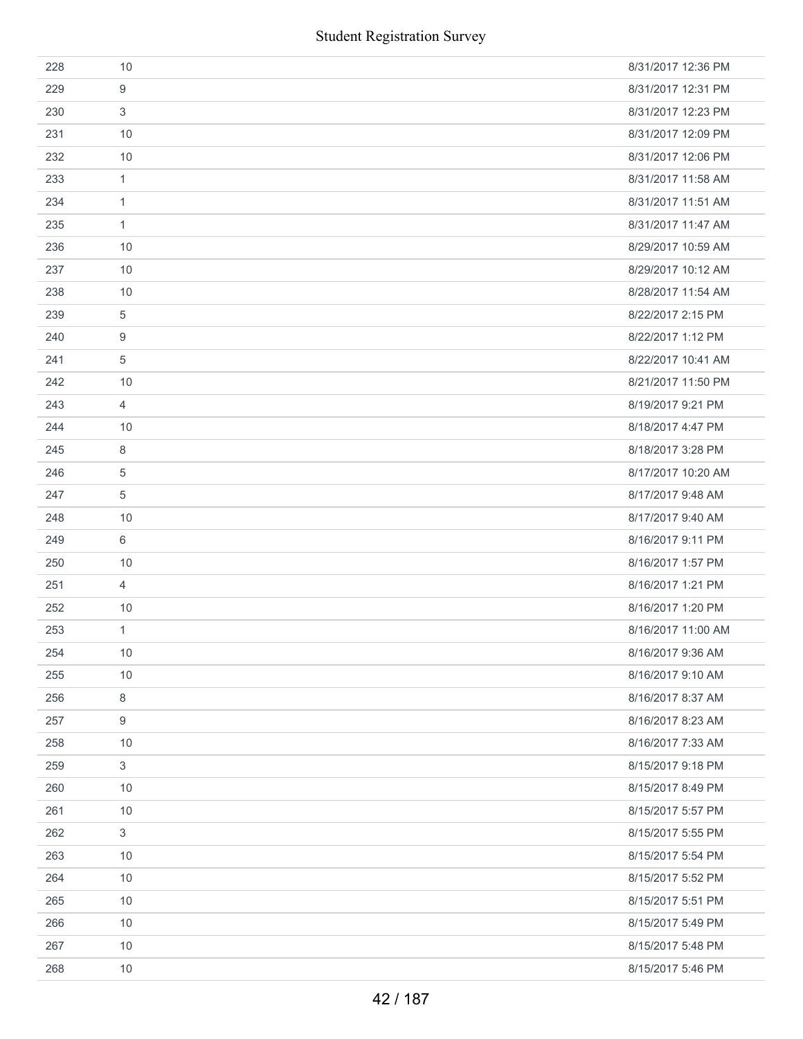| 228 | 10                        | 8/31/2017 12:36 PM |
|-----|---------------------------|--------------------|
| 229 | 9                         | 8/31/2017 12:31 PM |
| 230 | 3                         | 8/31/2017 12:23 PM |
| 231 | 10                        | 8/31/2017 12:09 PM |
| 232 | 10                        | 8/31/2017 12:06 PM |
| 233 | 1                         | 8/31/2017 11:58 AM |
| 234 | $\mathbf{1}$              | 8/31/2017 11:51 AM |
| 235 | 1                         | 8/31/2017 11:47 AM |
| 236 | 10                        | 8/29/2017 10:59 AM |
| 237 | 10                        | 8/29/2017 10:12 AM |
| 238 | 10                        | 8/28/2017 11:54 AM |
| 239 | $\overline{5}$            | 8/22/2017 2:15 PM  |
| 240 | 9                         | 8/22/2017 1:12 PM  |
| 241 | 5                         | 8/22/2017 10:41 AM |
| 242 | 10                        | 8/21/2017 11:50 PM |
| 243 | $\overline{4}$            | 8/19/2017 9:21 PM  |
| 244 | 10                        | 8/18/2017 4:47 PM  |
| 245 | 8                         | 8/18/2017 3:28 PM  |
| 246 | $\overline{5}$            | 8/17/2017 10:20 AM |
| 247 | 5                         | 8/17/2017 9:48 AM  |
| 248 | 10                        | 8/17/2017 9:40 AM  |
| 249 | 6                         | 8/16/2017 9:11 PM  |
| 250 | 10                        | 8/16/2017 1:57 PM  |
| 251 | $\overline{4}$            | 8/16/2017 1:21 PM  |
| 252 | 10                        | 8/16/2017 1:20 PM  |
| 253 | 1                         | 8/16/2017 11:00 AM |
| 254 | 10                        | 8/16/2017 9:36 AM  |
| 255 | 10                        | 8/16/2017 9:10 AM  |
| 256 | 8                         | 8/16/2017 8:37 AM  |
| 257 | 9                         | 8/16/2017 8:23 AM  |
| 258 | 10                        | 8/16/2017 7:33 AM  |
| 259 | $\ensuremath{\mathsf{3}}$ | 8/15/2017 9:18 PM  |
| 260 | 10                        | 8/15/2017 8:49 PM  |
| 261 | 10                        | 8/15/2017 5:57 PM  |
| 262 | 3                         | 8/15/2017 5:55 PM  |
| 263 | 10                        | 8/15/2017 5:54 PM  |
| 264 | 10                        | 8/15/2017 5:52 PM  |
| 265 | 10                        | 8/15/2017 5:51 PM  |
| 266 | 10                        | 8/15/2017 5:49 PM  |
| 267 | 10                        | 8/15/2017 5:48 PM  |
| 268 | 10                        | 8/15/2017 5:46 PM  |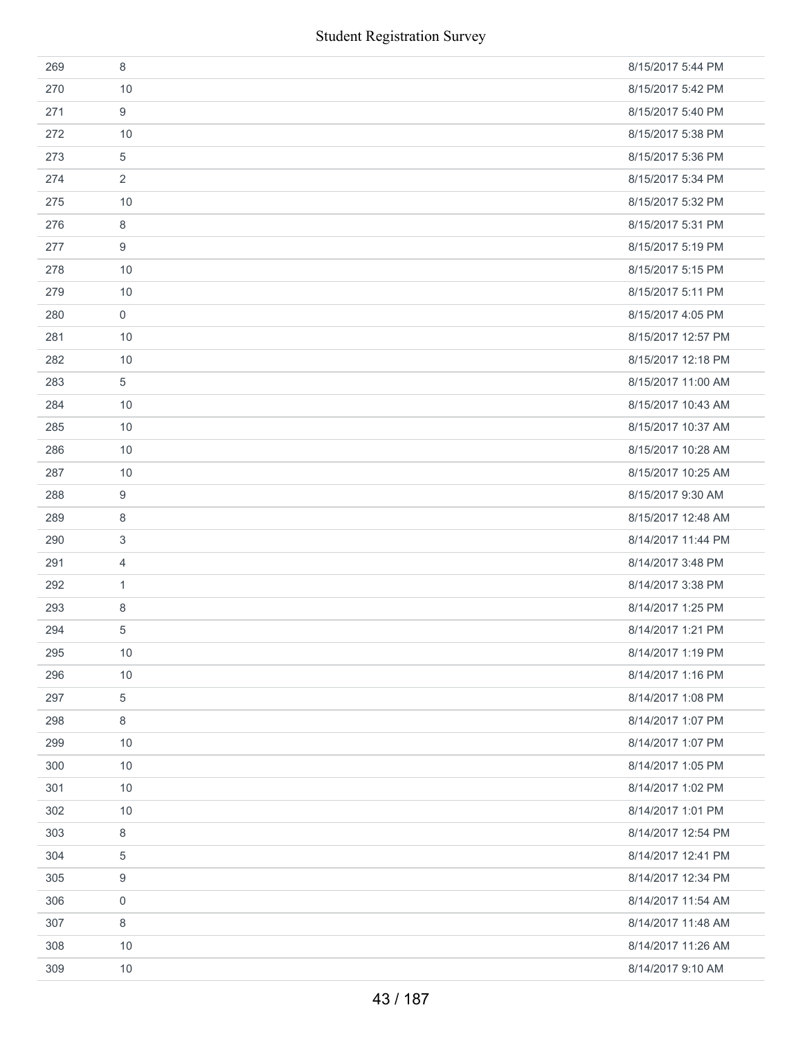|     | <b>Student Registration Survey</b> |                    |
|-----|------------------------------------|--------------------|
| 269 | 8                                  | 8/15/2017 5:44 PM  |
| 270 | 10                                 | 8/15/2017 5:42 PM  |
| 271 | 9                                  | 8/15/2017 5:40 PM  |
| 272 | 10                                 | 8/15/2017 5:38 PM  |
| 273 | 5                                  | 8/15/2017 5:36 PM  |
| 274 | 2                                  | 8/15/2017 5:34 PM  |
| 275 | 10                                 | 8/15/2017 5:32 PM  |
| 276 | 8                                  | 8/15/2017 5:31 PM  |
| 277 | 9                                  | 8/15/2017 5:19 PM  |
| 278 | 10                                 | 8/15/2017 5:15 PM  |
| 279 | 10                                 | 8/15/2017 5:11 PM  |
| 280 | $\boldsymbol{0}$                   | 8/15/2017 4:05 PM  |
| 281 | 10                                 | 8/15/2017 12:57 PM |
| 282 | 10                                 | 8/15/2017 12:18 PM |
| 283 | 5                                  | 8/15/2017 11:00 AM |
| 284 | 10                                 | 8/15/2017 10:43 AM |
| 285 | 10                                 | 8/15/2017 10:37 AM |
| 286 | 10                                 | 8/15/2017 10:28 AM |
| 287 | 10                                 | 8/15/2017 10:25 AM |
| 288 | 9                                  | 8/15/2017 9:30 AM  |
| 289 | 8                                  | 8/15/2017 12:48 AM |
| 290 | 3                                  | 8/14/2017 11:44 PM |
| 291 | $\overline{4}$                     | 8/14/2017 3:48 PM  |
| 292 | 1                                  | 8/14/2017 3:38 PM  |
| 293 | 8                                  | 8/14/2017 1:25 PM  |
| 294 | 5                                  | 8/14/2017 1:21 PM  |
| 295 | 10                                 | 8/14/2017 1:19 PM  |
| 296 | 10                                 | 8/14/2017 1:16 PM  |
| 297 | 5                                  | 8/14/2017 1:08 PM  |
| 298 | 8                                  | 8/14/2017 1:07 PM  |
| 299 | 10                                 | 8/14/2017 1:07 PM  |
| 300 | 10                                 | 8/14/2017 1:05 PM  |
| 301 | 10                                 | 8/14/2017 1:02 PM  |
| 302 | 10                                 | 8/14/2017 1:01 PM  |
| 303 | $\,8\,$                            | 8/14/2017 12:54 PM |
| 304 | 5                                  | 8/14/2017 12:41 PM |
| 305 | 9                                  | 8/14/2017 12:34 PM |
| 306 | $\boldsymbol{0}$                   | 8/14/2017 11:54 AM |
| 307 | 8                                  | 8/14/2017 11:48 AM |
| 308 | 10                                 | 8/14/2017 11:26 AM |
| 309 | 10                                 | 8/14/2017 9:10 AM  |
|     | 43 / 187                           |                    |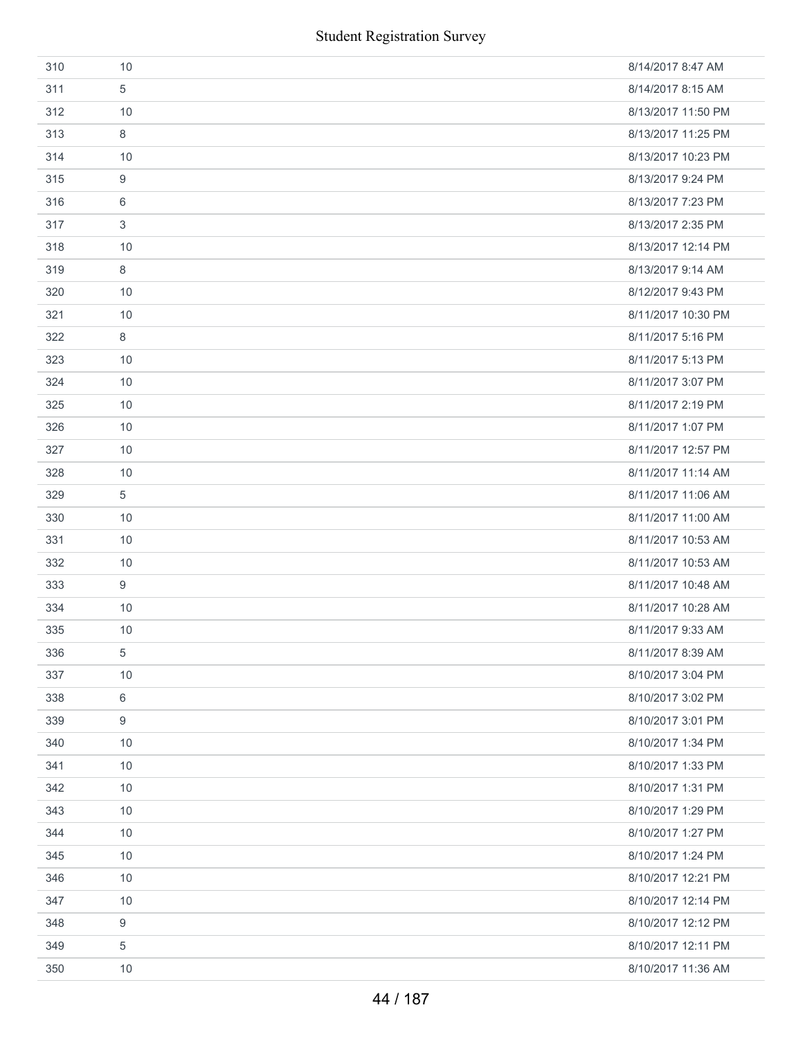|     | <b>Student Registration Survey</b> |                    |
|-----|------------------------------------|--------------------|
| 310 | 10                                 | 8/14/2017 8:47 AM  |
| 311 | 5                                  | 8/14/2017 8:15 AM  |
| 312 | 10                                 | 8/13/2017 11:50 PM |
| 313 | 8                                  | 8/13/2017 11:25 PM |
| 314 | 10                                 | 8/13/2017 10:23 PM |
| 315 | $\boldsymbol{9}$                   | 8/13/2017 9:24 PM  |
| 316 | 6                                  | 8/13/2017 7:23 PM  |
| 317 | $\sqrt{3}$                         | 8/13/2017 2:35 PM  |
| 318 | 10                                 | 8/13/2017 12:14 PM |
| 319 | 8                                  | 8/13/2017 9:14 AM  |
| 320 | 10                                 | 8/12/2017 9:43 PM  |
| 321 | 10                                 | 8/11/2017 10:30 PM |
| 322 | 8                                  | 8/11/2017 5:16 PM  |
| 323 | 10                                 | 8/11/2017 5:13 PM  |
| 324 | 10                                 | 8/11/2017 3:07 PM  |
| 325 | 10                                 | 8/11/2017 2:19 PM  |
| 326 | 10                                 | 8/11/2017 1:07 PM  |
| 327 | 10                                 | 8/11/2017 12:57 PM |
| 328 | 10                                 | 8/11/2017 11:14 AM |
| 329 | 5                                  | 8/11/2017 11:06 AM |
| 330 | 10                                 | 8/11/2017 11:00 AM |
| 331 | 10                                 | 8/11/2017 10:53 AM |
| 332 | 10                                 | 8/11/2017 10:53 AM |
| 333 | 9                                  | 8/11/2017 10:48 AM |
| 334 | 10                                 | 8/11/2017 10:28 AM |
| 335 | 10                                 | 8/11/2017 9:33 AM  |
| 336 | 5                                  | 8/11/2017 8:39 AM  |
| 337 | 10                                 | 8/10/2017 3:04 PM  |
| 338 | 6                                  | 8/10/2017 3:02 PM  |
| 339 | 9                                  | 8/10/2017 3:01 PM  |
| 340 | 10                                 | 8/10/2017 1:34 PM  |
| 341 | 10                                 | 8/10/2017 1:33 PM  |
| 342 | 10                                 | 8/10/2017 1:31 PM  |
| 343 | 10                                 | 8/10/2017 1:29 PM  |
| 344 | 10                                 | 8/10/2017 1:27 PM  |
| 345 | 10                                 | 8/10/2017 1:24 PM  |
| 346 | 10                                 | 8/10/2017 12:21 PM |
| 347 | 10                                 | 8/10/2017 12:14 PM |
| 348 | $\boldsymbol{9}$                   | 8/10/2017 12:12 PM |
| 349 | 5                                  | 8/10/2017 12:11 PM |
| 350 | 10                                 | 8/10/2017 11:36 AM |
|     | 44 / 187                           |                    |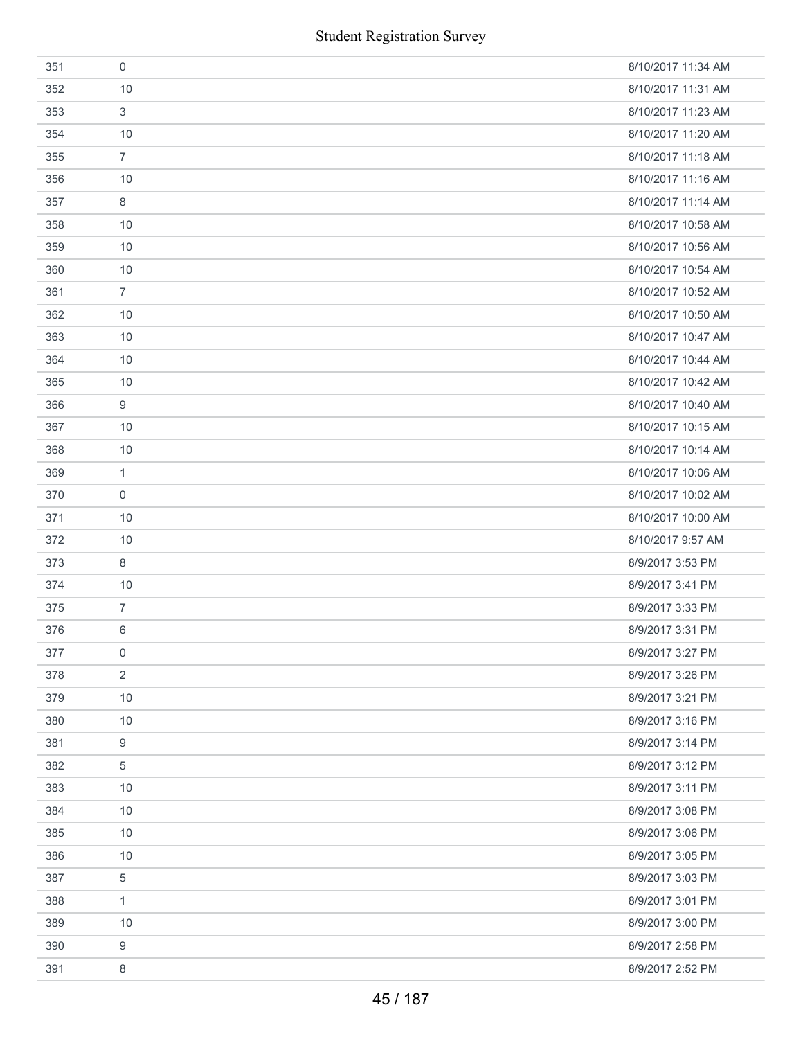| 351 | 0              | 8/10/2017 11:34 AM |
|-----|----------------|--------------------|
| 352 | 10             | 8/10/2017 11:31 AM |
| 353 | 3              | 8/10/2017 11:23 AM |
| 354 | 10             | 8/10/2017 11:20 AM |
| 355 | $\overline{7}$ | 8/10/2017 11:18 AM |
| 356 | 10             | 8/10/2017 11:16 AM |
| 357 | 8              | 8/10/2017 11:14 AM |
| 358 | 10             | 8/10/2017 10:58 AM |
| 359 | 10             | 8/10/2017 10:56 AM |
| 360 | 10             | 8/10/2017 10:54 AM |
| 361 | $\overline{7}$ | 8/10/2017 10:52 AM |
| 362 | 10             | 8/10/2017 10:50 AM |
| 363 | 10             | 8/10/2017 10:47 AM |
| 364 | 10             | 8/10/2017 10:44 AM |
| 365 | 10             | 8/10/2017 10:42 AM |
| 366 | 9              | 8/10/2017 10:40 AM |
| 367 | 10             | 8/10/2017 10:15 AM |
| 368 | 10             | 8/10/2017 10:14 AM |
| 369 | 1              | 8/10/2017 10:06 AM |
| 370 | $\mathbf 0$    | 8/10/2017 10:02 AM |
| 371 | 10             | 8/10/2017 10:00 AM |
| 372 | 10             | 8/10/2017 9:57 AM  |
| 373 | 8              | 8/9/2017 3:53 PM   |
| 374 | 10             | 8/9/2017 3:41 PM   |
| 375 | $\overline{7}$ | 8/9/2017 3:33 PM   |
| 376 | 6              | 8/9/2017 3:31 PM   |
| 377 | $\mathbf 0$    | 8/9/2017 3:27 PM   |
| 378 | 2              | 8/9/2017 3:26 PM   |
| 379 | 10             | 8/9/2017 3:21 PM   |
| 380 | 10             | 8/9/2017 3:16 PM   |
| 381 | 9              | 8/9/2017 3:14 PM   |
| 382 | 5              | 8/9/2017 3:12 PM   |
| 383 | 10             | 8/9/2017 3:11 PM   |
| 384 | 10             | 8/9/2017 3:08 PM   |
| 385 | 10             | 8/9/2017 3:06 PM   |
| 386 | 10             | 8/9/2017 3:05 PM   |
| 387 | 5              | 8/9/2017 3:03 PM   |
| 388 | $\mathbf{1}$   | 8/9/2017 3:01 PM   |
| 389 | 10             | 8/9/2017 3:00 PM   |
| 390 | 9              | 8/9/2017 2:58 PM   |
| 391 | 8              | 8/9/2017 2:52 PM   |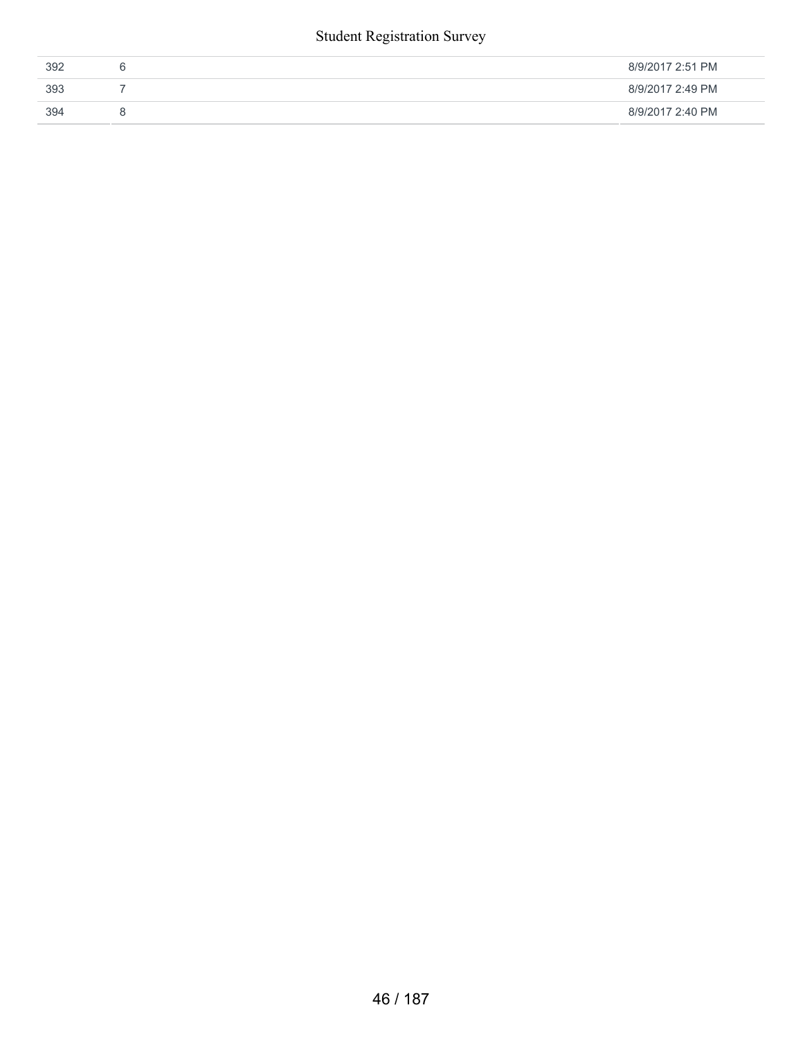#### Student Registration Survey

| 392 | v | 8/9/2017 2:51 PM |
|-----|---|------------------|
| 393 |   | 8/9/2017 2:49 PM |
| 394 |   | 8/9/2017 2:40 PM |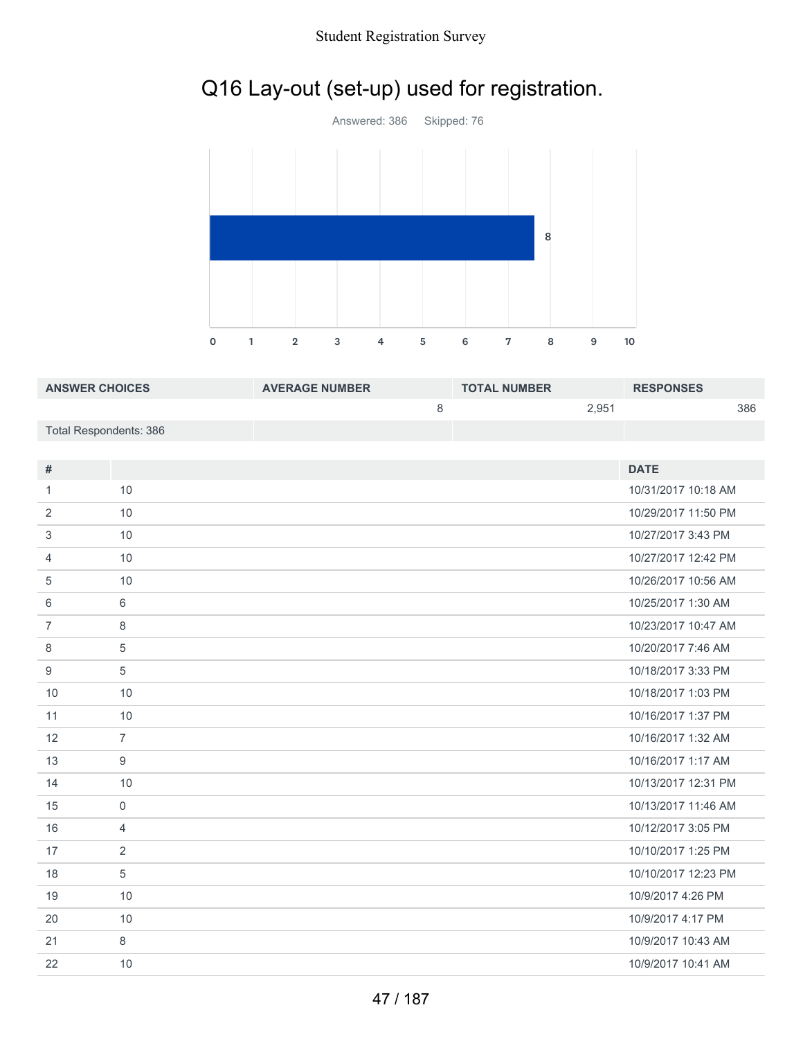#### Student Registration Survey

# Q16 Lay-out (set-up) used for registration.



| <b>ANSWER CHOICES</b>  | <b>AVERAGE NUMBER</b> | <b>TOTAL NUMBER</b> |       | <b>RESPONSES</b> |     |
|------------------------|-----------------------|---------------------|-------|------------------|-----|
|                        |                       |                     | 2.951 |                  | 386 |
| Total Respondents: 386 |                       |                     |       |                  |     |

| #              |                | <b>DATE</b>         |
|----------------|----------------|---------------------|
| 1.             | 10             | 10/31/2017 10:18 AM |
| 2              | 10             | 10/29/2017 11:50 PM |
| 3              | 10             | 10/27/2017 3:43 PM  |
| 4              | 10             | 10/27/2017 12:42 PM |
| 5              | 10             | 10/26/2017 10:56 AM |
| 6              | 6              | 10/25/2017 1:30 AM  |
| $\overline{7}$ | 8              | 10/23/2017 10:47 AM |
| 8              | 5              | 10/20/2017 7:46 AM  |
| 9              | 5              | 10/18/2017 3:33 PM  |
| 10             | 10             | 10/18/2017 1:03 PM  |
| 11             | 10             | 10/16/2017 1:37 PM  |
| 12             | $\overline{7}$ | 10/16/2017 1:32 AM  |
| 13             | 9              | 10/16/2017 1:17 AM  |
| 14             | 10             | 10/13/2017 12:31 PM |
| 15             | $\mathbf 0$    | 10/13/2017 11:46 AM |
| 16             | $\overline{4}$ | 10/12/2017 3:05 PM  |
| 17             | 2              | 10/10/2017 1:25 PM  |
| 18             | 5              | 10/10/2017 12:23 PM |
| 19             | 10             | 10/9/2017 4:26 PM   |
| 20             | 10             | 10/9/2017 4:17 PM   |
| 21             | 8              | 10/9/2017 10:43 AM  |
| 22             | 10             | 10/9/2017 10:41 AM  |
|                |                |                     |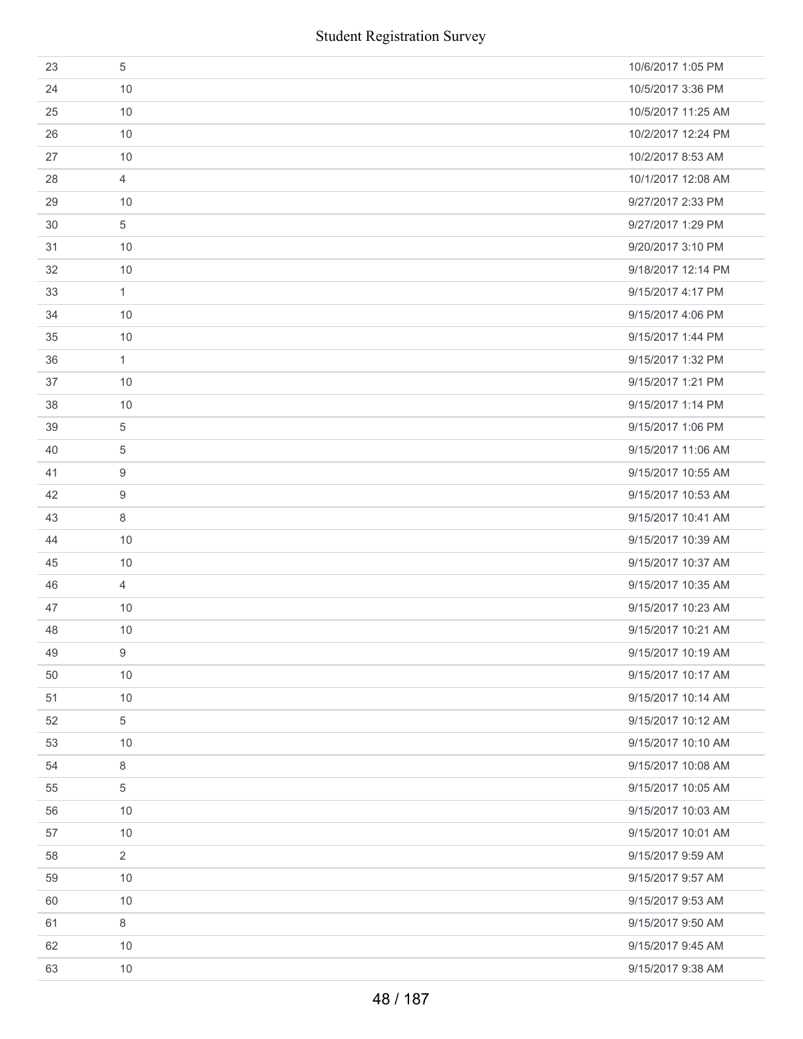|    | <b>Student Registration Survey</b> |                    |
|----|------------------------------------|--------------------|
| 23 | 5                                  | 10/6/2017 1:05 PM  |
| 24 | 10                                 | 10/5/2017 3:36 PM  |
| 25 | 10                                 | 10/5/2017 11:25 AM |
| 26 | 10                                 | 10/2/2017 12:24 PM |
| 27 | 10                                 | 10/2/2017 8:53 AM  |
| 28 | $\overline{4}$                     | 10/1/2017 12:08 AM |
| 29 | 10                                 | 9/27/2017 2:33 PM  |
| 30 | $\sqrt{5}$                         | 9/27/2017 1:29 PM  |
| 31 | 10                                 | 9/20/2017 3:10 PM  |
| 32 | 10                                 | 9/18/2017 12:14 PM |
| 33 | $\mathbf{1}$                       | 9/15/2017 4:17 PM  |
| 34 | 10                                 | 9/15/2017 4:06 PM  |
| 35 | 10                                 | 9/15/2017 1:44 PM  |
| 36 | $\mathbf{1}$                       | 9/15/2017 1:32 PM  |
| 37 | 10                                 | 9/15/2017 1:21 PM  |
| 38 | 10                                 | 9/15/2017 1:14 PM  |
| 39 | 5                                  | 9/15/2017 1:06 PM  |
| 40 | 5                                  | 9/15/2017 11:06 AM |
| 41 | 9                                  | 9/15/2017 10:55 AM |
| 42 | 9                                  | 9/15/2017 10:53 AM |
| 43 | $\,8\,$                            | 9/15/2017 10:41 AM |
| 44 | 10                                 | 9/15/2017 10:39 AM |
| 45 | 10                                 | 9/15/2017 10:37 AM |
| 46 | 4                                  | 9/15/2017 10:35 AM |
| 47 | 10                                 | 9/15/2017 10:23 AM |
| 48 | 10                                 | 9/15/2017 10:21 AM |
| 49 | 9                                  | 9/15/2017 10:19 AM |
| 50 | 10                                 | 9/15/2017 10:17 AM |
| 51 | 10                                 | 9/15/2017 10:14 AM |
| 52 | 5                                  | 9/15/2017 10:12 AM |
| 53 | 10                                 | 9/15/2017 10:10 AM |
| 54 | $\,8\,$                            | 9/15/2017 10:08 AM |
| 55 | 5                                  | 9/15/2017 10:05 AM |
| 56 | 10                                 | 9/15/2017 10:03 AM |
| 57 | 10                                 | 9/15/2017 10:01 AM |
| 58 | $\overline{2}$                     | 9/15/2017 9:59 AM  |
| 59 | 10                                 | 9/15/2017 9:57 AM  |
| 60 | 10                                 | 9/15/2017 9:53 AM  |
| 61 | 8                                  | 9/15/2017 9:50 AM  |
| 62 | 10                                 | 9/15/2017 9:45 AM  |
| 63 | 10                                 | 9/15/2017 9:38 AM  |
|    | 48 / 187                           |                    |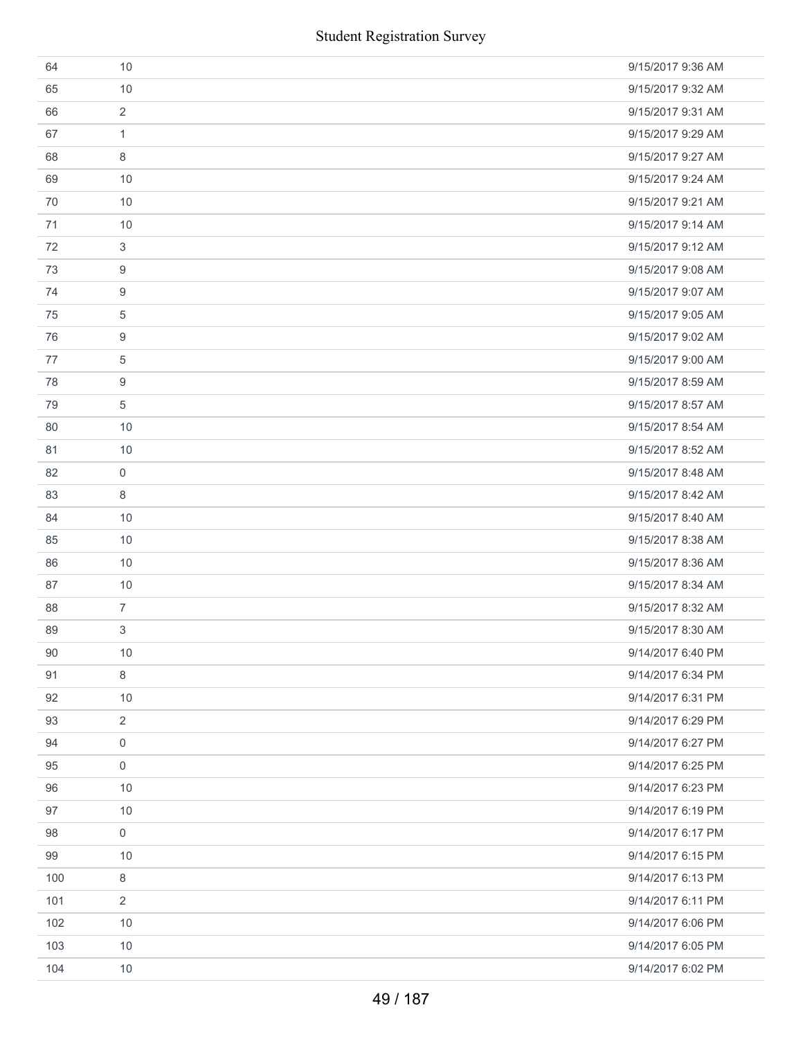|     | <b>Student Registration Survey</b> |                   |
|-----|------------------------------------|-------------------|
| 64  | 10                                 | 9/15/2017 9:36 AM |
| 65  | 10                                 | 9/15/2017 9:32 AM |
| 66  | $\overline{2}$                     | 9/15/2017 9:31 AM |
| 67  | $\mathbf{1}$                       | 9/15/2017 9:29 AM |
| 68  | 8                                  | 9/15/2017 9:27 AM |
| 69  | 10                                 | 9/15/2017 9:24 AM |
| 70  | 10                                 | 9/15/2017 9:21 AM |
| 71  | 10                                 | 9/15/2017 9:14 AM |
| 72  | 3                                  | 9/15/2017 9:12 AM |
| 73  | 9                                  | 9/15/2017 9:08 AM |
| 74  | 9                                  | 9/15/2017 9:07 AM |
| 75  | 5                                  | 9/15/2017 9:05 AM |
| 76  | 9                                  | 9/15/2017 9:02 AM |
| 77  | 5                                  | 9/15/2017 9:00 AM |
| 78  | 9                                  | 9/15/2017 8:59 AM |
| 79  | 5                                  | 9/15/2017 8:57 AM |
| 80  | 10                                 | 9/15/2017 8:54 AM |
| 81  | 10                                 | 9/15/2017 8:52 AM |
| 82  | 0                                  | 9/15/2017 8:48 AM |
| 83  | 8                                  | 9/15/2017 8:42 AM |
| 84  | 10                                 | 9/15/2017 8:40 AM |
| 85  | 10                                 | 9/15/2017 8:38 AM |
| 86  | 10                                 | 9/15/2017 8:36 AM |
| 87  | 10                                 | 9/15/2017 8:34 AM |
| 88  | $\overline{7}$                     | 9/15/2017 8:32 AM |
| 89  | 3                                  | 9/15/2017 8:30 AM |
| 90  | 10                                 | 9/14/2017 6:40 PM |
| 91  | 8                                  | 9/14/2017 6:34 PM |
| 92  | 10                                 | 9/14/2017 6:31 PM |
| 93  | $\overline{2}$                     | 9/14/2017 6:29 PM |
| 94  | 0                                  | 9/14/2017 6:27 PM |
| 95  | $\mathbf 0$                        | 9/14/2017 6:25 PM |
| 96  | 10                                 | 9/14/2017 6:23 PM |
| 97  | 10                                 | 9/14/2017 6:19 PM |
| 98  | 0                                  | 9/14/2017 6:17 PM |
| 99  | 10                                 | 9/14/2017 6:15 PM |
| 100 | 8                                  | 9/14/2017 6:13 PM |
| 101 | 2                                  | 9/14/2017 6:11 PM |
| 102 | 10                                 | 9/14/2017 6:06 PM |
| 103 | 10                                 | 9/14/2017 6:05 PM |
| 104 | 10                                 | 9/14/2017 6:02 PM |
|     | 49 / 187                           |                   |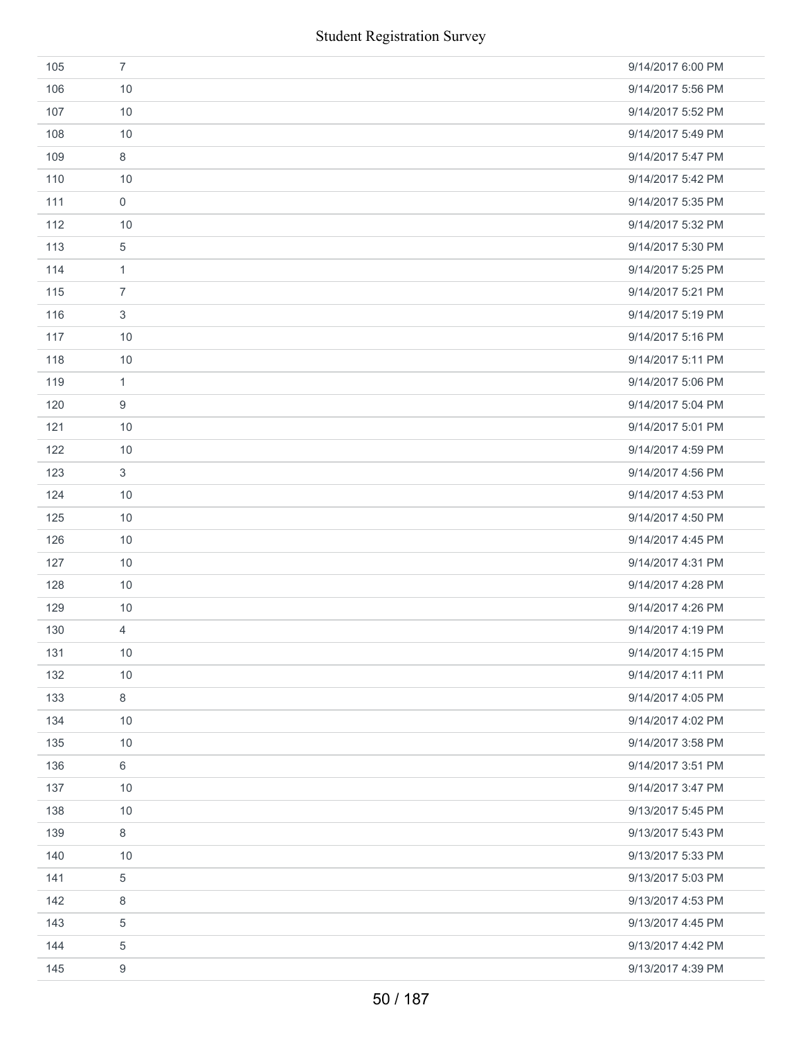|     | <b>Student Registration Survey</b> |                   |
|-----|------------------------------------|-------------------|
| 105 | $\overline{7}$                     | 9/14/2017 6:00 PM |
| 106 | 10                                 | 9/14/2017 5:56 PM |
| 107 | 10                                 | 9/14/2017 5:52 PM |
| 108 | 10                                 | 9/14/2017 5:49 PM |
| 109 | $\,8\,$                            | 9/14/2017 5:47 PM |
| 110 | 10                                 | 9/14/2017 5:42 PM |
| 111 | $\mathsf{O}\xspace$                | 9/14/2017 5:35 PM |
| 112 | 10                                 | 9/14/2017 5:32 PM |
| 113 | $\sqrt{5}$                         | 9/14/2017 5:30 PM |
| 114 | $\mathbf{1}$                       | 9/14/2017 5:25 PM |
| 115 | $\overline{7}$                     | 9/14/2017 5:21 PM |
| 116 | $\ensuremath{\mathsf{3}}$          | 9/14/2017 5:19 PM |
| 117 | 10                                 | 9/14/2017 5:16 PM |
| 118 | 10                                 | 9/14/2017 5:11 PM |
| 119 | $\mathbf{1}$                       | 9/14/2017 5:06 PM |
| 120 | $\boldsymbol{9}$                   | 9/14/2017 5:04 PM |
| 121 | 10                                 | 9/14/2017 5:01 PM |
| 122 | 10                                 | 9/14/2017 4:59 PM |
| 123 | 3                                  | 9/14/2017 4:56 PM |
| 124 | 10                                 | 9/14/2017 4:53 PM |
| 125 | 10                                 | 9/14/2017 4:50 PM |
| 126 | 10                                 | 9/14/2017 4:45 PM |
| 127 | 10                                 | 9/14/2017 4:31 PM |
| 128 | 10                                 | 9/14/2017 4:28 PM |
| 129 | 10                                 | 9/14/2017 4:26 PM |
| 130 | $\overline{4}$                     | 9/14/2017 4:19 PM |
| 131 | 10                                 | 9/14/2017 4:15 PM |
| 132 | 10                                 | 9/14/2017 4:11 PM |
| 133 | $\,8\,$                            | 9/14/2017 4:05 PM |
| 134 | 10                                 | 9/14/2017 4:02 PM |
| 135 | 10                                 | 9/14/2017 3:58 PM |
| 136 | $6\,$                              | 9/14/2017 3:51 PM |
| 137 | 10                                 | 9/14/2017 3:47 PM |
| 138 | 10                                 | 9/13/2017 5:45 PM |
| 139 | $\,8\,$                            | 9/13/2017 5:43 PM |
| 140 | 10                                 | 9/13/2017 5:33 PM |
| 141 | $\,$ 5 $\,$                        | 9/13/2017 5:03 PM |
| 142 | 8                                  | 9/13/2017 4:53 PM |
| 143 | 5                                  | 9/13/2017 4:45 PM |
| 144 | 5                                  | 9/13/2017 4:42 PM |
| 145 | 9                                  | 9/13/2017 4:39 PM |
|     | 50 / 187                           |                   |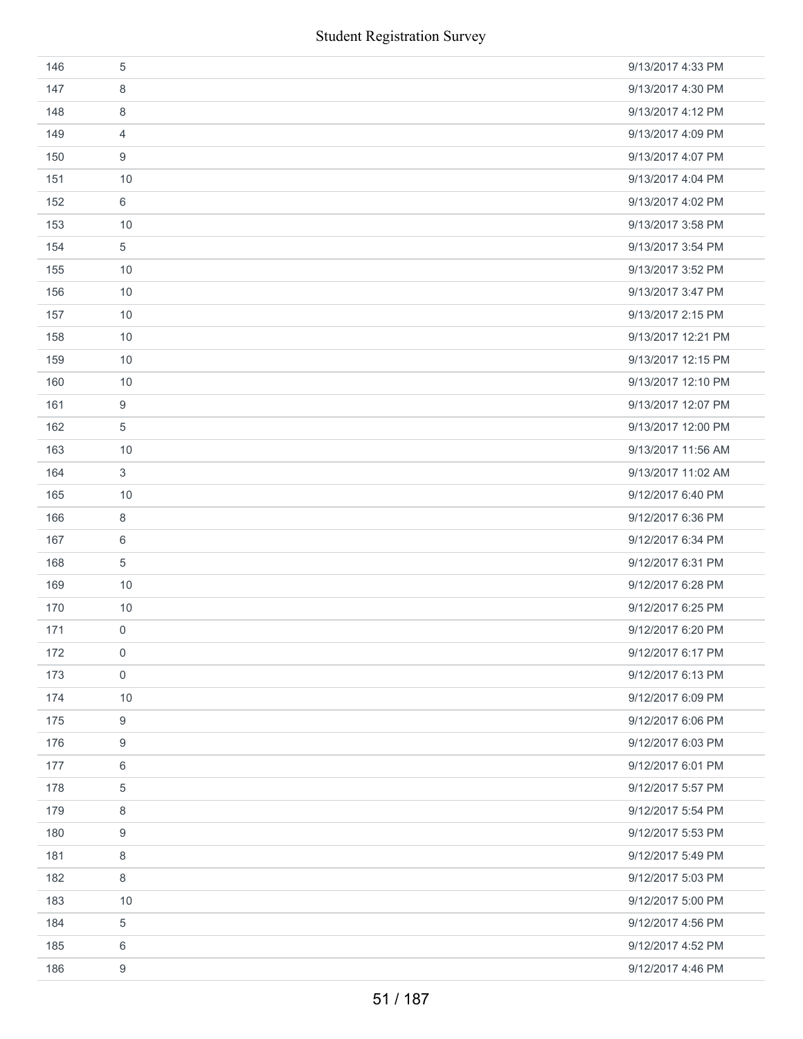|     | <b>Student Registration Survey</b> |                    |
|-----|------------------------------------|--------------------|
| 146 | $\sqrt{5}$                         | 9/13/2017 4:33 PM  |
| 147 | 8                                  | 9/13/2017 4:30 PM  |
| 148 | 8                                  | 9/13/2017 4:12 PM  |
| 149 | 4                                  | 9/13/2017 4:09 PM  |
| 150 | 9                                  | 9/13/2017 4:07 PM  |
| 151 | 10                                 | 9/13/2017 4:04 PM  |
| 152 | 6                                  | 9/13/2017 4:02 PM  |
| 153 | 10                                 | 9/13/2017 3:58 PM  |
| 154 | $\sqrt{5}$                         | 9/13/2017 3:54 PM  |
| 155 | 10                                 | 9/13/2017 3:52 PM  |
| 156 | 10                                 | 9/13/2017 3:47 PM  |
| 157 | 10                                 | 9/13/2017 2:15 PM  |
| 158 | 10                                 | 9/13/2017 12:21 PM |
| 159 | 10                                 | 9/13/2017 12:15 PM |
| 160 | 10                                 | 9/13/2017 12:10 PM |
| 161 | 9                                  | 9/13/2017 12:07 PM |
| 162 | $\sqrt{5}$                         | 9/13/2017 12:00 PM |
| 163 | 10                                 | 9/13/2017 11:56 AM |
| 164 | 3                                  | 9/13/2017 11:02 AM |
| 165 | 10                                 | 9/12/2017 6:40 PM  |
| 166 | $\,8\,$                            | 9/12/2017 6:36 PM  |
| 167 | 6                                  | 9/12/2017 6:34 PM  |
| 168 | $\sqrt{5}$                         | 9/12/2017 6:31 PM  |
| 169 | 10                                 | 9/12/2017 6:28 PM  |
| 170 | 10                                 | 9/12/2017 6:25 PM  |
| 171 | 0                                  | 9/12/2017 6:20 PM  |
| 172 | 0                                  | 9/12/2017 6:17 PM  |
| 173 | $\mathsf{O}\xspace$                | 9/12/2017 6:13 PM  |
| 174 | 10                                 | 9/12/2017 6:09 PM  |
| 175 | $\boldsymbol{9}$                   | 9/12/2017 6:06 PM  |
| 176 | 9                                  | 9/12/2017 6:03 PM  |
| 177 | 6                                  | 9/12/2017 6:01 PM  |
| 178 | 5                                  | 9/12/2017 5:57 PM  |
| 179 | 8                                  | 9/12/2017 5:54 PM  |
| 180 | 9                                  | 9/12/2017 5:53 PM  |
| 181 | 8                                  | 9/12/2017 5:49 PM  |
| 182 | 8                                  | 9/12/2017 5:03 PM  |
| 183 | 10                                 | 9/12/2017 5:00 PM  |
| 184 | $\,$ 5 $\,$                        | 9/12/2017 4:56 PM  |
| 185 | 6                                  | 9/12/2017 4:52 PM  |
| 186 | 9                                  | 9/12/2017 4:46 PM  |
|     | 51 / 187                           |                    |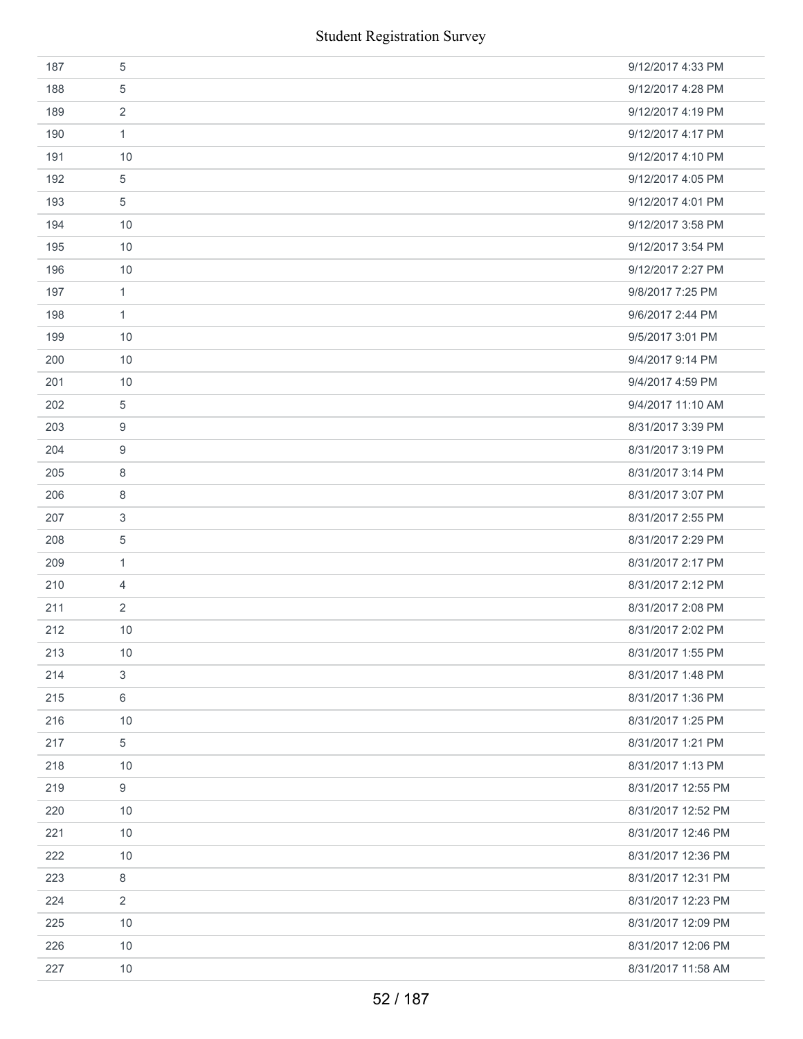| 187 | 5                | 9/12/2017 4:33 PM  |
|-----|------------------|--------------------|
| 188 | 5                | 9/12/2017 4:28 PM  |
| 189 | $\overline{2}$   | 9/12/2017 4:19 PM  |
| 190 | $\mathbf{1}$     | 9/12/2017 4:17 PM  |
| 191 | 10               | 9/12/2017 4:10 PM  |
| 192 | 5                | 9/12/2017 4:05 PM  |
| 193 | $\,$ 5 $\,$      | 9/12/2017 4:01 PM  |
| 194 | 10               | 9/12/2017 3:58 PM  |
| 195 | 10               | 9/12/2017 3:54 PM  |
| 196 | 10               | 9/12/2017 2:27 PM  |
| 197 | $\mathbf{1}$     | 9/8/2017 7:25 PM   |
| 198 | $\mathbf{1}$     | 9/6/2017 2:44 PM   |
| 199 | 10               | 9/5/2017 3:01 PM   |
| 200 | 10               | 9/4/2017 9:14 PM   |
| 201 | 10               | 9/4/2017 4:59 PM   |
| 202 | $\,$ 5 $\,$      | 9/4/2017 11:10 AM  |
| 203 | 9                | 8/31/2017 3:39 PM  |
| 204 | 9                | 8/31/2017 3:19 PM  |
| 205 | 8                | 8/31/2017 3:14 PM  |
| 206 | 8                | 8/31/2017 3:07 PM  |
| 207 | 3                | 8/31/2017 2:55 PM  |
| 208 | 5                | 8/31/2017 2:29 PM  |
| 209 | $\mathbf{1}$     | 8/31/2017 2:17 PM  |
| 210 | $\overline{4}$   | 8/31/2017 2:12 PM  |
| 211 | $\overline{2}$   | 8/31/2017 2:08 PM  |
| 212 | 10               | 8/31/2017 2:02 PM  |
| 213 | 10               | 8/31/2017 1:55 PM  |
| 214 | 3                | 8/31/2017 1:48 PM  |
| 215 | $\,6\,$          | 8/31/2017 1:36 PM  |
| 216 | 10               | 8/31/2017 1:25 PM  |
| 217 | $\sqrt{5}$       | 8/31/2017 1:21 PM  |
| 218 | 10               | 8/31/2017 1:13 PM  |
| 219 | $\boldsymbol{9}$ | 8/31/2017 12:55 PM |
| 220 | 10               | 8/31/2017 12:52 PM |
| 221 | 10               | 8/31/2017 12:46 PM |
| 222 | 10               | 8/31/2017 12:36 PM |
| 223 | 8                | 8/31/2017 12:31 PM |
| 224 | $\overline{2}$   | 8/31/2017 12:23 PM |
| 225 | 10               | 8/31/2017 12:09 PM |
| 226 | 10               | 8/31/2017 12:06 PM |
| 227 | 10               | 8/31/2017 11:58 AM |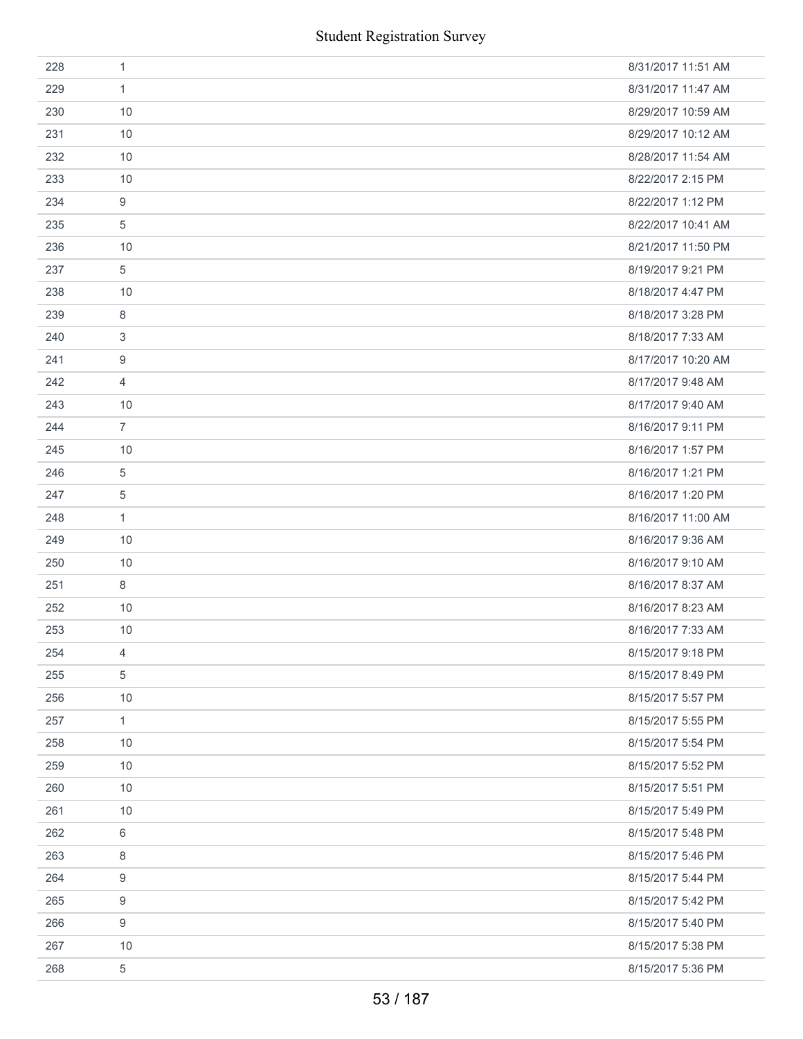| 228 | 1                | 8/31/2017 11:51 AM |
|-----|------------------|--------------------|
| 229 | $\mathbf{1}$     | 8/31/2017 11:47 AM |
| 230 | 10               | 8/29/2017 10:59 AM |
| 231 | 10               | 8/29/2017 10:12 AM |
| 232 | 10               | 8/28/2017 11:54 AM |
| 233 | 10               | 8/22/2017 2:15 PM  |
| 234 | 9                | 8/22/2017 1:12 PM  |
| 235 | 5                | 8/22/2017 10:41 AM |
| 236 | 10               | 8/21/2017 11:50 PM |
| 237 | 5                | 8/19/2017 9:21 PM  |
| 238 | 10               | 8/18/2017 4:47 PM  |
| 239 | 8                | 8/18/2017 3:28 PM  |
| 240 | 3                | 8/18/2017 7:33 AM  |
| 241 | 9                | 8/17/2017 10:20 AM |
| 242 | $\overline{4}$   | 8/17/2017 9:48 AM  |
| 243 | 10               | 8/17/2017 9:40 AM  |
| 244 | $\overline{7}$   | 8/16/2017 9:11 PM  |
| 245 | 10               | 8/16/2017 1:57 PM  |
| 246 | 5                | 8/16/2017 1:21 PM  |
| 247 | 5                | 8/16/2017 1:20 PM  |
| 248 | $\mathbf{1}$     | 8/16/2017 11:00 AM |
| 249 | 10               | 8/16/2017 9:36 AM  |
| 250 | 10               | 8/16/2017 9:10 AM  |
| 251 | 8                | 8/16/2017 8:37 AM  |
| 252 | 10               | 8/16/2017 8:23 AM  |
| 253 | 10               | 8/16/2017 7:33 AM  |
| 254 | 4                | 8/15/2017 9:18 PM  |
| 255 | 5                | 8/15/2017 8:49 PM  |
| 256 | 10               | 8/15/2017 5:57 PM  |
| 257 | 1                | 8/15/2017 5:55 PM  |
| 258 | 10               | 8/15/2017 5:54 PM  |
| 259 | 10               | 8/15/2017 5:52 PM  |
| 260 | 10               | 8/15/2017 5:51 PM  |
| 261 | 10               | 8/15/2017 5:49 PM  |
| 262 | 6                | 8/15/2017 5:48 PM  |
| 263 | $\,8\,$          | 8/15/2017 5:46 PM  |
| 264 | $\boldsymbol{9}$ | 8/15/2017 5:44 PM  |
| 265 | $\boldsymbol{9}$ | 8/15/2017 5:42 PM  |
| 266 | 9                | 8/15/2017 5:40 PM  |
| 267 | 10               | 8/15/2017 5:38 PM  |
| 268 | $\sqrt{5}$       | 8/15/2017 5:36 PM  |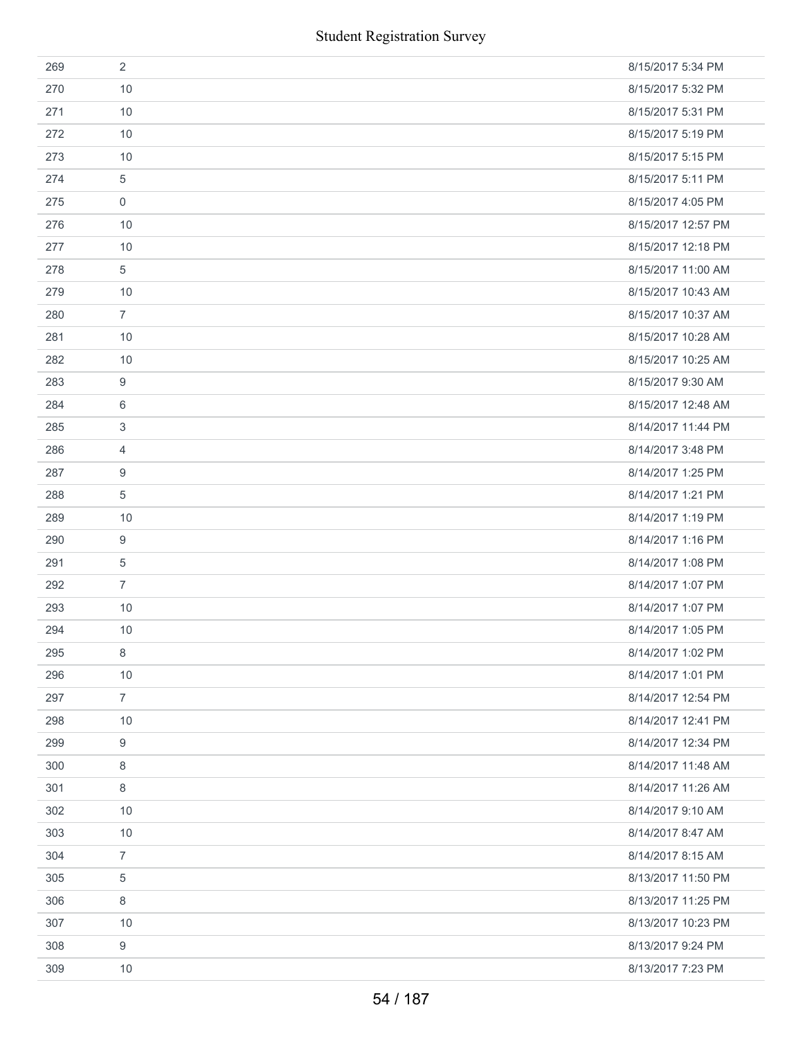|     | <b>Student Registration Survey</b> |                    |
|-----|------------------------------------|--------------------|
| 269 | $\overline{2}$                     | 8/15/2017 5:34 PM  |
| 270 | 10                                 | 8/15/2017 5:32 PM  |
| 271 | 10                                 | 8/15/2017 5:31 PM  |
| 272 | 10                                 | 8/15/2017 5:19 PM  |
| 273 | 10                                 | 8/15/2017 5:15 PM  |
| 274 | 5                                  | 8/15/2017 5:11 PM  |
| 275 | 0                                  | 8/15/2017 4:05 PM  |
| 276 | 10                                 | 8/15/2017 12:57 PM |
| 277 | 10                                 | 8/15/2017 12:18 PM |
| 278 | 5                                  | 8/15/2017 11:00 AM |
| 279 | 10                                 | 8/15/2017 10:43 AM |
| 280 | $\overline{7}$                     | 8/15/2017 10:37 AM |
| 281 | 10                                 | 8/15/2017 10:28 AM |
| 282 | 10                                 | 8/15/2017 10:25 AM |
| 283 | 9                                  | 8/15/2017 9:30 AM  |
| 284 | 6                                  | 8/15/2017 12:48 AM |
| 285 | 3                                  | 8/14/2017 11:44 PM |
| 286 | 4                                  | 8/14/2017 3:48 PM  |
| 287 | 9                                  | 8/14/2017 1:25 PM  |
| 288 | 5                                  | 8/14/2017 1:21 PM  |
| 289 | 10                                 | 8/14/2017 1:19 PM  |
| 290 | 9                                  | 8/14/2017 1:16 PM  |
| 291 | 5                                  | 8/14/2017 1:08 PM  |
| 292 | $\overline{7}$                     | 8/14/2017 1:07 PM  |
| 293 | 10                                 | 8/14/2017 1:07 PM  |
| 294 | 10                                 | 8/14/2017 1:05 PM  |
| 295 | 8                                  | 8/14/2017 1:02 PM  |
| 296 | 10                                 | 8/14/2017 1:01 PM  |
| 297 | $\overline{7}$                     | 8/14/2017 12:54 PM |
| 298 | 10                                 | 8/14/2017 12:41 PM |
| 299 | 9                                  | 8/14/2017 12:34 PM |
| 300 | $\,8\,$                            | 8/14/2017 11:48 AM |
| 301 | 8                                  | 8/14/2017 11:26 AM |
| 302 | 10                                 | 8/14/2017 9:10 AM  |
| 303 | 10                                 | 8/14/2017 8:47 AM  |
| 304 | $\overline{7}$                     | 8/14/2017 8:15 AM  |
| 305 | 5                                  | 8/13/2017 11:50 PM |
| 306 | 8                                  | 8/13/2017 11:25 PM |
| 307 | 10                                 | 8/13/2017 10:23 PM |
| 308 | 9                                  | 8/13/2017 9:24 PM  |
| 309 | 10                                 | 8/13/2017 7:23 PM  |
|     | 54 / 187                           |                    |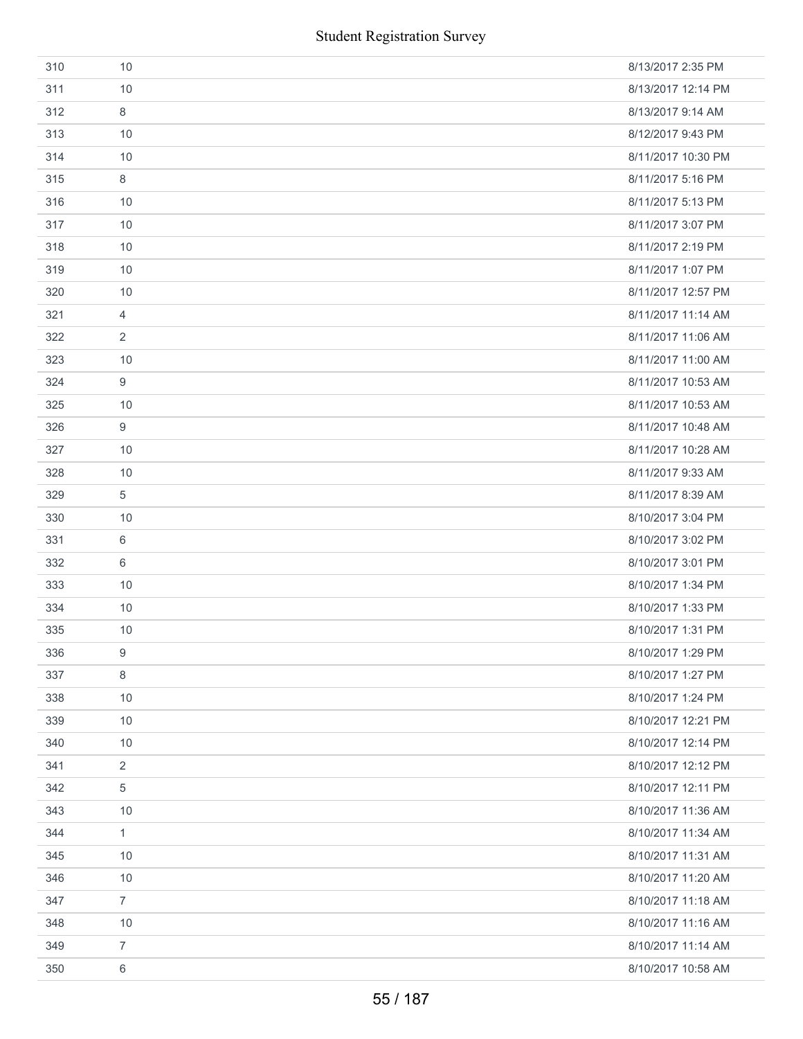|     | <b>Student Registration Survey</b> |                    |
|-----|------------------------------------|--------------------|
| 310 | 10                                 | 8/13/2017 2:35 PM  |
| 311 | 10                                 | 8/13/2017 12:14 PM |
| 312 | 8                                  | 8/13/2017 9:14 AM  |
| 313 | 10                                 | 8/12/2017 9:43 PM  |
| 314 | 10                                 | 8/11/2017 10:30 PM |
| 315 | 8                                  | 8/11/2017 5:16 PM  |
| 316 | 10                                 | 8/11/2017 5:13 PM  |
| 317 | 10                                 | 8/11/2017 3:07 PM  |
| 318 | 10                                 | 8/11/2017 2:19 PM  |
| 319 | 10                                 | 8/11/2017 1:07 PM  |
| 320 | 10                                 | 8/11/2017 12:57 PM |
| 321 | $\overline{4}$                     | 8/11/2017 11:14 AM |
| 322 | 2                                  | 8/11/2017 11:06 AM |
| 323 | 10                                 | 8/11/2017 11:00 AM |
| 324 | 9                                  | 8/11/2017 10:53 AM |
| 325 | 10                                 | 8/11/2017 10:53 AM |
| 326 | 9                                  | 8/11/2017 10:48 AM |
| 327 | 10                                 | 8/11/2017 10:28 AM |
| 328 | 10                                 | 8/11/2017 9:33 AM  |
| 329 | 5                                  | 8/11/2017 8:39 AM  |
| 330 | 10                                 | 8/10/2017 3:04 PM  |
| 331 | 6                                  | 8/10/2017 3:02 PM  |
| 332 | 6                                  | 8/10/2017 3:01 PM  |
| 333 | 10                                 | 8/10/2017 1:34 PM  |
| 334 | 10                                 | 8/10/2017 1:33 PM  |
| 335 | 10                                 | 8/10/2017 1:31 PM  |
| 336 | 9                                  | 8/10/2017 1:29 PM  |
| 337 | 8                                  | 8/10/2017 1:27 PM  |
| 338 | 10                                 | 8/10/2017 1:24 PM  |
| 339 | 10                                 | 8/10/2017 12:21 PM |
| 340 | 10                                 | 8/10/2017 12:14 PM |
| 341 | 2                                  | 8/10/2017 12:12 PM |
| 342 | 5                                  | 8/10/2017 12:11 PM |
| 343 | 10                                 | 8/10/2017 11:36 AM |
| 344 | $\mathbf{1}$                       | 8/10/2017 11:34 AM |
| 345 | 10                                 | 8/10/2017 11:31 AM |
| 346 | 10                                 | 8/10/2017 11:20 AM |
| 347 | $\overline{7}$                     | 8/10/2017 11:18 AM |
| 348 | 10                                 | 8/10/2017 11:16 AM |
| 349 | 7                                  | 8/10/2017 11:14 AM |
| 350 | $\,6\,$                            | 8/10/2017 10:58 AM |
|     | 55 / 187                           |                    |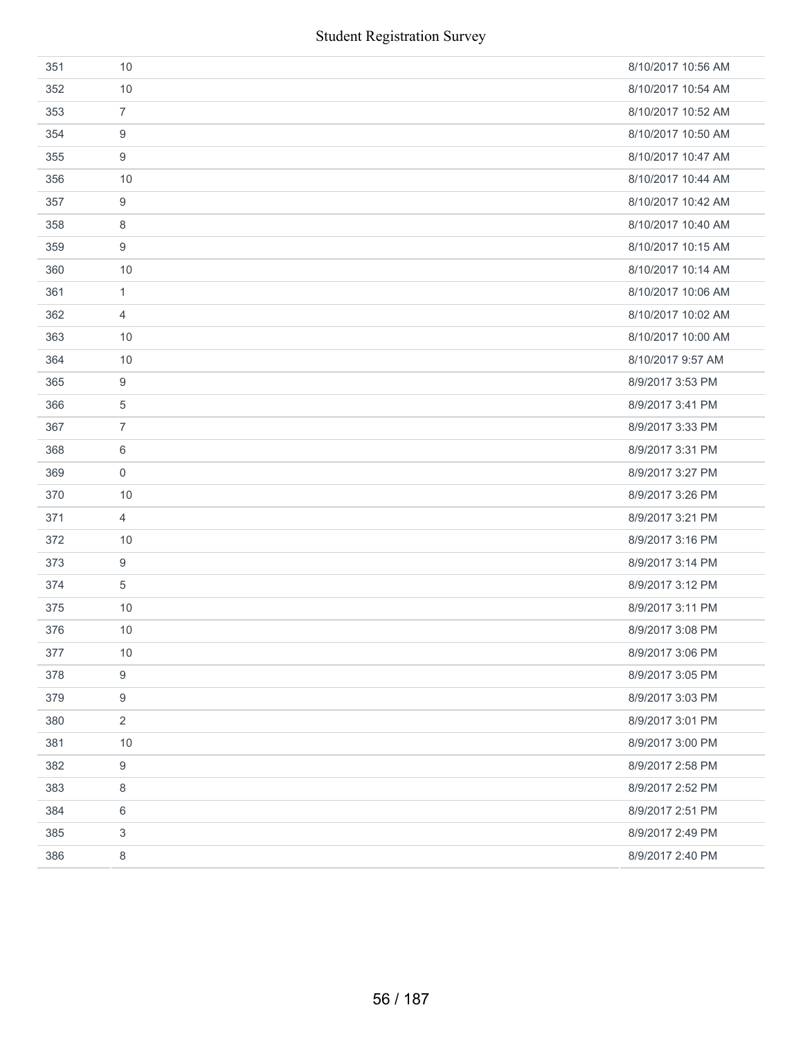| 351 | 10               | 8/10/2017 10:56 AM |
|-----|------------------|--------------------|
| 352 | 10               | 8/10/2017 10:54 AM |
| 353 | $\overline{7}$   | 8/10/2017 10:52 AM |
| 354 | 9                | 8/10/2017 10:50 AM |
| 355 | 9                | 8/10/2017 10:47 AM |
| 356 | 10               | 8/10/2017 10:44 AM |
| 357 | 9                | 8/10/2017 10:42 AM |
| 358 | 8                | 8/10/2017 10:40 AM |
| 359 | 9                | 8/10/2017 10:15 AM |
| 360 | 10               | 8/10/2017 10:14 AM |
| 361 | $\mathbf{1}$     | 8/10/2017 10:06 AM |
| 362 | 4                | 8/10/2017 10:02 AM |
| 363 | 10               | 8/10/2017 10:00 AM |
| 364 | 10               | 8/10/2017 9:57 AM  |
| 365 | 9                | 8/9/2017 3:53 PM   |
| 366 | 5                | 8/9/2017 3:41 PM   |
| 367 | $\overline{7}$   | 8/9/2017 3:33 PM   |
| 368 | 6                | 8/9/2017 3:31 PM   |
| 369 | 0                | 8/9/2017 3:27 PM   |
| 370 | 10               | 8/9/2017 3:26 PM   |
| 371 | 4                | 8/9/2017 3:21 PM   |
| 372 | 10               | 8/9/2017 3:16 PM   |
| 373 | 9                | 8/9/2017 3:14 PM   |
| 374 | 5                | 8/9/2017 3:12 PM   |
| 375 | 10               | 8/9/2017 3:11 PM   |
| 376 | 10               | 8/9/2017 3:08 PM   |
| 377 | 10               | 8/9/2017 3:06 PM   |
| 378 | 9                | 8/9/2017 3:05 PM   |
| 379 | 9                | 8/9/2017 3:03 PM   |
| 380 | $\overline{2}$   | 8/9/2017 3:01 PM   |
| 381 | 10               | 8/9/2017 3:00 PM   |
| 382 | $\boldsymbol{9}$ | 8/9/2017 2:58 PM   |
| 383 | 8                | 8/9/2017 2:52 PM   |
| 384 | 6                | 8/9/2017 2:51 PM   |
| 385 | 3                | 8/9/2017 2:49 PM   |
| 386 | 8                | 8/9/2017 2:40 PM   |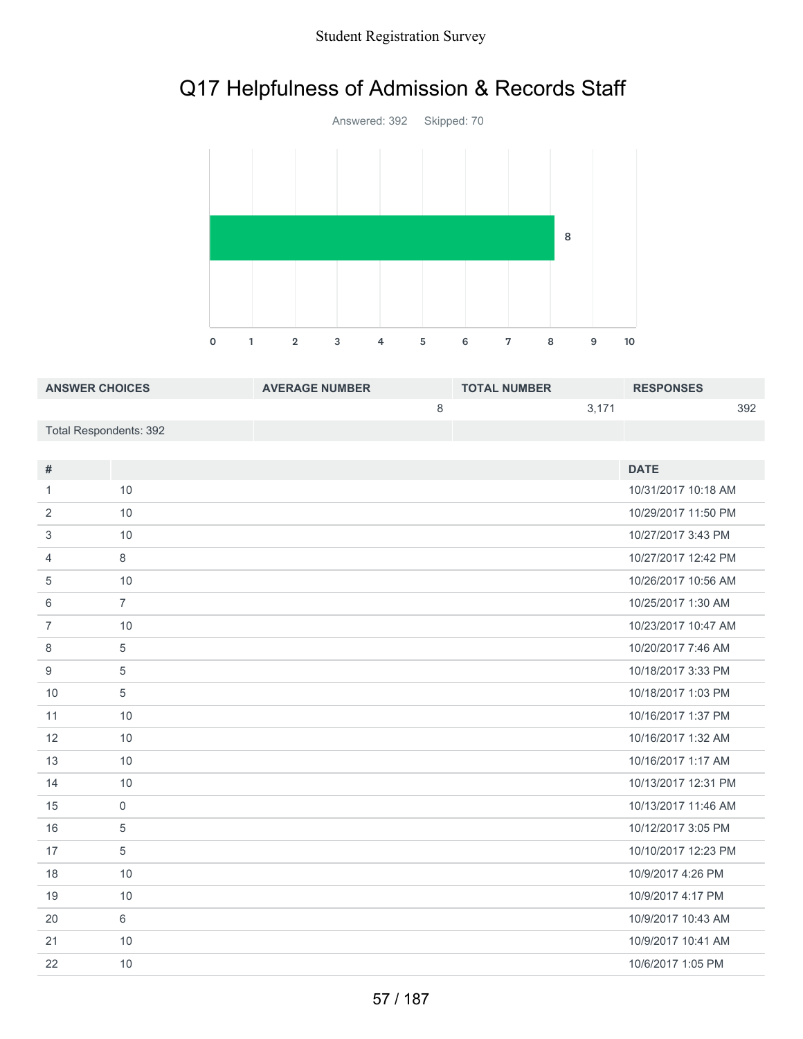# Q17 Helpfulness of Admission & Records Staff



| <b>ANSWER CHOICES</b>  | <b>AVERAGE NUMBER</b> | <b>TOTAL NUMBER</b> | <b>RESPONSES</b> |
|------------------------|-----------------------|---------------------|------------------|
|                        |                       | 3.171               | 392              |
| Total Respondents: 392 |                       |                     |                  |

| #              |                | <b>DATE</b>         |
|----------------|----------------|---------------------|
| 1              | 10             | 10/31/2017 10:18 AM |
| 2              | 10             | 10/29/2017 11:50 PM |
| 3              | 10             | 10/27/2017 3:43 PM  |
| 4              | 8              | 10/27/2017 12:42 PM |
| 5              | 10             | 10/26/2017 10:56 AM |
| 6              | $\overline{7}$ | 10/25/2017 1:30 AM  |
| $\overline{7}$ | 10             | 10/23/2017 10:47 AM |
| 8              | 5              | 10/20/2017 7:46 AM  |
| 9              | 5              | 10/18/2017 3:33 PM  |
| 10             | 5              | 10/18/2017 1:03 PM  |
| 11             | 10             | 10/16/2017 1:37 PM  |
| 12             | 10             | 10/16/2017 1:32 AM  |
| 13             | 10             | 10/16/2017 1:17 AM  |
| 14             | 10             | 10/13/2017 12:31 PM |
| 15             | $\overline{0}$ | 10/13/2017 11:46 AM |
| 16             | 5              | 10/12/2017 3:05 PM  |
| 17             | 5              | 10/10/2017 12:23 PM |
| 18             | 10             | 10/9/2017 4:26 PM   |
| 19             | 10             | 10/9/2017 4:17 PM   |
| 20             | 6              | 10/9/2017 10:43 AM  |
| 21             | 10             | 10/9/2017 10:41 AM  |
| 22             | 10             | 10/6/2017 1:05 PM   |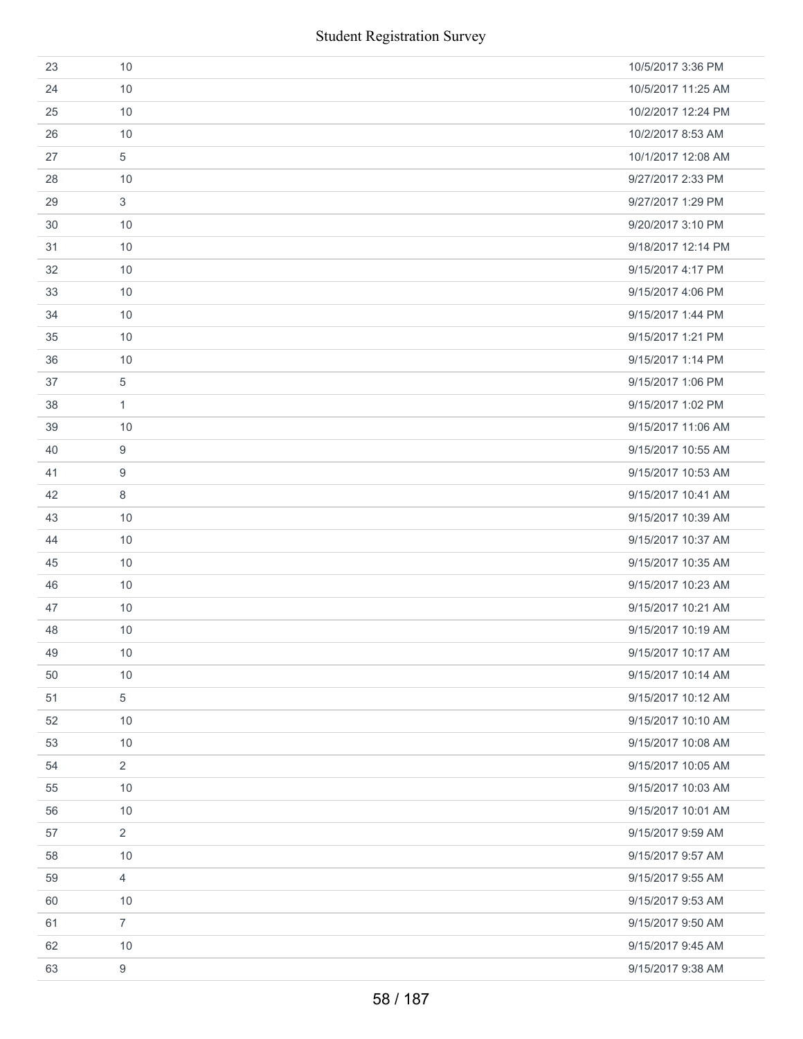|    | <b>Student Registration Survey</b> |                    |
|----|------------------------------------|--------------------|
| 23 | 10                                 | 10/5/2017 3:36 PM  |
| 24 | 10                                 | 10/5/2017 11:25 AM |
| 25 | 10                                 | 10/2/2017 12:24 PM |
| 26 | 10                                 | 10/2/2017 8:53 AM  |
| 27 | 5                                  | 10/1/2017 12:08 AM |
| 28 | 10                                 | 9/27/2017 2:33 PM  |
| 29 | 3                                  | 9/27/2017 1:29 PM  |
| 30 | 10                                 | 9/20/2017 3:10 PM  |
| 31 | 10                                 | 9/18/2017 12:14 PM |
| 32 | 10                                 | 9/15/2017 4:17 PM  |
| 33 | 10                                 | 9/15/2017 4:06 PM  |
| 34 | 10                                 | 9/15/2017 1:44 PM  |
| 35 | 10                                 | 9/15/2017 1:21 PM  |
| 36 | 10                                 | 9/15/2017 1:14 PM  |
| 37 | 5                                  | 9/15/2017 1:06 PM  |
| 38 | 1                                  | 9/15/2017 1:02 PM  |
| 39 | 10                                 | 9/15/2017 11:06 AM |
| 40 | 9                                  | 9/15/2017 10:55 AM |
| 41 | 9                                  | 9/15/2017 10:53 AM |
| 42 | 8                                  | 9/15/2017 10:41 AM |
| 43 | 10                                 | 9/15/2017 10:39 AM |
| 44 | 10                                 | 9/15/2017 10:37 AM |
| 45 | 10                                 | 9/15/2017 10:35 AM |
| 46 | 10                                 | 9/15/2017 10:23 AM |
| 47 | 10                                 | 9/15/2017 10:21 AM |
| 48 | 10                                 | 9/15/2017 10:19 AM |
| 49 | 10                                 | 9/15/2017 10:17 AM |
| 50 | 10                                 | 9/15/2017 10:14 AM |
| 51 | 5                                  | 9/15/2017 10:12 AM |
| 52 | 10                                 | 9/15/2017 10:10 AM |
| 53 | 10                                 | 9/15/2017 10:08 AM |
| 54 | $\overline{2}$                     | 9/15/2017 10:05 AM |
| 55 | 10                                 | 9/15/2017 10:03 AM |
| 56 | 10                                 | 9/15/2017 10:01 AM |
| 57 | $\overline{2}$                     | 9/15/2017 9:59 AM  |
| 58 | 10                                 | 9/15/2017 9:57 AM  |
| 59 | $\overline{4}$                     | 9/15/2017 9:55 AM  |
| 60 | 10                                 | 9/15/2017 9:53 AM  |
| 61 | $\overline{7}$                     | 9/15/2017 9:50 AM  |
| 62 | 10                                 | 9/15/2017 9:45 AM  |
| 63 | $9\,$                              | 9/15/2017 9:38 AM  |
|    | 58 / 187                           |                    |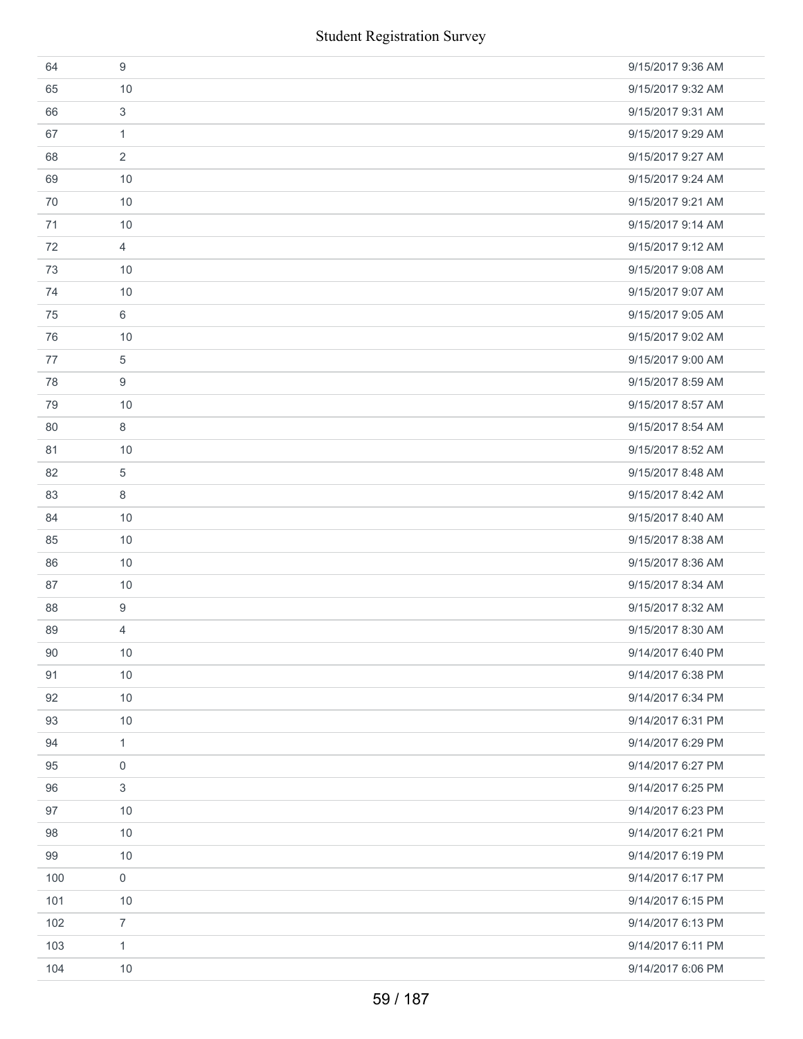|     | <b>Student Registration Survey</b> |                   |
|-----|------------------------------------|-------------------|
| 64  | 9                                  | 9/15/2017 9:36 AM |
| 65  | 10                                 | 9/15/2017 9:32 AM |
| 66  | 3                                  | 9/15/2017 9:31 AM |
| 67  | $\mathbf{1}$                       | 9/15/2017 9:29 AM |
| 68  | 2                                  | 9/15/2017 9:27 AM |
| 69  | 10                                 | 9/15/2017 9:24 AM |
| 70  | 10                                 | 9/15/2017 9:21 AM |
| 71  | 10                                 | 9/15/2017 9:14 AM |
| 72  | $\overline{4}$                     | 9/15/2017 9:12 AM |
| 73  | 10                                 | 9/15/2017 9:08 AM |
| 74  | 10                                 | 9/15/2017 9:07 AM |
| 75  | 6                                  | 9/15/2017 9:05 AM |
| 76  | 10                                 | 9/15/2017 9:02 AM |
| 77  | 5                                  | 9/15/2017 9:00 AM |
| 78  | 9                                  | 9/15/2017 8:59 AM |
| 79  | 10                                 | 9/15/2017 8:57 AM |
| 80  | 8                                  | 9/15/2017 8:54 AM |
| 81  | 10                                 | 9/15/2017 8:52 AM |
| 82  | 5                                  | 9/15/2017 8:48 AM |
| 83  | 8                                  | 9/15/2017 8:42 AM |
| 84  | 10                                 | 9/15/2017 8:40 AM |
| 85  | 10                                 | 9/15/2017 8:38 AM |
| 86  | 10                                 | 9/15/2017 8:36 AM |
| 87  | 10                                 | 9/15/2017 8:34 AM |
| 88  | 9                                  | 9/15/2017 8:32 AM |
| 89  | 4                                  | 9/15/2017 8:30 AM |
| 90  | $10$                               | 9/14/2017 6:40 PM |
| 91  | 10                                 | 9/14/2017 6:38 PM |
| 92  | 10                                 | 9/14/2017 6:34 PM |
| 93  | 10                                 | 9/14/2017 6:31 PM |
| 94  | $\mathbf{1}$                       | 9/14/2017 6:29 PM |
| 95  | $\mathbf 0$                        | 9/14/2017 6:27 PM |
| 96  | 3                                  | 9/14/2017 6:25 PM |
| 97  | 10                                 | 9/14/2017 6:23 PM |
| 98  | $10$                               | 9/14/2017 6:21 PM |
| 99  | 10                                 | 9/14/2017 6:19 PM |
| 100 | 0                                  | 9/14/2017 6:17 PM |
| 101 | 10                                 | 9/14/2017 6:15 PM |
| 102 | $\overline{7}$                     | 9/14/2017 6:13 PM |
| 103 | $\mathbf{1}$                       | 9/14/2017 6:11 PM |
| 104 | 10                                 | 9/14/2017 6:06 PM |
|     | 59 / 187                           |                   |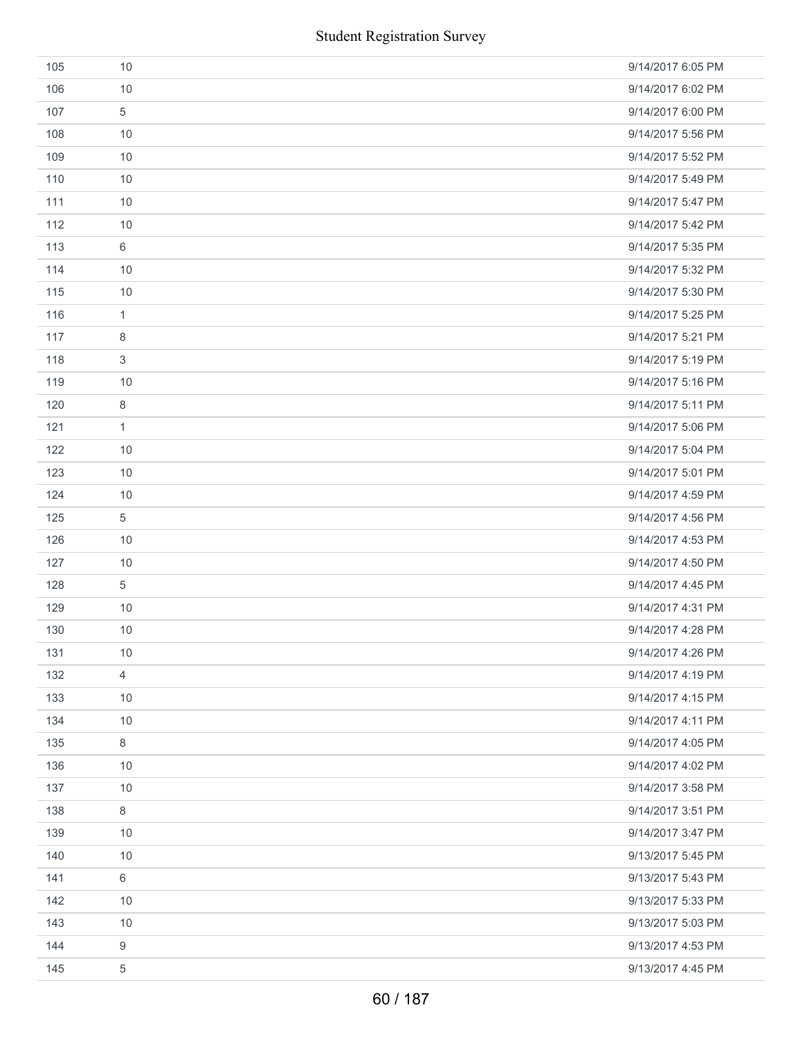|     | <b>Student Registration Survey</b> |                   |
|-----|------------------------------------|-------------------|
| 105 | 10                                 | 9/14/2017 6:05 PM |
| 106 | 10                                 | 9/14/2017 6:02 PM |
| 107 | $\sqrt{5}$                         | 9/14/2017 6:00 PM |
| 108 | 10                                 | 9/14/2017 5:56 PM |
| 109 | 10                                 | 9/14/2017 5:52 PM |
| 110 | 10                                 | 9/14/2017 5:49 PM |
| 111 | 10                                 | 9/14/2017 5:47 PM |
| 112 | 10                                 | 9/14/2017 5:42 PM |
| 113 | 6                                  | 9/14/2017 5:35 PM |
| 114 | 10                                 | 9/14/2017 5:32 PM |
| 115 | 10                                 | 9/14/2017 5:30 PM |
| 116 | $\mathbf{1}$                       | 9/14/2017 5:25 PM |
| 117 | 8                                  | 9/14/2017 5:21 PM |
| 118 | 3                                  | 9/14/2017 5:19 PM |
| 119 | 10                                 | 9/14/2017 5:16 PM |
| 120 | 8                                  | 9/14/2017 5:11 PM |
| 121 | $\mathbf{1}$                       | 9/14/2017 5:06 PM |
| 122 | 10                                 | 9/14/2017 5:04 PM |
| 123 | 10                                 | 9/14/2017 5:01 PM |
| 124 | 10                                 | 9/14/2017 4:59 PM |
| 125 | 5                                  | 9/14/2017 4:56 PM |
| 126 | 10                                 | 9/14/2017 4:53 PM |
| 127 | 10                                 | 9/14/2017 4:50 PM |
| 128 | $\sqrt{5}$                         | 9/14/2017 4:45 PM |
| 129 | 10                                 | 9/14/2017 4:31 PM |
| 130 | 10                                 | 9/14/2017 4:28 PM |
| 131 | 10                                 | 9/14/2017 4:26 PM |
| 132 | $\overline{4}$                     | 9/14/2017 4:19 PM |
| 133 | 10                                 | 9/14/2017 4:15 PM |
| 134 | 10                                 | 9/14/2017 4:11 PM |
| 135 | 8                                  | 9/14/2017 4:05 PM |
| 136 | 10                                 | 9/14/2017 4:02 PM |
| 137 | 10                                 | 9/14/2017 3:58 PM |
| 138 | $\,8\,$                            | 9/14/2017 3:51 PM |
| 139 | 10                                 | 9/14/2017 3:47 PM |
| 140 | 10                                 | 9/13/2017 5:45 PM |
| 141 | $\,6\,$                            | 9/13/2017 5:43 PM |
| 142 | 10                                 | 9/13/2017 5:33 PM |
| 143 | 10                                 | 9/13/2017 5:03 PM |
| 144 | 9                                  | 9/13/2017 4:53 PM |
| 145 | $\,$ 5 $\,$                        | 9/13/2017 4:45 PM |
|     | 60 / 187                           |                   |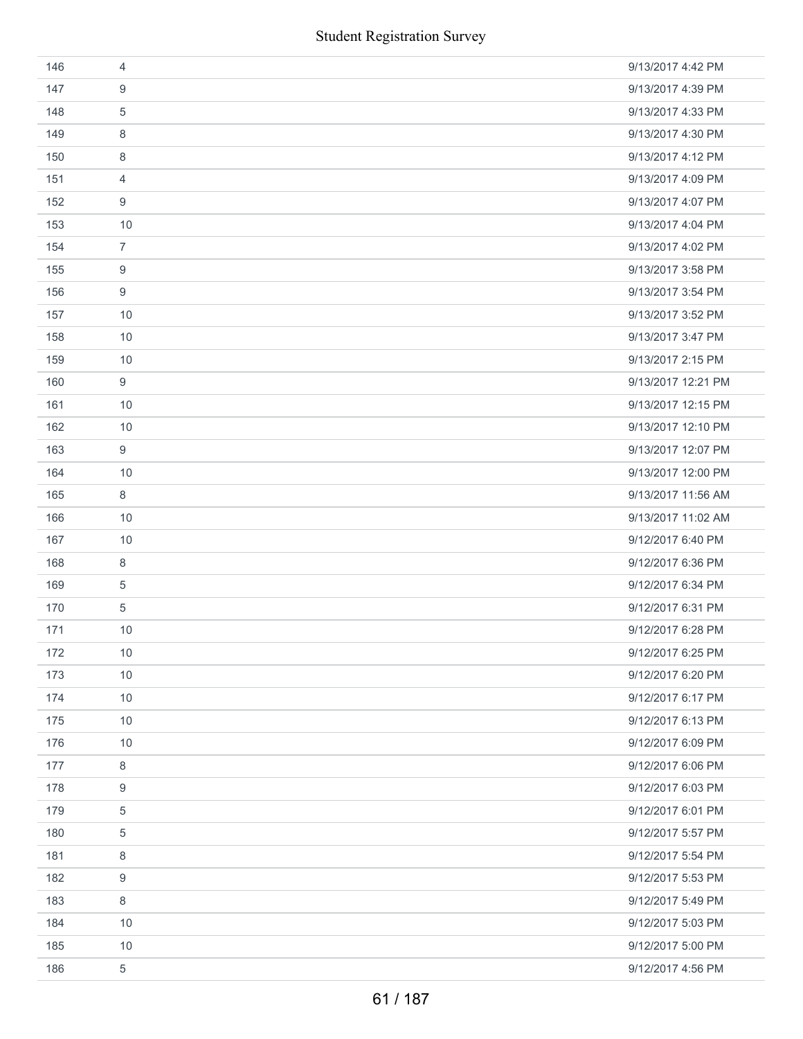|     | <b>Student Registration Survey</b> |                    |
|-----|------------------------------------|--------------------|
| 146 | $\overline{4}$                     | 9/13/2017 4:42 PM  |
| 147 | 9                                  | 9/13/2017 4:39 PM  |
| 148 | $\sqrt{5}$                         | 9/13/2017 4:33 PM  |
| 149 | 8                                  | 9/13/2017 4:30 PM  |
| 150 | 8                                  | 9/13/2017 4:12 PM  |
| 151 | 4                                  | 9/13/2017 4:09 PM  |
| 152 | 9                                  | 9/13/2017 4:07 PM  |
| 153 | 10                                 | 9/13/2017 4:04 PM  |
| 154 | $\overline{7}$                     | 9/13/2017 4:02 PM  |
| 155 | 9                                  | 9/13/2017 3:58 PM  |
| 156 | 9                                  | 9/13/2017 3:54 PM  |
| 157 | 10                                 | 9/13/2017 3:52 PM  |
| 158 | 10                                 | 9/13/2017 3:47 PM  |
| 159 | 10                                 | 9/13/2017 2:15 PM  |
| 160 | $\boldsymbol{9}$                   | 9/13/2017 12:21 PM |
| 161 | 10                                 | 9/13/2017 12:15 PM |
| 162 | 10                                 | 9/13/2017 12:10 PM |
| 163 | 9                                  | 9/13/2017 12:07 PM |
| 164 | 10                                 | 9/13/2017 12:00 PM |
| 165 | 8                                  | 9/13/2017 11:56 AM |
| 166 | 10                                 | 9/13/2017 11:02 AM |
| 167 | 10                                 | 9/12/2017 6:40 PM  |
| 168 | 8                                  | 9/12/2017 6:36 PM  |
| 169 | $\mathbf 5$                        | 9/12/2017 6:34 PM  |
| 170 | $\sqrt{5}$                         | 9/12/2017 6:31 PM  |
| 171 | 10                                 | 9/12/2017 6:28 PM  |
| 172 | 10                                 | 9/12/2017 6:25 PM  |
| 173 | 10                                 | 9/12/2017 6:20 PM  |
| 174 | 10                                 | 9/12/2017 6:17 PM  |
| 175 | 10                                 | 9/12/2017 6:13 PM  |
| 176 | 10                                 | 9/12/2017 6:09 PM  |
| 177 | 8                                  | 9/12/2017 6:06 PM  |
| 178 | 9                                  | 9/12/2017 6:03 PM  |
| 179 | 5                                  | 9/12/2017 6:01 PM  |
| 180 | 5                                  | 9/12/2017 5:57 PM  |
| 181 | 8                                  | 9/12/2017 5:54 PM  |
| 182 | 9                                  | 9/12/2017 5:53 PM  |
| 183 | 8                                  | 9/12/2017 5:49 PM  |
| 184 | 10                                 | 9/12/2017 5:03 PM  |
| 185 | 10                                 | 9/12/2017 5:00 PM  |
| 186 | $\,$ 5 $\,$                        | 9/12/2017 4:56 PM  |
|     | 61 / 187                           |                    |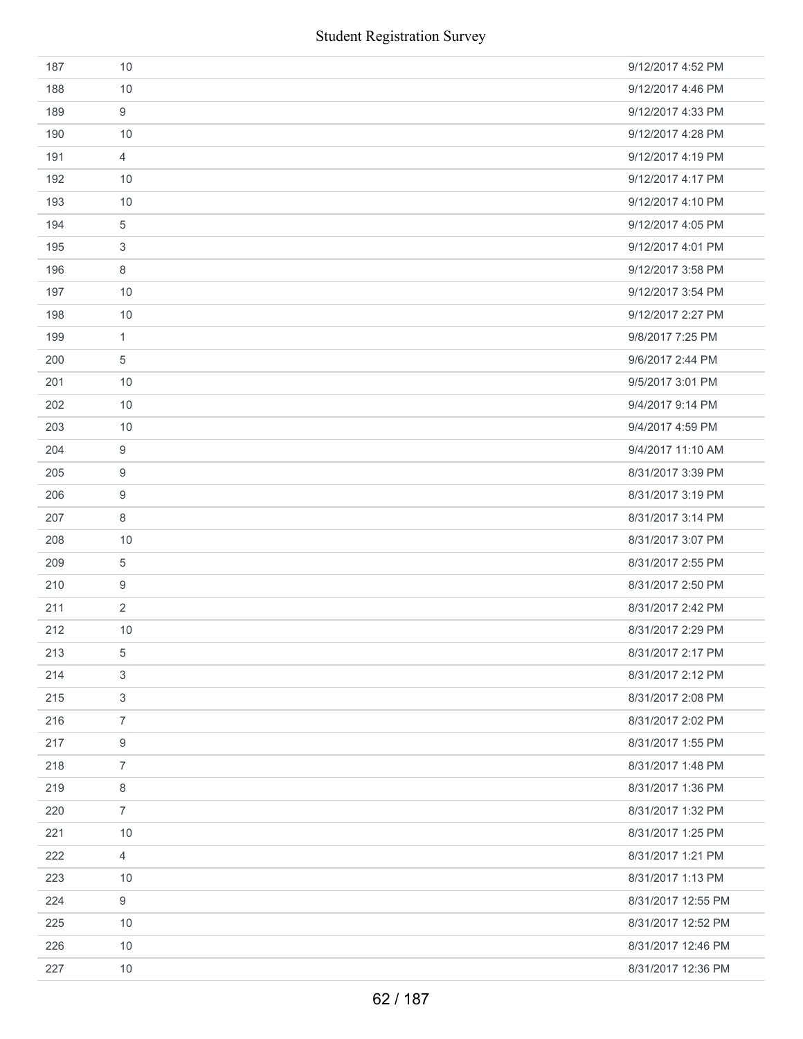| 187 | 10             | 9/12/2017 4:52 PM  |
|-----|----------------|--------------------|
| 188 | 10             | 9/12/2017 4:46 PM  |
| 189 | 9              | 9/12/2017 4:33 PM  |
| 190 | 10             | 9/12/2017 4:28 PM  |
| 191 | $\overline{4}$ | 9/12/2017 4:19 PM  |
| 192 | 10             | 9/12/2017 4:17 PM  |
| 193 | 10             | 9/12/2017 4:10 PM  |
| 194 | 5              | 9/12/2017 4:05 PM  |
| 195 | 3              | 9/12/2017 4:01 PM  |
| 196 | 8              | 9/12/2017 3:58 PM  |
| 197 | 10             | 9/12/2017 3:54 PM  |
| 198 | 10             | 9/12/2017 2:27 PM  |
| 199 | $\mathbf{1}$   | 9/8/2017 7:25 PM   |
| 200 | 5              | 9/6/2017 2:44 PM   |
| 201 | 10             | 9/5/2017 3:01 PM   |
| 202 | 10             | 9/4/2017 9:14 PM   |
| 203 | 10             | 9/4/2017 4:59 PM   |
| 204 | 9              | 9/4/2017 11:10 AM  |
| 205 | 9              | 8/31/2017 3:39 PM  |
| 206 | 9              | 8/31/2017 3:19 PM  |
| 207 | 8              | 8/31/2017 3:14 PM  |
| 208 | 10             | 8/31/2017 3:07 PM  |
| 209 | 5              | 8/31/2017 2:55 PM  |
| 210 | 9              | 8/31/2017 2:50 PM  |
| 211 | $\overline{2}$ | 8/31/2017 2:42 PM  |
| 212 | 10             | 8/31/2017 2:29 PM  |
| 213 | 5              | 8/31/2017 2:17 PM  |
| 214 | 3              | 8/31/2017 2:12 PM  |
| 215 | 3              | 8/31/2017 2:08 PM  |
| 216 | $\overline{7}$ | 8/31/2017 2:02 PM  |
| 217 | 9              | 8/31/2017 1:55 PM  |
| 218 | $\overline{7}$ | 8/31/2017 1:48 PM  |
| 219 | 8              | 8/31/2017 1:36 PM  |
| 220 | $\overline{7}$ | 8/31/2017 1:32 PM  |
| 221 | 10             | 8/31/2017 1:25 PM  |
| 222 | $\overline{4}$ | 8/31/2017 1:21 PM  |
| 223 | 10             | 8/31/2017 1:13 PM  |
| 224 | 9              | 8/31/2017 12:55 PM |
| 225 | 10             | 8/31/2017 12:52 PM |
| 226 | 10             | 8/31/2017 12:46 PM |
| 227 | $10$           | 8/31/2017 12:36 PM |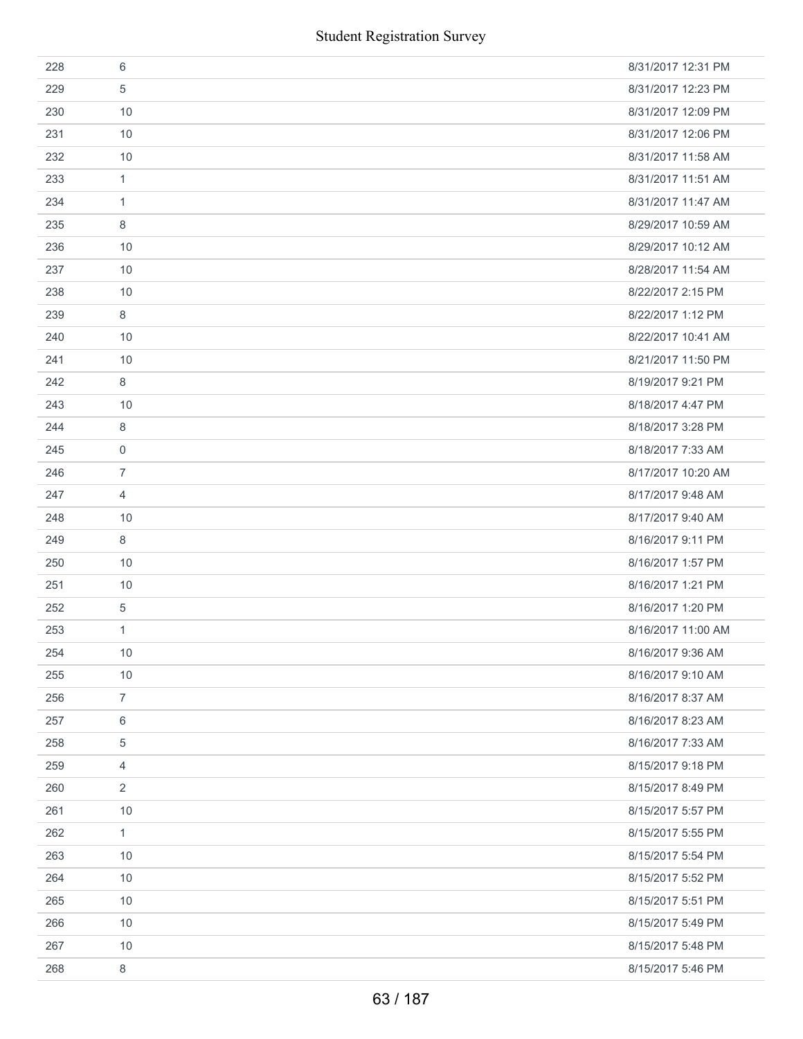| 228 | 6              | 8/31/2017 12:31 PM |
|-----|----------------|--------------------|
| 229 | 5              | 8/31/2017 12:23 PM |
| 230 | 10             | 8/31/2017 12:09 PM |
| 231 | 10             | 8/31/2017 12:06 PM |
| 232 | 10             | 8/31/2017 11:58 AM |
| 233 | 1              | 8/31/2017 11:51 AM |
| 234 | $\mathbf{1}$   | 8/31/2017 11:47 AM |
| 235 | 8              | 8/29/2017 10:59 AM |
| 236 | 10             | 8/29/2017 10:12 AM |
| 237 | 10             | 8/28/2017 11:54 AM |
| 238 | 10             | 8/22/2017 2:15 PM  |
| 239 | 8              | 8/22/2017 1:12 PM  |
| 240 | 10             | 8/22/2017 10:41 AM |
| 241 | 10             | 8/21/2017 11:50 PM |
| 242 | 8              | 8/19/2017 9:21 PM  |
| 243 | 10             | 8/18/2017 4:47 PM  |
| 244 | 8              | 8/18/2017 3:28 PM  |
| 245 | $\mathbf 0$    | 8/18/2017 7:33 AM  |
| 246 | $\overline{7}$ | 8/17/2017 10:20 AM |
| 247 | $\overline{4}$ | 8/17/2017 9:48 AM  |
| 248 | 10             | 8/17/2017 9:40 AM  |
| 249 | 8              | 8/16/2017 9:11 PM  |
| 250 | 10             | 8/16/2017 1:57 PM  |
| 251 | 10             | 8/16/2017 1:21 PM  |
| 252 | $\,$ 5 $\,$    | 8/16/2017 1:20 PM  |
| 253 | $\mathbf{1}$   | 8/16/2017 11:00 AM |
| 254 | 10             | 8/16/2017 9:36 AM  |
| 255 | 10             | 8/16/2017 9:10 AM  |
| 256 | $\overline{7}$ | 8/16/2017 8:37 AM  |
| 257 | $\,6\,$        | 8/16/2017 8:23 AM  |
| 258 | 5              | 8/16/2017 7:33 AM  |
| 259 | 4              | 8/15/2017 9:18 PM  |
| 260 | 2              | 8/15/2017 8:49 PM  |
| 261 | 10             | 8/15/2017 5:57 PM  |
| 262 | $\mathbf{1}$   | 8/15/2017 5:55 PM  |
| 263 | 10             | 8/15/2017 5:54 PM  |
| 264 | 10             | 8/15/2017 5:52 PM  |
| 265 | 10             | 8/15/2017 5:51 PM  |
| 266 | 10             | 8/15/2017 5:49 PM  |
| 267 | 10             | 8/15/2017 5:48 PM  |
| 268 | 8              | 8/15/2017 5:46 PM  |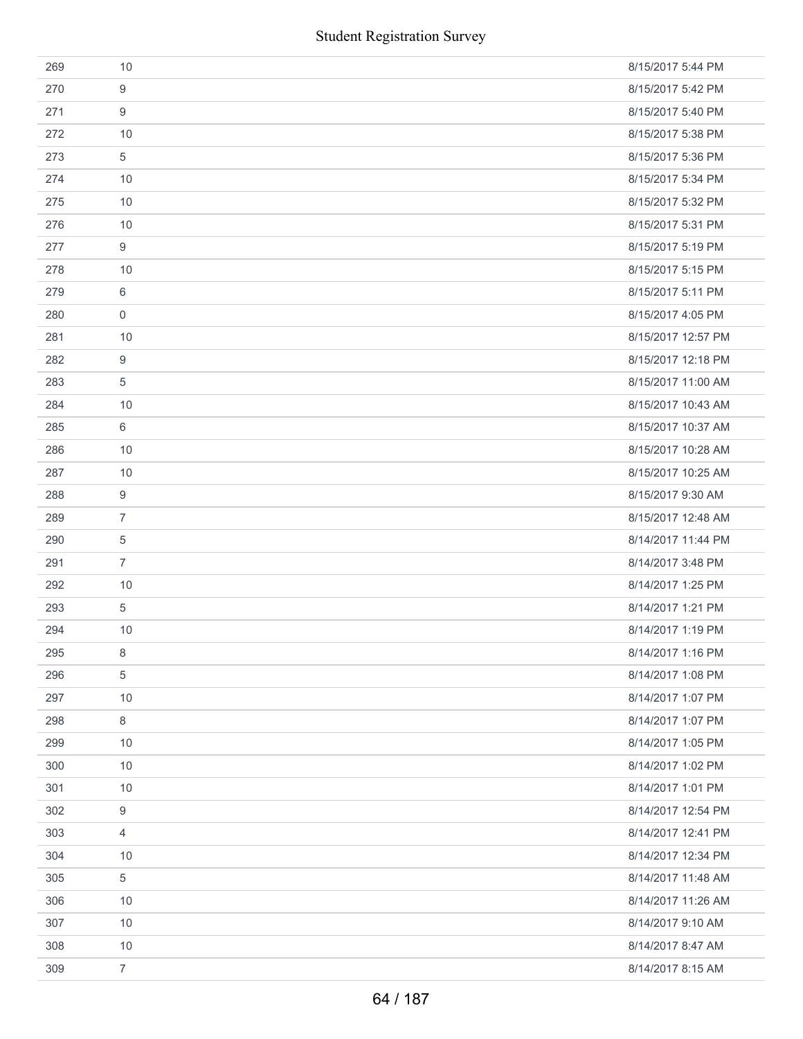|     | <b>Student Registration Survey</b> |                    |
|-----|------------------------------------|--------------------|
| 269 | 10                                 | 8/15/2017 5:44 PM  |
| 270 | 9                                  | 8/15/2017 5:42 PM  |
| 271 | 9                                  | 8/15/2017 5:40 PM  |
| 272 | 10                                 | 8/15/2017 5:38 PM  |
| 273 | 5                                  | 8/15/2017 5:36 PM  |
| 274 | 10                                 | 8/15/2017 5:34 PM  |
| 275 | 10                                 | 8/15/2017 5:32 PM  |
| 276 | 10                                 | 8/15/2017 5:31 PM  |
| 277 | 9                                  | 8/15/2017 5:19 PM  |
| 278 | 10                                 | 8/15/2017 5:15 PM  |
| 279 | 6                                  | 8/15/2017 5:11 PM  |
| 280 | $\boldsymbol{0}$                   | 8/15/2017 4:05 PM  |
| 281 | 10                                 | 8/15/2017 12:57 PM |
| 282 | 9                                  | 8/15/2017 12:18 PM |
| 283 | $\sqrt{5}$                         | 8/15/2017 11:00 AM |
| 284 | 10                                 | 8/15/2017 10:43 AM |
| 285 | $6\,$                              | 8/15/2017 10:37 AM |
| 286 | 10                                 | 8/15/2017 10:28 AM |
| 287 | 10                                 | 8/15/2017 10:25 AM |
| 288 | 9                                  | 8/15/2017 9:30 AM  |
| 289 | $\overline{7}$                     | 8/15/2017 12:48 AM |
| 290 | 5                                  | 8/14/2017 11:44 PM |
| 291 | $\overline{7}$                     | 8/14/2017 3:48 PM  |
| 292 | 10                                 | 8/14/2017 1:25 PM  |
| 293 | 5                                  | 8/14/2017 1:21 PM  |
| 294 | 10                                 | 8/14/2017 1:19 PM  |
| 295 | 8                                  | 8/14/2017 1:16 PM  |
| 296 | 5                                  | 8/14/2017 1:08 PM  |
| 297 | 10                                 | 8/14/2017 1:07 PM  |
| 298 | 8                                  | 8/14/2017 1:07 PM  |
| 299 | 10                                 | 8/14/2017 1:05 PM  |
| 300 | $10$                               | 8/14/2017 1:02 PM  |
| 301 | 10                                 | 8/14/2017 1:01 PM  |
| 302 | 9                                  | 8/14/2017 12:54 PM |
| 303 | 4                                  | 8/14/2017 12:41 PM |
| 304 | 10                                 | 8/14/2017 12:34 PM |
| 305 | $\,$ 5 $\,$                        | 8/14/2017 11:48 AM |
| 306 | 10                                 | 8/14/2017 11:26 AM |
| 307 | 10                                 | 8/14/2017 9:10 AM  |
| 308 | 10                                 | 8/14/2017 8:47 AM  |
| 309 | $\overline{7}$                     | 8/14/2017 8:15 AM  |
|     | 64 / 187                           |                    |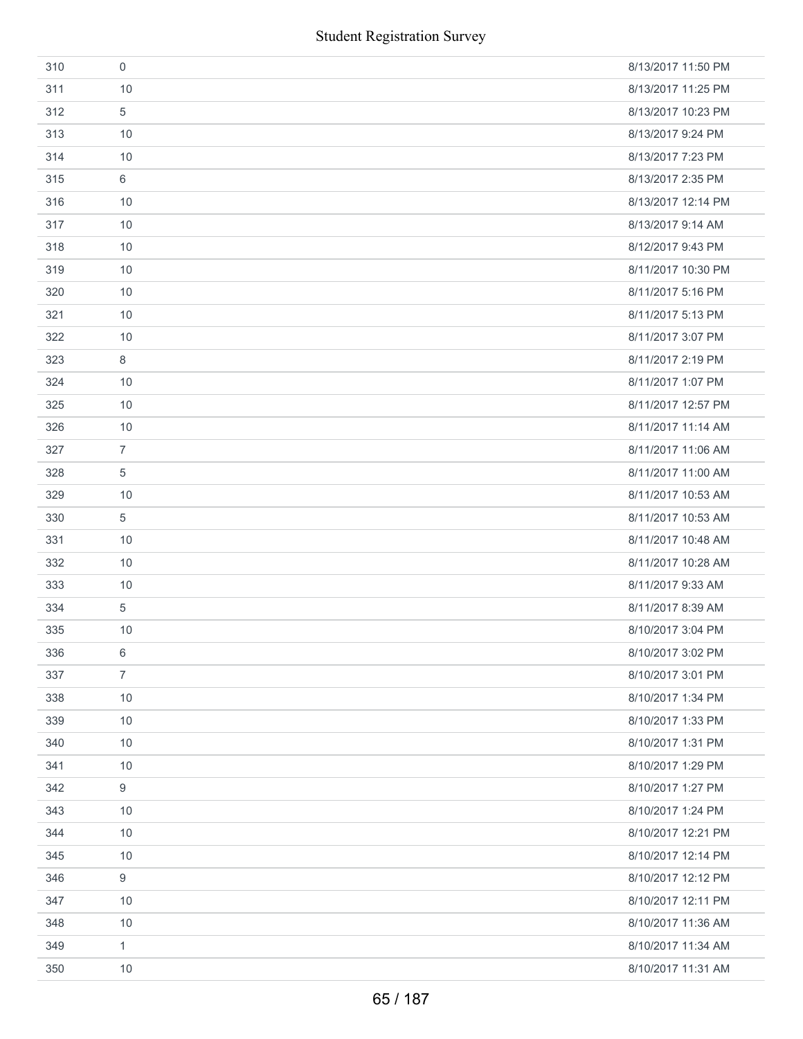|     | <b>Student Registration Survey</b> |                    |
|-----|------------------------------------|--------------------|
| 310 | $\mathbf 0$                        | 8/13/2017 11:50 PM |
| 311 | 10                                 | 8/13/2017 11:25 PM |
| 312 | 5                                  | 8/13/2017 10:23 PM |
| 313 | 10                                 | 8/13/2017 9:24 PM  |
| 314 | 10                                 | 8/13/2017 7:23 PM  |
| 315 | 6                                  | 8/13/2017 2:35 PM  |
| 316 | 10                                 | 8/13/2017 12:14 PM |
| 317 | 10                                 | 8/13/2017 9:14 AM  |
| 318 | 10                                 | 8/12/2017 9:43 PM  |
| 319 | 10                                 | 8/11/2017 10:30 PM |
| 320 | 10                                 | 8/11/2017 5:16 PM  |
| 321 | 10                                 | 8/11/2017 5:13 PM  |
| 322 | 10                                 | 8/11/2017 3:07 PM  |
| 323 | 8                                  | 8/11/2017 2:19 PM  |
| 324 | 10                                 | 8/11/2017 1:07 PM  |
| 325 | 10                                 | 8/11/2017 12:57 PM |
| 326 | 10                                 | 8/11/2017 11:14 AM |
| 327 | $\overline{7}$                     | 8/11/2017 11:06 AM |
| 328 | $\overline{5}$                     | 8/11/2017 11:00 AM |
| 329 | 10                                 | 8/11/2017 10:53 AM |
| 330 | $\sqrt{5}$                         | 8/11/2017 10:53 AM |
| 331 | 10                                 | 8/11/2017 10:48 AM |
| 332 | 10                                 | 8/11/2017 10:28 AM |
| 333 | 10                                 | 8/11/2017 9:33 AM  |
| 334 | 5                                  | 8/11/2017 8:39 AM  |
| 335 | 10                                 | 8/10/2017 3:04 PM  |
| 336 | 6                                  | 8/10/2017 3:02 PM  |
| 337 | $\overline{7}$                     | 8/10/2017 3:01 PM  |
| 338 | 10                                 | 8/10/2017 1:34 PM  |
| 339 | 10                                 | 8/10/2017 1:33 PM  |
| 340 | 10                                 | 8/10/2017 1:31 PM  |
| 341 | 10                                 | 8/10/2017 1:29 PM  |
| 342 | 9                                  | 8/10/2017 1:27 PM  |
| 343 | 10                                 | 8/10/2017 1:24 PM  |
| 344 | 10                                 | 8/10/2017 12:21 PM |
| 345 | 10                                 | 8/10/2017 12:14 PM |
| 346 | 9                                  | 8/10/2017 12:12 PM |
| 347 | 10                                 | 8/10/2017 12:11 PM |
| 348 | 10                                 | 8/10/2017 11:36 AM |
| 349 | 1                                  | 8/10/2017 11:34 AM |
| 350 | 10                                 | 8/10/2017 11:31 AM |
|     | 65 / 187                           |                    |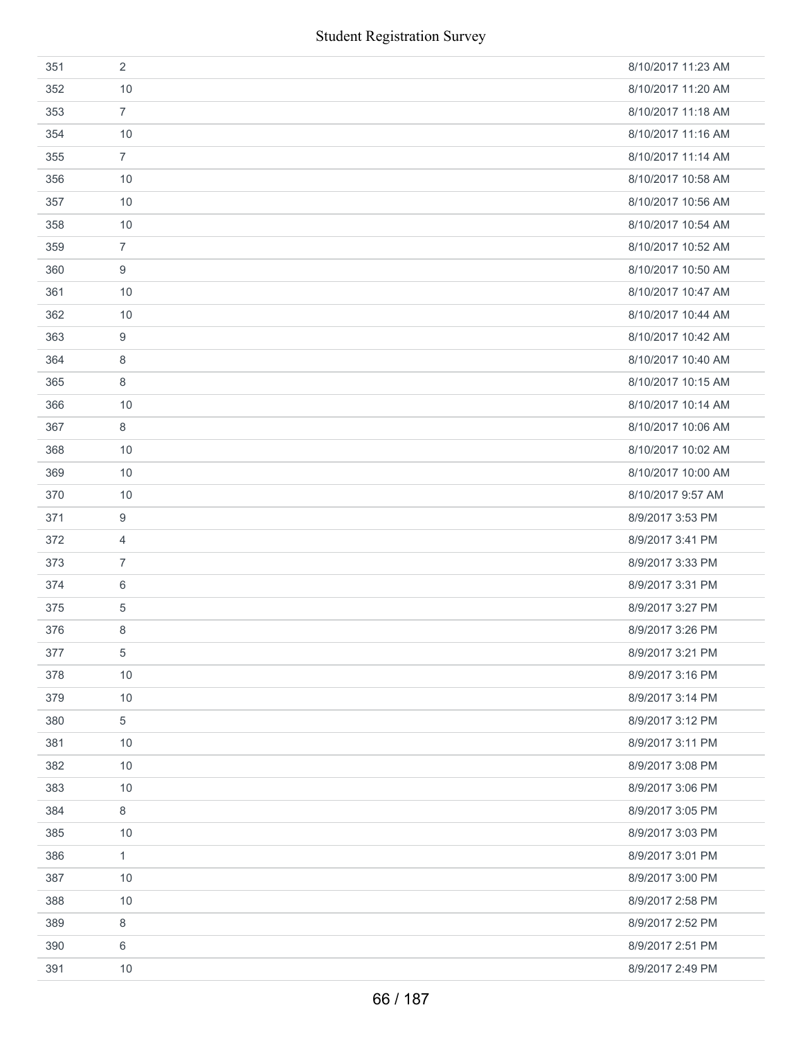| 351 | 2              | 8/10/2017 11:23 AM |
|-----|----------------|--------------------|
| 352 | 10             | 8/10/2017 11:20 AM |
| 353 | $\overline{7}$ | 8/10/2017 11:18 AM |
| 354 | 10             | 8/10/2017 11:16 AM |
| 355 | $\overline{7}$ | 8/10/2017 11:14 AM |
| 356 | 10             | 8/10/2017 10:58 AM |
| 357 | 10             | 8/10/2017 10:56 AM |
| 358 | 10             | 8/10/2017 10:54 AM |
| 359 | $\overline{7}$ | 8/10/2017 10:52 AM |
| 360 | 9              | 8/10/2017 10:50 AM |
| 361 | 10             | 8/10/2017 10:47 AM |
| 362 | 10             | 8/10/2017 10:44 AM |
| 363 | 9              | 8/10/2017 10:42 AM |
| 364 | 8              | 8/10/2017 10:40 AM |
| 365 | 8              | 8/10/2017 10:15 AM |
| 366 | 10             | 8/10/2017 10:14 AM |
| 367 | 8              | 8/10/2017 10:06 AM |
| 368 | 10             | 8/10/2017 10:02 AM |
| 369 | 10             | 8/10/2017 10:00 AM |
| 370 | 10             | 8/10/2017 9:57 AM  |
| 371 | 9              | 8/9/2017 3:53 PM   |
| 372 | 4              | 8/9/2017 3:41 PM   |
| 373 | $\overline{7}$ | 8/9/2017 3:33 PM   |
| 374 | 6              | 8/9/2017 3:31 PM   |
| 375 | 5              | 8/9/2017 3:27 PM   |
| 376 | 8              | 8/9/2017 3:26 PM   |
| 377 | 5              | 8/9/2017 3:21 PM   |
| 378 | 10             | 8/9/2017 3:16 PM   |
| 379 | 10             | 8/9/2017 3:14 PM   |
| 380 | 5              | 8/9/2017 3:12 PM   |
| 381 | 10             | 8/9/2017 3:11 PM   |
| 382 | 10             | 8/9/2017 3:08 PM   |
| 383 | 10             | 8/9/2017 3:06 PM   |
| 384 | 8              | 8/9/2017 3:05 PM   |
| 385 | 10             | 8/9/2017 3:03 PM   |
| 386 | $\mathbf{1}$   | 8/9/2017 3:01 PM   |
| 387 | 10             | 8/9/2017 3:00 PM   |
| 388 | 10             | 8/9/2017 2:58 PM   |
| 389 | 8              | 8/9/2017 2:52 PM   |
| 390 | 6              | 8/9/2017 2:51 PM   |
| 391 | 10             | 8/9/2017 2:49 PM   |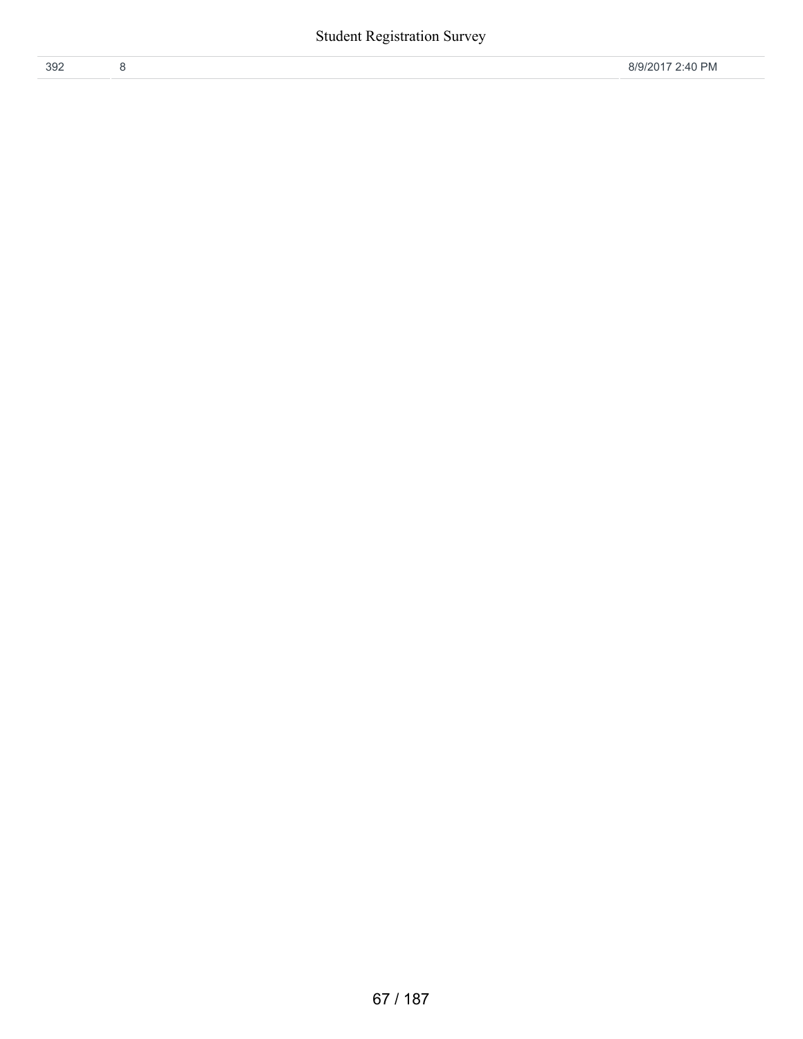| 392 |  |  |
|-----|--|--|
|     |  |  |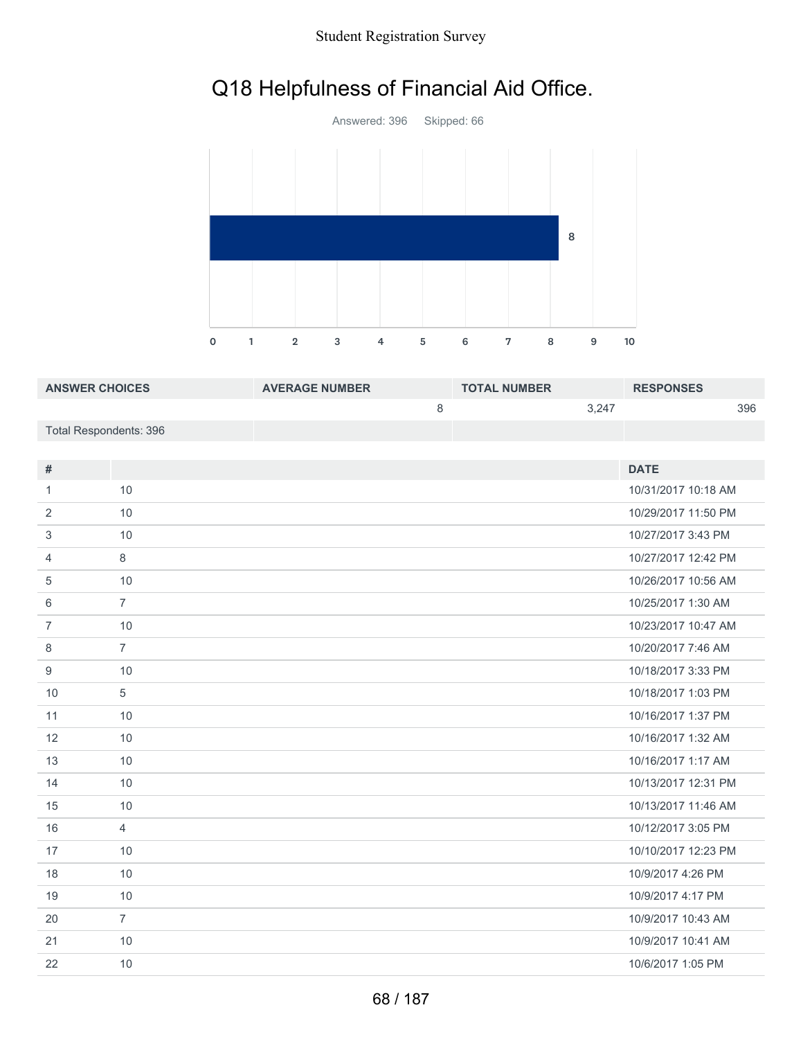#### Student Registration Survey

# Q18 Helpfulness of Financial Aid Office.



| <b>ANSWER CHOICES</b>  | <b>AVERAGE NUMBER</b> | <b>TOTAL NUMBER</b> | <b>RESPONSES</b> |
|------------------------|-----------------------|---------------------|------------------|
|                        |                       | 3.247               | 396              |
| Total Respondents: 396 |                       |                     |                  |

| #              |                | <b>DATE</b>         |
|----------------|----------------|---------------------|
| 1.             | 10             | 10/31/2017 10:18 AM |
| 2              | 10             | 10/29/2017 11:50 PM |
| 3              | 10             | 10/27/2017 3:43 PM  |
| 4              | 8              | 10/27/2017 12:42 PM |
| 5              | 10             | 10/26/2017 10:56 AM |
| 6              | $\overline{7}$ | 10/25/2017 1:30 AM  |
| $\overline{7}$ | 10             | 10/23/2017 10:47 AM |
| 8              | $\overline{7}$ | 10/20/2017 7:46 AM  |
| 9              | 10             | 10/18/2017 3:33 PM  |
| 10             | 5              | 10/18/2017 1:03 PM  |
| 11             | 10             | 10/16/2017 1:37 PM  |
| 12             | 10             | 10/16/2017 1:32 AM  |
| 13             | 10             | 10/16/2017 1:17 AM  |
| 14             | 10             | 10/13/2017 12:31 PM |
| 15             | 10             | 10/13/2017 11:46 AM |
| 16             | $\overline{4}$ | 10/12/2017 3:05 PM  |
| 17             | 10             | 10/10/2017 12:23 PM |
| 18             | 10             | 10/9/2017 4:26 PM   |
| 19             | 10             | 10/9/2017 4:17 PM   |
| 20             | $\overline{7}$ | 10/9/2017 10:43 AM  |
| 21             | 10             | 10/9/2017 10:41 AM  |
| 22             | 10             | 10/6/2017 1:05 PM   |
|                |                |                     |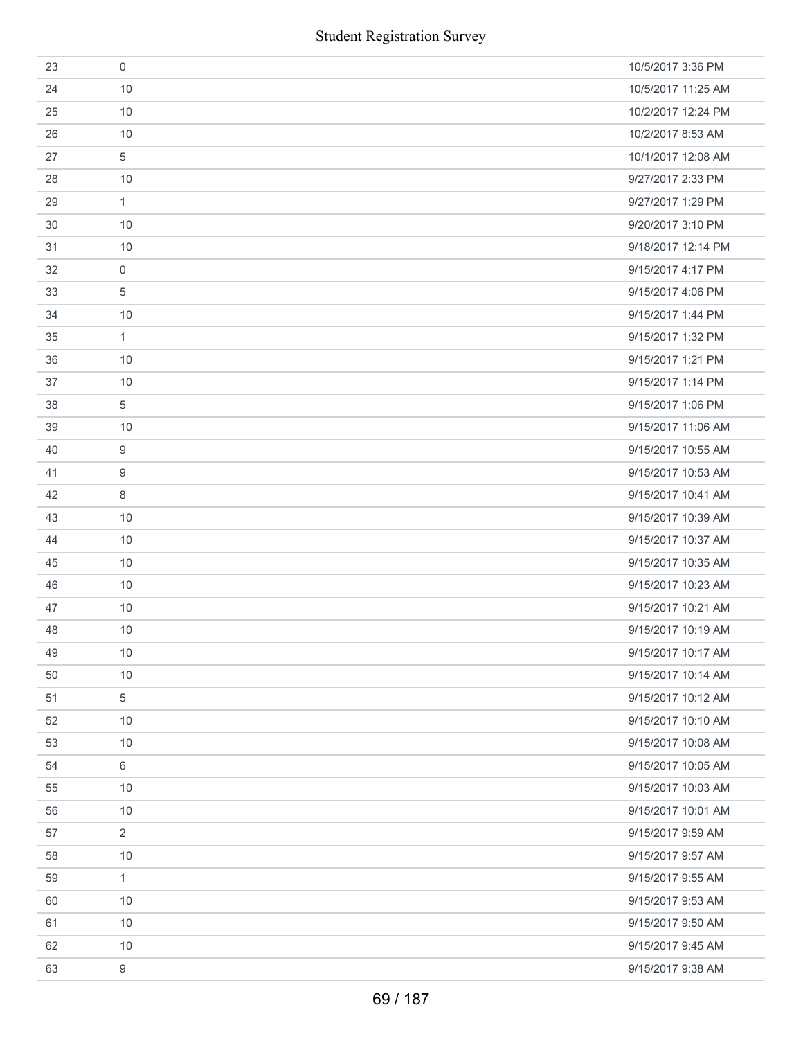|    | <b>Student Registration Survey</b> |                    |
|----|------------------------------------|--------------------|
| 23 | $\mathbf 0$                        | 10/5/2017 3:36 PM  |
| 24 | 10                                 | 10/5/2017 11:25 AM |
| 25 | 10                                 | 10/2/2017 12:24 PM |
| 26 | 10                                 | 10/2/2017 8:53 AM  |
| 27 | 5                                  | 10/1/2017 12:08 AM |
| 28 | 10                                 | 9/27/2017 2:33 PM  |
| 29 | 1                                  | 9/27/2017 1:29 PM  |
| 30 | 10                                 | 9/20/2017 3:10 PM  |
| 31 | 10                                 | 9/18/2017 12:14 PM |
| 32 | $\boldsymbol{0}$                   | 9/15/2017 4:17 PM  |
| 33 | 5                                  | 9/15/2017 4:06 PM  |
| 34 | 10                                 | 9/15/2017 1:44 PM  |
| 35 | $\mathbf{1}$                       | 9/15/2017 1:32 PM  |
| 36 | 10                                 | 9/15/2017 1:21 PM  |
| 37 | 10                                 | 9/15/2017 1:14 PM  |
| 38 | 5                                  | 9/15/2017 1:06 PM  |
| 39 | 10                                 | 9/15/2017 11:06 AM |
| 40 | 9                                  | 9/15/2017 10:55 AM |
| 41 | 9                                  | 9/15/2017 10:53 AM |
| 42 | 8                                  | 9/15/2017 10:41 AM |
| 43 | 10                                 | 9/15/2017 10:39 AM |
| 44 | 10                                 | 9/15/2017 10:37 AM |
| 45 | 10                                 | 9/15/2017 10:35 AM |
| 46 | 10                                 | 9/15/2017 10:23 AM |
| 47 | 10                                 | 9/15/2017 10:21 AM |
| 48 | 10                                 | 9/15/2017 10:19 AM |
| 49 | 10                                 | 9/15/2017 10:17 AM |
| 50 | 10                                 | 9/15/2017 10:14 AM |
| 51 | 5                                  | 9/15/2017 10:12 AM |
| 52 | 10                                 | 9/15/2017 10:10 AM |
| 53 | 10                                 | 9/15/2017 10:08 AM |
| 54 | 6                                  | 9/15/2017 10:05 AM |
| 55 | 10                                 | 9/15/2017 10:03 AM |
| 56 | 10                                 | 9/15/2017 10:01 AM |
| 57 | $\overline{2}$                     | 9/15/2017 9:59 AM  |
| 58 | 10                                 | 9/15/2017 9:57 AM  |
| 59 | 1                                  | 9/15/2017 9:55 AM  |
| 60 | 10                                 | 9/15/2017 9:53 AM  |
| 61 | 10                                 | 9/15/2017 9:50 AM  |
| 62 | 10                                 | 9/15/2017 9:45 AM  |
| 63 | $\boldsymbol{9}$                   | 9/15/2017 9:38 AM  |
|    | 69 / 187                           |                    |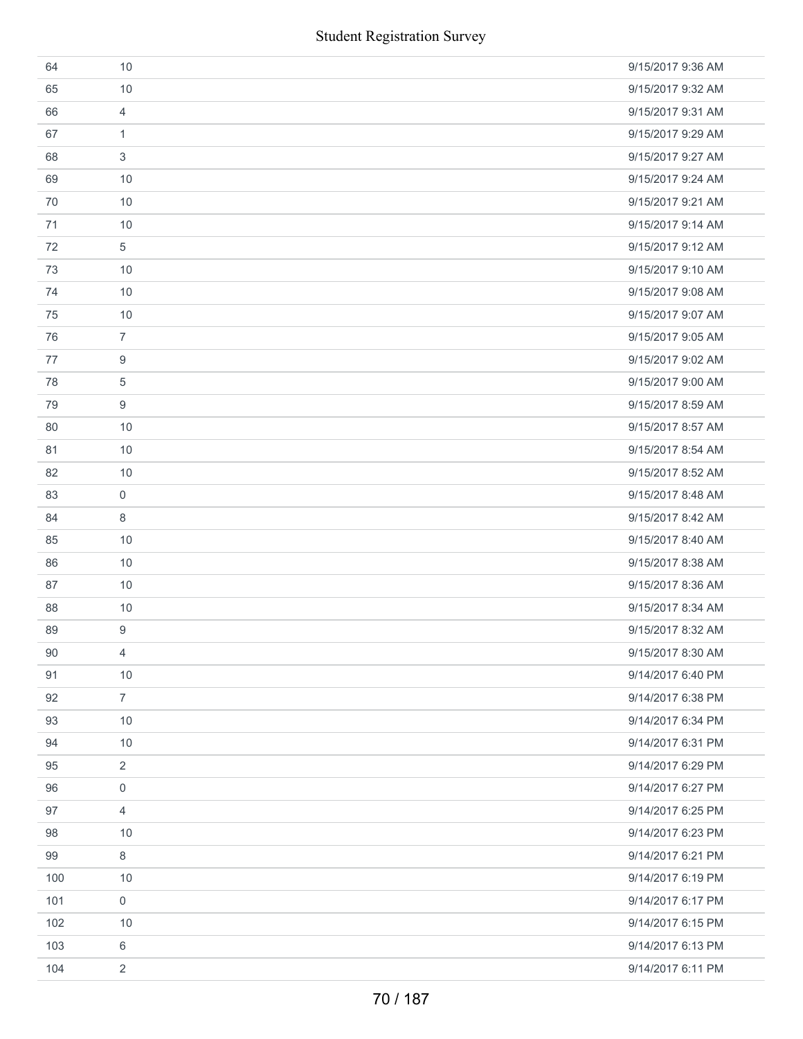| <b>Student Registration Survey</b> |                |                   |  |
|------------------------------------|----------------|-------------------|--|
| 64                                 | 10             | 9/15/2017 9:36 AM |  |
| 65                                 | 10             | 9/15/2017 9:32 AM |  |
| 66                                 | $\overline{4}$ | 9/15/2017 9:31 AM |  |
| 67                                 | $\mathbf{1}$   | 9/15/2017 9:29 AM |  |
| 68                                 | 3              | 9/15/2017 9:27 AM |  |
| 69                                 | 10             | 9/15/2017 9:24 AM |  |
| 70                                 | 10             | 9/15/2017 9:21 AM |  |
| 71                                 | 10             | 9/15/2017 9:14 AM |  |
| 72                                 | 5              | 9/15/2017 9:12 AM |  |
| 73                                 | 10             | 9/15/2017 9:10 AM |  |
| 74                                 | 10             | 9/15/2017 9:08 AM |  |
| 75                                 | 10             | 9/15/2017 9:07 AM |  |
| 76                                 | $\overline{7}$ | 9/15/2017 9:05 AM |  |
| 77                                 | 9              | 9/15/2017 9:02 AM |  |
| 78                                 | 5              | 9/15/2017 9:00 AM |  |
| 79                                 | 9              | 9/15/2017 8:59 AM |  |
| 80                                 | 10             | 9/15/2017 8:57 AM |  |
| 81                                 | 10             | 9/15/2017 8:54 AM |  |
| 82                                 | 10             | 9/15/2017 8:52 AM |  |
| 83                                 | $\mathbf 0$    | 9/15/2017 8:48 AM |  |
| 84                                 | 8              | 9/15/2017 8:42 AM |  |
| 85                                 | 10             | 9/15/2017 8:40 AM |  |
| 86                                 | 10             | 9/15/2017 8:38 AM |  |
| 87                                 | 10             | 9/15/2017 8:36 AM |  |
| 88                                 | 10             | 9/15/2017 8:34 AM |  |
| 89                                 | 9              | 9/15/2017 8:32 AM |  |
| 90                                 | 4              | 9/15/2017 8:30 AM |  |
| 91                                 | 10             | 9/14/2017 6:40 PM |  |
| 92                                 | $\overline{7}$ | 9/14/2017 6:38 PM |  |
| 93                                 | 10             | 9/14/2017 6:34 PM |  |
| 94                                 | 10             | 9/14/2017 6:31 PM |  |
| 95                                 | 2              | 9/14/2017 6:29 PM |  |
| 96                                 | 0              | 9/14/2017 6:27 PM |  |
| 97                                 | 4              | 9/14/2017 6:25 PM |  |
| 98                                 | 10             | 9/14/2017 6:23 PM |  |
| 99                                 | 8              | 9/14/2017 6:21 PM |  |
| 100                                | 10             | 9/14/2017 6:19 PM |  |
| 101                                | 0              | 9/14/2017 6:17 PM |  |
| 102                                | 10             | 9/14/2017 6:15 PM |  |
| 103                                | 6              | 9/14/2017 6:13 PM |  |
| 104                                | $\overline{2}$ | 9/14/2017 6:11 PM |  |
|                                    | 70 / 187       |                   |  |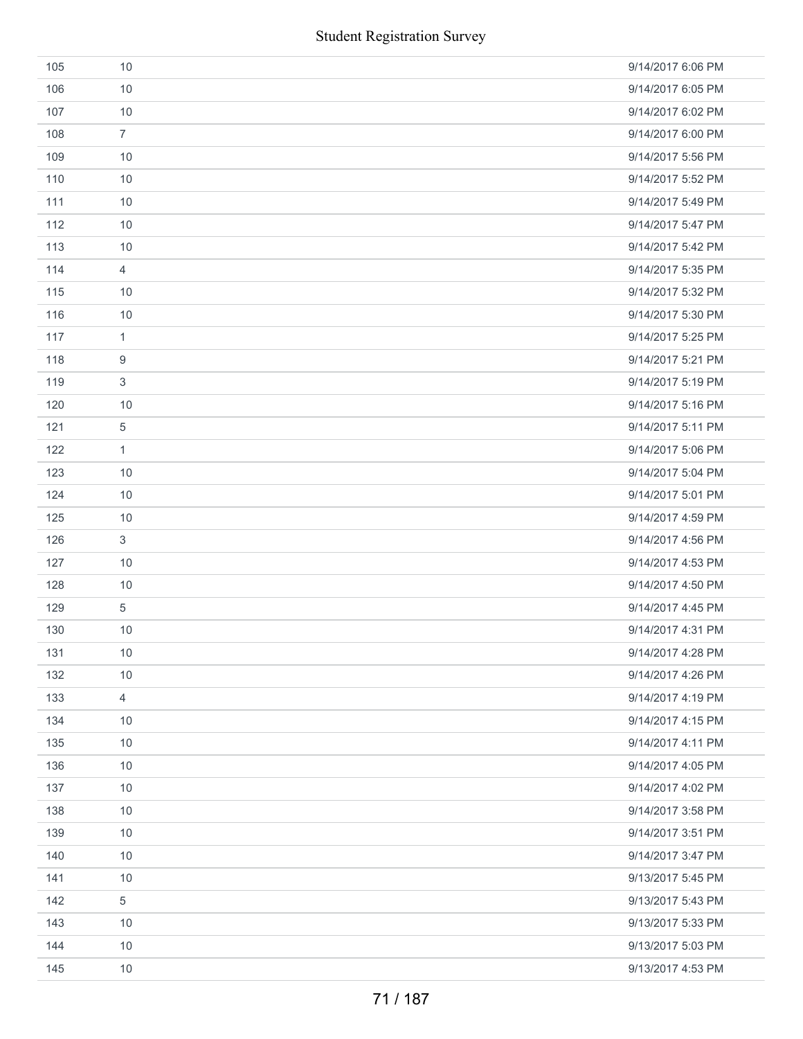| <b>Student Registration Survey</b> |                |                   |  |
|------------------------------------|----------------|-------------------|--|
| 105                                | 10             | 9/14/2017 6:06 PM |  |
| 106                                | 10             | 9/14/2017 6:05 PM |  |
| 107                                | 10             | 9/14/2017 6:02 PM |  |
| 108                                | $\overline{7}$ | 9/14/2017 6:00 PM |  |
| 109                                | 10             | 9/14/2017 5:56 PM |  |
| 110                                | 10             | 9/14/2017 5:52 PM |  |
| 111                                | 10             | 9/14/2017 5:49 PM |  |
| 112                                | 10             | 9/14/2017 5:47 PM |  |
| 113                                | 10             | 9/14/2017 5:42 PM |  |
| 114                                | $\overline{4}$ | 9/14/2017 5:35 PM |  |
| 115                                | 10             | 9/14/2017 5:32 PM |  |
| 116                                | 10             | 9/14/2017 5:30 PM |  |
| 117                                | $\mathbf{1}$   | 9/14/2017 5:25 PM |  |
| 118                                | 9              | 9/14/2017 5:21 PM |  |
| 119                                | 3              | 9/14/2017 5:19 PM |  |
| 120                                | 10             | 9/14/2017 5:16 PM |  |
| 121                                | $\sqrt{5}$     | 9/14/2017 5:11 PM |  |
| 122                                | $\mathbf{1}$   | 9/14/2017 5:06 PM |  |
| 123                                | 10             | 9/14/2017 5:04 PM |  |
| 124                                | 10             | 9/14/2017 5:01 PM |  |
| 125                                | 10             | 9/14/2017 4:59 PM |  |
| 126                                | $\mathfrak{S}$ | 9/14/2017 4:56 PM |  |
| 127                                | 10             | 9/14/2017 4:53 PM |  |
| 128                                | 10             | 9/14/2017 4:50 PM |  |
| 129                                | 5              | 9/14/2017 4:45 PM |  |
| 130                                | 10             | 9/14/2017 4:31 PM |  |
| 131                                | 10             | 9/14/2017 4:28 PM |  |
| 132                                | 10             | 9/14/2017 4:26 PM |  |
| 133                                | $\overline{4}$ | 9/14/2017 4:19 PM |  |
| 134                                | 10             | 9/14/2017 4:15 PM |  |
| 135                                | 10             | 9/14/2017 4:11 PM |  |
| 136                                | 10             | 9/14/2017 4:05 PM |  |
| 137                                | 10             | 9/14/2017 4:02 PM |  |
| 138                                | 10             | 9/14/2017 3:58 PM |  |
| 139                                | 10             | 9/14/2017 3:51 PM |  |
| 140                                | 10             | 9/14/2017 3:47 PM |  |
| 141                                | 10             | 9/13/2017 5:45 PM |  |
| 142                                | 5              | 9/13/2017 5:43 PM |  |
| 143                                | 10             | 9/13/2017 5:33 PM |  |
| 144                                | 10             | 9/13/2017 5:03 PM |  |
| 145                                | 10             | 9/13/2017 4:53 PM |  |
|                                    | 71 / 187       |                   |  |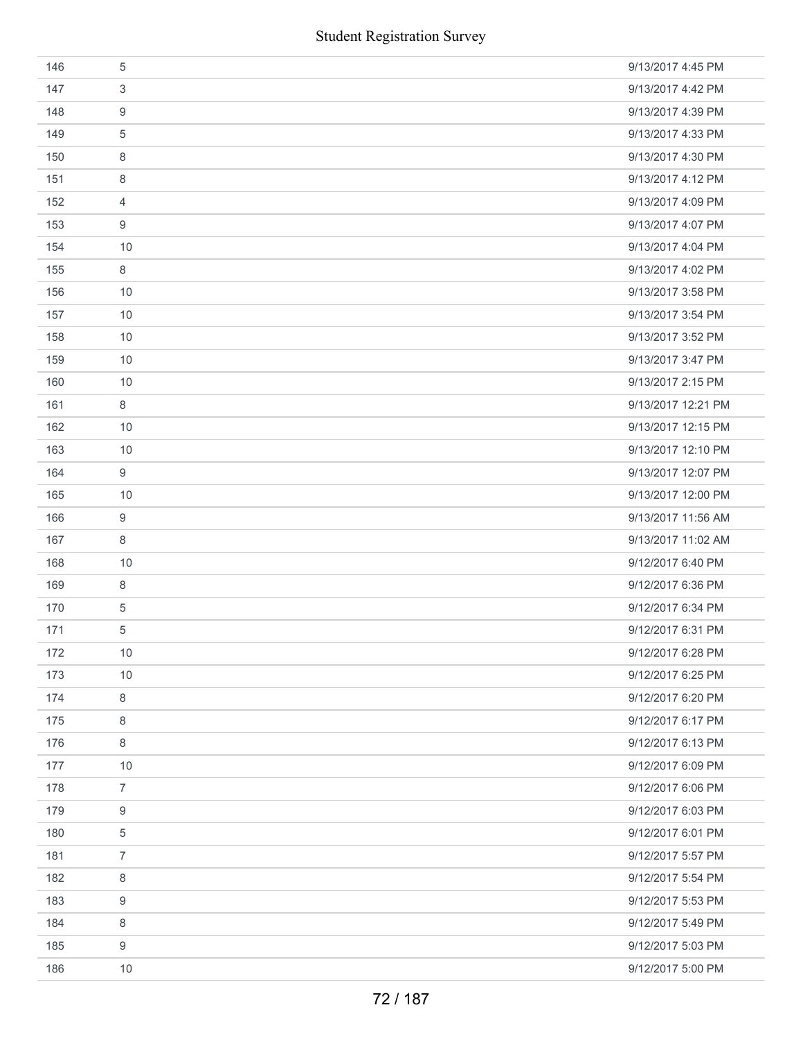|     |                  | <b>Student Registration Survey</b> |
|-----|------------------|------------------------------------|
| 146 | $\sqrt{5}$       | 9/13/2017 4:45 PM                  |
| 147 | $\sqrt{3}$       | 9/13/2017 4:42 PM                  |
| 148 | 9                | 9/13/2017 4:39 PM                  |
| 149 | 5                | 9/13/2017 4:33 PM                  |
| 150 | 8                | 9/13/2017 4:30 PM                  |
| 151 | 8                | 9/13/2017 4:12 PM                  |
| 152 | 4                | 9/13/2017 4:09 PM                  |
| 153 | $\boldsymbol{9}$ | 9/13/2017 4:07 PM                  |
| 154 | 10               | 9/13/2017 4:04 PM                  |
| 155 | $\,8\,$          | 9/13/2017 4:02 PM                  |
| 156 | 10               | 9/13/2017 3:58 PM                  |
| 157 | 10               | 9/13/2017 3:54 PM                  |
| 158 | 10               | 9/13/2017 3:52 PM                  |
| 159 | 10               | 9/13/2017 3:47 PM                  |
| 160 | 10               | 9/13/2017 2:15 PM                  |
| 161 | $\,8\,$          | 9/13/2017 12:21 PM                 |
| 162 | 10               | 9/13/2017 12:15 PM                 |
| 163 | 10               | 9/13/2017 12:10 PM                 |
| 164 | 9                | 9/13/2017 12:07 PM                 |
| 165 | 10               | 9/13/2017 12:00 PM                 |
| 166 | $\boldsymbol{9}$ | 9/13/2017 11:56 AM                 |
| 167 | 8                | 9/13/2017 11:02 AM                 |
| 168 | 10               | 9/12/2017 6:40 PM                  |
| 169 | $\,8\,$          | 9/12/2017 6:36 PM                  |
| 170 | $\sqrt{5}$       | 9/12/2017 6:34 PM                  |
| 171 | 5                | 9/12/2017 6:31 PM                  |
| 172 | 10               | 9/12/2017 6:28 PM                  |
| 173 | 10               | 9/12/2017 6:25 PM                  |
| 174 | 8                | 9/12/2017 6:20 PM                  |
| 175 | 8                | 9/12/2017 6:17 PM                  |
| 176 | 8                | 9/12/2017 6:13 PM                  |
| 177 | 10               | 9/12/2017 6:09 PM                  |
| 178 | $\overline{7}$   | 9/12/2017 6:06 PM                  |
| 179 | $\boldsymbol{9}$ | 9/12/2017 6:03 PM                  |
| 180 | $\,$ 5 $\,$      | 9/12/2017 6:01 PM                  |
| 181 | $\overline{7}$   | 9/12/2017 5:57 PM                  |
| 182 | 8                | 9/12/2017 5:54 PM                  |
| 183 | 9                | 9/12/2017 5:53 PM                  |
| 184 | $\,8\,$          | 9/12/2017 5:49 PM                  |
| 185 | 9                | 9/12/2017 5:03 PM                  |
| 186 | 10               | 9/12/2017 5:00 PM                  |
|     |                  | 72 / 187                           |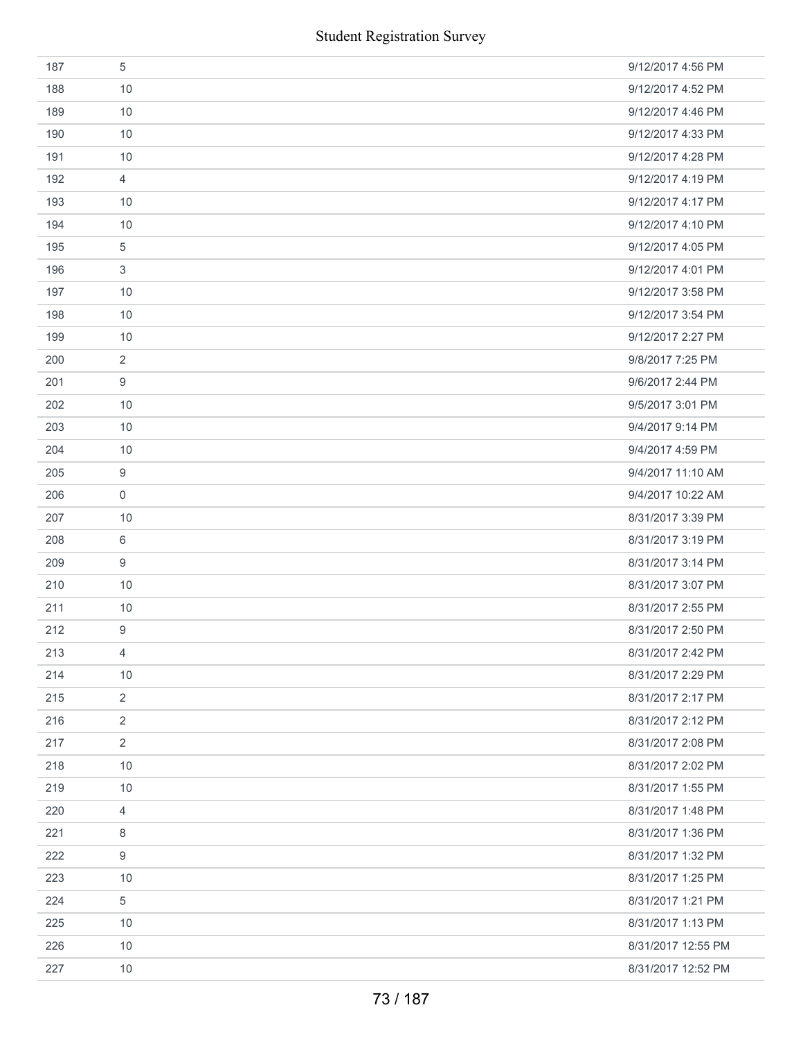| 187 | 5              | 9/12/2017 4:56 PM  |
|-----|----------------|--------------------|
| 188 | 10             | 9/12/2017 4:52 PM  |
| 189 | 10             | 9/12/2017 4:46 PM  |
| 190 | 10             | 9/12/2017 4:33 PM  |
| 191 | 10             | 9/12/2017 4:28 PM  |
| 192 | 4              | 9/12/2017 4:19 PM  |
| 193 | 10             | 9/12/2017 4:17 PM  |
| 194 | 10             | 9/12/2017 4:10 PM  |
| 195 | 5              | 9/12/2017 4:05 PM  |
| 196 | 3              | 9/12/2017 4:01 PM  |
| 197 | 10             | 9/12/2017 3:58 PM  |
| 198 | 10             | 9/12/2017 3:54 PM  |
| 199 | 10             | 9/12/2017 2:27 PM  |
| 200 | 2              | 9/8/2017 7:25 PM   |
| 201 | 9              | 9/6/2017 2:44 PM   |
| 202 | 10             | 9/5/2017 3:01 PM   |
| 203 | 10             | 9/4/2017 9:14 PM   |
| 204 | 10             | 9/4/2017 4:59 PM   |
| 205 | 9              | 9/4/2017 11:10 AM  |
| 206 | $\mathbf 0$    | 9/4/2017 10:22 AM  |
| 207 | 10             | 8/31/2017 3:39 PM  |
| 208 | 6              | 8/31/2017 3:19 PM  |
| 209 | 9              | 8/31/2017 3:14 PM  |
| 210 | 10             | 8/31/2017 3:07 PM  |
| 211 | 10             | 8/31/2017 2:55 PM  |
| 212 | 9              | 8/31/2017 2:50 PM  |
| 213 | $\overline{4}$ | 8/31/2017 2:42 PM  |
| 214 | 10             | 8/31/2017 2:29 PM  |
| 215 | 2              | 8/31/2017 2:17 PM  |
| 216 | $\overline{2}$ | 8/31/2017 2:12 PM  |
| 217 | $\overline{2}$ | 8/31/2017 2:08 PM  |
| 218 | 10             | 8/31/2017 2:02 PM  |
| 219 | 10             | 8/31/2017 1:55 PM  |
| 220 | $\overline{4}$ | 8/31/2017 1:48 PM  |
| 221 | 8              | 8/31/2017 1:36 PM  |
| 222 | 9              | 8/31/2017 1:32 PM  |
| 223 | 10             | 8/31/2017 1:25 PM  |
| 224 | 5              | 8/31/2017 1:21 PM  |
| 225 | 10             | 8/31/2017 1:13 PM  |
| 226 | 10             | 8/31/2017 12:55 PM |
| 227 | $10$           | 8/31/2017 12:52 PM |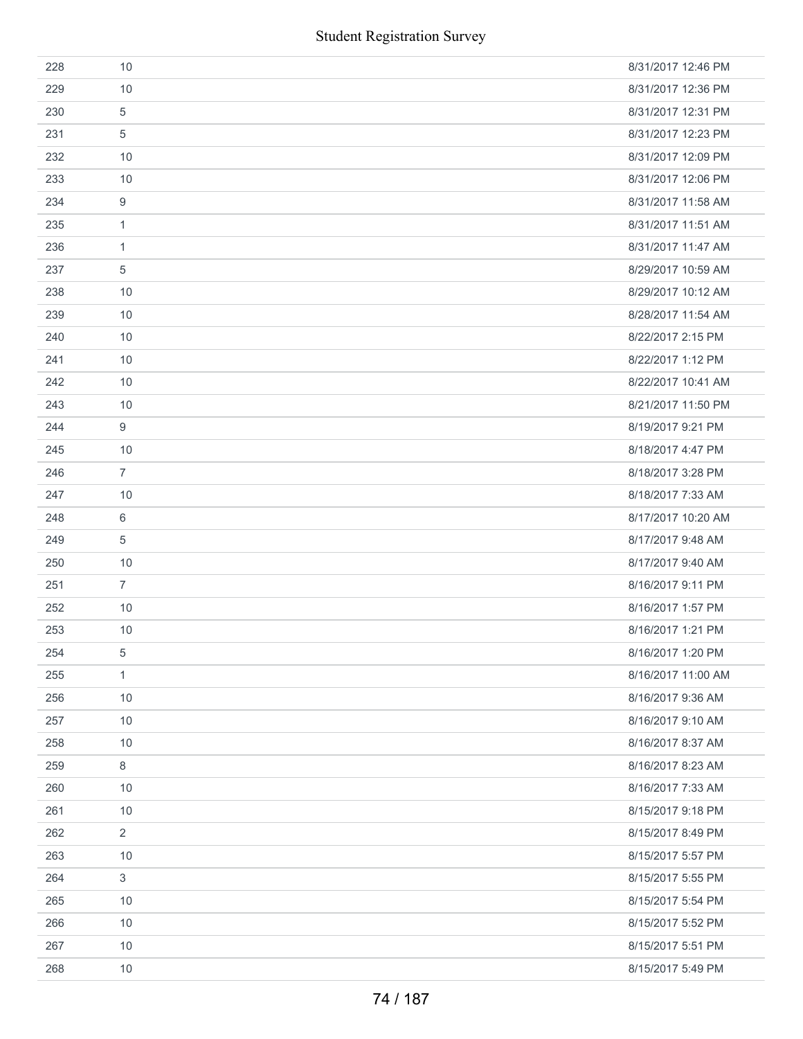| 228 | 10             | 8/31/2017 12:46 PM |
|-----|----------------|--------------------|
| 229 | 10             | 8/31/2017 12:36 PM |
| 230 | 5              | 8/31/2017 12:31 PM |
| 231 | 5              | 8/31/2017 12:23 PM |
| 232 | 10             | 8/31/2017 12:09 PM |
| 233 | 10             | 8/31/2017 12:06 PM |
| 234 | 9              | 8/31/2017 11:58 AM |
| 235 | $\mathbf{1}$   | 8/31/2017 11:51 AM |
| 236 | $\mathbf{1}$   | 8/31/2017 11:47 AM |
| 237 | 5              | 8/29/2017 10:59 AM |
| 238 | 10             | 8/29/2017 10:12 AM |
| 239 | 10             | 8/28/2017 11:54 AM |
| 240 | 10             | 8/22/2017 2:15 PM  |
| 241 | 10             | 8/22/2017 1:12 PM  |
| 242 | 10             | 8/22/2017 10:41 AM |
| 243 | 10             | 8/21/2017 11:50 PM |
| 244 | 9              | 8/19/2017 9:21 PM  |
| 245 | 10             | 8/18/2017 4:47 PM  |
| 246 | $\overline{7}$ | 8/18/2017 3:28 PM  |
| 247 | 10             | 8/18/2017 7:33 AM  |
| 248 | 6              | 8/17/2017 10:20 AM |
| 249 | 5              | 8/17/2017 9:48 AM  |
| 250 | 10             | 8/17/2017 9:40 AM  |
| 251 | $\overline{7}$ | 8/16/2017 9:11 PM  |
| 252 | 10             | 8/16/2017 1:57 PM  |
| 253 | 10             | 8/16/2017 1:21 PM  |
| 254 | 5              | 8/16/2017 1:20 PM  |
| 255 | 1              | 8/16/2017 11:00 AM |
| 256 | 10             | 8/16/2017 9:36 AM  |
| 257 | 10             | 8/16/2017 9:10 AM  |
| 258 | 10             | 8/16/2017 8:37 AM  |
| 259 | 8              | 8/16/2017 8:23 AM  |
| 260 | 10             | 8/16/2017 7:33 AM  |
| 261 | $10$           | 8/15/2017 9:18 PM  |
| 262 | $\sqrt{2}$     | 8/15/2017 8:49 PM  |
| 263 | 10             | 8/15/2017 5:57 PM  |
| 264 | 3              | 8/15/2017 5:55 PM  |
| 265 | 10             | 8/15/2017 5:54 PM  |
| 266 | 10             | 8/15/2017 5:52 PM  |
| 267 | 10             | 8/15/2017 5:51 PM  |
| 268 | 10             | 8/15/2017 5:49 PM  |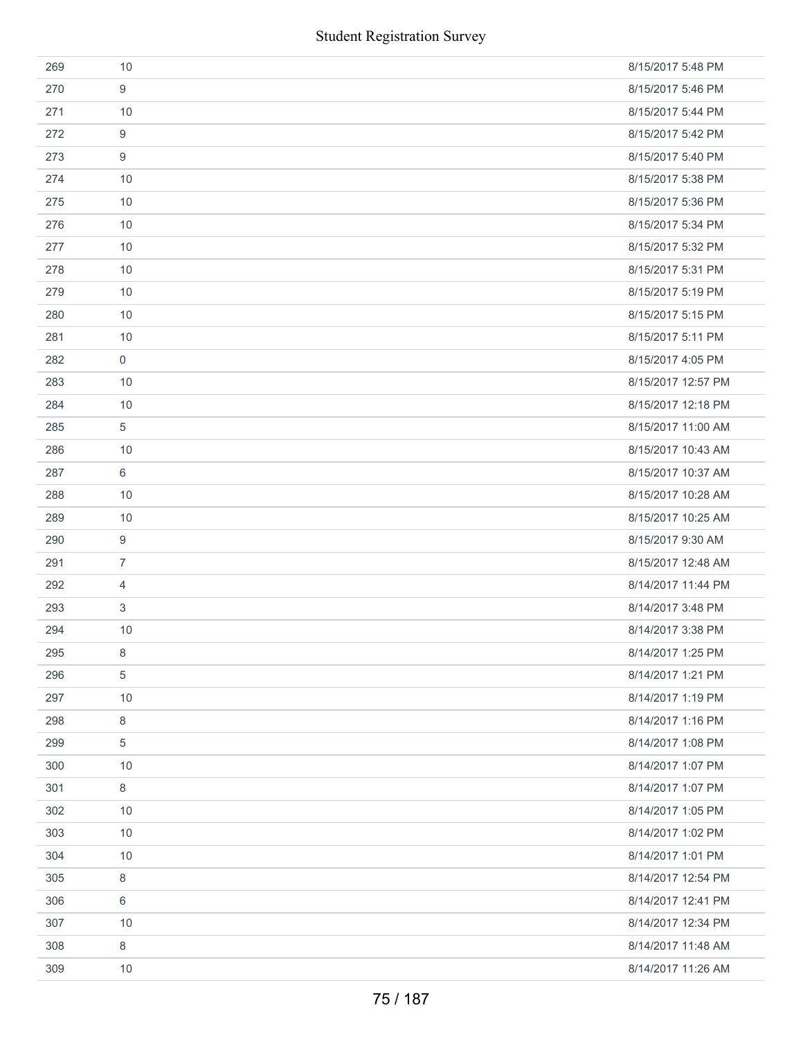|     |                     | <b>Student Registration Survey</b> |
|-----|---------------------|------------------------------------|
| 269 | 10                  | 8/15/2017 5:48 PM                  |
| 270 | 9                   | 8/15/2017 5:46 PM                  |
| 271 | 10                  | 8/15/2017 5:44 PM                  |
| 272 | 9                   | 8/15/2017 5:42 PM                  |
| 273 | 9                   | 8/15/2017 5:40 PM                  |
| 274 | 10                  | 8/15/2017 5:38 PM                  |
| 275 | 10                  | 8/15/2017 5:36 PM                  |
| 276 | 10                  | 8/15/2017 5:34 PM                  |
| 277 | 10                  | 8/15/2017 5:32 PM                  |
| 278 | 10                  | 8/15/2017 5:31 PM                  |
| 279 | 10                  | 8/15/2017 5:19 PM                  |
| 280 | 10                  | 8/15/2017 5:15 PM                  |
| 281 | 10                  | 8/15/2017 5:11 PM                  |
| 282 | $\mathsf{O}\xspace$ | 8/15/2017 4:05 PM                  |
| 283 | 10                  | 8/15/2017 12:57 PM                 |
| 284 | 10                  | 8/15/2017 12:18 PM                 |
| 285 | $\overline{5}$      | 8/15/2017 11:00 AM                 |
| 286 | 10                  | 8/15/2017 10:43 AM                 |
| 287 | 6                   | 8/15/2017 10:37 AM                 |
| 288 | 10                  | 8/15/2017 10:28 AM                 |
| 289 | 10                  | 8/15/2017 10:25 AM                 |
| 290 | 9                   | 8/15/2017 9:30 AM                  |
| 291 | $\overline{7}$      | 8/15/2017 12:48 AM                 |
| 292 | $\overline{4}$      | 8/14/2017 11:44 PM                 |
| 293 | $\,3$               | 8/14/2017 3:48 PM                  |
| 294 | 10                  | 8/14/2017 3:38 PM                  |
| 295 | 8                   | 8/14/2017 1:25 PM                  |
| 296 | $\,$ 5 $\,$         | 8/14/2017 1:21 PM                  |
| 297 | 10                  | 8/14/2017 1:19 PM                  |
| 298 | 8                   | 8/14/2017 1:16 PM                  |
| 299 | 5                   | 8/14/2017 1:08 PM                  |
| 300 | 10                  | 8/14/2017 1:07 PM                  |
| 301 | 8                   | 8/14/2017 1:07 PM                  |
| 302 | 10                  | 8/14/2017 1:05 PM                  |
| 303 | 10                  | 8/14/2017 1:02 PM                  |
| 304 | 10                  | 8/14/2017 1:01 PM                  |
| 305 | $\,8\,$             | 8/14/2017 12:54 PM                 |
| 306 | 6                   | 8/14/2017 12:41 PM                 |
| 307 | 10                  | 8/14/2017 12:34 PM                 |
| 308 | $\,8\,$             | 8/14/2017 11:48 AM                 |
| 309 | 10                  | 8/14/2017 11:26 AM                 |
|     |                     | 75 / 187                           |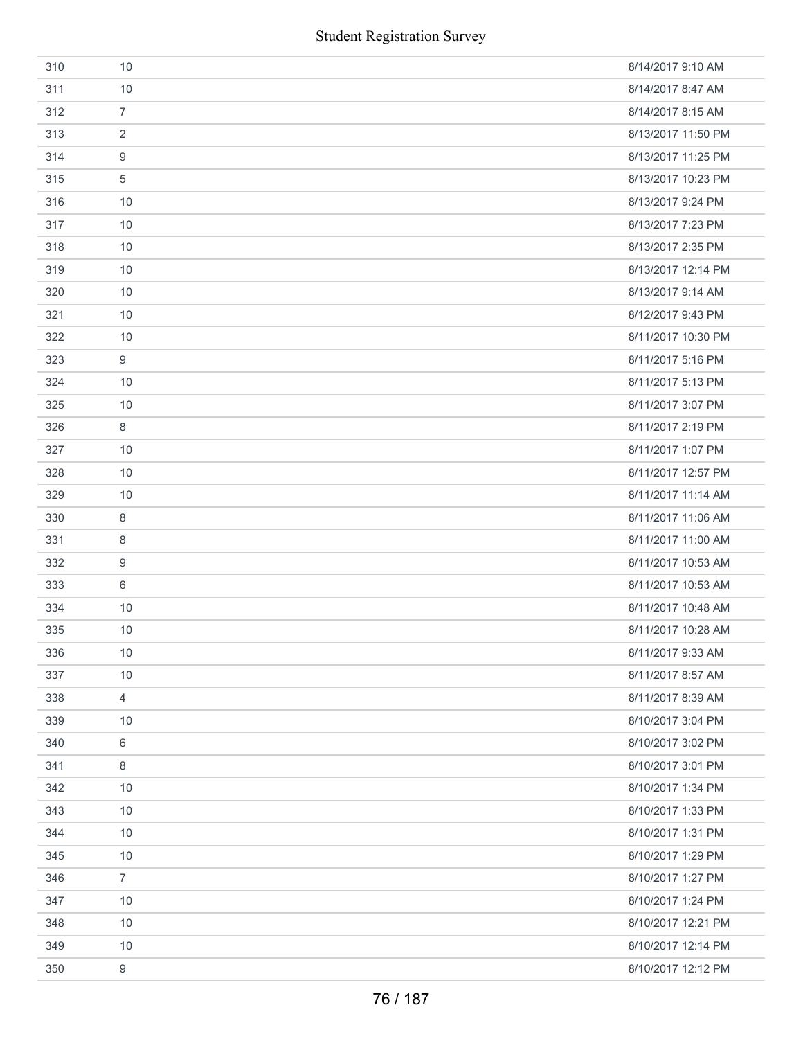|     |                | <b>Student Registration Survey</b> |
|-----|----------------|------------------------------------|
| 310 | 10             | 8/14/2017 9:10 AM                  |
| 311 | 10             | 8/14/2017 8:47 AM                  |
| 312 | $\overline{7}$ | 8/14/2017 8:15 AM                  |
| 313 | 2              | 8/13/2017 11:50 PM                 |
| 314 | 9              | 8/13/2017 11:25 PM                 |
| 315 | 5              | 8/13/2017 10:23 PM                 |
| 316 | 10             | 8/13/2017 9:24 PM                  |
| 317 | 10             | 8/13/2017 7:23 PM                  |
| 318 | 10             | 8/13/2017 2:35 PM                  |
| 319 | 10             | 8/13/2017 12:14 PM                 |
| 320 | 10             | 8/13/2017 9:14 AM                  |
| 321 | 10             | 8/12/2017 9:43 PM                  |
| 322 | 10             | 8/11/2017 10:30 PM                 |
| 323 | 9              | 8/11/2017 5:16 PM                  |
| 324 | 10             | 8/11/2017 5:13 PM                  |
| 325 | 10             | 8/11/2017 3:07 PM                  |
| 326 | 8              | 8/11/2017 2:19 PM                  |
| 327 | 10             | 8/11/2017 1:07 PM                  |
| 328 | 10             | 8/11/2017 12:57 PM                 |
| 329 | 10             | 8/11/2017 11:14 AM                 |
| 330 | 8              | 8/11/2017 11:06 AM                 |
| 331 | 8              | 8/11/2017 11:00 AM                 |
| 332 | 9              | 8/11/2017 10:53 AM                 |
| 333 | 6              | 8/11/2017 10:53 AM                 |
| 334 | 10             | 8/11/2017 10:48 AM                 |
| 335 | 10             | 8/11/2017 10:28 AM                 |
| 336 | 10             | 8/11/2017 9:33 AM                  |
| 337 | 10             | 8/11/2017 8:57 AM                  |
| 338 | 4              | 8/11/2017 8:39 AM                  |
| 339 | 10             | 8/10/2017 3:04 PM                  |
| 340 | 6              | 8/10/2017 3:02 PM                  |
| 341 | 8              | 8/10/2017 3:01 PM                  |
| 342 | 10             | 8/10/2017 1:34 PM                  |
| 343 | 10             | 8/10/2017 1:33 PM                  |
| 344 | 10             | 8/10/2017 1:31 PM                  |
| 345 | 10             | 8/10/2017 1:29 PM                  |
| 346 | $\overline{7}$ | 8/10/2017 1:27 PM                  |
| 347 | 10             | 8/10/2017 1:24 PM                  |
| 348 | 10             | 8/10/2017 12:21 PM                 |
| 349 | 10             | 8/10/2017 12:14 PM                 |
| 350 | 9              | 8/10/2017 12:12 PM                 |
|     |                | 76 / 187                           |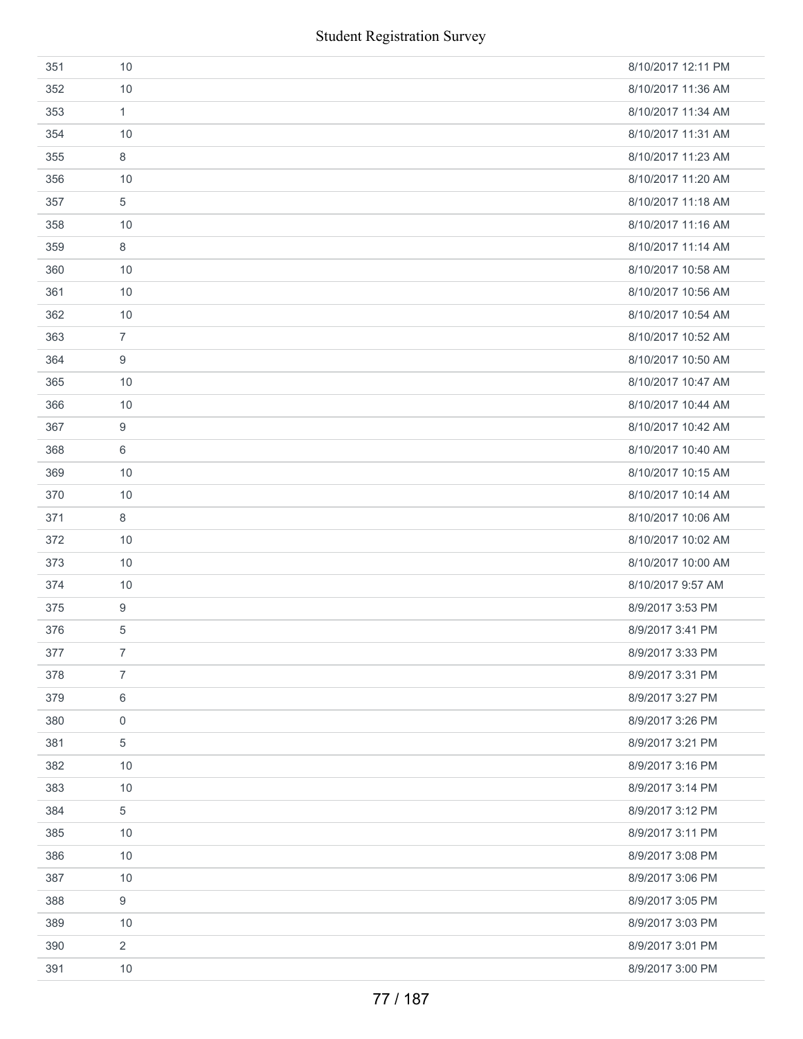| 351 | 10               | 8/10/2017 12:11 PM |
|-----|------------------|--------------------|
| 352 | 10               | 8/10/2017 11:36 AM |
| 353 | 1                | 8/10/2017 11:34 AM |
| 354 | 10               | 8/10/2017 11:31 AM |
| 355 | 8                | 8/10/2017 11:23 AM |
| 356 | 10               | 8/10/2017 11:20 AM |
| 357 | 5                | 8/10/2017 11:18 AM |
| 358 | 10               | 8/10/2017 11:16 AM |
| 359 | 8                | 8/10/2017 11:14 AM |
| 360 | 10               | 8/10/2017 10:58 AM |
| 361 | 10               | 8/10/2017 10:56 AM |
| 362 | 10               | 8/10/2017 10:54 AM |
| 363 | $\overline{7}$   | 8/10/2017 10:52 AM |
| 364 | 9                | 8/10/2017 10:50 AM |
| 365 | 10               | 8/10/2017 10:47 AM |
| 366 | 10               | 8/10/2017 10:44 AM |
| 367 | 9                | 8/10/2017 10:42 AM |
| 368 | 6                | 8/10/2017 10:40 AM |
| 369 | 10               | 8/10/2017 10:15 AM |
| 370 | 10               | 8/10/2017 10:14 AM |
| 371 | 8                | 8/10/2017 10:06 AM |
| 372 | 10               | 8/10/2017 10:02 AM |
| 373 | 10               | 8/10/2017 10:00 AM |
| 374 | 10               | 8/10/2017 9:57 AM  |
| 375 | $\boldsymbol{9}$ | 8/9/2017 3:53 PM   |
| 376 | 5                | 8/9/2017 3:41 PM   |
| 377 | $\overline{7}$   | 8/9/2017 3:33 PM   |
| 378 | $\overline{7}$   | 8/9/2017 3:31 PM   |
| 379 | 6                | 8/9/2017 3:27 PM   |
| 380 | 0                | 8/9/2017 3:26 PM   |
| 381 | 5                | 8/9/2017 3:21 PM   |
| 382 | 10               | 8/9/2017 3:16 PM   |
| 383 | 10               | 8/9/2017 3:14 PM   |
| 384 | 5                | 8/9/2017 3:12 PM   |
| 385 | 10               | 8/9/2017 3:11 PM   |
| 386 | 10               | 8/9/2017 3:08 PM   |
| 387 | 10               | 8/9/2017 3:06 PM   |
| 388 | 9                | 8/9/2017 3:05 PM   |
| 389 | 10               | 8/9/2017 3:03 PM   |
| 390 | $\overline{2}$   | 8/9/2017 3:01 PM   |
| 391 | 10               | 8/9/2017 3:00 PM   |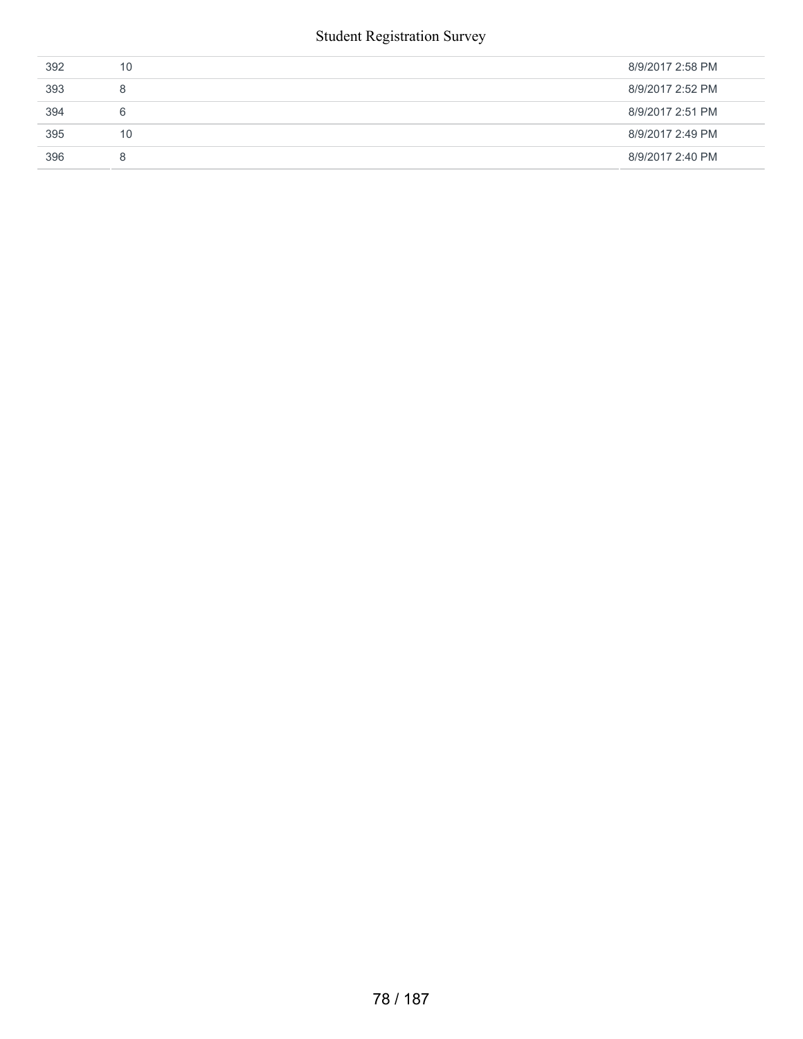#### Student Registration Survey

| 392 | 10 | 8/9/2017 2:58 PM |
|-----|----|------------------|
| 393 | 8  | 8/9/2017 2:52 PM |
| 394 | 6  | 8/9/2017 2:51 PM |
| 395 | 10 | 8/9/2017 2:49 PM |
| 396 | 8  | 8/9/2017 2:40 PM |
|     |    |                  |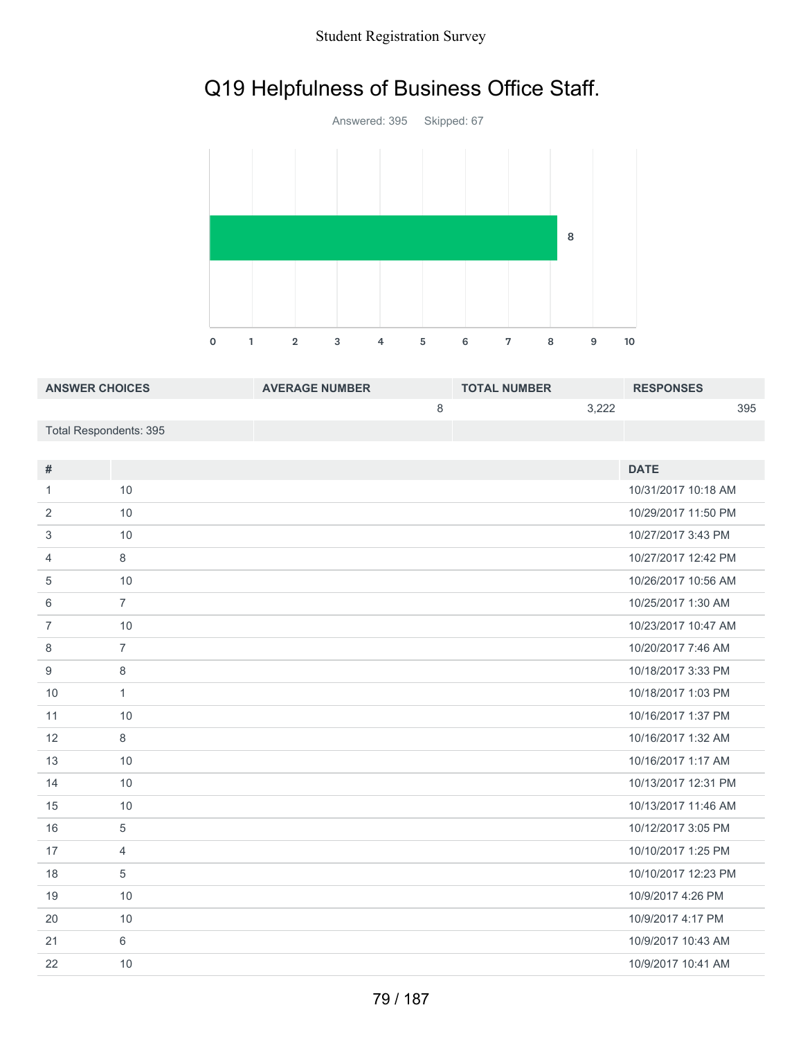### Student Registration Survey

## Q19 Helpfulness of Business Office Staff.



| <b>ANSWER CHOICES</b>  | <b>AVERAGE NUMBER</b> | <b>TOTAL NUMBER</b> | <b>RESPONSES</b> |
|------------------------|-----------------------|---------------------|------------------|
|                        |                       | 3.222               | 395              |
| Total Respondents: 395 |                       |                     |                  |

| #              |                | <b>DATE</b>         |
|----------------|----------------|---------------------|
| 1              | 10             | 10/31/2017 10:18 AM |
| 2              | 10             | 10/29/2017 11:50 PM |
| 3              | 10             | 10/27/2017 3:43 PM  |
| 4              | 8              | 10/27/2017 12:42 PM |
| 5              | 10             | 10/26/2017 10:56 AM |
| 6              | $\overline{7}$ | 10/25/2017 1:30 AM  |
| $\overline{7}$ | 10             | 10/23/2017 10:47 AM |
| 8              | $\overline{7}$ | 10/20/2017 7:46 AM  |
| 9              | 8              | 10/18/2017 3:33 PM  |
| 10             | $\mathbf{1}$   | 10/18/2017 1:03 PM  |
| 11             | 10             | 10/16/2017 1:37 PM  |
| 12             | 8              | 10/16/2017 1:32 AM  |
| 13             | 10             | 10/16/2017 1:17 AM  |
| 14             | 10             | 10/13/2017 12:31 PM |
| 15             | 10             | 10/13/2017 11:46 AM |
| 16             | 5              | 10/12/2017 3:05 PM  |
| 17             | 4              | 10/10/2017 1:25 PM  |
| 18             | 5              | 10/10/2017 12:23 PM |
| 19             | 10             | 10/9/2017 4:26 PM   |
| 20             | 10             | 10/9/2017 4:17 PM   |
| 21             | 6              | 10/9/2017 10:43 AM  |
| 22             | 10             | 10/9/2017 10:41 AM  |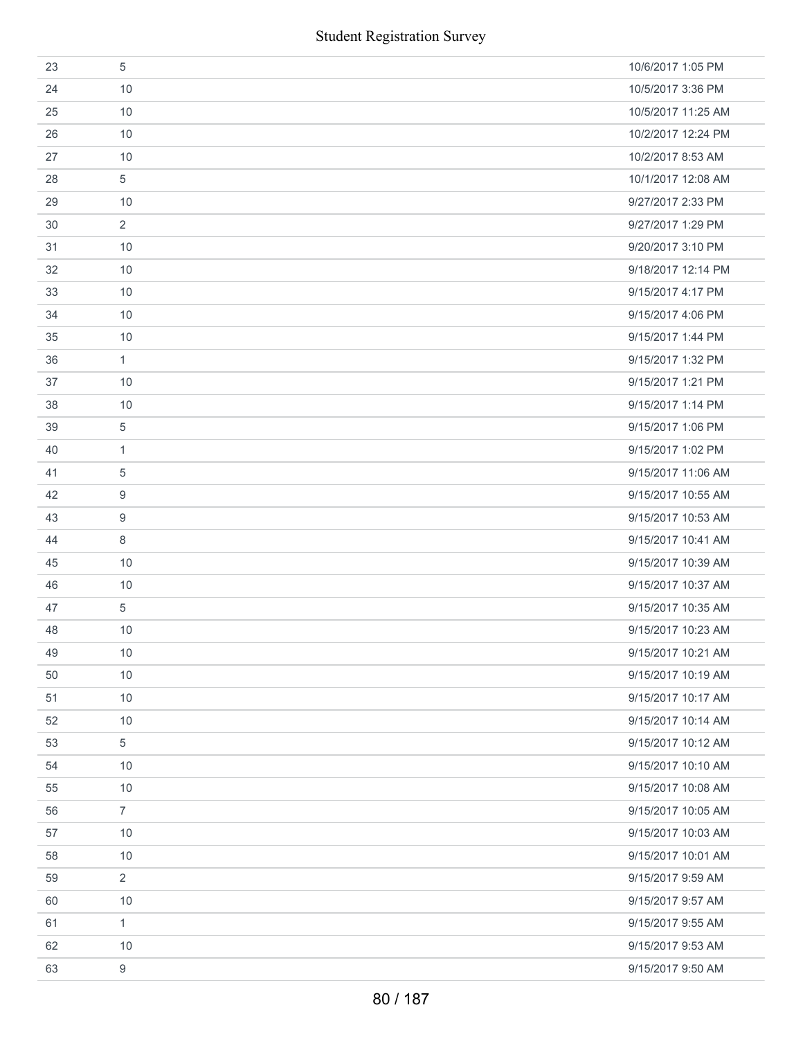|    | <b>Student Registration Survey</b> |                    |
|----|------------------------------------|--------------------|
| 23 | 5                                  | 10/6/2017 1:05 PM  |
| 24 | 10                                 | 10/5/2017 3:36 PM  |
| 25 | 10                                 | 10/5/2017 11:25 AM |
| 26 | 10                                 | 10/2/2017 12:24 PM |
| 27 | 10                                 | 10/2/2017 8:53 AM  |
| 28 | $\sqrt{5}$                         | 10/1/2017 12:08 AM |
| 29 | 10                                 | 9/27/2017 2:33 PM  |
| 30 | $\overline{2}$                     | 9/27/2017 1:29 PM  |
| 31 | 10                                 | 9/20/2017 3:10 PM  |
| 32 | 10                                 | 9/18/2017 12:14 PM |
| 33 | 10                                 | 9/15/2017 4:17 PM  |
| 34 | 10                                 | 9/15/2017 4:06 PM  |
| 35 | 10                                 | 9/15/2017 1:44 PM  |
| 36 | $\mathbf{1}$                       | 9/15/2017 1:32 PM  |
| 37 | 10                                 | 9/15/2017 1:21 PM  |
| 38 | 10                                 | 9/15/2017 1:14 PM  |
| 39 | 5                                  | 9/15/2017 1:06 PM  |
| 40 | 1                                  | 9/15/2017 1:02 PM  |
| 41 | 5                                  | 9/15/2017 11:06 AM |
| 42 | 9                                  | 9/15/2017 10:55 AM |
| 43 | 9                                  | 9/15/2017 10:53 AM |
| 44 | 8                                  | 9/15/2017 10:41 AM |
| 45 | 10                                 | 9/15/2017 10:39 AM |
| 46 | 10                                 | 9/15/2017 10:37 AM |
| 47 | 5                                  | 9/15/2017 10:35 AM |
| 48 | 10                                 | 9/15/2017 10:23 AM |
| 49 | 10                                 | 9/15/2017 10:21 AM |
| 50 | 10                                 | 9/15/2017 10:19 AM |
| 51 | 10                                 | 9/15/2017 10:17 AM |
| 52 | 10                                 | 9/15/2017 10:14 AM |
| 53 | 5                                  | 9/15/2017 10:12 AM |
| 54 | 10                                 | 9/15/2017 10:10 AM |
| 55 | 10                                 | 9/15/2017 10:08 AM |
| 56 | $\overline{7}$                     | 9/15/2017 10:05 AM |
| 57 | 10                                 | 9/15/2017 10:03 AM |
| 58 | 10                                 | 9/15/2017 10:01 AM |
| 59 | $\overline{2}$                     | 9/15/2017 9:59 AM  |
| 60 | 10                                 | 9/15/2017 9:57 AM  |
| 61 | 1                                  | 9/15/2017 9:55 AM  |
| 62 | 10                                 | 9/15/2017 9:53 AM  |
| 63 | $\boldsymbol{9}$                   | 9/15/2017 9:50 AM  |
|    | 80 / 187                           |                    |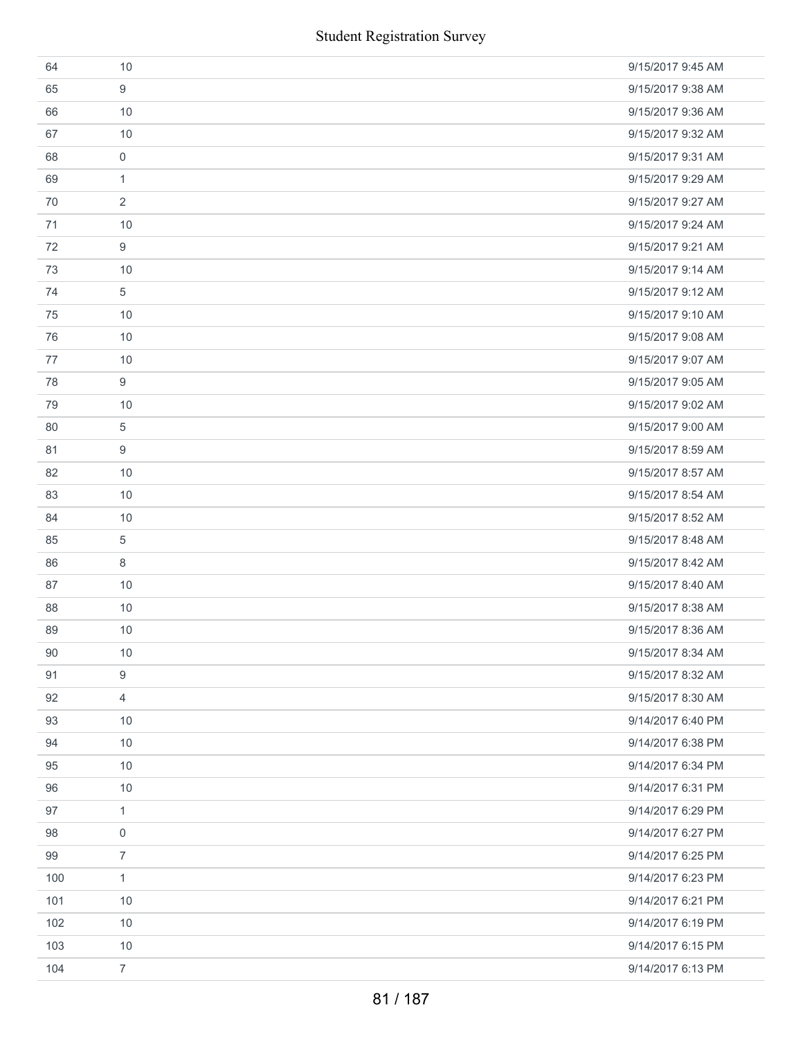|     | <b>Student Registration Survey</b> |                   |
|-----|------------------------------------|-------------------|
| 64  | 10                                 | 9/15/2017 9:45 AM |
| 65  | 9                                  | 9/15/2017 9:38 AM |
| 66  | 10                                 | 9/15/2017 9:36 AM |
| 67  | 10                                 | 9/15/2017 9:32 AM |
| 68  | $\boldsymbol{0}$                   | 9/15/2017 9:31 AM |
| 69  | $\mathbf{1}$                       | 9/15/2017 9:29 AM |
| 70  | 2                                  | 9/15/2017 9:27 AM |
| 71  | 10                                 | 9/15/2017 9:24 AM |
| 72  | 9                                  | 9/15/2017 9:21 AM |
| 73  | 10                                 | 9/15/2017 9:14 AM |
| 74  | 5                                  | 9/15/2017 9:12 AM |
| 75  | 10                                 | 9/15/2017 9:10 AM |
| 76  | 10                                 | 9/15/2017 9:08 AM |
| 77  | 10                                 | 9/15/2017 9:07 AM |
| 78  | 9                                  | 9/15/2017 9:05 AM |
| 79  | 10                                 | 9/15/2017 9:02 AM |
| 80  | 5                                  | 9/15/2017 9:00 AM |
| 81  | 9                                  | 9/15/2017 8:59 AM |
| 82  | 10                                 | 9/15/2017 8:57 AM |
| 83  | 10                                 | 9/15/2017 8:54 AM |
| 84  | 10                                 | 9/15/2017 8:52 AM |
| 85  | 5                                  | 9/15/2017 8:48 AM |
| 86  | 8                                  | 9/15/2017 8:42 AM |
| 87  | 10                                 | 9/15/2017 8:40 AM |
| 88  | 10                                 | 9/15/2017 8:38 AM |
| 89  | 10                                 | 9/15/2017 8:36 AM |
| 90  | 10                                 | 9/15/2017 8:34 AM |
| 91  | $\boldsymbol{9}$                   | 9/15/2017 8:32 AM |
| 92  | 4                                  | 9/15/2017 8:30 AM |
| 93  | 10                                 | 9/14/2017 6:40 PM |
| 94  | 10                                 | 9/14/2017 6:38 PM |
| 95  | 10                                 | 9/14/2017 6:34 PM |
| 96  | 10                                 | 9/14/2017 6:31 PM |
| 97  | $\mathbf{1}$                       | 9/14/2017 6:29 PM |
| 98  | $\mathsf{O}\xspace$                | 9/14/2017 6:27 PM |
| 99  | $\overline{7}$                     | 9/14/2017 6:25 PM |
| 100 | $\mathbf{1}$                       | 9/14/2017 6:23 PM |
| 101 | 10                                 | 9/14/2017 6:21 PM |
| 102 | 10                                 | 9/14/2017 6:19 PM |
| 103 | 10                                 | 9/14/2017 6:15 PM |
| 104 | $\overline{7}$                     | 9/14/2017 6:13 PM |
|     | 81 / 187                           |                   |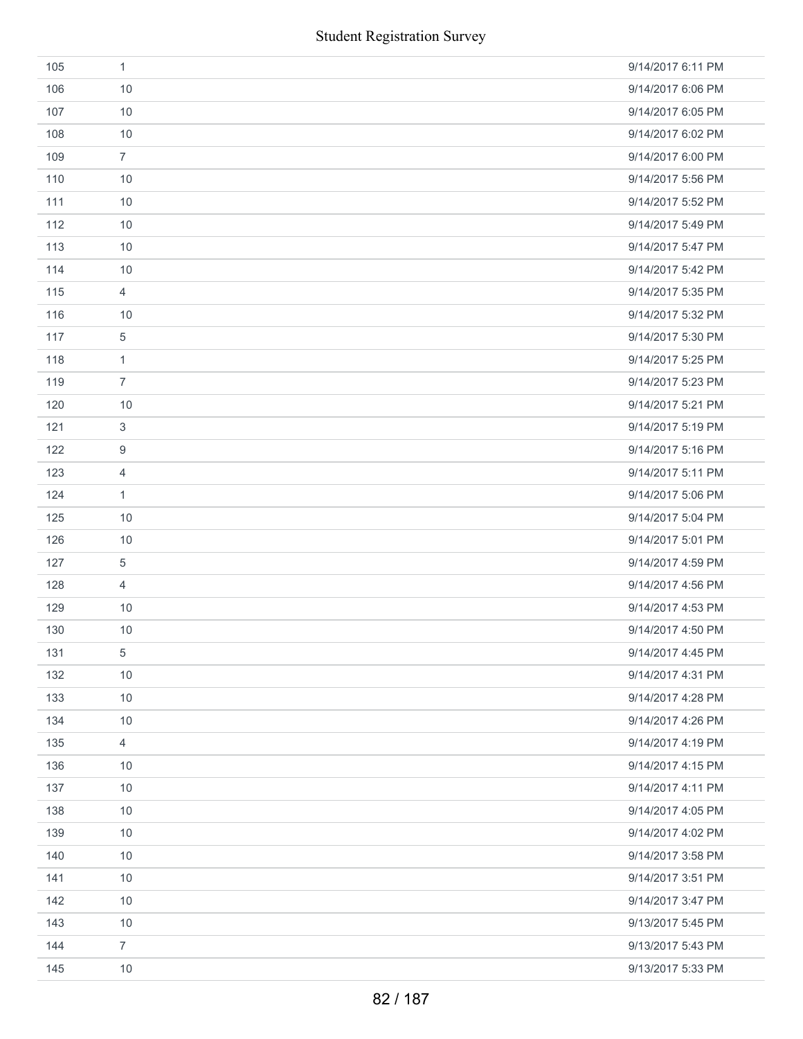|     | <b>Student Registration Survey</b> |                   |
|-----|------------------------------------|-------------------|
| 105 | $\mathbf{1}$                       | 9/14/2017 6:11 PM |
| 106 | 10                                 | 9/14/2017 6:06 PM |
| 107 | 10                                 | 9/14/2017 6:05 PM |
| 108 | 10                                 | 9/14/2017 6:02 PM |
| 109 | $\overline{7}$                     | 9/14/2017 6:00 PM |
| 110 | 10                                 | 9/14/2017 5:56 PM |
| 111 | 10                                 | 9/14/2017 5:52 PM |
| 112 | 10                                 | 9/14/2017 5:49 PM |
| 113 | 10                                 | 9/14/2017 5:47 PM |
| 114 | 10                                 | 9/14/2017 5:42 PM |
| 115 | $\overline{4}$                     | 9/14/2017 5:35 PM |
| 116 | 10                                 | 9/14/2017 5:32 PM |
| 117 | $\,$ 5 $\,$                        | 9/14/2017 5:30 PM |
| 118 | $\mathbf{1}$                       | 9/14/2017 5:25 PM |
| 119 | $\overline{7}$                     | 9/14/2017 5:23 PM |
| 120 | 10                                 | 9/14/2017 5:21 PM |
| 121 | $\sqrt{3}$                         | 9/14/2017 5:19 PM |
| 122 | 9                                  | 9/14/2017 5:16 PM |
| 123 | 4                                  | 9/14/2017 5:11 PM |
| 124 | $\mathbf{1}$                       | 9/14/2017 5:06 PM |
| 125 | 10                                 | 9/14/2017 5:04 PM |
| 126 | 10                                 | 9/14/2017 5:01 PM |
| 127 | $\sqrt{5}$                         | 9/14/2017 4:59 PM |
| 128 | 4                                  | 9/14/2017 4:56 PM |
| 129 | 10                                 | 9/14/2017 4:53 PM |
| 130 | 10                                 | 9/14/2017 4:50 PM |
| 131 | $\sqrt{5}$                         | 9/14/2017 4:45 PM |
| 132 | 10                                 | 9/14/2017 4:31 PM |
| 133 | 10                                 | 9/14/2017 4:28 PM |
| 134 | 10                                 | 9/14/2017 4:26 PM |
| 135 | $\overline{4}$                     | 9/14/2017 4:19 PM |
| 136 | 10                                 | 9/14/2017 4:15 PM |
| 137 | 10                                 | 9/14/2017 4:11 PM |
| 138 | 10                                 | 9/14/2017 4:05 PM |
| 139 | 10                                 | 9/14/2017 4:02 PM |
| 140 | 10                                 | 9/14/2017 3:58 PM |
| 141 | 10                                 | 9/14/2017 3:51 PM |
| 142 | 10                                 | 9/14/2017 3:47 PM |
| 143 | 10                                 | 9/13/2017 5:45 PM |
| 144 | $\overline{7}$                     | 9/13/2017 5:43 PM |
| 145 | 10                                 | 9/13/2017 5:33 PM |
|     | 82 / 187                           |                   |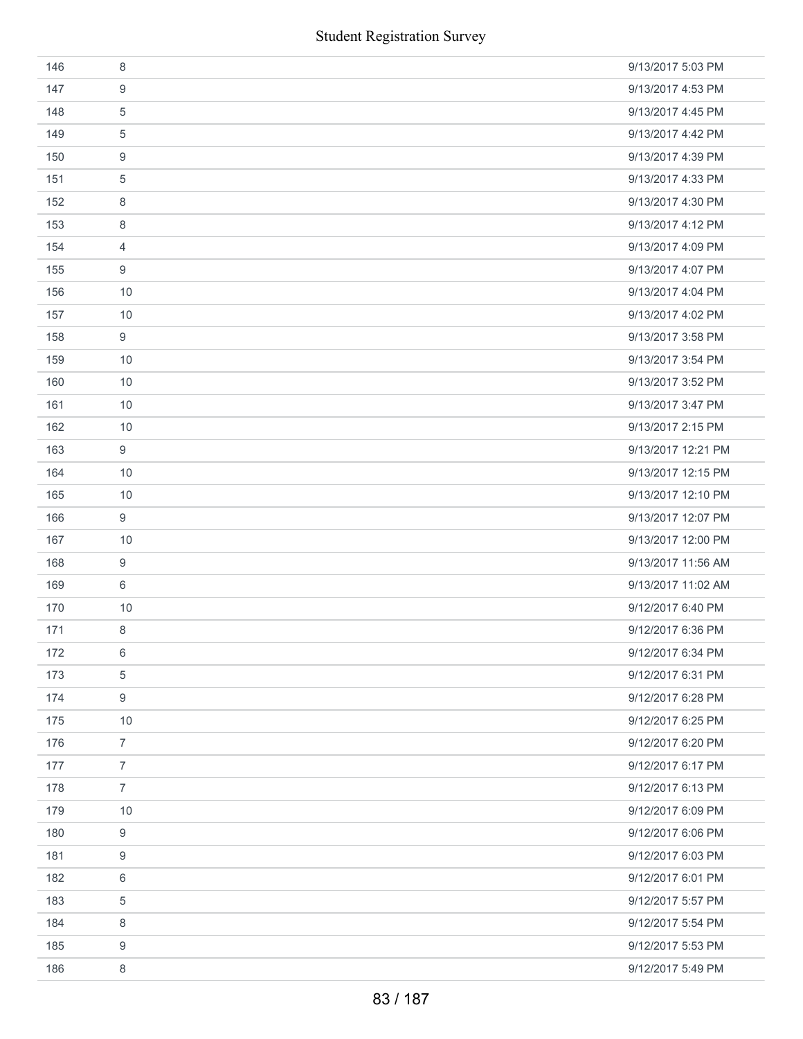|     | <b>Student Registration Survey</b> |                    |
|-----|------------------------------------|--------------------|
| 146 | 8                                  | 9/13/2017 5:03 PM  |
| 147 | 9                                  | 9/13/2017 4:53 PM  |
| 148 | 5                                  | 9/13/2017 4:45 PM  |
| 149 | 5                                  | 9/13/2017 4:42 PM  |
| 150 | 9                                  | 9/13/2017 4:39 PM  |
| 151 | $\mathbf 5$                        | 9/13/2017 4:33 PM  |
| 152 | 8                                  | 9/13/2017 4:30 PM  |
| 153 | 8                                  | 9/13/2017 4:12 PM  |
| 154 | $\overline{4}$                     | 9/13/2017 4:09 PM  |
| 155 | 9                                  | 9/13/2017 4:07 PM  |
| 156 | 10                                 | 9/13/2017 4:04 PM  |
| 157 | 10                                 | 9/13/2017 4:02 PM  |
| 158 | $\boldsymbol{9}$                   | 9/13/2017 3:58 PM  |
| 159 | 10                                 | 9/13/2017 3:54 PM  |
| 160 | 10                                 | 9/13/2017 3:52 PM  |
| 161 | 10                                 | 9/13/2017 3:47 PM  |
| 162 | 10                                 | 9/13/2017 2:15 PM  |
| 163 | 9                                  | 9/13/2017 12:21 PM |
| 164 | 10                                 | 9/13/2017 12:15 PM |
| 165 | 10                                 | 9/13/2017 12:10 PM |
| 166 | $\boldsymbol{9}$                   | 9/13/2017 12:07 PM |
| 167 | 10                                 | 9/13/2017 12:00 PM |
| 168 | $\boldsymbol{9}$                   | 9/13/2017 11:56 AM |
| 169 | 6                                  | 9/13/2017 11:02 AM |
| 170 | 10                                 | 9/12/2017 6:40 PM  |
| 171 | 8                                  | 9/12/2017 6:36 PM  |
| 172 | 6                                  | 9/12/2017 6:34 PM  |
| 173 | $\mathbf 5$                        | 9/12/2017 6:31 PM  |
| 174 | 9                                  | 9/12/2017 6:28 PM  |
| 175 | 10                                 | 9/12/2017 6:25 PM  |
| 176 | $\overline{7}$                     | 9/12/2017 6:20 PM  |
| 177 | $\overline{7}$                     | 9/12/2017 6:17 PM  |
| 178 | $\overline{7}$                     | 9/12/2017 6:13 PM  |
| 179 | 10                                 | 9/12/2017 6:09 PM  |
| 180 | 9                                  | 9/12/2017 6:06 PM  |
| 181 | 9                                  | 9/12/2017 6:03 PM  |
| 182 | 6                                  | 9/12/2017 6:01 PM  |
| 183 | 5                                  | 9/12/2017 5:57 PM  |
| 184 | 8                                  | 9/12/2017 5:54 PM  |
| 185 | 9                                  | 9/12/2017 5:53 PM  |
| 186 | 8                                  | 9/12/2017 5:49 PM  |
|     | 83 / 187                           |                    |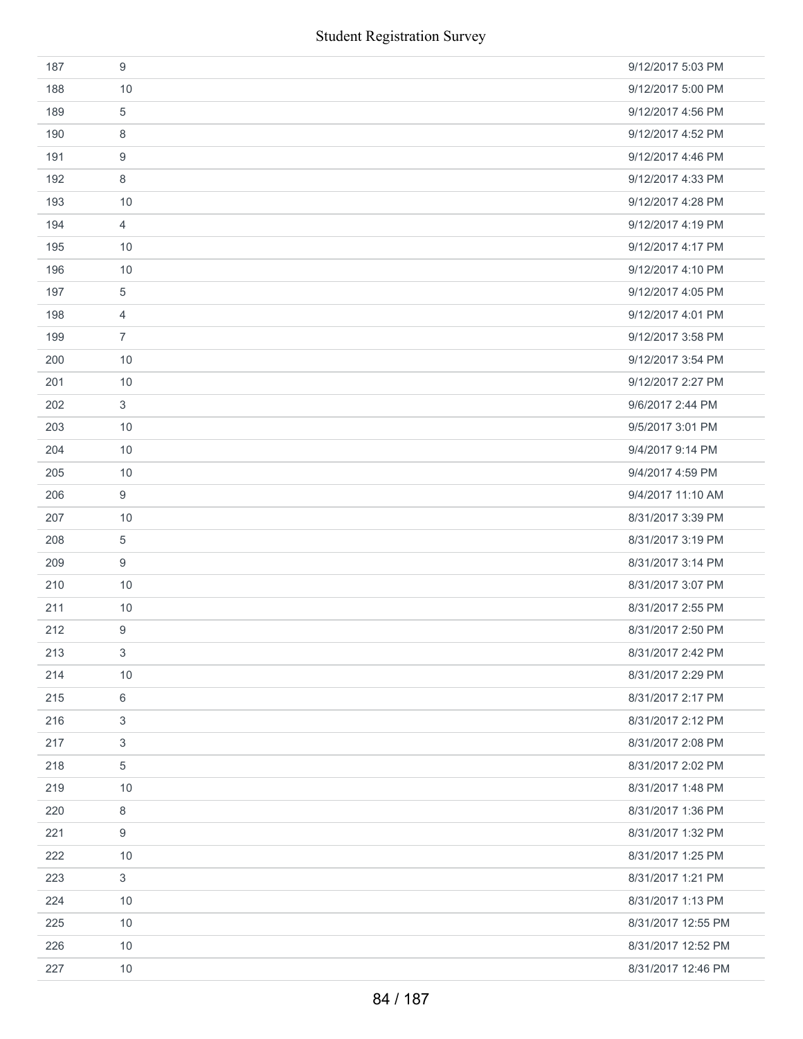| 187 | 9                         | 9/12/2017 5:03 PM  |
|-----|---------------------------|--------------------|
| 188 | 10                        | 9/12/2017 5:00 PM  |
| 189 | $\,$ 5 $\,$               | 9/12/2017 4:56 PM  |
| 190 | 8                         | 9/12/2017 4:52 PM  |
| 191 | 9                         | 9/12/2017 4:46 PM  |
| 192 | 8                         | 9/12/2017 4:33 PM  |
| 193 | 10                        | 9/12/2017 4:28 PM  |
| 194 | $\overline{4}$            | 9/12/2017 4:19 PM  |
| 195 | 10                        | 9/12/2017 4:17 PM  |
| 196 | 10                        | 9/12/2017 4:10 PM  |
| 197 | 5                         | 9/12/2017 4:05 PM  |
| 198 | $\overline{4}$            | 9/12/2017 4:01 PM  |
| 199 | $\overline{7}$            | 9/12/2017 3:58 PM  |
| 200 | 10                        | 9/12/2017 3:54 PM  |
| 201 | 10                        | 9/12/2017 2:27 PM  |
| 202 | $\mathbf{3}$              | 9/6/2017 2:44 PM   |
| 203 | 10                        | 9/5/2017 3:01 PM   |
| 204 | 10                        | 9/4/2017 9:14 PM   |
| 205 | 10                        | 9/4/2017 4:59 PM   |
| 206 | 9                         | 9/4/2017 11:10 AM  |
| 207 | 10                        | 8/31/2017 3:39 PM  |
| 208 | 5                         | 8/31/2017 3:19 PM  |
| 209 | 9                         | 8/31/2017 3:14 PM  |
| 210 | 10                        | 8/31/2017 3:07 PM  |
| 211 | 10                        | 8/31/2017 2:55 PM  |
| 212 | 9                         | 8/31/2017 2:50 PM  |
| 213 | 3                         | 8/31/2017 2:42 PM  |
| 214 | 10                        | 8/31/2017 2:29 PM  |
| 215 | $\,6\,$                   | 8/31/2017 2:17 PM  |
| 216 | $\ensuremath{\mathsf{3}}$ | 8/31/2017 2:12 PM  |
| 217 | 3                         | 8/31/2017 2:08 PM  |
| 218 | $\,$ 5 $\,$               | 8/31/2017 2:02 PM  |
| 219 | 10                        | 8/31/2017 1:48 PM  |
| 220 | 8                         | 8/31/2017 1:36 PM  |
| 221 | 9                         | 8/31/2017 1:32 PM  |
| 222 | 10                        | 8/31/2017 1:25 PM  |
| 223 | 3                         | 8/31/2017 1:21 PM  |
| 224 | 10                        | 8/31/2017 1:13 PM  |
| 225 | 10                        | 8/31/2017 12:55 PM |
| 226 | 10                        | 8/31/2017 12:52 PM |
| 227 | 10                        | 8/31/2017 12:46 PM |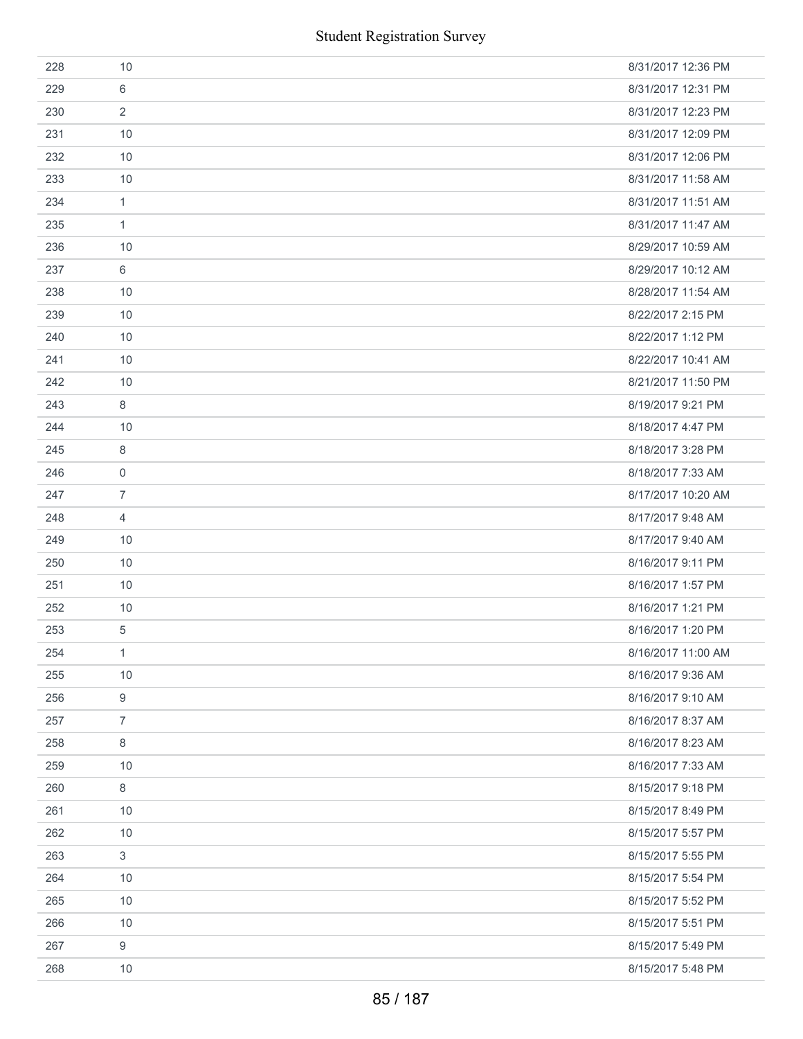| 228 | 10               | 8/31/2017 12:36 PM |
|-----|------------------|--------------------|
| 229 | 6                | 8/31/2017 12:31 PM |
| 230 | $\overline{2}$   | 8/31/2017 12:23 PM |
| 231 | 10               | 8/31/2017 12:09 PM |
| 232 | 10               | 8/31/2017 12:06 PM |
| 233 | 10               | 8/31/2017 11:58 AM |
| 234 | $\mathbf{1}$     | 8/31/2017 11:51 AM |
| 235 | $\mathbf{1}$     | 8/31/2017 11:47 AM |
| 236 | 10               | 8/29/2017 10:59 AM |
| 237 | 6                | 8/29/2017 10:12 AM |
| 238 | 10               | 8/28/2017 11:54 AM |
| 239 | 10               | 8/22/2017 2:15 PM  |
| 240 | 10               | 8/22/2017 1:12 PM  |
| 241 | 10               | 8/22/2017 10:41 AM |
| 242 | 10               | 8/21/2017 11:50 PM |
| 243 | 8                | 8/19/2017 9:21 PM  |
| 244 | 10               | 8/18/2017 4:47 PM  |
| 245 | 8                | 8/18/2017 3:28 PM  |
| 246 | $\mathbf 0$      | 8/18/2017 7:33 AM  |
| 247 | $\overline{7}$   | 8/17/2017 10:20 AM |
| 248 | $\overline{4}$   | 8/17/2017 9:48 AM  |
| 249 | 10               | 8/17/2017 9:40 AM  |
| 250 | 10               | 8/16/2017 9:11 PM  |
| 251 | 10               | 8/16/2017 1:57 PM  |
| 252 | 10               | 8/16/2017 1:21 PM  |
| 253 | 5                | 8/16/2017 1:20 PM  |
| 254 | $\mathbf{1}$     | 8/16/2017 11:00 AM |
| 255 | 10               | 8/16/2017 9:36 AM  |
| 256 | $\boldsymbol{9}$ | 8/16/2017 9:10 AM  |
| 257 | $\overline{7}$   | 8/16/2017 8:37 AM  |
| 258 | 8                | 8/16/2017 8:23 AM  |
| 259 | 10               | 8/16/2017 7:33 AM  |
| 260 | 8                | 8/15/2017 9:18 PM  |
| 261 | 10               | 8/15/2017 8:49 PM  |
| 262 | 10               | 8/15/2017 5:57 PM  |
| 263 | 3                | 8/15/2017 5:55 PM  |
| 264 | 10               | 8/15/2017 5:54 PM  |
| 265 | 10               | 8/15/2017 5:52 PM  |
| 266 | 10               | 8/15/2017 5:51 PM  |
| 267 | 9                | 8/15/2017 5:49 PM  |
| 268 | 10               | 8/15/2017 5:48 PM  |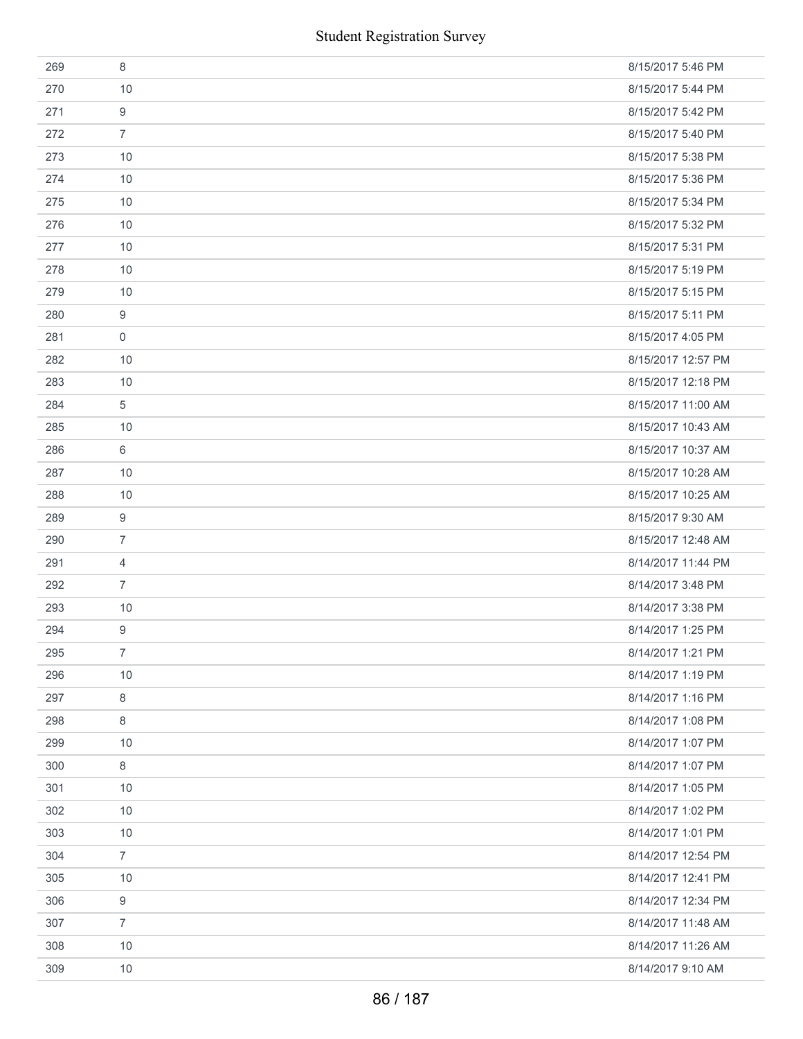|     | <b>Student Registration Survey</b> |                    |
|-----|------------------------------------|--------------------|
| 269 | 8                                  | 8/15/2017 5:46 PM  |
| 270 | 10                                 | 8/15/2017 5:44 PM  |
| 271 | 9                                  | 8/15/2017 5:42 PM  |
| 272 | $\overline{7}$                     | 8/15/2017 5:40 PM  |
| 273 | 10                                 | 8/15/2017 5:38 PM  |
| 274 | 10                                 | 8/15/2017 5:36 PM  |
| 275 | 10                                 | 8/15/2017 5:34 PM  |
| 276 | 10                                 | 8/15/2017 5:32 PM  |
| 277 | 10                                 | 8/15/2017 5:31 PM  |
| 278 | 10                                 | 8/15/2017 5:19 PM  |
| 279 | 10                                 | 8/15/2017 5:15 PM  |
| 280 | 9                                  | 8/15/2017 5:11 PM  |
| 281 | $\mathbf 0$                        | 8/15/2017 4:05 PM  |
| 282 | 10                                 | 8/15/2017 12:57 PM |
| 283 | 10                                 | 8/15/2017 12:18 PM |
| 284 | 5                                  | 8/15/2017 11:00 AM |
| 285 | 10                                 | 8/15/2017 10:43 AM |
| 286 | 6                                  | 8/15/2017 10:37 AM |
| 287 | 10                                 | 8/15/2017 10:28 AM |
| 288 | 10                                 | 8/15/2017 10:25 AM |
| 289 | $\boldsymbol{9}$                   | 8/15/2017 9:30 AM  |
| 290 | $\overline{7}$                     | 8/15/2017 12:48 AM |
| 291 | $\overline{4}$                     | 8/14/2017 11:44 PM |
| 292 | $\overline{7}$                     | 8/14/2017 3:48 PM  |
| 293 | 10                                 | 8/14/2017 3:38 PM  |
| 294 | 9                                  | 8/14/2017 1:25 PM  |
| 295 | $\overline{7}$                     | 8/14/2017 1:21 PM  |
| 296 | 10                                 | 8/14/2017 1:19 PM  |
| 297 | 8                                  | 8/14/2017 1:16 PM  |
| 298 | 8                                  | 8/14/2017 1:08 PM  |
| 299 | 10                                 | 8/14/2017 1:07 PM  |
| 300 | 8                                  | 8/14/2017 1:07 PM  |
| 301 | 10                                 | 8/14/2017 1:05 PM  |
| 302 | 10                                 | 8/14/2017 1:02 PM  |
| 303 | 10                                 | 8/14/2017 1:01 PM  |
| 304 | $\overline{7}$                     | 8/14/2017 12:54 PM |
| 305 | 10                                 | 8/14/2017 12:41 PM |
| 306 | 9                                  | 8/14/2017 12:34 PM |
| 307 | $\overline{7}$                     | 8/14/2017 11:48 AM |
| 308 | 10                                 | 8/14/2017 11:26 AM |
| 309 | 10                                 | 8/14/2017 9:10 AM  |
|     | 86 / 187                           |                    |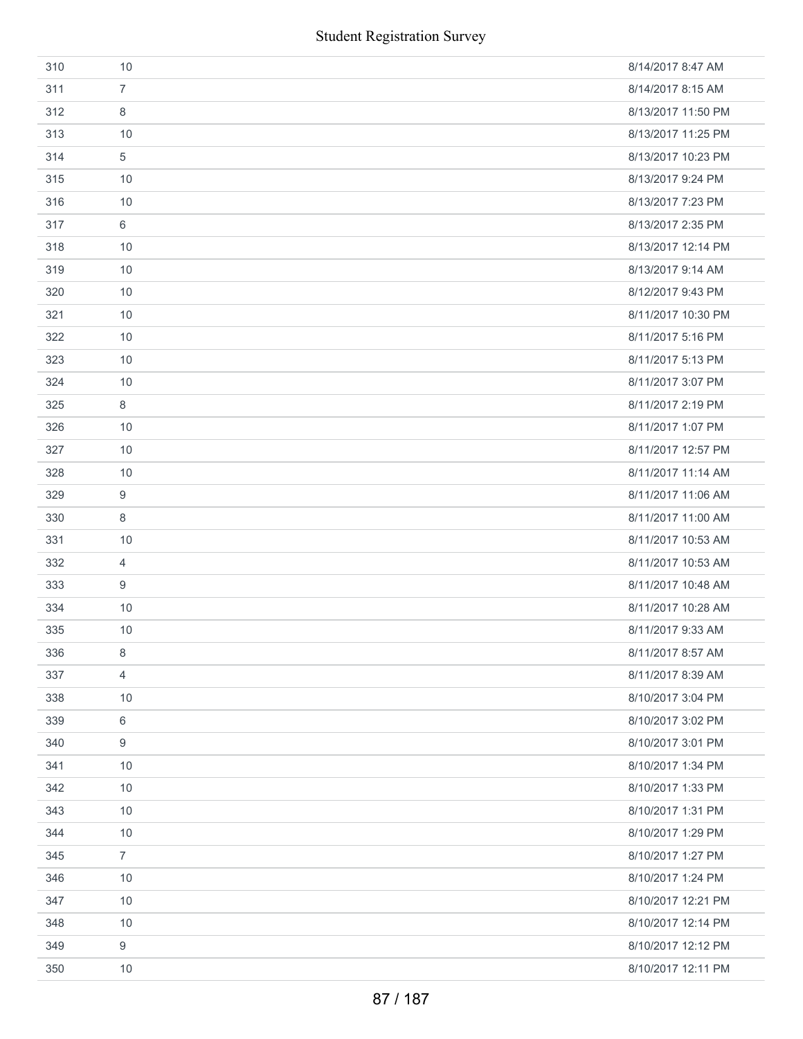|     | <b>Student Registration Survey</b> |                    |
|-----|------------------------------------|--------------------|
| 310 | 10                                 | 8/14/2017 8:47 AM  |
| 311 | $\overline{7}$                     | 8/14/2017 8:15 AM  |
| 312 | 8                                  | 8/13/2017 11:50 PM |
| 313 | 10                                 | 8/13/2017 11:25 PM |
| 314 | 5                                  | 8/13/2017 10:23 PM |
| 315 | 10                                 | 8/13/2017 9:24 PM  |
| 316 | 10                                 | 8/13/2017 7:23 PM  |
| 317 | 6                                  | 8/13/2017 2:35 PM  |
| 318 | 10                                 | 8/13/2017 12:14 PM |
| 319 | 10                                 | 8/13/2017 9:14 AM  |
| 320 | 10                                 | 8/12/2017 9:43 PM  |
| 321 | 10                                 | 8/11/2017 10:30 PM |
| 322 | 10                                 | 8/11/2017 5:16 PM  |
| 323 | 10                                 | 8/11/2017 5:13 PM  |
| 324 | 10                                 | 8/11/2017 3:07 PM  |
| 325 | 8                                  | 8/11/2017 2:19 PM  |
| 326 | 10                                 | 8/11/2017 1:07 PM  |
| 327 | 10                                 | 8/11/2017 12:57 PM |
| 328 | 10                                 | 8/11/2017 11:14 AM |
| 329 | 9                                  | 8/11/2017 11:06 AM |
| 330 | 8                                  | 8/11/2017 11:00 AM |
| 331 | 10                                 | 8/11/2017 10:53 AM |
| 332 | $\overline{4}$                     | 8/11/2017 10:53 AM |
| 333 | 9                                  | 8/11/2017 10:48 AM |
| 334 | 10                                 | 8/11/2017 10:28 AM |
| 335 | 10                                 | 8/11/2017 9:33 AM  |
| 336 | 8                                  | 8/11/2017 8:57 AM  |
| 337 | 4                                  | 8/11/2017 8:39 AM  |
| 338 | 10                                 | 8/10/2017 3:04 PM  |
| 339 | 6                                  | 8/10/2017 3:02 PM  |
| 340 | 9                                  | 8/10/2017 3:01 PM  |
| 341 | 10                                 | 8/10/2017 1:34 PM  |
| 342 | 10                                 | 8/10/2017 1:33 PM  |
| 343 | 10                                 | 8/10/2017 1:31 PM  |
| 344 | 10                                 | 8/10/2017 1:29 PM  |
| 345 | $\overline{7}$                     | 8/10/2017 1:27 PM  |
| 346 | 10                                 | 8/10/2017 1:24 PM  |
| 347 | 10                                 | 8/10/2017 12:21 PM |
| 348 | 10                                 | 8/10/2017 12:14 PM |
| 349 | 9                                  | 8/10/2017 12:12 PM |
| 350 | 10                                 | 8/10/2017 12:11 PM |
|     | 87 / 187                           |                    |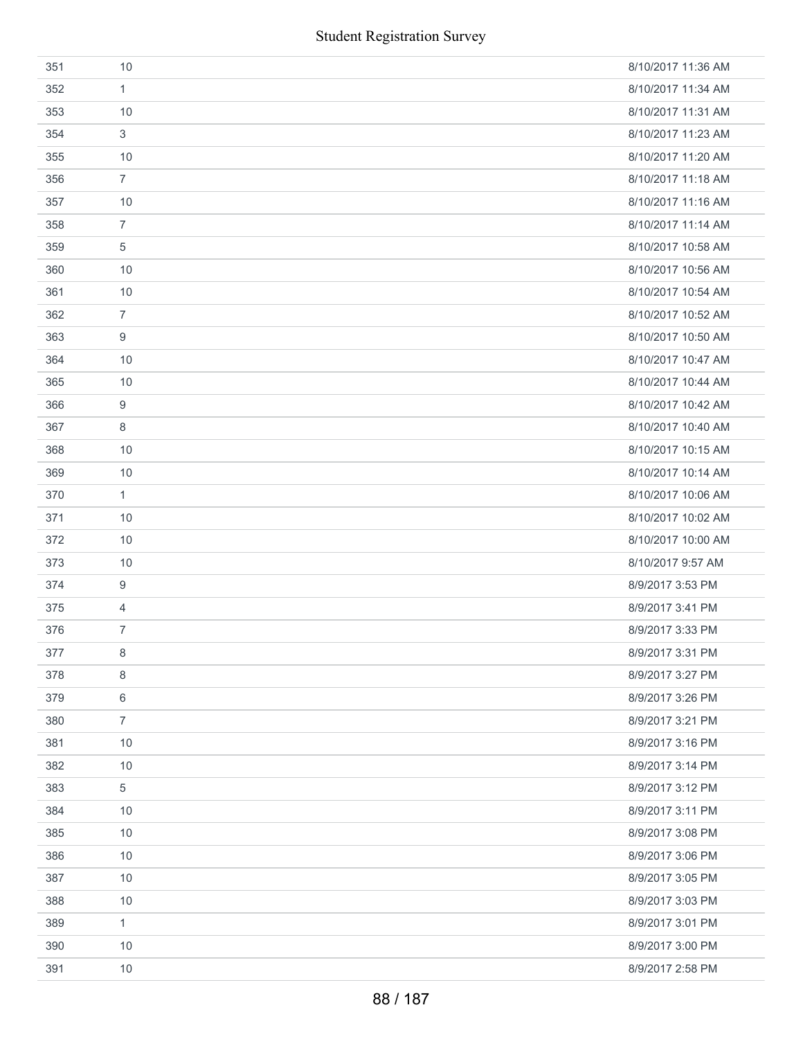| 351 | 10             | 8/10/2017 11:36 AM |
|-----|----------------|--------------------|
| 352 | 1              | 8/10/2017 11:34 AM |
| 353 | 10             | 8/10/2017 11:31 AM |
| 354 | 3              | 8/10/2017 11:23 AM |
| 355 | 10             | 8/10/2017 11:20 AM |
| 356 | $\overline{7}$ | 8/10/2017 11:18 AM |
| 357 | 10             | 8/10/2017 11:16 AM |
| 358 | $\overline{7}$ | 8/10/2017 11:14 AM |
| 359 | 5              | 8/10/2017 10:58 AM |
| 360 | 10             | 8/10/2017 10:56 AM |
| 361 | 10             | 8/10/2017 10:54 AM |
| 362 | $\overline{7}$ | 8/10/2017 10:52 AM |
| 363 | 9              | 8/10/2017 10:50 AM |
| 364 | 10             | 8/10/2017 10:47 AM |
| 365 | 10             | 8/10/2017 10:44 AM |
| 366 | 9              | 8/10/2017 10:42 AM |
| 367 | 8              | 8/10/2017 10:40 AM |
| 368 | 10             | 8/10/2017 10:15 AM |
| 369 | 10             | 8/10/2017 10:14 AM |
| 370 | 1              | 8/10/2017 10:06 AM |
| 371 | 10             | 8/10/2017 10:02 AM |
| 372 | 10             | 8/10/2017 10:00 AM |
| 373 | 10             | 8/10/2017 9:57 AM  |
| 374 | 9              | 8/9/2017 3:53 PM   |
| 375 | $\overline{4}$ | 8/9/2017 3:41 PM   |
| 376 | $\overline{7}$ | 8/9/2017 3:33 PM   |
| 377 | 8              | 8/9/2017 3:31 PM   |
| 378 | 8              | 8/9/2017 3:27 PM   |
| 379 | 6              | 8/9/2017 3:26 PM   |
| 380 | $\overline{7}$ | 8/9/2017 3:21 PM   |
| 381 | 10             | 8/9/2017 3:16 PM   |
| 382 | 10             | 8/9/2017 3:14 PM   |
| 383 | 5              | 8/9/2017 3:12 PM   |
| 384 | 10             | 8/9/2017 3:11 PM   |
| 385 | 10             | 8/9/2017 3:08 PM   |
| 386 | 10             | 8/9/2017 3:06 PM   |
| 387 | 10             | 8/9/2017 3:05 PM   |
| 388 | 10             | 8/9/2017 3:03 PM   |
| 389 | $\mathbf{1}$   | 8/9/2017 3:01 PM   |
| 390 | 10             | 8/9/2017 3:00 PM   |
| 391 | 10             | 8/9/2017 2:58 PM   |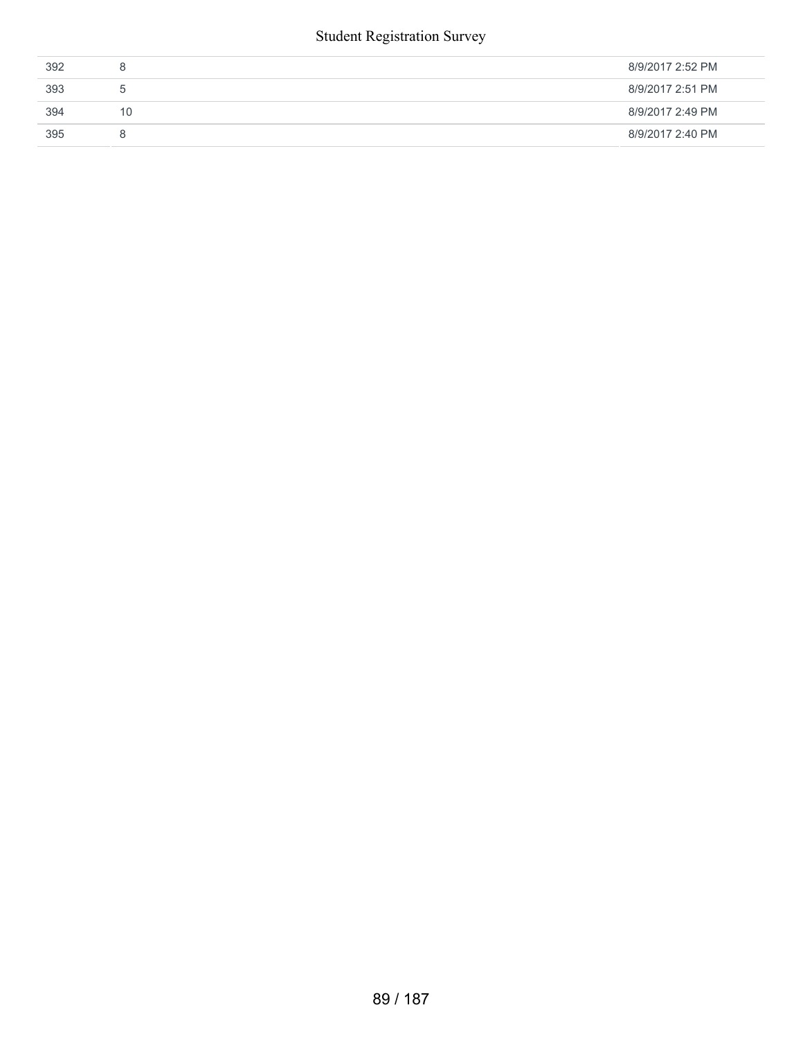#### Student Registration Survey

| 392 | 8             | 8/9/2017 2:52 PM |
|-----|---------------|------------------|
| 393 | $\mathcal{D}$ | 8/9/2017 2:51 PM |
| 394 | 10            | 8/9/2017 2:49 PM |
| 395 | 8             | 8/9/2017 2:40 PM |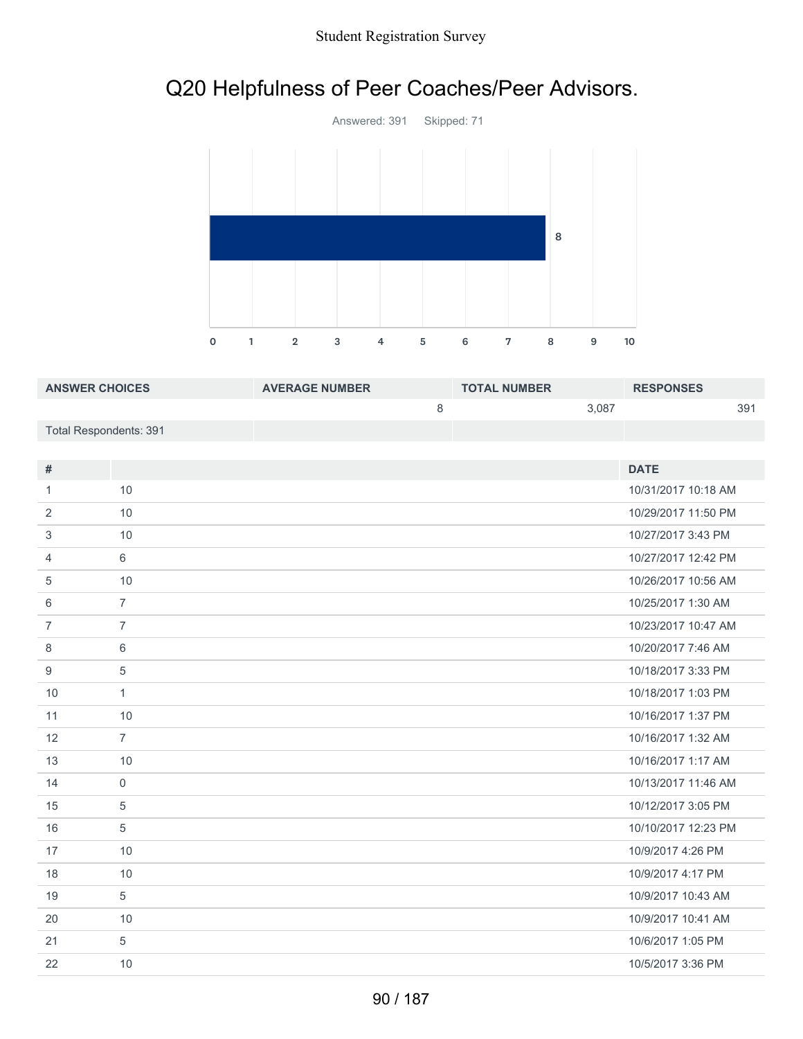## Q20 Helpfulness of Peer Coaches/Peer Advisors.



| <b>ANSWER CHOICES</b>  | <b>AVERAGE NUMBER</b> | <b>TOTAL NUMBER</b> |       | <b>RESPONSES</b> |     |
|------------------------|-----------------------|---------------------|-------|------------------|-----|
|                        |                       |                     | 3.087 |                  | 391 |
| Total Respondents: 391 |                       |                     |       |                  |     |

| #              |                | <b>DATE</b>         |
|----------------|----------------|---------------------|
|                |                |                     |
| 1              | 10             | 10/31/2017 10:18 AM |
| 2              | 10             | 10/29/2017 11:50 PM |
| 3              | 10             | 10/27/2017 3:43 PM  |
| $\overline{4}$ | 6              | 10/27/2017 12:42 PM |
| 5              | 10             | 10/26/2017 10:56 AM |
| 6              | $\overline{7}$ | 10/25/2017 1:30 AM  |
| $\overline{7}$ | $\overline{7}$ | 10/23/2017 10:47 AM |
| 8              | 6              | 10/20/2017 7:46 AM  |
| 9              | 5              | 10/18/2017 3:33 PM  |
| 10             | $\mathbf{1}$   | 10/18/2017 1:03 PM  |
| 11             | 10             | 10/16/2017 1:37 PM  |
| 12             | $\overline{7}$ | 10/16/2017 1:32 AM  |
| 13             | 10             | 10/16/2017 1:17 AM  |
| 14             | 0              | 10/13/2017 11:46 AM |
| 15             | 5              | 10/12/2017 3:05 PM  |
| 16             | 5              | 10/10/2017 12:23 PM |
| 17             | 10             | 10/9/2017 4:26 PM   |
| 18             | 10             | 10/9/2017 4:17 PM   |
| 19             | 5              | 10/9/2017 10:43 AM  |
| 20             | 10             | 10/9/2017 10:41 AM  |
| 21             | 5              | 10/6/2017 1:05 PM   |
| 22             | 10             | 10/5/2017 3:36 PM   |
|                |                |                     |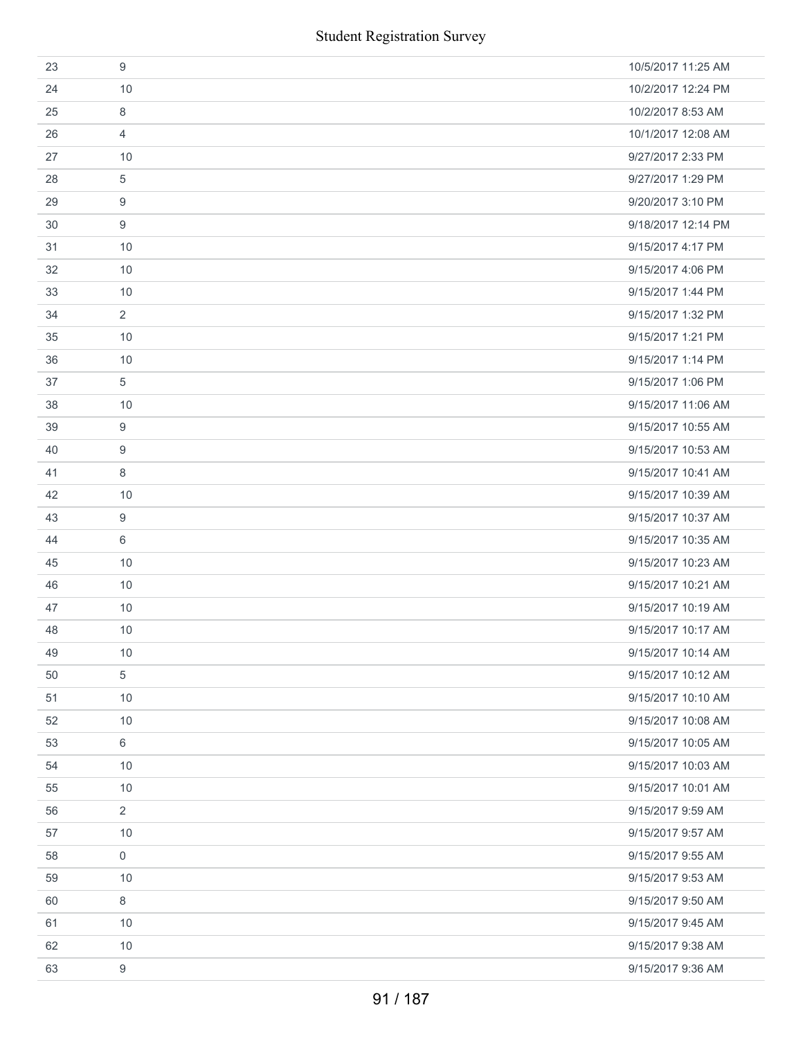|    | <b>Student Registration Survey</b> |                    |
|----|------------------------------------|--------------------|
| 23 | $9$                                | 10/5/2017 11:25 AM |
| 24 | 10                                 | 10/2/2017 12:24 PM |
| 25 | 8                                  | 10/2/2017 8:53 AM  |
| 26 | $\overline{4}$                     | 10/1/2017 12:08 AM |
| 27 | 10                                 | 9/27/2017 2:33 PM  |
| 28 | $\sqrt{5}$                         | 9/27/2017 1:29 PM  |
| 29 | 9                                  | 9/20/2017 3:10 PM  |
| 30 | 9                                  | 9/18/2017 12:14 PM |
| 31 | 10                                 | 9/15/2017 4:17 PM  |
| 32 | 10                                 | 9/15/2017 4:06 PM  |
| 33 | 10                                 | 9/15/2017 1:44 PM  |
| 34 | 2                                  | 9/15/2017 1:32 PM  |
| 35 | 10                                 | 9/15/2017 1:21 PM  |
| 36 | 10                                 | 9/15/2017 1:14 PM  |
| 37 | 5                                  | 9/15/2017 1:06 PM  |
| 38 | 10                                 | 9/15/2017 11:06 AM |
| 39 | 9                                  | 9/15/2017 10:55 AM |
| 40 | 9                                  | 9/15/2017 10:53 AM |
| 41 | 8                                  | 9/15/2017 10:41 AM |
| 42 | 10                                 | 9/15/2017 10:39 AM |
| 43 | $\boldsymbol{9}$                   | 9/15/2017 10:37 AM |
| 44 | 6                                  | 9/15/2017 10:35 AM |
| 45 | 10                                 | 9/15/2017 10:23 AM |
| 46 | 10                                 | 9/15/2017 10:21 AM |
| 47 | 10                                 | 9/15/2017 10:19 AM |
| 48 | 10                                 | 9/15/2017 10:17 AM |
| 49 | 10                                 | 9/15/2017 10:14 AM |
| 50 | 5                                  | 9/15/2017 10:12 AM |
| 51 | 10                                 | 9/15/2017 10:10 AM |
| 52 | 10                                 | 9/15/2017 10:08 AM |
| 53 | 6                                  | 9/15/2017 10:05 AM |
| 54 | 10                                 | 9/15/2017 10:03 AM |
| 55 | 10                                 | 9/15/2017 10:01 AM |
| 56 | $\overline{2}$                     | 9/15/2017 9:59 AM  |
| 57 | 10                                 | 9/15/2017 9:57 AM  |
| 58 | $\mathbf 0$                        | 9/15/2017 9:55 AM  |
| 59 | 10                                 | 9/15/2017 9:53 AM  |
| 60 | 8                                  | 9/15/2017 9:50 AM  |
| 61 | 10                                 | 9/15/2017 9:45 AM  |
| 62 | 10                                 | 9/15/2017 9:38 AM  |
| 63 | $\boldsymbol{9}$                   | 9/15/2017 9:36 AM  |
|    | 91 / 187                           |                    |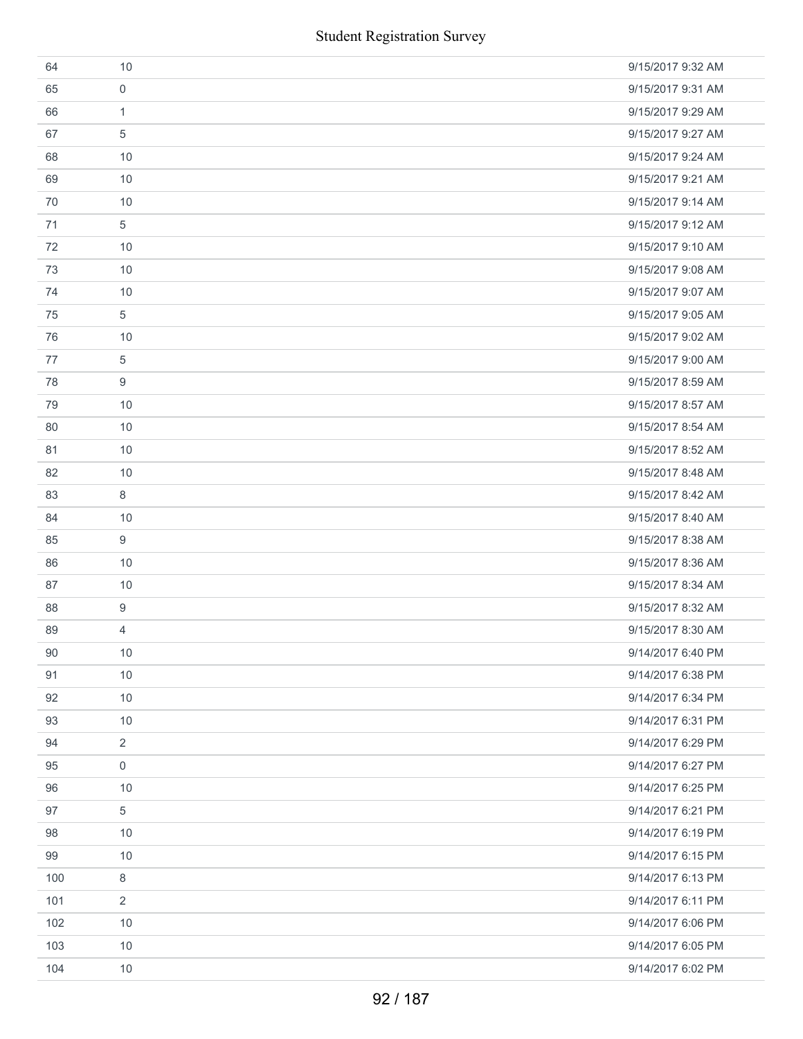|     | <b>Student Registration Survey</b> |                   |
|-----|------------------------------------|-------------------|
| 64  | 10                                 | 9/15/2017 9:32 AM |
| 65  | $\mathbf 0$                        | 9/15/2017 9:31 AM |
| 66  | 1                                  | 9/15/2017 9:29 AM |
| 67  | 5                                  | 9/15/2017 9:27 AM |
| 68  | 10                                 | 9/15/2017 9:24 AM |
| 69  | 10                                 | 9/15/2017 9:21 AM |
| 70  | 10                                 | 9/15/2017 9:14 AM |
| 71  | $\sqrt{5}$                         | 9/15/2017 9:12 AM |
| 72  | 10                                 | 9/15/2017 9:10 AM |
| 73  | 10                                 | 9/15/2017 9:08 AM |
| 74  | 10                                 | 9/15/2017 9:07 AM |
| 75  | 5                                  | 9/15/2017 9:05 AM |
| 76  | 10                                 | 9/15/2017 9:02 AM |
| 77  | $\sqrt{5}$                         | 9/15/2017 9:00 AM |
| 78  | 9                                  | 9/15/2017 8:59 AM |
| 79  | 10                                 | 9/15/2017 8:57 AM |
| 80  | 10                                 | 9/15/2017 8:54 AM |
| 81  | 10                                 | 9/15/2017 8:52 AM |
| 82  | 10                                 | 9/15/2017 8:48 AM |
| 83  | 8                                  | 9/15/2017 8:42 AM |
| 84  | 10                                 | 9/15/2017 8:40 AM |
| 85  | 9                                  | 9/15/2017 8:38 AM |
| 86  | 10                                 | 9/15/2017 8:36 AM |
| 87  | 10                                 | 9/15/2017 8:34 AM |
| 88  | 9                                  | 9/15/2017 8:32 AM |
| 89  | 4                                  | 9/15/2017 8:30 AM |
| 90  | 10                                 | 9/14/2017 6:40 PM |
| 91  | 10                                 | 9/14/2017 6:38 PM |
| 92  | 10                                 | 9/14/2017 6:34 PM |
| 93  | 10                                 | 9/14/2017 6:31 PM |
| 94  | 2                                  | 9/14/2017 6:29 PM |
| 95  | $\boldsymbol{0}$                   | 9/14/2017 6:27 PM |
| 96  | 10                                 | 9/14/2017 6:25 PM |
| 97  | 5                                  | 9/14/2017 6:21 PM |
| 98  | 10                                 | 9/14/2017 6:19 PM |
| 99  | 10                                 | 9/14/2017 6:15 PM |
| 100 | 8                                  | 9/14/2017 6:13 PM |
| 101 | 2                                  | 9/14/2017 6:11 PM |
| 102 | 10                                 | 9/14/2017 6:06 PM |
| 103 | 10                                 | 9/14/2017 6:05 PM |
| 104 | 10                                 | 9/14/2017 6:02 PM |
|     | 92 / 187                           |                   |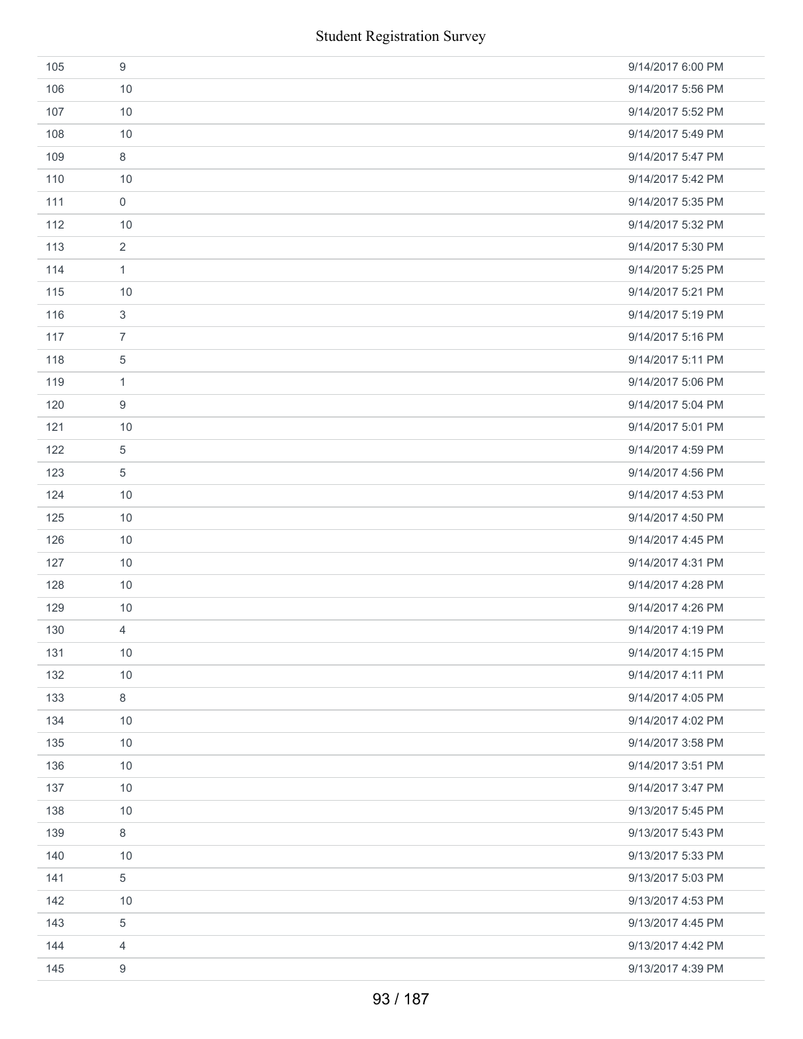|     | <b>Student Registration Survey</b> |                   |
|-----|------------------------------------|-------------------|
| 105 | $\boldsymbol{9}$                   | 9/14/2017 6:00 PM |
| 106 | 10                                 | 9/14/2017 5:56 PM |
| 107 | 10                                 | 9/14/2017 5:52 PM |
| 108 | 10                                 | 9/14/2017 5:49 PM |
| 109 | $\,8\,$                            | 9/14/2017 5:47 PM |
| 110 | 10                                 | 9/14/2017 5:42 PM |
| 111 | $\mathsf{O}\xspace$                | 9/14/2017 5:35 PM |
| 112 | 10                                 | 9/14/2017 5:32 PM |
| 113 | $\overline{2}$                     | 9/14/2017 5:30 PM |
| 114 | $\mathbf{1}$                       | 9/14/2017 5:25 PM |
| 115 | 10                                 | 9/14/2017 5:21 PM |
| 116 | $\sqrt{3}$                         | 9/14/2017 5:19 PM |
| 117 | $\overline{7}$                     | 9/14/2017 5:16 PM |
| 118 | $\,$ 5 $\,$                        | 9/14/2017 5:11 PM |
| 119 | $\mathbf{1}$                       | 9/14/2017 5:06 PM |
| 120 | $\boldsymbol{9}$                   | 9/14/2017 5:04 PM |
| 121 | 10                                 | 9/14/2017 5:01 PM |
| 122 | 5                                  | 9/14/2017 4:59 PM |
| 123 | $\sqrt{5}$                         | 9/14/2017 4:56 PM |
| 124 | 10                                 | 9/14/2017 4:53 PM |
| 125 | 10                                 | 9/14/2017 4:50 PM |
| 126 | 10                                 | 9/14/2017 4:45 PM |
| 127 | 10                                 | 9/14/2017 4:31 PM |
| 128 | 10                                 | 9/14/2017 4:28 PM |
| 129 | 10                                 | 9/14/2017 4:26 PM |
| 130 | $\overline{4}$                     | 9/14/2017 4:19 PM |
| 131 | 10                                 | 9/14/2017 4:15 PM |
| 132 | 10                                 | 9/14/2017 4:11 PM |
| 133 | $\,8\,$                            | 9/14/2017 4:05 PM |
| 134 | 10                                 | 9/14/2017 4:02 PM |
| 135 | 10                                 | 9/14/2017 3:58 PM |
| 136 | 10                                 | 9/14/2017 3:51 PM |
| 137 | 10                                 | 9/14/2017 3:47 PM |
| 138 | 10                                 | 9/13/2017 5:45 PM |
| 139 | $\,8\,$                            | 9/13/2017 5:43 PM |
| 140 | 10                                 | 9/13/2017 5:33 PM |
| 141 | $\sqrt{5}$                         | 9/13/2017 5:03 PM |
| 142 | 10                                 | 9/13/2017 4:53 PM |
| 143 | $\,$ 5 $\,$                        | 9/13/2017 4:45 PM |
| 144 | 4                                  | 9/13/2017 4:42 PM |
| 145 | 9                                  | 9/13/2017 4:39 PM |
|     | 93 / 187                           |                   |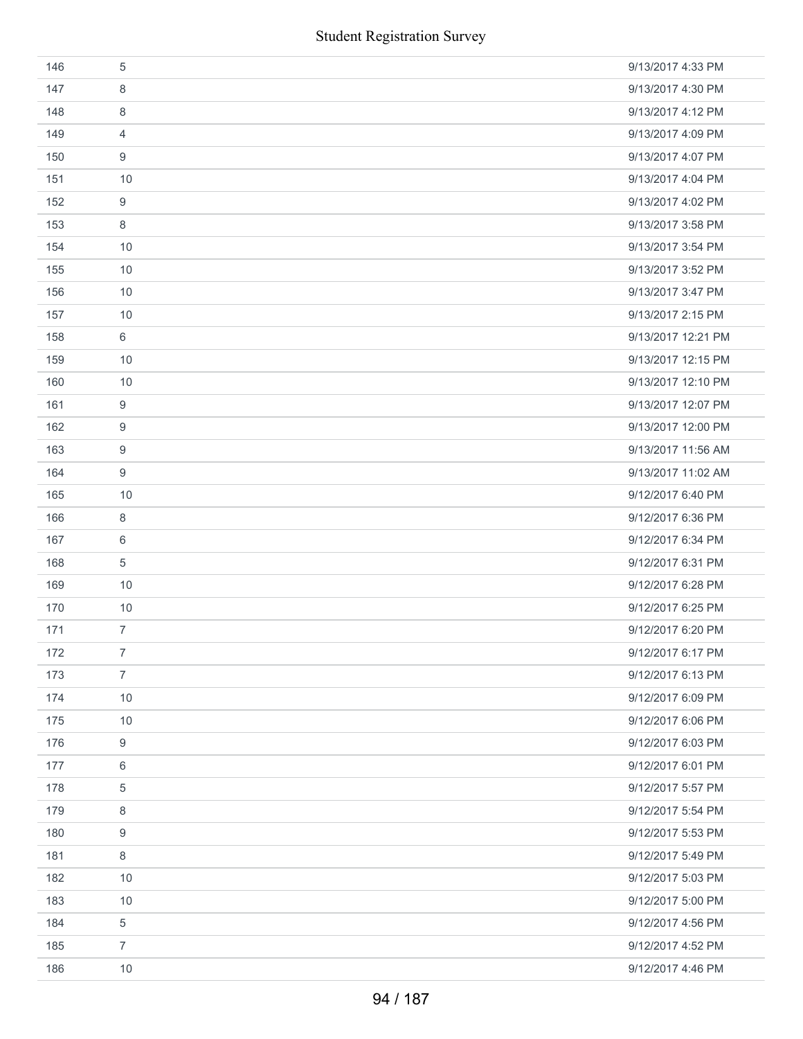|     | <b>Student Registration Survey</b> |                    |
|-----|------------------------------------|--------------------|
| 146 | $\sqrt{5}$                         | 9/13/2017 4:33 PM  |
| 147 | 8                                  | 9/13/2017 4:30 PM  |
| 148 | 8                                  | 9/13/2017 4:12 PM  |
| 149 | 4                                  | 9/13/2017 4:09 PM  |
| 150 | 9                                  | 9/13/2017 4:07 PM  |
| 151 | 10                                 | 9/13/2017 4:04 PM  |
| 152 | 9                                  | 9/13/2017 4:02 PM  |
| 153 | 8                                  | 9/13/2017 3:58 PM  |
| 154 | 10                                 | 9/13/2017 3:54 PM  |
| 155 | 10                                 | 9/13/2017 3:52 PM  |
| 156 | 10                                 | 9/13/2017 3:47 PM  |
| 157 | 10                                 | 9/13/2017 2:15 PM  |
| 158 | 6                                  | 9/13/2017 12:21 PM |
| 159 | 10                                 | 9/13/2017 12:15 PM |
| 160 | 10                                 | 9/13/2017 12:10 PM |
| 161 | 9                                  | 9/13/2017 12:07 PM |
| 162 | 9                                  | 9/13/2017 12:00 PM |
| 163 | 9                                  | 9/13/2017 11:56 AM |
| 164 | 9                                  | 9/13/2017 11:02 AM |
| 165 | 10                                 | 9/12/2017 6:40 PM  |
| 166 | $\,8\,$                            | 9/12/2017 6:36 PM  |
| 167 | 6                                  | 9/12/2017 6:34 PM  |
| 168 | $\sqrt{5}$                         | 9/12/2017 6:31 PM  |
| 169 | 10                                 | 9/12/2017 6:28 PM  |
| 170 | 10                                 | 9/12/2017 6:25 PM  |
| 171 | $\overline{7}$                     | 9/12/2017 6:20 PM  |
| 172 | $\overline{7}$                     | 9/12/2017 6:17 PM  |
| 173 | $\overline{7}$                     | 9/12/2017 6:13 PM  |
| 174 | 10                                 | 9/12/2017 6:09 PM  |
| 175 | 10                                 | 9/12/2017 6:06 PM  |
| 176 | 9                                  | 9/12/2017 6:03 PM  |
| 177 | 6                                  | 9/12/2017 6:01 PM  |
| 178 | 5                                  | 9/12/2017 5:57 PM  |
| 179 | 8                                  | 9/12/2017 5:54 PM  |
| 180 | 9                                  | 9/12/2017 5:53 PM  |
| 181 | 8                                  | 9/12/2017 5:49 PM  |
| 182 | 10                                 | 9/12/2017 5:03 PM  |
| 183 | 10                                 | 9/12/2017 5:00 PM  |
| 184 | 5                                  | 9/12/2017 4:56 PM  |
| 185 | $\overline{7}$                     | 9/12/2017 4:52 PM  |
| 186 | 10                                 | 9/12/2017 4:46 PM  |
|     | 94 / 187                           |                    |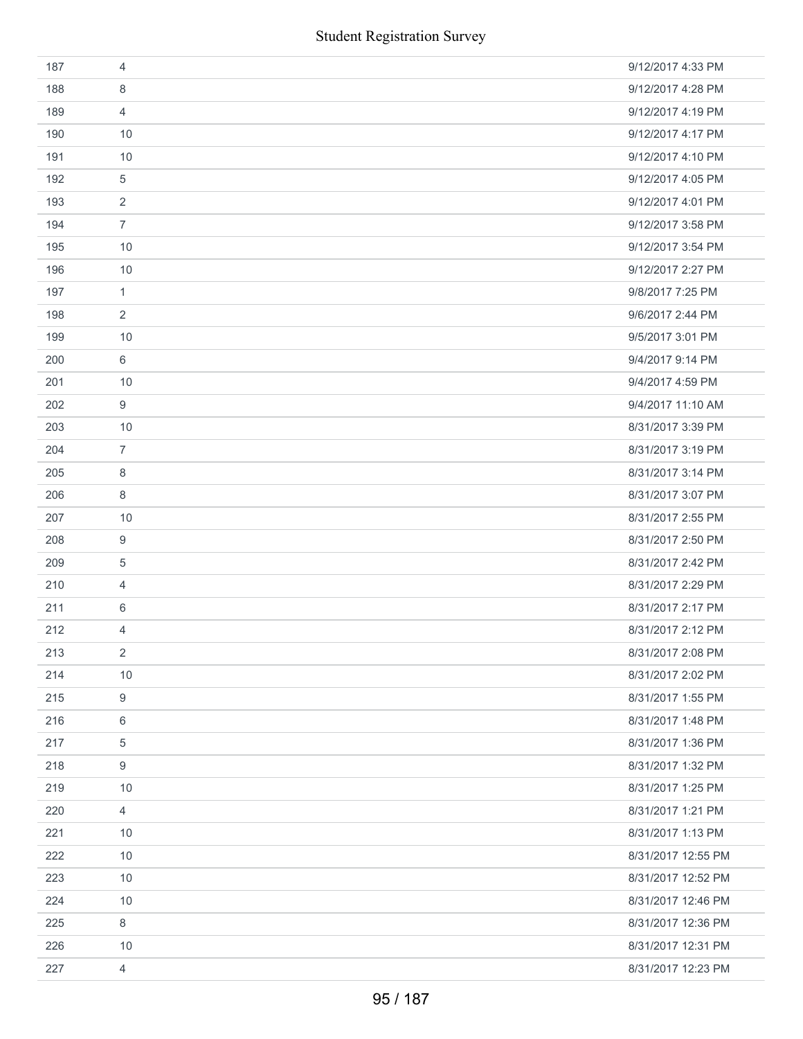| 187 | 4              | 9/12/2017 4:33 PM  |
|-----|----------------|--------------------|
| 188 | 8              | 9/12/2017 4:28 PM  |
| 189 | $\overline{4}$ | 9/12/2017 4:19 PM  |
| 190 | 10             | 9/12/2017 4:17 PM  |
| 191 | 10             | 9/12/2017 4:10 PM  |
| 192 | 5              | 9/12/2017 4:05 PM  |
| 193 | $\overline{2}$ | 9/12/2017 4:01 PM  |
| 194 | $\overline{7}$ | 9/12/2017 3:58 PM  |
| 195 | 10             | 9/12/2017 3:54 PM  |
| 196 | 10             | 9/12/2017 2:27 PM  |
| 197 | $\mathbf{1}$   | 9/8/2017 7:25 PM   |
| 198 | $\overline{2}$ | 9/6/2017 2:44 PM   |
| 199 | 10             | 9/5/2017 3:01 PM   |
| 200 | $6\,$          | 9/4/2017 9:14 PM   |
| 201 | 10             | 9/4/2017 4:59 PM   |
| 202 | $9\,$          | 9/4/2017 11:10 AM  |
| 203 | 10             | 8/31/2017 3:39 PM  |
| 204 | $\overline{7}$ | 8/31/2017 3:19 PM  |
| 205 | 8              | 8/31/2017 3:14 PM  |
| 206 | 8              | 8/31/2017 3:07 PM  |
| 207 | 10             | 8/31/2017 2:55 PM  |
| 208 | 9              | 8/31/2017 2:50 PM  |
| 209 | $\,$ 5 $\,$    | 8/31/2017 2:42 PM  |
| 210 | 4              | 8/31/2017 2:29 PM  |
| 211 | 6              | 8/31/2017 2:17 PM  |
| 212 | 4              | 8/31/2017 2:12 PM  |
| 213 | $\overline{2}$ | 8/31/2017 2:08 PM  |
| 214 | 10             | 8/31/2017 2:02 PM  |
| 215 | 9              | 8/31/2017 1:55 PM  |
| 216 | 6              | 8/31/2017 1:48 PM  |
| 217 | 5              | 8/31/2017 1:36 PM  |
| 218 | 9              | 8/31/2017 1:32 PM  |
| 219 | 10             | 8/31/2017 1:25 PM  |
| 220 | $\overline{4}$ | 8/31/2017 1:21 PM  |
| 221 | 10             | 8/31/2017 1:13 PM  |
| 222 | 10             | 8/31/2017 12:55 PM |
| 223 | 10             | 8/31/2017 12:52 PM |
| 224 | 10             | 8/31/2017 12:46 PM |
| 225 | $\,8\,$        | 8/31/2017 12:36 PM |
| 226 | 10             | 8/31/2017 12:31 PM |
| 227 | $\overline{4}$ | 8/31/2017 12:23 PM |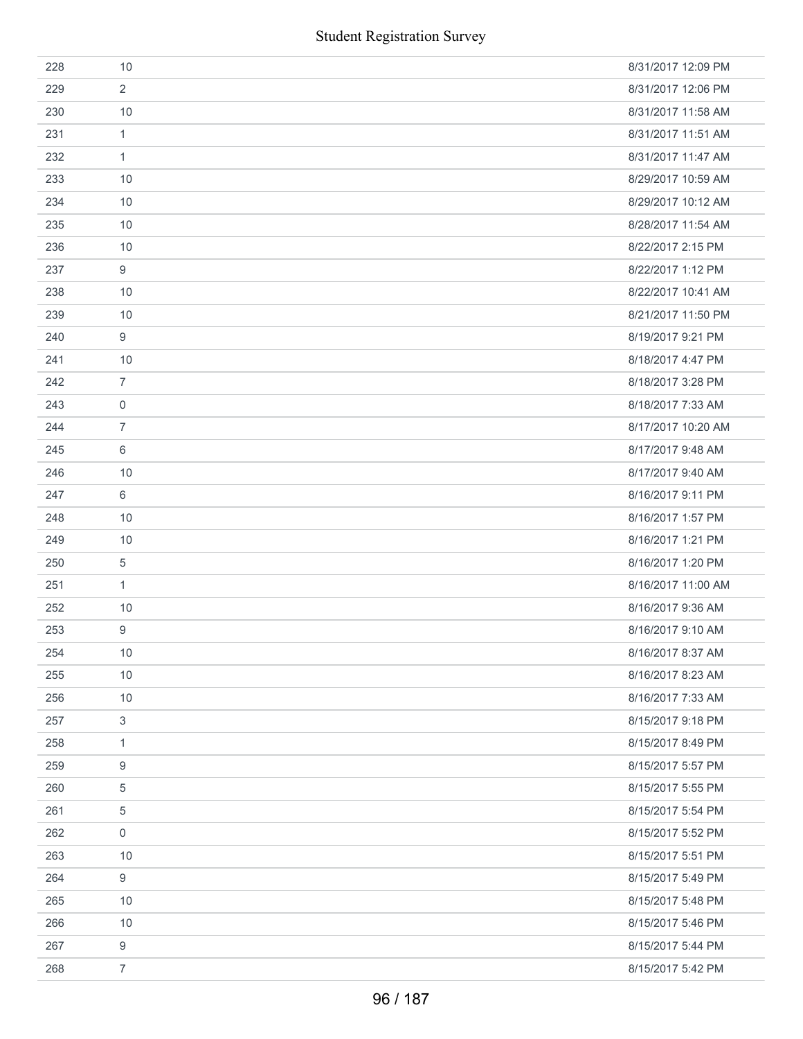| 228 | 10                        | 8/31/2017 12:09 PM |
|-----|---------------------------|--------------------|
| 229 | $\overline{2}$            | 8/31/2017 12:06 PM |
| 230 | 10                        | 8/31/2017 11:58 AM |
| 231 | $\mathbf{1}$              | 8/31/2017 11:51 AM |
| 232 | $\mathbf{1}$              | 8/31/2017 11:47 AM |
| 233 | 10                        | 8/29/2017 10:59 AM |
| 234 | 10                        | 8/29/2017 10:12 AM |
| 235 | 10                        | 8/28/2017 11:54 AM |
| 236 | 10                        | 8/22/2017 2:15 PM  |
| 237 | 9                         | 8/22/2017 1:12 PM  |
| 238 | 10                        | 8/22/2017 10:41 AM |
| 239 | 10                        | 8/21/2017 11:50 PM |
| 240 | 9                         | 8/19/2017 9:21 PM  |
| 241 | 10                        | 8/18/2017 4:47 PM  |
| 242 | $\overline{7}$            | 8/18/2017 3:28 PM  |
| 243 | $\mathbf 0$               | 8/18/2017 7:33 AM  |
| 244 | $\overline{7}$            | 8/17/2017 10:20 AM |
| 245 | 6                         | 8/17/2017 9:48 AM  |
| 246 | 10                        | 8/17/2017 9:40 AM  |
| 247 | 6                         | 8/16/2017 9:11 PM  |
| 248 | 10                        | 8/16/2017 1:57 PM  |
| 249 | 10                        | 8/16/2017 1:21 PM  |
| 250 | 5                         | 8/16/2017 1:20 PM  |
| 251 | $\mathbf{1}$              | 8/16/2017 11:00 AM |
| 252 | 10                        | 8/16/2017 9:36 AM  |
| 253 | 9                         | 8/16/2017 9:10 AM  |
| 254 | 10                        | 8/16/2017 8:37 AM  |
| 255 | 10                        | 8/16/2017 8:23 AM  |
| 256 | 10                        | 8/16/2017 7:33 AM  |
| 257 | $\ensuremath{\mathsf{3}}$ | 8/15/2017 9:18 PM  |
| 258 | $\mathbf{1}$              | 8/15/2017 8:49 PM  |
| 259 | $\boldsymbol{9}$          | 8/15/2017 5:57 PM  |
| 260 | 5                         | 8/15/2017 5:55 PM  |
| 261 | $\overline{5}$            | 8/15/2017 5:54 PM  |
| 262 | $\mathbf 0$               | 8/15/2017 5:52 PM  |
| 263 | 10                        | 8/15/2017 5:51 PM  |
| 264 | 9                         | 8/15/2017 5:49 PM  |
| 265 | 10                        | 8/15/2017 5:48 PM  |
| 266 | 10                        | 8/15/2017 5:46 PM  |
| 267 | $\boldsymbol{9}$          | 8/15/2017 5:44 PM  |
| 268 | $\overline{7}$            | 8/15/2017 5:42 PM  |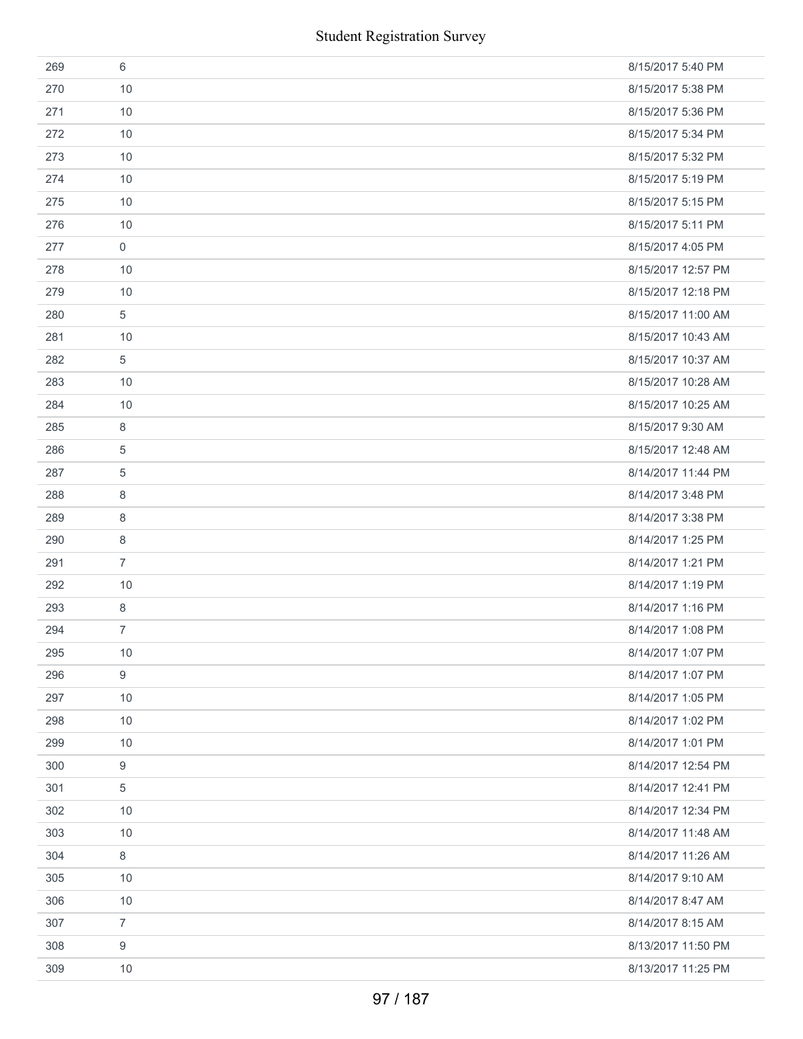|     | <b>Student Registration Survey</b> |                    |
|-----|------------------------------------|--------------------|
| 269 | $6\,$                              | 8/15/2017 5:40 PM  |
| 270 | 10                                 | 8/15/2017 5:38 PM  |
| 271 | 10                                 | 8/15/2017 5:36 PM  |
| 272 | 10                                 | 8/15/2017 5:34 PM  |
| 273 | 10                                 | 8/15/2017 5:32 PM  |
| 274 | 10                                 | 8/15/2017 5:19 PM  |
| 275 | 10                                 | 8/15/2017 5:15 PM  |
| 276 | 10                                 | 8/15/2017 5:11 PM  |
| 277 | $\boldsymbol{0}$                   | 8/15/2017 4:05 PM  |
| 278 | 10                                 | 8/15/2017 12:57 PM |
| 279 | 10                                 | 8/15/2017 12:18 PM |
| 280 | 5                                  | 8/15/2017 11:00 AM |
| 281 | 10                                 | 8/15/2017 10:43 AM |
| 282 | $\sqrt{5}$                         | 8/15/2017 10:37 AM |
| 283 | 10                                 | 8/15/2017 10:28 AM |
| 284 | 10                                 | 8/15/2017 10:25 AM |
| 285 | 8                                  | 8/15/2017 9:30 AM  |
| 286 | $\overline{5}$                     | 8/15/2017 12:48 AM |
| 287 | $\overline{5}$                     | 8/14/2017 11:44 PM |
| 288 | 8                                  | 8/14/2017 3:48 PM  |
| 289 | 8                                  | 8/14/2017 3:38 PM  |
| 290 | 8                                  | 8/14/2017 1:25 PM  |
| 291 | $\overline{7}$                     | 8/14/2017 1:21 PM  |
| 292 | 10                                 | 8/14/2017 1:19 PM  |
| 293 | 8                                  | 8/14/2017 1:16 PM  |
| 294 | $\overline{7}$                     | 8/14/2017 1:08 PM  |
| 295 | 10                                 | 8/14/2017 1:07 PM  |
| 296 | $\boldsymbol{9}$                   | 8/14/2017 1:07 PM  |
| 297 | 10                                 | 8/14/2017 1:05 PM  |
| 298 | 10                                 | 8/14/2017 1:02 PM  |
| 299 | 10                                 | 8/14/2017 1:01 PM  |
| 300 | $\boldsymbol{9}$                   | 8/14/2017 12:54 PM |
| 301 | 5                                  | 8/14/2017 12:41 PM |
| 302 | 10                                 | 8/14/2017 12:34 PM |
| 303 | 10                                 | 8/14/2017 11:48 AM |
| 304 | $\,8\,$                            | 8/14/2017 11:26 AM |
| 305 | 10                                 | 8/14/2017 9:10 AM  |
| 306 | 10                                 | 8/14/2017 8:47 AM  |
| 307 | $\overline{7}$                     | 8/14/2017 8:15 AM  |
| 308 | 9                                  | 8/13/2017 11:50 PM |
| 309 | 10                                 | 8/13/2017 11:25 PM |
|     | 97 / 187                           |                    |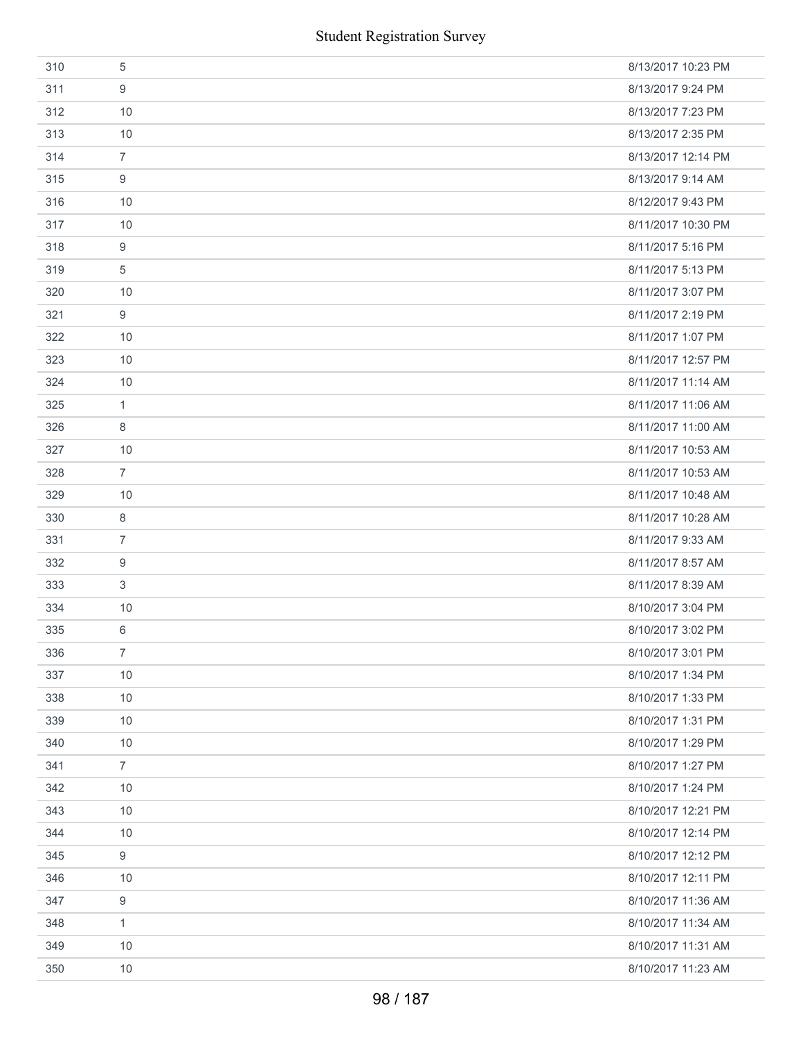|     | <b>Student Registration Survey</b> |                    |
|-----|------------------------------------|--------------------|
| 310 | 5                                  | 8/13/2017 10:23 PM |
| 311 | 9                                  | 8/13/2017 9:24 PM  |
| 312 | 10                                 | 8/13/2017 7:23 PM  |
| 313 | 10                                 | 8/13/2017 2:35 PM  |
| 314 | $\overline{7}$                     | 8/13/2017 12:14 PM |
| 315 | 9                                  | 8/13/2017 9:14 AM  |
| 316 | 10                                 | 8/12/2017 9:43 PM  |
| 317 | 10                                 | 8/11/2017 10:30 PM |
| 318 | 9                                  | 8/11/2017 5:16 PM  |
| 319 | 5                                  | 8/11/2017 5:13 PM  |
| 320 | 10                                 | 8/11/2017 3:07 PM  |
| 321 | 9                                  | 8/11/2017 2:19 PM  |
| 322 | 10                                 | 8/11/2017 1:07 PM  |
| 323 | 10                                 | 8/11/2017 12:57 PM |
| 324 | 10                                 | 8/11/2017 11:14 AM |
| 325 | $\mathbf{1}$                       | 8/11/2017 11:06 AM |
| 326 | 8                                  | 8/11/2017 11:00 AM |
| 327 | 10                                 | 8/11/2017 10:53 AM |
| 328 | $\overline{7}$                     | 8/11/2017 10:53 AM |
| 329 | 10                                 | 8/11/2017 10:48 AM |
| 330 | $\,8\,$                            | 8/11/2017 10:28 AM |
| 331 | $\overline{7}$                     | 8/11/2017 9:33 AM  |
| 332 | 9                                  | 8/11/2017 8:57 AM  |
| 333 | 3                                  | 8/11/2017 8:39 AM  |
| 334 | 10                                 | 8/10/2017 3:04 PM  |
| 335 | 6                                  | 8/10/2017 3:02 PM  |
| 336 | $\overline{7}$                     | 8/10/2017 3:01 PM  |
| 337 | 10                                 | 8/10/2017 1:34 PM  |
| 338 | 10                                 | 8/10/2017 1:33 PM  |
| 339 | 10                                 | 8/10/2017 1:31 PM  |
| 340 | 10                                 | 8/10/2017 1:29 PM  |
| 341 | $\overline{7}$                     | 8/10/2017 1:27 PM  |
| 342 | 10                                 | 8/10/2017 1:24 PM  |
| 343 | 10                                 | 8/10/2017 12:21 PM |
| 344 | 10                                 | 8/10/2017 12:14 PM |
| 345 | 9                                  | 8/10/2017 12:12 PM |
| 346 | 10                                 | 8/10/2017 12:11 PM |
| 347 | 9                                  | 8/10/2017 11:36 AM |
| 348 | $\mathbf{1}$                       | 8/10/2017 11:34 AM |
| 349 | 10                                 | 8/10/2017 11:31 AM |
| 350 | $10$                               | 8/10/2017 11:23 AM |
|     | 98 / 187                           |                    |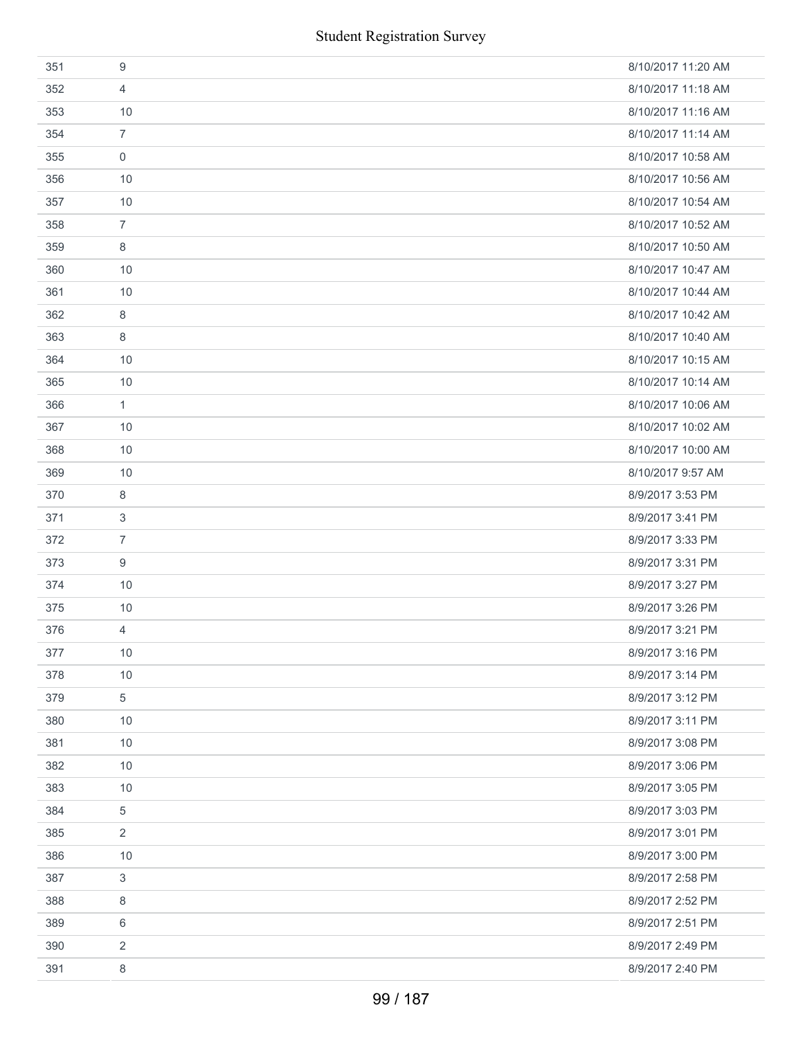| 351 | 9                | 8/10/2017 11:20 AM |
|-----|------------------|--------------------|
| 352 | 4                | 8/10/2017 11:18 AM |
| 353 | 10               | 8/10/2017 11:16 AM |
| 354 | $\overline{7}$   | 8/10/2017 11:14 AM |
| 355 | $\mathbf 0$      | 8/10/2017 10:58 AM |
| 356 | 10               | 8/10/2017 10:56 AM |
| 357 | 10               | 8/10/2017 10:54 AM |
| 358 | $\overline{7}$   | 8/10/2017 10:52 AM |
| 359 | 8                | 8/10/2017 10:50 AM |
| 360 | 10               | 8/10/2017 10:47 AM |
| 361 | 10               | 8/10/2017 10:44 AM |
| 362 | 8                | 8/10/2017 10:42 AM |
| 363 | 8                | 8/10/2017 10:40 AM |
| 364 | 10               | 8/10/2017 10:15 AM |
| 365 | $10$             | 8/10/2017 10:14 AM |
| 366 | 1                | 8/10/2017 10:06 AM |
| 367 | 10               | 8/10/2017 10:02 AM |
| 368 | 10               | 8/10/2017 10:00 AM |
| 369 | 10               | 8/10/2017 9:57 AM  |
| 370 | 8                | 8/9/2017 3:53 PM   |
| 371 | $\sqrt{3}$       | 8/9/2017 3:41 PM   |
| 372 | $\overline{7}$   | 8/9/2017 3:33 PM   |
| 373 | $\boldsymbol{9}$ | 8/9/2017 3:31 PM   |
| 374 | 10               | 8/9/2017 3:27 PM   |
| 375 | 10               | 8/9/2017 3:26 PM   |
| 376 | 4                | 8/9/2017 3:21 PM   |
| 377 | 10               | 8/9/2017 3:16 PM   |
| 378 | 10               | 8/9/2017 3:14 PM   |
| 379 | 5                | 8/9/2017 3:12 PM   |
| 380 | 10               | 8/9/2017 3:11 PM   |
| 381 | 10               | 8/9/2017 3:08 PM   |
| 382 | 10               | 8/9/2017 3:06 PM   |
| 383 | 10               | 8/9/2017 3:05 PM   |
| 384 | 5                | 8/9/2017 3:03 PM   |
| 385 | 2                | 8/9/2017 3:01 PM   |
| 386 | 10               | 8/9/2017 3:00 PM   |
| 387 | 3                | 8/9/2017 2:58 PM   |
| 388 | 8                | 8/9/2017 2:52 PM   |
| 389 | 6                | 8/9/2017 2:51 PM   |
| 390 | 2                | 8/9/2017 2:49 PM   |
| 391 | 8                | 8/9/2017 2:40 PM   |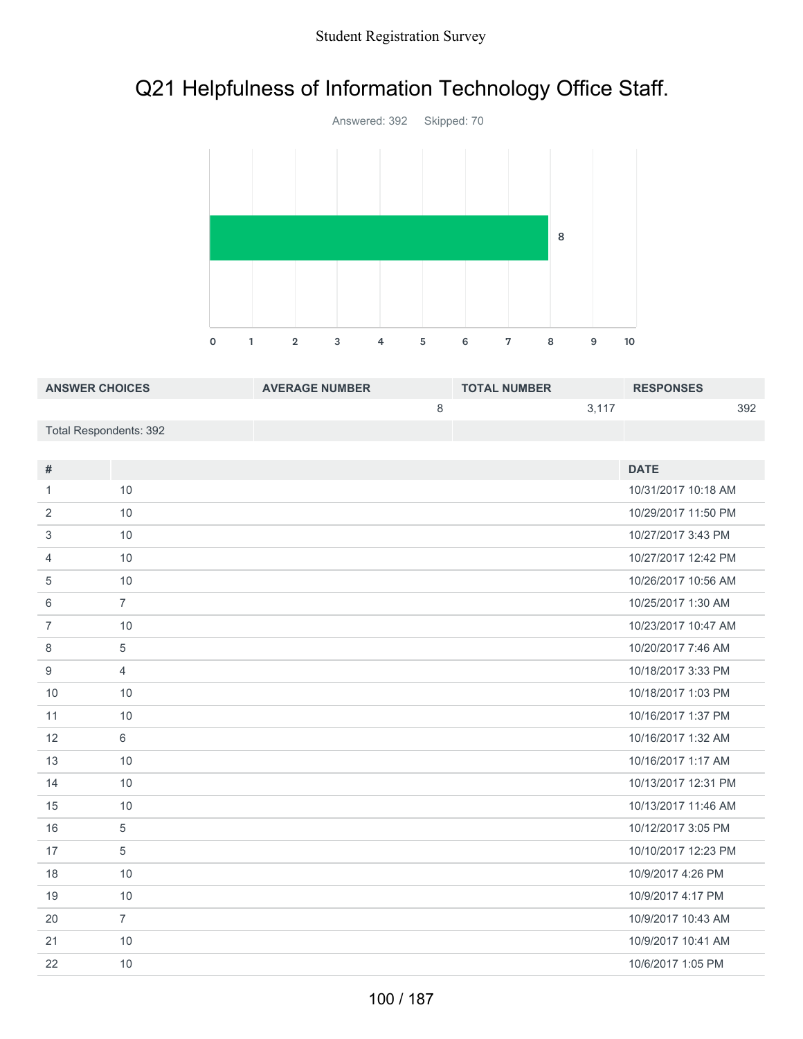# Q21 Helpfulness of Information Technology Office Staff.



| <b>ANSWER CHOICES</b>  | <b>AVERAGE NUMBER</b> | <b>TOTAL NUMBER</b> |       | <b>RESPONSES</b> |     |
|------------------------|-----------------------|---------------------|-------|------------------|-----|
|                        |                       |                     | 3.117 |                  | 392 |
| Total Respondents: 392 |                       |                     |       |                  |     |

| #              |                | <b>DATE</b>         |
|----------------|----------------|---------------------|
| 1              | 10             | 10/31/2017 10:18 AM |
|                |                |                     |
| 2              | 10             | 10/29/2017 11:50 PM |
| 3              | 10             | 10/27/2017 3:43 PM  |
| $\overline{4}$ | 10             | 10/27/2017 12:42 PM |
| 5              | 10             | 10/26/2017 10:56 AM |
| 6              | $\overline{7}$ | 10/25/2017 1:30 AM  |
| $\overline{7}$ | 10             | 10/23/2017 10:47 AM |
| 8              | 5              | 10/20/2017 7:46 AM  |
| 9              | $\overline{4}$ | 10/18/2017 3:33 PM  |
| 10             | 10             | 10/18/2017 1:03 PM  |
| 11             | 10             | 10/16/2017 1:37 PM  |
| 12             | 6              | 10/16/2017 1:32 AM  |
| 13             | 10             | 10/16/2017 1:17 AM  |
| 14             | 10             | 10/13/2017 12:31 PM |
| 15             | 10             | 10/13/2017 11:46 AM |
| 16             | 5              | 10/12/2017 3:05 PM  |
| 17             | 5              | 10/10/2017 12:23 PM |
| 18             | 10             | 10/9/2017 4:26 PM   |
| 19             | 10             | 10/9/2017 4:17 PM   |
| 20             | $\overline{7}$ | 10/9/2017 10:43 AM  |
| 21             | 10             | 10/9/2017 10:41 AM  |
| 22             | 10             | 10/6/2017 1:05 PM   |
|                |                |                     |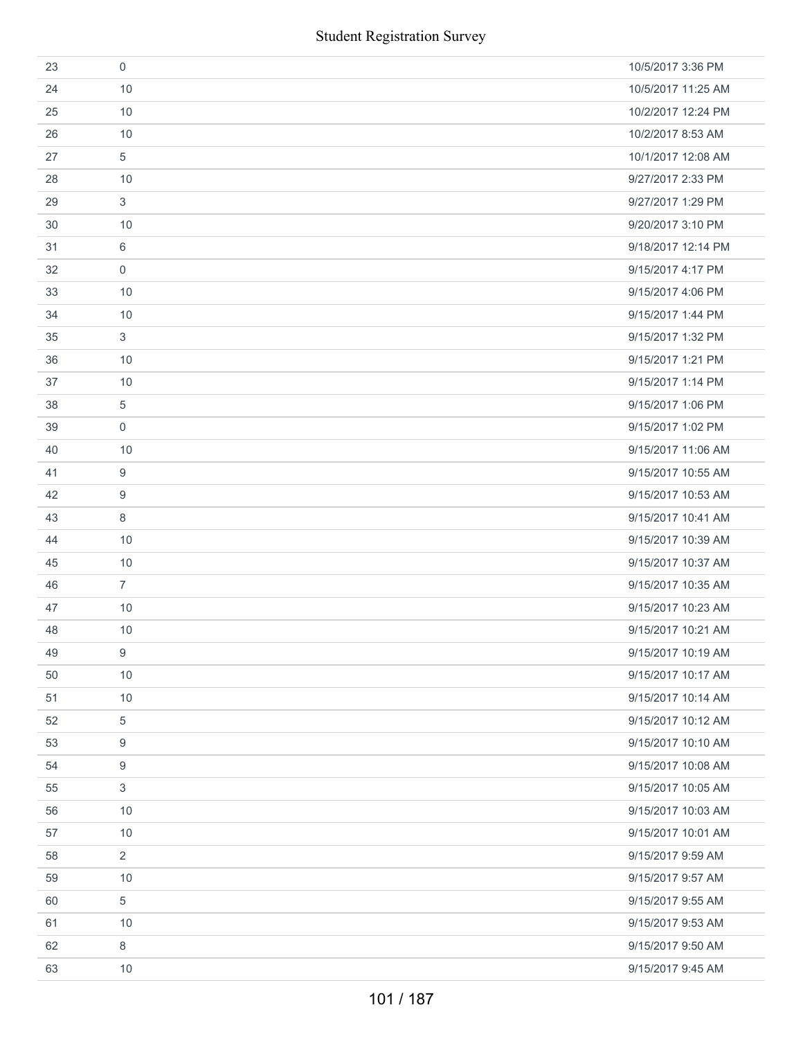|    |                     | <b>Student Registration Survey</b> |
|----|---------------------|------------------------------------|
| 23 | $\mathsf{O}\xspace$ | 10/5/2017 3:36 PM                  |
| 24 | 10                  | 10/5/2017 11:25 AM                 |
| 25 | 10                  | 10/2/2017 12:24 PM                 |
| 26 | 10                  | 10/2/2017 8:53 AM                  |
| 27 | 5                   | 10/1/2017 12:08 AM                 |
| 28 | 10                  | 9/27/2017 2:33 PM                  |
| 29 | 3                   | 9/27/2017 1:29 PM                  |
| 30 | 10                  | 9/20/2017 3:10 PM                  |
| 31 | 6                   | 9/18/2017 12:14 PM                 |
| 32 | $\mathbf 0$         | 9/15/2017 4:17 PM                  |
| 33 | 10                  | 9/15/2017 4:06 PM                  |
| 34 | 10                  | 9/15/2017 1:44 PM                  |
| 35 | 3                   | 9/15/2017 1:32 PM                  |
| 36 | 10                  | 9/15/2017 1:21 PM                  |
| 37 | 10                  | 9/15/2017 1:14 PM                  |
| 38 | 5                   | 9/15/2017 1:06 PM                  |
| 39 | $\mathsf{O}\xspace$ | 9/15/2017 1:02 PM                  |
| 40 | 10                  | 9/15/2017 11:06 AM                 |
| 41 | 9                   | 9/15/2017 10:55 AM                 |
| 42 | 9                   | 9/15/2017 10:53 AM                 |
| 43 | $\,8\,$             | 9/15/2017 10:41 AM                 |
| 44 | 10                  | 9/15/2017 10:39 AM                 |
| 45 | 10                  | 9/15/2017 10:37 AM                 |
| 46 | $\overline{7}$      | 9/15/2017 10:35 AM                 |
| 47 | 10                  | 9/15/2017 10:23 AM                 |
| 48 | 10                  | 9/15/2017 10:21 AM                 |
| 49 | 9                   | 9/15/2017 10:19 AM                 |
| 50 | 10                  | 9/15/2017 10:17 AM                 |
| 51 | 10                  | 9/15/2017 10:14 AM                 |
| 52 | 5                   | 9/15/2017 10:12 AM                 |
| 53 | 9                   | 9/15/2017 10:10 AM                 |
| 54 | 9                   | 9/15/2017 10:08 AM                 |
| 55 | 3                   | 9/15/2017 10:05 AM                 |
| 56 | 10                  | 9/15/2017 10:03 AM                 |
| 57 | 10                  | 9/15/2017 10:01 AM                 |
| 58 | $\overline{2}$      | 9/15/2017 9:59 AM                  |
| 59 | 10                  | 9/15/2017 9:57 AM                  |
| 60 | 5                   | 9/15/2017 9:55 AM                  |
| 61 | 10                  | 9/15/2017 9:53 AM                  |
| 62 | 8                   | 9/15/2017 9:50 AM                  |
| 63 | 10                  | 9/15/2017 9:45 AM                  |
|    |                     | 101 / 187                          |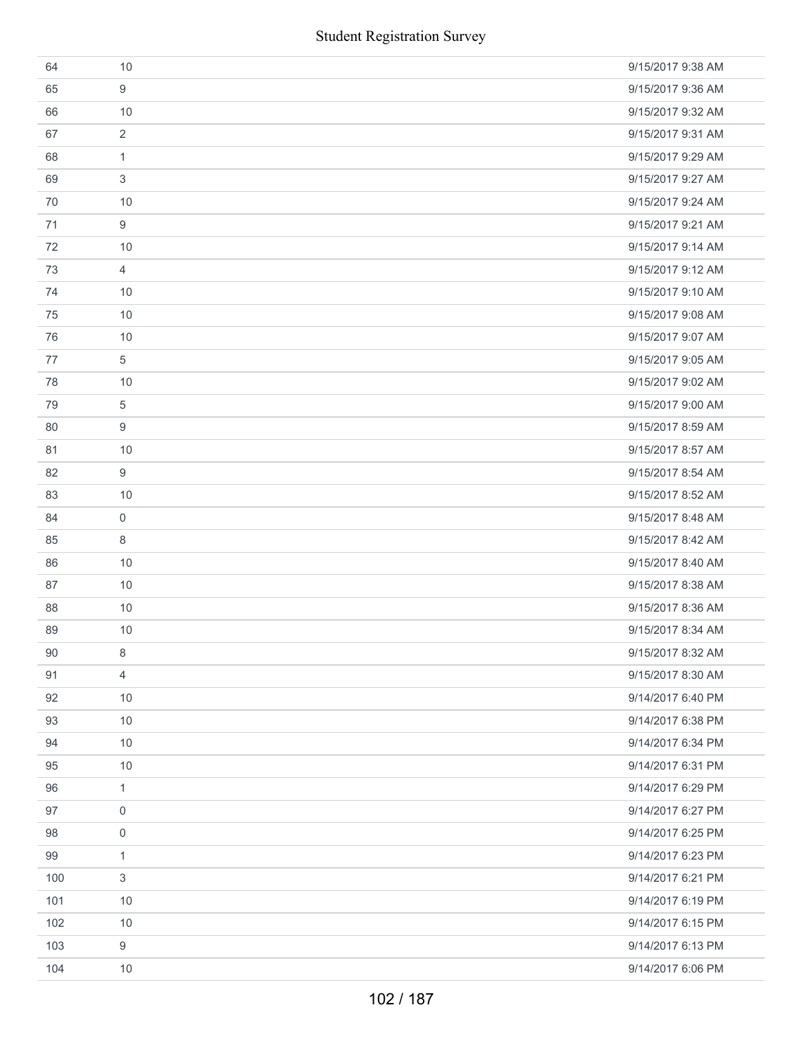|     | <b>Student Registration Survey</b> |                   |
|-----|------------------------------------|-------------------|
| 64  | 10                                 | 9/15/2017 9:38 AM |
| 65  | 9                                  | 9/15/2017 9:36 AM |
| 66  | 10                                 | 9/15/2017 9:32 AM |
| 67  | $\overline{2}$                     | 9/15/2017 9:31 AM |
| 68  | $\mathbf{1}$                       | 9/15/2017 9:29 AM |
| 69  | 3                                  | 9/15/2017 9:27 AM |
| 70  | 10                                 | 9/15/2017 9:24 AM |
| 71  | 9                                  | 9/15/2017 9:21 AM |
| 72  | 10                                 | 9/15/2017 9:14 AM |
| 73  | 4                                  | 9/15/2017 9:12 AM |
| 74  | 10                                 | 9/15/2017 9:10 AM |
| 75  | 10                                 | 9/15/2017 9:08 AM |
| 76  | 10                                 | 9/15/2017 9:07 AM |
| 77  | 5                                  | 9/15/2017 9:05 AM |
| 78  | 10                                 | 9/15/2017 9:02 AM |
| 79  | 5                                  | 9/15/2017 9:00 AM |
| 80  | 9                                  | 9/15/2017 8:59 AM |
| 81  | 10                                 | 9/15/2017 8:57 AM |
| 82  | 9                                  | 9/15/2017 8:54 AM |
| 83  | 10                                 | 9/15/2017 8:52 AM |
| 84  | 0                                  | 9/15/2017 8:48 AM |
| 85  | 8                                  | 9/15/2017 8:42 AM |
| 86  | 10                                 | 9/15/2017 8:40 AM |
| 87  | 10                                 | 9/15/2017 8:38 AM |
| 88  | 10                                 | 9/15/2017 8:36 AM |
| 89  | 10                                 | 9/15/2017 8:34 AM |
| 90  | 8                                  | 9/15/2017 8:32 AM |
| 91  | 4                                  | 9/15/2017 8:30 AM |
| 92  | 10                                 | 9/14/2017 6:40 PM |
| 93  | 10                                 | 9/14/2017 6:38 PM |
| 94  | 10                                 | 9/14/2017 6:34 PM |
| 95  | $10$                               | 9/14/2017 6:31 PM |
| 96  | 1                                  | 9/14/2017 6:29 PM |
| 97  | 0                                  | 9/14/2017 6:27 PM |
| 98  | 0                                  | 9/14/2017 6:25 PM |
| 99  | 1                                  | 9/14/2017 6:23 PM |
| 100 | 3                                  | 9/14/2017 6:21 PM |
| 101 | 10                                 | 9/14/2017 6:19 PM |
| 102 | $10$                               | 9/14/2017 6:15 PM |
| 103 | 9                                  | 9/14/2017 6:13 PM |
| 104 | 10                                 | 9/14/2017 6:06 PM |
|     | 102 / 187                          |                   |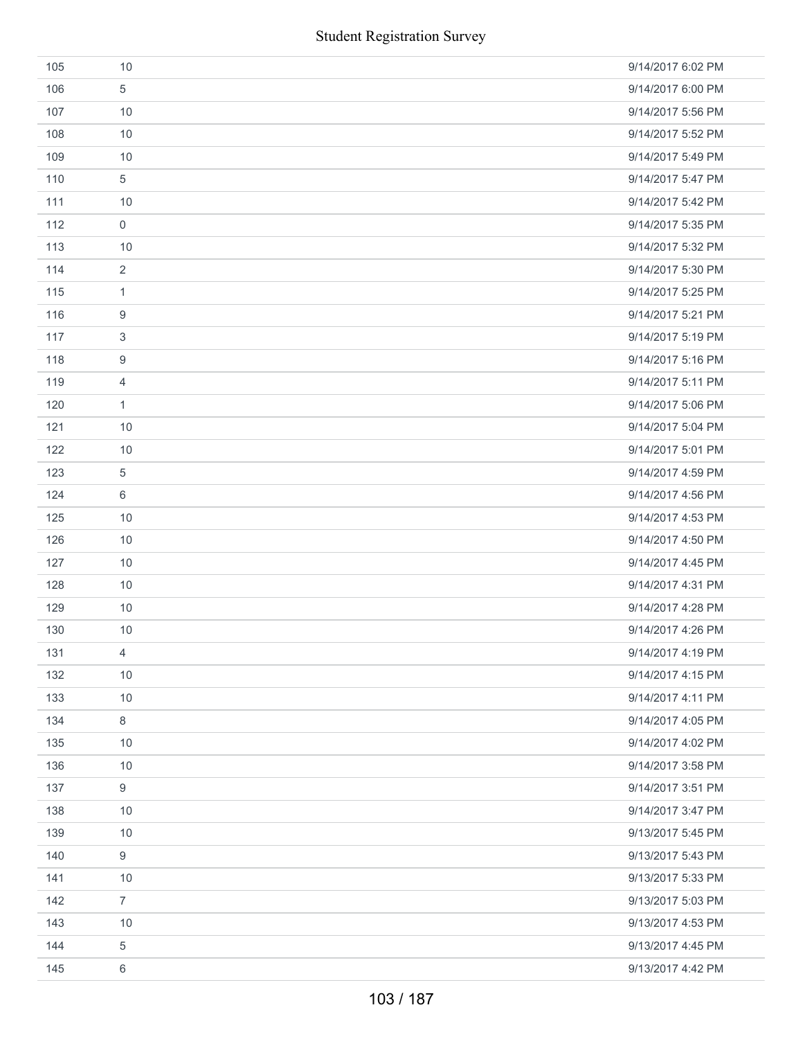|     | <b>Student Registration Survey</b> |                   |
|-----|------------------------------------|-------------------|
| 105 | 10                                 | 9/14/2017 6:02 PM |
| 106 | 5                                  | 9/14/2017 6:00 PM |
| 107 | 10                                 | 9/14/2017 5:56 PM |
| 108 | 10                                 | 9/14/2017 5:52 PM |
| 109 | 10                                 | 9/14/2017 5:49 PM |
| 110 | 5                                  | 9/14/2017 5:47 PM |
| 111 | 10                                 | 9/14/2017 5:42 PM |
| 112 | $\mathsf{O}\xspace$                | 9/14/2017 5:35 PM |
| 113 | 10                                 | 9/14/2017 5:32 PM |
| 114 | $\overline{2}$                     | 9/14/2017 5:30 PM |
| 115 | 1                                  | 9/14/2017 5:25 PM |
| 116 | 9                                  | 9/14/2017 5:21 PM |
| 117 | 3                                  | 9/14/2017 5:19 PM |
| 118 | $\boldsymbol{9}$                   | 9/14/2017 5:16 PM |
| 119 | $\overline{4}$                     | 9/14/2017 5:11 PM |
| 120 | $\mathbf{1}$                       | 9/14/2017 5:06 PM |
| 121 | 10                                 | 9/14/2017 5:04 PM |
| 122 | 10                                 | 9/14/2017 5:01 PM |
| 123 | $\,$ 5 $\,$                        | 9/14/2017 4:59 PM |
| 124 | 6                                  | 9/14/2017 4:56 PM |
| 125 | 10                                 | 9/14/2017 4:53 PM |
| 126 | 10                                 | 9/14/2017 4:50 PM |
| 127 | 10                                 | 9/14/2017 4:45 PM |
| 128 | 10                                 | 9/14/2017 4:31 PM |
| 129 | 10                                 | 9/14/2017 4:28 PM |
| 130 | 10                                 | 9/14/2017 4:26 PM |
| 131 | $\overline{4}$                     | 9/14/2017 4:19 PM |
| 132 | 10                                 | 9/14/2017 4:15 PM |
| 133 | 10                                 | 9/14/2017 4:11 PM |
| 134 | $\,8\,$                            | 9/14/2017 4:05 PM |
| 135 | 10                                 | 9/14/2017 4:02 PM |
| 136 | 10                                 | 9/14/2017 3:58 PM |
| 137 | 9                                  | 9/14/2017 3:51 PM |
| 138 | 10                                 | 9/14/2017 3:47 PM |
| 139 | 10                                 | 9/13/2017 5:45 PM |
| 140 | $9\,$                              | 9/13/2017 5:43 PM |
| 141 | 10                                 | 9/13/2017 5:33 PM |
| 142 | $\overline{7}$                     | 9/13/2017 5:03 PM |
| 143 | 10                                 | 9/13/2017 4:53 PM |
| 144 | $\,$ 5 $\,$                        | 9/13/2017 4:45 PM |
| 145 | 6                                  | 9/13/2017 4:42 PM |
|     | 103 / 187                          |                   |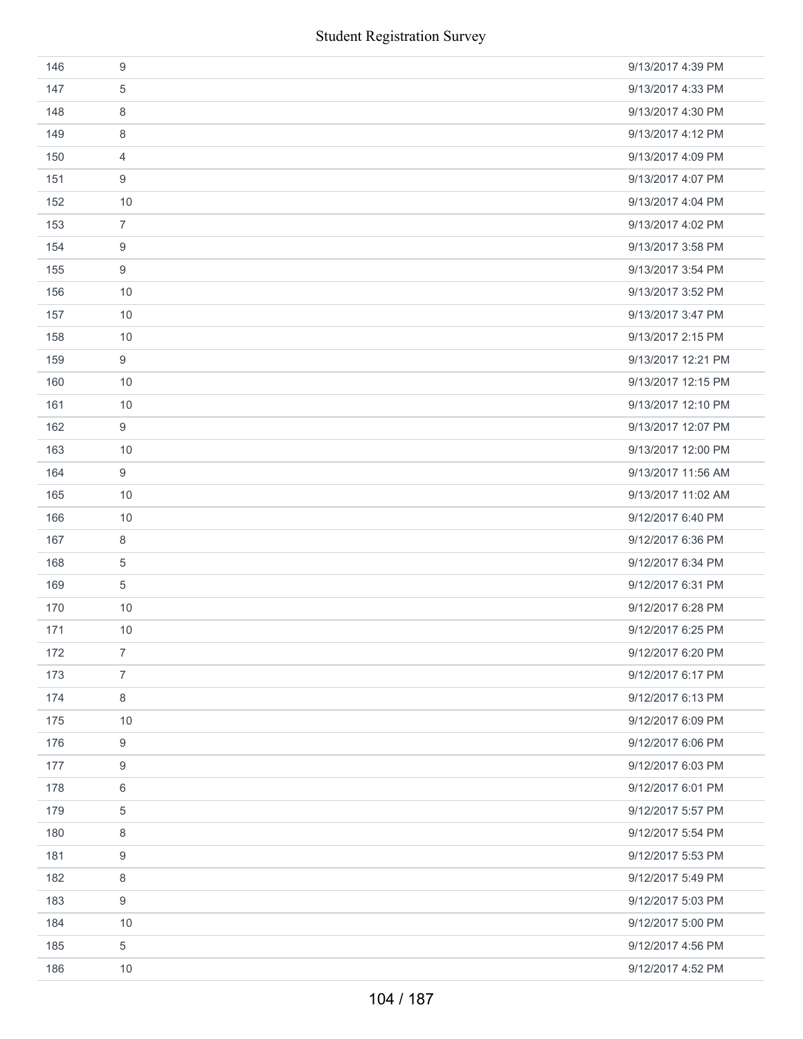|     | <b>Student Registration Survey</b> |                    |
|-----|------------------------------------|--------------------|
| 146 | $\boldsymbol{9}$                   | 9/13/2017 4:39 PM  |
| 147 | 5                                  | 9/13/2017 4:33 PM  |
| 148 | 8                                  | 9/13/2017 4:30 PM  |
| 149 | 8                                  | 9/13/2017 4:12 PM  |
| 150 | 4                                  | 9/13/2017 4:09 PM  |
| 151 | 9                                  | 9/13/2017 4:07 PM  |
| 152 | 10                                 | 9/13/2017 4:04 PM  |
| 153 | $\overline{7}$                     | 9/13/2017 4:02 PM  |
| 154 | 9                                  | 9/13/2017 3:58 PM  |
| 155 | 9                                  | 9/13/2017 3:54 PM  |
| 156 | 10                                 | 9/13/2017 3:52 PM  |
| 157 | 10                                 | 9/13/2017 3:47 PM  |
| 158 | 10                                 | 9/13/2017 2:15 PM  |
| 159 | $\boldsymbol{9}$                   | 9/13/2017 12:21 PM |
| 160 | 10                                 | 9/13/2017 12:15 PM |
| 161 | 10                                 | 9/13/2017 12:10 PM |
| 162 | $\boldsymbol{9}$                   | 9/13/2017 12:07 PM |
| 163 | 10                                 | 9/13/2017 12:00 PM |
| 164 | 9                                  | 9/13/2017 11:56 AM |
| 165 | 10                                 | 9/13/2017 11:02 AM |
| 166 | 10                                 | 9/12/2017 6:40 PM  |
| 167 | 8                                  | 9/12/2017 6:36 PM  |
| 168 | $\sqrt{5}$                         | 9/12/2017 6:34 PM  |
| 169 | $\sqrt{5}$                         | 9/12/2017 6:31 PM  |
| 170 | 10                                 | 9/12/2017 6:28 PM  |
| 171 | 10                                 | 9/12/2017 6:25 PM  |
| 172 | $\overline{7}$                     | 9/12/2017 6:20 PM  |
| 173 | $\overline{7}$                     | 9/12/2017 6:17 PM  |
| 174 | 8                                  | 9/12/2017 6:13 PM  |
| 175 | 10                                 | 9/12/2017 6:09 PM  |
| 176 | 9                                  | 9/12/2017 6:06 PM  |
| 177 | 9                                  | 9/12/2017 6:03 PM  |
| 178 | 6                                  | 9/12/2017 6:01 PM  |
| 179 | 5                                  | 9/12/2017 5:57 PM  |
| 180 | 8                                  | 9/12/2017 5:54 PM  |
| 181 | 9                                  | 9/12/2017 5:53 PM  |
| 182 | 8                                  | 9/12/2017 5:49 PM  |
| 183 | 9                                  | 9/12/2017 5:03 PM  |
| 184 | 10                                 | 9/12/2017 5:00 PM  |
| 185 | 5                                  | 9/12/2017 4:56 PM  |
| 186 | 10                                 | 9/12/2017 4:52 PM  |
|     | 104 / 187                          |                    |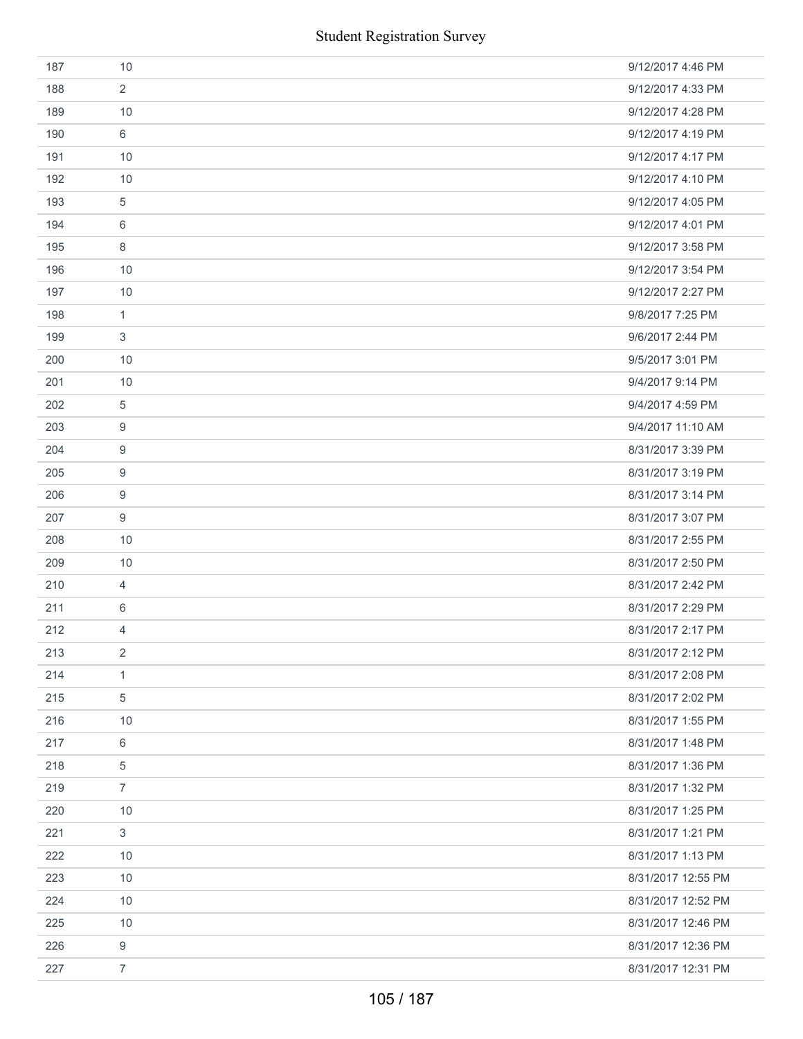| 187 | 10             | 9/12/2017 4:46 PM  |
|-----|----------------|--------------------|
| 188 | $\overline{2}$ | 9/12/2017 4:33 PM  |
| 189 | 10             | 9/12/2017 4:28 PM  |
| 190 | 6              | 9/12/2017 4:19 PM  |
| 191 | 10             | 9/12/2017 4:17 PM  |
| 192 | 10             | 9/12/2017 4:10 PM  |
| 193 | 5              | 9/12/2017 4:05 PM  |
| 194 | 6              | 9/12/2017 4:01 PM  |
| 195 | 8              | 9/12/2017 3:58 PM  |
| 196 | 10             | 9/12/2017 3:54 PM  |
| 197 | 10             | 9/12/2017 2:27 PM  |
| 198 | $\mathbf{1}$   | 9/8/2017 7:25 PM   |
| 199 | 3              | 9/6/2017 2:44 PM   |
| 200 | 10             | 9/5/2017 3:01 PM   |
| 201 | 10             | 9/4/2017 9:14 PM   |
| 202 | 5              | 9/4/2017 4:59 PM   |
| 203 | 9              | 9/4/2017 11:10 AM  |
| 204 | 9              | 8/31/2017 3:39 PM  |
| 205 | 9              | 8/31/2017 3:19 PM  |
| 206 | 9              | 8/31/2017 3:14 PM  |
| 207 | 9              | 8/31/2017 3:07 PM  |
| 208 | 10             | 8/31/2017 2:55 PM  |
| 209 | 10             | 8/31/2017 2:50 PM  |
| 210 | 4              | 8/31/2017 2:42 PM  |
| 211 | 6              | 8/31/2017 2:29 PM  |
| 212 | $\overline{4}$ | 8/31/2017 2:17 PM  |
| 213 | 2              | 8/31/2017 2:12 PM  |
| 214 | $\mathbf{1}$   | 8/31/2017 2:08 PM  |
| 215 | 5              | 8/31/2017 2:02 PM  |
| 216 | 10             | 8/31/2017 1:55 PM  |
| 217 | 6              | 8/31/2017 1:48 PM  |
| 218 | 5              | 8/31/2017 1:36 PM  |
| 219 | $\overline{7}$ | 8/31/2017 1:32 PM  |
| 220 | 10             | 8/31/2017 1:25 PM  |
| 221 | $\mathfrak{S}$ | 8/31/2017 1:21 PM  |
| 222 | 10             | 8/31/2017 1:13 PM  |
| 223 | 10             | 8/31/2017 12:55 PM |
| 224 | 10             | 8/31/2017 12:52 PM |
| 225 | 10             | 8/31/2017 12:46 PM |
| 226 | 9              | 8/31/2017 12:36 PM |
| 227 | $\overline{7}$ | 8/31/2017 12:31 PM |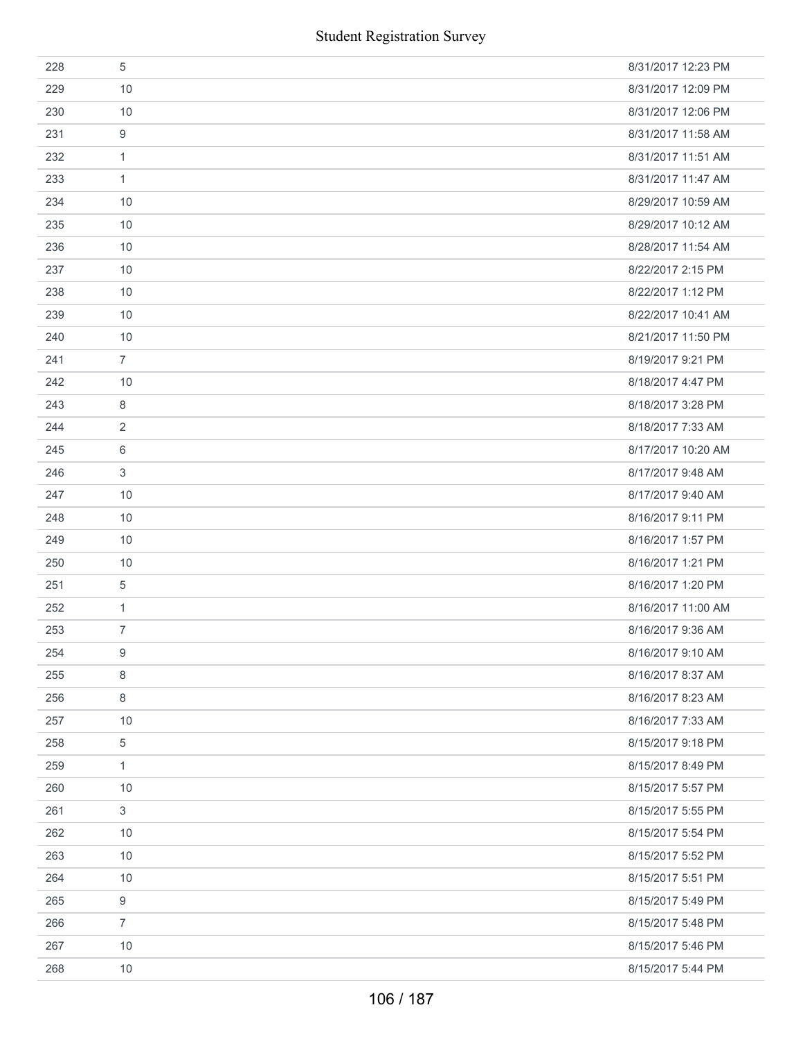| <b>Student Registration Survey</b> |                           |                    |  |
|------------------------------------|---------------------------|--------------------|--|
| 228                                | $\sqrt{5}$                | 8/31/2017 12:23 PM |  |
| 229                                | 10                        | 8/31/2017 12:09 PM |  |
| 230                                | 10                        | 8/31/2017 12:06 PM |  |
| 231                                | 9                         | 8/31/2017 11:58 AM |  |
| 232                                | $\mathbf{1}$              | 8/31/2017 11:51 AM |  |
| 233                                | $\mathbf{1}$              | 8/31/2017 11:47 AM |  |
| 234                                | 10                        | 8/29/2017 10:59 AM |  |
| 235                                | 10                        | 8/29/2017 10:12 AM |  |
| 236                                | 10                        | 8/28/2017 11:54 AM |  |
| 237                                | 10                        | 8/22/2017 2:15 PM  |  |
| 238                                | 10                        | 8/22/2017 1:12 PM  |  |
| 239                                | 10                        | 8/22/2017 10:41 AM |  |
| 240                                | 10                        | 8/21/2017 11:50 PM |  |
| 241                                | $\overline{7}$            | 8/19/2017 9:21 PM  |  |
| 242                                | 10                        | 8/18/2017 4:47 PM  |  |
| 243                                | 8                         | 8/18/2017 3:28 PM  |  |
| 244                                | $\overline{2}$            | 8/18/2017 7:33 AM  |  |
| 245                                | 6                         | 8/17/2017 10:20 AM |  |
| 246                                | 3                         | 8/17/2017 9:48 AM  |  |
| 247                                | 10                        | 8/17/2017 9:40 AM  |  |
| 248                                | 10                        | 8/16/2017 9:11 PM  |  |
| 249                                | 10                        | 8/16/2017 1:57 PM  |  |
| 250                                | 10                        | 8/16/2017 1:21 PM  |  |
| 251                                | $\sqrt{5}$                | 8/16/2017 1:20 PM  |  |
| 252                                | 1                         | 8/16/2017 11:00 AM |  |
| 253                                | $\overline{7}$            | 8/16/2017 9:36 AM  |  |
| 254                                | $\boldsymbol{9}$          | 8/16/2017 9:10 AM  |  |
| 255                                | $\,8\,$                   | 8/16/2017 8:37 AM  |  |
| 256                                | $\,8\,$                   | 8/16/2017 8:23 AM  |  |
| 257                                | 10                        | 8/16/2017 7:33 AM  |  |
| 258                                | 5                         | 8/15/2017 9:18 PM  |  |
| 259                                | $\mathbf{1}$              | 8/15/2017 8:49 PM  |  |
| 260                                | 10                        | 8/15/2017 5:57 PM  |  |
| 261                                | $\ensuremath{\mathsf{3}}$ | 8/15/2017 5:55 PM  |  |
| 262                                | 10                        | 8/15/2017 5:54 PM  |  |
| 263                                | 10                        | 8/15/2017 5:52 PM  |  |
| 264                                | 10                        | 8/15/2017 5:51 PM  |  |
| 265                                | 9                         | 8/15/2017 5:49 PM  |  |
| 266                                | $\overline{7}$            | 8/15/2017 5:48 PM  |  |
| 267                                | 10                        | 8/15/2017 5:46 PM  |  |
| 268                                | 10                        | 8/15/2017 5:44 PM  |  |
| 106 / 187                          |                           |                    |  |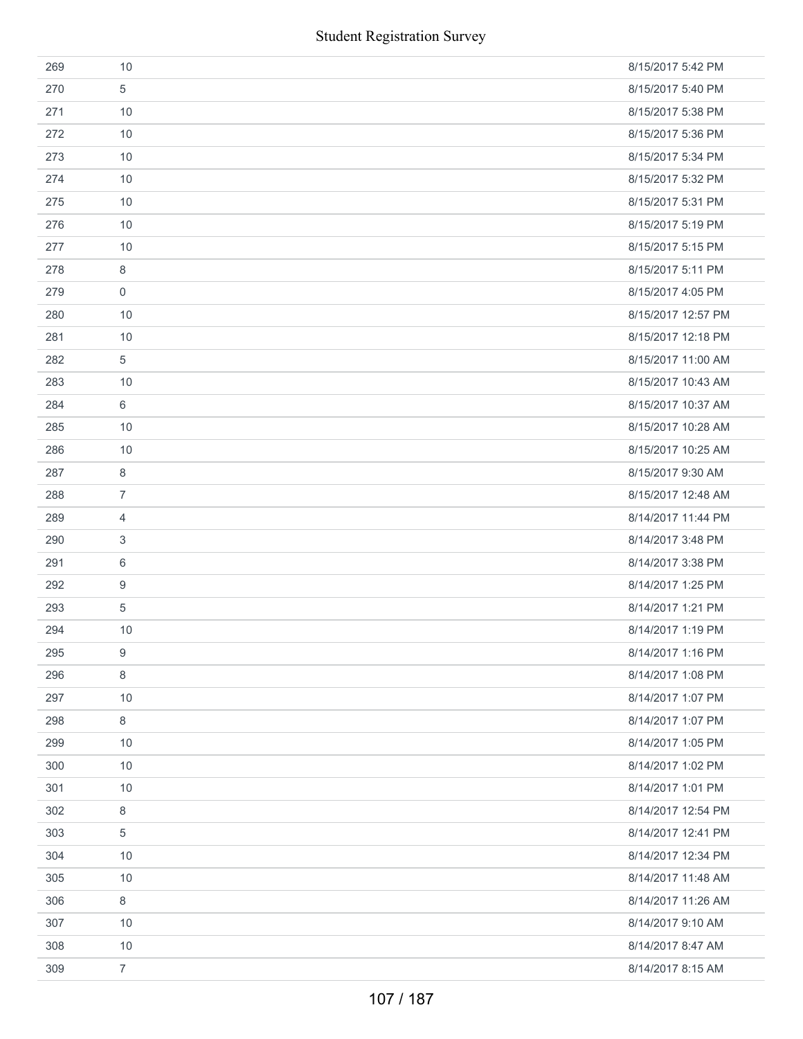| <b>Student Registration Survey</b> |                  |                    |  |  |
|------------------------------------|------------------|--------------------|--|--|
| 269                                | 10               | 8/15/2017 5:42 PM  |  |  |
| 270                                | 5                | 8/15/2017 5:40 PM  |  |  |
| 271                                | 10               | 8/15/2017 5:38 PM  |  |  |
| 272                                | 10               | 8/15/2017 5:36 PM  |  |  |
| 273                                | 10               | 8/15/2017 5:34 PM  |  |  |
| 274                                | 10               | 8/15/2017 5:32 PM  |  |  |
| 275                                | 10               | 8/15/2017 5:31 PM  |  |  |
| 276                                | 10               | 8/15/2017 5:19 PM  |  |  |
| 277                                | 10               | 8/15/2017 5:15 PM  |  |  |
| 278                                | $\,8\,$          | 8/15/2017 5:11 PM  |  |  |
| 279                                | $\mathbf 0$      | 8/15/2017 4:05 PM  |  |  |
| 280                                | 10               | 8/15/2017 12:57 PM |  |  |
| 281                                | 10               | 8/15/2017 12:18 PM |  |  |
| 282                                | $\sqrt{5}$       | 8/15/2017 11:00 AM |  |  |
| 283                                | 10               | 8/15/2017 10:43 AM |  |  |
| 284                                | 6                | 8/15/2017 10:37 AM |  |  |
| 285                                | 10               | 8/15/2017 10:28 AM |  |  |
| 286                                | 10               | 8/15/2017 10:25 AM |  |  |
| 287                                | 8                | 8/15/2017 9:30 AM  |  |  |
| 288                                | $\overline{7}$   | 8/15/2017 12:48 AM |  |  |
| 289                                | 4                | 8/14/2017 11:44 PM |  |  |
| 290                                | 3                | 8/14/2017 3:48 PM  |  |  |
| 291                                | 6                | 8/14/2017 3:38 PM  |  |  |
| 292                                | $\boldsymbol{9}$ | 8/14/2017 1:25 PM  |  |  |
| 293                                | $\sqrt{5}$       | 8/14/2017 1:21 PM  |  |  |
| 294                                | 10               | 8/14/2017 1:19 PM  |  |  |
| 295                                | $\boldsymbol{9}$ | 8/14/2017 1:16 PM  |  |  |
| 296                                | $\,8\,$          | 8/14/2017 1:08 PM  |  |  |
| 297                                | 10               | 8/14/2017 1:07 PM  |  |  |
| 298                                | 8                | 8/14/2017 1:07 PM  |  |  |
| 299                                | 10               | 8/14/2017 1:05 PM  |  |  |
| 300                                | 10               | 8/14/2017 1:02 PM  |  |  |
| 301                                | 10               | 8/14/2017 1:01 PM  |  |  |
| 302                                | 8                | 8/14/2017 12:54 PM |  |  |
| 303                                | 5                | 8/14/2017 12:41 PM |  |  |
| 304                                | 10               | 8/14/2017 12:34 PM |  |  |
| 305                                | 10               | 8/14/2017 11:48 AM |  |  |
| 306                                | 8                | 8/14/2017 11:26 AM |  |  |
| 307                                | 10               | 8/14/2017 9:10 AM  |  |  |
| 308                                | 10               | 8/14/2017 8:47 AM  |  |  |
| 309                                | $\overline{7}$   | 8/14/2017 8:15 AM  |  |  |
| 107 / 187                          |                  |                    |  |  |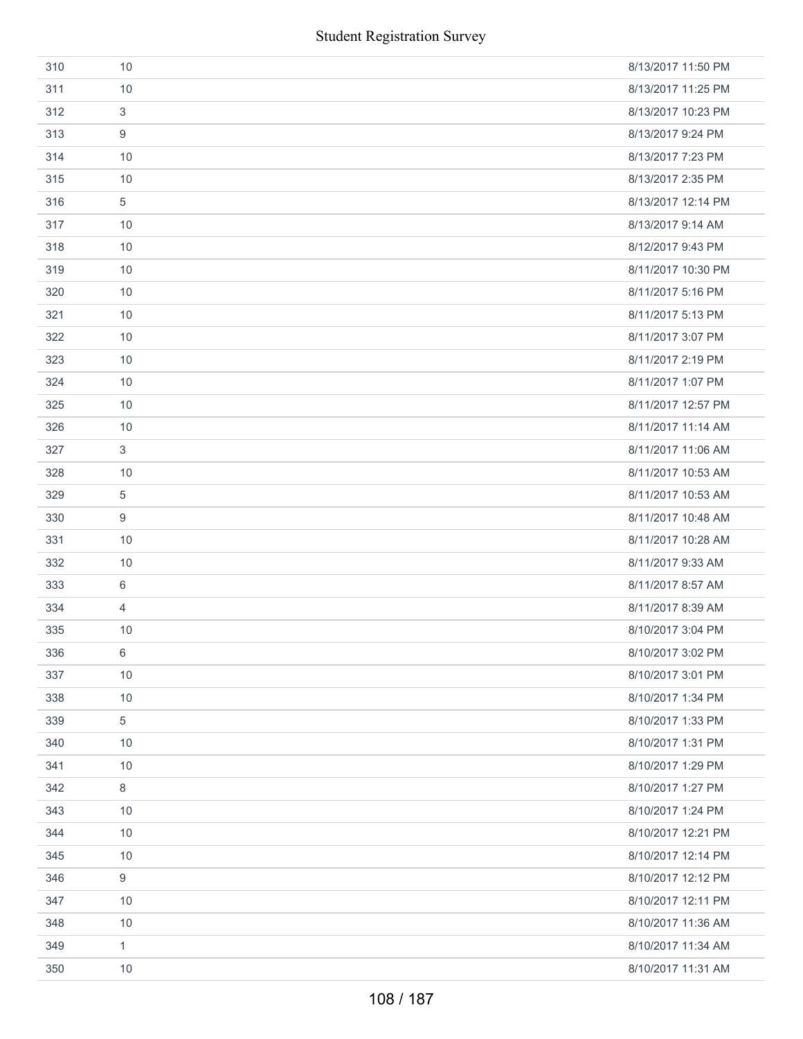| <b>Student Registration Survey</b> |                  |                    |  |  |
|------------------------------------|------------------|--------------------|--|--|
| 310                                | 10               | 8/13/2017 11:50 PM |  |  |
| 311                                | 10               | 8/13/2017 11:25 PM |  |  |
| 312                                | 3                | 8/13/2017 10:23 PM |  |  |
| 313                                | 9                | 8/13/2017 9:24 PM  |  |  |
| 314                                | 10               | 8/13/2017 7:23 PM  |  |  |
| 315                                | 10               | 8/13/2017 2:35 PM  |  |  |
| 316                                | 5                | 8/13/2017 12:14 PM |  |  |
| 317                                | 10               | 8/13/2017 9:14 AM  |  |  |
| 318                                | 10               | 8/12/2017 9:43 PM  |  |  |
| 319                                | 10               | 8/11/2017 10:30 PM |  |  |
| 320                                | 10               | 8/11/2017 5:16 PM  |  |  |
| 321                                | 10               | 8/11/2017 5:13 PM  |  |  |
| 322                                | 10               | 8/11/2017 3:07 PM  |  |  |
| 323                                | 10               | 8/11/2017 2:19 PM  |  |  |
| 324                                | 10               | 8/11/2017 1:07 PM  |  |  |
| 325                                | 10               | 8/11/2017 12:57 PM |  |  |
| 326                                | 10               | 8/11/2017 11:14 AM |  |  |
| 327                                | 3                | 8/11/2017 11:06 AM |  |  |
| 328                                | 10               | 8/11/2017 10:53 AM |  |  |
| 329                                | 5                | 8/11/2017 10:53 AM |  |  |
| 330                                | $\boldsymbol{9}$ | 8/11/2017 10:48 AM |  |  |
| 331                                | 10               | 8/11/2017 10:28 AM |  |  |
| 332                                | 10               | 8/11/2017 9:33 AM  |  |  |
| 333                                | $\,6\,$          | 8/11/2017 8:57 AM  |  |  |
| 334                                | 4                | 8/11/2017 8:39 AM  |  |  |
| 335                                | 10               | 8/10/2017 3:04 PM  |  |  |
| 336                                | 6                | 8/10/2017 3:02 PM  |  |  |
| 337                                | 10               | 8/10/2017 3:01 PM  |  |  |
| 338                                | 10               | 8/10/2017 1:34 PM  |  |  |
| 339                                | 5                | 8/10/2017 1:33 PM  |  |  |
| 340                                | 10               | 8/10/2017 1:31 PM  |  |  |
| 341                                | 10               | 8/10/2017 1:29 PM  |  |  |
| 342                                | 8                | 8/10/2017 1:27 PM  |  |  |
| 343                                | 10               | 8/10/2017 1:24 PM  |  |  |
| 344                                | 10               | 8/10/2017 12:21 PM |  |  |
| 345                                | 10               | 8/10/2017 12:14 PM |  |  |
| 346                                | 9                | 8/10/2017 12:12 PM |  |  |
| 347                                | 10               | 8/10/2017 12:11 PM |  |  |
| 348                                | 10               | 8/10/2017 11:36 AM |  |  |
| 349                                | 1                | 8/10/2017 11:34 AM |  |  |
| 350                                | 10               | 8/10/2017 11:31 AM |  |  |
| 108 / 187                          |                  |                    |  |  |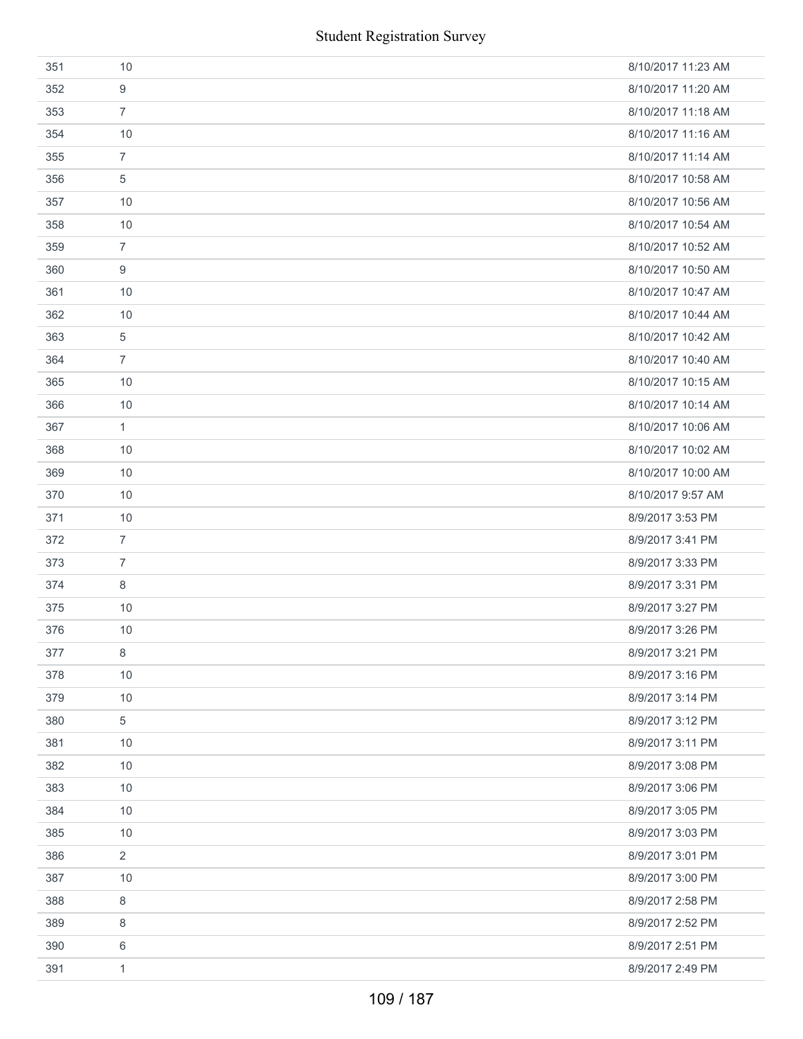| 351 | 10             | 8/10/2017 11:23 AM |
|-----|----------------|--------------------|
| 352 | 9              | 8/10/2017 11:20 AM |
| 353 | $\overline{7}$ | 8/10/2017 11:18 AM |
| 354 | 10             | 8/10/2017 11:16 AM |
| 355 | $\overline{7}$ | 8/10/2017 11:14 AM |
| 356 | 5              | 8/10/2017 10:58 AM |
| 357 | 10             | 8/10/2017 10:56 AM |
| 358 | 10             | 8/10/2017 10:54 AM |
| 359 | $\overline{7}$ | 8/10/2017 10:52 AM |
| 360 | 9              | 8/10/2017 10:50 AM |
| 361 | 10             | 8/10/2017 10:47 AM |
| 362 | 10             | 8/10/2017 10:44 AM |
| 363 | 5              | 8/10/2017 10:42 AM |
| 364 | $\overline{7}$ | 8/10/2017 10:40 AM |
| 365 | 10             | 8/10/2017 10:15 AM |
| 366 | 10             | 8/10/2017 10:14 AM |
| 367 | 1              | 8/10/2017 10:06 AM |
| 368 | 10             | 8/10/2017 10:02 AM |
| 369 | 10             | 8/10/2017 10:00 AM |
| 370 | 10             | 8/10/2017 9:57 AM  |
| 371 | 10             | 8/9/2017 3:53 PM   |
| 372 | $\overline{7}$ | 8/9/2017 3:41 PM   |
| 373 | $\overline{7}$ | 8/9/2017 3:33 PM   |
| 374 | 8              | 8/9/2017 3:31 PM   |
| 375 | 10             | 8/9/2017 3:27 PM   |
| 376 | 10             | 8/9/2017 3:26 PM   |
| 377 | 8              | 8/9/2017 3:21 PM   |
| 378 | 10             | 8/9/2017 3:16 PM   |
| 379 | 10             | 8/9/2017 3:14 PM   |
| 380 | 5              | 8/9/2017 3:12 PM   |
| 381 | 10             | 8/9/2017 3:11 PM   |
| 382 | 10             | 8/9/2017 3:08 PM   |
| 383 | 10             | 8/9/2017 3:06 PM   |
| 384 | 10             | 8/9/2017 3:05 PM   |
| 385 | 10             | 8/9/2017 3:03 PM   |
| 386 | $\overline{2}$ | 8/9/2017 3:01 PM   |
| 387 | 10             | 8/9/2017 3:00 PM   |
| 388 | $\,8\,$        | 8/9/2017 2:58 PM   |
| 389 | 8              | 8/9/2017 2:52 PM   |
| 390 | 6              | 8/9/2017 2:51 PM   |
| 391 | $\mathbf{1}$   | 8/9/2017 2:49 PM   |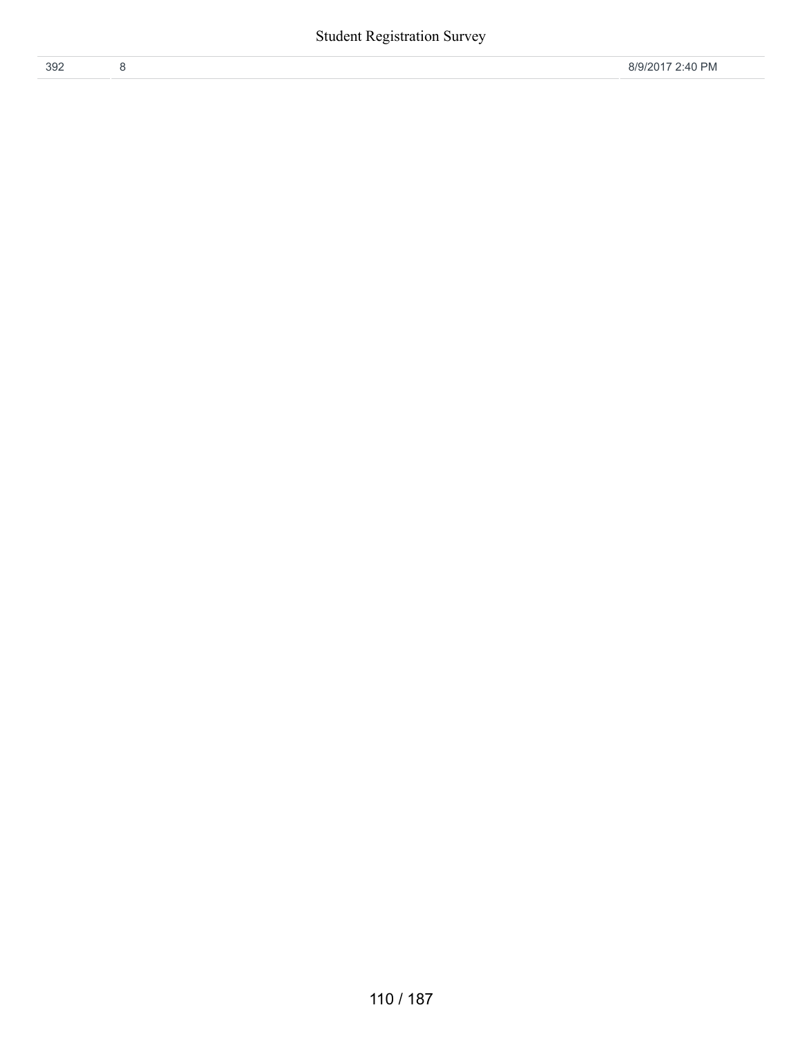| 392 |  |  |
|-----|--|--|
|     |  |  |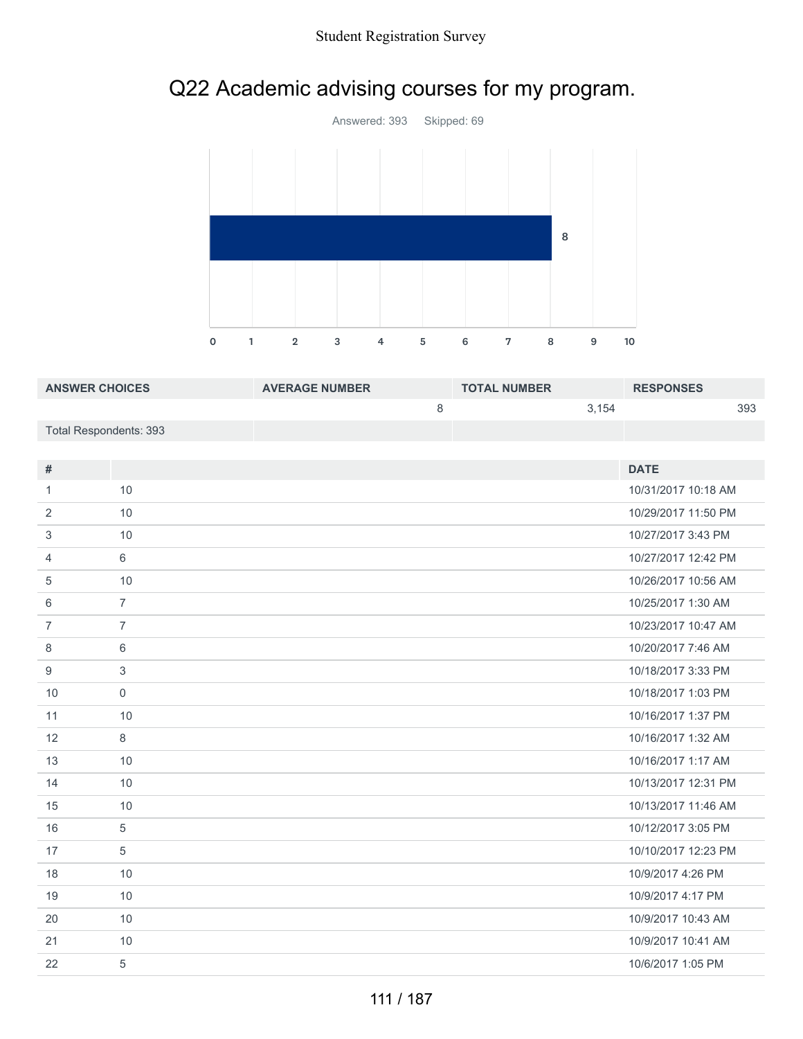



| <b>ANSWER CHOICES</b>  | <b>AVERAGE NUMBER</b> | <b>TOTAL NUMBER</b> |       | <b>RESPONSES</b> |     |
|------------------------|-----------------------|---------------------|-------|------------------|-----|
|                        |                       |                     | 3.154 |                  | 393 |
| Total Respondents: 393 |                       |                     |       |                  |     |

| #              |                | <b>DATE</b>         |
|----------------|----------------|---------------------|
| 1              | 10             | 10/31/2017 10:18 AM |
| 2              | 10             | 10/29/2017 11:50 PM |
| 3              | 10             | 10/27/2017 3:43 PM  |
| 4              | 6              | 10/27/2017 12:42 PM |
| 5              | 10             | 10/26/2017 10:56 AM |
| 6              | $\overline{7}$ | 10/25/2017 1:30 AM  |
| $\overline{7}$ | $\overline{7}$ | 10/23/2017 10:47 AM |
| 8              | 6              | 10/20/2017 7:46 AM  |
| 9              | 3              | 10/18/2017 3:33 PM  |
| 10             | $\mathbf 0$    | 10/18/2017 1:03 PM  |
| 11             | 10             | 10/16/2017 1:37 PM  |
| 12             | 8              | 10/16/2017 1:32 AM  |
| 13             | 10             | 10/16/2017 1:17 AM  |
| 14             | 10             | 10/13/2017 12:31 PM |
| 15             | 10             | 10/13/2017 11:46 AM |
| 16             | 5              | 10/12/2017 3:05 PM  |
| 17             | 5              | 10/10/2017 12:23 PM |
| 18             | 10             | 10/9/2017 4:26 PM   |
| 19             | 10             | 10/9/2017 4:17 PM   |
| 20             | 10             | 10/9/2017 10:43 AM  |
| 21             | 10             | 10/9/2017 10:41 AM  |
| 22             | 5              | 10/6/2017 1:05 PM   |
|                |                |                     |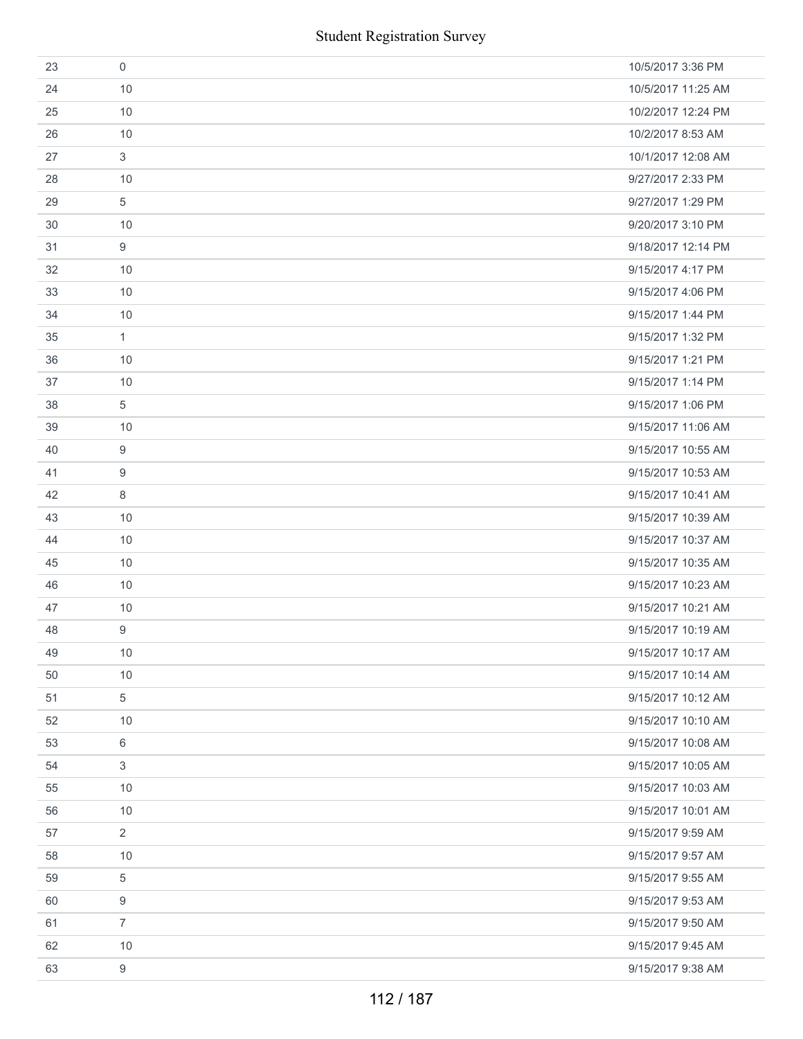|    | <b>Student Registration Survey</b> |                    |
|----|------------------------------------|--------------------|
| 23 | $\mathbf 0$                        | 10/5/2017 3:36 PM  |
| 24 | 10                                 | 10/5/2017 11:25 AM |
| 25 | 10                                 | 10/2/2017 12:24 PM |
| 26 | 10                                 | 10/2/2017 8:53 AM  |
| 27 | 3                                  | 10/1/2017 12:08 AM |
| 28 | 10                                 | 9/27/2017 2:33 PM  |
| 29 | 5                                  | 9/27/2017 1:29 PM  |
| 30 | 10                                 | 9/20/2017 3:10 PM  |
| 31 | 9                                  | 9/18/2017 12:14 PM |
| 32 | 10                                 | 9/15/2017 4:17 PM  |
| 33 | 10                                 | 9/15/2017 4:06 PM  |
| 34 | 10                                 | 9/15/2017 1:44 PM  |
| 35 | $\mathbf{1}$                       | 9/15/2017 1:32 PM  |
| 36 | 10                                 | 9/15/2017 1:21 PM  |
| 37 | 10                                 | 9/15/2017 1:14 PM  |
| 38 | 5                                  | 9/15/2017 1:06 PM  |
| 39 | 10                                 | 9/15/2017 11:06 AM |
| 40 | 9                                  | 9/15/2017 10:55 AM |
| 41 | 9                                  | 9/15/2017 10:53 AM |
| 42 | 8                                  | 9/15/2017 10:41 AM |
| 43 | 10                                 | 9/15/2017 10:39 AM |
| 44 | 10                                 | 9/15/2017 10:37 AM |
| 45 | 10                                 | 9/15/2017 10:35 AM |
| 46 | 10                                 | 9/15/2017 10:23 AM |
| 47 | 10                                 | 9/15/2017 10:21 AM |
| 48 | 9                                  | 9/15/2017 10:19 AM |
| 49 | 10                                 | 9/15/2017 10:17 AM |
| 50 | 10                                 | 9/15/2017 10:14 AM |
| 51 | 5                                  | 9/15/2017 10:12 AM |
| 52 | 10                                 | 9/15/2017 10:10 AM |
| 53 | 6                                  | 9/15/2017 10:08 AM |
| 54 | 3                                  | 9/15/2017 10:05 AM |
| 55 | 10                                 | 9/15/2017 10:03 AM |
| 56 | 10                                 | 9/15/2017 10:01 AM |
| 57 | $\overline{2}$                     | 9/15/2017 9:59 AM  |
| 58 | 10                                 | 9/15/2017 9:57 AM  |
| 59 | 5                                  | 9/15/2017 9:55 AM  |
| 60 | 9                                  | 9/15/2017 9:53 AM  |
| 61 | $\overline{7}$                     | 9/15/2017 9:50 AM  |
| 62 | 10                                 | 9/15/2017 9:45 AM  |
| 63 | $\boldsymbol{9}$                   | 9/15/2017 9:38 AM  |
|    | 112 / 187                          |                    |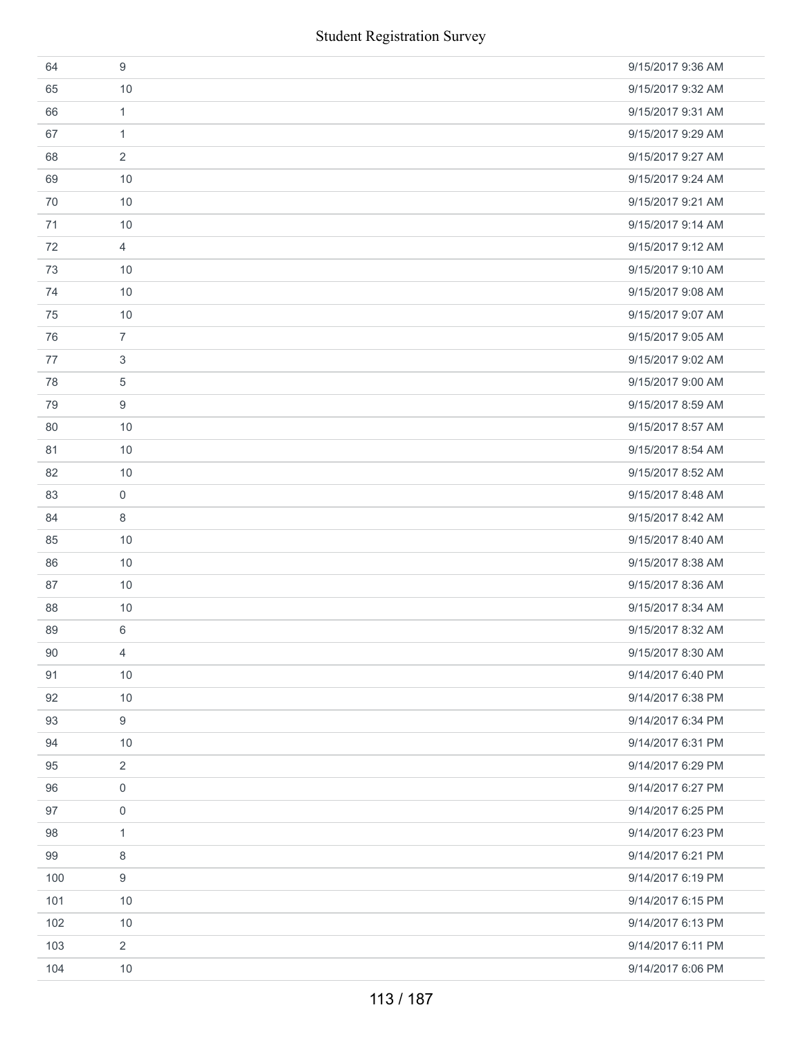|     | <b>Student Registration Survey</b> |                   |
|-----|------------------------------------|-------------------|
| 64  | 9                                  | 9/15/2017 9:36 AM |
| 65  | 10                                 | 9/15/2017 9:32 AM |
| 66  | $\mathbf{1}$                       | 9/15/2017 9:31 AM |
| 67  | $\mathbf{1}$                       | 9/15/2017 9:29 AM |
| 68  | 2                                  | 9/15/2017 9:27 AM |
| 69  | 10                                 | 9/15/2017 9:24 AM |
| 70  | 10                                 | 9/15/2017 9:21 AM |
| 71  | 10                                 | 9/15/2017 9:14 AM |
| 72  | $\overline{4}$                     | 9/15/2017 9:12 AM |
| 73  | 10                                 | 9/15/2017 9:10 AM |
| 74  | 10                                 | 9/15/2017 9:08 AM |
| 75  | 10                                 | 9/15/2017 9:07 AM |
| 76  | $\overline{7}$                     | 9/15/2017 9:05 AM |
| 77  | 3                                  | 9/15/2017 9:02 AM |
| 78  | 5                                  | 9/15/2017 9:00 AM |
| 79  | 9                                  | 9/15/2017 8:59 AM |
| 80  | 10                                 | 9/15/2017 8:57 AM |
| 81  | 10                                 | 9/15/2017 8:54 AM |
| 82  | 10                                 | 9/15/2017 8:52 AM |
| 83  | $\mathbf 0$                        | 9/15/2017 8:48 AM |
| 84  | 8                                  | 9/15/2017 8:42 AM |
| 85  | 10                                 | 9/15/2017 8:40 AM |
| 86  | 10                                 | 9/15/2017 8:38 AM |
| 87  | 10                                 | 9/15/2017 8:36 AM |
| 88  | 10                                 | 9/15/2017 8:34 AM |
| 89  | 6                                  | 9/15/2017 8:32 AM |
| 90  | 4                                  | 9/15/2017 8:30 AM |
| 91  | 10                                 | 9/14/2017 6:40 PM |
| 92  | 10                                 | 9/14/2017 6:38 PM |
| 93  | 9                                  | 9/14/2017 6:34 PM |
| 94  | 10                                 | 9/14/2017 6:31 PM |
| 95  | 2                                  | 9/14/2017 6:29 PM |
| 96  | 0                                  | 9/14/2017 6:27 PM |
| 97  | 0                                  | 9/14/2017 6:25 PM |
| 98  | 1                                  | 9/14/2017 6:23 PM |
| 99  | 8                                  | 9/14/2017 6:21 PM |
| 100 | 9                                  | 9/14/2017 6:19 PM |
| 101 | 10                                 | 9/14/2017 6:15 PM |
| 102 | 10                                 | 9/14/2017 6:13 PM |
| 103 | 2                                  | 9/14/2017 6:11 PM |
| 104 | 10                                 | 9/14/2017 6:06 PM |
|     | 113 / 187                          |                   |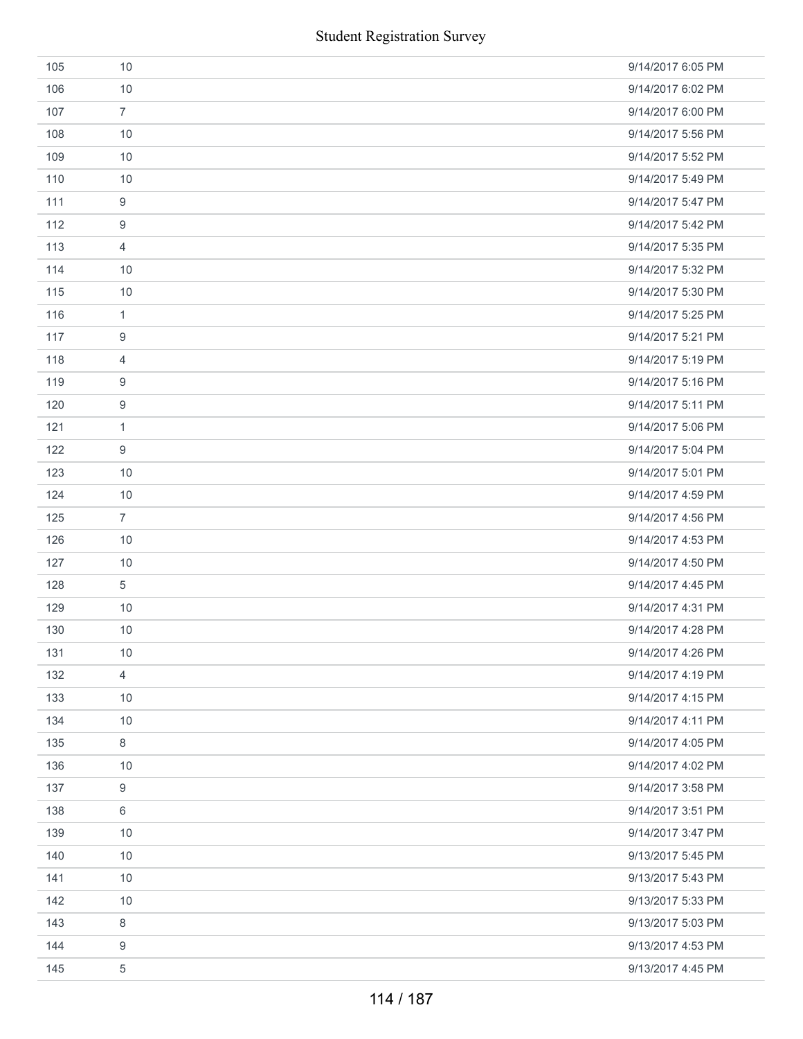|     | <b>Student Registration Survey</b> |                   |  |
|-----|------------------------------------|-------------------|--|
| 105 | 10                                 | 9/14/2017 6:05 PM |  |
| 106 | 10                                 | 9/14/2017 6:02 PM |  |
| 107 | $\overline{7}$                     | 9/14/2017 6:00 PM |  |
| 108 | 10                                 | 9/14/2017 5:56 PM |  |
| 109 | 10                                 | 9/14/2017 5:52 PM |  |
| 110 | 10                                 | 9/14/2017 5:49 PM |  |
| 111 | $\boldsymbol{9}$                   | 9/14/2017 5:47 PM |  |
| 112 | $\boldsymbol{9}$                   | 9/14/2017 5:42 PM |  |
| 113 | 4                                  | 9/14/2017 5:35 PM |  |
| 114 | 10                                 | 9/14/2017 5:32 PM |  |
| 115 | 10                                 | 9/14/2017 5:30 PM |  |
| 116 | $\mathbf{1}$                       | 9/14/2017 5:25 PM |  |
| 117 | 9                                  | 9/14/2017 5:21 PM |  |
| 118 | $\overline{4}$                     | 9/14/2017 5:19 PM |  |
| 119 | 9                                  | 9/14/2017 5:16 PM |  |
| 120 | 9                                  | 9/14/2017 5:11 PM |  |
| 121 | $\mathbf{1}$                       | 9/14/2017 5:06 PM |  |
| 122 | 9                                  | 9/14/2017 5:04 PM |  |
| 123 | 10                                 | 9/14/2017 5:01 PM |  |
| 124 | 10                                 | 9/14/2017 4:59 PM |  |
| 125 | $\overline{7}$                     | 9/14/2017 4:56 PM |  |
| 126 | 10                                 | 9/14/2017 4:53 PM |  |
| 127 | 10                                 | 9/14/2017 4:50 PM |  |
| 128 | $\sqrt{5}$                         | 9/14/2017 4:45 PM |  |
| 129 | 10                                 | 9/14/2017 4:31 PM |  |
| 130 | 10                                 | 9/14/2017 4:28 PM |  |
| 131 | 10                                 | 9/14/2017 4:26 PM |  |
| 132 | $\overline{4}$                     | 9/14/2017 4:19 PM |  |
| 133 | 10                                 | 9/14/2017 4:15 PM |  |
| 134 | 10                                 | 9/14/2017 4:11 PM |  |
| 135 | 8                                  | 9/14/2017 4:05 PM |  |
| 136 | 10                                 | 9/14/2017 4:02 PM |  |
| 137 | 9                                  | 9/14/2017 3:58 PM |  |
| 138 | 6                                  | 9/14/2017 3:51 PM |  |
| 139 | 10                                 | 9/14/2017 3:47 PM |  |
| 140 | 10                                 | 9/13/2017 5:45 PM |  |
| 141 | 10                                 | 9/13/2017 5:43 PM |  |
| 142 | 10                                 | 9/13/2017 5:33 PM |  |
| 143 | 8                                  | 9/13/2017 5:03 PM |  |
| 144 | 9                                  | 9/13/2017 4:53 PM |  |
| 145 | $\,$ 5 $\,$                        | 9/13/2017 4:45 PM |  |
|     | 114 / 187                          |                   |  |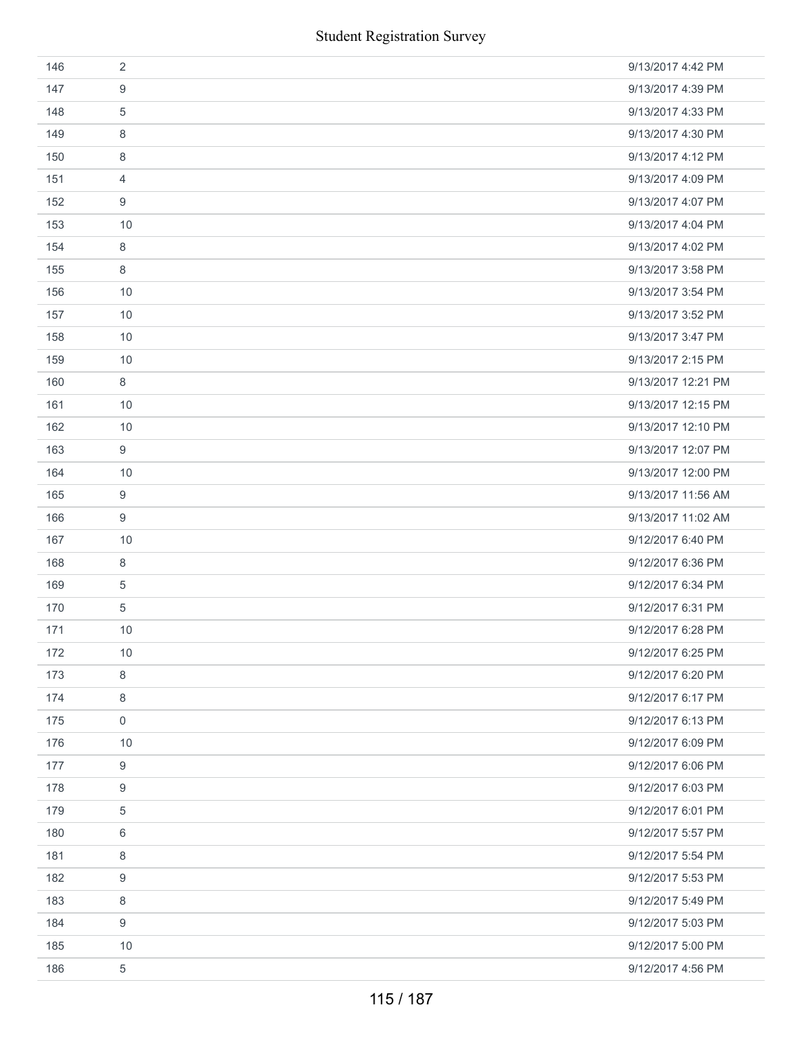|     | <b>Student Registration Survey</b> |                    |
|-----|------------------------------------|--------------------|
| 146 | $\overline{2}$                     | 9/13/2017 4:42 PM  |
| 147 | 9                                  | 9/13/2017 4:39 PM  |
| 148 | $\sqrt{5}$                         | 9/13/2017 4:33 PM  |
| 149 | 8                                  | 9/13/2017 4:30 PM  |
| 150 | 8                                  | 9/13/2017 4:12 PM  |
| 151 | 4                                  | 9/13/2017 4:09 PM  |
| 152 | 9                                  | 9/13/2017 4:07 PM  |
| 153 | 10                                 | 9/13/2017 4:04 PM  |
| 154 | 8                                  | 9/13/2017 4:02 PM  |
| 155 | 8                                  | 9/13/2017 3:58 PM  |
| 156 | 10                                 | 9/13/2017 3:54 PM  |
| 157 | 10                                 | 9/13/2017 3:52 PM  |
| 158 | 10                                 | 9/13/2017 3:47 PM  |
| 159 | 10                                 | 9/13/2017 2:15 PM  |
| 160 | 8                                  | 9/13/2017 12:21 PM |
| 161 | 10                                 | 9/13/2017 12:15 PM |
| 162 | 10                                 | 9/13/2017 12:10 PM |
| 163 | 9                                  | 9/13/2017 12:07 PM |
| 164 | 10                                 | 9/13/2017 12:00 PM |
| 165 | 9                                  | 9/13/2017 11:56 AM |
| 166 | $\boldsymbol{9}$                   | 9/13/2017 11:02 AM |
| 167 | 10                                 | 9/12/2017 6:40 PM  |
| 168 | 8                                  | 9/12/2017 6:36 PM  |
| 169 | $\mathbf 5$                        | 9/12/2017 6:34 PM  |
| 170 | $\sqrt{5}$                         | 9/12/2017 6:31 PM  |
| 171 | 10                                 | 9/12/2017 6:28 PM  |
| 172 | 10                                 | 9/12/2017 6:25 PM  |
| 173 | 8                                  | 9/12/2017 6:20 PM  |
| 174 | 8                                  | 9/12/2017 6:17 PM  |
| 175 | $\mathbf 0$                        | 9/12/2017 6:13 PM  |
| 176 | 10                                 | 9/12/2017 6:09 PM  |
| 177 | $\boldsymbol{9}$                   | 9/12/2017 6:06 PM  |
| 178 | 9                                  | 9/12/2017 6:03 PM  |
| 179 | 5                                  | 9/12/2017 6:01 PM  |
| 180 | 6                                  | 9/12/2017 5:57 PM  |
| 181 | 8                                  | 9/12/2017 5:54 PM  |
| 182 | 9                                  | 9/12/2017 5:53 PM  |
| 183 | 8                                  | 9/12/2017 5:49 PM  |
| 184 | 9                                  | 9/12/2017 5:03 PM  |
| 185 | 10                                 | 9/12/2017 5:00 PM  |
| 186 | $\,$ 5 $\,$                        | 9/12/2017 4:56 PM  |
|     | 115 / 187                          |                    |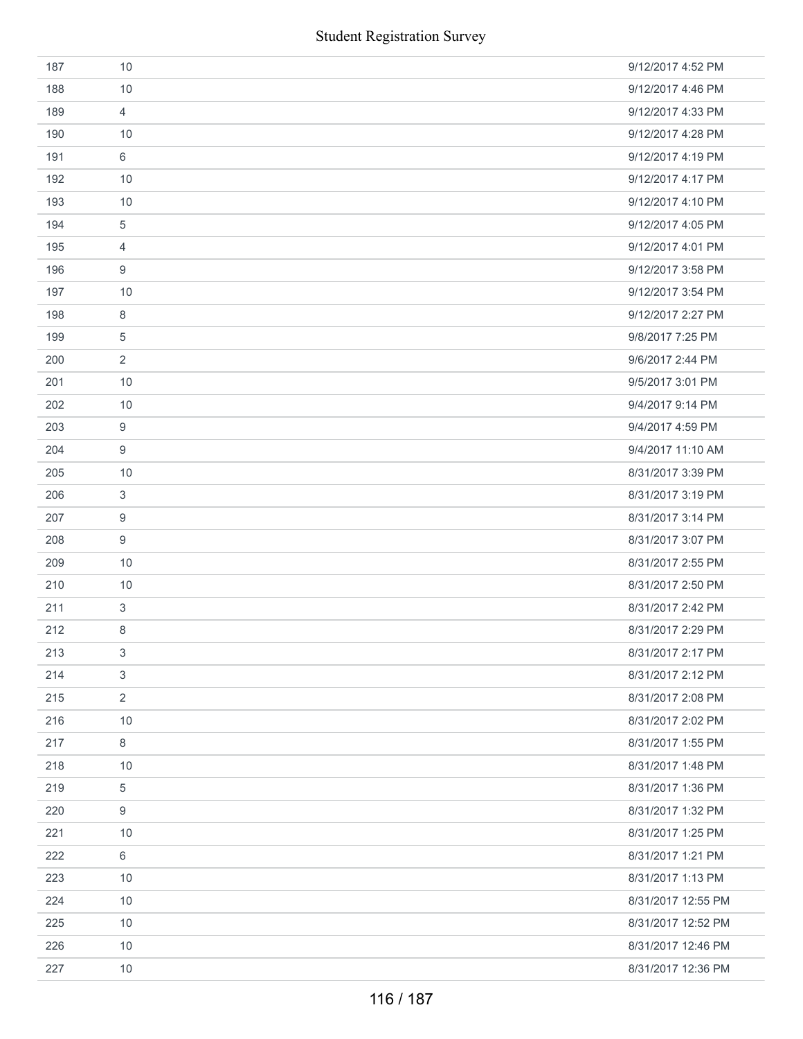| 187 | 10             | 9/12/2017 4:52 PM  |
|-----|----------------|--------------------|
| 188 | 10             | 9/12/2017 4:46 PM  |
| 189 | $\overline{4}$ | 9/12/2017 4:33 PM  |
| 190 | 10             | 9/12/2017 4:28 PM  |
| 191 | 6              | 9/12/2017 4:19 PM  |
| 192 | 10             | 9/12/2017 4:17 PM  |
| 193 | 10             | 9/12/2017 4:10 PM  |
| 194 | 5              | 9/12/2017 4:05 PM  |
| 195 | 4              | 9/12/2017 4:01 PM  |
| 196 | 9              | 9/12/2017 3:58 PM  |
| 197 | 10             | 9/12/2017 3:54 PM  |
| 198 | 8              | 9/12/2017 2:27 PM  |
| 199 | 5              | 9/8/2017 7:25 PM   |
| 200 | $\overline{2}$ | 9/6/2017 2:44 PM   |
| 201 | 10             | 9/5/2017 3:01 PM   |
| 202 | 10             | 9/4/2017 9:14 PM   |
| 203 | 9              | 9/4/2017 4:59 PM   |
| 204 | 9              | 9/4/2017 11:10 AM  |
| 205 | 10             | 8/31/2017 3:39 PM  |
| 206 | 3              | 8/31/2017 3:19 PM  |
| 207 | 9              | 8/31/2017 3:14 PM  |
| 208 | 9              | 8/31/2017 3:07 PM  |
| 209 | 10             | 8/31/2017 2:55 PM  |
| 210 | 10             | 8/31/2017 2:50 PM  |
| 211 | $\mathbf{3}$   | 8/31/2017 2:42 PM  |
| 212 | 8              | 8/31/2017 2:29 PM  |
| 213 | 3              | 8/31/2017 2:17 PM  |
| 214 | 3              | 8/31/2017 2:12 PM  |
| 215 | $\overline{2}$ | 8/31/2017 2:08 PM  |
| 216 | 10             | 8/31/2017 2:02 PM  |
| 217 | 8              | 8/31/2017 1:55 PM  |
| 218 | 10             | 8/31/2017 1:48 PM  |
| 219 | 5              | 8/31/2017 1:36 PM  |
| 220 | 9              | 8/31/2017 1:32 PM  |
| 221 | 10             | 8/31/2017 1:25 PM  |
| 222 | 6              | 8/31/2017 1:21 PM  |
| 223 | 10             | 8/31/2017 1:13 PM  |
| 224 | 10             | 8/31/2017 12:55 PM |
| 225 | 10             | 8/31/2017 12:52 PM |
| 226 | 10             | 8/31/2017 12:46 PM |
| 227 | 10             | 8/31/2017 12:36 PM |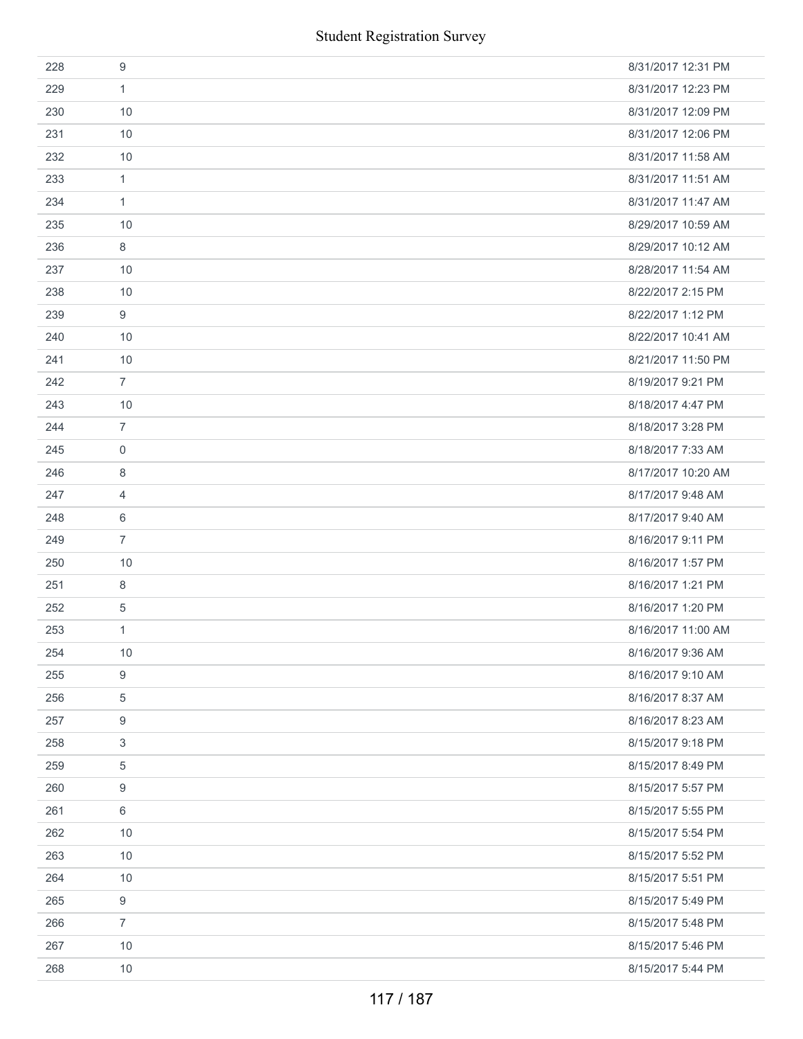|     | <b>Student Registration Survey</b> |                    |  |
|-----|------------------------------------|--------------------|--|
| 228 | $\boldsymbol{9}$                   | 8/31/2017 12:31 PM |  |
| 229 | 1                                  | 8/31/2017 12:23 PM |  |
| 230 | 10                                 | 8/31/2017 12:09 PM |  |
| 231 | 10                                 | 8/31/2017 12:06 PM |  |
| 232 | 10                                 | 8/31/2017 11:58 AM |  |
| 233 | $\mathbf{1}$                       | 8/31/2017 11:51 AM |  |
| 234 | $\mathbf{1}$                       | 8/31/2017 11:47 AM |  |
| 235 | 10                                 | 8/29/2017 10:59 AM |  |
| 236 | 8                                  | 8/29/2017 10:12 AM |  |
| 237 | 10                                 | 8/28/2017 11:54 AM |  |
| 238 | 10                                 | 8/22/2017 2:15 PM  |  |
| 239 | 9                                  | 8/22/2017 1:12 PM  |  |
| 240 | 10                                 | 8/22/2017 10:41 AM |  |
| 241 | 10                                 | 8/21/2017 11:50 PM |  |
| 242 | $\overline{7}$                     | 8/19/2017 9:21 PM  |  |
| 243 | 10                                 | 8/18/2017 4:47 PM  |  |
| 244 | $\overline{7}$                     | 8/18/2017 3:28 PM  |  |
| 245 | $\boldsymbol{0}$                   | 8/18/2017 7:33 AM  |  |
| 246 | 8                                  | 8/17/2017 10:20 AM |  |
| 247 | 4                                  | 8/17/2017 9:48 AM  |  |
| 248 | 6                                  | 8/17/2017 9:40 AM  |  |
| 249 | $\overline{7}$                     | 8/16/2017 9:11 PM  |  |
| 250 | 10                                 | 8/16/2017 1:57 PM  |  |
| 251 | $\,8\,$                            | 8/16/2017 1:21 PM  |  |
| 252 | $\sqrt{5}$                         | 8/16/2017 1:20 PM  |  |
| 253 | 1                                  | 8/16/2017 11:00 AM |  |
| 254 | $10$                               | 8/16/2017 9:36 AM  |  |
| 255 | $\boldsymbol{9}$                   | 8/16/2017 9:10 AM  |  |
| 256 | 5                                  | 8/16/2017 8:37 AM  |  |
| 257 | 9                                  | 8/16/2017 8:23 AM  |  |
| 258 | 3                                  | 8/15/2017 9:18 PM  |  |
| 259 | $\sqrt{5}$                         | 8/15/2017 8:49 PM  |  |
| 260 | 9                                  | 8/15/2017 5:57 PM  |  |
| 261 | 6                                  | 8/15/2017 5:55 PM  |  |
| 262 | 10                                 | 8/15/2017 5:54 PM  |  |
| 263 | 10                                 | 8/15/2017 5:52 PM  |  |
| 264 | 10                                 | 8/15/2017 5:51 PM  |  |
| 265 | 9                                  | 8/15/2017 5:49 PM  |  |
| 266 | $\overline{7}$                     | 8/15/2017 5:48 PM  |  |
| 267 | 10                                 | 8/15/2017 5:46 PM  |  |
| 268 | 10                                 | 8/15/2017 5:44 PM  |  |
|     | 117 / 187                          |                    |  |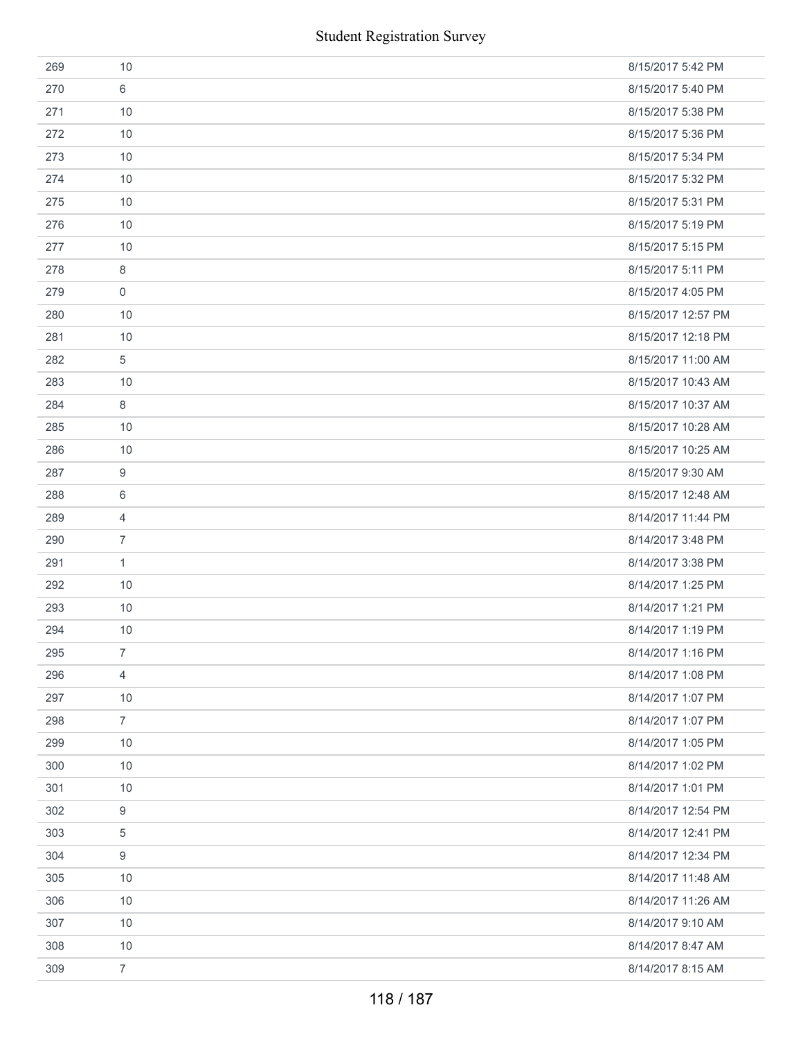|     | <b>Student Registration Survey</b> |                    |
|-----|------------------------------------|--------------------|
| 269 | 10                                 | 8/15/2017 5:42 PM  |
| 270 | 6                                  | 8/15/2017 5:40 PM  |
| 271 | 10                                 | 8/15/2017 5:38 PM  |
| 272 | 10                                 | 8/15/2017 5:36 PM  |
| 273 | 10                                 | 8/15/2017 5:34 PM  |
| 274 | 10                                 | 8/15/2017 5:32 PM  |
| 275 | 10                                 | 8/15/2017 5:31 PM  |
| 276 | 10                                 | 8/15/2017 5:19 PM  |
| 277 | 10                                 | 8/15/2017 5:15 PM  |
| 278 | 8                                  | 8/15/2017 5:11 PM  |
| 279 | $\mathbf 0$                        | 8/15/2017 4:05 PM  |
| 280 | 10                                 | 8/15/2017 12:57 PM |
| 281 | 10                                 | 8/15/2017 12:18 PM |
| 282 | 5                                  | 8/15/2017 11:00 AM |
| 283 | 10                                 | 8/15/2017 10:43 AM |
| 284 | 8                                  | 8/15/2017 10:37 AM |
| 285 | 10                                 | 8/15/2017 10:28 AM |
| 286 | 10                                 | 8/15/2017 10:25 AM |
| 287 | 9                                  | 8/15/2017 9:30 AM  |
| 288 | 6                                  | 8/15/2017 12:48 AM |
| 289 | $\overline{4}$                     | 8/14/2017 11:44 PM |
| 290 | $\overline{7}$                     | 8/14/2017 3:48 PM  |
| 291 | 1                                  | 8/14/2017 3:38 PM  |
| 292 | 10                                 | 8/14/2017 1:25 PM  |
| 293 | 10                                 | 8/14/2017 1:21 PM  |
| 294 | 10                                 | 8/14/2017 1:19 PM  |
| 295 | $\overline{7}$                     | 8/14/2017 1:16 PM  |
| 296 | 4                                  | 8/14/2017 1:08 PM  |
| 297 | 10                                 | 8/14/2017 1:07 PM  |
| 298 | $\overline{7}$                     | 8/14/2017 1:07 PM  |
| 299 | 10                                 | 8/14/2017 1:05 PM  |
| 300 | 10                                 | 8/14/2017 1:02 PM  |
| 301 | 10                                 | 8/14/2017 1:01 PM  |
| 302 | 9                                  | 8/14/2017 12:54 PM |
| 303 | 5                                  | 8/14/2017 12:41 PM |
| 304 | 9                                  | 8/14/2017 12:34 PM |
| 305 | 10                                 | 8/14/2017 11:48 AM |
| 306 | 10                                 | 8/14/2017 11:26 AM |
| 307 | 10                                 | 8/14/2017 9:10 AM  |
| 308 | 10                                 | 8/14/2017 8:47 AM  |
| 309 | $\overline{7}$                     | 8/14/2017 8:15 AM  |
|     | 118 / 187                          |                    |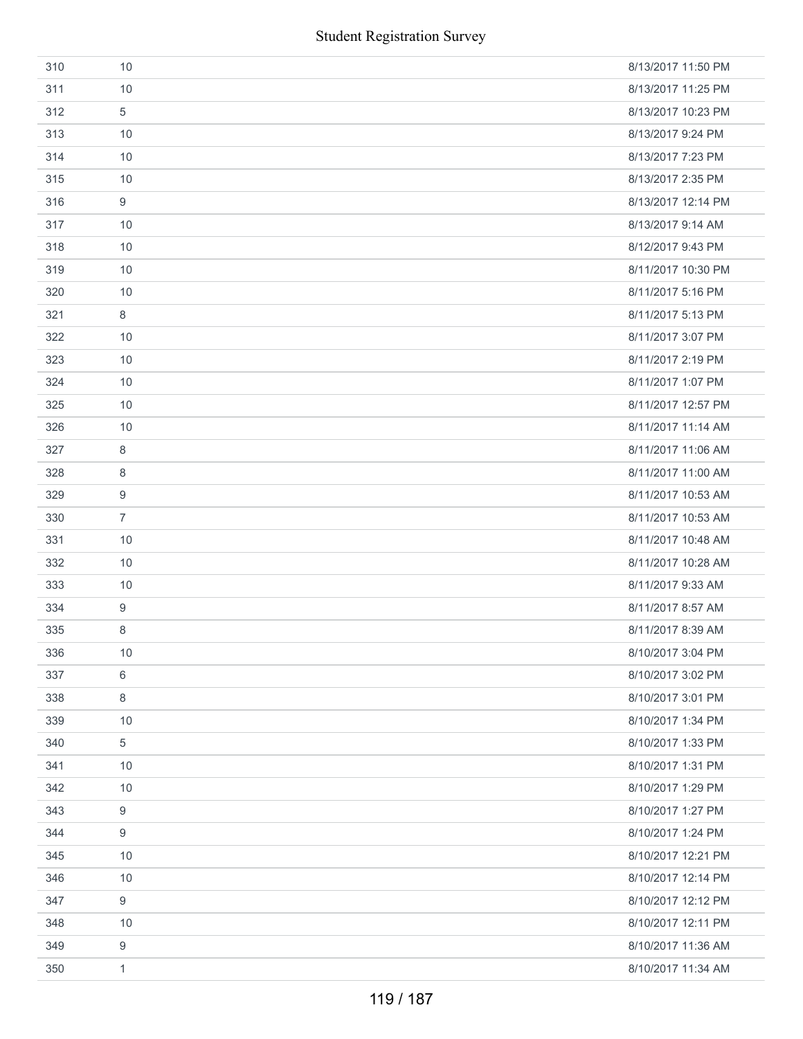|     | <b>Student Registration Survey</b> |                    |
|-----|------------------------------------|--------------------|
| 310 | 10                                 | 8/13/2017 11:50 PM |
| 311 | 10                                 | 8/13/2017 11:25 PM |
| 312 | 5                                  | 8/13/2017 10:23 PM |
| 313 | 10                                 | 8/13/2017 9:24 PM  |
| 314 | 10                                 | 8/13/2017 7:23 PM  |
| 315 | 10                                 | 8/13/2017 2:35 PM  |
| 316 | 9                                  | 8/13/2017 12:14 PM |
| 317 | 10                                 | 8/13/2017 9:14 AM  |
| 318 | 10                                 | 8/12/2017 9:43 PM  |
| 319 | 10                                 | 8/11/2017 10:30 PM |
| 320 | 10                                 | 8/11/2017 5:16 PM  |
| 321 | 8                                  | 8/11/2017 5:13 PM  |
| 322 | 10                                 | 8/11/2017 3:07 PM  |
| 323 | 10                                 | 8/11/2017 2:19 PM  |
| 324 | 10                                 | 8/11/2017 1:07 PM  |
| 325 | 10                                 | 8/11/2017 12:57 PM |
| 326 | 10                                 | 8/11/2017 11:14 AM |
| 327 | $\,8\,$                            | 8/11/2017 11:06 AM |
| 328 | 8                                  | 8/11/2017 11:00 AM |
| 329 | 9                                  | 8/11/2017 10:53 AM |
| 330 | $\overline{7}$                     | 8/11/2017 10:53 AM |
| 331 | 10                                 | 8/11/2017 10:48 AM |
| 332 | 10                                 | 8/11/2017 10:28 AM |
| 333 | 10                                 | 8/11/2017 9:33 AM  |
| 334 | 9                                  | 8/11/2017 8:57 AM  |
| 335 | 8                                  | 8/11/2017 8:39 AM  |
| 336 | 10                                 | 8/10/2017 3:04 PM  |
| 337 | 6                                  | 8/10/2017 3:02 PM  |
| 338 | 8                                  | 8/10/2017 3:01 PM  |
| 339 | 10                                 | 8/10/2017 1:34 PM  |
| 340 | 5                                  | 8/10/2017 1:33 PM  |
| 341 | 10                                 | 8/10/2017 1:31 PM  |
| 342 | 10                                 | 8/10/2017 1:29 PM  |
| 343 | 9                                  | 8/10/2017 1:27 PM  |
| 344 | 9                                  | 8/10/2017 1:24 PM  |
| 345 | 10                                 | 8/10/2017 12:21 PM |
| 346 | 10                                 | 8/10/2017 12:14 PM |
| 347 | 9                                  | 8/10/2017 12:12 PM |
| 348 | 10                                 | 8/10/2017 12:11 PM |
| 349 | 9                                  | 8/10/2017 11:36 AM |
| 350 | $\mathbf{1}$                       | 8/10/2017 11:34 AM |
|     | 119 / 187                          |                    |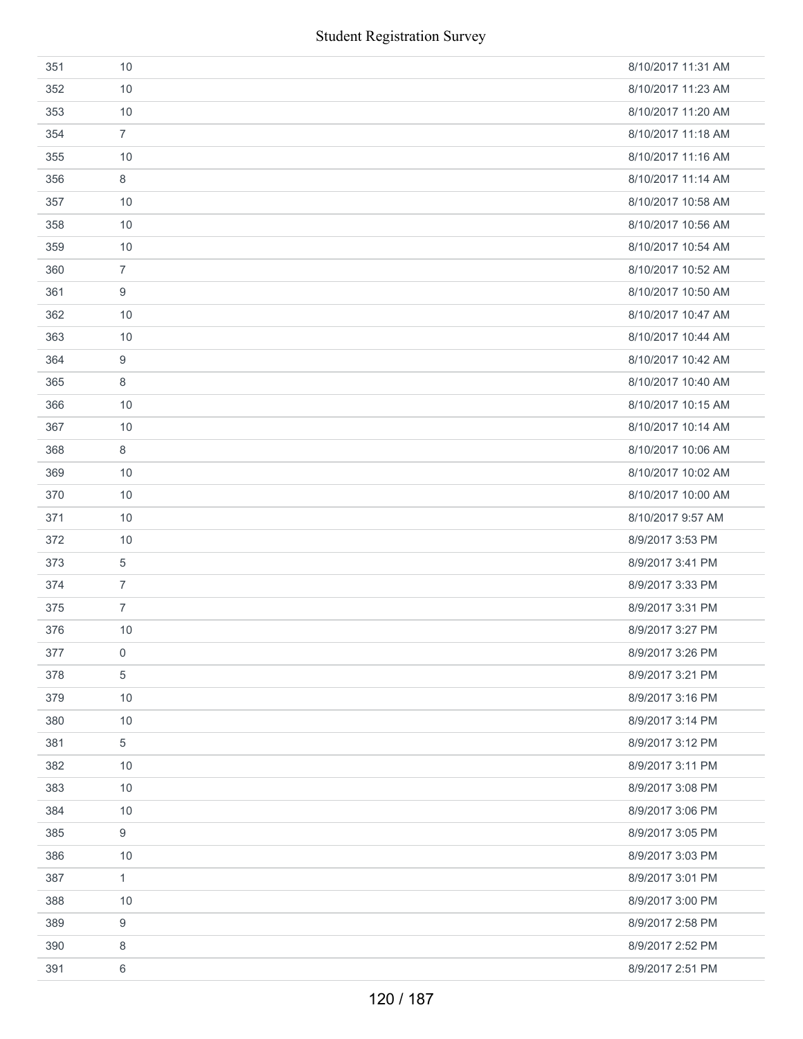| 351 | 10             | 8/10/2017 11:31 AM |
|-----|----------------|--------------------|
| 352 | 10             | 8/10/2017 11:23 AM |
| 353 | 10             | 8/10/2017 11:20 AM |
| 354 | $\overline{7}$ | 8/10/2017 11:18 AM |
| 355 | 10             | 8/10/2017 11:16 AM |
| 356 | 8              | 8/10/2017 11:14 AM |
| 357 | 10             | 8/10/2017 10:58 AM |
| 358 | 10             | 8/10/2017 10:56 AM |
| 359 | 10             | 8/10/2017 10:54 AM |
| 360 | $\overline{7}$ | 8/10/2017 10:52 AM |
| 361 | 9              | 8/10/2017 10:50 AM |
| 362 | 10             | 8/10/2017 10:47 AM |
| 363 | 10             | 8/10/2017 10:44 AM |
| 364 | 9              | 8/10/2017 10:42 AM |
| 365 | 8              | 8/10/2017 10:40 AM |
| 366 | 10             | 8/10/2017 10:15 AM |
| 367 | 10             | 8/10/2017 10:14 AM |
| 368 | 8              | 8/10/2017 10:06 AM |
| 369 | 10             | 8/10/2017 10:02 AM |
| 370 | 10             | 8/10/2017 10:00 AM |
| 371 | 10             | 8/10/2017 9:57 AM  |
| 372 | 10             | 8/9/2017 3:53 PM   |
| 373 | 5              | 8/9/2017 3:41 PM   |
| 374 | $\overline{7}$ | 8/9/2017 3:33 PM   |
| 375 | $\overline{7}$ | 8/9/2017 3:31 PM   |
| 376 | 10             | 8/9/2017 3:27 PM   |
| 377 | $\mathbf 0$    | 8/9/2017 3:26 PM   |
| 378 | 5              | 8/9/2017 3:21 PM   |
| 379 | 10             | 8/9/2017 3:16 PM   |
| 380 | 10             | 8/9/2017 3:14 PM   |
| 381 | 5              | 8/9/2017 3:12 PM   |
| 382 | 10             | 8/9/2017 3:11 PM   |
| 383 | 10             | 8/9/2017 3:08 PM   |
| 384 | 10             | 8/9/2017 3:06 PM   |
| 385 | 9              | 8/9/2017 3:05 PM   |
| 386 | 10             | 8/9/2017 3:03 PM   |
| 387 | $\mathbf{1}$   | 8/9/2017 3:01 PM   |
| 388 | 10             | 8/9/2017 3:00 PM   |
| 389 | 9              | 8/9/2017 2:58 PM   |
| 390 | 8              | 8/9/2017 2:52 PM   |
| 391 | 6              | 8/9/2017 2:51 PM   |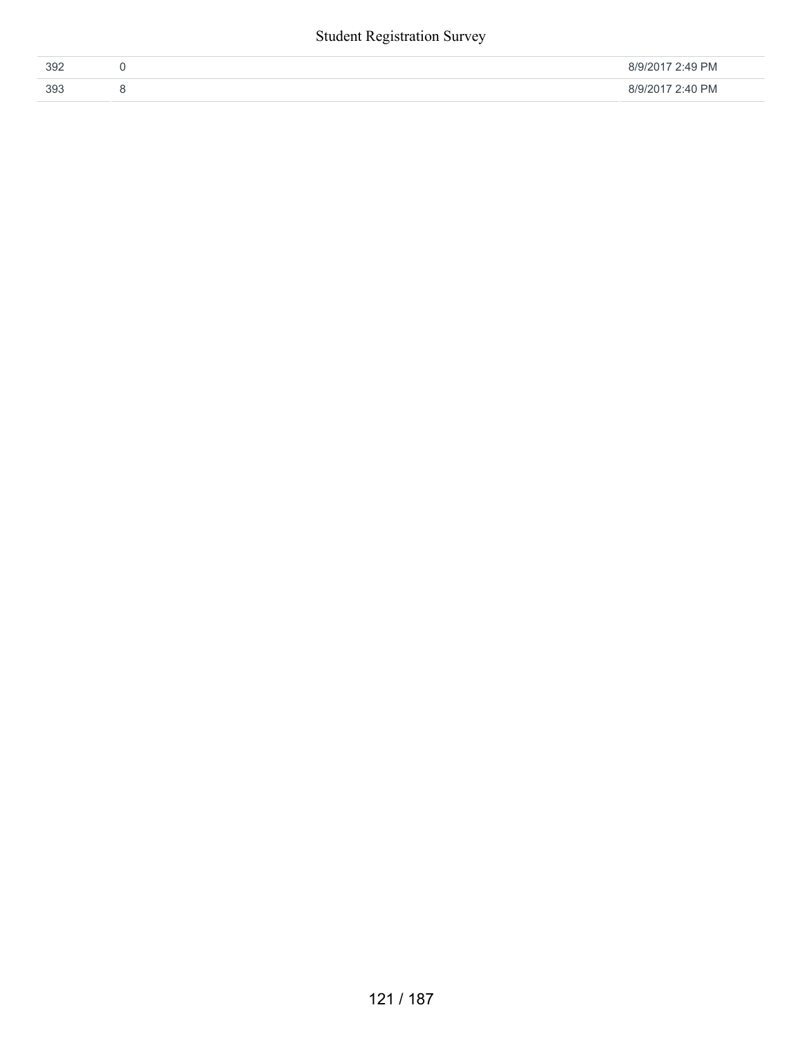#### Student Registration Survey

| 392 | 2:49 PM<br>8/9/2017 |
|-----|---------------------|
| 393 | 2:40 PM<br>8/9/2017 |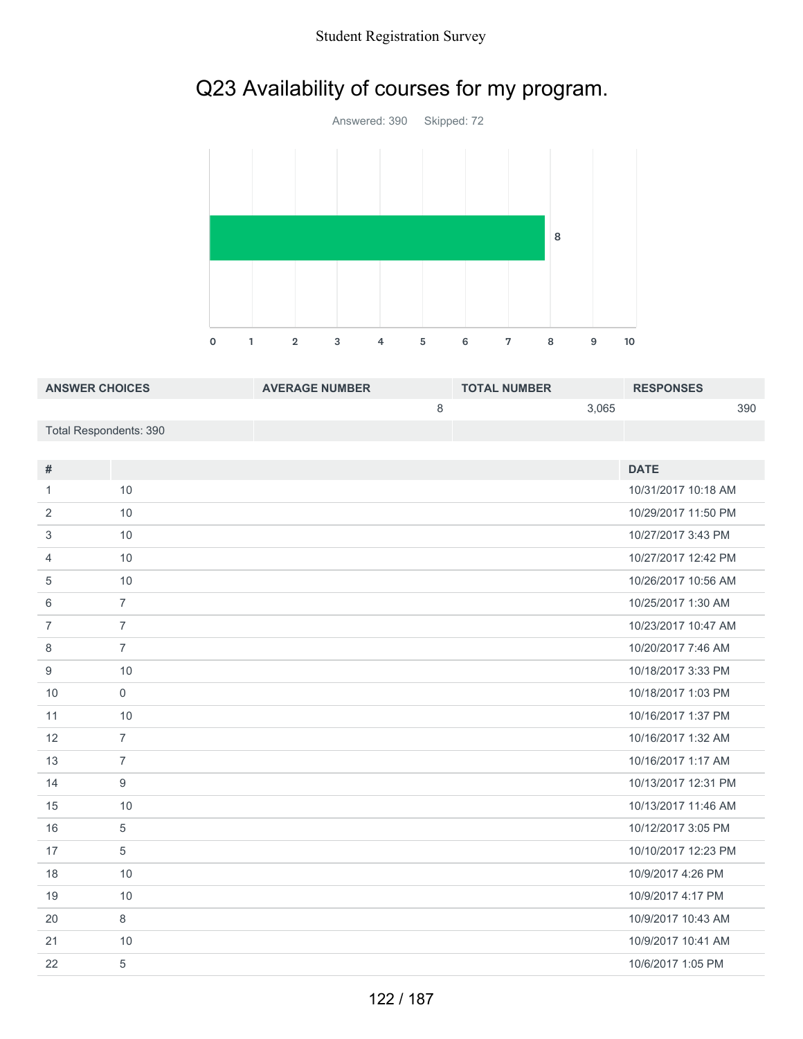#### Student Registration Survey

## Q23 Availability of courses for my program.



| <b>ANSWER CHOICES</b>  | <b>AVERAGE NUMBER</b> | <b>TOTAL NUMBER</b> |       | <b>RESPONSES</b> |     |
|------------------------|-----------------------|---------------------|-------|------------------|-----|
|                        |                       |                     | 3.065 |                  | 390 |
| Total Respondents: 390 |                       |                     |       |                  |     |

| #              |                | <b>DATE</b>         |
|----------------|----------------|---------------------|
| 1              | 10             | 10/31/2017 10:18 AM |
| 2              | 10             | 10/29/2017 11:50 PM |
| 3              | 10             | 10/27/2017 3:43 PM  |
| $\overline{4}$ | 10             | 10/27/2017 12:42 PM |
| 5              | 10             | 10/26/2017 10:56 AM |
| 6              | $\overline{7}$ | 10/25/2017 1:30 AM  |
| $\overline{7}$ | $\overline{7}$ | 10/23/2017 10:47 AM |
| 8              | $\overline{7}$ | 10/20/2017 7:46 AM  |
| 9              | 10             | 10/18/2017 3:33 PM  |
| 10             | $\mathbf 0$    | 10/18/2017 1:03 PM  |
| 11             | 10             | 10/16/2017 1:37 PM  |
| 12             | $\overline{7}$ | 10/16/2017 1:32 AM  |
| 13             | $\overline{7}$ | 10/16/2017 1:17 AM  |
| 14             | 9              | 10/13/2017 12:31 PM |
| 15             | 10             | 10/13/2017 11:46 AM |
| 16             | 5              | 10/12/2017 3:05 PM  |
| 17             | 5              | 10/10/2017 12:23 PM |
| 18             | 10             | 10/9/2017 4:26 PM   |
| 19             | 10             | 10/9/2017 4:17 PM   |
| 20             | 8              | 10/9/2017 10:43 AM  |
| 21             | 10             | 10/9/2017 10:41 AM  |
| 22             | 5              | 10/6/2017 1:05 PM   |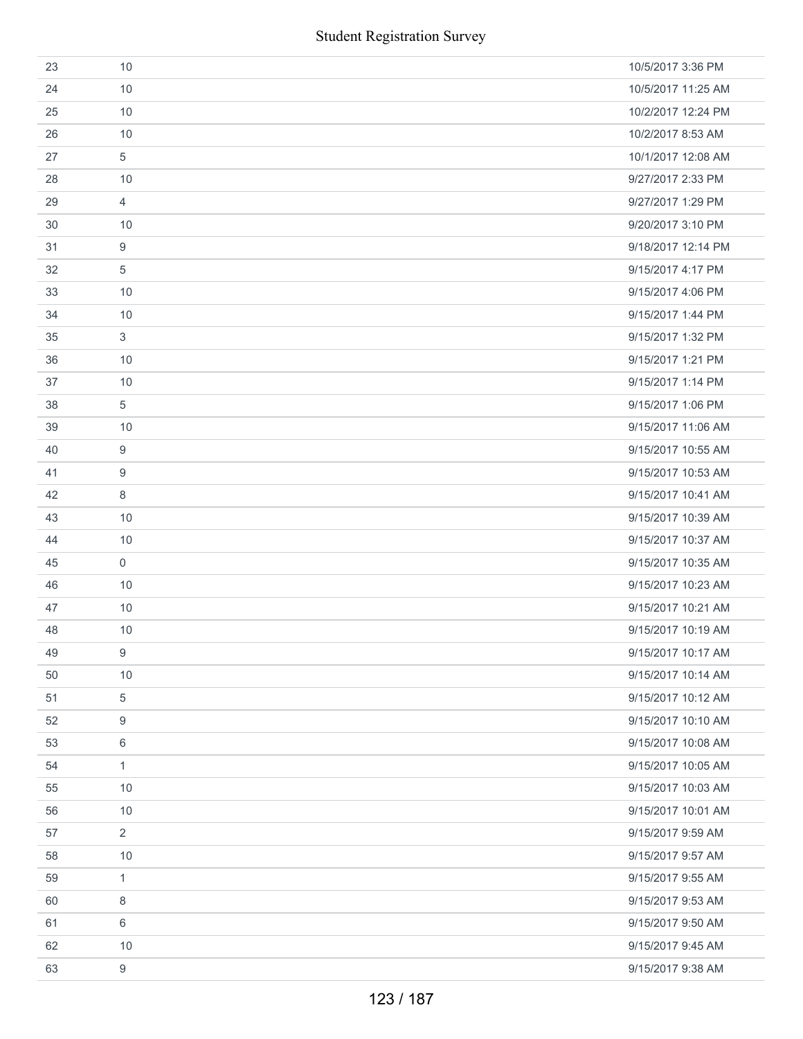|    | <b>Student Registration Survey</b> |                    |
|----|------------------------------------|--------------------|
| 23 | 10                                 | 10/5/2017 3:36 PM  |
| 24 | 10                                 | 10/5/2017 11:25 AM |
| 25 | 10                                 | 10/2/2017 12:24 PM |
| 26 | 10                                 | 10/2/2017 8:53 AM  |
| 27 | 5                                  | 10/1/2017 12:08 AM |
| 28 | 10                                 | 9/27/2017 2:33 PM  |
| 29 | $\overline{4}$                     | 9/27/2017 1:29 PM  |
| 30 | 10                                 | 9/20/2017 3:10 PM  |
| 31 | 9                                  | 9/18/2017 12:14 PM |
| 32 | $\overline{5}$                     | 9/15/2017 4:17 PM  |
| 33 | 10                                 | 9/15/2017 4:06 PM  |
| 34 | 10                                 | 9/15/2017 1:44 PM  |
| 35 | $\sqrt{3}$                         | 9/15/2017 1:32 PM  |
| 36 | 10                                 | 9/15/2017 1:21 PM  |
| 37 | 10                                 | 9/15/2017 1:14 PM  |
| 38 | 5                                  | 9/15/2017 1:06 PM  |
| 39 | 10                                 | 9/15/2017 11:06 AM |
| 40 | 9                                  | 9/15/2017 10:55 AM |
| 41 | 9                                  | 9/15/2017 10:53 AM |
| 42 | 8                                  | 9/15/2017 10:41 AM |
| 43 | 10                                 | 9/15/2017 10:39 AM |
| 44 | 10                                 | 9/15/2017 10:37 AM |
| 45 | $\mathbf 0$                        | 9/15/2017 10:35 AM |
| 46 | 10                                 | 9/15/2017 10:23 AM |
| 47 | 10                                 | 9/15/2017 10:21 AM |
| 48 | 10                                 | 9/15/2017 10:19 AM |
| 49 | 9                                  | 9/15/2017 10:17 AM |
| 50 | 10                                 | 9/15/2017 10:14 AM |
| 51 | 5                                  | 9/15/2017 10:12 AM |
| 52 | 9                                  | 9/15/2017 10:10 AM |
| 53 | 6                                  | 9/15/2017 10:08 AM |
| 54 | $\mathbf{1}$                       | 9/15/2017 10:05 AM |
| 55 | 10                                 | 9/15/2017 10:03 AM |
| 56 | 10                                 | 9/15/2017 10:01 AM |
| 57 | $\overline{2}$                     | 9/15/2017 9:59 AM  |
| 58 | 10                                 | 9/15/2017 9:57 AM  |
| 59 | $\mathbf{1}$                       | 9/15/2017 9:55 AM  |
| 60 | 8                                  | 9/15/2017 9:53 AM  |
| 61 | 6                                  | 9/15/2017 9:50 AM  |
| 62 | 10                                 | 9/15/2017 9:45 AM  |
| 63 | $\boldsymbol{9}$                   | 9/15/2017 9:38 AM  |
|    | 123 / 187                          |                    |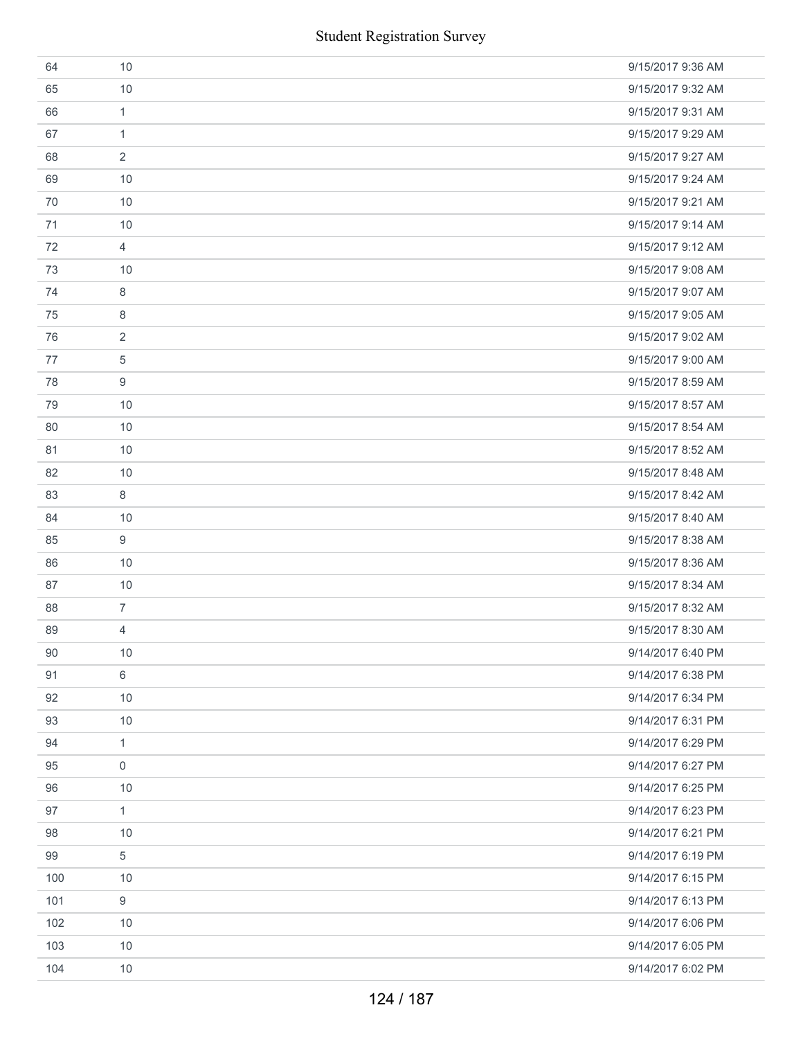|     | <b>Student Registration Survey</b> |                   |
|-----|------------------------------------|-------------------|
| 64  | 10                                 | 9/15/2017 9:36 AM |
| 65  | 10                                 | 9/15/2017 9:32 AM |
| 66  | $\mathbf{1}$                       | 9/15/2017 9:31 AM |
| 67  | $\mathbf{1}$                       | 9/15/2017 9:29 AM |
| 68  | 2                                  | 9/15/2017 9:27 AM |
| 69  | 10                                 | 9/15/2017 9:24 AM |
| 70  | 10                                 | 9/15/2017 9:21 AM |
| 71  | 10                                 | 9/15/2017 9:14 AM |
| 72  | $\overline{4}$                     | 9/15/2017 9:12 AM |
| 73  | 10                                 | 9/15/2017 9:08 AM |
| 74  | 8                                  | 9/15/2017 9:07 AM |
| 75  | 8                                  | 9/15/2017 9:05 AM |
| 76  | 2                                  | 9/15/2017 9:02 AM |
| 77  | 5                                  | 9/15/2017 9:00 AM |
| 78  | 9                                  | 9/15/2017 8:59 AM |
| 79  | 10                                 | 9/15/2017 8:57 AM |
| 80  | 10                                 | 9/15/2017 8:54 AM |
| 81  | 10                                 | 9/15/2017 8:52 AM |
| 82  | 10                                 | 9/15/2017 8:48 AM |
| 83  | 8                                  | 9/15/2017 8:42 AM |
| 84  | 10                                 | 9/15/2017 8:40 AM |
| 85  | 9                                  | 9/15/2017 8:38 AM |
| 86  | 10                                 | 9/15/2017 8:36 AM |
| 87  | 10                                 | 9/15/2017 8:34 AM |
| 88  | $\overline{7}$                     | 9/15/2017 8:32 AM |
| 89  | 4                                  | 9/15/2017 8:30 AM |
| 90  | 10                                 | 9/14/2017 6:40 PM |
| 91  | 6                                  | 9/14/2017 6:38 PM |
| 92  | 10                                 | 9/14/2017 6:34 PM |
| 93  | 10                                 | 9/14/2017 6:31 PM |
| 94  | $\mathbf{1}$                       | 9/14/2017 6:29 PM |
| 95  | $\mathbf 0$                        | 9/14/2017 6:27 PM |
| 96  | 10                                 | 9/14/2017 6:25 PM |
| 97  | $\mathbf{1}$                       | 9/14/2017 6:23 PM |
| 98  | $10$                               | 9/14/2017 6:21 PM |
| 99  | 5                                  | 9/14/2017 6:19 PM |
| 100 | 10                                 | 9/14/2017 6:15 PM |
| 101 | 9                                  | 9/14/2017 6:13 PM |
| 102 | $10$                               | 9/14/2017 6:06 PM |
| 103 | 10                                 | 9/14/2017 6:05 PM |
| 104 | $10$                               | 9/14/2017 6:02 PM |
|     | 124 / 187                          |                   |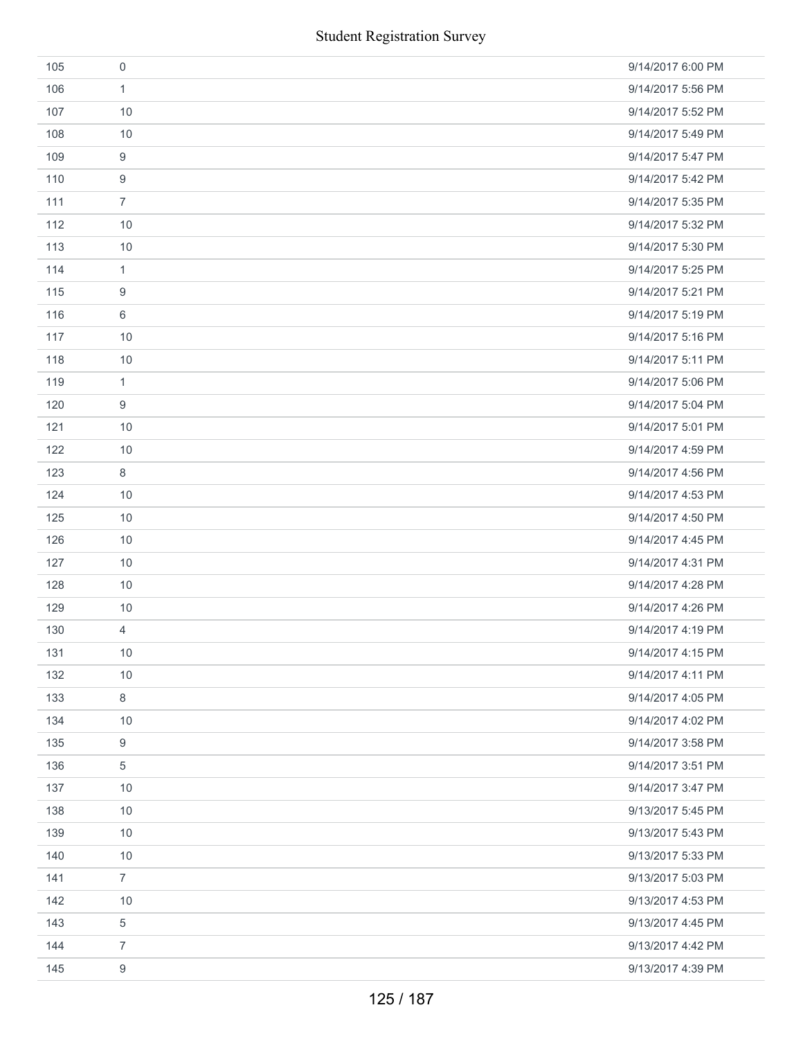|     | <b>Student Registration Survey</b> |                   |
|-----|------------------------------------|-------------------|
| 105 | $\mathbf 0$                        | 9/14/2017 6:00 PM |
| 106 | $\mathbf{1}$                       | 9/14/2017 5:56 PM |
| 107 | 10                                 | 9/14/2017 5:52 PM |
| 108 | 10                                 | 9/14/2017 5:49 PM |
| 109 | $\boldsymbol{9}$                   | 9/14/2017 5:47 PM |
| 110 | $\boldsymbol{9}$                   | 9/14/2017 5:42 PM |
| 111 | $\overline{7}$                     | 9/14/2017 5:35 PM |
| 112 | 10                                 | 9/14/2017 5:32 PM |
| 113 | 10                                 | 9/14/2017 5:30 PM |
| 114 | $\mathbf{1}$                       | 9/14/2017 5:25 PM |
| 115 | 9                                  | 9/14/2017 5:21 PM |
| 116 | 6                                  | 9/14/2017 5:19 PM |
| 117 | 10                                 | 9/14/2017 5:16 PM |
| 118 | 10                                 | 9/14/2017 5:11 PM |
| 119 | $\mathbf{1}$                       | 9/14/2017 5:06 PM |
| 120 | $\boldsymbol{9}$                   | 9/14/2017 5:04 PM |
| 121 | 10                                 | 9/14/2017 5:01 PM |
| 122 | 10                                 | 9/14/2017 4:59 PM |
| 123 | 8                                  | 9/14/2017 4:56 PM |
| 124 | 10                                 | 9/14/2017 4:53 PM |
| 125 | 10                                 | 9/14/2017 4:50 PM |
| 126 | 10                                 | 9/14/2017 4:45 PM |
| 127 | 10                                 | 9/14/2017 4:31 PM |
| 128 | 10                                 | 9/14/2017 4:28 PM |
| 129 | 10                                 | 9/14/2017 4:26 PM |
| 130 | $\overline{4}$                     | 9/14/2017 4:19 PM |
| 131 | 10                                 | 9/14/2017 4:15 PM |
| 132 | 10                                 | 9/14/2017 4:11 PM |
| 133 | 8                                  | 9/14/2017 4:05 PM |
| 134 | 10                                 | 9/14/2017 4:02 PM |
| 135 | 9                                  | 9/14/2017 3:58 PM |
| 136 | $\,$ 5 $\,$                        | 9/14/2017 3:51 PM |
| 137 | 10                                 | 9/14/2017 3:47 PM |
| 138 | 10                                 | 9/13/2017 5:45 PM |
| 139 | 10                                 | 9/13/2017 5:43 PM |
| 140 | 10                                 | 9/13/2017 5:33 PM |
| 141 | $\overline{7}$                     | 9/13/2017 5:03 PM |
| 142 | 10                                 | 9/13/2017 4:53 PM |
| 143 | $\,$ 5 $\,$                        | 9/13/2017 4:45 PM |
| 144 | $\overline{7}$                     | 9/13/2017 4:42 PM |
| 145 | $\boldsymbol{9}$                   | 9/13/2017 4:39 PM |
|     | 125 / 187                          |                   |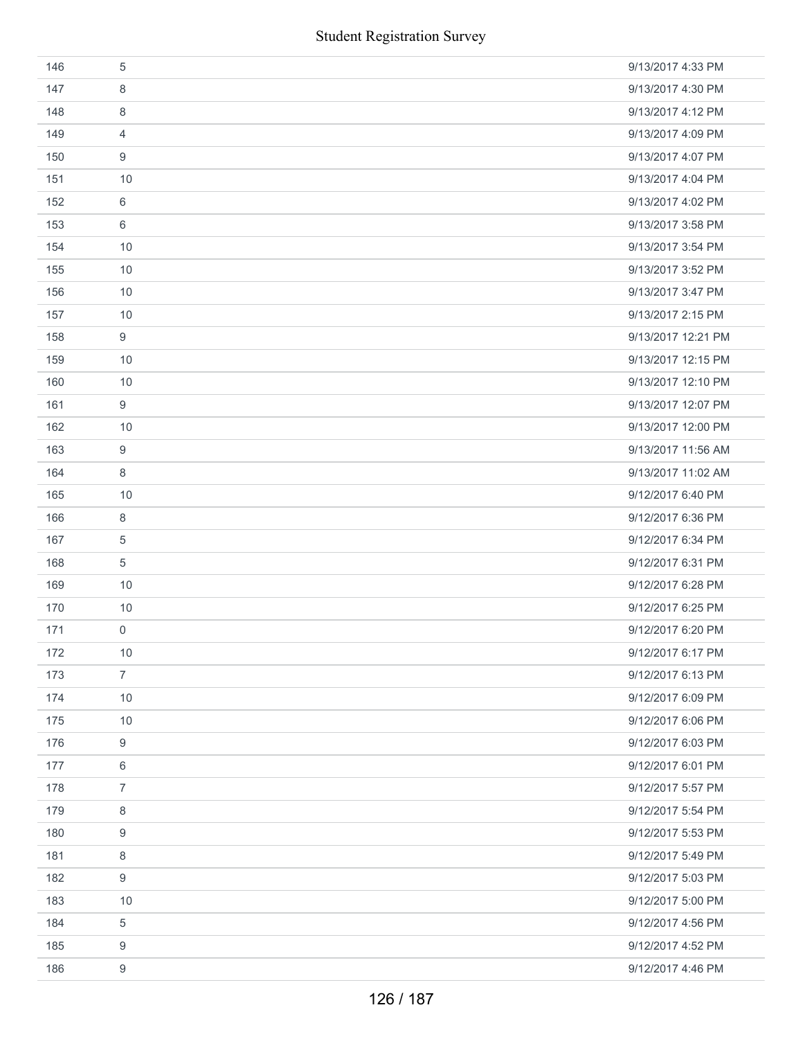|     | <b>Student Registration Survey</b> |                    |
|-----|------------------------------------|--------------------|
| 146 | $\sqrt{5}$                         | 9/13/2017 4:33 PM  |
| 147 | 8                                  | 9/13/2017 4:30 PM  |
| 148 | 8                                  | 9/13/2017 4:12 PM  |
| 149 | 4                                  | 9/13/2017 4:09 PM  |
| 150 | 9                                  | 9/13/2017 4:07 PM  |
| 151 | 10                                 | 9/13/2017 4:04 PM  |
| 152 | 6                                  | 9/13/2017 4:02 PM  |
| 153 | 6                                  | 9/13/2017 3:58 PM  |
| 154 | 10                                 | 9/13/2017 3:54 PM  |
| 155 | 10                                 | 9/13/2017 3:52 PM  |
| 156 | 10                                 | 9/13/2017 3:47 PM  |
| 157 | 10                                 | 9/13/2017 2:15 PM  |
| 158 | $\boldsymbol{9}$                   | 9/13/2017 12:21 PM |
| 159 | 10                                 | 9/13/2017 12:15 PM |
| 160 | 10                                 | 9/13/2017 12:10 PM |
| 161 | $\boldsymbol{9}$                   | 9/13/2017 12:07 PM |
| 162 | 10                                 | 9/13/2017 12:00 PM |
| 163 | 9                                  | 9/13/2017 11:56 AM |
| 164 | 8                                  | 9/13/2017 11:02 AM |
| 165 | 10                                 | 9/12/2017 6:40 PM  |
| 166 | $\,8\,$                            | 9/12/2017 6:36 PM  |
| 167 | 5                                  | 9/12/2017 6:34 PM  |
| 168 | $\sqrt{5}$                         | 9/12/2017 6:31 PM  |
| 169 | 10                                 | 9/12/2017 6:28 PM  |
| 170 | 10                                 | 9/12/2017 6:25 PM  |
| 171 | 0                                  | 9/12/2017 6:20 PM  |
| 172 | 10                                 | 9/12/2017 6:17 PM  |
| 173 | $\overline{7}$                     | 9/12/2017 6:13 PM  |
| 174 | 10                                 | 9/12/2017 6:09 PM  |
| 175 | 10                                 | 9/12/2017 6:06 PM  |
| 176 | 9                                  | 9/12/2017 6:03 PM  |
| 177 | 6                                  | 9/12/2017 6:01 PM  |
| 178 | $\overline{7}$                     | 9/12/2017 5:57 PM  |
| 179 | 8                                  | 9/12/2017 5:54 PM  |
| 180 | 9                                  | 9/12/2017 5:53 PM  |
| 181 | 8                                  | 9/12/2017 5:49 PM  |
| 182 | 9                                  | 9/12/2017 5:03 PM  |
| 183 | 10                                 | 9/12/2017 5:00 PM  |
| 184 | 5                                  | 9/12/2017 4:56 PM  |
| 185 | 9                                  | 9/12/2017 4:52 PM  |
| 186 | 9                                  | 9/12/2017 4:46 PM  |
|     | 126 / 187                          |                    |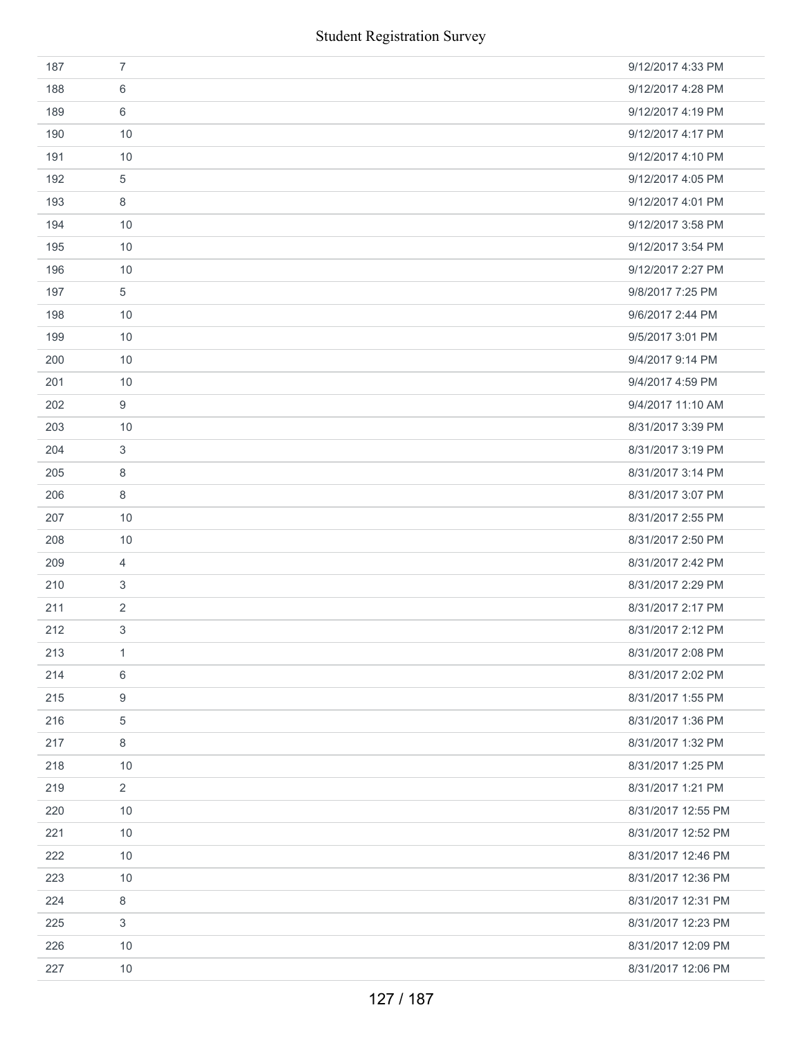| 187 | $\overline{7}$ | 9/12/2017 4:33 PM  |
|-----|----------------|--------------------|
| 188 | 6              | 9/12/2017 4:28 PM  |
| 189 | 6              | 9/12/2017 4:19 PM  |
| 190 | 10             | 9/12/2017 4:17 PM  |
| 191 | 10             | 9/12/2017 4:10 PM  |
| 192 | 5              | 9/12/2017 4:05 PM  |
| 193 | 8              | 9/12/2017 4:01 PM  |
| 194 | 10             | 9/12/2017 3:58 PM  |
| 195 | 10             | 9/12/2017 3:54 PM  |
| 196 | 10             | 9/12/2017 2:27 PM  |
| 197 | 5              | 9/8/2017 7:25 PM   |
| 198 | 10             | 9/6/2017 2:44 PM   |
| 199 | 10             | 9/5/2017 3:01 PM   |
| 200 | 10             | 9/4/2017 9:14 PM   |
| 201 | 10             | 9/4/2017 4:59 PM   |
| 202 | 9              | 9/4/2017 11:10 AM  |
| 203 | 10             | 8/31/2017 3:39 PM  |
| 204 | $\sqrt{3}$     | 8/31/2017 3:19 PM  |
| 205 | 8              | 8/31/2017 3:14 PM  |
| 206 | 8              | 8/31/2017 3:07 PM  |
| 207 | 10             | 8/31/2017 2:55 PM  |
| 208 | 10             | 8/31/2017 2:50 PM  |
| 209 | $\overline{4}$ | 8/31/2017 2:42 PM  |
| 210 | 3              | 8/31/2017 2:29 PM  |
| 211 | $\overline{2}$ | 8/31/2017 2:17 PM  |
| 212 | 3              | 8/31/2017 2:12 PM  |
| 213 | $\mathbf{1}$   | 8/31/2017 2:08 PM  |
| 214 | 6              | 8/31/2017 2:02 PM  |
| 215 | 9              | 8/31/2017 1:55 PM  |
| 216 | 5              | 8/31/2017 1:36 PM  |
| 217 | 8              | 8/31/2017 1:32 PM  |
| 218 | 10             | 8/31/2017 1:25 PM  |
| 219 | $\overline{2}$ | 8/31/2017 1:21 PM  |
| 220 | 10             | 8/31/2017 12:55 PM |
| 221 | 10             | 8/31/2017 12:52 PM |
| 222 | 10             | 8/31/2017 12:46 PM |
| 223 | 10             | 8/31/2017 12:36 PM |
| 224 | $\,8\,$        | 8/31/2017 12:31 PM |
| 225 | $\sqrt{3}$     | 8/31/2017 12:23 PM |
| 226 | 10             | 8/31/2017 12:09 PM |
| 227 | 10             | 8/31/2017 12:06 PM |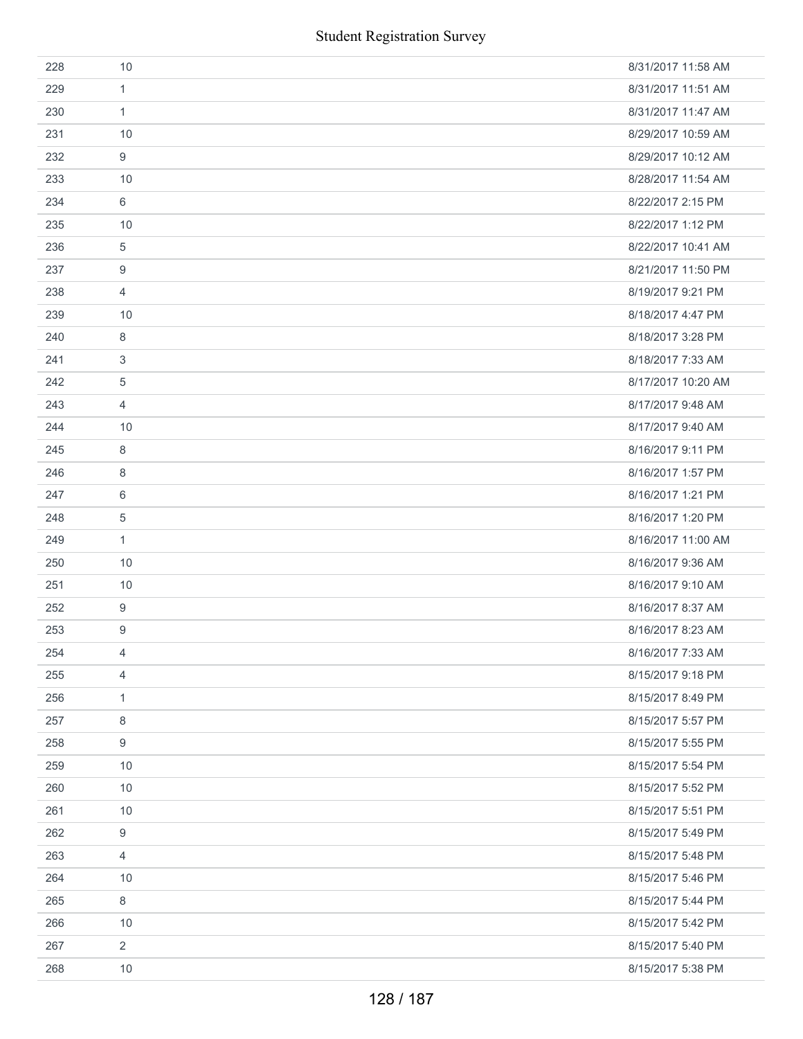|     | <b>Student Registration Survey</b> |                    |
|-----|------------------------------------|--------------------|
| 228 | 10                                 | 8/31/2017 11:58 AM |
| 229 | 1                                  | 8/31/2017 11:51 AM |
| 230 | $\mathbf{1}$                       | 8/31/2017 11:47 AM |
| 231 | 10                                 | 8/29/2017 10:59 AM |
| 232 | 9                                  | 8/29/2017 10:12 AM |
| 233 | 10                                 | 8/28/2017 11:54 AM |
| 234 | 6                                  | 8/22/2017 2:15 PM  |
| 235 | 10                                 | 8/22/2017 1:12 PM  |
| 236 | 5                                  | 8/22/2017 10:41 AM |
| 237 | 9                                  | 8/21/2017 11:50 PM |
| 238 | 4                                  | 8/19/2017 9:21 PM  |
| 239 | 10                                 | 8/18/2017 4:47 PM  |
| 240 | 8                                  | 8/18/2017 3:28 PM  |
| 241 | 3                                  | 8/18/2017 7:33 AM  |
| 242 | 5                                  | 8/17/2017 10:20 AM |
| 243 | 4                                  | 8/17/2017 9:48 AM  |
| 244 | 10                                 | 8/17/2017 9:40 AM  |
| 245 | $\,8\,$                            | 8/16/2017 9:11 PM  |
| 246 | 8                                  | 8/16/2017 1:57 PM  |
| 247 | 6                                  | 8/16/2017 1:21 PM  |
| 248 | $\sqrt{5}$                         | 8/16/2017 1:20 PM  |
| 249 | $\mathbf{1}$                       | 8/16/2017 11:00 AM |
| 250 | 10                                 | 8/16/2017 9:36 AM  |
| 251 | 10                                 | 8/16/2017 9:10 AM  |
| 252 | 9                                  | 8/16/2017 8:37 AM  |
| 253 | 9                                  | 8/16/2017 8:23 AM  |
| 254 | $\overline{4}$                     | 8/16/2017 7:33 AM  |
| 255 | $\overline{4}$                     | 8/15/2017 9:18 PM  |
| 256 | $\mathbf{1}$                       | 8/15/2017 8:49 PM  |
| 257 | 8                                  | 8/15/2017 5:57 PM  |
| 258 | 9                                  | 8/15/2017 5:55 PM  |
| 259 | $10$                               | 8/15/2017 5:54 PM  |
| 260 | 10                                 | 8/15/2017 5:52 PM  |
| 261 | 10                                 | 8/15/2017 5:51 PM  |
| 262 | 9                                  | 8/15/2017 5:49 PM  |
| 263 | $\overline{4}$                     | 8/15/2017 5:48 PM  |
| 264 | 10                                 | 8/15/2017 5:46 PM  |
| 265 | 8                                  | 8/15/2017 5:44 PM  |
| 266 | 10                                 | 8/15/2017 5:42 PM  |
| 267 | $\overline{2}$                     | 8/15/2017 5:40 PM  |
| 268 | 10                                 | 8/15/2017 5:38 PM  |
|     | 128 / 187                          |                    |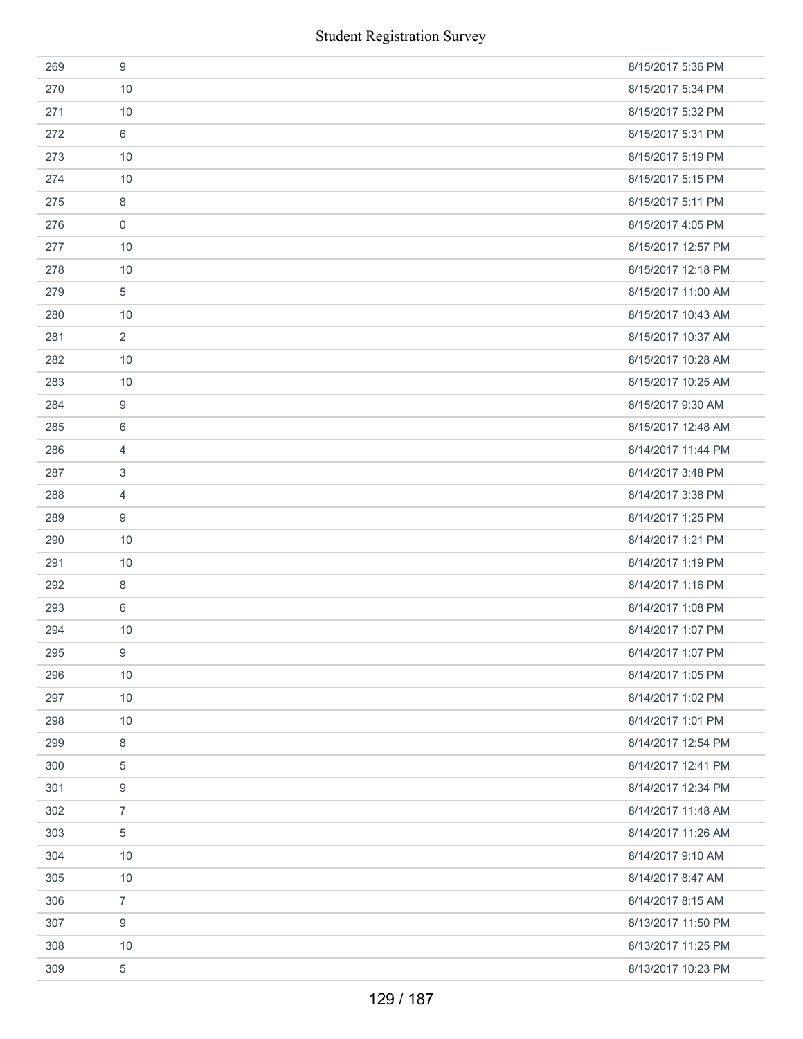|     | <b>Student Registration Survey</b> |                    |
|-----|------------------------------------|--------------------|
| 269 | $9$                                | 8/15/2017 5:36 PM  |
| 270 | 10                                 | 8/15/2017 5:34 PM  |
| 271 | 10                                 | 8/15/2017 5:32 PM  |
| 272 | 6                                  | 8/15/2017 5:31 PM  |
| 273 | 10                                 | 8/15/2017 5:19 PM  |
| 274 | 10                                 | 8/15/2017 5:15 PM  |
| 275 | 8                                  | 8/15/2017 5:11 PM  |
| 276 | $\mathbf 0$                        | 8/15/2017 4:05 PM  |
| 277 | 10                                 | 8/15/2017 12:57 PM |
| 278 | 10                                 | 8/15/2017 12:18 PM |
| 279 | 5                                  | 8/15/2017 11:00 AM |
| 280 | 10                                 | 8/15/2017 10:43 AM |
| 281 | $\overline{2}$                     | 8/15/2017 10:37 AM |
| 282 | 10                                 | 8/15/2017 10:28 AM |
| 283 | 10                                 | 8/15/2017 10:25 AM |
| 284 | 9                                  | 8/15/2017 9:30 AM  |
| 285 | 6                                  | 8/15/2017 12:48 AM |
| 286 | 4                                  | 8/14/2017 11:44 PM |
| 287 | 3                                  | 8/14/2017 3:48 PM  |
| 288 | $\overline{4}$                     | 8/14/2017 3:38 PM  |
| 289 | $\boldsymbol{9}$                   | 8/14/2017 1:25 PM  |
| 290 | 10                                 | 8/14/2017 1:21 PM  |
| 291 | 10                                 | 8/14/2017 1:19 PM  |
| 292 | $\,8\,$                            | 8/14/2017 1:16 PM  |
| 293 | 6                                  | 8/14/2017 1:08 PM  |
| 294 | 10                                 | 8/14/2017 1:07 PM  |
| 295 | 9                                  | 8/14/2017 1:07 PM  |
| 296 | 10                                 | 8/14/2017 1:05 PM  |
| 297 | 10                                 | 8/14/2017 1:02 PM  |
| 298 | 10                                 | 8/14/2017 1:01 PM  |
| 299 | 8                                  | 8/14/2017 12:54 PM |
| 300 | 5                                  | 8/14/2017 12:41 PM |
| 301 | 9                                  | 8/14/2017 12:34 PM |
| 302 | $\overline{7}$                     | 8/14/2017 11:48 AM |
| 303 | 5                                  | 8/14/2017 11:26 AM |
| 304 | 10                                 | 8/14/2017 9:10 AM  |
| 305 | 10                                 | 8/14/2017 8:47 AM  |
| 306 | $\overline{7}$                     | 8/14/2017 8:15 AM  |
| 307 | 9                                  | 8/13/2017 11:50 PM |
| 308 | 10                                 | 8/13/2017 11:25 PM |
| 309 | 5                                  | 8/13/2017 10:23 PM |
|     | 129 / 187                          |                    |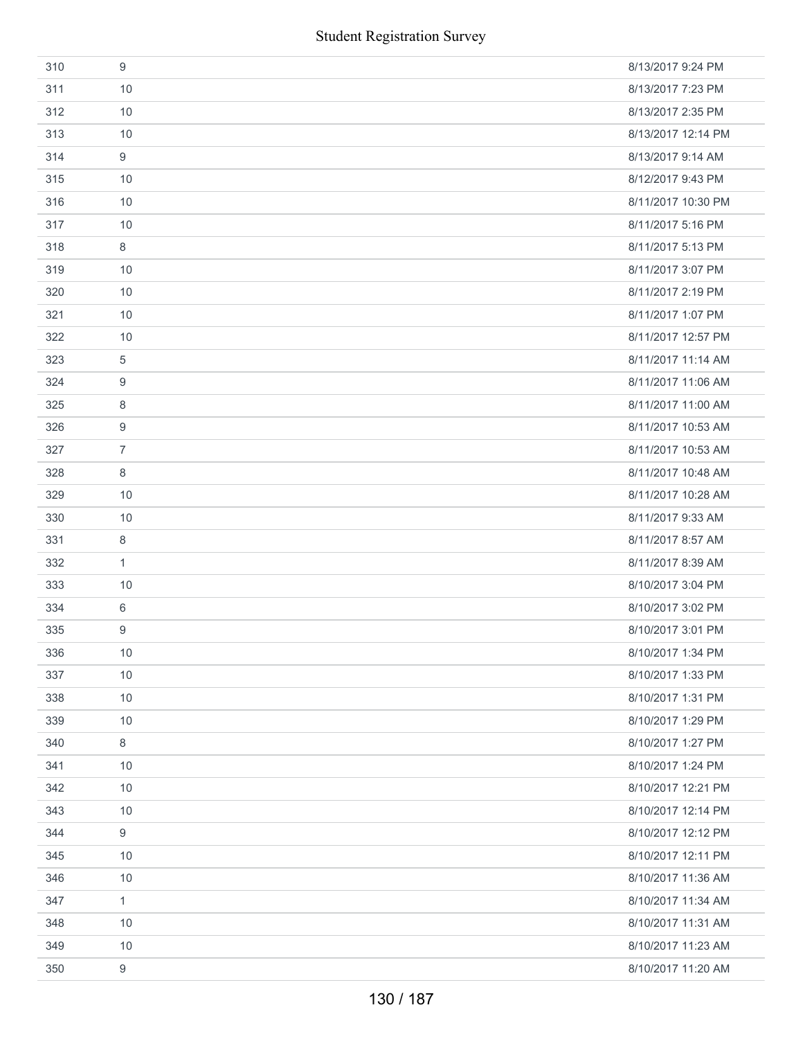|     | <b>Student Registration Survey</b> |                    |
|-----|------------------------------------|--------------------|
| 310 | 9                                  | 8/13/2017 9:24 PM  |
| 311 | 10                                 | 8/13/2017 7:23 PM  |
| 312 | 10                                 | 8/13/2017 2:35 PM  |
| 313 | 10                                 | 8/13/2017 12:14 PM |
| 314 | 9                                  | 8/13/2017 9:14 AM  |
| 315 | 10                                 | 8/12/2017 9:43 PM  |
| 316 | 10                                 | 8/11/2017 10:30 PM |
| 317 | 10                                 | 8/11/2017 5:16 PM  |
| 318 | 8                                  | 8/11/2017 5:13 PM  |
| 319 | 10                                 | 8/11/2017 3:07 PM  |
| 320 | 10                                 | 8/11/2017 2:19 PM  |
| 321 | 10                                 | 8/11/2017 1:07 PM  |
| 322 | 10                                 | 8/11/2017 12:57 PM |
| 323 | 5                                  | 8/11/2017 11:14 AM |
| 324 | 9                                  | 8/11/2017 11:06 AM |
| 325 | 8                                  | 8/11/2017 11:00 AM |
| 326 | 9                                  | 8/11/2017 10:53 AM |
| 327 | $\overline{7}$                     | 8/11/2017 10:53 AM |
| 328 | 8                                  | 8/11/2017 10:48 AM |
| 329 | 10                                 | 8/11/2017 10:28 AM |
| 330 | 10                                 | 8/11/2017 9:33 AM  |
| 331 | 8                                  | 8/11/2017 8:57 AM  |
| 332 | $\mathbf{1}$                       | 8/11/2017 8:39 AM  |
| 333 | 10                                 | 8/10/2017 3:04 PM  |
| 334 | 6                                  | 8/10/2017 3:02 PM  |
| 335 | 9                                  | 8/10/2017 3:01 PM  |
| 336 | 10                                 | 8/10/2017 1:34 PM  |
| 337 | 10                                 | 8/10/2017 1:33 PM  |
| 338 | 10                                 | 8/10/2017 1:31 PM  |
| 339 | 10                                 | 8/10/2017 1:29 PM  |
| 340 | 8                                  | 8/10/2017 1:27 PM  |
| 341 | 10                                 | 8/10/2017 1:24 PM  |
| 342 | 10                                 | 8/10/2017 12:21 PM |
| 343 | 10                                 | 8/10/2017 12:14 PM |
| 344 | $\boldsymbol{9}$                   | 8/10/2017 12:12 PM |
| 345 | 10                                 | 8/10/2017 12:11 PM |
| 346 | 10                                 | 8/10/2017 11:36 AM |
| 347 | $\mathbf{1}$                       | 8/10/2017 11:34 AM |
| 348 | 10                                 | 8/10/2017 11:31 AM |
| 349 | 10                                 | 8/10/2017 11:23 AM |
| 350 | 9                                  | 8/10/2017 11:20 AM |
|     | 130 / 187                          |                    |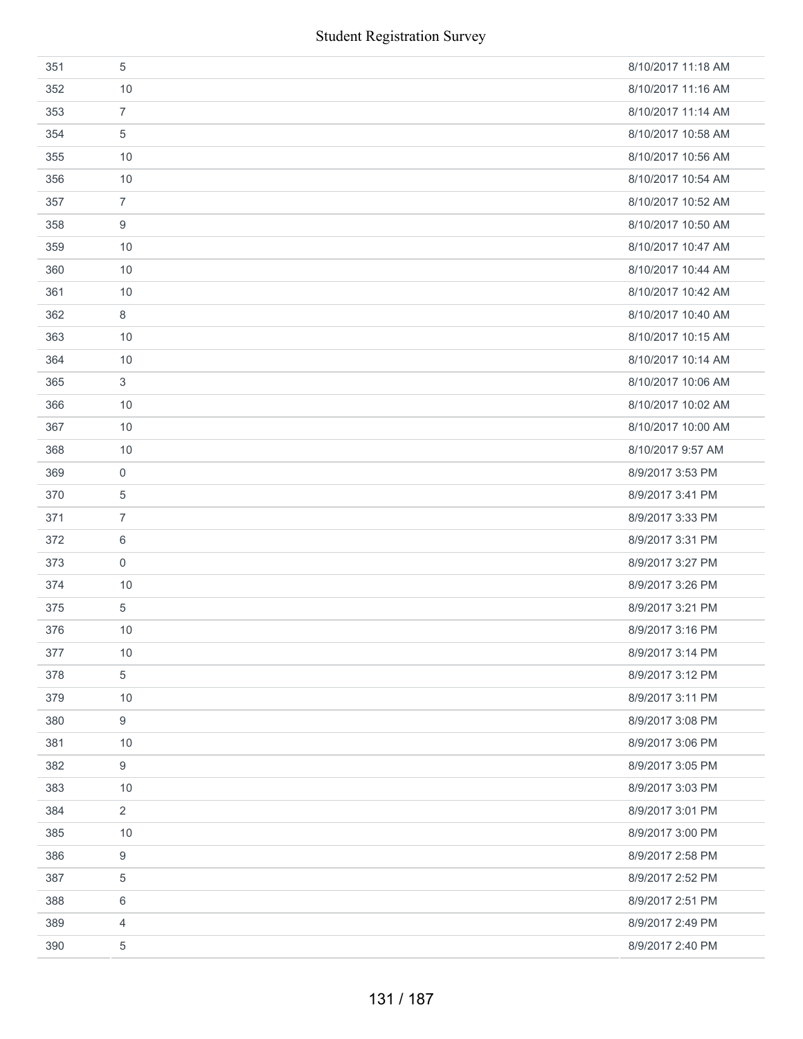| 351 | 5                | 8/10/2017 11:18 AM |
|-----|------------------|--------------------|
| 352 | 10               | 8/10/2017 11:16 AM |
| 353 | $\overline{7}$   | 8/10/2017 11:14 AM |
| 354 | 5                | 8/10/2017 10:58 AM |
| 355 | 10               | 8/10/2017 10:56 AM |
| 356 | 10               | 8/10/2017 10:54 AM |
| 357 | $\overline{7}$   | 8/10/2017 10:52 AM |
| 358 | 9                | 8/10/2017 10:50 AM |
| 359 | 10               | 8/10/2017 10:47 AM |
| 360 | 10               | 8/10/2017 10:44 AM |
| 361 | 10               | 8/10/2017 10:42 AM |
| 362 | 8                | 8/10/2017 10:40 AM |
| 363 | 10               | 8/10/2017 10:15 AM |
| 364 | 10               | 8/10/2017 10:14 AM |
| 365 | 3                | 8/10/2017 10:06 AM |
| 366 | 10               | 8/10/2017 10:02 AM |
| 367 | 10               | 8/10/2017 10:00 AM |
| 368 | 10               | 8/10/2017 9:57 AM  |
| 369 | 0                | 8/9/2017 3:53 PM   |
| 370 | 5                | 8/9/2017 3:41 PM   |
| 371 | $\overline{7}$   | 8/9/2017 3:33 PM   |
| 372 | 6                | 8/9/2017 3:31 PM   |
| 373 | $\mathbf 0$      | 8/9/2017 3:27 PM   |
| 374 | 10               | 8/9/2017 3:26 PM   |
| 375 | 5                | 8/9/2017 3:21 PM   |
| 376 | 10               | 8/9/2017 3:16 PM   |
| 377 | $10$             | 8/9/2017 3:14 PM   |
| 378 | 5                | 8/9/2017 3:12 PM   |
| 379 | 10               | 8/9/2017 3:11 PM   |
| 380 | 9                | 8/9/2017 3:08 PM   |
| 381 | 10               | 8/9/2017 3:06 PM   |
| 382 | $\boldsymbol{9}$ | 8/9/2017 3:05 PM   |
| 383 | 10               | 8/9/2017 3:03 PM   |
| 384 | $\overline{2}$   | 8/9/2017 3:01 PM   |
| 385 | 10               | 8/9/2017 3:00 PM   |
| 386 | 9                | 8/9/2017 2:58 PM   |
| 387 | 5                | 8/9/2017 2:52 PM   |
| 388 | 6                | 8/9/2017 2:51 PM   |
| 389 | $\overline{4}$   | 8/9/2017 2:49 PM   |
| 390 | $\,$ 5 $\,$      | 8/9/2017 2:40 PM   |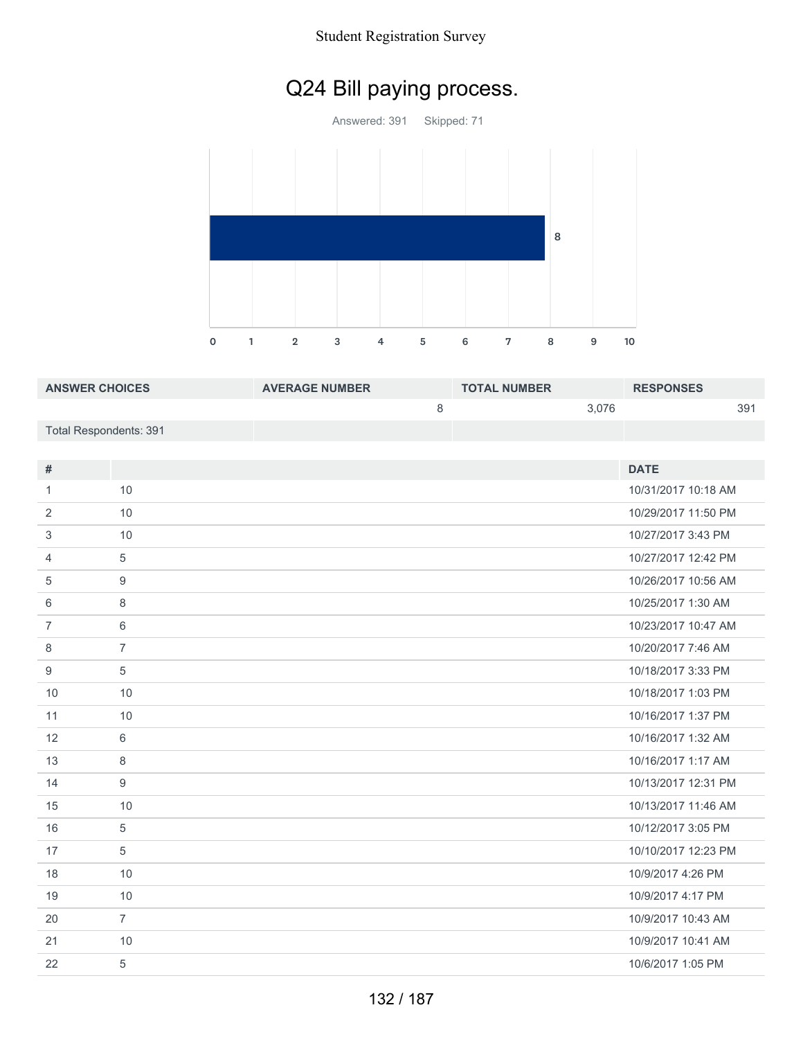## Q24 Bill paying process.

Answered: 391 Skipped: 71 

1 2 3 4 5 6 7 8 9 10

| <b>ANSWER CHOICES</b>  | <b>AVERAGE NUMBER</b> | <b>TOTAL NUMBER</b> | <b>RESPONSES</b> |
|------------------------|-----------------------|---------------------|------------------|
|                        |                       | 3.076               | 39'              |
| Total Respondents: 391 |                       |                     |                  |

| #              |                | <b>DATE</b>         |
|----------------|----------------|---------------------|
|                | 10             | 10/31/2017 10:18 AM |
| 1              |                |                     |
| 2              | 10             | 10/29/2017 11:50 PM |
| 3              | 10             | 10/27/2017 3:43 PM  |
| 4              | 5              | 10/27/2017 12:42 PM |
| 5              | 9              | 10/26/2017 10:56 AM |
| 6              | 8              | 10/25/2017 1:30 AM  |
| $\overline{7}$ | 6              | 10/23/2017 10:47 AM |
| 8              | $\overline{7}$ | 10/20/2017 7:46 AM  |
| 9              | 5              | 10/18/2017 3:33 PM  |
| 10             | 10             | 10/18/2017 1:03 PM  |
| 11             | 10             | 10/16/2017 1:37 PM  |
| 12             | 6              | 10/16/2017 1:32 AM  |
| 13             | 8              | 10/16/2017 1:17 AM  |
| 14             | 9              | 10/13/2017 12:31 PM |
| 15             | 10             | 10/13/2017 11:46 AM |
| 16             | 5              | 10/12/2017 3:05 PM  |
| 17             | 5              | 10/10/2017 12:23 PM |
| 18             | 10             | 10/9/2017 4:26 PM   |
| 19             | 10             | 10/9/2017 4:17 PM   |
| 20             | $\overline{7}$ | 10/9/2017 10:43 AM  |
| 21             | 10             | 10/9/2017 10:41 AM  |
| 22             | 5              | 10/6/2017 1:05 PM   |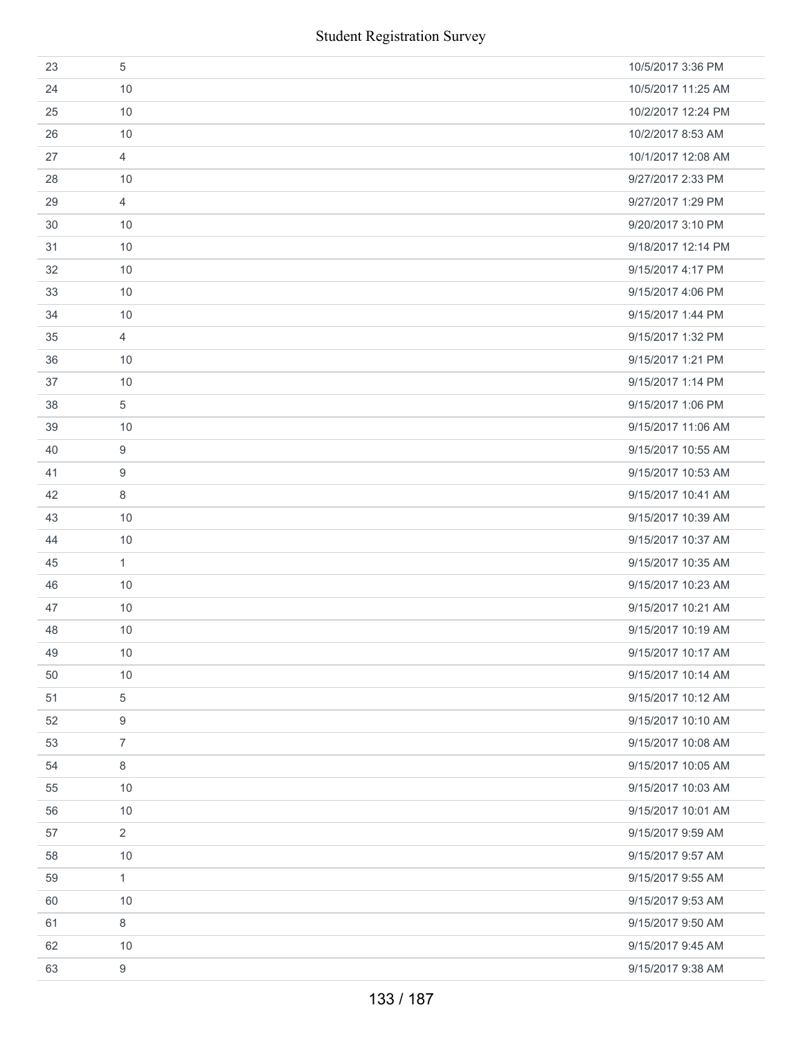|    |                | <b>Student Registration Survey</b> |
|----|----------------|------------------------------------|
| 23 | 5              | 10/5/2017 3:36 PM                  |
| 24 | 10             | 10/5/2017 11:25 AM                 |
| 25 | 10             | 10/2/2017 12:24 PM                 |
| 26 | 10             | 10/2/2017 8:53 AM                  |
| 27 | $\overline{4}$ | 10/1/2017 12:08 AM                 |
| 28 | 10             | 9/27/2017 2:33 PM                  |
| 29 | 4              | 9/27/2017 1:29 PM                  |
| 30 | 10             | 9/20/2017 3:10 PM                  |
| 31 | 10             | 9/18/2017 12:14 PM                 |
| 32 | 10             | 9/15/2017 4:17 PM                  |
| 33 | 10             | 9/15/2017 4:06 PM                  |
| 34 | 10             | 9/15/2017 1:44 PM                  |
| 35 | 4              | 9/15/2017 1:32 PM                  |
| 36 | 10             | 9/15/2017 1:21 PM                  |
| 37 | 10             | 9/15/2017 1:14 PM                  |
| 38 | 5              | 9/15/2017 1:06 PM                  |
| 39 | 10             | 9/15/2017 11:06 AM                 |
| 40 | 9              | 9/15/2017 10:55 AM                 |
| 41 | 9              | 9/15/2017 10:53 AM                 |
| 42 | 8              | 9/15/2017 10:41 AM                 |
| 43 | 10             | 9/15/2017 10:39 AM                 |
| 44 | 10             | 9/15/2017 10:37 AM                 |
| 45 | $\mathbf{1}$   | 9/15/2017 10:35 AM                 |
| 46 | 10             | 9/15/2017 10:23 AM                 |
| 47 | 10             | 9/15/2017 10:21 AM                 |
| 48 | 10             | 9/15/2017 10:19 AM                 |
| 49 | 10             | 9/15/2017 10:17 AM                 |
| 50 | 10             | 9/15/2017 10:14 AM                 |
| 51 | 5              | 9/15/2017 10:12 AM                 |
| 52 | 9              | 9/15/2017 10:10 AM                 |
| 53 | $\overline{7}$ | 9/15/2017 10:08 AM                 |
| 54 | $\,8\,$        | 9/15/2017 10:05 AM                 |
| 55 | 10             | 9/15/2017 10:03 AM                 |
| 56 | 10             | 9/15/2017 10:01 AM                 |
| 57 | $\overline{2}$ | 9/15/2017 9:59 AM                  |
| 58 | 10             | 9/15/2017 9:57 AM                  |
| 59 | $\mathbf{1}$   | 9/15/2017 9:55 AM                  |
| 60 | 10             | 9/15/2017 9:53 AM                  |
| 61 | 8              | 9/15/2017 9:50 AM                  |
| 62 | 10             | 9/15/2017 9:45 AM                  |
| 63 | $9\,$          | 9/15/2017 9:38 AM                  |
|    |                | 133 / 187                          |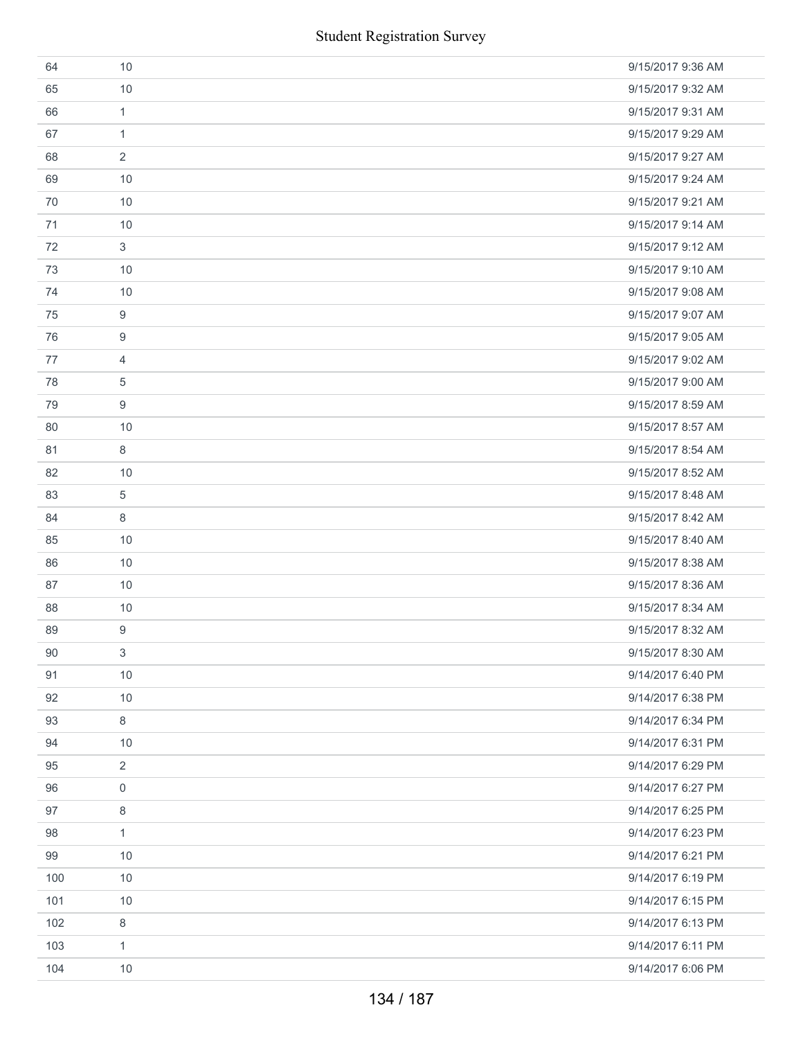|     | <b>Student Registration Survey</b> |                   |
|-----|------------------------------------|-------------------|
| 64  | 10                                 | 9/15/2017 9:36 AM |
| 65  | 10                                 | 9/15/2017 9:32 AM |
| 66  | $\mathbf{1}$                       | 9/15/2017 9:31 AM |
| 67  | $\mathbf{1}$                       | 9/15/2017 9:29 AM |
| 68  | 2                                  | 9/15/2017 9:27 AM |
| 69  | 10                                 | 9/15/2017 9:24 AM |
| 70  | 10                                 | 9/15/2017 9:21 AM |
| 71  | 10                                 | 9/15/2017 9:14 AM |
| 72  | 3                                  | 9/15/2017 9:12 AM |
| 73  | 10                                 | 9/15/2017 9:10 AM |
| 74  | 10                                 | 9/15/2017 9:08 AM |
| 75  | 9                                  | 9/15/2017 9:07 AM |
| 76  | 9                                  | 9/15/2017 9:05 AM |
| 77  | $\overline{4}$                     | 9/15/2017 9:02 AM |
| 78  | 5                                  | 9/15/2017 9:00 AM |
| 79  | 9                                  | 9/15/2017 8:59 AM |
| 80  | 10                                 | 9/15/2017 8:57 AM |
| 81  | 8                                  | 9/15/2017 8:54 AM |
| 82  | 10                                 | 9/15/2017 8:52 AM |
| 83  | 5                                  | 9/15/2017 8:48 AM |
| 84  | 8                                  | 9/15/2017 8:42 AM |
| 85  | 10                                 | 9/15/2017 8:40 AM |
| 86  | 10                                 | 9/15/2017 8:38 AM |
| 87  | 10                                 | 9/15/2017 8:36 AM |
| 88  | 10                                 | 9/15/2017 8:34 AM |
| 89  | 9                                  | 9/15/2017 8:32 AM |
| 90  | 3                                  | 9/15/2017 8:30 AM |
| 91  | 10                                 | 9/14/2017 6:40 PM |
| 92  | 10                                 | 9/14/2017 6:38 PM |
| 93  | 8                                  | 9/14/2017 6:34 PM |
| 94  | 10                                 | 9/14/2017 6:31 PM |
| 95  | 2                                  | 9/14/2017 6:29 PM |
| 96  | 0                                  | 9/14/2017 6:27 PM |
| 97  | 8                                  | 9/14/2017 6:25 PM |
| 98  | 1                                  | 9/14/2017 6:23 PM |
| 99  | 10                                 | 9/14/2017 6:21 PM |
| 100 | 10                                 | 9/14/2017 6:19 PM |
| 101 | 10                                 | 9/14/2017 6:15 PM |
| 102 | 8                                  | 9/14/2017 6:13 PM |
| 103 | 1                                  | 9/14/2017 6:11 PM |
| 104 | 10                                 | 9/14/2017 6:06 PM |
|     | 134 / 187                          |                   |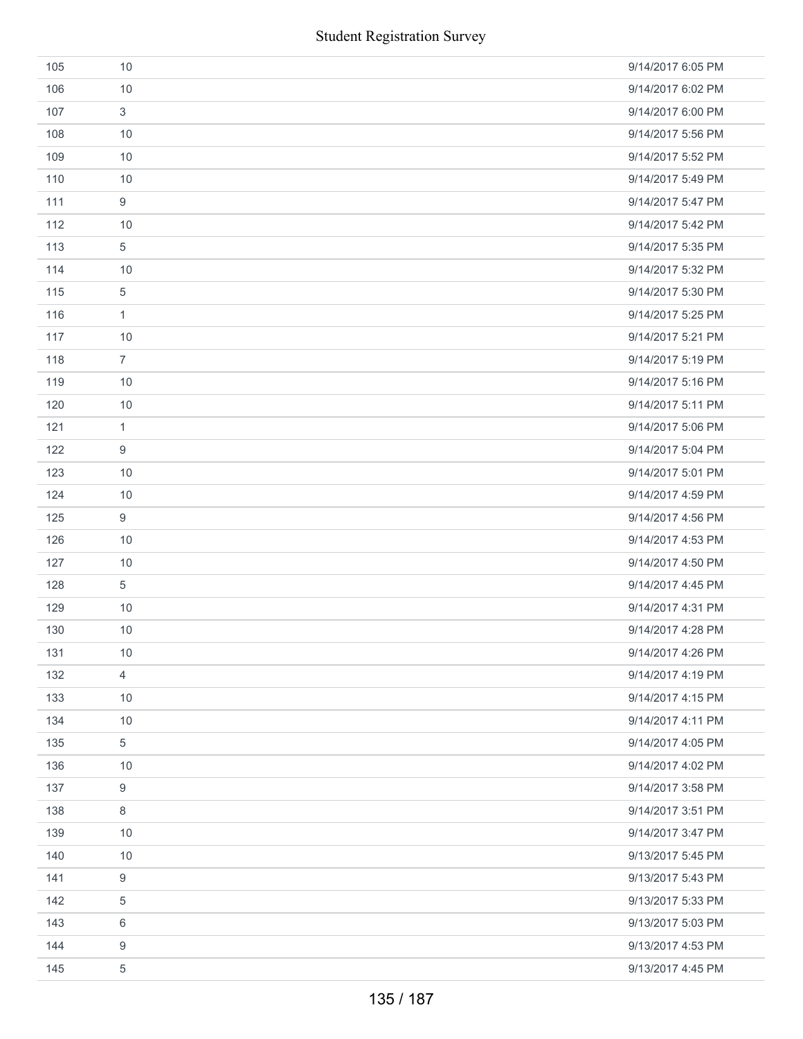|     | <b>Student Registration Survey</b> |                   |
|-----|------------------------------------|-------------------|
| 105 | 10                                 | 9/14/2017 6:05 PM |
| 106 | 10                                 | 9/14/2017 6:02 PM |
| 107 | $\mathfrak{S}$                     | 9/14/2017 6:00 PM |
| 108 | 10                                 | 9/14/2017 5:56 PM |
| 109 | 10                                 | 9/14/2017 5:52 PM |
| 110 | 10                                 | 9/14/2017 5:49 PM |
| 111 | $\boldsymbol{9}$                   | 9/14/2017 5:47 PM |
| 112 | 10                                 | 9/14/2017 5:42 PM |
| 113 | 5                                  | 9/14/2017 5:35 PM |
| 114 | 10                                 | 9/14/2017 5:32 PM |
| 115 | 5                                  | 9/14/2017 5:30 PM |
| 116 | $\mathbf{1}$                       | 9/14/2017 5:25 PM |
| 117 | 10                                 | 9/14/2017 5:21 PM |
| 118 | $\overline{7}$                     | 9/14/2017 5:19 PM |
| 119 | 10                                 | 9/14/2017 5:16 PM |
| 120 | 10                                 | 9/14/2017 5:11 PM |
| 121 | $\mathbf{1}$                       | 9/14/2017 5:06 PM |
| 122 | 9                                  | 9/14/2017 5:04 PM |
| 123 | 10                                 | 9/14/2017 5:01 PM |
| 124 | 10                                 | 9/14/2017 4:59 PM |
| 125 | $\boldsymbol{9}$                   | 9/14/2017 4:56 PM |
| 126 | 10                                 | 9/14/2017 4:53 PM |
| 127 | 10                                 | 9/14/2017 4:50 PM |
| 128 | $\sqrt{5}$                         | 9/14/2017 4:45 PM |
| 129 | 10                                 | 9/14/2017 4:31 PM |
| 130 | 10                                 | 9/14/2017 4:28 PM |
| 131 | 10                                 | 9/14/2017 4:26 PM |
| 132 | $\overline{4}$                     | 9/14/2017 4:19 PM |
| 133 | 10                                 | 9/14/2017 4:15 PM |
| 134 | 10                                 | 9/14/2017 4:11 PM |
| 135 | 5                                  | 9/14/2017 4:05 PM |
| 136 | 10                                 | 9/14/2017 4:02 PM |
| 137 | 9                                  | 9/14/2017 3:58 PM |
| 138 | $\,8\,$                            | 9/14/2017 3:51 PM |
| 139 | 10                                 | 9/14/2017 3:47 PM |
| 140 | 10                                 | 9/13/2017 5:45 PM |
| 141 | $\boldsymbol{9}$                   | 9/13/2017 5:43 PM |
| 142 | 5                                  | 9/13/2017 5:33 PM |
| 143 | 6                                  | 9/13/2017 5:03 PM |
| 144 | 9                                  | 9/13/2017 4:53 PM |
| 145 | 5                                  | 9/13/2017 4:45 PM |
|     | 135 / 187                          |                   |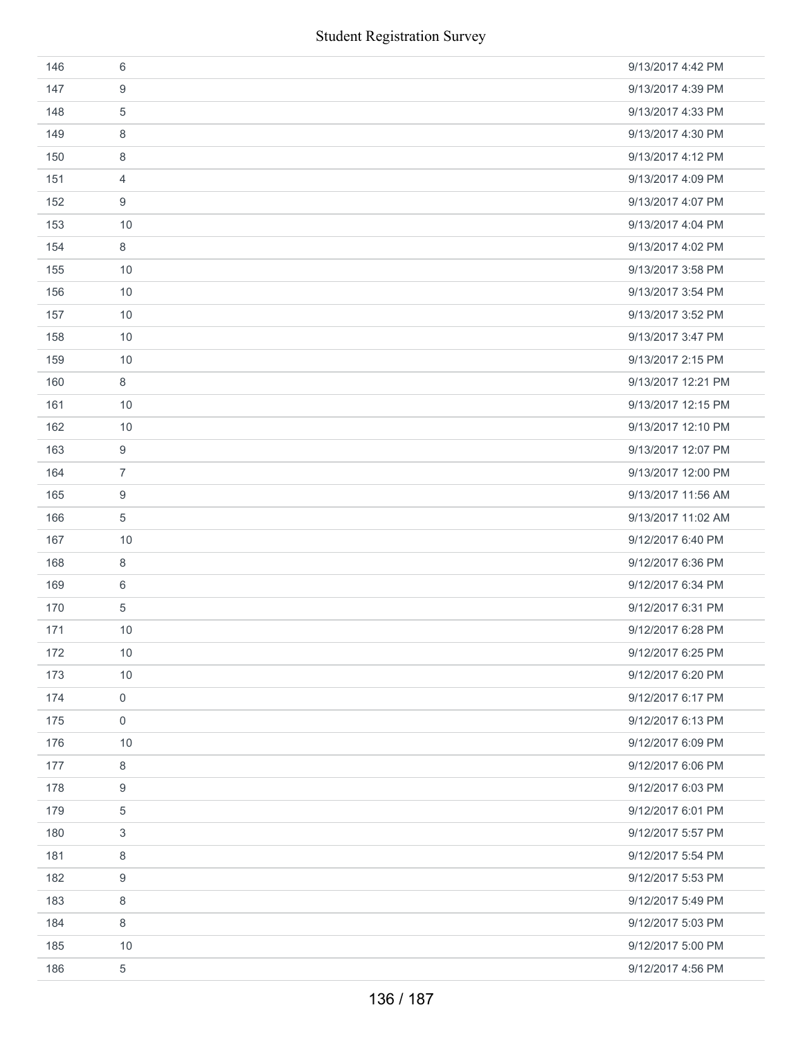|     | <b>Student Registration Survey</b> |                    |
|-----|------------------------------------|--------------------|
| 146 | 6                                  | 9/13/2017 4:42 PM  |
| 147 | 9                                  | 9/13/2017 4:39 PM  |
| 148 | $\sqrt{5}$                         | 9/13/2017 4:33 PM  |
| 149 | 8                                  | 9/13/2017 4:30 PM  |
| 150 | 8                                  | 9/13/2017 4:12 PM  |
| 151 | 4                                  | 9/13/2017 4:09 PM  |
| 152 | 9                                  | 9/13/2017 4:07 PM  |
| 153 | 10                                 | 9/13/2017 4:04 PM  |
| 154 | 8                                  | 9/13/2017 4:02 PM  |
| 155 | 10                                 | 9/13/2017 3:58 PM  |
| 156 | 10                                 | 9/13/2017 3:54 PM  |
| 157 | 10                                 | 9/13/2017 3:52 PM  |
| 158 | 10                                 | 9/13/2017 3:47 PM  |
| 159 | 10                                 | 9/13/2017 2:15 PM  |
| 160 | 8                                  | 9/13/2017 12:21 PM |
| 161 | 10                                 | 9/13/2017 12:15 PM |
| 162 | 10                                 | 9/13/2017 12:10 PM |
| 163 | 9                                  | 9/13/2017 12:07 PM |
| 164 | $\overline{7}$                     | 9/13/2017 12:00 PM |
| 165 | 9                                  | 9/13/2017 11:56 AM |
| 166 | $\sqrt{5}$                         | 9/13/2017 11:02 AM |
| 167 | 10                                 | 9/12/2017 6:40 PM  |
| 168 | 8                                  | 9/12/2017 6:36 PM  |
| 169 | 6                                  | 9/12/2017 6:34 PM  |
| 170 | $\sqrt{5}$                         | 9/12/2017 6:31 PM  |
| 171 | 10                                 | 9/12/2017 6:28 PM  |
| 172 | 10                                 | 9/12/2017 6:25 PM  |
| 173 | 10                                 | 9/12/2017 6:20 PM  |
| 174 | $\mathbf 0$                        | 9/12/2017 6:17 PM  |
| 175 | $\mathbf 0$                        | 9/12/2017 6:13 PM  |
| 176 | 10                                 | 9/12/2017 6:09 PM  |
| 177 | 8                                  | 9/12/2017 6:06 PM  |
| 178 | 9                                  | 9/12/2017 6:03 PM  |
| 179 | 5                                  | 9/12/2017 6:01 PM  |
| 180 | 3                                  | 9/12/2017 5:57 PM  |
| 181 | 8                                  | 9/12/2017 5:54 PM  |
| 182 | 9                                  | 9/12/2017 5:53 PM  |
| 183 | 8                                  | 9/12/2017 5:49 PM  |
| 184 | 8                                  | 9/12/2017 5:03 PM  |
| 185 | 10                                 | 9/12/2017 5:00 PM  |
| 186 | $\,$ 5 $\,$                        | 9/12/2017 4:56 PM  |
|     | 136 / 187                          |                    |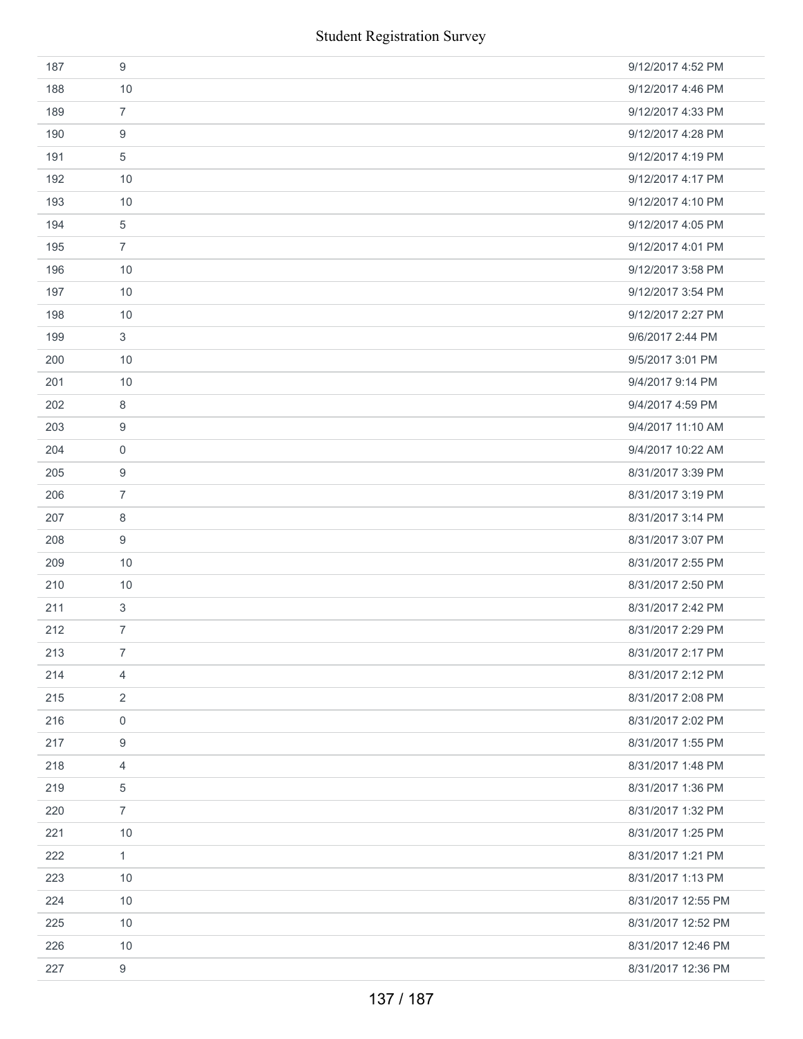| 187 | 9                | 9/12/2017 4:52 PM  |
|-----|------------------|--------------------|
| 188 | 10               | 9/12/2017 4:46 PM  |
| 189 | $\overline{7}$   | 9/12/2017 4:33 PM  |
| 190 | 9                | 9/12/2017 4:28 PM  |
| 191 | 5                | 9/12/2017 4:19 PM  |
| 192 | 10               | 9/12/2017 4:17 PM  |
| 193 | 10               | 9/12/2017 4:10 PM  |
| 194 | $\,$ 5 $\,$      | 9/12/2017 4:05 PM  |
| 195 | $\overline{7}$   | 9/12/2017 4:01 PM  |
| 196 | 10               | 9/12/2017 3:58 PM  |
| 197 | 10               | 9/12/2017 3:54 PM  |
| 198 | 10               | 9/12/2017 2:27 PM  |
| 199 | 3                | 9/6/2017 2:44 PM   |
| 200 | 10               | 9/5/2017 3:01 PM   |
| 201 | 10               | 9/4/2017 9:14 PM   |
| 202 | $\,8\,$          | 9/4/2017 4:59 PM   |
| 203 | 9                | 9/4/2017 11:10 AM  |
| 204 | 0                | 9/4/2017 10:22 AM  |
| 205 | 9                | 8/31/2017 3:39 PM  |
| 206 | $\overline{7}$   | 8/31/2017 3:19 PM  |
| 207 | 8                | 8/31/2017 3:14 PM  |
| 208 | 9                | 8/31/2017 3:07 PM  |
| 209 | 10               | 8/31/2017 2:55 PM  |
| 210 | 10               | 8/31/2017 2:50 PM  |
| 211 | $\mathbf{3}$     | 8/31/2017 2:42 PM  |
| 212 | $\overline{7}$   | 8/31/2017 2:29 PM  |
| 213 | $\overline{7}$   | 8/31/2017 2:17 PM  |
| 214 | $\overline{4}$   | 8/31/2017 2:12 PM  |
| 215 | $\overline{2}$   | 8/31/2017 2:08 PM  |
| 216 | $\mathbf 0$      | 8/31/2017 2:02 PM  |
| 217 | 9                | 8/31/2017 1:55 PM  |
| 218 | 4                | 8/31/2017 1:48 PM  |
| 219 | 5                | 8/31/2017 1:36 PM  |
| 220 | $\overline{7}$   | 8/31/2017 1:32 PM  |
| 221 | 10               | 8/31/2017 1:25 PM  |
| 222 | $\mathbf{1}$     | 8/31/2017 1:21 PM  |
| 223 | 10               | 8/31/2017 1:13 PM  |
| 224 | 10               | 8/31/2017 12:55 PM |
| 225 | 10               | 8/31/2017 12:52 PM |
| 226 | 10               | 8/31/2017 12:46 PM |
| 227 | $\boldsymbol{9}$ | 8/31/2017 12:36 PM |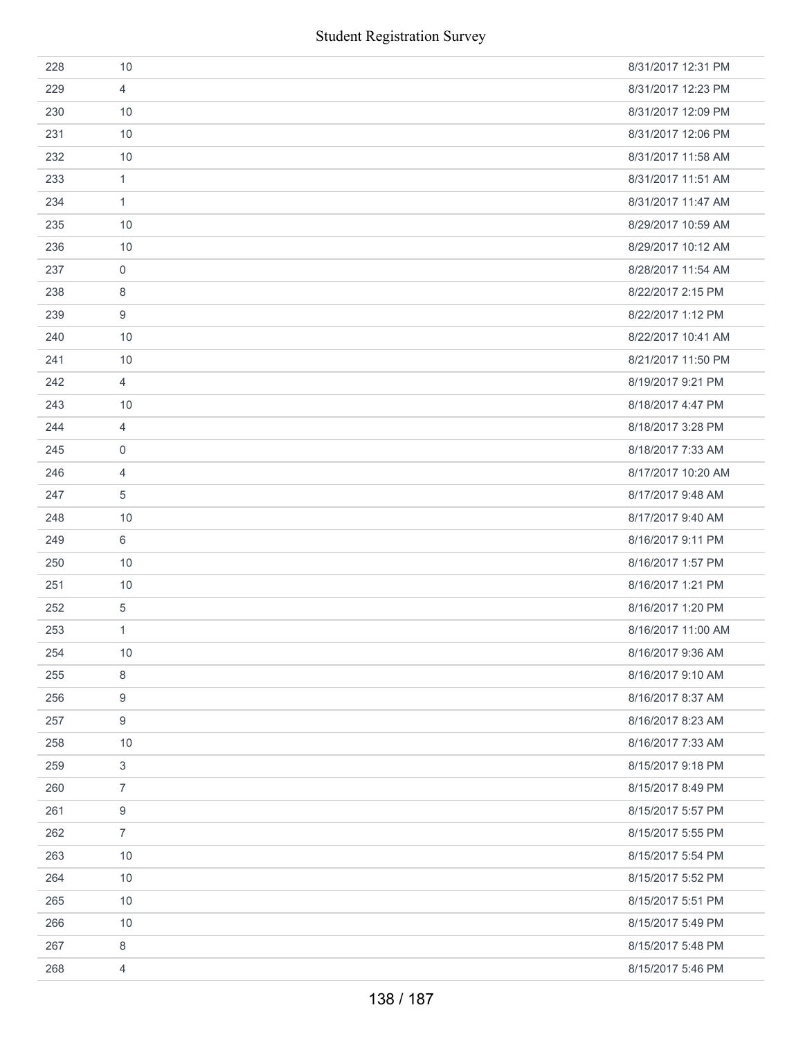|     |                  | <b>Student Registration Survey</b> |
|-----|------------------|------------------------------------|
| 228 | 10               | 8/31/2017 12:31 PM                 |
| 229 | 4                | 8/31/2017 12:23 PM                 |
| 230 | 10               | 8/31/2017 12:09 PM                 |
| 231 | 10               | 8/31/2017 12:06 PM                 |
| 232 | 10               | 8/31/2017 11:58 AM                 |
| 233 | $\mathbf{1}$     | 8/31/2017 11:51 AM                 |
| 234 | $\mathbf{1}$     | 8/31/2017 11:47 AM                 |
| 235 | 10               | 8/29/2017 10:59 AM                 |
| 236 | 10               | 8/29/2017 10:12 AM                 |
| 237 | $\mathbf 0$      | 8/28/2017 11:54 AM                 |
| 238 | 8                | 8/22/2017 2:15 PM                  |
| 239 | $\boldsymbol{9}$ | 8/22/2017 1:12 PM                  |
| 240 | 10               | 8/22/2017 10:41 AM                 |
| 241 | 10               | 8/21/2017 11:50 PM                 |
| 242 | $\overline{4}$   | 8/19/2017 9:21 PM                  |
| 243 | 10               | 8/18/2017 4:47 PM                  |
| 244 | $\overline{4}$   | 8/18/2017 3:28 PM                  |
| 245 | 0                | 8/18/2017 7:33 AM                  |
| 246 | $\overline{4}$   | 8/17/2017 10:20 AM                 |
| 247 | 5                | 8/17/2017 9:48 AM                  |
| 248 | 10               | 8/17/2017 9:40 AM                  |
| 249 | 6                | 8/16/2017 9:11 PM                  |
| 250 | 10               | 8/16/2017 1:57 PM                  |
| 251 | 10               | 8/16/2017 1:21 PM                  |
| 252 | 5                | 8/16/2017 1:20 PM                  |
| 253 | $\mathbf{1}$     | 8/16/2017 11:00 AM                 |
| 254 | 10               | 8/16/2017 9:36 AM                  |
| 255 | 8                | 8/16/2017 9:10 AM                  |
| 256 | 9                | 8/16/2017 8:37 AM                  |
| 257 | 9                | 8/16/2017 8:23 AM                  |
| 258 | 10               | 8/16/2017 7:33 AM                  |
| 259 | $\mathbf{3}$     | 8/15/2017 9:18 PM                  |
| 260 | 7                | 8/15/2017 8:49 PM                  |
| 261 | $9\,$            | 8/15/2017 5:57 PM                  |
| 262 | $\overline{7}$   | 8/15/2017 5:55 PM                  |
| 263 | 10               | 8/15/2017 5:54 PM                  |
| 264 | 10               | 8/15/2017 5:52 PM                  |
| 265 | 10               | 8/15/2017 5:51 PM                  |
| 266 | 10               | 8/15/2017 5:49 PM                  |
| 267 | 8                | 8/15/2017 5:48 PM                  |
| 268 | $\overline{4}$   | 8/15/2017 5:46 PM                  |
|     |                  | 138 / 187                          |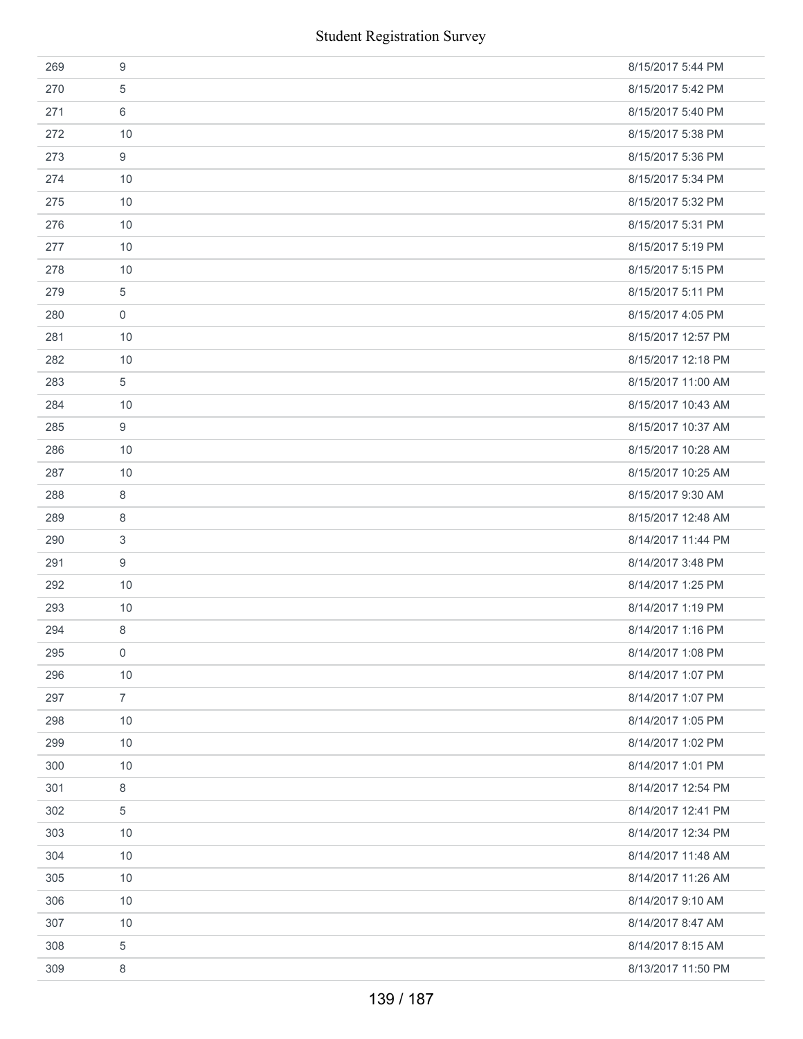|     | <b>Student Registration Survey</b> |                    |  |
|-----|------------------------------------|--------------------|--|
| 269 | 9                                  | 8/15/2017 5:44 PM  |  |
| 270 | 5                                  | 8/15/2017 5:42 PM  |  |
| 271 | 6                                  | 8/15/2017 5:40 PM  |  |
| 272 | 10                                 | 8/15/2017 5:38 PM  |  |
| 273 | 9                                  | 8/15/2017 5:36 PM  |  |
| 274 | 10                                 | 8/15/2017 5:34 PM  |  |
| 275 | 10                                 | 8/15/2017 5:32 PM  |  |
| 276 | 10                                 | 8/15/2017 5:31 PM  |  |
| 277 | 10                                 | 8/15/2017 5:19 PM  |  |
| 278 | 10                                 | 8/15/2017 5:15 PM  |  |
| 279 | 5                                  | 8/15/2017 5:11 PM  |  |
| 280 | $\boldsymbol{0}$                   | 8/15/2017 4:05 PM  |  |
| 281 | 10                                 | 8/15/2017 12:57 PM |  |
| 282 | 10                                 | 8/15/2017 12:18 PM |  |
| 283 | 5                                  | 8/15/2017 11:00 AM |  |
| 284 | 10                                 | 8/15/2017 10:43 AM |  |
| 285 | 9                                  | 8/15/2017 10:37 AM |  |
| 286 | 10                                 | 8/15/2017 10:28 AM |  |
| 287 | 10                                 | 8/15/2017 10:25 AM |  |
| 288 | 8                                  | 8/15/2017 9:30 AM  |  |
| 289 | 8                                  | 8/15/2017 12:48 AM |  |
| 290 | 3                                  | 8/14/2017 11:44 PM |  |
| 291 | 9                                  | 8/14/2017 3:48 PM  |  |
| 292 | 10                                 | 8/14/2017 1:25 PM  |  |
| 293 | 10                                 | 8/14/2017 1:19 PM  |  |
| 294 | 8                                  | 8/14/2017 1:16 PM  |  |
| 295 | 0                                  | 8/14/2017 1:08 PM  |  |
| 296 | 10                                 | 8/14/2017 1:07 PM  |  |
| 297 | $\overline{7}$                     | 8/14/2017 1:07 PM  |  |
| 298 | 10                                 | 8/14/2017 1:05 PM  |  |
| 299 | 10                                 | 8/14/2017 1:02 PM  |  |
| 300 | 10                                 | 8/14/2017 1:01 PM  |  |
| 301 | 8                                  | 8/14/2017 12:54 PM |  |
| 302 | 5                                  | 8/14/2017 12:41 PM |  |
| 303 | 10                                 | 8/14/2017 12:34 PM |  |
| 304 | 10                                 | 8/14/2017 11:48 AM |  |
| 305 | 10                                 | 8/14/2017 11:26 AM |  |
| 306 | 10                                 | 8/14/2017 9:10 AM  |  |
| 307 | 10                                 | 8/14/2017 8:47 AM  |  |
| 308 | 5                                  | 8/14/2017 8:15 AM  |  |
| 309 | $\,8\,$                            | 8/13/2017 11:50 PM |  |
|     | 139 / 187                          |                    |  |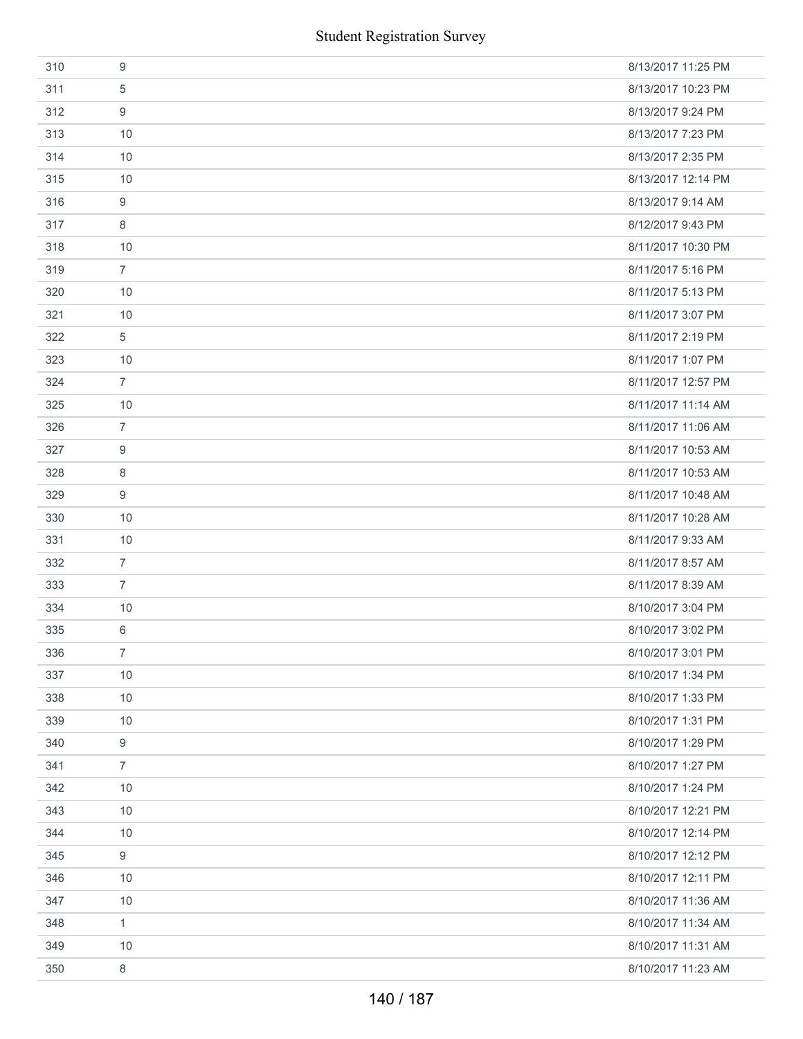|     | <b>Student Registration Survey</b> |                    |
|-----|------------------------------------|--------------------|
| 310 | 9                                  | 8/13/2017 11:25 PM |
| 311 | 5                                  | 8/13/2017 10:23 PM |
| 312 | 9                                  | 8/13/2017 9:24 PM  |
| 313 | 10                                 | 8/13/2017 7:23 PM  |
| 314 | 10                                 | 8/13/2017 2:35 PM  |
| 315 | 10                                 | 8/13/2017 12:14 PM |
| 316 | 9                                  | 8/13/2017 9:14 AM  |
| 317 | 8                                  | 8/12/2017 9:43 PM  |
| 318 | 10                                 | 8/11/2017 10:30 PM |
| 319 | $\overline{7}$                     | 8/11/2017 5:16 PM  |
| 320 | 10                                 | 8/11/2017 5:13 PM  |
| 321 | 10                                 | 8/11/2017 3:07 PM  |
| 322 | 5                                  | 8/11/2017 2:19 PM  |
| 323 | 10                                 | 8/11/2017 1:07 PM  |
| 324 | $\overline{7}$                     | 8/11/2017 12:57 PM |
| 325 | 10                                 | 8/11/2017 11:14 AM |
| 326 | $\overline{7}$                     | 8/11/2017 11:06 AM |
| 327 | 9                                  | 8/11/2017 10:53 AM |
| 328 | 8                                  | 8/11/2017 10:53 AM |
| 329 | 9                                  | 8/11/2017 10:48 AM |
| 330 | 10                                 | 8/11/2017 10:28 AM |
| 331 | 10                                 | 8/11/2017 9:33 AM  |
| 332 | $\overline{7}$                     | 8/11/2017 8:57 AM  |
| 333 | $\overline{7}$                     | 8/11/2017 8:39 AM  |
| 334 | 10                                 | 8/10/2017 3:04 PM  |
| 335 | 6                                  | 8/10/2017 3:02 PM  |
| 336 | $\overline{7}$                     | 8/10/2017 3:01 PM  |
| 337 | 10                                 | 8/10/2017 1:34 PM  |
| 338 | 10                                 | 8/10/2017 1:33 PM  |
| 339 | 10                                 | 8/10/2017 1:31 PM  |
| 340 | 9                                  | 8/10/2017 1:29 PM  |
| 341 | $\overline{7}$                     | 8/10/2017 1:27 PM  |
| 342 | 10                                 | 8/10/2017 1:24 PM  |
| 343 | 10                                 | 8/10/2017 12:21 PM |
| 344 | 10                                 | 8/10/2017 12:14 PM |
| 345 | 9                                  | 8/10/2017 12:12 PM |
| 346 | 10                                 | 8/10/2017 12:11 PM |
| 347 | 10                                 | 8/10/2017 11:36 AM |
| 348 | $\mathbf{1}$                       | 8/10/2017 11:34 AM |
| 349 | 10                                 | 8/10/2017 11:31 AM |
| 350 | 8                                  | 8/10/2017 11:23 AM |
|     | 140 / 187                          |                    |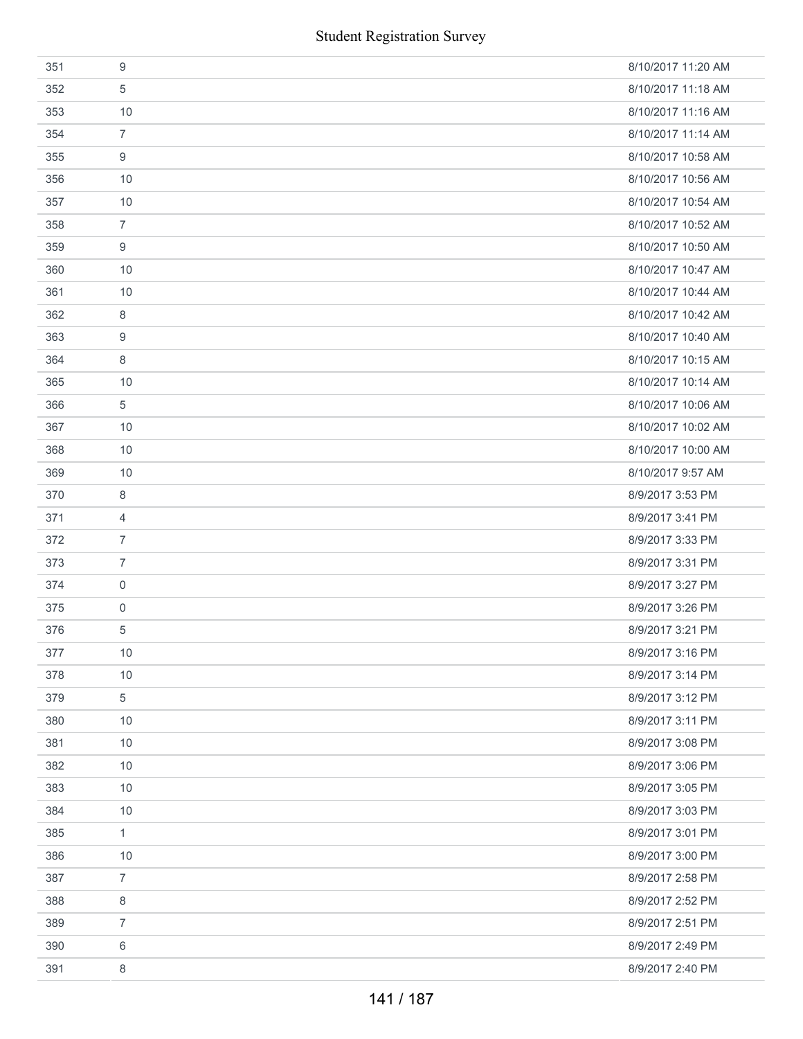| 351 | 9              | 8/10/2017 11:20 AM |
|-----|----------------|--------------------|
| 352 | 5              | 8/10/2017 11:18 AM |
| 353 | 10             | 8/10/2017 11:16 AM |
| 354 | $\overline{7}$ | 8/10/2017 11:14 AM |
| 355 | 9              | 8/10/2017 10:58 AM |
| 356 | 10             | 8/10/2017 10:56 AM |
| 357 | 10             | 8/10/2017 10:54 AM |
| 358 | $\overline{7}$ | 8/10/2017 10:52 AM |
| 359 | 9              | 8/10/2017 10:50 AM |
| 360 | 10             | 8/10/2017 10:47 AM |
| 361 | 10             | 8/10/2017 10:44 AM |
| 362 | 8              | 8/10/2017 10:42 AM |
| 363 | 9              | 8/10/2017 10:40 AM |
| 364 | 8              | 8/10/2017 10:15 AM |
| 365 | 10             | 8/10/2017 10:14 AM |
| 366 | 5              | 8/10/2017 10:06 AM |
| 367 | 10             | 8/10/2017 10:02 AM |
| 368 | 10             | 8/10/2017 10:00 AM |
| 369 | 10             | 8/10/2017 9:57 AM  |
| 370 | 8              | 8/9/2017 3:53 PM   |
| 371 | $\overline{4}$ | 8/9/2017 3:41 PM   |
| 372 | $\overline{7}$ | 8/9/2017 3:33 PM   |
| 373 | $\overline{7}$ | 8/9/2017 3:31 PM   |
| 374 | $\mathbf 0$    | 8/9/2017 3:27 PM   |
| 375 | $\mathsf{0}$   | 8/9/2017 3:26 PM   |
| 376 | 5              | 8/9/2017 3:21 PM   |
| 377 | 10             | 8/9/2017 3:16 PM   |
| 378 | 10             | 8/9/2017 3:14 PM   |
| 379 | 5              | 8/9/2017 3:12 PM   |
| 380 | 10             | 8/9/2017 3:11 PM   |
| 381 | 10             | 8/9/2017 3:08 PM   |
| 382 | 10             | 8/9/2017 3:06 PM   |
| 383 | 10             | 8/9/2017 3:05 PM   |
| 384 | 10             | 8/9/2017 3:03 PM   |
| 385 | $\mathbf{1}$   | 8/9/2017 3:01 PM   |
| 386 | 10             | 8/9/2017 3:00 PM   |
| 387 | $\overline{7}$ | 8/9/2017 2:58 PM   |
| 388 | 8              | 8/9/2017 2:52 PM   |
| 389 | $\overline{7}$ | 8/9/2017 2:51 PM   |
| 390 | 6              | 8/9/2017 2:49 PM   |
| 391 | 8              | 8/9/2017 2:40 PM   |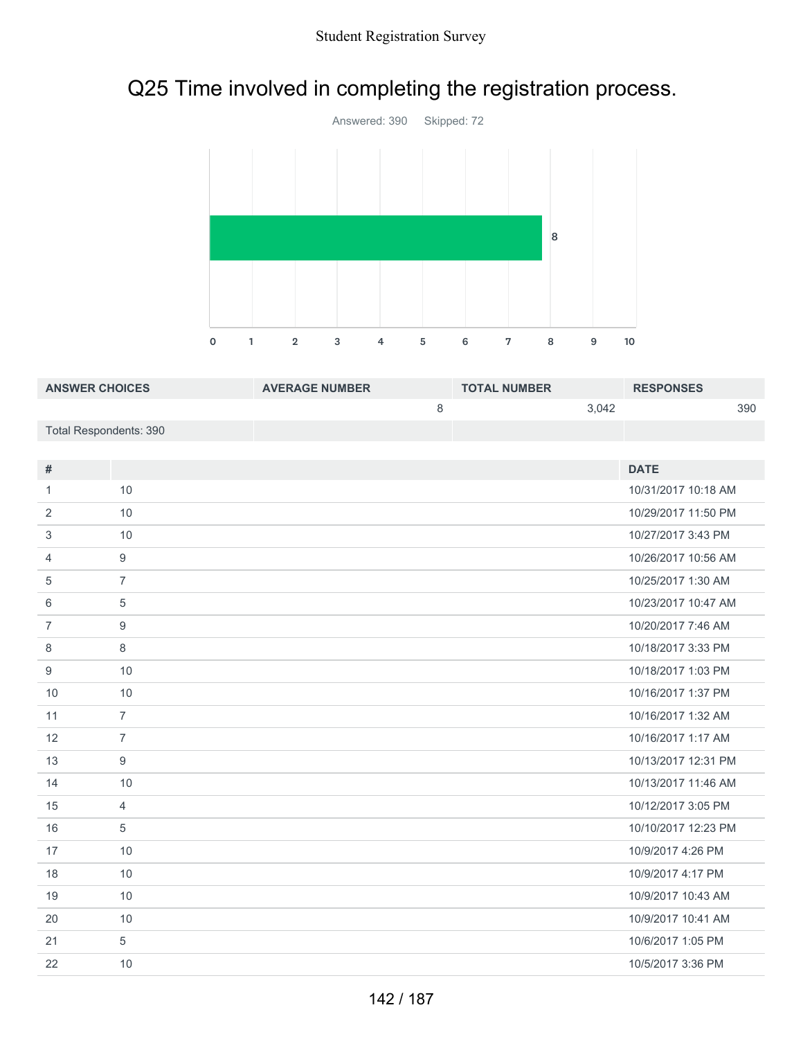# Q25 Time involved in completing the registration process.



| <b>ANSWER CHOICES</b>  | <b>AVERAGE NUMBER</b> | <b>TOTAL NUMBER</b> | <b>RESPONSES</b> |
|------------------------|-----------------------|---------------------|------------------|
|                        |                       | 3.042               | 390              |
| Total Respondents: 390 |                       |                     |                  |

| #              |                | <b>DATE</b>         |
|----------------|----------------|---------------------|
| 1              | 10             | 10/31/2017 10:18 AM |
| 2              | 10             | 10/29/2017 11:50 PM |
| 3              | 10             | 10/27/2017 3:43 PM  |
| 4              | 9              | 10/26/2017 10:56 AM |
| 5              | $\overline{7}$ | 10/25/2017 1:30 AM  |
| 6              | 5              | 10/23/2017 10:47 AM |
| $\overline{7}$ | 9              | 10/20/2017 7:46 AM  |
| 8              | 8              | 10/18/2017 3:33 PM  |
| 9              | 10             | 10/18/2017 1:03 PM  |
| 10             | 10             | 10/16/2017 1:37 PM  |
| 11             | $\overline{7}$ | 10/16/2017 1:32 AM  |
| 12             | $\overline{7}$ | 10/16/2017 1:17 AM  |
| 13             | 9              | 10/13/2017 12:31 PM |
| 14             | 10             | 10/13/2017 11:46 AM |
| 15             | $\overline{4}$ | 10/12/2017 3:05 PM  |
| 16             | 5              | 10/10/2017 12:23 PM |
| 17             | 10             | 10/9/2017 4:26 PM   |
| 18             | 10             | 10/9/2017 4:17 PM   |
| 19             | 10             | 10/9/2017 10:43 AM  |
| 20             | 10             | 10/9/2017 10:41 AM  |
| 21             | 5              | 10/6/2017 1:05 PM   |
| 22             | 10             | 10/5/2017 3:36 PM   |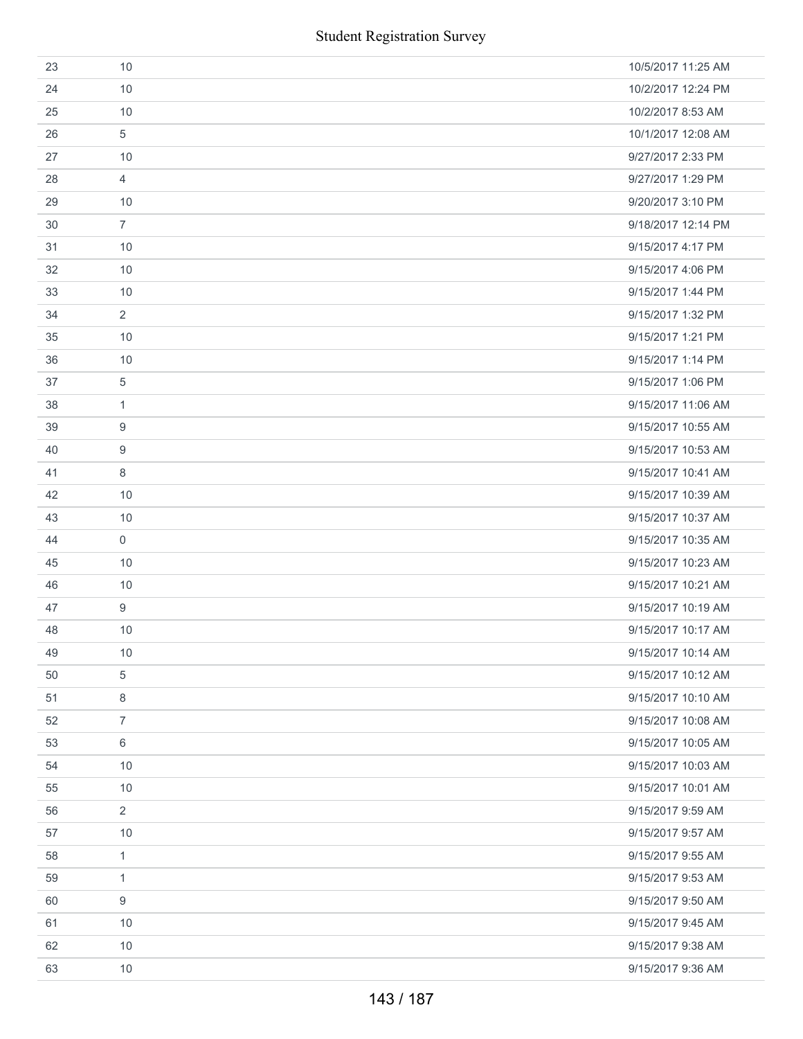|    |                | <b>Student Registration Survey</b> |
|----|----------------|------------------------------------|
| 23 | 10             | 10/5/2017 11:25 AM                 |
| 24 | 10             | 10/2/2017 12:24 PM                 |
| 25 | 10             | 10/2/2017 8:53 AM                  |
| 26 | 5              | 10/1/2017 12:08 AM                 |
| 27 | 10             | 9/27/2017 2:33 PM                  |
| 28 | $\overline{4}$ | 9/27/2017 1:29 PM                  |
| 29 | 10             | 9/20/2017 3:10 PM                  |
| 30 | $\overline{7}$ | 9/18/2017 12:14 PM                 |
| 31 | 10             | 9/15/2017 4:17 PM                  |
| 32 | 10             | 9/15/2017 4:06 PM                  |
| 33 | 10             | 9/15/2017 1:44 PM                  |
| 34 | 2              | 9/15/2017 1:32 PM                  |
| 35 | 10             | 9/15/2017 1:21 PM                  |
| 36 | 10             | 9/15/2017 1:14 PM                  |
| 37 | 5              | 9/15/2017 1:06 PM                  |
| 38 | 1              | 9/15/2017 11:06 AM                 |
| 39 | 9              | 9/15/2017 10:55 AM                 |
| 40 | 9              | 9/15/2017 10:53 AM                 |
| 41 | 8              | 9/15/2017 10:41 AM                 |
| 42 | 10             | 9/15/2017 10:39 AM                 |
| 43 | 10             | 9/15/2017 10:37 AM                 |
| 44 | $\mathbf 0$    | 9/15/2017 10:35 AM                 |
| 45 | 10             | 9/15/2017 10:23 AM                 |
| 46 | 10             | 9/15/2017 10:21 AM                 |
| 47 | 9              | 9/15/2017 10:19 AM                 |
| 48 | 10             | 9/15/2017 10:17 AM                 |
| 49 | 10             | 9/15/2017 10:14 AM                 |
| 50 | 5              | 9/15/2017 10:12 AM                 |
| 51 | 8              | 9/15/2017 10:10 AM                 |
| 52 | $\overline{7}$ | 9/15/2017 10:08 AM                 |
| 53 | 6              | 9/15/2017 10:05 AM                 |
| 54 | 10             | 9/15/2017 10:03 AM                 |
| 55 | 10             | 9/15/2017 10:01 AM                 |
| 56 | 2              | 9/15/2017 9:59 AM                  |
| 57 | 10             | 9/15/2017 9:57 AM                  |
| 58 | $\mathbf{1}$   | 9/15/2017 9:55 AM                  |
| 59 | $\mathbf{1}$   | 9/15/2017 9:53 AM                  |
| 60 | 9              | 9/15/2017 9:50 AM                  |
| 61 | 10             | 9/15/2017 9:45 AM                  |
| 62 | 10             | 9/15/2017 9:38 AM                  |
| 63 | 10             | 9/15/2017 9:36 AM                  |
|    |                | 143 / 187                          |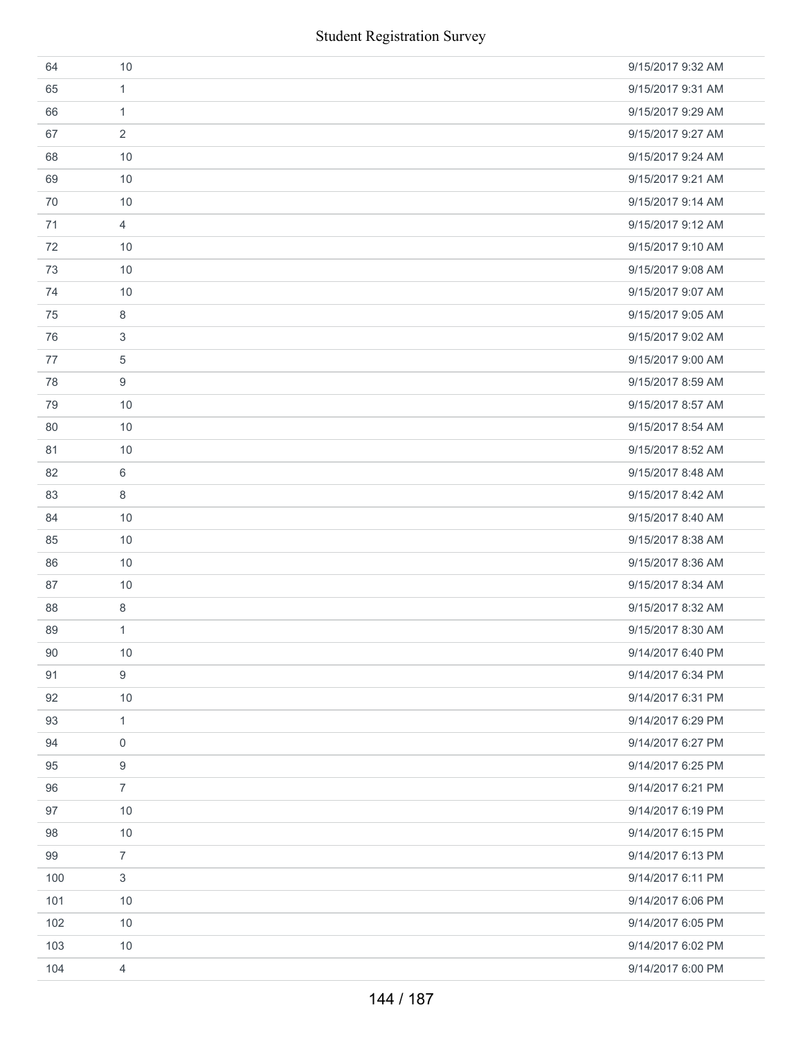| <b>Student Registration Survey</b> |                |                   |  |  |
|------------------------------------|----------------|-------------------|--|--|
| 64                                 | 10             | 9/15/2017 9:32 AM |  |  |
| 65                                 | 1              | 9/15/2017 9:31 AM |  |  |
| 66                                 | 1              | 9/15/2017 9:29 AM |  |  |
| 67                                 | 2              | 9/15/2017 9:27 AM |  |  |
| 68                                 | 10             | 9/15/2017 9:24 AM |  |  |
| 69                                 | 10             | 9/15/2017 9:21 AM |  |  |
| 70                                 | 10             | 9/15/2017 9:14 AM |  |  |
| 71                                 | $\overline{4}$ | 9/15/2017 9:12 AM |  |  |
| 72                                 | 10             | 9/15/2017 9:10 AM |  |  |
| 73                                 | 10             | 9/15/2017 9:08 AM |  |  |
| 74                                 | 10             | 9/15/2017 9:07 AM |  |  |
| 75                                 | 8              | 9/15/2017 9:05 AM |  |  |
| 76                                 | 3              | 9/15/2017 9:02 AM |  |  |
| 77                                 | 5              | 9/15/2017 9:00 AM |  |  |
| 78                                 | 9              | 9/15/2017 8:59 AM |  |  |
| 79                                 | 10             | 9/15/2017 8:57 AM |  |  |
| 80                                 | 10             | 9/15/2017 8:54 AM |  |  |
| 81                                 | 10             | 9/15/2017 8:52 AM |  |  |
| 82                                 | 6              | 9/15/2017 8:48 AM |  |  |
| 83                                 | 8              | 9/15/2017 8:42 AM |  |  |
| 84                                 | 10             | 9/15/2017 8:40 AM |  |  |
| 85                                 | 10             | 9/15/2017 8:38 AM |  |  |
| 86                                 | 10             | 9/15/2017 8:36 AM |  |  |
| 87                                 | 10             | 9/15/2017 8:34 AM |  |  |
| 88                                 | 8              | 9/15/2017 8:32 AM |  |  |
| 89                                 | $\mathbf{1}$   | 9/15/2017 8:30 AM |  |  |
| 90                                 | 10             | 9/14/2017 6:40 PM |  |  |
| 91                                 | 9              | 9/14/2017 6:34 PM |  |  |
| 92                                 | 10             | 9/14/2017 6:31 PM |  |  |
| 93                                 | $\mathbf{1}$   | 9/14/2017 6:29 PM |  |  |
| 94                                 | 0              | 9/14/2017 6:27 PM |  |  |
| 95                                 | 9              | 9/14/2017 6:25 PM |  |  |
| 96                                 | $\overline{7}$ | 9/14/2017 6:21 PM |  |  |
| 97                                 | 10             | 9/14/2017 6:19 PM |  |  |
| 98                                 | 10             | 9/14/2017 6:15 PM |  |  |
| 99                                 | $\overline{7}$ | 9/14/2017 6:13 PM |  |  |
| 100                                | 3              | 9/14/2017 6:11 PM |  |  |
| 101                                | 10             | 9/14/2017 6:06 PM |  |  |
| 102                                | 10             | 9/14/2017 6:05 PM |  |  |
| 103                                | 10             | 9/14/2017 6:02 PM |  |  |
| 104                                | $\overline{4}$ | 9/14/2017 6:00 PM |  |  |
|                                    | 144 / 187      |                   |  |  |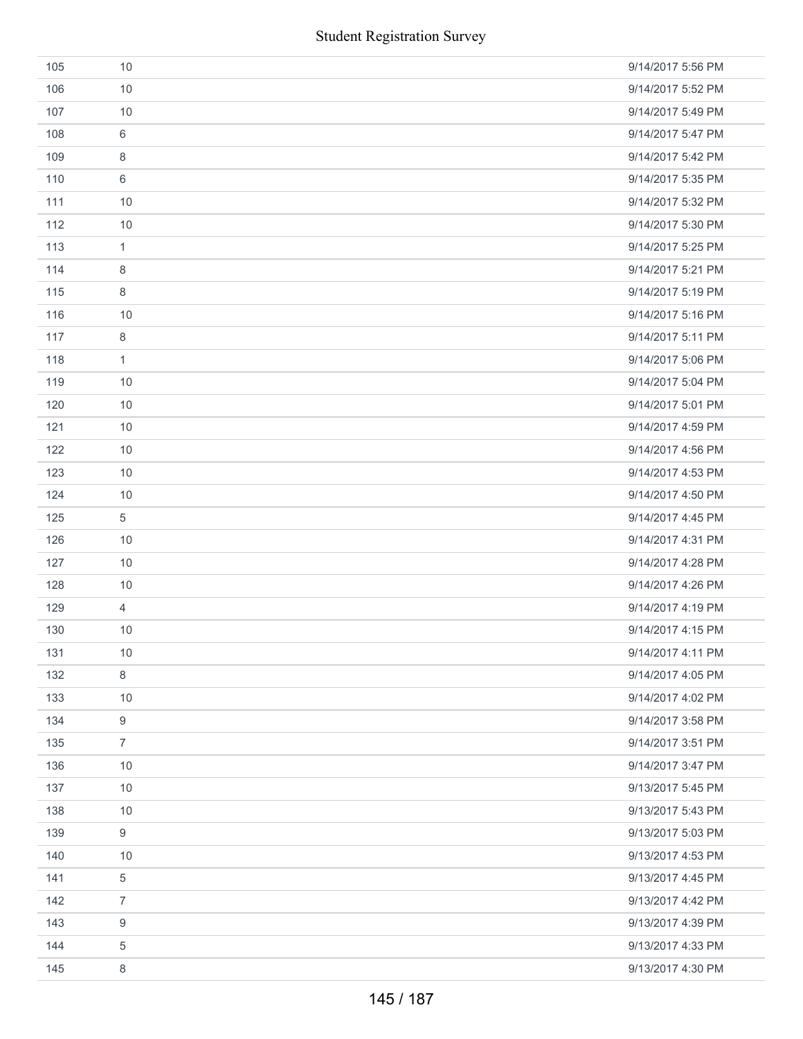|     | <b>Student Registration Survey</b> |                   |
|-----|------------------------------------|-------------------|
| 105 | 10                                 | 9/14/2017 5:56 PM |
| 106 | 10                                 | 9/14/2017 5:52 PM |
| 107 | 10                                 | 9/14/2017 5:49 PM |
| 108 | 6                                  | 9/14/2017 5:47 PM |
| 109 | 8                                  | 9/14/2017 5:42 PM |
| 110 | 6                                  | 9/14/2017 5:35 PM |
| 111 | 10                                 | 9/14/2017 5:32 PM |
| 112 | 10                                 | 9/14/2017 5:30 PM |
| 113 | $\mathbf{1}$                       | 9/14/2017 5:25 PM |
| 114 | 8                                  | 9/14/2017 5:21 PM |
| 115 | 8                                  | 9/14/2017 5:19 PM |
| 116 | 10                                 | 9/14/2017 5:16 PM |
| 117 | $\,8\,$                            | 9/14/2017 5:11 PM |
| 118 | $\mathbf{1}$                       | 9/14/2017 5:06 PM |
| 119 | 10                                 | 9/14/2017 5:04 PM |
| 120 | 10                                 | 9/14/2017 5:01 PM |
| 121 | 10                                 | 9/14/2017 4:59 PM |
| 122 | 10                                 | 9/14/2017 4:56 PM |
| 123 | 10                                 | 9/14/2017 4:53 PM |
| 124 | 10                                 | 9/14/2017 4:50 PM |
| 125 | 5                                  | 9/14/2017 4:45 PM |
| 126 | 10                                 | 9/14/2017 4:31 PM |
| 127 | 10                                 | 9/14/2017 4:28 PM |
| 128 | 10                                 | 9/14/2017 4:26 PM |
| 129 | $\overline{4}$                     | 9/14/2017 4:19 PM |
| 130 | 10                                 | 9/14/2017 4:15 PM |
| 131 | 10                                 | 9/14/2017 4:11 PM |
| 132 | $\,8\,$                            | 9/14/2017 4:05 PM |
| 133 | 10                                 | 9/14/2017 4:02 PM |
| 134 | $\boldsymbol{9}$                   | 9/14/2017 3:58 PM |
| 135 | $\overline{7}$                     | 9/14/2017 3:51 PM |
| 136 | 10                                 | 9/14/2017 3:47 PM |
| 137 | 10                                 | 9/13/2017 5:45 PM |
| 138 | 10                                 | 9/13/2017 5:43 PM |
| 139 | $9\,$                              | 9/13/2017 5:03 PM |
| 140 | 10                                 | 9/13/2017 4:53 PM |
| 141 | 5                                  | 9/13/2017 4:45 PM |
| 142 | $\overline{7}$                     | 9/13/2017 4:42 PM |
| 143 | 9                                  | 9/13/2017 4:39 PM |
| 144 | 5                                  | 9/13/2017 4:33 PM |
| 145 | 8                                  | 9/13/2017 4:30 PM |
|     | 145 / 187                          |                   |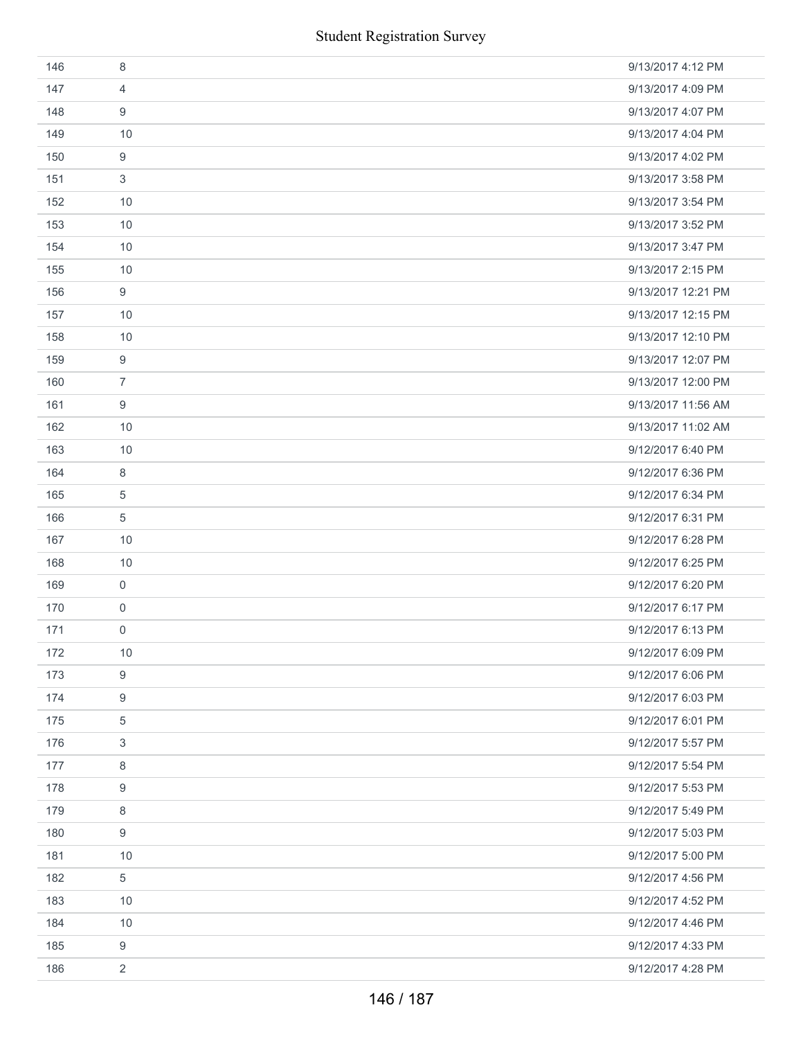|     | <b>Student Registration Survey</b> |                    |
|-----|------------------------------------|--------------------|
| 146 | 8                                  | 9/13/2017 4:12 PM  |
| 147 | $\overline{4}$                     | 9/13/2017 4:09 PM  |
| 148 | 9                                  | 9/13/2017 4:07 PM  |
| 149 | 10                                 | 9/13/2017 4:04 PM  |
| 150 | $\boldsymbol{9}$                   | 9/13/2017 4:02 PM  |
| 151 | 3                                  | 9/13/2017 3:58 PM  |
| 152 | 10                                 | 9/13/2017 3:54 PM  |
| 153 | 10                                 | 9/13/2017 3:52 PM  |
| 154 | 10                                 | 9/13/2017 3:47 PM  |
| 155 | 10                                 | 9/13/2017 2:15 PM  |
| 156 | 9                                  | 9/13/2017 12:21 PM |
| 157 | 10                                 | 9/13/2017 12:15 PM |
| 158 | 10                                 | 9/13/2017 12:10 PM |
| 159 | $\boldsymbol{9}$                   | 9/13/2017 12:07 PM |
| 160 | $\overline{7}$                     | 9/13/2017 12:00 PM |
| 161 | 9                                  | 9/13/2017 11:56 AM |
| 162 | 10                                 | 9/13/2017 11:02 AM |
| 163 | 10                                 | 9/12/2017 6:40 PM  |
| 164 | 8                                  | 9/12/2017 6:36 PM  |
| 165 | 5                                  | 9/12/2017 6:34 PM  |
| 166 | $\sqrt{5}$                         | 9/12/2017 6:31 PM  |
| 167 | 10                                 | 9/12/2017 6:28 PM  |
| 168 | 10                                 | 9/12/2017 6:25 PM  |
| 169 | 0                                  | 9/12/2017 6:20 PM  |
| 170 | $\mathsf{O}\xspace$                | 9/12/2017 6:17 PM  |
| 171 | 0                                  | 9/12/2017 6:13 PM  |
| 172 | 10                                 | 9/12/2017 6:09 PM  |
| 173 | $\boldsymbol{9}$                   | 9/12/2017 6:06 PM  |
| 174 | 9                                  | 9/12/2017 6:03 PM  |
| 175 | $\sqrt{5}$                         | 9/12/2017 6:01 PM  |
| 176 | 3                                  | 9/12/2017 5:57 PM  |
| 177 | 8                                  | 9/12/2017 5:54 PM  |
| 178 | 9                                  | 9/12/2017 5:53 PM  |
| 179 | 8                                  | 9/12/2017 5:49 PM  |
| 180 | 9                                  | 9/12/2017 5:03 PM  |
| 181 | 10                                 | 9/12/2017 5:00 PM  |
| 182 | 5                                  | 9/12/2017 4:56 PM  |
| 183 | 10                                 | 9/12/2017 4:52 PM  |
| 184 | 10                                 | 9/12/2017 4:46 PM  |
| 185 | 9                                  | 9/12/2017 4:33 PM  |
| 186 | $\overline{2}$                     | 9/12/2017 4:28 PM  |
|     | 146 / 187                          |                    |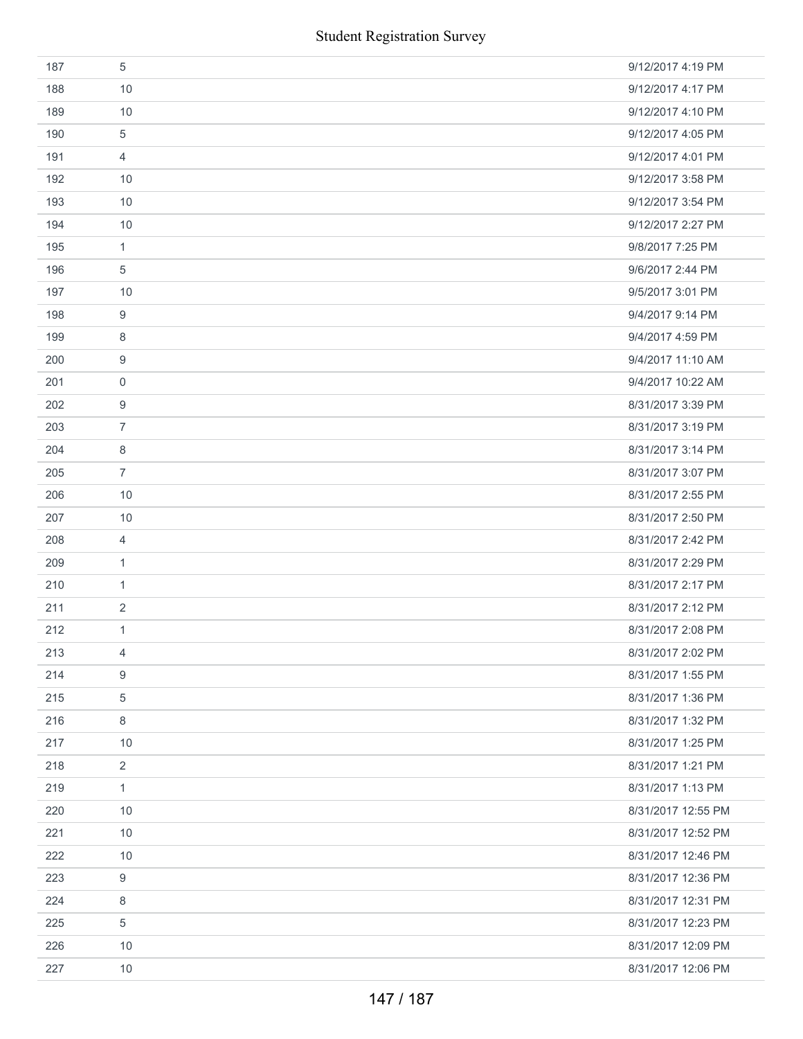| 187 | 5              | 9/12/2017 4:19 PM  |
|-----|----------------|--------------------|
| 188 | 10             | 9/12/2017 4:17 PM  |
| 189 | 10             | 9/12/2017 4:10 PM  |
| 190 | 5              | 9/12/2017 4:05 PM  |
| 191 | 4              | 9/12/2017 4:01 PM  |
| 192 | 10             | 9/12/2017 3:58 PM  |
| 193 | 10             | 9/12/2017 3:54 PM  |
| 194 | 10             | 9/12/2017 2:27 PM  |
| 195 | $\mathbf{1}$   | 9/8/2017 7:25 PM   |
| 196 | 5              | 9/6/2017 2:44 PM   |
| 197 | 10             | 9/5/2017 3:01 PM   |
| 198 | 9              | 9/4/2017 9:14 PM   |
| 199 | 8              | 9/4/2017 4:59 PM   |
| 200 | 9              | 9/4/2017 11:10 AM  |
| 201 | 0              | 9/4/2017 10:22 AM  |
| 202 | 9              | 8/31/2017 3:39 PM  |
| 203 | $\overline{7}$ | 8/31/2017 3:19 PM  |
| 204 | 8              | 8/31/2017 3:14 PM  |
| 205 | $\overline{7}$ | 8/31/2017 3:07 PM  |
| 206 | 10             | 8/31/2017 2:55 PM  |
| 207 | 10             | 8/31/2017 2:50 PM  |
| 208 | 4              | 8/31/2017 2:42 PM  |
| 209 | $\mathbf{1}$   | 8/31/2017 2:29 PM  |
| 210 | 1              | 8/31/2017 2:17 PM  |
| 211 | 2              | 8/31/2017 2:12 PM  |
| 212 | $\mathbf{1}$   | 8/31/2017 2:08 PM  |
| 213 | 4              | 8/31/2017 2:02 PM  |
| 214 | 9              | 8/31/2017 1:55 PM  |
| 215 | 5              | 8/31/2017 1:36 PM  |
| 216 | 8              | 8/31/2017 1:32 PM  |
| 217 | 10             | 8/31/2017 1:25 PM  |
| 218 | $\overline{2}$ | 8/31/2017 1:21 PM  |
| 219 | 1              | 8/31/2017 1:13 PM  |
| 220 | 10             | 8/31/2017 12:55 PM |
| 221 | 10             | 8/31/2017 12:52 PM |
| 222 | 10             | 8/31/2017 12:46 PM |
| 223 | 9              | 8/31/2017 12:36 PM |
| 224 | 8              | 8/31/2017 12:31 PM |
| 225 | 5              | 8/31/2017 12:23 PM |
| 226 | 10             | 8/31/2017 12:09 PM |
| 227 | 10             | 8/31/2017 12:06 PM |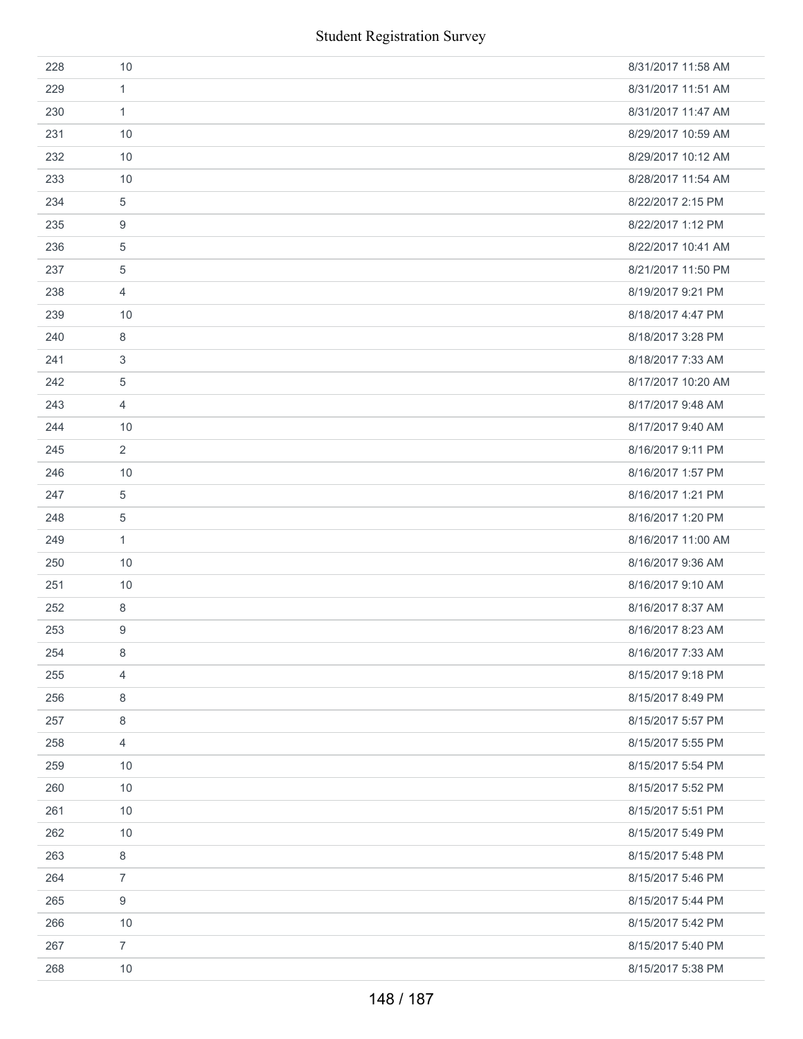|     | <b>Student Registration Survey</b> |                    |
|-----|------------------------------------|--------------------|
| 228 | 10                                 | 8/31/2017 11:58 AM |
| 229 | 1                                  | 8/31/2017 11:51 AM |
| 230 | $\mathbf{1}$                       | 8/31/2017 11:47 AM |
| 231 | 10                                 | 8/29/2017 10:59 AM |
| 232 | 10                                 | 8/29/2017 10:12 AM |
| 233 | 10                                 | 8/28/2017 11:54 AM |
| 234 | 5                                  | 8/22/2017 2:15 PM  |
| 235 | 9                                  | 8/22/2017 1:12 PM  |
| 236 | 5                                  | 8/22/2017 10:41 AM |
| 237 | $\sqrt{5}$                         | 8/21/2017 11:50 PM |
| 238 | 4                                  | 8/19/2017 9:21 PM  |
| 239 | 10                                 | 8/18/2017 4:47 PM  |
| 240 | 8                                  | 8/18/2017 3:28 PM  |
| 241 | 3                                  | 8/18/2017 7:33 AM  |
| 242 | $\sqrt{5}$                         | 8/17/2017 10:20 AM |
| 243 | 4                                  | 8/17/2017 9:48 AM  |
| 244 | 10                                 | 8/17/2017 9:40 AM  |
| 245 | 2                                  | 8/16/2017 9:11 PM  |
| 246 | 10                                 | 8/16/2017 1:57 PM  |
| 247 | 5                                  | 8/16/2017 1:21 PM  |
| 248 | $\sqrt{5}$                         | 8/16/2017 1:20 PM  |
| 249 | $\mathbf{1}$                       | 8/16/2017 11:00 AM |
| 250 | 10                                 | 8/16/2017 9:36 AM  |
| 251 | 10                                 | 8/16/2017 9:10 AM  |
| 252 | 8                                  | 8/16/2017 8:37 AM  |
| 253 | 9                                  | 8/16/2017 8:23 AM  |
| 254 | $\,8\,$                            | 8/16/2017 7:33 AM  |
| 255 | $\overline{4}$                     | 8/15/2017 9:18 PM  |
| 256 | 8                                  | 8/15/2017 8:49 PM  |
| 257 | 8                                  | 8/15/2017 5:57 PM  |
| 258 | $\overline{4}$                     | 8/15/2017 5:55 PM  |
| 259 | 10                                 | 8/15/2017 5:54 PM  |
| 260 | 10                                 | 8/15/2017 5:52 PM  |
| 261 | 10                                 | 8/15/2017 5:51 PM  |
| 262 | 10                                 | 8/15/2017 5:49 PM  |
| 263 | $\,8\,$                            | 8/15/2017 5:48 PM  |
| 264 | $\boldsymbol{7}$                   | 8/15/2017 5:46 PM  |
| 265 | 9                                  | 8/15/2017 5:44 PM  |
| 266 | 10                                 | 8/15/2017 5:42 PM  |
| 267 | $\overline{7}$                     | 8/15/2017 5:40 PM  |
| 268 | 10                                 | 8/15/2017 5:38 PM  |
|     | 148 / 187                          |                    |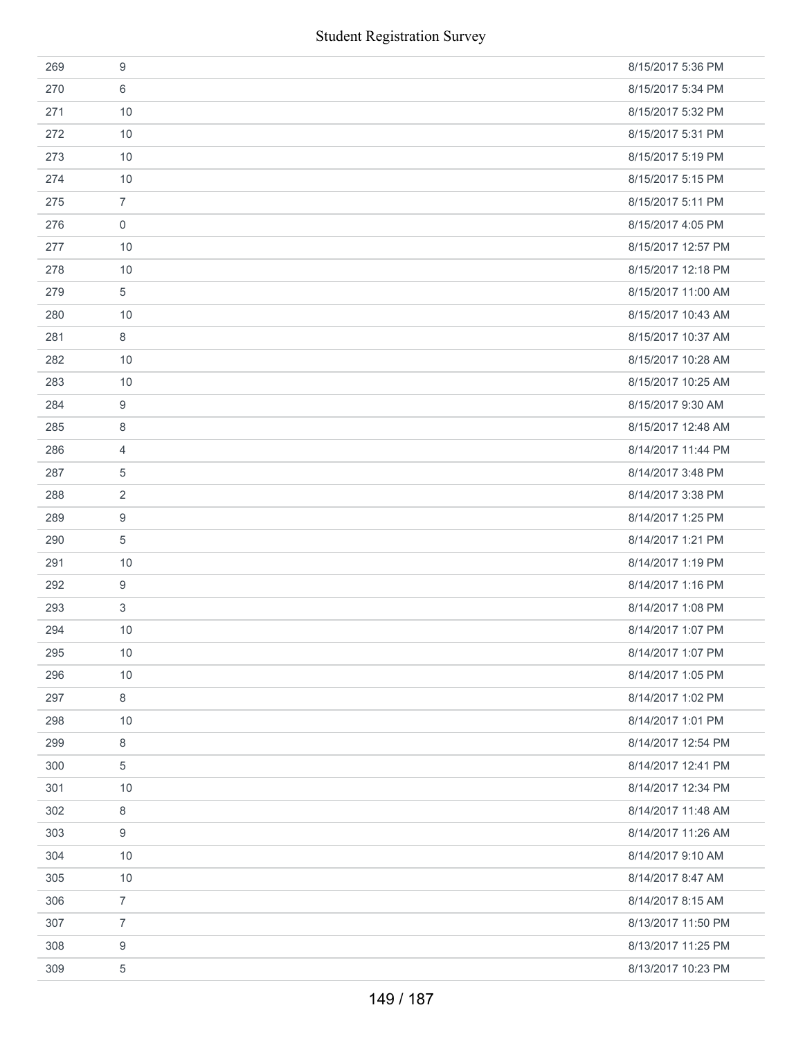|     | <b>Student Registration Survey</b> |                    |
|-----|------------------------------------|--------------------|
| 269 | 9                                  | 8/15/2017 5:36 PM  |
| 270 | 6                                  | 8/15/2017 5:34 PM  |
| 271 | 10                                 | 8/15/2017 5:32 PM  |
| 272 | 10                                 | 8/15/2017 5:31 PM  |
| 273 | 10                                 | 8/15/2017 5:19 PM  |
| 274 | 10                                 | 8/15/2017 5:15 PM  |
| 275 | $\overline{7}$                     | 8/15/2017 5:11 PM  |
| 276 | $\mathbf 0$                        | 8/15/2017 4:05 PM  |
| 277 | 10                                 | 8/15/2017 12:57 PM |
| 278 | 10                                 | 8/15/2017 12:18 PM |
| 279 | 5                                  | 8/15/2017 11:00 AM |
| 280 | 10                                 | 8/15/2017 10:43 AM |
| 281 | 8                                  | 8/15/2017 10:37 AM |
| 282 | 10                                 | 8/15/2017 10:28 AM |
| 283 | 10                                 | 8/15/2017 10:25 AM |
| 284 | 9                                  | 8/15/2017 9:30 AM  |
| 285 | 8                                  | 8/15/2017 12:48 AM |
| 286 | 4                                  | 8/14/2017 11:44 PM |
| 287 | 5                                  | 8/14/2017 3:48 PM  |
| 288 | 2                                  | 8/14/2017 3:38 PM  |
| 289 | 9                                  | 8/14/2017 1:25 PM  |
| 290 | 5                                  | 8/14/2017 1:21 PM  |
| 291 | 10                                 | 8/14/2017 1:19 PM  |
| 292 | 9                                  | 8/14/2017 1:16 PM  |
| 293 | 3                                  | 8/14/2017 1:08 PM  |
| 294 | 10                                 | 8/14/2017 1:07 PM  |
| 295 | 10                                 | 8/14/2017 1:07 PM  |
| 296 | 10                                 | 8/14/2017 1:05 PM  |
| 297 | 8                                  | 8/14/2017 1:02 PM  |
| 298 | 10                                 | 8/14/2017 1:01 PM  |
| 299 | 8                                  | 8/14/2017 12:54 PM |
| 300 | 5                                  | 8/14/2017 12:41 PM |
| 301 | 10                                 | 8/14/2017 12:34 PM |
| 302 | 8                                  | 8/14/2017 11:48 AM |
| 303 | 9                                  | 8/14/2017 11:26 AM |
| 304 | 10                                 | 8/14/2017 9:10 AM  |
| 305 | 10                                 | 8/14/2017 8:47 AM  |
| 306 | $\overline{7}$                     | 8/14/2017 8:15 AM  |
| 307 | $\overline{7}$                     | 8/13/2017 11:50 PM |
| 308 | 9                                  | 8/13/2017 11:25 PM |
| 309 | 5                                  | 8/13/2017 10:23 PM |
|     | 149 / 187                          |                    |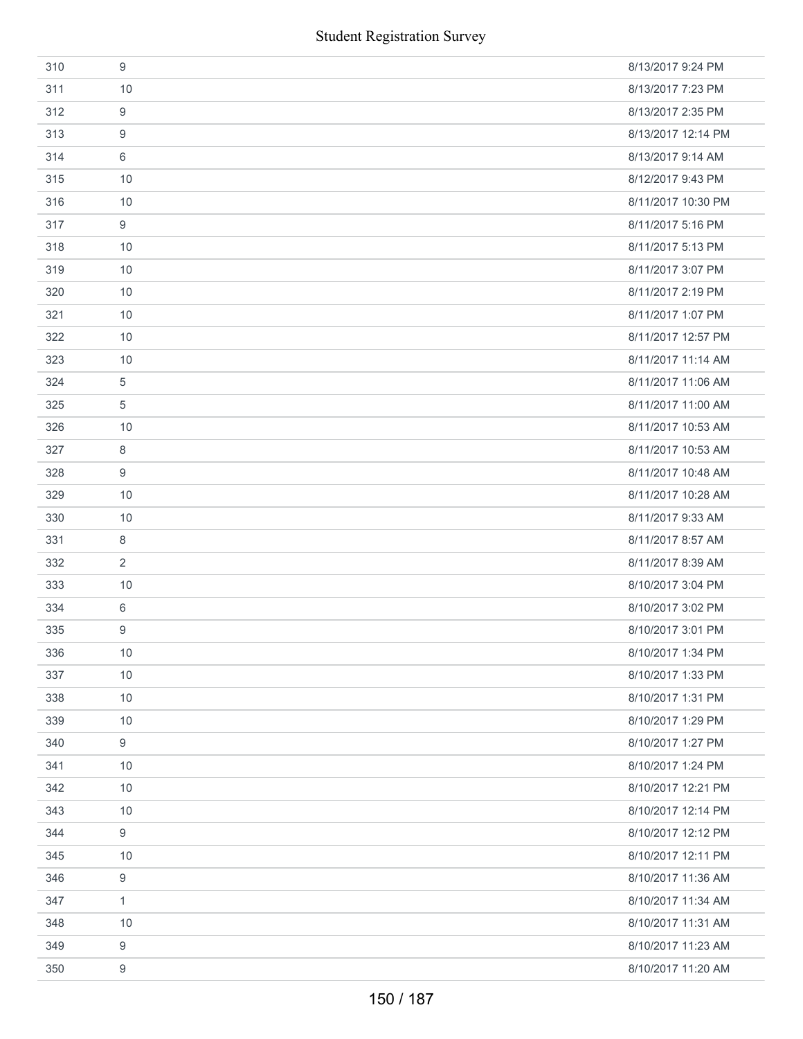|     | <b>Student Registration Survey</b> |                    |
|-----|------------------------------------|--------------------|
| 310 | 9                                  | 8/13/2017 9:24 PM  |
| 311 | 10                                 | 8/13/2017 7:23 PM  |
| 312 | 9                                  | 8/13/2017 2:35 PM  |
| 313 | 9                                  | 8/13/2017 12:14 PM |
| 314 | 6                                  | 8/13/2017 9:14 AM  |
| 315 | 10                                 | 8/12/2017 9:43 PM  |
| 316 | 10                                 | 8/11/2017 10:30 PM |
| 317 | 9                                  | 8/11/2017 5:16 PM  |
| 318 | 10                                 | 8/11/2017 5:13 PM  |
| 319 | 10                                 | 8/11/2017 3:07 PM  |
| 320 | 10                                 | 8/11/2017 2:19 PM  |
| 321 | 10                                 | 8/11/2017 1:07 PM  |
| 322 | 10                                 | 8/11/2017 12:57 PM |
| 323 | 10                                 | 8/11/2017 11:14 AM |
| 324 | 5                                  | 8/11/2017 11:06 AM |
| 325 | 5                                  | 8/11/2017 11:00 AM |
| 326 | 10                                 | 8/11/2017 10:53 AM |
| 327 | 8                                  | 8/11/2017 10:53 AM |
| 328 | 9                                  | 8/11/2017 10:48 AM |
| 329 | 10                                 | 8/11/2017 10:28 AM |
| 330 | 10                                 | 8/11/2017 9:33 AM  |
| 331 | 8                                  | 8/11/2017 8:57 AM  |
| 332 | $\overline{2}$                     | 8/11/2017 8:39 AM  |
| 333 | 10                                 | 8/10/2017 3:04 PM  |
| 334 | 6                                  | 8/10/2017 3:02 PM  |
| 335 | 9                                  | 8/10/2017 3:01 PM  |
| 336 | $10$                               | 8/10/2017 1:34 PM  |
| 337 | 10                                 | 8/10/2017 1:33 PM  |
| 338 | 10                                 | 8/10/2017 1:31 PM  |
| 339 | 10                                 | 8/10/2017 1:29 PM  |
| 340 | 9                                  | 8/10/2017 1:27 PM  |
| 341 | $10$                               | 8/10/2017 1:24 PM  |
| 342 | 10                                 | 8/10/2017 12:21 PM |
| 343 | 10                                 | 8/10/2017 12:14 PM |
| 344 | $\boldsymbol{9}$                   | 8/10/2017 12:12 PM |
| 345 | 10                                 | 8/10/2017 12:11 PM |
| 346 | 9                                  | 8/10/2017 11:36 AM |
| 347 | $\mathbf{1}$                       | 8/10/2017 11:34 AM |
| 348 | 10                                 | 8/10/2017 11:31 AM |
| 349 | 9                                  | 8/10/2017 11:23 AM |
| 350 | 9                                  | 8/10/2017 11:20 AM |
|     | 150 / 187                          |                    |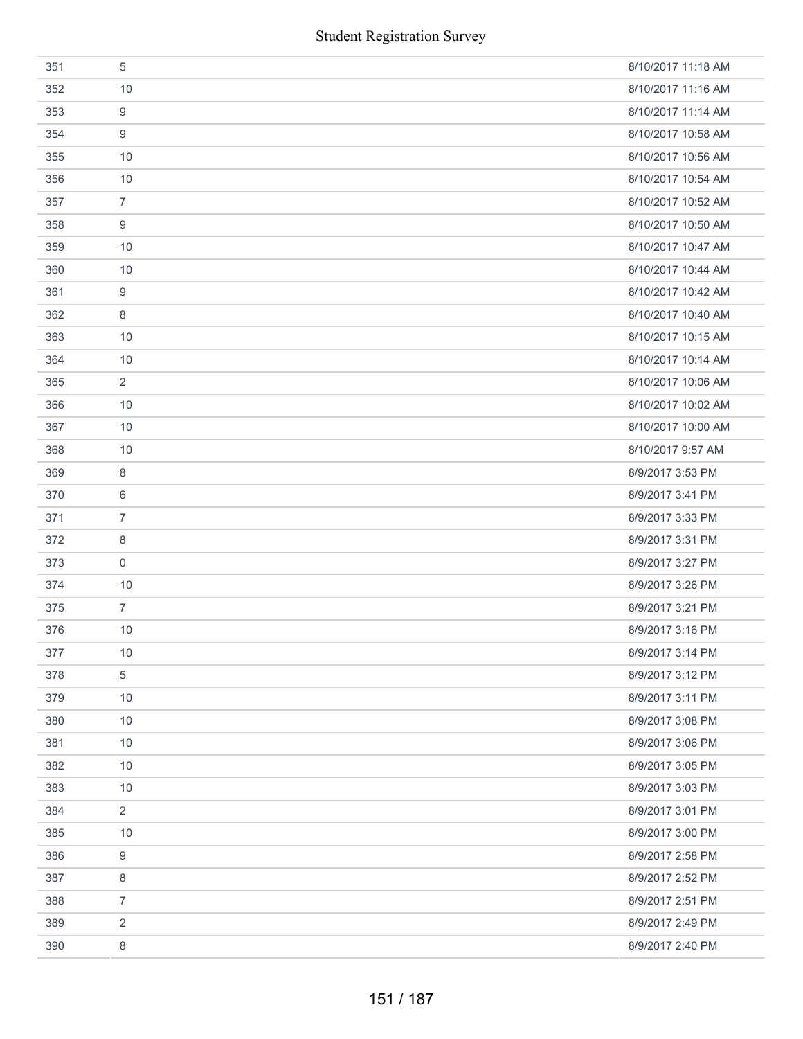| 351 | 5              | 8/10/2017 11:18 AM |
|-----|----------------|--------------------|
| 352 | 10             | 8/10/2017 11:16 AM |
| 353 | 9              | 8/10/2017 11:14 AM |
| 354 | 9              | 8/10/2017 10:58 AM |
| 355 | 10             | 8/10/2017 10:56 AM |
| 356 | 10             | 8/10/2017 10:54 AM |
| 357 | $\overline{7}$ | 8/10/2017 10:52 AM |
| 358 | 9              | 8/10/2017 10:50 AM |
| 359 | 10             | 8/10/2017 10:47 AM |
| 360 | 10             | 8/10/2017 10:44 AM |
| 361 | 9              | 8/10/2017 10:42 AM |
| 362 | 8              | 8/10/2017 10:40 AM |
| 363 | 10             | 8/10/2017 10:15 AM |
| 364 | 10             | 8/10/2017 10:14 AM |
| 365 | 2              | 8/10/2017 10:06 AM |
| 366 | 10             | 8/10/2017 10:02 AM |
| 367 | 10             | 8/10/2017 10:00 AM |
| 368 | 10             | 8/10/2017 9:57 AM  |
| 369 | 8              | 8/9/2017 3:53 PM   |
| 370 | 6              | 8/9/2017 3:41 PM   |
| 371 | $\overline{7}$ | 8/9/2017 3:33 PM   |
| 372 | 8              | 8/9/2017 3:31 PM   |
| 373 | $\mathbf 0$    | 8/9/2017 3:27 PM   |
| 374 | 10             | 8/9/2017 3:26 PM   |
| 375 | $\overline{7}$ | 8/9/2017 3:21 PM   |
| 376 | 10             | 8/9/2017 3:16 PM   |
| 377 | $10$           | 8/9/2017 3:14 PM   |
| 378 | 5              | 8/9/2017 3:12 PM   |
| 379 | 10             | 8/9/2017 3:11 PM   |
| 380 | 10             | 8/9/2017 3:08 PM   |
| 381 | 10             | 8/9/2017 3:06 PM   |
| 382 | 10             | 8/9/2017 3:05 PM   |
| 383 | 10             | 8/9/2017 3:03 PM   |
| 384 | $\overline{2}$ | 8/9/2017 3:01 PM   |
| 385 | 10             | 8/9/2017 3:00 PM   |
| 386 | 9              | 8/9/2017 2:58 PM   |
| 387 | 8              | 8/9/2017 2:52 PM   |
| 388 | $\overline{7}$ | 8/9/2017 2:51 PM   |
| 389 | 2              | 8/9/2017 2:49 PM   |
| 390 | 8              | 8/9/2017 2:40 PM   |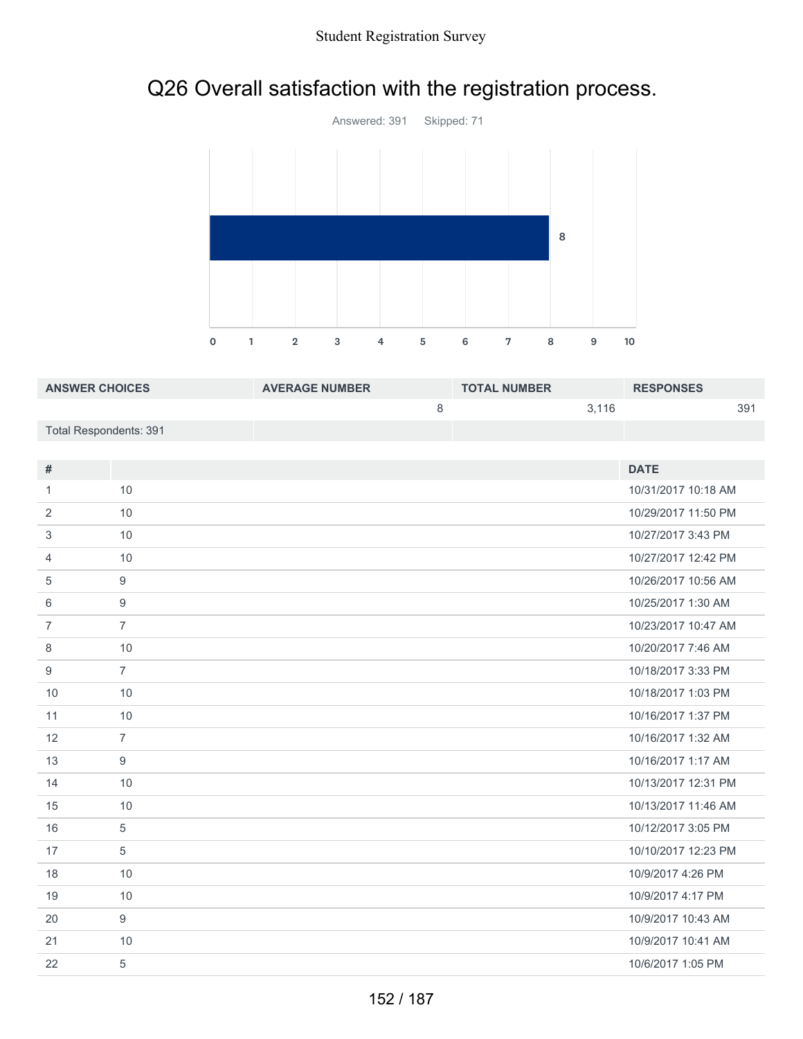# Q26 Overall satisfaction with the registration process.



| <b>ANSWER CHOICES</b>  | <b>AVERAGE NUMBER</b> | <b>TOTAL NUMBER</b> | <b>RESPONSES</b> |
|------------------------|-----------------------|---------------------|------------------|
|                        |                       | 3.116               | 391              |
| Total Respondents: 391 |                       |                     |                  |

| #              |                | <b>DATE</b>         |
|----------------|----------------|---------------------|
| 1              | 10             | 10/31/2017 10:18 AM |
| 2              | 10             | 10/29/2017 11:50 PM |
| 3              | 10             | 10/27/2017 3:43 PM  |
| $\overline{4}$ | 10             | 10/27/2017 12:42 PM |
| 5              | 9              | 10/26/2017 10:56 AM |
| 6              | 9              | 10/25/2017 1:30 AM  |
| $\overline{7}$ | $\overline{7}$ | 10/23/2017 10:47 AM |
| 8              | 10             | 10/20/2017 7:46 AM  |
| 9              | $\overline{7}$ | 10/18/2017 3:33 PM  |
| 10             | 10             | 10/18/2017 1:03 PM  |
| 11             | 10             | 10/16/2017 1:37 PM  |
| 12             | $\overline{7}$ | 10/16/2017 1:32 AM  |
| 13             | 9              | 10/16/2017 1:17 AM  |
| 14             | 10             | 10/13/2017 12:31 PM |
| 15             | 10             | 10/13/2017 11:46 AM |
| 16             | 5              | 10/12/2017 3:05 PM  |
| 17             | 5              | 10/10/2017 12:23 PM |
| 18             | 10             | 10/9/2017 4:26 PM   |
| 19             | 10             | 10/9/2017 4:17 PM   |
| 20             | 9              | 10/9/2017 10:43 AM  |
| 21             | 10             | 10/9/2017 10:41 AM  |
| 22             | 5              | 10/6/2017 1:05 PM   |
|                |                |                     |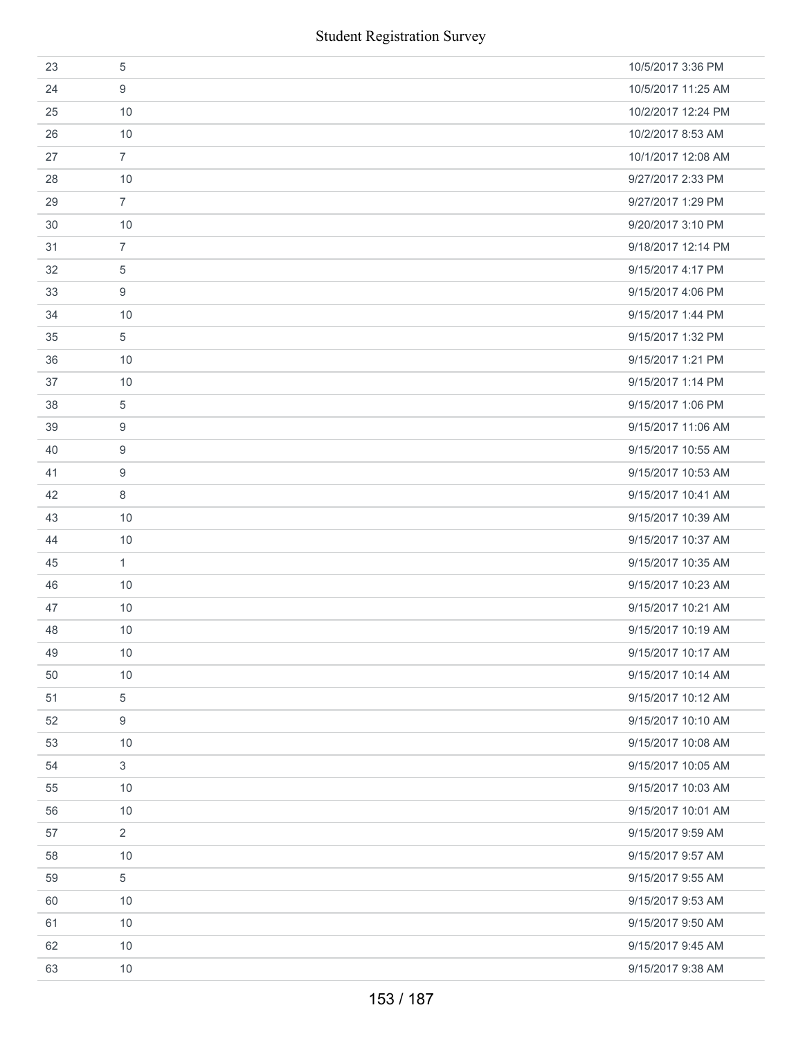|    | <b>Student Registration Survey</b> |                    |
|----|------------------------------------|--------------------|
| 23 | 5                                  | 10/5/2017 3:36 PM  |
| 24 | 9                                  | 10/5/2017 11:25 AM |
| 25 | 10                                 | 10/2/2017 12:24 PM |
| 26 | 10                                 | 10/2/2017 8:53 AM  |
| 27 | $\overline{7}$                     | 10/1/2017 12:08 AM |
| 28 | 10                                 | 9/27/2017 2:33 PM  |
| 29 | $\overline{7}$                     | 9/27/2017 1:29 PM  |
| 30 | 10                                 | 9/20/2017 3:10 PM  |
| 31 | $\overline{7}$                     | 9/18/2017 12:14 PM |
| 32 | $\overline{5}$                     | 9/15/2017 4:17 PM  |
| 33 | 9                                  | 9/15/2017 4:06 PM  |
| 34 | 10                                 | 9/15/2017 1:44 PM  |
| 35 | $\sqrt{5}$                         | 9/15/2017 1:32 PM  |
| 36 | 10                                 | 9/15/2017 1:21 PM  |
| 37 | 10                                 | 9/15/2017 1:14 PM  |
| 38 | 5                                  | 9/15/2017 1:06 PM  |
| 39 | 9                                  | 9/15/2017 11:06 AM |
| 40 | 9                                  | 9/15/2017 10:55 AM |
| 41 | 9                                  | 9/15/2017 10:53 AM |
| 42 | 8                                  | 9/15/2017 10:41 AM |
| 43 | 10                                 | 9/15/2017 10:39 AM |
| 44 | 10                                 | 9/15/2017 10:37 AM |
| 45 | $\mathbf{1}$                       | 9/15/2017 10:35 AM |
| 46 | 10                                 | 9/15/2017 10:23 AM |
| 47 | 10                                 | 9/15/2017 10:21 AM |
| 48 | 10                                 | 9/15/2017 10:19 AM |
| 49 | 10                                 | 9/15/2017 10:17 AM |
| 50 | 10                                 | 9/15/2017 10:14 AM |
| 51 | 5                                  | 9/15/2017 10:12 AM |
| 52 | 9                                  | 9/15/2017 10:10 AM |
| 53 | 10                                 | 9/15/2017 10:08 AM |
| 54 | $\mathbf{3}$                       | 9/15/2017 10:05 AM |
| 55 | 10                                 | 9/15/2017 10:03 AM |
| 56 | 10                                 | 9/15/2017 10:01 AM |
| 57 | $\overline{2}$                     | 9/15/2017 9:59 AM  |
| 58 | 10                                 | 9/15/2017 9:57 AM  |
| 59 | 5                                  | 9/15/2017 9:55 AM  |
| 60 | 10                                 | 9/15/2017 9:53 AM  |
| 61 | 10                                 | 9/15/2017 9:50 AM  |
| 62 | 10                                 | 9/15/2017 9:45 AM  |
| 63 | 10                                 | 9/15/2017 9:38 AM  |
|    | 153 / 187                          |                    |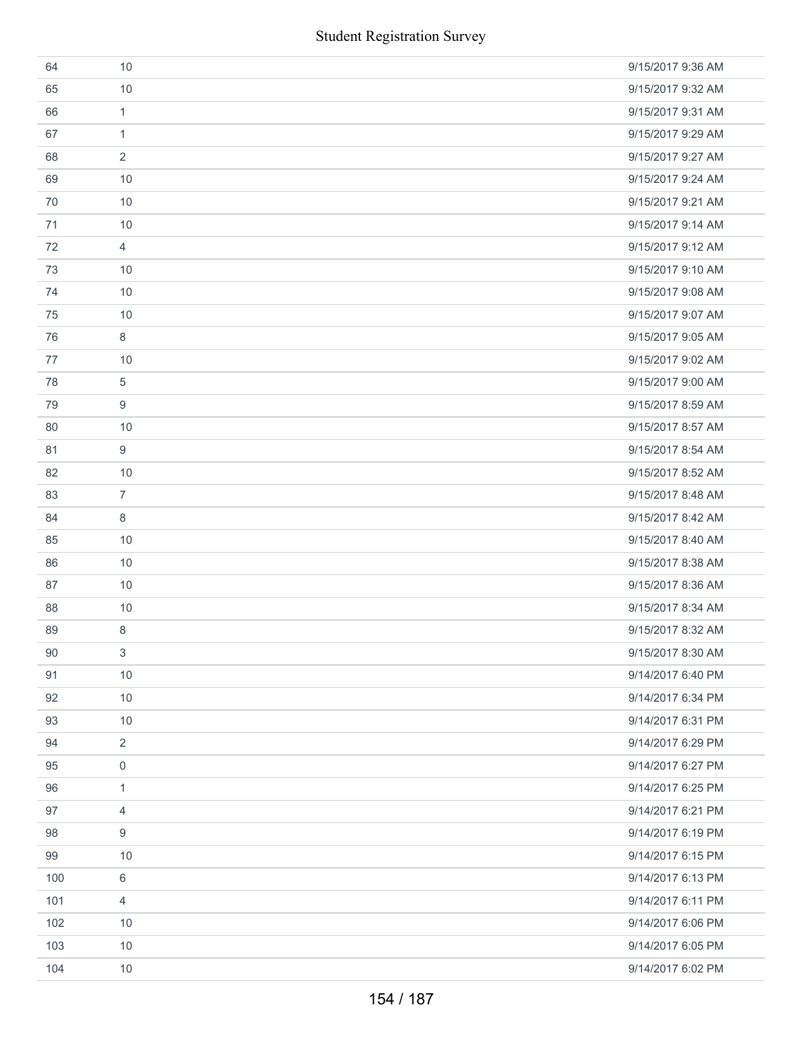|     | <b>Student Registration Survey</b> |                   |
|-----|------------------------------------|-------------------|
| 64  | 10                                 | 9/15/2017 9:36 AM |
| 65  | 10                                 | 9/15/2017 9:32 AM |
| 66  | $\mathbf{1}$                       | 9/15/2017 9:31 AM |
| 67  | $\mathbf{1}$                       | 9/15/2017 9:29 AM |
| 68  | 2                                  | 9/15/2017 9:27 AM |
| 69  | 10                                 | 9/15/2017 9:24 AM |
| 70  | 10                                 | 9/15/2017 9:21 AM |
| 71  | 10                                 | 9/15/2017 9:14 AM |
| 72  | $\overline{4}$                     | 9/15/2017 9:12 AM |
| 73  | 10                                 | 9/15/2017 9:10 AM |
| 74  | 10                                 | 9/15/2017 9:08 AM |
| 75  | 10                                 | 9/15/2017 9:07 AM |
| 76  | 8                                  | 9/15/2017 9:05 AM |
| 77  | 10                                 | 9/15/2017 9:02 AM |
| 78  | 5                                  | 9/15/2017 9:00 AM |
| 79  | 9                                  | 9/15/2017 8:59 AM |
| 80  | 10                                 | 9/15/2017 8:57 AM |
| 81  | 9                                  | 9/15/2017 8:54 AM |
| 82  | 10                                 | 9/15/2017 8:52 AM |
| 83  | $\overline{7}$                     | 9/15/2017 8:48 AM |
| 84  | 8                                  | 9/15/2017 8:42 AM |
| 85  | 10                                 | 9/15/2017 8:40 AM |
| 86  | 10                                 | 9/15/2017 8:38 AM |
| 87  | 10                                 | 9/15/2017 8:36 AM |
| 88  | 10                                 | 9/15/2017 8:34 AM |
| 89  | 8                                  | 9/15/2017 8:32 AM |
| 90  | 3                                  | 9/15/2017 8:30 AM |
| 91  | 10                                 | 9/14/2017 6:40 PM |
| 92  | 10                                 | 9/14/2017 6:34 PM |
| 93  | 10                                 | 9/14/2017 6:31 PM |
| 94  | 2                                  | 9/14/2017 6:29 PM |
| 95  | 0                                  | 9/14/2017 6:27 PM |
| 96  | 1                                  | 9/14/2017 6:25 PM |
| 97  | 4                                  | 9/14/2017 6:21 PM |
| 98  | 9                                  | 9/14/2017 6:19 PM |
| 99  | 10                                 | 9/14/2017 6:15 PM |
| 100 | 6                                  | 9/14/2017 6:13 PM |
| 101 | 4                                  | 9/14/2017 6:11 PM |
| 102 | 10                                 | 9/14/2017 6:06 PM |
| 103 | 10                                 | 9/14/2017 6:05 PM |
| 104 | 10                                 | 9/14/2017 6:02 PM |
|     | 154 / 187                          |                   |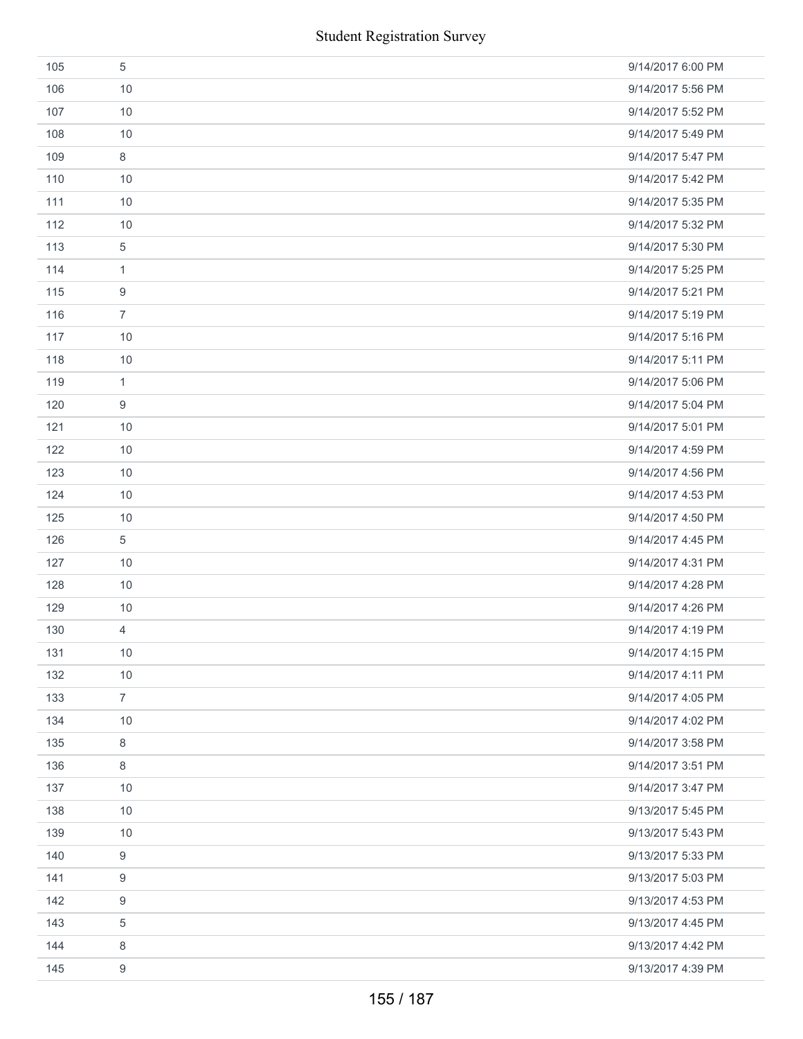|     | <b>Student Registration Survey</b> |                   |
|-----|------------------------------------|-------------------|
| 105 | $\sqrt{5}$                         | 9/14/2017 6:00 PM |
| 106 | 10                                 | 9/14/2017 5:56 PM |
| 107 | 10                                 | 9/14/2017 5:52 PM |
| 108 | 10                                 | 9/14/2017 5:49 PM |
| 109 | $\,8\,$                            | 9/14/2017 5:47 PM |
| 110 | 10                                 | 9/14/2017 5:42 PM |
| 111 | 10                                 | 9/14/2017 5:35 PM |
| 112 | 10                                 | 9/14/2017 5:32 PM |
| 113 | $\sqrt{5}$                         | 9/14/2017 5:30 PM |
| 114 | $\mathbf{1}$                       | 9/14/2017 5:25 PM |
| 115 | 9                                  | 9/14/2017 5:21 PM |
| 116 | $\overline{7}$                     | 9/14/2017 5:19 PM |
| 117 | 10                                 | 9/14/2017 5:16 PM |
| 118 | 10                                 | 9/14/2017 5:11 PM |
| 119 | $\mathbf{1}$                       | 9/14/2017 5:06 PM |
| 120 | $\boldsymbol{9}$                   | 9/14/2017 5:04 PM |
| 121 | 10                                 | 9/14/2017 5:01 PM |
| 122 | 10                                 | 9/14/2017 4:59 PM |
| 123 | 10                                 | 9/14/2017 4:56 PM |
| 124 | 10                                 | 9/14/2017 4:53 PM |
| 125 | 10                                 | 9/14/2017 4:50 PM |
| 126 | 5                                  | 9/14/2017 4:45 PM |
| 127 | 10                                 | 9/14/2017 4:31 PM |
| 128 | 10                                 | 9/14/2017 4:28 PM |
| 129 | 10                                 | 9/14/2017 4:26 PM |
| 130 | $\overline{4}$                     | 9/14/2017 4:19 PM |
| 131 | 10                                 | 9/14/2017 4:15 PM |
| 132 | 10                                 | 9/14/2017 4:11 PM |
| 133 | $\overline{7}$                     | 9/14/2017 4:05 PM |
| 134 | 10                                 | 9/14/2017 4:02 PM |
| 135 | 8                                  | 9/14/2017 3:58 PM |
| 136 | $\,8\,$                            | 9/14/2017 3:51 PM |
| 137 | 10                                 | 9/14/2017 3:47 PM |
| 138 | 10                                 | 9/13/2017 5:45 PM |
| 139 | 10                                 | 9/13/2017 5:43 PM |
| 140 | 9                                  | 9/13/2017 5:33 PM |
| 141 | 9                                  | 9/13/2017 5:03 PM |
| 142 | 9                                  | 9/13/2017 4:53 PM |
| 143 | 5                                  | 9/13/2017 4:45 PM |
| 144 | 8                                  | 9/13/2017 4:42 PM |
| 145 | 9                                  | 9/13/2017 4:39 PM |
|     | 155 / 187                          |                   |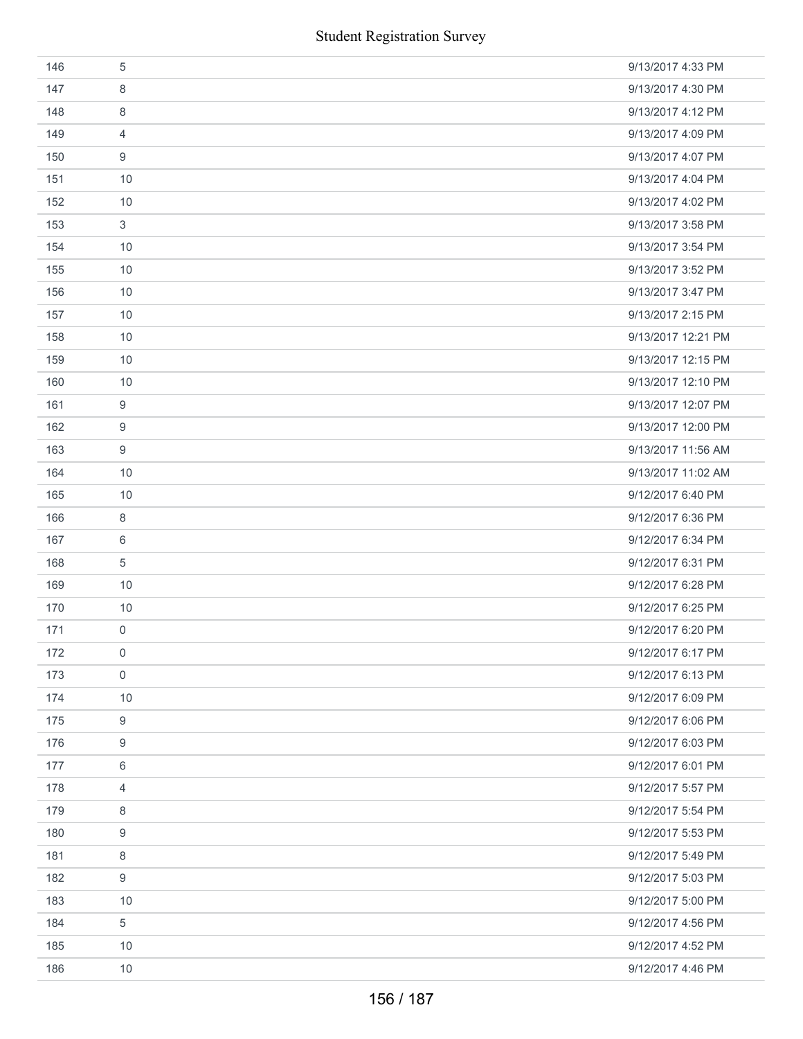|     | <b>Student Registration Survey</b> |                    |
|-----|------------------------------------|--------------------|
| 146 | $\sqrt{5}$                         | 9/13/2017 4:33 PM  |
| 147 | 8                                  | 9/13/2017 4:30 PM  |
| 148 | 8                                  | 9/13/2017 4:12 PM  |
| 149 | 4                                  | 9/13/2017 4:09 PM  |
| 150 | 9                                  | 9/13/2017 4:07 PM  |
| 151 | 10                                 | 9/13/2017 4:04 PM  |
| 152 | 10                                 | 9/13/2017 4:02 PM  |
| 153 | $\mathfrak{S}$                     | 9/13/2017 3:58 PM  |
| 154 | 10                                 | 9/13/2017 3:54 PM  |
| 155 | 10                                 | 9/13/2017 3:52 PM  |
| 156 | 10                                 | 9/13/2017 3:47 PM  |
| 157 | 10                                 | 9/13/2017 2:15 PM  |
| 158 | 10                                 | 9/13/2017 12:21 PM |
| 159 | 10                                 | 9/13/2017 12:15 PM |
| 160 | 10                                 | 9/13/2017 12:10 PM |
| 161 | 9                                  | 9/13/2017 12:07 PM |
| 162 | $\boldsymbol{9}$                   | 9/13/2017 12:00 PM |
| 163 | 9                                  | 9/13/2017 11:56 AM |
| 164 | 10                                 | 9/13/2017 11:02 AM |
| 165 | 10                                 | 9/12/2017 6:40 PM  |
| 166 | $\,8\,$                            | 9/12/2017 6:36 PM  |
| 167 | 6                                  | 9/12/2017 6:34 PM  |
| 168 | $\sqrt{5}$                         | 9/12/2017 6:31 PM  |
| 169 | 10                                 | 9/12/2017 6:28 PM  |
| 170 | 10                                 | 9/12/2017 6:25 PM  |
| 171 | 0                                  | 9/12/2017 6:20 PM  |
| 172 | 0                                  | 9/12/2017 6:17 PM  |
| 173 | $\boldsymbol{0}$                   | 9/12/2017 6:13 PM  |
| 174 | 10                                 | 9/12/2017 6:09 PM  |
| 175 | $\boldsymbol{9}$                   | 9/12/2017 6:06 PM  |
| 176 | 9                                  | 9/12/2017 6:03 PM  |
| 177 | 6                                  | 9/12/2017 6:01 PM  |
| 178 | 4                                  | 9/12/2017 5:57 PM  |
| 179 | 8                                  | 9/12/2017 5:54 PM  |
| 180 | 9                                  | 9/12/2017 5:53 PM  |
| 181 | 8                                  | 9/12/2017 5:49 PM  |
| 182 | 9                                  | 9/12/2017 5:03 PM  |
| 183 | 10                                 | 9/12/2017 5:00 PM  |
| 184 | $\sqrt{5}$                         | 9/12/2017 4:56 PM  |
| 185 | 10                                 | 9/12/2017 4:52 PM  |
| 186 | 10                                 | 9/12/2017 4:46 PM  |
|     | 156 / 187                          |                    |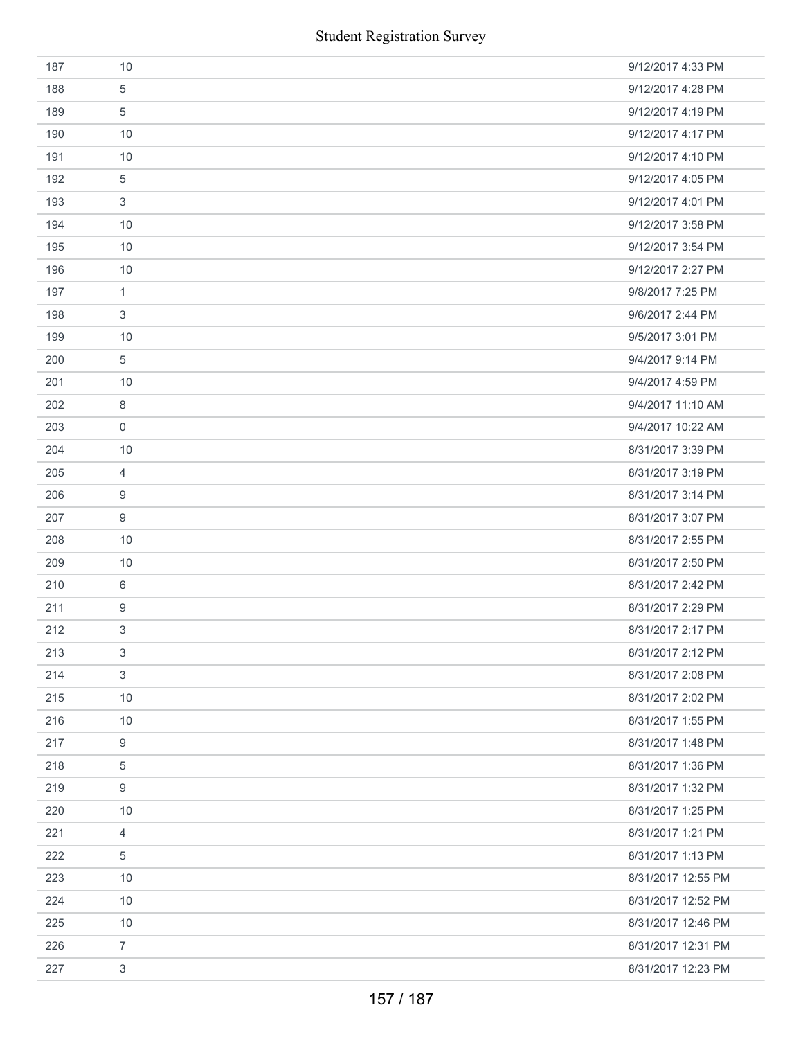| 187 | 10             | 9/12/2017 4:33 PM  |
|-----|----------------|--------------------|
| 188 | 5              | 9/12/2017 4:28 PM  |
| 189 | 5              | 9/12/2017 4:19 PM  |
| 190 | 10             | 9/12/2017 4:17 PM  |
| 191 | 10             | 9/12/2017 4:10 PM  |
| 192 | 5              | 9/12/2017 4:05 PM  |
| 193 | 3              | 9/12/2017 4:01 PM  |
| 194 | 10             | 9/12/2017 3:58 PM  |
| 195 | 10             | 9/12/2017 3:54 PM  |
| 196 | 10             | 9/12/2017 2:27 PM  |
| 197 | $\mathbf{1}$   | 9/8/2017 7:25 PM   |
| 198 | 3              | 9/6/2017 2:44 PM   |
| 199 | 10             | 9/5/2017 3:01 PM   |
| 200 | $\,$ 5 $\,$    | 9/4/2017 9:14 PM   |
| 201 | 10             | 9/4/2017 4:59 PM   |
| 202 | 8              | 9/4/2017 11:10 AM  |
| 203 | 0              | 9/4/2017 10:22 AM  |
| 204 | 10             | 8/31/2017 3:39 PM  |
| 205 | 4              | 8/31/2017 3:19 PM  |
| 206 | 9              | 8/31/2017 3:14 PM  |
| 207 | 9              | 8/31/2017 3:07 PM  |
| 208 | 10             | 8/31/2017 2:55 PM  |
| 209 | 10             | 8/31/2017 2:50 PM  |
| 210 | 6              | 8/31/2017 2:42 PM  |
| 211 | 9              | 8/31/2017 2:29 PM  |
| 212 | 3              | 8/31/2017 2:17 PM  |
| 213 | 3              | 8/31/2017 2:12 PM  |
| 214 | 3              | 8/31/2017 2:08 PM  |
| 215 | 10             | 8/31/2017 2:02 PM  |
| 216 | 10             | 8/31/2017 1:55 PM  |
| 217 | 9              | 8/31/2017 1:48 PM  |
| 218 | 5              | 8/31/2017 1:36 PM  |
| 219 | 9              | 8/31/2017 1:32 PM  |
| 220 | 10             | 8/31/2017 1:25 PM  |
| 221 | 4              | 8/31/2017 1:21 PM  |
| 222 | 5              | 8/31/2017 1:13 PM  |
| 223 | 10             | 8/31/2017 12:55 PM |
| 224 | 10             | 8/31/2017 12:52 PM |
| 225 | 10             | 8/31/2017 12:46 PM |
| 226 | $\overline{7}$ | 8/31/2017 12:31 PM |
| 227 | 3              | 8/31/2017 12:23 PM |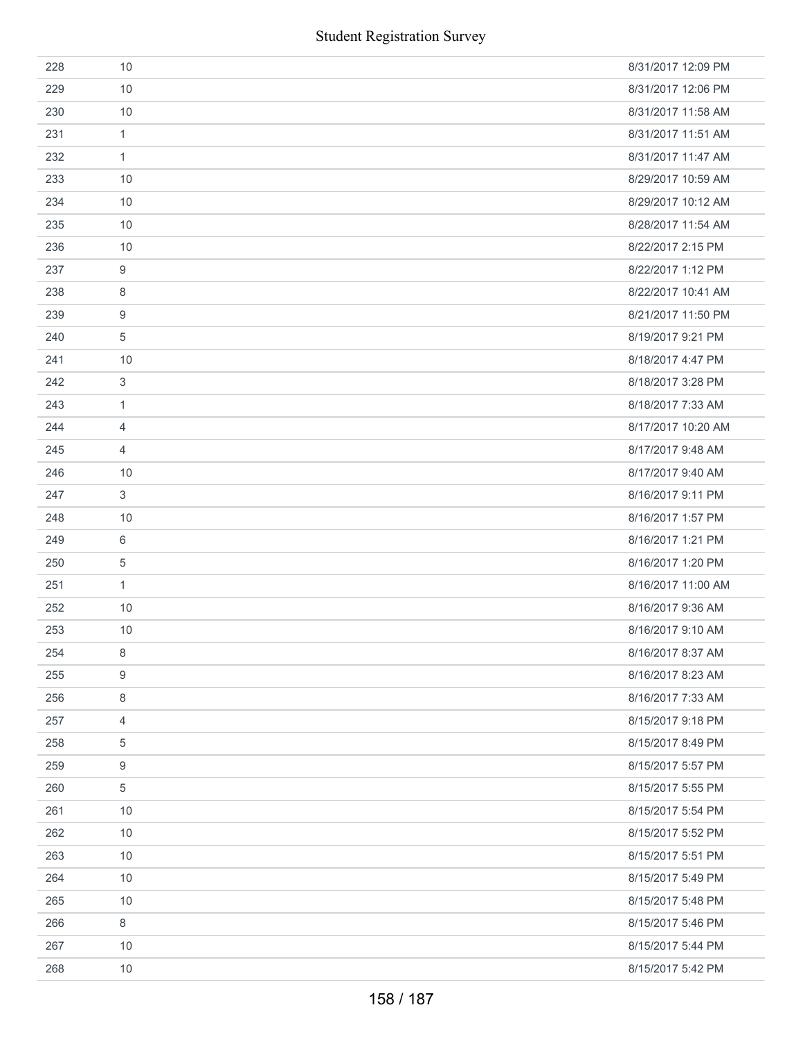|     | <b>Student Registration Survey</b> |                    |
|-----|------------------------------------|--------------------|
| 228 | 10                                 | 8/31/2017 12:09 PM |
| 229 | 10                                 | 8/31/2017 12:06 PM |
| 230 | 10                                 | 8/31/2017 11:58 AM |
| 231 | $\mathbf{1}$                       | 8/31/2017 11:51 AM |
| 232 | $\mathbf{1}$                       | 8/31/2017 11:47 AM |
| 233 | 10                                 | 8/29/2017 10:59 AM |
| 234 | 10                                 | 8/29/2017 10:12 AM |
| 235 | 10                                 | 8/28/2017 11:54 AM |
| 236 | 10                                 | 8/22/2017 2:15 PM  |
| 237 | $\boldsymbol{9}$                   | 8/22/2017 1:12 PM  |
| 238 | 8                                  | 8/22/2017 10:41 AM |
| 239 | $\boldsymbol{9}$                   | 8/21/2017 11:50 PM |
| 240 | $\sqrt{5}$                         | 8/19/2017 9:21 PM  |
| 241 | 10                                 | 8/18/2017 4:47 PM  |
| 242 | $\sqrt{3}$                         | 8/18/2017 3:28 PM  |
| 243 | $\mathbf{1}$                       | 8/18/2017 7:33 AM  |
| 244 | $\overline{4}$                     | 8/17/2017 10:20 AM |
| 245 | $\overline{4}$                     | 8/17/2017 9:48 AM  |
| 246 | 10                                 | 8/17/2017 9:40 AM  |
| 247 | $\mathbf{3}$                       | 8/16/2017 9:11 PM  |
| 248 | 10                                 | 8/16/2017 1:57 PM  |
| 249 | 6                                  | 8/16/2017 1:21 PM  |
| 250 | $\sqrt{5}$                         | 8/16/2017 1:20 PM  |
| 251 | $\mathbf{1}$                       | 8/16/2017 11:00 AM |
| 252 | 10                                 | 8/16/2017 9:36 AM  |
| 253 | 10                                 | 8/16/2017 9:10 AM  |
| 254 | $\,8\,$                            | 8/16/2017 8:37 AM  |
| 255 | $\boldsymbol{9}$                   | 8/16/2017 8:23 AM  |
| 256 | 8                                  | 8/16/2017 7:33 AM  |
| 257 | 4                                  | 8/15/2017 9:18 PM  |
| 258 | 5                                  | 8/15/2017 8:49 PM  |
| 259 | $\boldsymbol{9}$                   | 8/15/2017 5:57 PM  |
| 260 | 5                                  | 8/15/2017 5:55 PM  |
| 261 | 10                                 | 8/15/2017 5:54 PM  |
| 262 | 10                                 | 8/15/2017 5:52 PM  |
| 263 | 10                                 | 8/15/2017 5:51 PM  |
| 264 | 10                                 | 8/15/2017 5:49 PM  |
| 265 | 10                                 | 8/15/2017 5:48 PM  |
| 266 | $\,8\,$                            | 8/15/2017 5:46 PM  |
| 267 | 10                                 | 8/15/2017 5:44 PM  |
| 268 | 10                                 | 8/15/2017 5:42 PM  |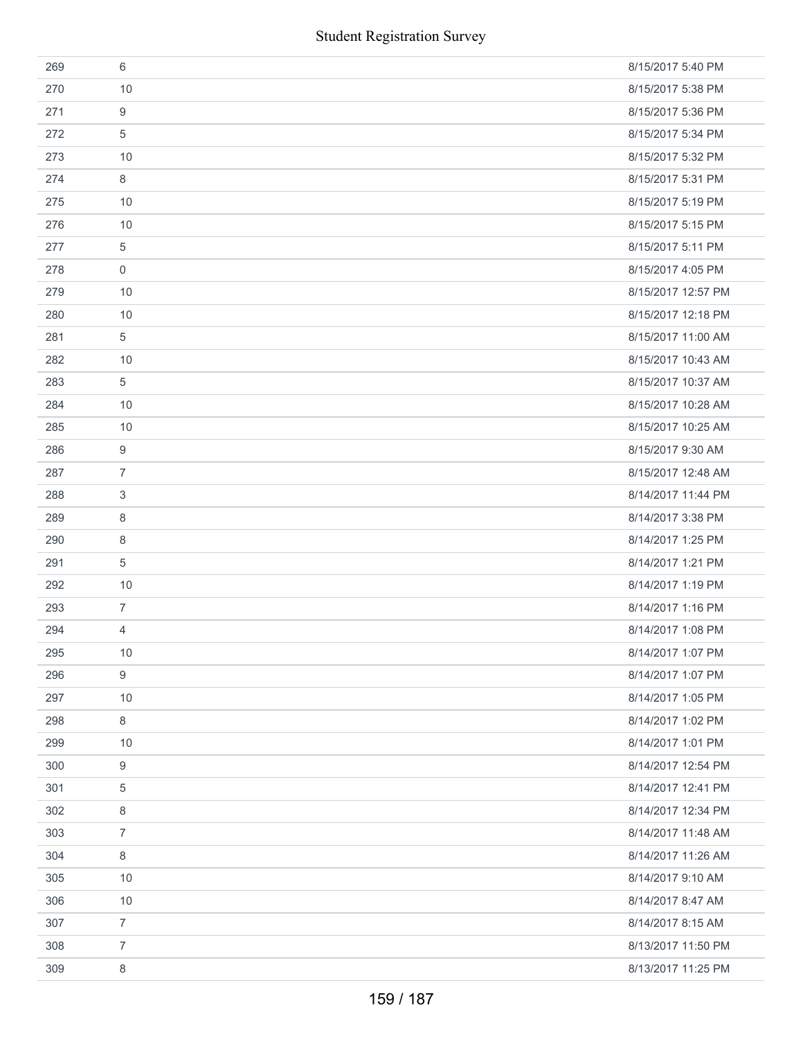|     | <b>Student Registration Survey</b> |                    |
|-----|------------------------------------|--------------------|
| 269 | 6                                  | 8/15/2017 5:40 PM  |
| 270 | 10                                 | 8/15/2017 5:38 PM  |
| 271 | $\boldsymbol{9}$                   | 8/15/2017 5:36 PM  |
| 272 | 5                                  | 8/15/2017 5:34 PM  |
| 273 | 10                                 | 8/15/2017 5:32 PM  |
| 274 | 8                                  | 8/15/2017 5:31 PM  |
| 275 | 10                                 | 8/15/2017 5:19 PM  |
| 276 | 10                                 | 8/15/2017 5:15 PM  |
| 277 | 5                                  | 8/15/2017 5:11 PM  |
| 278 | $\boldsymbol{0}$                   | 8/15/2017 4:05 PM  |
| 279 | 10                                 | 8/15/2017 12:57 PM |
| 280 | 10                                 | 8/15/2017 12:18 PM |
| 281 | 5                                  | 8/15/2017 11:00 AM |
| 282 | 10                                 | 8/15/2017 10:43 AM |
| 283 | 5                                  | 8/15/2017 10:37 AM |
| 284 | 10                                 | 8/15/2017 10:28 AM |
| 285 | 10                                 | 8/15/2017 10:25 AM |
| 286 | 9                                  | 8/15/2017 9:30 AM  |
| 287 | $\overline{7}$                     | 8/15/2017 12:48 AM |
| 288 | 3                                  | 8/14/2017 11:44 PM |
| 289 | 8                                  | 8/14/2017 3:38 PM  |
| 290 | 8                                  | 8/14/2017 1:25 PM  |
| 291 | $\sqrt{5}$                         | 8/14/2017 1:21 PM  |
| 292 | 10                                 | 8/14/2017 1:19 PM  |
| 293 | $\overline{7}$                     | 8/14/2017 1:16 PM  |
| 294 | 4                                  | 8/14/2017 1:08 PM  |
| 295 | 10                                 | 8/14/2017 1:07 PM  |
| 296 | $\boldsymbol{9}$                   | 8/14/2017 1:07 PM  |
| 297 | 10                                 | 8/14/2017 1:05 PM  |
| 298 | 8                                  | 8/14/2017 1:02 PM  |
| 299 | 10                                 | 8/14/2017 1:01 PM  |
| 300 | 9                                  | 8/14/2017 12:54 PM |
| 301 | 5                                  | 8/14/2017 12:41 PM |
| 302 | 8                                  | 8/14/2017 12:34 PM |
| 303 | $\overline{7}$                     | 8/14/2017 11:48 AM |
| 304 | 8                                  | 8/14/2017 11:26 AM |
| 305 | 10                                 | 8/14/2017 9:10 AM  |
| 306 | 10                                 | 8/14/2017 8:47 AM  |
| 307 | $\overline{7}$                     | 8/14/2017 8:15 AM  |
| 308 | $\overline{7}$                     | 8/13/2017 11:50 PM |
| 309 | 8                                  | 8/13/2017 11:25 PM |
|     | 159 / 187                          |                    |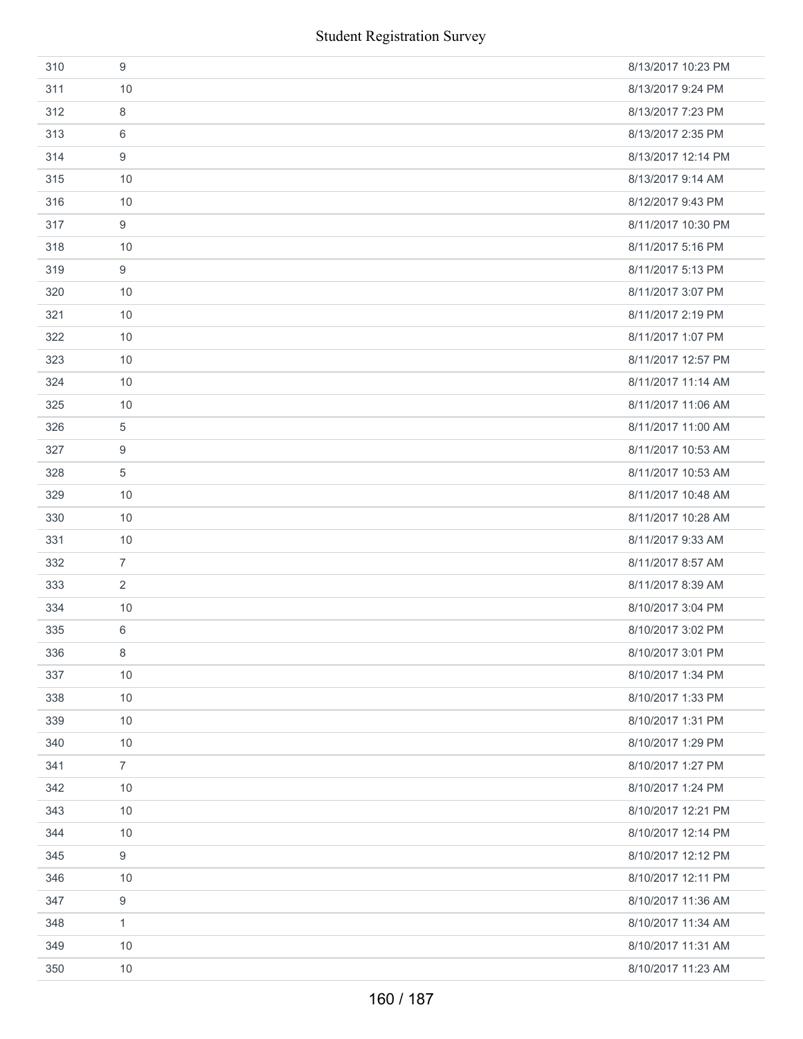|     | <b>Student Registration Survey</b> |                    |
|-----|------------------------------------|--------------------|
| 310 | 9                                  | 8/13/2017 10:23 PM |
| 311 | 10                                 | 8/13/2017 9:24 PM  |
| 312 | 8                                  | 8/13/2017 7:23 PM  |
| 313 | 6                                  | 8/13/2017 2:35 PM  |
| 314 | 9                                  | 8/13/2017 12:14 PM |
| 315 | 10                                 | 8/13/2017 9:14 AM  |
| 316 | 10                                 | 8/12/2017 9:43 PM  |
| 317 | 9                                  | 8/11/2017 10:30 PM |
| 318 | 10                                 | 8/11/2017 5:16 PM  |
| 319 | 9                                  | 8/11/2017 5:13 PM  |
| 320 | 10                                 | 8/11/2017 3:07 PM  |
| 321 | 10                                 | 8/11/2017 2:19 PM  |
| 322 | 10                                 | 8/11/2017 1:07 PM  |
| 323 | 10                                 | 8/11/2017 12:57 PM |
| 324 | 10                                 | 8/11/2017 11:14 AM |
| 325 | 10                                 | 8/11/2017 11:06 AM |
| 326 | 5                                  | 8/11/2017 11:00 AM |
| 327 | 9                                  | 8/11/2017 10:53 AM |
| 328 | 5                                  | 8/11/2017 10:53 AM |
| 329 | 10                                 | 8/11/2017 10:48 AM |
| 330 | 10                                 | 8/11/2017 10:28 AM |
| 331 | 10                                 | 8/11/2017 9:33 AM  |
| 332 | $\overline{7}$                     | 8/11/2017 8:57 AM  |
| 333 | 2                                  | 8/11/2017 8:39 AM  |
| 334 | 10                                 | 8/10/2017 3:04 PM  |
| 335 | 6                                  | 8/10/2017 3:02 PM  |
| 336 | 8                                  | 8/10/2017 3:01 PM  |
| 337 | 10                                 | 8/10/2017 1:34 PM  |
| 338 | 10                                 | 8/10/2017 1:33 PM  |
| 339 | 10                                 | 8/10/2017 1:31 PM  |
| 340 | 10                                 | 8/10/2017 1:29 PM  |
| 341 | $\overline{7}$                     | 8/10/2017 1:27 PM  |
| 342 | 10                                 | 8/10/2017 1:24 PM  |
| 343 | 10                                 | 8/10/2017 12:21 PM |
| 344 | 10                                 | 8/10/2017 12:14 PM |
| 345 | 9                                  | 8/10/2017 12:12 PM |
| 346 | 10                                 | 8/10/2017 12:11 PM |
| 347 | 9                                  | 8/10/2017 11:36 AM |
| 348 | $\mathbf{1}$                       | 8/10/2017 11:34 AM |
| 349 | 10                                 | 8/10/2017 11:31 AM |
| 350 | 10                                 | 8/10/2017 11:23 AM |
|     | 160 / 187                          |                    |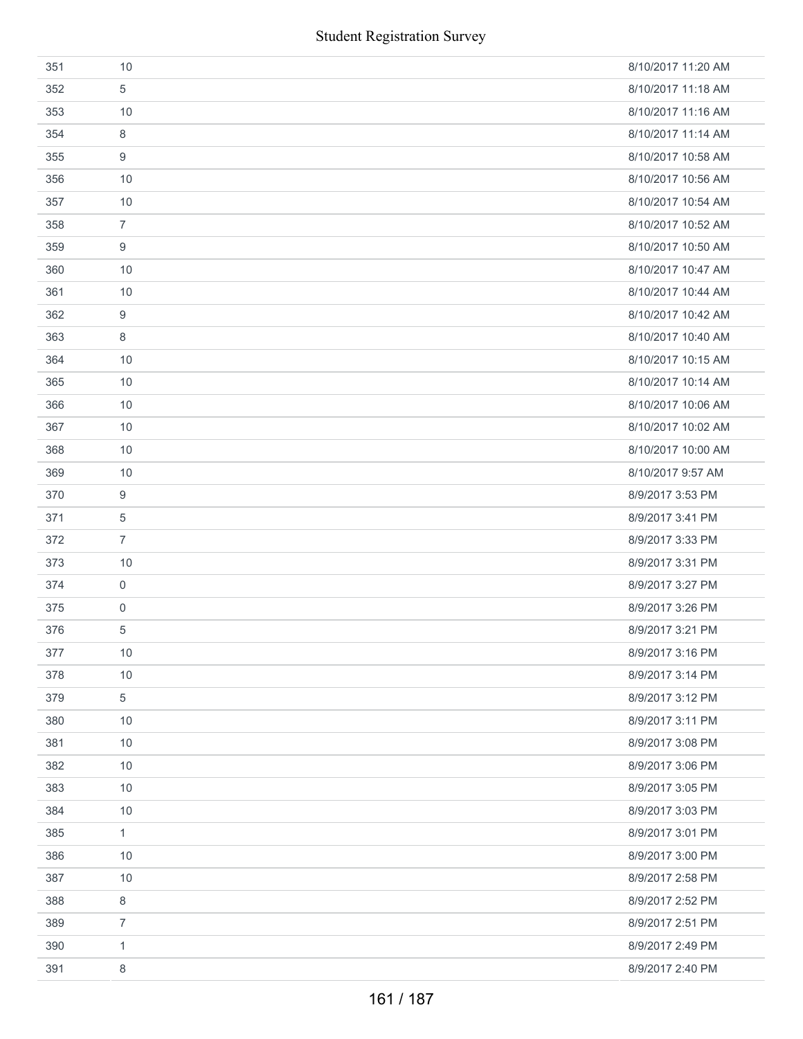| 351 | 10             | 8/10/2017 11:20 AM |
|-----|----------------|--------------------|
| 352 | 5              | 8/10/2017 11:18 AM |
| 353 | 10             | 8/10/2017 11:16 AM |
| 354 | 8              | 8/10/2017 11:14 AM |
| 355 | 9              | 8/10/2017 10:58 AM |
| 356 | 10             | 8/10/2017 10:56 AM |
| 357 | 10             | 8/10/2017 10:54 AM |
| 358 | $\overline{7}$ | 8/10/2017 10:52 AM |
| 359 | 9              | 8/10/2017 10:50 AM |
| 360 | 10             | 8/10/2017 10:47 AM |
| 361 | 10             | 8/10/2017 10:44 AM |
| 362 | 9              | 8/10/2017 10:42 AM |
| 363 | 8              | 8/10/2017 10:40 AM |
| 364 | 10             | 8/10/2017 10:15 AM |
| 365 | 10             | 8/10/2017 10:14 AM |
| 366 | 10             | 8/10/2017 10:06 AM |
| 367 | 10             | 8/10/2017 10:02 AM |
| 368 | 10             | 8/10/2017 10:00 AM |
| 369 | 10             | 8/10/2017 9:57 AM  |
| 370 | 9              | 8/9/2017 3:53 PM   |
| 371 | 5              | 8/9/2017 3:41 PM   |
| 372 | $\overline{7}$ | 8/9/2017 3:33 PM   |
| 373 | 10             | 8/9/2017 3:31 PM   |
| 374 | $\mathbf 0$    | 8/9/2017 3:27 PM   |
| 375 | $\mathbf 0$    | 8/9/2017 3:26 PM   |
| 376 | 5              | 8/9/2017 3:21 PM   |
| 377 | 10             | 8/9/2017 3:16 PM   |
| 378 | 10             | 8/9/2017 3:14 PM   |
| 379 | 5              | 8/9/2017 3:12 PM   |
| 380 | 10             | 8/9/2017 3:11 PM   |
| 381 | 10             | 8/9/2017 3:08 PM   |
| 382 | 10             | 8/9/2017 3:06 PM   |
| 383 | 10             | 8/9/2017 3:05 PM   |
| 384 | 10             | 8/9/2017 3:03 PM   |
| 385 | $\mathbf{1}$   | 8/9/2017 3:01 PM   |
| 386 | 10             | 8/9/2017 3:00 PM   |
| 387 | 10             | 8/9/2017 2:58 PM   |
| 388 | 8              | 8/9/2017 2:52 PM   |
| 389 | $\overline{7}$ | 8/9/2017 2:51 PM   |
| 390 | 1              | 8/9/2017 2:49 PM   |
| 391 | 8              | 8/9/2017 2:40 PM   |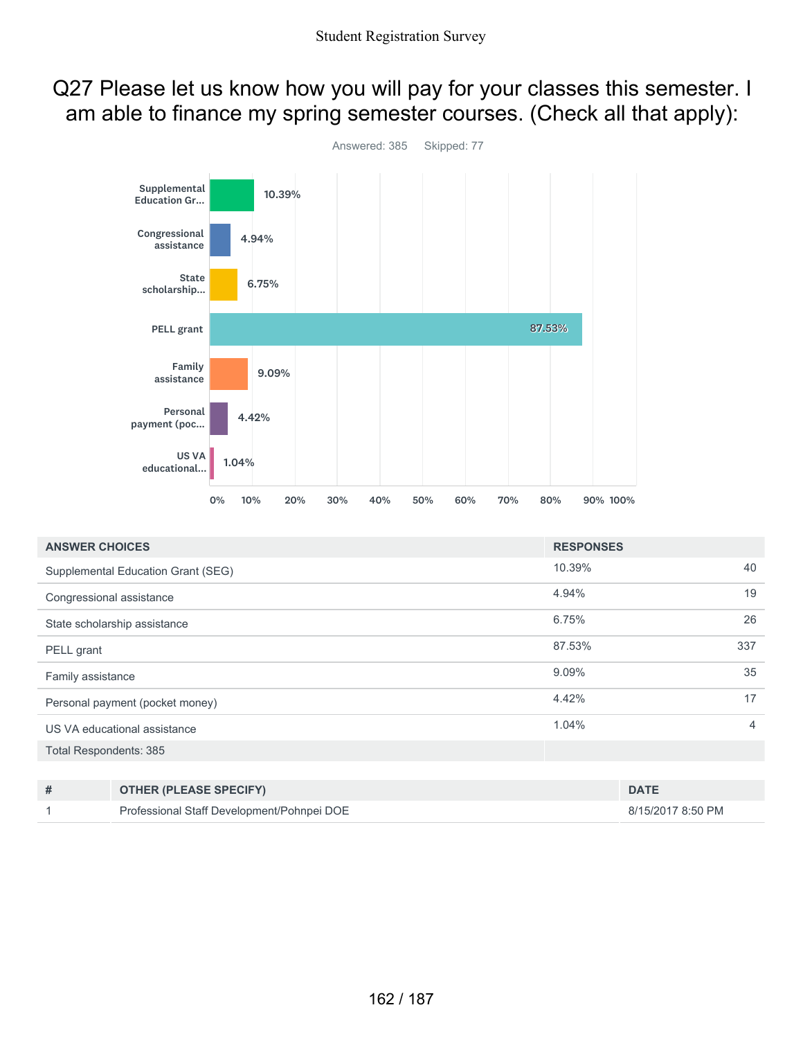## Q27 Please let us know how you will pay for your classes this semester. I am able to finance my spring semester courses. (Check all that apply):



| <b>ANSWER CHOICES</b>           |                                            | <b>RESPONSES</b> |                   |     |
|---------------------------------|--------------------------------------------|------------------|-------------------|-----|
|                                 | Supplemental Education Grant (SEG)         | 10.39%           |                   | 40  |
| Congressional assistance        |                                            |                  |                   | 19  |
|                                 | State scholarship assistance               | 6.75%            |                   | 26  |
| PELL grant                      |                                            | 87.53%           |                   | 337 |
| Family assistance               |                                            |                  |                   | 35  |
| Personal payment (pocket money) |                                            |                  |                   | 17  |
| US VA educational assistance    |                                            |                  |                   | 4   |
| Total Respondents: 385          |                                            |                  |                   |     |
|                                 |                                            |                  |                   |     |
| #                               | <b>OTHER (PLEASE SPECIFY)</b>              |                  | <b>DATE</b>       |     |
|                                 | Professional Staff Development/Pohnpei DOE |                  | 8/15/2017 8:50 PM |     |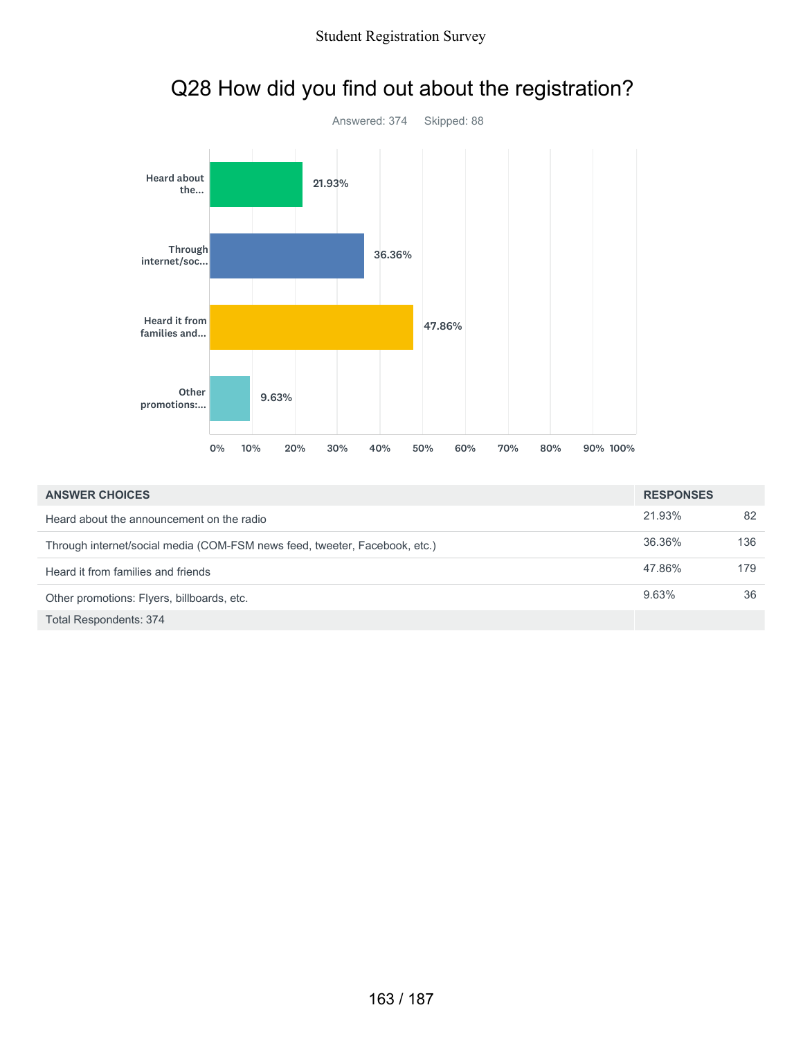

|                                                                            | <b>U</b> 70 | <b>IU70</b> | 20.70 | - JU 70 | 40 YO | - 20 70 | <b>DU 70</b> | 70.70 | OU 70 | <b>JU70 IUU70</b> |                  |
|----------------------------------------------------------------------------|-------------|-------------|-------|---------|-------|---------|--------------|-------|-------|-------------------|------------------|
|                                                                            |             |             |       |         |       |         |              |       |       |                   |                  |
| <b>ANSWER CHOICES</b>                                                      |             |             |       |         |       |         |              |       |       |                   | <b>RESPONSES</b> |
| Heard about the announcement on the radio                                  |             |             |       |         |       |         |              |       |       |                   | 21.93%           |
| Through internet/social media (COM-FSM news feed, tweeter, Facebook, etc.) |             |             |       |         |       |         |              |       |       |                   | 36.36%           |
| Heard it from families and friends                                         |             |             |       |         |       |         |              |       |       |                   | 47.86%           |
| Other promotions: Flyers, billboards, etc.                                 |             |             |       |         |       |         |              |       |       |                   | 9.63%            |

82

136

179

9.63% 36

Total Respondents: 374

## Q28 How did you find out about the registration?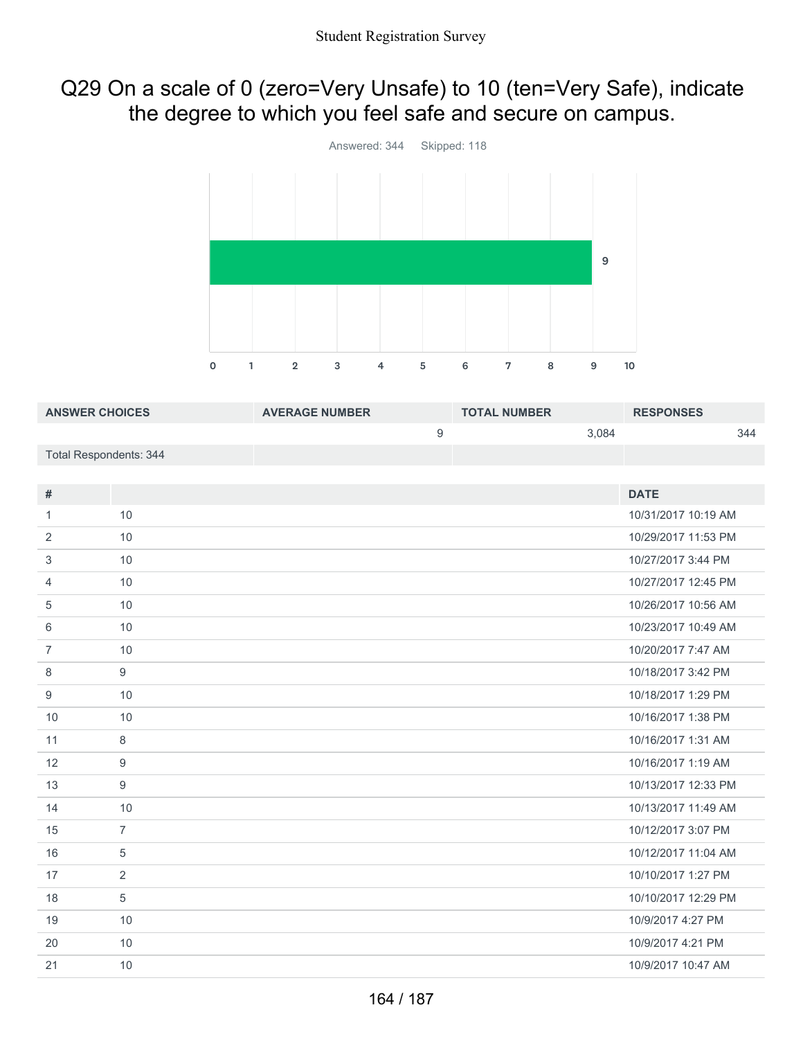## Q29 On a scale of 0 (zero=Very Unsafe) to 10 (ten=Very Safe), indicate the degree to which you feel safe and secure on campus.



| <b>ANSWER CHOICES</b>         |                | <b>AVERAGE NUMBER</b> |                  | <b>TOTAL NUMBER</b> |       | <b>RESPONSES</b>    |     |
|-------------------------------|----------------|-----------------------|------------------|---------------------|-------|---------------------|-----|
|                               |                |                       | $\boldsymbol{9}$ |                     | 3,084 |                     | 344 |
| <b>Total Respondents: 344</b> |                |                       |                  |                     |       |                     |     |
|                               |                |                       |                  |                     |       |                     |     |
| $\#$                          |                |                       |                  |                     |       | <b>DATE</b>         |     |
| 1                             | 10             |                       |                  |                     |       | 10/31/2017 10:19 AM |     |
| $\overline{2}$                | 10             |                       |                  |                     |       | 10/29/2017 11:53 PM |     |
| 3                             | 10             |                       |                  |                     |       | 10/27/2017 3:44 PM  |     |
| $\overline{4}$                | 10             |                       |                  |                     |       | 10/27/2017 12:45 PM |     |
| 5                             | 10             |                       |                  |                     |       | 10/26/2017 10:56 AM |     |
| 6                             | 10             |                       |                  |                     |       | 10/23/2017 10:49 AM |     |
| $\overline{7}$                | 10             |                       |                  |                     |       | 10/20/2017 7:47 AM  |     |
| 8                             | 9              |                       |                  |                     |       | 10/18/2017 3:42 PM  |     |
| 9                             | 10             |                       |                  |                     |       | 10/18/2017 1:29 PM  |     |
| 10                            | 10             |                       |                  |                     |       | 10/16/2017 1:38 PM  |     |
| 11                            | 8              |                       |                  |                     |       | 10/16/2017 1:31 AM  |     |
| 12                            | 9              |                       |                  |                     |       | 10/16/2017 1:19 AM  |     |
| 13                            | 9              |                       |                  |                     |       | 10/13/2017 12:33 PM |     |
| 14                            | 10             |                       |                  |                     |       | 10/13/2017 11:49 AM |     |
| 15                            | $\overline{7}$ |                       |                  |                     |       | 10/12/2017 3:07 PM  |     |
| 16                            | 5              |                       |                  |                     |       | 10/12/2017 11:04 AM |     |
| 17                            | $\overline{2}$ |                       |                  |                     |       | 10/10/2017 1:27 PM  |     |
| 18                            | $\sqrt{5}$     |                       |                  |                     |       | 10/10/2017 12:29 PM |     |
| 19                            | 10             |                       |                  |                     |       | 10/9/2017 4:27 PM   |     |
| 20                            | 10             |                       |                  |                     |       | 10/9/2017 4:21 PM   |     |
| 21                            | 10             |                       |                  |                     |       | 10/9/2017 10:47 AM  |     |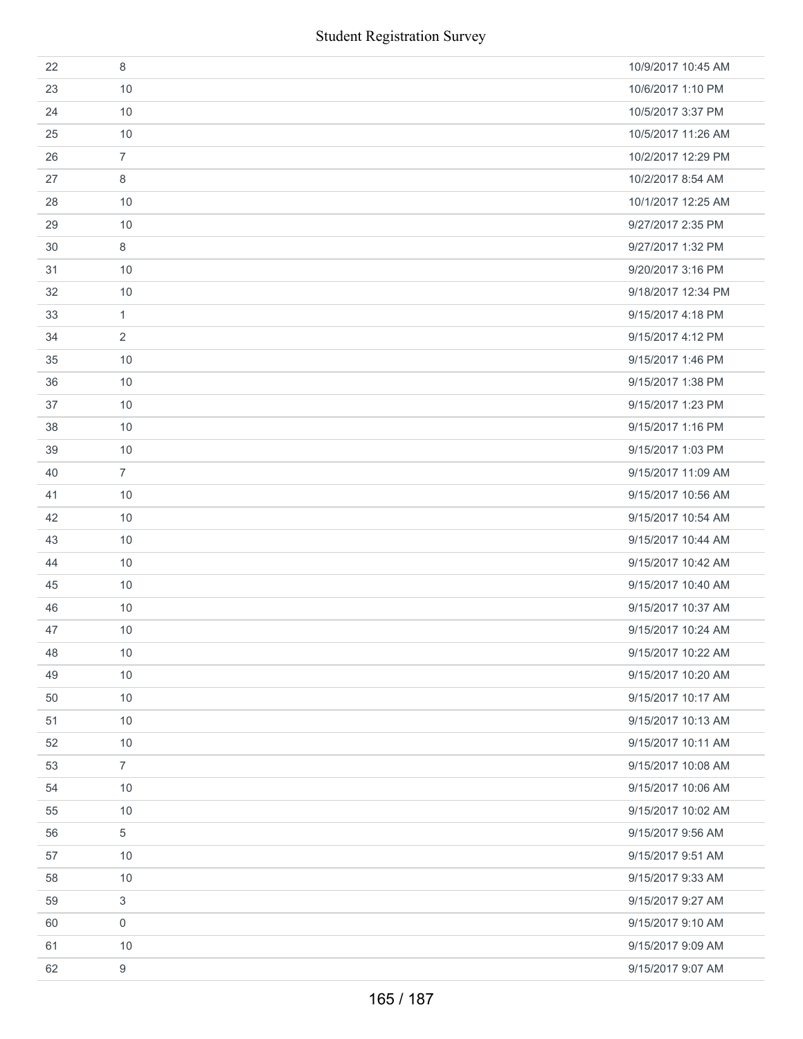|    | <b>Student Registration Survey</b> |                    |
|----|------------------------------------|--------------------|
| 22 | 8                                  | 10/9/2017 10:45 AM |
| 23 | 10                                 | 10/6/2017 1:10 PM  |
| 24 | 10                                 | 10/5/2017 3:37 PM  |
| 25 | 10                                 | 10/5/2017 11:26 AM |
| 26 | $\overline{7}$                     | 10/2/2017 12:29 PM |
| 27 | 8                                  | 10/2/2017 8:54 AM  |
| 28 | 10                                 | 10/1/2017 12:25 AM |
| 29 | 10                                 | 9/27/2017 2:35 PM  |
| 30 | 8                                  | 9/27/2017 1:32 PM  |
| 31 | 10                                 | 9/20/2017 3:16 PM  |
| 32 | 10                                 | 9/18/2017 12:34 PM |
| 33 | 1                                  | 9/15/2017 4:18 PM  |
| 34 | 2                                  | 9/15/2017 4:12 PM  |
| 35 | 10                                 | 9/15/2017 1:46 PM  |
| 36 | 10                                 | 9/15/2017 1:38 PM  |
| 37 | 10                                 | 9/15/2017 1:23 PM  |
| 38 | 10                                 | 9/15/2017 1:16 PM  |
| 39 | 10                                 | 9/15/2017 1:03 PM  |
| 40 | $\overline{7}$                     | 9/15/2017 11:09 AM |
| 41 | 10                                 | 9/15/2017 10:56 AM |
| 42 | 10                                 | 9/15/2017 10:54 AM |
| 43 | 10                                 | 9/15/2017 10:44 AM |
| 44 | 10                                 | 9/15/2017 10:42 AM |
| 45 | 10                                 | 9/15/2017 10:40 AM |
| 46 | 10                                 | 9/15/2017 10:37 AM |
| 47 | 10                                 | 9/15/2017 10:24 AM |
| 48 | 10                                 | 9/15/2017 10:22 AM |
| 49 | 10                                 | 9/15/2017 10:20 AM |
| 50 | 10                                 | 9/15/2017 10:17 AM |
| 51 | 10                                 | 9/15/2017 10:13 AM |
| 52 | 10                                 | 9/15/2017 10:11 AM |
| 53 | $\overline{7}$                     | 9/15/2017 10:08 AM |
| 54 | 10                                 | 9/15/2017 10:06 AM |
| 55 | 10                                 | 9/15/2017 10:02 AM |
| 56 | 5                                  | 9/15/2017 9:56 AM  |
| 57 | 10                                 | 9/15/2017 9:51 AM  |
| 58 | 10                                 | 9/15/2017 9:33 AM  |
| 59 | 3                                  | 9/15/2017 9:27 AM  |
| 60 | $\boldsymbol{0}$                   | 9/15/2017 9:10 AM  |
| 61 | 10                                 | 9/15/2017 9:09 AM  |
| 62 | $\boldsymbol{9}$                   | 9/15/2017 9:07 AM  |
|    | 165 / 187                          |                    |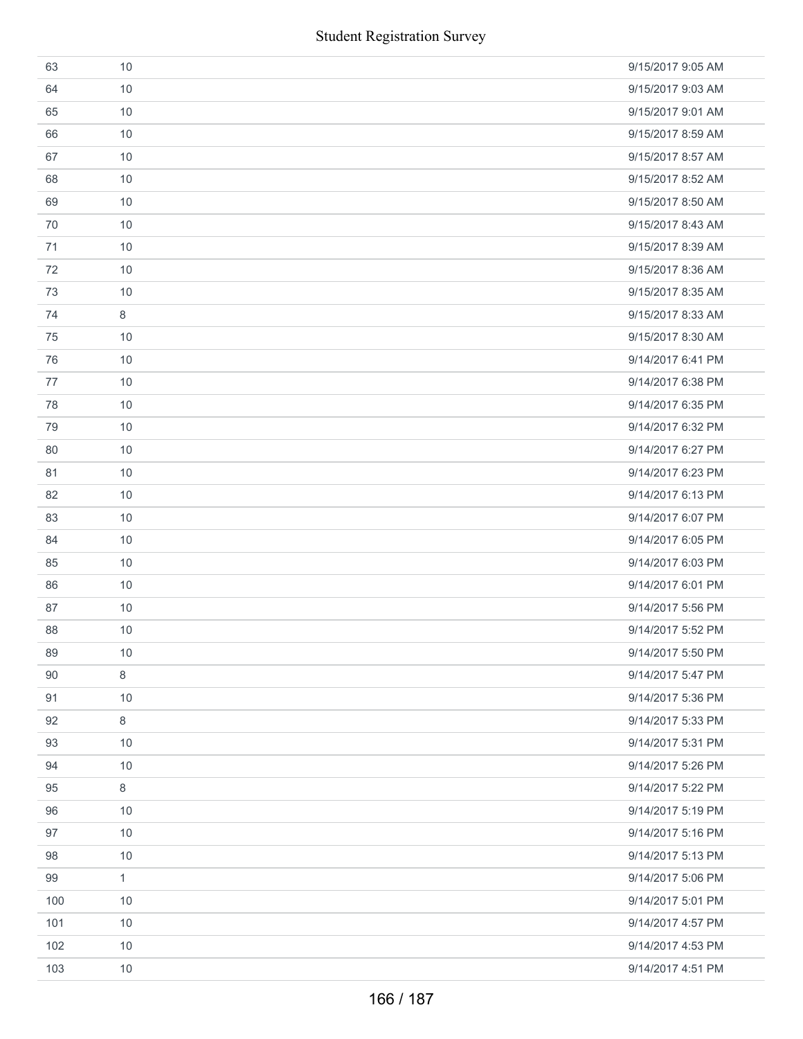|     | <b>Student Registration Survey</b> |                   |
|-----|------------------------------------|-------------------|
| 63  | 10                                 | 9/15/2017 9:05 AM |
| 64  | 10                                 | 9/15/2017 9:03 AM |
| 65  | 10                                 | 9/15/2017 9:01 AM |
| 66  | 10                                 | 9/15/2017 8:59 AM |
| 67  | 10                                 | 9/15/2017 8:57 AM |
| 68  | 10                                 | 9/15/2017 8:52 AM |
| 69  | 10                                 | 9/15/2017 8:50 AM |
| 70  | 10                                 | 9/15/2017 8:43 AM |
| 71  | 10                                 | 9/15/2017 8:39 AM |
| 72  | 10                                 | 9/15/2017 8:36 AM |
| 73  | 10                                 | 9/15/2017 8:35 AM |
| 74  | 8                                  | 9/15/2017 8:33 AM |
| 75  | 10                                 | 9/15/2017 8:30 AM |
| 76  | 10                                 | 9/14/2017 6:41 PM |
| 77  | 10                                 | 9/14/2017 6:38 PM |
| 78  | 10                                 | 9/14/2017 6:35 PM |
| 79  | 10                                 | 9/14/2017 6:32 PM |
| 80  | 10                                 | 9/14/2017 6:27 PM |
| 81  | 10                                 | 9/14/2017 6:23 PM |
| 82  | 10                                 | 9/14/2017 6:13 PM |
| 83  | 10                                 | 9/14/2017 6:07 PM |
| 84  | 10                                 | 9/14/2017 6:05 PM |
| 85  | 10                                 | 9/14/2017 6:03 PM |
| 86  | 10                                 | 9/14/2017 6:01 PM |
| 87  | 10                                 | 9/14/2017 5:56 PM |
| 88  | 10                                 | 9/14/2017 5:52 PM |
| 89  | 10                                 | 9/14/2017 5:50 PM |
| 90  | 8                                  | 9/14/2017 5:47 PM |
| 91  | 10                                 | 9/14/2017 5:36 PM |
| 92  | 8                                  | 9/14/2017 5:33 PM |
| 93  | 10                                 | 9/14/2017 5:31 PM |
| 94  | 10                                 | 9/14/2017 5:26 PM |
| 95  | 8                                  | 9/14/2017 5:22 PM |
| 96  | 10                                 | 9/14/2017 5:19 PM |
| 97  | 10                                 | 9/14/2017 5:16 PM |
| 98  | 10                                 | 9/14/2017 5:13 PM |
| 99  | $\mathbf{1}$                       | 9/14/2017 5:06 PM |
| 100 | 10                                 | 9/14/2017 5:01 PM |
| 101 | 10                                 | 9/14/2017 4:57 PM |
| 102 | 10                                 | 9/14/2017 4:53 PM |
| 103 | 10                                 | 9/14/2017 4:51 PM |
|     | 166 / 187                          |                   |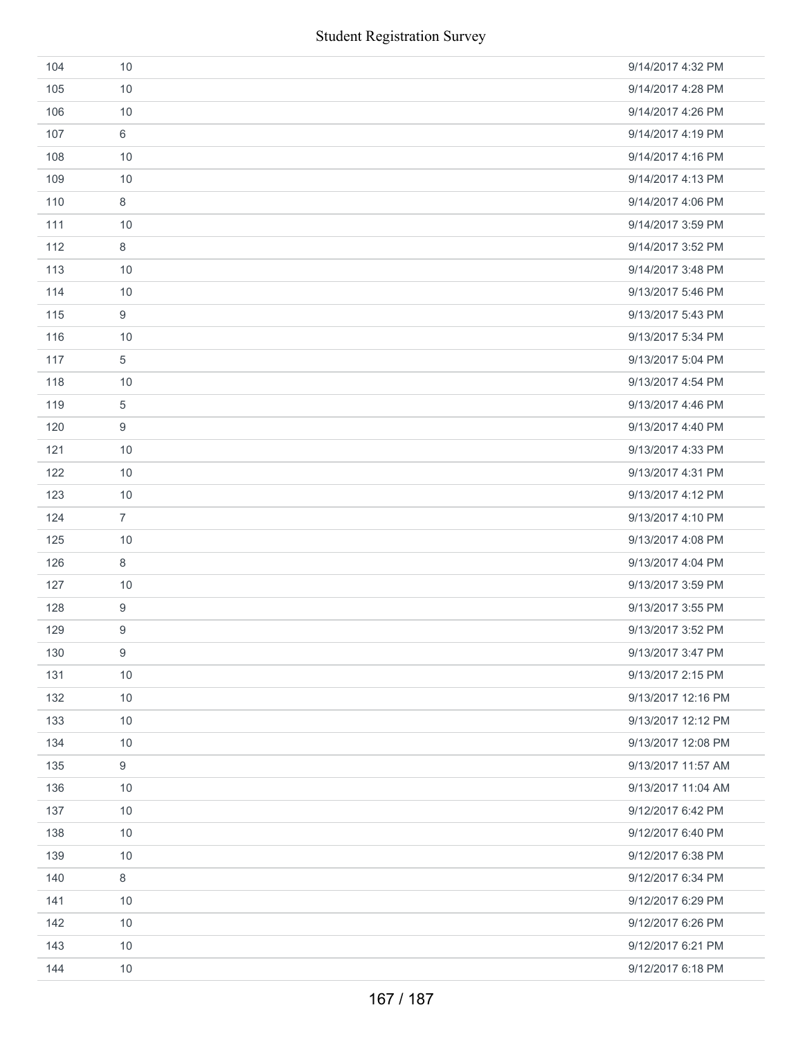|     | <b>Student Registration Survey</b> |                    |
|-----|------------------------------------|--------------------|
| 104 | 10                                 | 9/14/2017 4:32 PM  |
| 105 | 10                                 | 9/14/2017 4:28 PM  |
| 106 | 10                                 | 9/14/2017 4:26 PM  |
| 107 | 6                                  | 9/14/2017 4:19 PM  |
| 108 | 10                                 | 9/14/2017 4:16 PM  |
| 109 | 10                                 | 9/14/2017 4:13 PM  |
| 110 | 8                                  | 9/14/2017 4:06 PM  |
| 111 | 10                                 | 9/14/2017 3:59 PM  |
| 112 | 8                                  | 9/14/2017 3:52 PM  |
| 113 | 10                                 | 9/14/2017 3:48 PM  |
| 114 | 10                                 | 9/13/2017 5:46 PM  |
| 115 | $\boldsymbol{9}$                   | 9/13/2017 5:43 PM  |
| 116 | 10                                 | 9/13/2017 5:34 PM  |
| 117 | 5                                  | 9/13/2017 5:04 PM  |
| 118 | 10                                 | 9/13/2017 4:54 PM  |
| 119 | $\sqrt{5}$                         | 9/13/2017 4:46 PM  |
| 120 | $\boldsymbol{9}$                   | 9/13/2017 4:40 PM  |
| 121 | 10                                 | 9/13/2017 4:33 PM  |
| 122 | 10                                 | 9/13/2017 4:31 PM  |
| 123 | 10                                 | 9/13/2017 4:12 PM  |
| 124 | $\overline{7}$                     | 9/13/2017 4:10 PM  |
| 125 | 10                                 | 9/13/2017 4:08 PM  |
| 126 | 8                                  | 9/13/2017 4:04 PM  |
| 127 | 10                                 | 9/13/2017 3:59 PM  |
| 128 | $\boldsymbol{9}$                   | 9/13/2017 3:55 PM  |
| 129 | 9                                  | 9/13/2017 3:52 PM  |
| 130 | $\boldsymbol{9}$                   | 9/13/2017 3:47 PM  |
| 131 | 10                                 | 9/13/2017 2:15 PM  |
| 132 | 10                                 | 9/13/2017 12:16 PM |
| 133 | 10                                 | 9/13/2017 12:12 PM |
| 134 | 10                                 | 9/13/2017 12:08 PM |
| 135 | $\boldsymbol{9}$                   | 9/13/2017 11:57 AM |
| 136 | 10                                 | 9/13/2017 11:04 AM |
| 137 | 10                                 | 9/12/2017 6:42 PM  |
| 138 | 10                                 | 9/12/2017 6:40 PM  |
| 139 | 10                                 | 9/12/2017 6:38 PM  |
| 140 | $\,8\,$                            | 9/12/2017 6:34 PM  |
| 141 | 10                                 | 9/12/2017 6:29 PM  |
| 142 | 10                                 | 9/12/2017 6:26 PM  |
| 143 | 10                                 | 9/12/2017 6:21 PM  |
| 144 | 10                                 | 9/12/2017 6:18 PM  |
|     | 167 / 187                          |                    |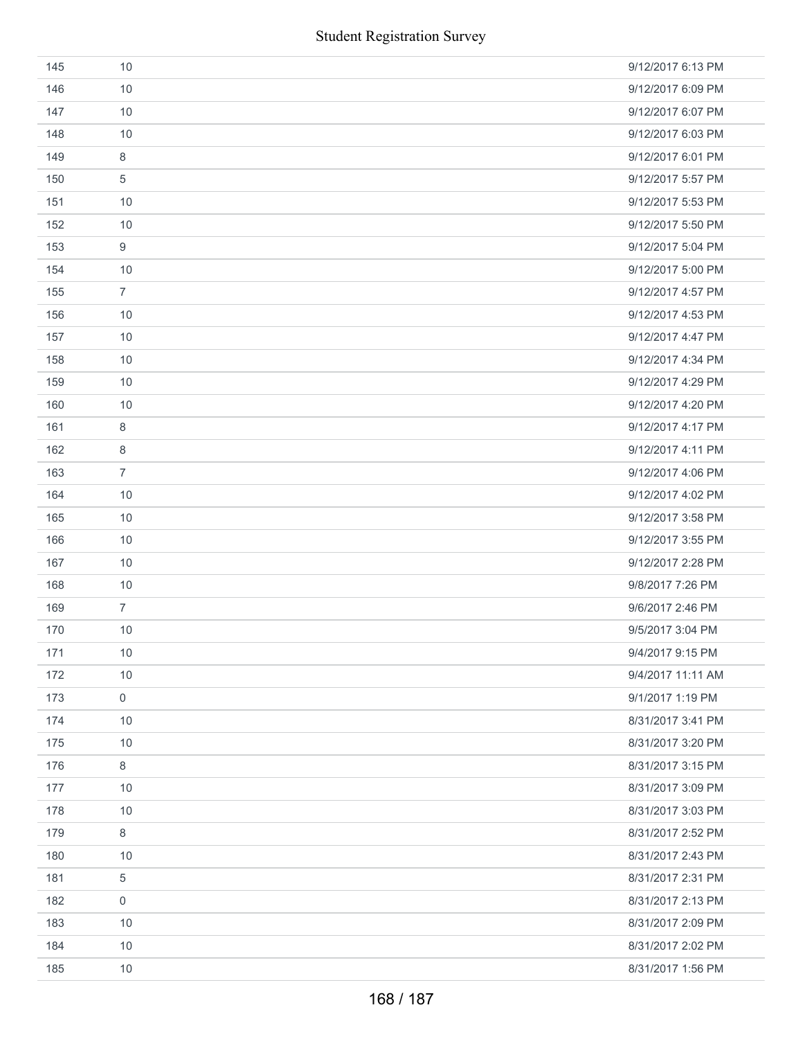|     | <b>Student Registration Survey</b> |                   |
|-----|------------------------------------|-------------------|
| 145 | 10                                 | 9/12/2017 6:13 PM |
| 146 | 10                                 | 9/12/2017 6:09 PM |
| 147 | 10                                 | 9/12/2017 6:07 PM |
| 148 | 10                                 | 9/12/2017 6:03 PM |
| 149 | 8                                  | 9/12/2017 6:01 PM |
| 150 | 5                                  | 9/12/2017 5:57 PM |
| 151 | 10                                 | 9/12/2017 5:53 PM |
| 152 | 10                                 | 9/12/2017 5:50 PM |
| 153 | 9                                  | 9/12/2017 5:04 PM |
| 154 | 10                                 | 9/12/2017 5:00 PM |
| 155 | $\overline{7}$                     | 9/12/2017 4:57 PM |
| 156 | 10                                 | 9/12/2017 4:53 PM |
| 157 | 10                                 | 9/12/2017 4:47 PM |
| 158 | 10                                 | 9/12/2017 4:34 PM |
| 159 | 10                                 | 9/12/2017 4:29 PM |
| 160 | 10                                 | 9/12/2017 4:20 PM |
| 161 | 8                                  | 9/12/2017 4:17 PM |
| 162 | 8                                  | 9/12/2017 4:11 PM |
| 163 | $\overline{7}$                     | 9/12/2017 4:06 PM |
| 164 | 10                                 | 9/12/2017 4:02 PM |
| 165 | 10                                 | 9/12/2017 3:58 PM |
| 166 | 10                                 | 9/12/2017 3:55 PM |
| 167 | 10                                 | 9/12/2017 2:28 PM |
| 168 | $10$                               | 9/8/2017 7:26 PM  |
| 169 | $\overline{7}$                     | 9/6/2017 2:46 PM  |
| 170 | 10                                 | 9/5/2017 3:04 PM  |
| 171 | 10                                 | 9/4/2017 9:15 PM  |
| 172 | 10                                 | 9/4/2017 11:11 AM |
| 173 | 0                                  | 9/1/2017 1:19 PM  |
| 174 | 10                                 | 8/31/2017 3:41 PM |
| 175 | 10                                 | 8/31/2017 3:20 PM |
| 176 | 8                                  | 8/31/2017 3:15 PM |
| 177 | 10                                 | 8/31/2017 3:09 PM |
| 178 | 10                                 | 8/31/2017 3:03 PM |
| 179 | 8                                  | 8/31/2017 2:52 PM |
| 180 | 10                                 | 8/31/2017 2:43 PM |
| 181 | $\,$ 5 $\,$                        | 8/31/2017 2:31 PM |
| 182 | 0                                  | 8/31/2017 2:13 PM |
| 183 | 10                                 | 8/31/2017 2:09 PM |
| 184 | 10                                 | 8/31/2017 2:02 PM |
| 185 | 10                                 | 8/31/2017 1:56 PM |
|     | 168 / 187                          |                   |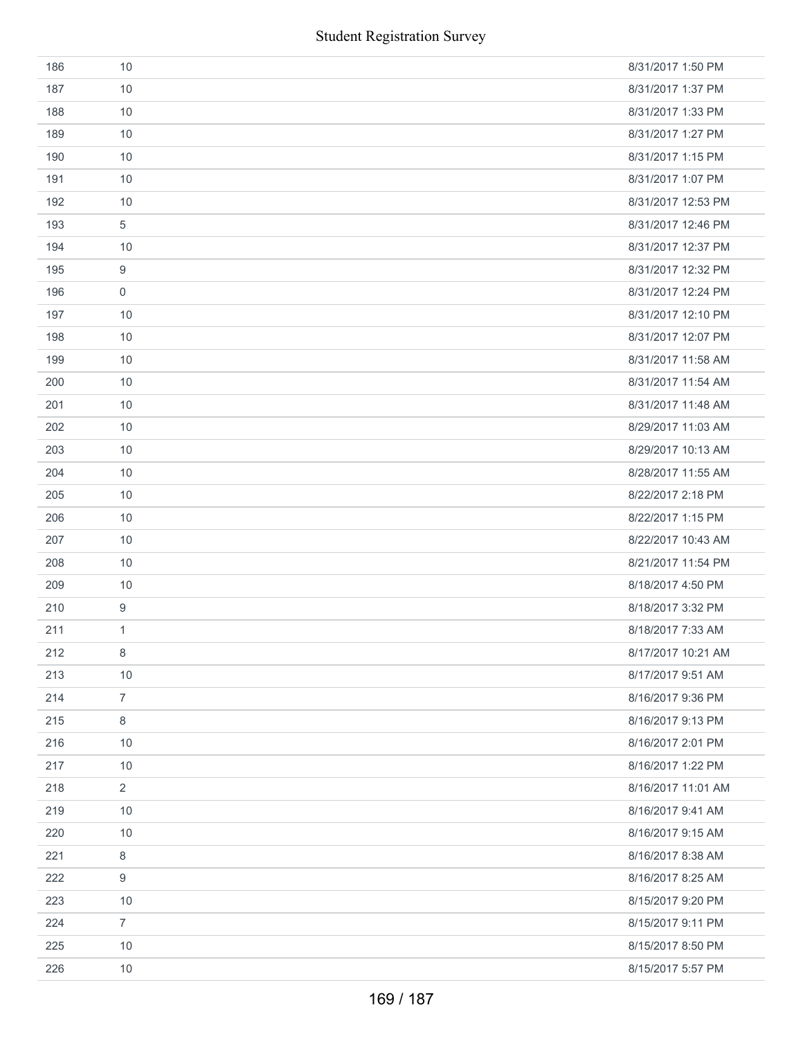|     | <b>Student Registration Survey</b> |                    |
|-----|------------------------------------|--------------------|
| 186 | 10                                 | 8/31/2017 1:50 PM  |
| 187 | 10                                 | 8/31/2017 1:37 PM  |
| 188 | 10                                 | 8/31/2017 1:33 PM  |
| 189 | 10                                 | 8/31/2017 1:27 PM  |
| 190 | 10                                 | 8/31/2017 1:15 PM  |
| 191 | 10                                 | 8/31/2017 1:07 PM  |
| 192 | 10                                 | 8/31/2017 12:53 PM |
| 193 | 5                                  | 8/31/2017 12:46 PM |
| 194 | 10                                 | 8/31/2017 12:37 PM |
| 195 | 9                                  | 8/31/2017 12:32 PM |
| 196 | $\mathbf 0$                        | 8/31/2017 12:24 PM |
| 197 | 10                                 | 8/31/2017 12:10 PM |
| 198 | 10                                 | 8/31/2017 12:07 PM |
| 199 | 10                                 | 8/31/2017 11:58 AM |
| 200 | 10                                 | 8/31/2017 11:54 AM |
| 201 | 10                                 | 8/31/2017 11:48 AM |
| 202 | 10                                 | 8/29/2017 11:03 AM |
| 203 | 10                                 | 8/29/2017 10:13 AM |
| 204 | 10                                 | 8/28/2017 11:55 AM |
| 205 | 10                                 | 8/22/2017 2:18 PM  |
| 206 | 10                                 | 8/22/2017 1:15 PM  |
| 207 | 10                                 | 8/22/2017 10:43 AM |
| 208 | 10                                 | 8/21/2017 11:54 PM |
| 209 | 10                                 | 8/18/2017 4:50 PM  |
| 210 | 9                                  | 8/18/2017 3:32 PM  |
| 211 | 1                                  | 8/18/2017 7:33 AM  |
| 212 | 8                                  | 8/17/2017 10:21 AM |
| 213 | 10                                 | 8/17/2017 9:51 AM  |
| 214 | $\overline{7}$                     | 8/16/2017 9:36 PM  |
| 215 | 8                                  | 8/16/2017 9:13 PM  |
| 216 | 10                                 | 8/16/2017 2:01 PM  |
| 217 | 10                                 | 8/16/2017 1:22 PM  |
| 218 | $\overline{2}$                     | 8/16/2017 11:01 AM |
| 219 | 10                                 | 8/16/2017 9:41 AM  |
| 220 | 10                                 | 8/16/2017 9:15 AM  |
| 221 | 8                                  | 8/16/2017 8:38 AM  |
| 222 | 9                                  | 8/16/2017 8:25 AM  |
| 223 | 10                                 | 8/15/2017 9:20 PM  |
| 224 | $\overline{7}$                     | 8/15/2017 9:11 PM  |
| 225 | 10                                 | 8/15/2017 8:50 PM  |
| 226 | 10                                 | 8/15/2017 5:57 PM  |
|     | 169 / 187                          |                    |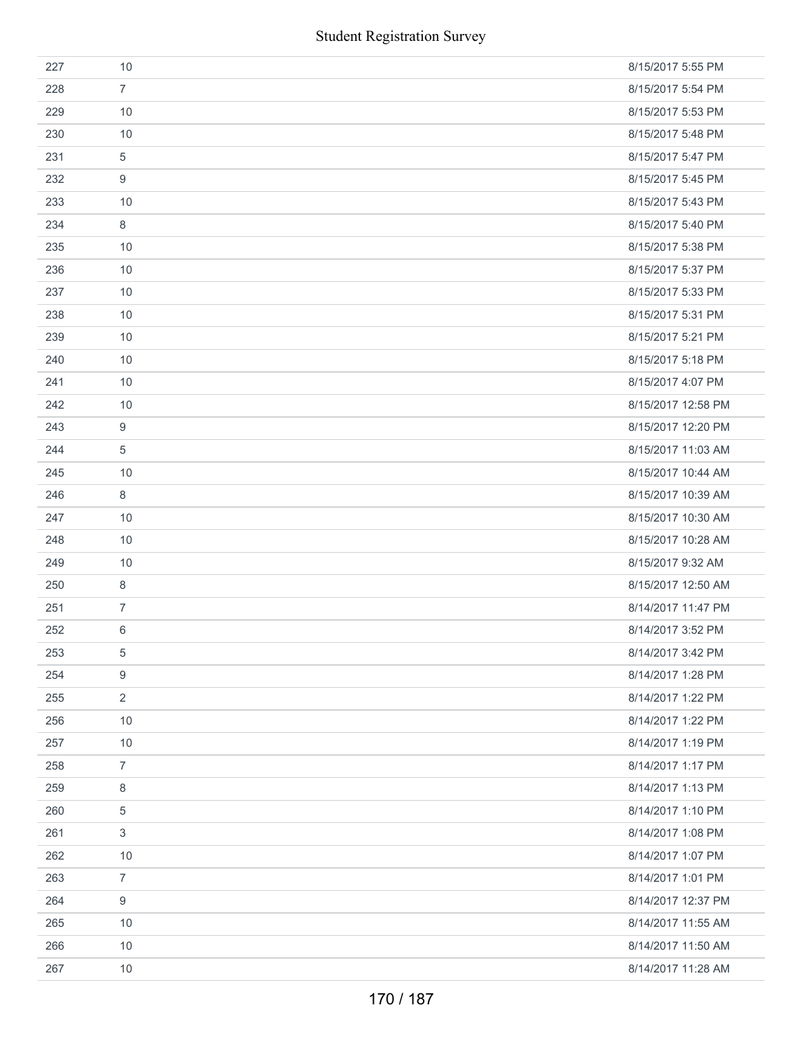|     |                  | <b>Student Registration Survey</b> |
|-----|------------------|------------------------------------|
| 227 | 10               | 8/15/2017 5:55 PM                  |
| 228 | $\overline{7}$   | 8/15/2017 5:54 PM                  |
| 229 | 10               | 8/15/2017 5:53 PM                  |
| 230 | 10               | 8/15/2017 5:48 PM                  |
| 231 | $\sqrt{5}$       | 8/15/2017 5:47 PM                  |
| 232 | $\boldsymbol{9}$ | 8/15/2017 5:45 PM                  |
| 233 | 10               | 8/15/2017 5:43 PM                  |
| 234 | $\,8\,$          | 8/15/2017 5:40 PM                  |
| 235 | 10               | 8/15/2017 5:38 PM                  |
| 236 | 10               | 8/15/2017 5:37 PM                  |
| 237 | 10               | 8/15/2017 5:33 PM                  |
| 238 | 10               | 8/15/2017 5:31 PM                  |
| 239 | 10               | 8/15/2017 5:21 PM                  |
| 240 | 10               | 8/15/2017 5:18 PM                  |
| 241 | 10               | 8/15/2017 4:07 PM                  |
| 242 | 10               | 8/15/2017 12:58 PM                 |
| 243 | $\boldsymbol{9}$ | 8/15/2017 12:20 PM                 |
| 244 | $\sqrt{5}$       | 8/15/2017 11:03 AM                 |
| 245 | 10               | 8/15/2017 10:44 AM                 |
| 246 | $\,8\,$          | 8/15/2017 10:39 AM                 |
| 247 | 10               | 8/15/2017 10:30 AM                 |
| 248 | 10               | 8/15/2017 10:28 AM                 |
| 249 | 10               | 8/15/2017 9:32 AM                  |
| 250 | $\,8\,$          | 8/15/2017 12:50 AM                 |
| 251 | $\overline{7}$   | 8/14/2017 11:47 PM                 |
| 252 | 6                | 8/14/2017 3:52 PM                  |
| 253 | $\,$ 5 $\,$      | 8/14/2017 3:42 PM                  |
| 254 | $\boldsymbol{9}$ | 8/14/2017 1:28 PM                  |
| 255 | $\overline{2}$   | 8/14/2017 1:22 PM                  |
| 256 | 10               | 8/14/2017 1:22 PM                  |
| 257 | 10               | 8/14/2017 1:19 PM                  |
| 258 | $\overline{7}$   | 8/14/2017 1:17 PM                  |
| 259 | 8                | 8/14/2017 1:13 PM                  |
| 260 | $\,$ 5 $\,$      | 8/14/2017 1:10 PM                  |
| 261 | $\mathfrak{S}$   | 8/14/2017 1:08 PM                  |
| 262 | 10               | 8/14/2017 1:07 PM                  |
| 263 | $\overline{7}$   | 8/14/2017 1:01 PM                  |
| 264 | $\boldsymbol{9}$ | 8/14/2017 12:37 PM                 |
| 265 | 10               | 8/14/2017 11:55 AM                 |
| 266 | 10               | 8/14/2017 11:50 AM                 |
| 267 | 10               | 8/14/2017 11:28 AM                 |
|     |                  | 170 / 187                          |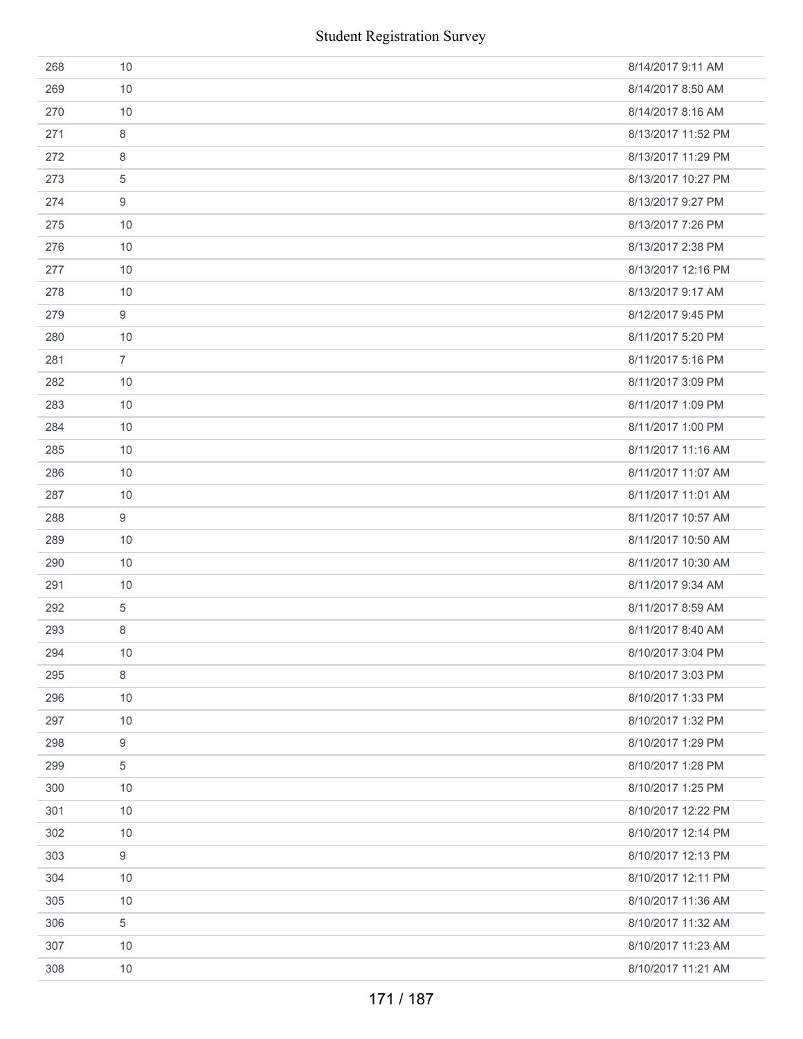|     | <b>Student Registration Survey</b> |                    |
|-----|------------------------------------|--------------------|
| 268 | 10                                 | 8/14/2017 9:11 AM  |
| 269 | 10                                 | 8/14/2017 8:50 AM  |
| 270 | 10                                 | 8/14/2017 8:16 AM  |
| 271 | 8                                  | 8/13/2017 11:52 PM |
| 272 | 8                                  | 8/13/2017 11:29 PM |
| 273 | 5                                  | 8/13/2017 10:27 PM |
| 274 | 9                                  | 8/13/2017 9:27 PM  |
| 275 | 10                                 | 8/13/2017 7:26 PM  |
| 276 | 10                                 | 8/13/2017 2:38 PM  |
| 277 | 10                                 | 8/13/2017 12:16 PM |
| 278 | 10                                 | 8/13/2017 9:17 AM  |
| 279 | 9                                  | 8/12/2017 9:45 PM  |
| 280 | 10                                 | 8/11/2017 5:20 PM  |
| 281 | $\overline{7}$                     | 8/11/2017 5:16 PM  |
| 282 | 10                                 | 8/11/2017 3:09 PM  |
| 283 | 10                                 | 8/11/2017 1:09 PM  |
| 284 | 10                                 | 8/11/2017 1:00 PM  |
| 285 | 10                                 | 8/11/2017 11:16 AM |
| 286 | 10                                 | 8/11/2017 11:07 AM |
| 287 | 10                                 | 8/11/2017 11:01 AM |
| 288 | $\boldsymbol{9}$                   | 8/11/2017 10:57 AM |
| 289 | 10                                 | 8/11/2017 10:50 AM |
| 290 | 10                                 | 8/11/2017 10:30 AM |
| 291 | 10                                 | 8/11/2017 9:34 AM  |
| 292 | 5                                  | 8/11/2017 8:59 AM  |
| 293 | 8                                  | 8/11/2017 8:40 AM  |
| 294 | 10                                 | 8/10/2017 3:04 PM  |
| 295 | 8                                  | 8/10/2017 3:03 PM  |
| 296 | 10                                 | 8/10/2017 1:33 PM  |
| 297 | 10                                 | 8/10/2017 1:32 PM  |
| 298 | 9                                  | 8/10/2017 1:29 PM  |
| 299 | 5                                  | 8/10/2017 1:28 PM  |
| 300 | 10                                 | 8/10/2017 1:25 PM  |
| 301 | 10                                 | 8/10/2017 12:22 PM |
| 302 | 10                                 | 8/10/2017 12:14 PM |
| 303 | 9                                  | 8/10/2017 12:13 PM |
| 304 | 10                                 | 8/10/2017 12:11 PM |
| 305 | 10                                 | 8/10/2017 11:36 AM |
| 306 | 5                                  | 8/10/2017 11:32 AM |
| 307 | 10                                 | 8/10/2017 11:23 AM |
| 308 | 10                                 | 8/10/2017 11:21 AM |
|     | 171 / 187                          |                    |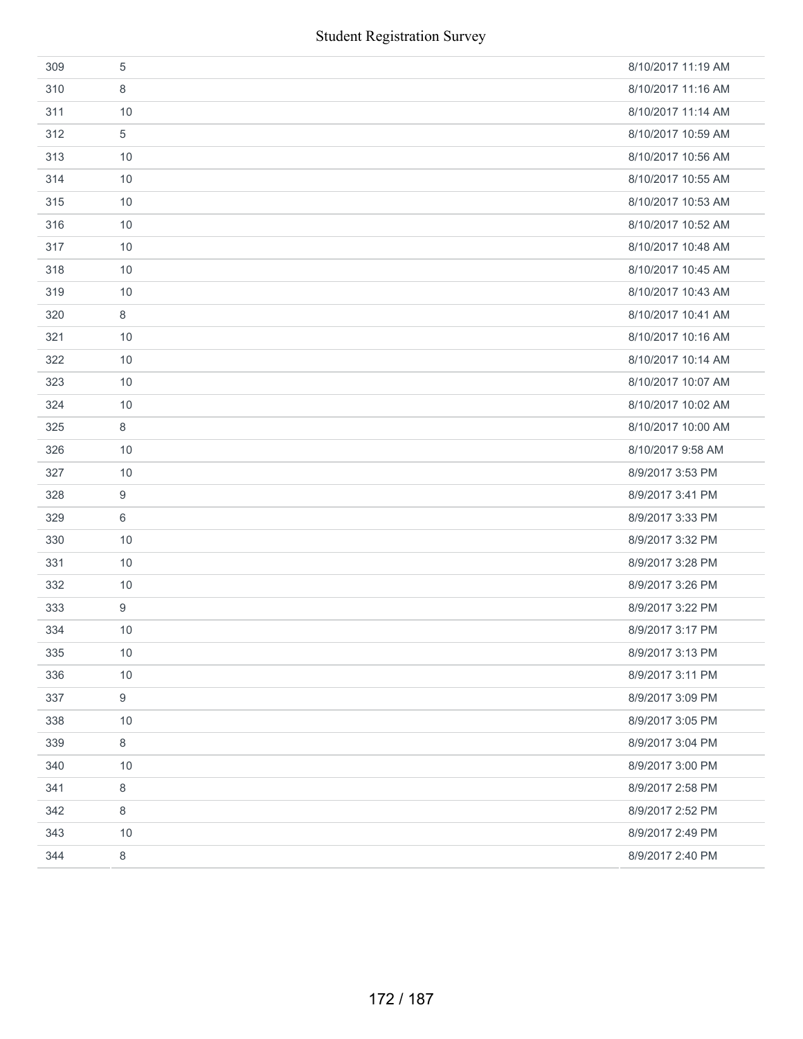| 309 | 5                | 8/10/2017 11:19 AM |
|-----|------------------|--------------------|
| 310 | 8                | 8/10/2017 11:16 AM |
| 311 | 10               | 8/10/2017 11:14 AM |
| 312 | $\sqrt{5}$       | 8/10/2017 10:59 AM |
| 313 | 10               | 8/10/2017 10:56 AM |
| 314 | 10               | 8/10/2017 10:55 AM |
| 315 | 10               | 8/10/2017 10:53 AM |
| 316 | 10               | 8/10/2017 10:52 AM |
| 317 | 10               | 8/10/2017 10:48 AM |
| 318 | 10               | 8/10/2017 10:45 AM |
| 319 | 10               | 8/10/2017 10:43 AM |
| 320 | $\,8\,$          | 8/10/2017 10:41 AM |
| 321 | 10               | 8/10/2017 10:16 AM |
| 322 | 10               | 8/10/2017 10:14 AM |
| 323 | 10               | 8/10/2017 10:07 AM |
| 324 | 10               | 8/10/2017 10:02 AM |
| 325 | 8                | 8/10/2017 10:00 AM |
| 326 | 10               | 8/10/2017 9:58 AM  |
| 327 | 10               | 8/9/2017 3:53 PM   |
| 328 | 9                | 8/9/2017 3:41 PM   |
| 329 | 6                | 8/9/2017 3:33 PM   |
| 330 | 10               | 8/9/2017 3:32 PM   |
| 331 | 10               | 8/9/2017 3:28 PM   |
| 332 | 10               | 8/9/2017 3:26 PM   |
| 333 | $\boldsymbol{9}$ | 8/9/2017 3:22 PM   |
| 334 | 10               | 8/9/2017 3:17 PM   |
| 335 | 10               | 8/9/2017 3:13 PM   |
| 336 | 10               | 8/9/2017 3:11 PM   |
| 337 | $\boldsymbol{9}$ | 8/9/2017 3:09 PM   |
| 338 | 10               | 8/9/2017 3:05 PM   |
| 339 | $\,8\,$          | 8/9/2017 3:04 PM   |
| 340 | 10               | 8/9/2017 3:00 PM   |
| 341 | 8                | 8/9/2017 2:58 PM   |
| 342 | 8                | 8/9/2017 2:52 PM   |
| 343 | 10               | 8/9/2017 2:49 PM   |
| 344 | $\,8\,$          | 8/9/2017 2:40 PM   |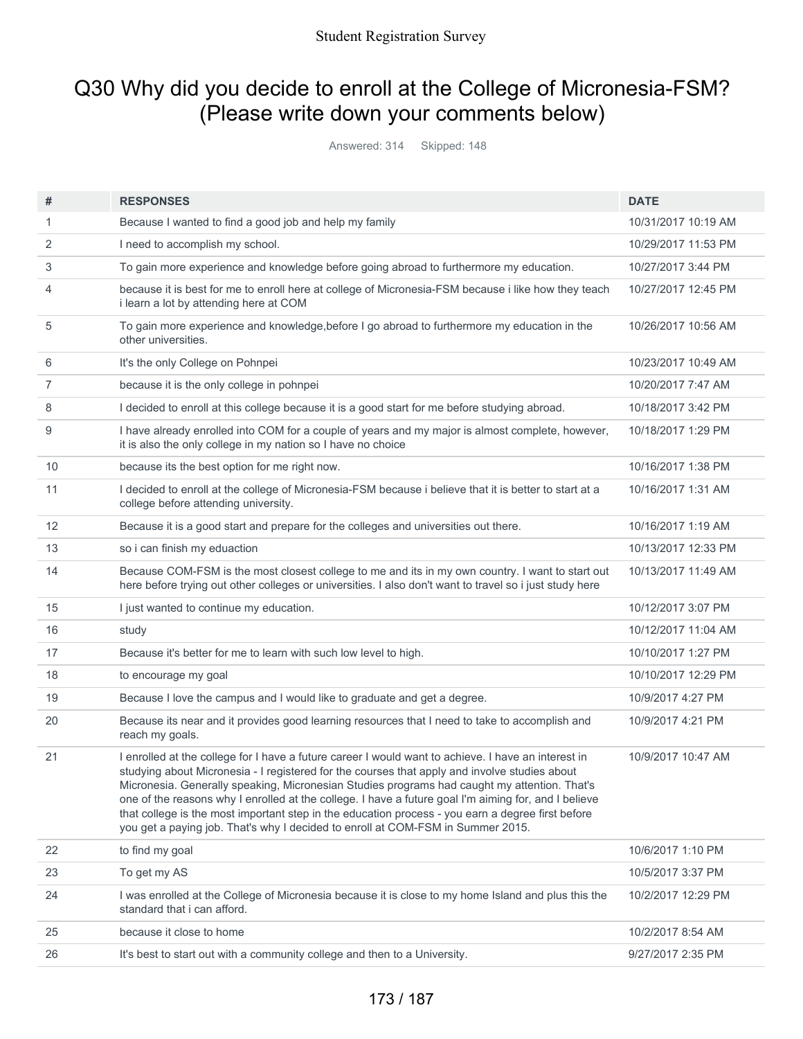## Q30 Why did you decide to enroll at the College of Micronesia-FSM? (Please write down your comments below)

Answered: 314 Skipped: 148

| #                 | <b>RESPONSES</b>                                                                                                                                                                                                                                                                                                                                                                                                                                                                                                                                                                                     | <b>DATE</b>         |
|-------------------|------------------------------------------------------------------------------------------------------------------------------------------------------------------------------------------------------------------------------------------------------------------------------------------------------------------------------------------------------------------------------------------------------------------------------------------------------------------------------------------------------------------------------------------------------------------------------------------------------|---------------------|
| 1                 | Because I wanted to find a good job and help my family                                                                                                                                                                                                                                                                                                                                                                                                                                                                                                                                               | 10/31/2017 10:19 AM |
| 2                 | I need to accomplish my school.                                                                                                                                                                                                                                                                                                                                                                                                                                                                                                                                                                      | 10/29/2017 11:53 PM |
| 3                 | To gain more experience and knowledge before going abroad to furthermore my education.                                                                                                                                                                                                                                                                                                                                                                                                                                                                                                               | 10/27/2017 3:44 PM  |
| 4                 | because it is best for me to enroll here at college of Micronesia-FSM because i like how they teach<br>i learn a lot by attending here at COM                                                                                                                                                                                                                                                                                                                                                                                                                                                        | 10/27/2017 12:45 PM |
| 5                 | To gain more experience and knowledge, before I go abroad to furthermore my education in the<br>other universities.                                                                                                                                                                                                                                                                                                                                                                                                                                                                                  | 10/26/2017 10:56 AM |
| 6                 | It's the only College on Pohnpei                                                                                                                                                                                                                                                                                                                                                                                                                                                                                                                                                                     | 10/23/2017 10:49 AM |
| 7                 | because it is the only college in pohnpei                                                                                                                                                                                                                                                                                                                                                                                                                                                                                                                                                            | 10/20/2017 7:47 AM  |
| 8                 | I decided to enroll at this college because it is a good start for me before studying abroad.                                                                                                                                                                                                                                                                                                                                                                                                                                                                                                        | 10/18/2017 3:42 PM  |
| 9                 | I have already enrolled into COM for a couple of years and my major is almost complete, however,<br>it is also the only college in my nation so I have no choice                                                                                                                                                                                                                                                                                                                                                                                                                                     | 10/18/2017 1:29 PM  |
| 10                | because its the best option for me right now.                                                                                                                                                                                                                                                                                                                                                                                                                                                                                                                                                        | 10/16/2017 1:38 PM  |
| 11                | I decided to enroll at the college of Micronesia-FSM because i believe that it is better to start at a<br>college before attending university.                                                                                                                                                                                                                                                                                                                                                                                                                                                       | 10/16/2017 1:31 AM  |
| $12 \overline{ }$ | Because it is a good start and prepare for the colleges and universities out there.                                                                                                                                                                                                                                                                                                                                                                                                                                                                                                                  | 10/16/2017 1:19 AM  |
| 13                | so i can finish my eduaction                                                                                                                                                                                                                                                                                                                                                                                                                                                                                                                                                                         | 10/13/2017 12:33 PM |
| 14                | Because COM-FSM is the most closest college to me and its in my own country. I want to start out<br>here before trying out other colleges or universities. I also don't want to travel so i just study here                                                                                                                                                                                                                                                                                                                                                                                          | 10/13/2017 11:49 AM |
| 15                | I just wanted to continue my education.                                                                                                                                                                                                                                                                                                                                                                                                                                                                                                                                                              | 10/12/2017 3:07 PM  |
| 16                | study                                                                                                                                                                                                                                                                                                                                                                                                                                                                                                                                                                                                | 10/12/2017 11:04 AM |
| 17                | Because it's better for me to learn with such low level to high.                                                                                                                                                                                                                                                                                                                                                                                                                                                                                                                                     | 10/10/2017 1:27 PM  |
| 18                | to encourage my goal                                                                                                                                                                                                                                                                                                                                                                                                                                                                                                                                                                                 | 10/10/2017 12:29 PM |
| 19                | Because I love the campus and I would like to graduate and get a degree.                                                                                                                                                                                                                                                                                                                                                                                                                                                                                                                             | 10/9/2017 4:27 PM   |
| 20                | Because its near and it provides good learning resources that I need to take to accomplish and<br>reach my goals.                                                                                                                                                                                                                                                                                                                                                                                                                                                                                    | 10/9/2017 4:21 PM   |
| 21                | I enrolled at the college for I have a future career I would want to achieve. I have an interest in<br>studying about Micronesia - I registered for the courses that apply and involve studies about<br>Micronesia. Generally speaking, Micronesian Studies programs had caught my attention. That's<br>one of the reasons why I enrolled at the college. I have a future goal I'm aiming for, and I believe<br>that college is the most important step in the education process - you earn a degree first before<br>you get a paying job. That's why I decided to enroll at COM-FSM in Summer 2015. | 10/9/2017 10:47 AM  |
| 22                | to find my goal                                                                                                                                                                                                                                                                                                                                                                                                                                                                                                                                                                                      | 10/6/2017 1:10 PM   |
| 23                | To get my AS                                                                                                                                                                                                                                                                                                                                                                                                                                                                                                                                                                                         | 10/5/2017 3:37 PM   |
| 24                | I was enrolled at the College of Micronesia because it is close to my home Island and plus this the<br>standard that i can afford.                                                                                                                                                                                                                                                                                                                                                                                                                                                                   | 10/2/2017 12:29 PM  |
| 25                | because it close to home                                                                                                                                                                                                                                                                                                                                                                                                                                                                                                                                                                             | 10/2/2017 8:54 AM   |
| 26                | It's best to start out with a community college and then to a University.                                                                                                                                                                                                                                                                                                                                                                                                                                                                                                                            | 9/27/2017 2:35 PM   |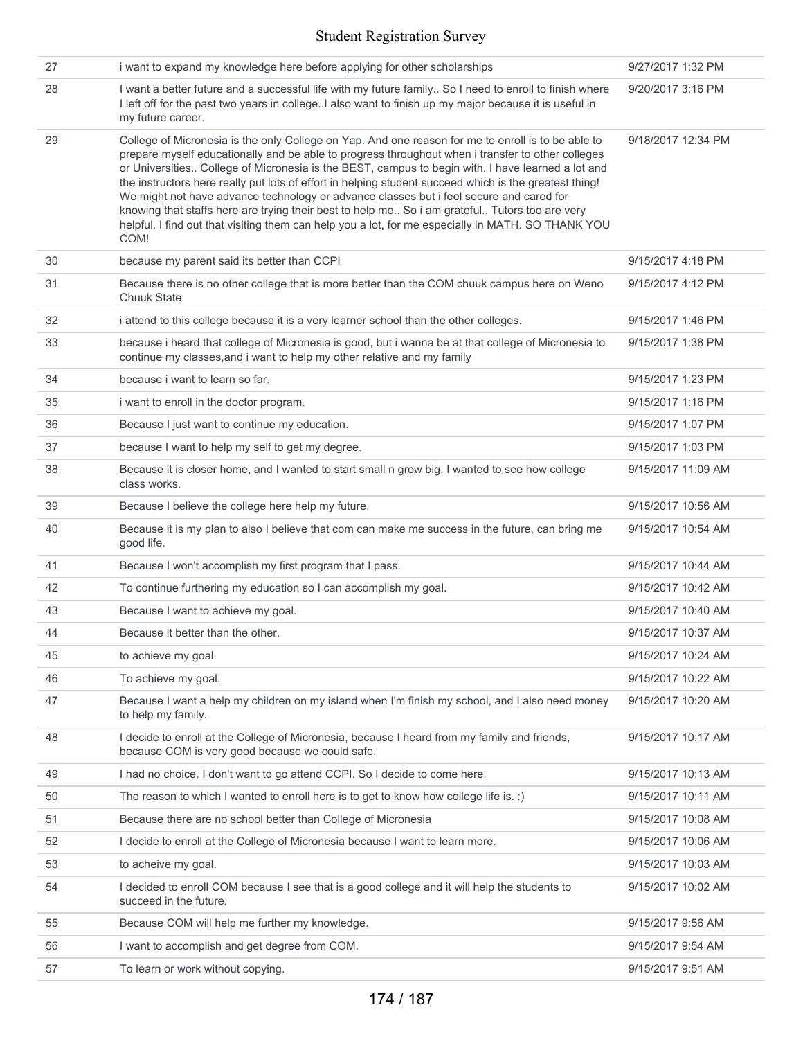| 27 | i want to expand my knowledge here before applying for other scholarships                                                                                                                                                                                                                                                                                                                                                                                                                                                                                                                                                                                                                                                         | 9/27/2017 1:32 PM  |
|----|-----------------------------------------------------------------------------------------------------------------------------------------------------------------------------------------------------------------------------------------------------------------------------------------------------------------------------------------------------------------------------------------------------------------------------------------------------------------------------------------------------------------------------------------------------------------------------------------------------------------------------------------------------------------------------------------------------------------------------------|--------------------|
| 28 | I want a better future and a successful life with my future family So I need to enroll to finish where<br>I left off for the past two years in collegeI also want to finish up my major because it is useful in<br>my future career.                                                                                                                                                                                                                                                                                                                                                                                                                                                                                              | 9/20/2017 3:16 PM  |
| 29 | College of Micronesia is the only College on Yap. And one reason for me to enroll is to be able to<br>prepare myself educationally and be able to progress throughout when i transfer to other colleges<br>or Universities College of Micronesia is the BEST, campus to begin with. I have learned a lot and<br>the instructors here really put lots of effort in helping student succeed which is the greatest thing!<br>We might not have advance technology or advance classes but i feel secure and cared for<br>knowing that staffs here are trying their best to help me So i am grateful Tutors too are very<br>helpful. I find out that visiting them can help you a lot, for me especially in MATH. SO THANK YOU<br>COM! | 9/18/2017 12:34 PM |
| 30 | because my parent said its better than CCPI                                                                                                                                                                                                                                                                                                                                                                                                                                                                                                                                                                                                                                                                                       | 9/15/2017 4:18 PM  |
| 31 | Because there is no other college that is more better than the COM chuuk campus here on Weno<br>Chuuk State                                                                                                                                                                                                                                                                                                                                                                                                                                                                                                                                                                                                                       | 9/15/2017 4:12 PM  |
| 32 | i attend to this college because it is a very learner school than the other colleges.                                                                                                                                                                                                                                                                                                                                                                                                                                                                                                                                                                                                                                             | 9/15/2017 1:46 PM  |
| 33 | because i heard that college of Micronesia is good, but i wanna be at that college of Micronesia to<br>continue my classes, and i want to help my other relative and my family                                                                                                                                                                                                                                                                                                                                                                                                                                                                                                                                                    | 9/15/2017 1:38 PM  |
| 34 | because i want to learn so far.                                                                                                                                                                                                                                                                                                                                                                                                                                                                                                                                                                                                                                                                                                   | 9/15/2017 1:23 PM  |
| 35 | i want to enroll in the doctor program.                                                                                                                                                                                                                                                                                                                                                                                                                                                                                                                                                                                                                                                                                           | 9/15/2017 1:16 PM  |
| 36 | Because I just want to continue my education.                                                                                                                                                                                                                                                                                                                                                                                                                                                                                                                                                                                                                                                                                     | 9/15/2017 1:07 PM  |
| 37 | because I want to help my self to get my degree.                                                                                                                                                                                                                                                                                                                                                                                                                                                                                                                                                                                                                                                                                  | 9/15/2017 1:03 PM  |
| 38 | Because it is closer home, and I wanted to start small n grow big. I wanted to see how college<br>class works.                                                                                                                                                                                                                                                                                                                                                                                                                                                                                                                                                                                                                    | 9/15/2017 11:09 AM |
| 39 | Because I believe the college here help my future.                                                                                                                                                                                                                                                                                                                                                                                                                                                                                                                                                                                                                                                                                | 9/15/2017 10:56 AM |
| 40 | Because it is my plan to also I believe that com can make me success in the future, can bring me<br>good life.                                                                                                                                                                                                                                                                                                                                                                                                                                                                                                                                                                                                                    | 9/15/2017 10:54 AM |
| 41 | Because I won't accomplish my first program that I pass.                                                                                                                                                                                                                                                                                                                                                                                                                                                                                                                                                                                                                                                                          | 9/15/2017 10:44 AM |
| 42 | To continue furthering my education so I can accomplish my goal.                                                                                                                                                                                                                                                                                                                                                                                                                                                                                                                                                                                                                                                                  | 9/15/2017 10:42 AM |
| 43 | Because I want to achieve my goal.                                                                                                                                                                                                                                                                                                                                                                                                                                                                                                                                                                                                                                                                                                | 9/15/2017 10:40 AM |
| 44 | Because it better than the other.                                                                                                                                                                                                                                                                                                                                                                                                                                                                                                                                                                                                                                                                                                 | 9/15/2017 10:37 AM |
| 45 | to achieve my goal.                                                                                                                                                                                                                                                                                                                                                                                                                                                                                                                                                                                                                                                                                                               | 9/15/2017 10:24 AM |
| 46 | To achieve my goal.                                                                                                                                                                                                                                                                                                                                                                                                                                                                                                                                                                                                                                                                                                               | 9/15/2017 10:22 AM |
| 47 | Because I want a help my children on my island when I'm finish my school, and I also need money<br>to help my family.                                                                                                                                                                                                                                                                                                                                                                                                                                                                                                                                                                                                             | 9/15/2017 10:20 AM |
| 48 | I decide to enroll at the College of Micronesia, because I heard from my family and friends,<br>because COM is very good because we could safe.                                                                                                                                                                                                                                                                                                                                                                                                                                                                                                                                                                                   | 9/15/2017 10:17 AM |
| 49 | I had no choice. I don't want to go attend CCPI. So I decide to come here.                                                                                                                                                                                                                                                                                                                                                                                                                                                                                                                                                                                                                                                        | 9/15/2017 10:13 AM |
| 50 | The reason to which I wanted to enroll here is to get to know how college life is. :)                                                                                                                                                                                                                                                                                                                                                                                                                                                                                                                                                                                                                                             | 9/15/2017 10:11 AM |
| 51 | Because there are no school better than College of Micronesia                                                                                                                                                                                                                                                                                                                                                                                                                                                                                                                                                                                                                                                                     | 9/15/2017 10:08 AM |
| 52 | I decide to enroll at the College of Micronesia because I want to learn more.                                                                                                                                                                                                                                                                                                                                                                                                                                                                                                                                                                                                                                                     | 9/15/2017 10:06 AM |
| 53 | to acheive my goal.                                                                                                                                                                                                                                                                                                                                                                                                                                                                                                                                                                                                                                                                                                               | 9/15/2017 10:03 AM |
| 54 | I decided to enroll COM because I see that is a good college and it will help the students to<br>succeed in the future.                                                                                                                                                                                                                                                                                                                                                                                                                                                                                                                                                                                                           | 9/15/2017 10:02 AM |
| 55 | Because COM will help me further my knowledge.                                                                                                                                                                                                                                                                                                                                                                                                                                                                                                                                                                                                                                                                                    | 9/15/2017 9:56 AM  |
| 56 | I want to accomplish and get degree from COM.                                                                                                                                                                                                                                                                                                                                                                                                                                                                                                                                                                                                                                                                                     | 9/15/2017 9:54 AM  |
| 57 | To learn or work without copying.                                                                                                                                                                                                                                                                                                                                                                                                                                                                                                                                                                                                                                                                                                 | 9/15/2017 9:51 AM  |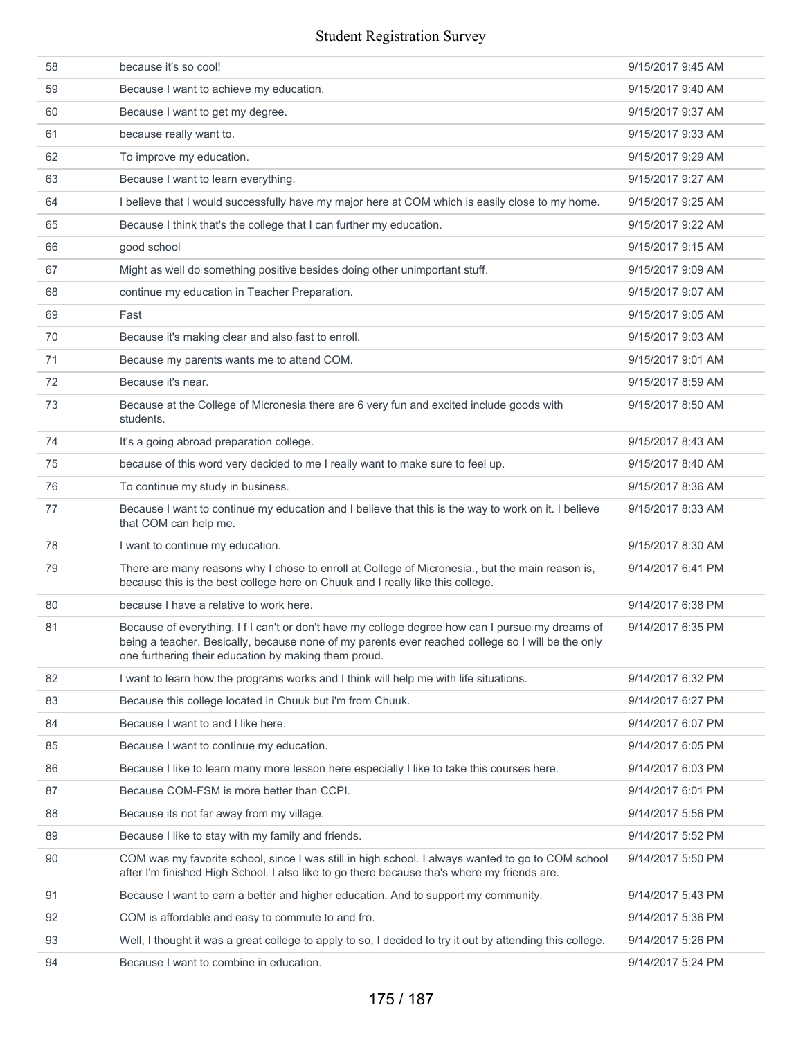| 58 | because it's so cool!                                                                                                                                                                                                                                         | 9/15/2017 9:45 AM |
|----|---------------------------------------------------------------------------------------------------------------------------------------------------------------------------------------------------------------------------------------------------------------|-------------------|
| 59 | Because I want to achieve my education.                                                                                                                                                                                                                       | 9/15/2017 9:40 AM |
| 60 | Because I want to get my degree.                                                                                                                                                                                                                              | 9/15/2017 9:37 AM |
| 61 | because really want to.                                                                                                                                                                                                                                       | 9/15/2017 9:33 AM |
| 62 | To improve my education.                                                                                                                                                                                                                                      | 9/15/2017 9:29 AM |
| 63 | Because I want to learn everything.                                                                                                                                                                                                                           | 9/15/2017 9:27 AM |
| 64 | I believe that I would successfully have my major here at COM which is easily close to my home.                                                                                                                                                               | 9/15/2017 9:25 AM |
| 65 | Because I think that's the college that I can further my education.                                                                                                                                                                                           | 9/15/2017 9:22 AM |
| 66 | good school                                                                                                                                                                                                                                                   | 9/15/2017 9:15 AM |
| 67 | Might as well do something positive besides doing other unimportant stuff.                                                                                                                                                                                    | 9/15/2017 9:09 AM |
| 68 | continue my education in Teacher Preparation.                                                                                                                                                                                                                 | 9/15/2017 9:07 AM |
| 69 | Fast                                                                                                                                                                                                                                                          | 9/15/2017 9:05 AM |
| 70 | Because it's making clear and also fast to enroll.                                                                                                                                                                                                            | 9/15/2017 9:03 AM |
| 71 | Because my parents wants me to attend COM.                                                                                                                                                                                                                    | 9/15/2017 9:01 AM |
| 72 | Because it's near.                                                                                                                                                                                                                                            | 9/15/2017 8:59 AM |
| 73 | Because at the College of Micronesia there are 6 very fun and excited include goods with<br>students.                                                                                                                                                         | 9/15/2017 8:50 AM |
| 74 | It's a going abroad preparation college.                                                                                                                                                                                                                      | 9/15/2017 8:43 AM |
| 75 | because of this word very decided to me I really want to make sure to feel up.                                                                                                                                                                                | 9/15/2017 8:40 AM |
| 76 | To continue my study in business.                                                                                                                                                                                                                             | 9/15/2017 8:36 AM |
| 77 | Because I want to continue my education and I believe that this is the way to work on it. I believe<br>that COM can help me.                                                                                                                                  | 9/15/2017 8:33 AM |
| 78 | I want to continue my education.                                                                                                                                                                                                                              | 9/15/2017 8:30 AM |
| 79 | There are many reasons why I chose to enroll at College of Micronesia., but the main reason is,<br>because this is the best college here on Chuuk and I really like this college.                                                                             | 9/14/2017 6:41 PM |
| 80 | because I have a relative to work here.                                                                                                                                                                                                                       | 9/14/2017 6:38 PM |
| 81 | Because of everything. I f I can't or don't have my college degree how can I pursue my dreams of<br>being a teacher. Besically, because none of my parents ever reached college so I will be the only<br>one furthering their education by making them proud. | 9/14/2017 6:35 PM |
| 82 | I want to learn how the programs works and I think will help me with life situations.                                                                                                                                                                         | 9/14/2017 6:32 PM |
| 83 | Because this college located in Chuuk but i'm from Chuuk.                                                                                                                                                                                                     | 9/14/2017 6:27 PM |
| 84 | Because I want to and I like here.                                                                                                                                                                                                                            | 9/14/2017 6:07 PM |
| 85 | Because I want to continue my education.                                                                                                                                                                                                                      | 9/14/2017 6:05 PM |
| 86 | Because I like to learn many more lesson here especially I like to take this courses here.                                                                                                                                                                    | 9/14/2017 6:03 PM |
| 87 | Because COM-FSM is more better than CCPI.                                                                                                                                                                                                                     | 9/14/2017 6:01 PM |
| 88 | Because its not far away from my village.                                                                                                                                                                                                                     | 9/14/2017 5:56 PM |
| 89 | Because I like to stay with my family and friends.                                                                                                                                                                                                            | 9/14/2017 5:52 PM |
| 90 | COM was my favorite school, since I was still in high school. I always wanted to go to COM school<br>after I'm finished High School. I also like to go there because tha's where my friends are.                                                              | 9/14/2017 5:50 PM |
| 91 | Because I want to earn a better and higher education. And to support my community.                                                                                                                                                                            | 9/14/2017 5:43 PM |
| 92 | COM is affordable and easy to commute to and fro.                                                                                                                                                                                                             | 9/14/2017 5:36 PM |
| 93 | Well, I thought it was a great college to apply to so, I decided to try it out by attending this college.                                                                                                                                                     | 9/14/2017 5:26 PM |
| 94 | Because I want to combine in education.                                                                                                                                                                                                                       | 9/14/2017 5:24 PM |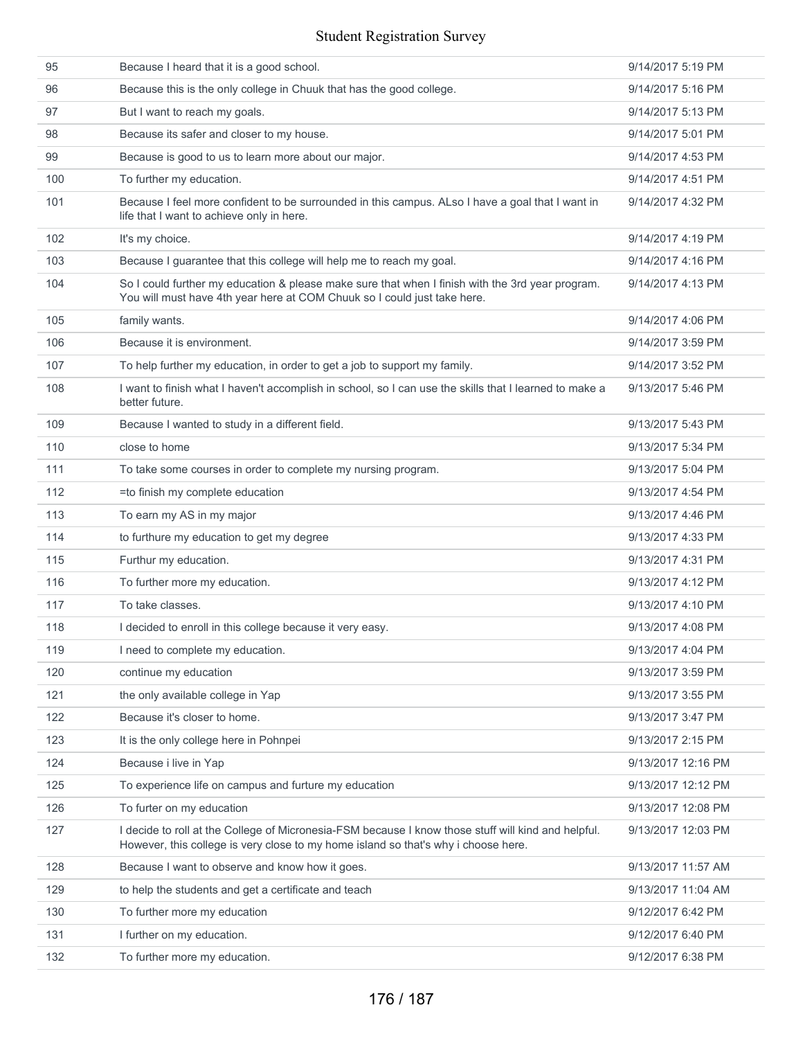| 95  | Because I heard that it is a good school.                                                                                                                                                 | 9/14/2017 5:19 PM  |
|-----|-------------------------------------------------------------------------------------------------------------------------------------------------------------------------------------------|--------------------|
| 96  | Because this is the only college in Chuuk that has the good college.                                                                                                                      | 9/14/2017 5:16 PM  |
| 97  | But I want to reach my goals.                                                                                                                                                             | 9/14/2017 5:13 PM  |
| 98  | Because its safer and closer to my house.                                                                                                                                                 | 9/14/2017 5:01 PM  |
| 99  | Because is good to us to learn more about our major.                                                                                                                                      | 9/14/2017 4:53 PM  |
| 100 | To further my education.                                                                                                                                                                  | 9/14/2017 4:51 PM  |
| 101 | Because I feel more confident to be surrounded in this campus. ALso I have a goal that I want in<br>life that I want to achieve only in here.                                             | 9/14/2017 4:32 PM  |
| 102 | It's my choice.                                                                                                                                                                           | 9/14/2017 4:19 PM  |
| 103 | Because I guarantee that this college will help me to reach my goal.                                                                                                                      | 9/14/2017 4:16 PM  |
| 104 | So I could further my education & please make sure that when I finish with the 3rd year program.<br>You will must have 4th year here at COM Chuuk so I could just take here.              | 9/14/2017 4:13 PM  |
| 105 | family wants.                                                                                                                                                                             | 9/14/2017 4:06 PM  |
| 106 | Because it is environment.                                                                                                                                                                | 9/14/2017 3:59 PM  |
| 107 | To help further my education, in order to get a job to support my family.                                                                                                                 | 9/14/2017 3:52 PM  |
| 108 | I want to finish what I haven't accomplish in school, so I can use the skills that I learned to make a<br>better future.                                                                  | 9/13/2017 5:46 PM  |
| 109 | Because I wanted to study in a different field.                                                                                                                                           | 9/13/2017 5:43 PM  |
| 110 | close to home                                                                                                                                                                             | 9/13/2017 5:34 PM  |
| 111 | To take some courses in order to complete my nursing program.                                                                                                                             | 9/13/2017 5:04 PM  |
| 112 | =to finish my complete education                                                                                                                                                          | 9/13/2017 4:54 PM  |
| 113 | To earn my AS in my major                                                                                                                                                                 | 9/13/2017 4:46 PM  |
| 114 | to furthure my education to get my degree                                                                                                                                                 | 9/13/2017 4:33 PM  |
| 115 | Furthur my education.                                                                                                                                                                     | 9/13/2017 4:31 PM  |
| 116 | To further more my education.                                                                                                                                                             | 9/13/2017 4:12 PM  |
| 117 | To take classes.                                                                                                                                                                          | 9/13/2017 4:10 PM  |
| 118 | I decided to enroll in this college because it very easy.                                                                                                                                 | 9/13/2017 4:08 PM  |
| 119 | I need to complete my education.                                                                                                                                                          | 9/13/2017 4:04 PM  |
| 120 | continue my education                                                                                                                                                                     | 9/13/2017 3:59 PM  |
| 121 | the only available college in Yap                                                                                                                                                         | 9/13/2017 3:55 PM  |
| 122 | Because it's closer to home.                                                                                                                                                              | 9/13/2017 3:47 PM  |
| 123 | It is the only college here in Pohnpei                                                                                                                                                    | 9/13/2017 2:15 PM  |
| 124 | Because i live in Yap                                                                                                                                                                     | 9/13/2017 12:16 PM |
| 125 | To experience life on campus and furture my education                                                                                                                                     | 9/13/2017 12:12 PM |
| 126 | To furter on my education                                                                                                                                                                 | 9/13/2017 12:08 PM |
| 127 | I decide to roll at the College of Micronesia-FSM because I know those stuff will kind and helpful.<br>However, this college is very close to my home island so that's why i choose here. | 9/13/2017 12:03 PM |
| 128 | Because I want to observe and know how it goes.                                                                                                                                           | 9/13/2017 11:57 AM |
| 129 | to help the students and get a certificate and teach                                                                                                                                      | 9/13/2017 11:04 AM |
| 130 | To further more my education                                                                                                                                                              | 9/12/2017 6:42 PM  |
| 131 | I further on my education.                                                                                                                                                                | 9/12/2017 6:40 PM  |
| 132 | To further more my education.                                                                                                                                                             | 9/12/2017 6:38 PM  |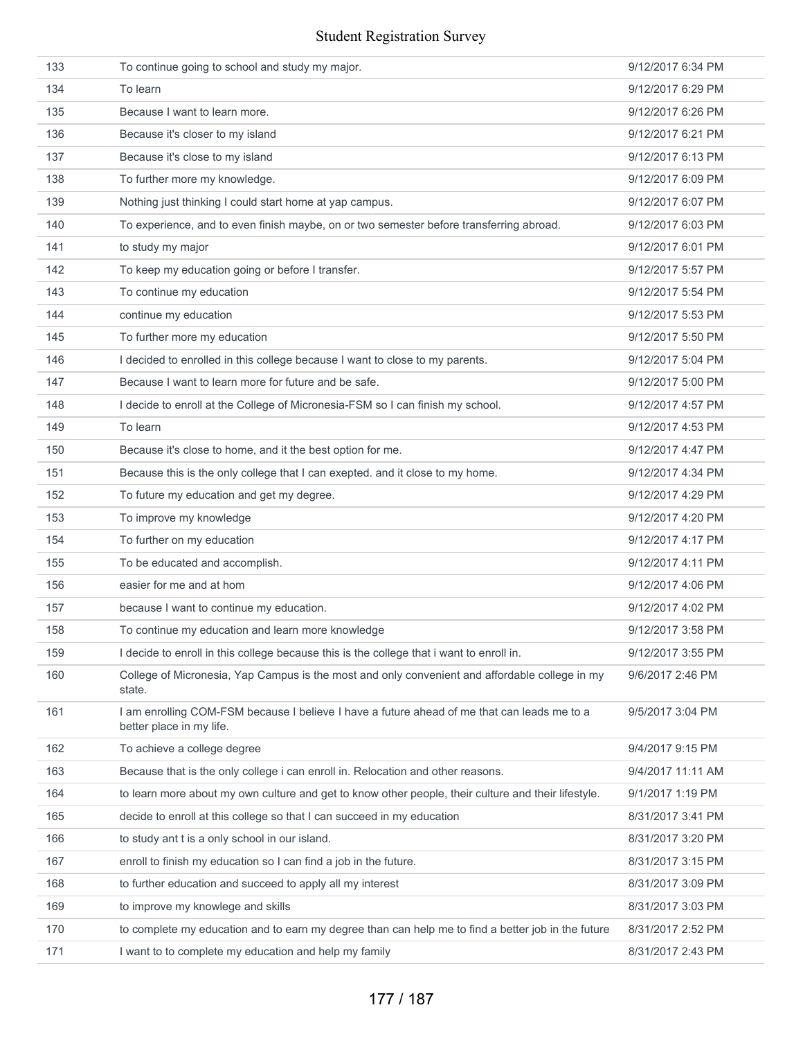| 133 | To continue going to school and study my major.                                                                         | 9/12/2017 6:34 PM |
|-----|-------------------------------------------------------------------------------------------------------------------------|-------------------|
| 134 | To learn                                                                                                                | 9/12/2017 6:29 PM |
| 135 | Because I want to learn more.                                                                                           | 9/12/2017 6:26 PM |
| 136 | Because it's closer to my island                                                                                        | 9/12/2017 6:21 PM |
| 137 | Because it's close to my island                                                                                         | 9/12/2017 6:13 PM |
| 138 | To further more my knowledge.                                                                                           | 9/12/2017 6:09 PM |
| 139 | Nothing just thinking I could start home at yap campus.                                                                 | 9/12/2017 6:07 PM |
| 140 | To experience, and to even finish maybe, on or two semester before transferring abroad.                                 | 9/12/2017 6:03 PM |
| 141 | to study my major                                                                                                       | 9/12/2017 6:01 PM |
| 142 | To keep my education going or before I transfer.                                                                        | 9/12/2017 5:57 PM |
| 143 | To continue my education                                                                                                | 9/12/2017 5:54 PM |
| 144 | continue my education                                                                                                   | 9/12/2017 5:53 PM |
| 145 | To further more my education                                                                                            | 9/12/2017 5:50 PM |
| 146 | I decided to enrolled in this college because I want to close to my parents.                                            | 9/12/2017 5:04 PM |
| 147 | Because I want to learn more for future and be safe.                                                                    | 9/12/2017 5:00 PM |
| 148 | I decide to enroll at the College of Micronesia-FSM so I can finish my school.                                          | 9/12/2017 4:57 PM |
| 149 | To learn                                                                                                                | 9/12/2017 4:53 PM |
| 150 | Because it's close to home, and it the best option for me.                                                              | 9/12/2017 4:47 PM |
| 151 | Because this is the only college that I can exepted. and it close to my home.                                           | 9/12/2017 4:34 PM |
| 152 | To future my education and get my degree.                                                                               | 9/12/2017 4:29 PM |
| 153 | To improve my knowledge                                                                                                 | 9/12/2017 4:20 PM |
| 154 | To further on my education                                                                                              | 9/12/2017 4:17 PM |
| 155 | To be educated and accomplish.                                                                                          | 9/12/2017 4:11 PM |
| 156 | easier for me and at hom                                                                                                | 9/12/2017 4:06 PM |
| 157 | because I want to continue my education.                                                                                | 9/12/2017 4:02 PM |
| 158 | To continue my education and learn more knowledge                                                                       | 9/12/2017 3:58 PM |
| 159 | I decide to enroll in this college because this is the college that i want to enroll in.                                | 9/12/2017 3:55 PM |
| 160 | College of Micronesia, Yap Campus is the most and only convenient and affordable college in my<br>state.                | 9/6/2017 2:46 PM  |
| 161 | I am enrolling COM-FSM because I believe I have a future ahead of me that can leads me to a<br>better place in my life. | 9/5/2017 3:04 PM  |
| 162 | To achieve a college degree                                                                                             | 9/4/2017 9:15 PM  |
| 163 | Because that is the only college i can enroll in. Relocation and other reasons.                                         | 9/4/2017 11:11 AM |
| 164 | to learn more about my own culture and get to know other people, their culture and their lifestyle.                     | 9/1/2017 1:19 PM  |
| 165 | decide to enroll at this college so that I can succeed in my education                                                  | 8/31/2017 3:41 PM |
| 166 | to study ant t is a only school in our island.                                                                          | 8/31/2017 3:20 PM |
| 167 | enroll to finish my education so I can find a job in the future.                                                        | 8/31/2017 3:15 PM |
| 168 | to further education and succeed to apply all my interest                                                               | 8/31/2017 3:09 PM |
| 169 | to improve my knowlege and skills                                                                                       | 8/31/2017 3:03 PM |
| 170 | to complete my education and to earn my degree than can help me to find a better job in the future                      | 8/31/2017 2:52 PM |
| 171 | I want to to complete my education and help my family                                                                   | 8/31/2017 2:43 PM |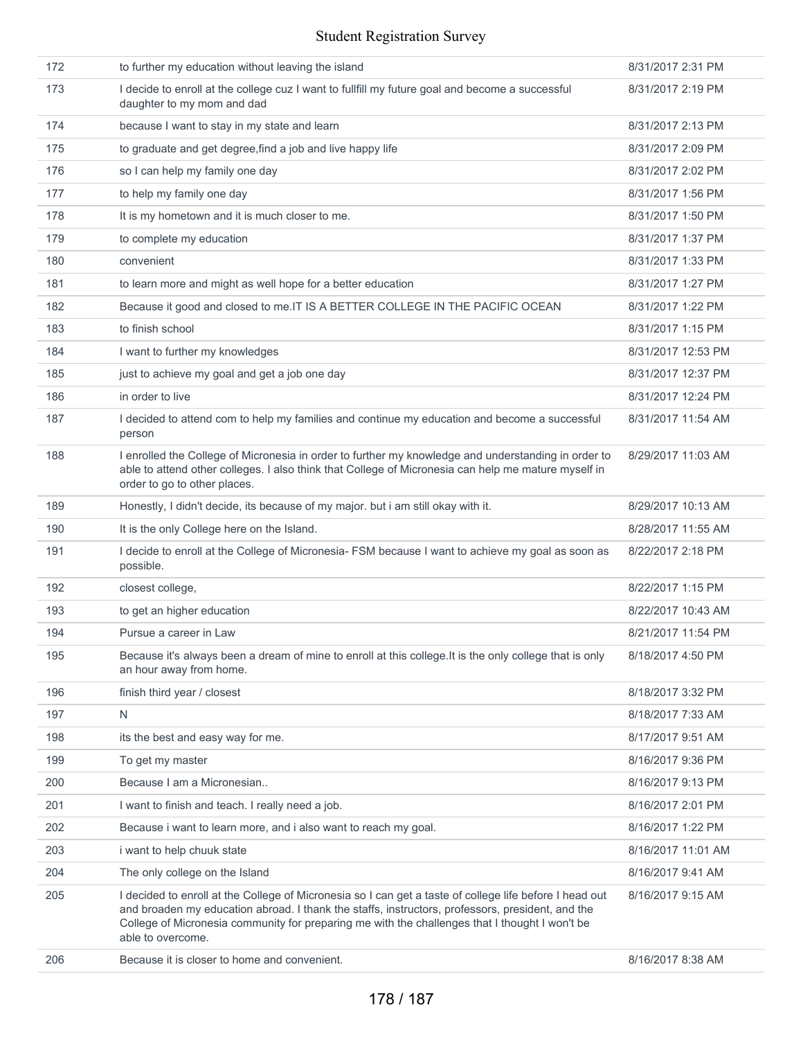|     | able to overcome.                                                                                                                                                                                                                                                                                             |                    |
|-----|---------------------------------------------------------------------------------------------------------------------------------------------------------------------------------------------------------------------------------------------------------------------------------------------------------------|--------------------|
| 205 | I decided to enroll at the College of Micronesia so I can get a taste of college life before I head out<br>and broaden my education abroad. I thank the staffs, instructors, professors, president, and the<br>College of Micronesia community for preparing me with the challenges that I thought I won't be | 8/16/2017 9:15 AM  |
| 204 | The only college on the Island                                                                                                                                                                                                                                                                                | 8/16/2017 9:41 AM  |
| 203 | i want to help chuuk state                                                                                                                                                                                                                                                                                    | 8/16/2017 11:01 AM |
| 202 | Because i want to learn more, and i also want to reach my goal.                                                                                                                                                                                                                                               | 8/16/2017 1:22 PM  |
| 201 | I want to finish and teach. I really need a job.                                                                                                                                                                                                                                                              | 8/16/2017 2:01 PM  |
| 200 | Because I am a Micronesian                                                                                                                                                                                                                                                                                    | 8/16/2017 9:13 PM  |
| 199 | To get my master                                                                                                                                                                                                                                                                                              | 8/16/2017 9:36 PM  |
| 198 | its the best and easy way for me.                                                                                                                                                                                                                                                                             | 8/17/2017 9:51 AM  |
| 197 | N                                                                                                                                                                                                                                                                                                             | 8/18/2017 7:33 AM  |
| 196 | finish third year / closest                                                                                                                                                                                                                                                                                   | 8/18/2017 3:32 PM  |
| 195 | Because it's always been a dream of mine to enroll at this college. It is the only college that is only<br>an hour away from home.                                                                                                                                                                            | 8/18/2017 4:50 PM  |
| 194 | Pursue a career in Law                                                                                                                                                                                                                                                                                        | 8/21/2017 11:54 PM |
| 193 | to get an higher education                                                                                                                                                                                                                                                                                    | 8/22/2017 10:43 AM |
| 192 | closest college.                                                                                                                                                                                                                                                                                              | 8/22/2017 1:15 PM  |
| 191 | I decide to enroll at the College of Micronesia- FSM because I want to achieve my goal as soon as<br>possible.                                                                                                                                                                                                | 8/22/2017 2:18 PM  |
| 190 | It is the only College here on the Island.                                                                                                                                                                                                                                                                    | 8/28/2017 11:55 AM |
| 189 | Honestly, I didn't decide, its because of my major. but i am still okay with it.                                                                                                                                                                                                                              | 8/29/2017 10:13 AM |
| 188 | I enrolled the College of Micronesia in order to further my knowledge and understanding in order to<br>able to attend other colleges. I also think that College of Micronesia can help me mature myself in<br>order to go to other places.                                                                    | 8/29/2017 11:03 AM |
| 187 | I decided to attend com to help my families and continue my education and become a successful<br>person                                                                                                                                                                                                       | 8/31/2017 11:54 AM |
| 186 | in order to live                                                                                                                                                                                                                                                                                              | 8/31/2017 12:24 PM |
| 185 | just to achieve my goal and get a job one day                                                                                                                                                                                                                                                                 | 8/31/2017 12:37 PM |
| 184 | I want to further my knowledges                                                                                                                                                                                                                                                                               | 8/31/2017 12:53 PM |
| 183 | to finish school                                                                                                                                                                                                                                                                                              | 8/31/2017 1:15 PM  |
| 182 | Because it good and closed to me.IT IS A BETTER COLLEGE IN THE PACIFIC OCEAN                                                                                                                                                                                                                                  | 8/31/2017 1:22 PM  |
| 181 | to learn more and might as well hope for a better education                                                                                                                                                                                                                                                   | 8/31/2017 1:27 PM  |
| 180 | convenient                                                                                                                                                                                                                                                                                                    | 8/31/2017 1:33 PM  |
| 179 | to complete my education                                                                                                                                                                                                                                                                                      | 8/31/2017 1:37 PM  |
| 178 | It is my hometown and it is much closer to me.                                                                                                                                                                                                                                                                | 8/31/2017 1:50 PM  |
| 177 | to help my family one day                                                                                                                                                                                                                                                                                     | 8/31/2017 1:56 PM  |
| 176 | so I can help my family one day                                                                                                                                                                                                                                                                               | 8/31/2017 2:02 PM  |
| 175 | to graduate and get degree, find a job and live happy life                                                                                                                                                                                                                                                    | 8/31/2017 2:09 PM  |
| 174 | because I want to stay in my state and learn                                                                                                                                                                                                                                                                  | 8/31/2017 2:13 PM  |
| 173 | I decide to enroll at the college cuz I want to fullfill my future goal and become a successful<br>daughter to my mom and dad                                                                                                                                                                                 | 8/31/2017 2:19 PM  |
| 172 | to further my education without leaving the island                                                                                                                                                                                                                                                            | 8/31/2017 2:31 PM  |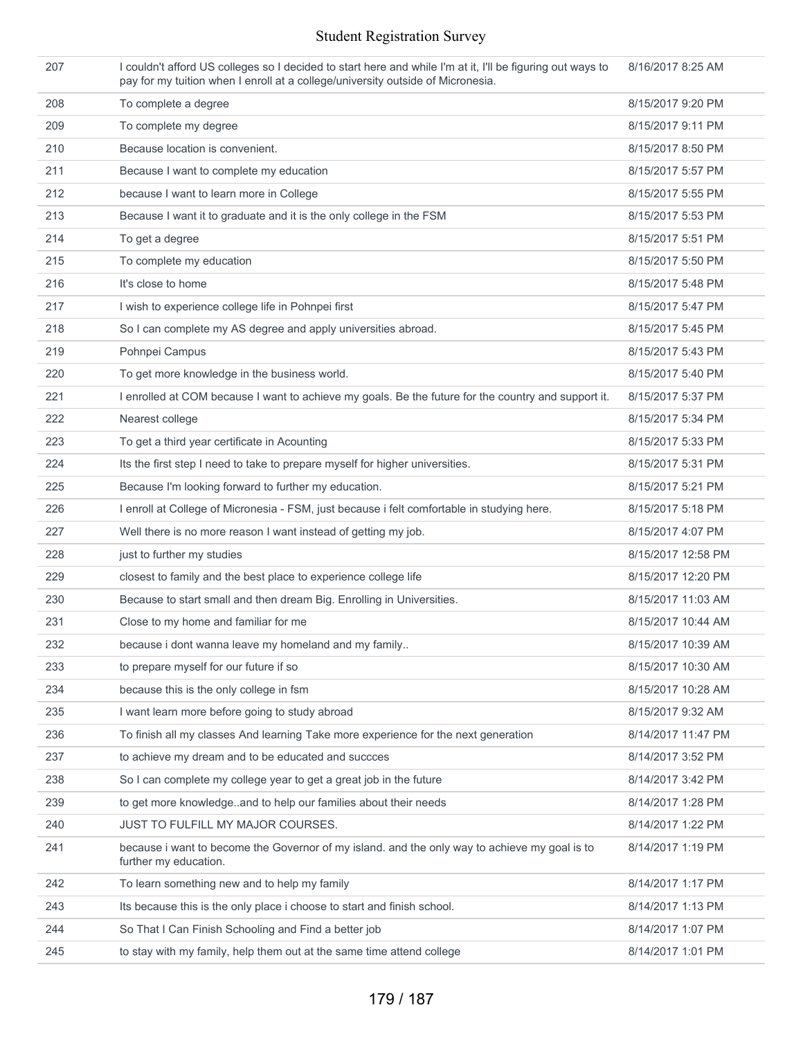| 207 | I couldn't afford US colleges so I decided to start here and while I'm at it, I'll be figuring out ways to<br>pay for my tuition when I enroll at a college/university outside of Micronesia. | 8/16/2017 8:25 AM  |
|-----|-----------------------------------------------------------------------------------------------------------------------------------------------------------------------------------------------|--------------------|
| 208 | To complete a degree                                                                                                                                                                          | 8/15/2017 9:20 PM  |
| 209 | To complete my degree                                                                                                                                                                         | 8/15/2017 9:11 PM  |
| 210 | Because location is convenient.                                                                                                                                                               | 8/15/2017 8:50 PM  |
| 211 | Because I want to complete my education                                                                                                                                                       | 8/15/2017 5:57 PM  |
| 212 | because I want to learn more in College                                                                                                                                                       | 8/15/2017 5:55 PM  |
| 213 | Because I want it to graduate and it is the only college in the FSM                                                                                                                           | 8/15/2017 5:53 PM  |
| 214 | To get a degree                                                                                                                                                                               | 8/15/2017 5:51 PM  |
| 215 | To complete my education                                                                                                                                                                      | 8/15/2017 5:50 PM  |
| 216 | It's close to home                                                                                                                                                                            | 8/15/2017 5:48 PM  |
| 217 | I wish to experience college life in Pohnpei first                                                                                                                                            | 8/15/2017 5:47 PM  |
| 218 | So I can complete my AS degree and apply universities abroad.                                                                                                                                 | 8/15/2017 5:45 PM  |
| 219 | Pohnpei Campus                                                                                                                                                                                | 8/15/2017 5:43 PM  |
| 220 | To get more knowledge in the business world.                                                                                                                                                  | 8/15/2017 5:40 PM  |
| 221 | I enrolled at COM because I want to achieve my goals. Be the future for the country and support it.                                                                                           | 8/15/2017 5:37 PM  |
| 222 | Nearest college                                                                                                                                                                               | 8/15/2017 5:34 PM  |
| 223 | To get a third year certificate in Acounting                                                                                                                                                  | 8/15/2017 5:33 PM  |
| 224 | Its the first step I need to take to prepare myself for higher universities.                                                                                                                  | 8/15/2017 5:31 PM  |
| 225 | Because I'm looking forward to further my education.                                                                                                                                          | 8/15/2017 5:21 PM  |
| 226 | I enroll at College of Micronesia - FSM, just because i felt comfortable in studying here.                                                                                                    | 8/15/2017 5:18 PM  |
| 227 | Well there is no more reason I want instead of getting my job.                                                                                                                                | 8/15/2017 4:07 PM  |
| 228 | just to further my studies                                                                                                                                                                    | 8/15/2017 12:58 PM |
| 229 | closest to family and the best place to experience college life                                                                                                                               | 8/15/2017 12:20 PM |
| 230 | Because to start small and then dream Big. Enrolling in Universities.                                                                                                                         | 8/15/2017 11:03 AM |
| 231 | Close to my home and familiar for me                                                                                                                                                          | 8/15/2017 10:44 AM |
| 232 | because i dont wanna leave my homeland and my family                                                                                                                                          | 8/15/2017 10:39 AM |
| 233 | to prepare myself for our future if so                                                                                                                                                        | 8/15/2017 10:30 AM |
| 234 | because this is the only college in fsm                                                                                                                                                       | 8/15/2017 10:28 AM |
| 235 | I want learn more before going to study abroad                                                                                                                                                | 8/15/2017 9:32 AM  |
| 236 | To finish all my classes And learning Take more experience for the next generation                                                                                                            | 8/14/2017 11:47 PM |
| 237 | to achieve my dream and to be educated and succces                                                                                                                                            | 8/14/2017 3:52 PM  |
| 238 | So I can complete my college year to get a great job in the future                                                                                                                            | 8/14/2017 3:42 PM  |
| 239 | to get more knowledgeand to help our families about their needs                                                                                                                               | 8/14/2017 1:28 PM  |
| 240 | JUST TO FULFILL MY MAJOR COURSES.                                                                                                                                                             | 8/14/2017 1:22 PM  |
| 241 | because i want to become the Governor of my island. and the only way to achieve my goal is to<br>further my education.                                                                        | 8/14/2017 1:19 PM  |
| 242 | To learn something new and to help my family                                                                                                                                                  | 8/14/2017 1:17 PM  |
| 243 | Its because this is the only place i choose to start and finish school.                                                                                                                       | 8/14/2017 1:13 PM  |
| 244 | So That I Can Finish Schooling and Find a better job                                                                                                                                          | 8/14/2017 1:07 PM  |
| 245 | to stay with my family, help them out at the same time attend college                                                                                                                         | 8/14/2017 1:01 PM  |
|     |                                                                                                                                                                                               |                    |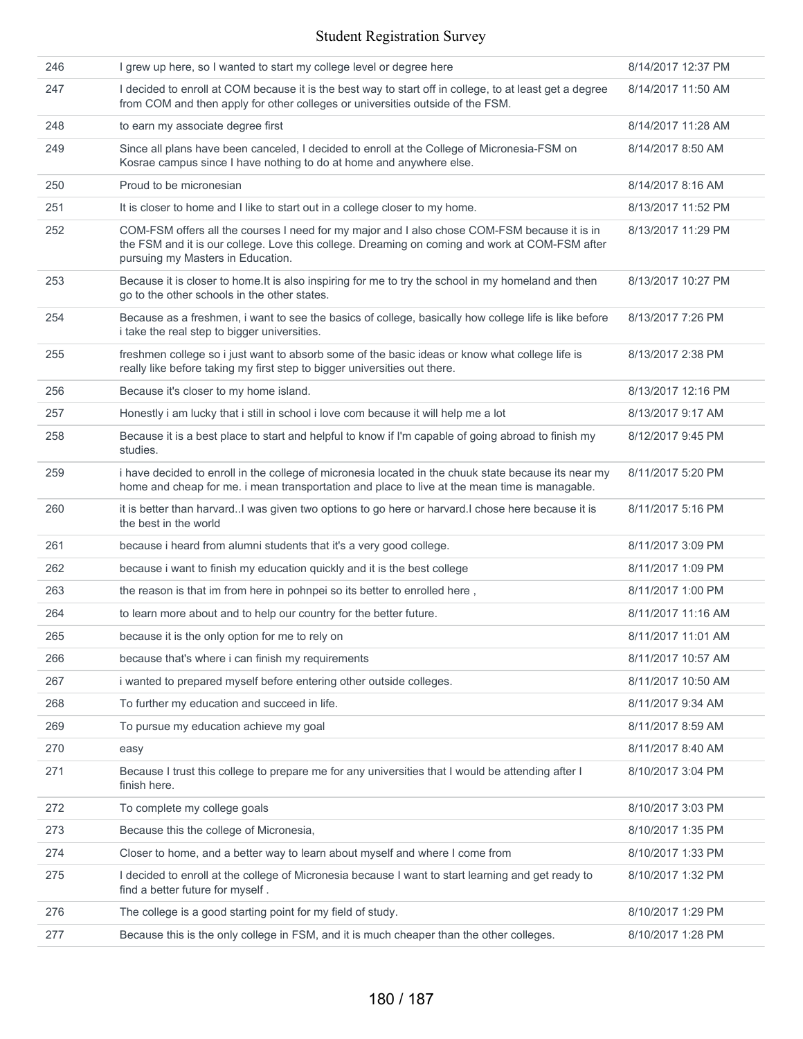| 246 | I grew up here, so I wanted to start my college level or degree here                                                                                                                                                                | 8/14/2017 12:37 PM |
|-----|-------------------------------------------------------------------------------------------------------------------------------------------------------------------------------------------------------------------------------------|--------------------|
| 247 | I decided to enroll at COM because it is the best way to start off in college, to at least get a degree<br>from COM and then apply for other colleges or universities outside of the FSM.                                           | 8/14/2017 11:50 AM |
| 248 | to earn my associate degree first                                                                                                                                                                                                   | 8/14/2017 11:28 AM |
| 249 | Since all plans have been canceled, I decided to enroll at the College of Micronesia-FSM on<br>Kosrae campus since I have nothing to do at home and anywhere else.                                                                  | 8/14/2017 8:50 AM  |
| 250 | Proud to be micronesian                                                                                                                                                                                                             | 8/14/2017 8:16 AM  |
| 251 | It is closer to home and I like to start out in a college closer to my home.                                                                                                                                                        | 8/13/2017 11:52 PM |
| 252 | COM-FSM offers all the courses I need for my major and I also chose COM-FSM because it is in<br>the FSM and it is our college. Love this college. Dreaming on coming and work at COM-FSM after<br>pursuing my Masters in Education. | 8/13/2017 11:29 PM |
| 253 | Because it is closer to home. It is also inspiring for me to try the school in my homeland and then<br>go to the other schools in the other states.                                                                                 | 8/13/2017 10:27 PM |
| 254 | Because as a freshmen, i want to see the basics of college, basically how college life is like before<br>i take the real step to bigger universities.                                                                               | 8/13/2017 7:26 PM  |
| 255 | freshmen college so i just want to absorb some of the basic ideas or know what college life is<br>really like before taking my first step to bigger universities out there.                                                         | 8/13/2017 2:38 PM  |
| 256 | Because it's closer to my home island.                                                                                                                                                                                              | 8/13/2017 12:16 PM |
| 257 | Honestly i am lucky that i still in school i love com because it will help me a lot                                                                                                                                                 | 8/13/2017 9:17 AM  |
| 258 | Because it is a best place to start and helpful to know if I'm capable of going abroad to finish my<br>studies.                                                                                                                     | 8/12/2017 9:45 PM  |
| 259 | i have decided to enroll in the college of micronesia located in the chuuk state because its near my<br>home and cheap for me. i mean transportation and place to live at the mean time is managable.                               | 8/11/2017 5:20 PM  |
| 260 | it is better than harvard. I was given two options to go here or harvard. I chose here because it is<br>the best in the world                                                                                                       | 8/11/2017 5:16 PM  |
| 261 | because i heard from alumni students that it's a very good college.                                                                                                                                                                 | 8/11/2017 3:09 PM  |
| 262 | because i want to finish my education quickly and it is the best college                                                                                                                                                            | 8/11/2017 1:09 PM  |
| 263 | the reason is that im from here in pohnpei so its better to enrolled here,                                                                                                                                                          | 8/11/2017 1:00 PM  |
| 264 | to learn more about and to help our country for the better future.                                                                                                                                                                  | 8/11/2017 11:16 AM |
| 265 | because it is the only option for me to rely on                                                                                                                                                                                     | 8/11/2017 11:01 AM |
| 266 | because that's where i can finish my requirements                                                                                                                                                                                   | 8/11/2017 10:57 AM |
| 267 | i wanted to prepared myself before entering other outside colleges.                                                                                                                                                                 | 8/11/2017 10:50 AM |
| 268 | To further my education and succeed in life.                                                                                                                                                                                        | 8/11/2017 9:34 AM  |
| 269 | To pursue my education achieve my goal                                                                                                                                                                                              | 8/11/2017 8:59 AM  |
| 270 | easy                                                                                                                                                                                                                                | 8/11/2017 8:40 AM  |
| 271 | Because I trust this college to prepare me for any universities that I would be attending after I<br>finish here.                                                                                                                   | 8/10/2017 3:04 PM  |
| 272 | To complete my college goals                                                                                                                                                                                                        | 8/10/2017 3:03 PM  |
| 273 | Because this the college of Micronesia,                                                                                                                                                                                             | 8/10/2017 1:35 PM  |
| 274 | Closer to home, and a better way to learn about myself and where I come from                                                                                                                                                        | 8/10/2017 1:33 PM  |
| 275 | I decided to enroll at the college of Micronesia because I want to start learning and get ready to<br>find a better future for myself.                                                                                              | 8/10/2017 1:32 PM  |
| 276 | The college is a good starting point for my field of study.                                                                                                                                                                         | 8/10/2017 1:29 PM  |
| 277 | Because this is the only college in FSM, and it is much cheaper than the other colleges.                                                                                                                                            | 8/10/2017 1:28 PM  |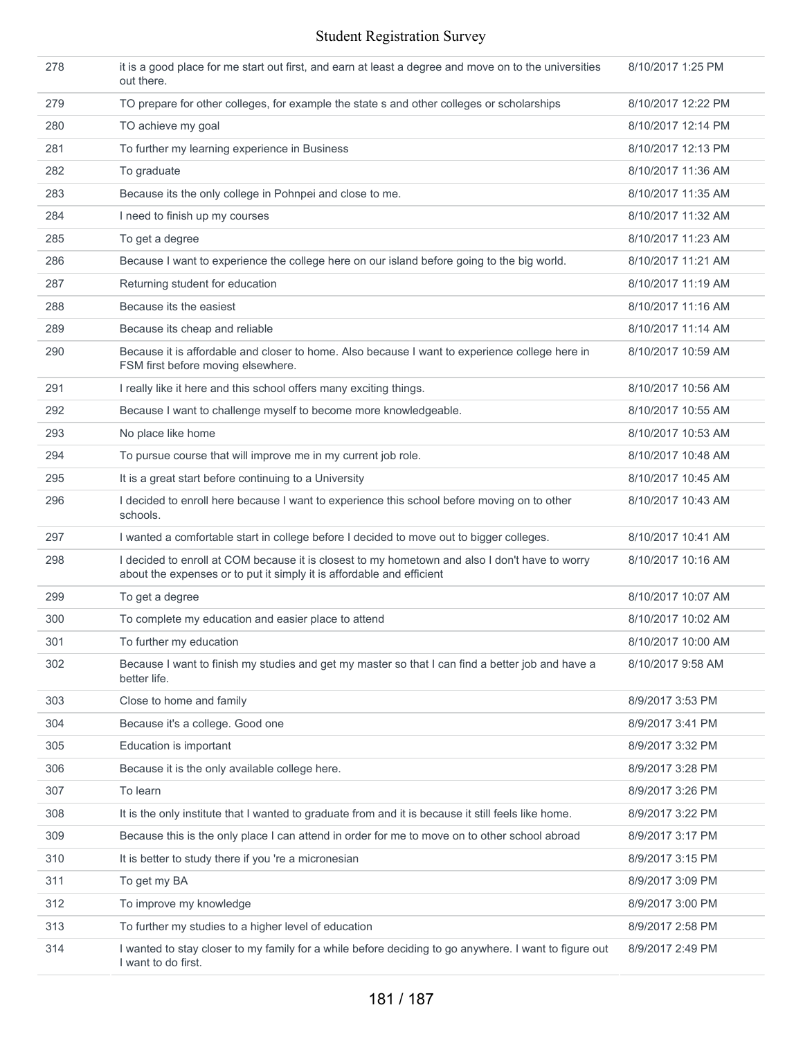| 278 | it is a good place for me start out first, and earn at least a degree and move on to the universities<br>out there.                                                     | 8/10/2017 1:25 PM  |
|-----|-------------------------------------------------------------------------------------------------------------------------------------------------------------------------|--------------------|
| 279 | TO prepare for other colleges, for example the state s and other colleges or scholarships                                                                               | 8/10/2017 12:22 PM |
| 280 | TO achieve my goal                                                                                                                                                      | 8/10/2017 12:14 PM |
| 281 | To further my learning experience in Business                                                                                                                           | 8/10/2017 12:13 PM |
| 282 | To graduate                                                                                                                                                             | 8/10/2017 11:36 AM |
| 283 | Because its the only college in Pohnpei and close to me.                                                                                                                | 8/10/2017 11:35 AM |
| 284 | I need to finish up my courses                                                                                                                                          | 8/10/2017 11:32 AM |
| 285 | To get a degree                                                                                                                                                         | 8/10/2017 11:23 AM |
| 286 | Because I want to experience the college here on our island before going to the big world.                                                                              | 8/10/2017 11:21 AM |
| 287 | Returning student for education                                                                                                                                         | 8/10/2017 11:19 AM |
| 288 | Because its the easiest                                                                                                                                                 | 8/10/2017 11:16 AM |
| 289 | Because its cheap and reliable                                                                                                                                          | 8/10/2017 11:14 AM |
| 290 | Because it is affordable and closer to home. Also because I want to experience college here in<br>FSM first before moving elsewhere.                                    | 8/10/2017 10:59 AM |
| 291 | I really like it here and this school offers many exciting things.                                                                                                      | 8/10/2017 10:56 AM |
| 292 | Because I want to challenge myself to become more knowledgeable.                                                                                                        | 8/10/2017 10:55 AM |
| 293 | No place like home                                                                                                                                                      | 8/10/2017 10:53 AM |
| 294 | To pursue course that will improve me in my current job role.                                                                                                           | 8/10/2017 10:48 AM |
| 295 | It is a great start before continuing to a University                                                                                                                   | 8/10/2017 10:45 AM |
| 296 | I decided to enroll here because I want to experience this school before moving on to other<br>schools.                                                                 | 8/10/2017 10:43 AM |
| 297 | I wanted a comfortable start in college before I decided to move out to bigger colleges.                                                                                | 8/10/2017 10:41 AM |
| 298 | I decided to enroll at COM because it is closest to my hometown and also I don't have to worry<br>about the expenses or to put it simply it is affordable and efficient | 8/10/2017 10:16 AM |
| 299 | To get a degree                                                                                                                                                         | 8/10/2017 10:07 AM |
| 300 | To complete my education and easier place to attend                                                                                                                     | 8/10/2017 10:02 AM |
| 301 | To further my education                                                                                                                                                 | 8/10/2017 10:00 AM |
| 302 | Because I want to finish my studies and get my master so that I can find a better job and have a<br>better life.                                                        | 8/10/2017 9:58 AM  |
| 303 | Close to home and family                                                                                                                                                | 8/9/2017 3:53 PM   |
| 304 | Because it's a college. Good one                                                                                                                                        | 8/9/2017 3:41 PM   |
| 305 | Education is important                                                                                                                                                  | 8/9/2017 3:32 PM   |
| 306 | Because it is the only available college here.                                                                                                                          | 8/9/2017 3:28 PM   |
| 307 | To learn                                                                                                                                                                | 8/9/2017 3:26 PM   |
| 308 | It is the only institute that I wanted to graduate from and it is because it still feels like home.                                                                     | 8/9/2017 3:22 PM   |
| 309 | Because this is the only place I can attend in order for me to move on to other school abroad                                                                           | 8/9/2017 3:17 PM   |
| 310 | It is better to study there if you 're a micronesian                                                                                                                    | 8/9/2017 3:15 PM   |
| 311 | To get my BA                                                                                                                                                            | 8/9/2017 3:09 PM   |
| 312 | To improve my knowledge                                                                                                                                                 | 8/9/2017 3:00 PM   |
| 313 | To further my studies to a higher level of education                                                                                                                    | 8/9/2017 2:58 PM   |
| 314 | I wanted to stay closer to my family for a while before deciding to go anywhere. I want to figure out<br>I want to do first.                                            | 8/9/2017 2:49 PM   |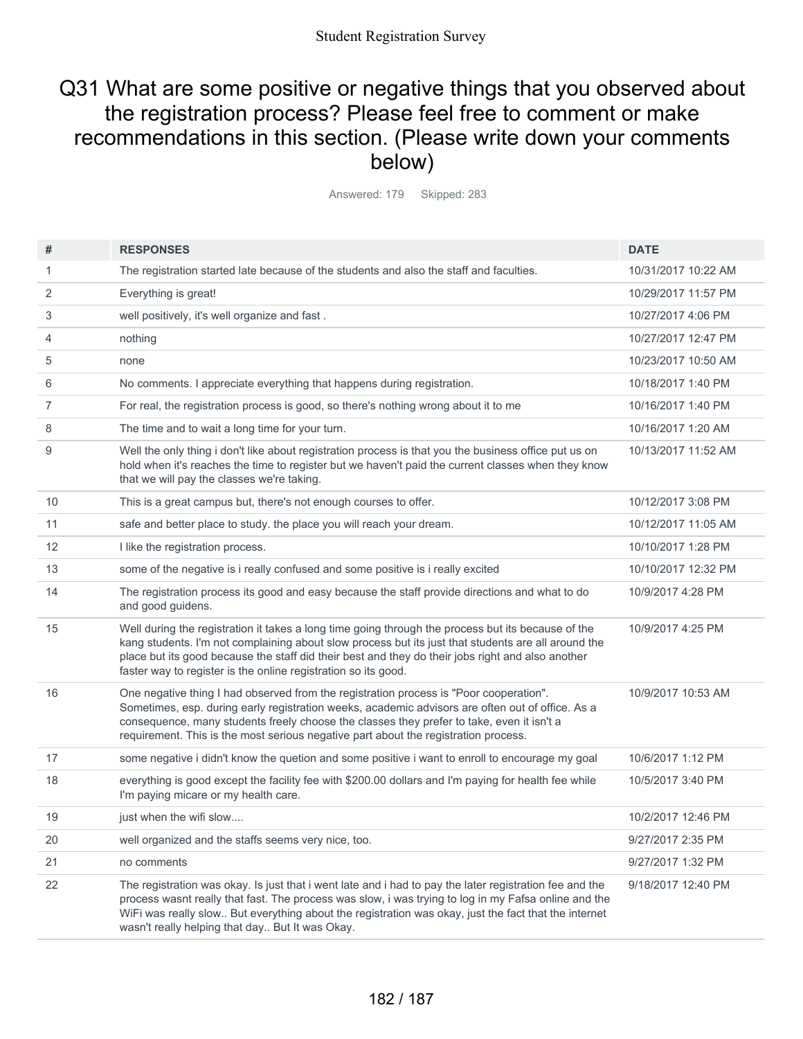## Q31 What are some positive or negative things that you observed about the registration process? Please feel free to comment or make recommendations in this section. (Please write down your comments below)

Answered: 179 Skipped: 283

| #              | <b>RESPONSES</b>                                                                                                                                                                                                                                                                                                                                                                 | <b>DATE</b>         |
|----------------|----------------------------------------------------------------------------------------------------------------------------------------------------------------------------------------------------------------------------------------------------------------------------------------------------------------------------------------------------------------------------------|---------------------|
| 1              | The registration started late because of the students and also the staff and faculties.                                                                                                                                                                                                                                                                                          | 10/31/2017 10:22 AM |
| 2              | Everything is great!                                                                                                                                                                                                                                                                                                                                                             | 10/29/2017 11:57 PM |
| 3              | well positively, it's well organize and fast.                                                                                                                                                                                                                                                                                                                                    | 10/27/2017 4:06 PM  |
| 4              | nothing                                                                                                                                                                                                                                                                                                                                                                          | 10/27/2017 12:47 PM |
| 5              | none                                                                                                                                                                                                                                                                                                                                                                             | 10/23/2017 10:50 AM |
| 6              | No comments. I appreciate everything that happens during registration.                                                                                                                                                                                                                                                                                                           | 10/18/2017 1:40 PM  |
| $\overline{7}$ | For real, the registration process is good, so there's nothing wrong about it to me                                                                                                                                                                                                                                                                                              | 10/16/2017 1:40 PM  |
| 8              | The time and to wait a long time for your turn.                                                                                                                                                                                                                                                                                                                                  | 10/16/2017 1:20 AM  |
| 9              | Well the only thing i don't like about registration process is that you the business office put us on<br>hold when it's reaches the time to register but we haven't paid the current classes when they know<br>that we will pay the classes we're taking.                                                                                                                        | 10/13/2017 11:52 AM |
| 10             | This is a great campus but, there's not enough courses to offer.                                                                                                                                                                                                                                                                                                                 | 10/12/2017 3:08 PM  |
| 11             | safe and better place to study. the place you will reach your dream.                                                                                                                                                                                                                                                                                                             | 10/12/2017 11:05 AM |
| 12             | I like the registration process.                                                                                                                                                                                                                                                                                                                                                 | 10/10/2017 1:28 PM  |
| 13             | some of the negative is i really confused and some positive is i really excited                                                                                                                                                                                                                                                                                                  | 10/10/2017 12:32 PM |
| 14             | The registration process its good and easy because the staff provide directions and what to do<br>and good guidens.                                                                                                                                                                                                                                                              | 10/9/2017 4:28 PM   |
| 15             | Well during the registration it takes a long time going through the process but its because of the<br>kang students. I'm not complaining about slow process but its just that students are all around the<br>place but its good because the staff did their best and they do their jobs right and also another<br>faster way to register is the online registration so its good. | 10/9/2017 4:25 PM   |
| 16             | One negative thing I had observed from the registration process is "Poor cooperation".<br>Sometimes, esp. during early registration weeks, academic advisors are often out of office. As a<br>consequence, many students freely choose the classes they prefer to take, even it isn't a<br>requirement. This is the most serious negative part about the registration process.   | 10/9/2017 10:53 AM  |
| 17             | some negative i didn't know the quetion and some positive i want to enroll to encourage my goal                                                                                                                                                                                                                                                                                  | 10/6/2017 1:12 PM   |
| 18             | everything is good except the facility fee with \$200.00 dollars and I'm paying for health fee while<br>I'm paying micare or my health care.                                                                                                                                                                                                                                     | 10/5/2017 3:40 PM   |
| 19             | just when the wifi slow                                                                                                                                                                                                                                                                                                                                                          | 10/2/2017 12:46 PM  |
| 20             | well organized and the staffs seems very nice, too.                                                                                                                                                                                                                                                                                                                              | 9/27/2017 2:35 PM   |
| 21             | no comments                                                                                                                                                                                                                                                                                                                                                                      | 9/27/2017 1:32 PM   |
| 22             | The registration was okay. Is just that i went late and i had to pay the later registration fee and the<br>process wasnt really that fast. The process was slow, i was trying to log in my Fafsa online and the<br>WiFi was really slow But everything about the registration was okay, just the fact that the internet<br>wasn't really helping that day But It was Okay.       | 9/18/2017 12:40 PM  |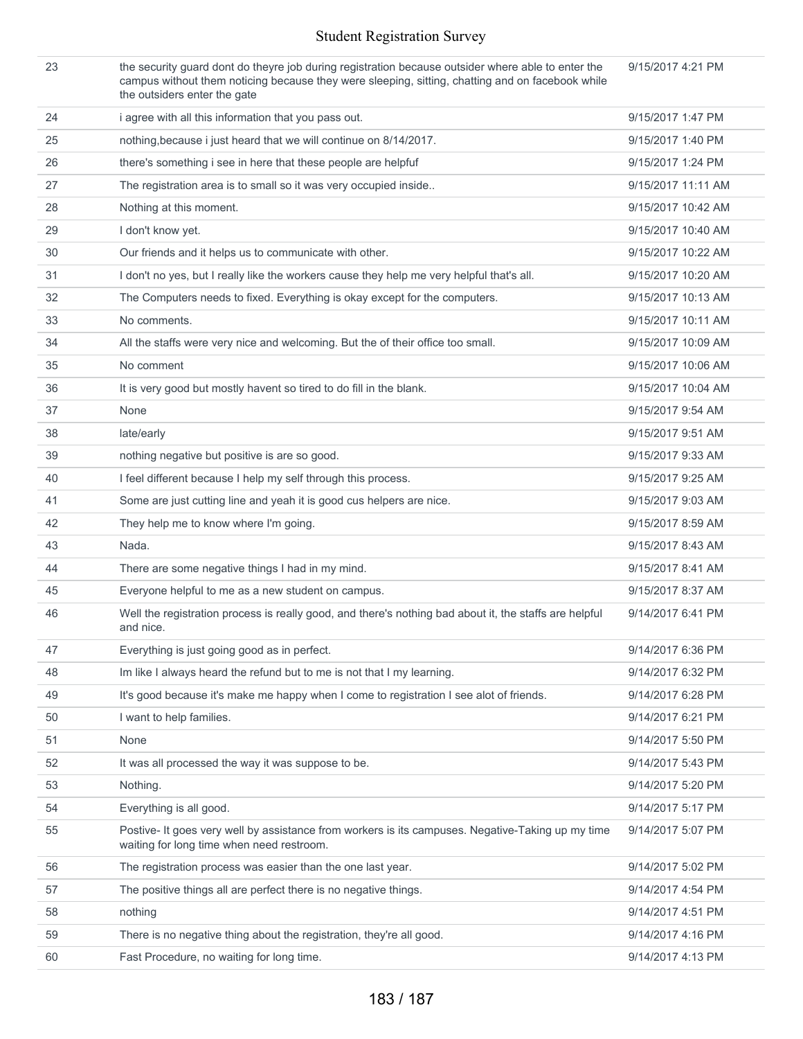| 23 | the security quard dont do theyre job during registration because outsider where able to enter the<br>campus without them noticing because they were sleeping, sitting, chatting and on facebook while<br>the outsiders enter the gate | 9/15/2017 4:21 PM  |
|----|----------------------------------------------------------------------------------------------------------------------------------------------------------------------------------------------------------------------------------------|--------------------|
| 24 | i agree with all this information that you pass out.                                                                                                                                                                                   | 9/15/2017 1:47 PM  |
| 25 | nothing, because i just heard that we will continue on 8/14/2017.                                                                                                                                                                      | 9/15/2017 1:40 PM  |
| 26 | there's something i see in here that these people are helpfuf                                                                                                                                                                          | 9/15/2017 1:24 PM  |
| 27 | The registration area is to small so it was very occupied inside                                                                                                                                                                       | 9/15/2017 11:11 AM |
| 28 | Nothing at this moment.                                                                                                                                                                                                                | 9/15/2017 10:42 AM |
| 29 | I don't know yet.                                                                                                                                                                                                                      | 9/15/2017 10:40 AM |
| 30 | Our friends and it helps us to communicate with other.                                                                                                                                                                                 | 9/15/2017 10:22 AM |
| 31 | I don't no yes, but I really like the workers cause they help me very helpful that's all.                                                                                                                                              | 9/15/2017 10:20 AM |
| 32 | The Computers needs to fixed. Everything is okay except for the computers.                                                                                                                                                             | 9/15/2017 10:13 AM |
| 33 | No comments.                                                                                                                                                                                                                           | 9/15/2017 10:11 AM |
| 34 | All the staffs were very nice and welcoming. But the of their office too small.                                                                                                                                                        | 9/15/2017 10:09 AM |
| 35 | No comment                                                                                                                                                                                                                             | 9/15/2017 10:06 AM |
| 36 | It is very good but mostly havent so tired to do fill in the blank.                                                                                                                                                                    | 9/15/2017 10:04 AM |
| 37 | None                                                                                                                                                                                                                                   | 9/15/2017 9:54 AM  |
| 38 | late/early                                                                                                                                                                                                                             | 9/15/2017 9:51 AM  |
| 39 | nothing negative but positive is are so good.                                                                                                                                                                                          | 9/15/2017 9:33 AM  |
| 40 | I feel different because I help my self through this process.                                                                                                                                                                          | 9/15/2017 9:25 AM  |
| 41 | Some are just cutting line and yeah it is good cus helpers are nice.                                                                                                                                                                   | 9/15/2017 9:03 AM  |
| 42 | They help me to know where I'm going.                                                                                                                                                                                                  | 9/15/2017 8:59 AM  |
| 43 | Nada.                                                                                                                                                                                                                                  | 9/15/2017 8:43 AM  |
| 44 | There are some negative things I had in my mind.                                                                                                                                                                                       | 9/15/2017 8:41 AM  |
| 45 | Everyone helpful to me as a new student on campus.                                                                                                                                                                                     | 9/15/2017 8:37 AM  |
| 46 | Well the registration process is really good, and there's nothing bad about it, the staffs are helpful<br>and nice.                                                                                                                    | 9/14/2017 6:41 PM  |
| 47 | Everything is just going good as in perfect.                                                                                                                                                                                           | 9/14/2017 6:36 PM  |
| 48 | Im like I always heard the refund but to me is not that I my learning.                                                                                                                                                                 | 9/14/2017 6:32 PM  |
| 49 | It's good because it's make me happy when I come to registration I see alot of friends.                                                                                                                                                | 9/14/2017 6:28 PM  |
| 50 | I want to help families.                                                                                                                                                                                                               | 9/14/2017 6:21 PM  |
| 51 | None                                                                                                                                                                                                                                   | 9/14/2017 5:50 PM  |
| 52 | It was all processed the way it was suppose to be.                                                                                                                                                                                     | 9/14/2017 5:43 PM  |
| 53 | Nothing.                                                                                                                                                                                                                               | 9/14/2017 5:20 PM  |
| 54 | Everything is all good.                                                                                                                                                                                                                | 9/14/2017 5:17 PM  |
| 55 | Postive- It goes very well by assistance from workers is its campuses. Negative-Taking up my time<br>waiting for long time when need restroom.                                                                                         | 9/14/2017 5:07 PM  |
| 56 | The registration process was easier than the one last year.                                                                                                                                                                            | 9/14/2017 5:02 PM  |
| 57 | The positive things all are perfect there is no negative things.                                                                                                                                                                       | 9/14/2017 4:54 PM  |
| 58 | nothing                                                                                                                                                                                                                                | 9/14/2017 4:51 PM  |
| 59 | There is no negative thing about the registration, they're all good.                                                                                                                                                                   | 9/14/2017 4:16 PM  |
| 60 | Fast Procedure, no waiting for long time.                                                                                                                                                                                              | 9/14/2017 4:13 PM  |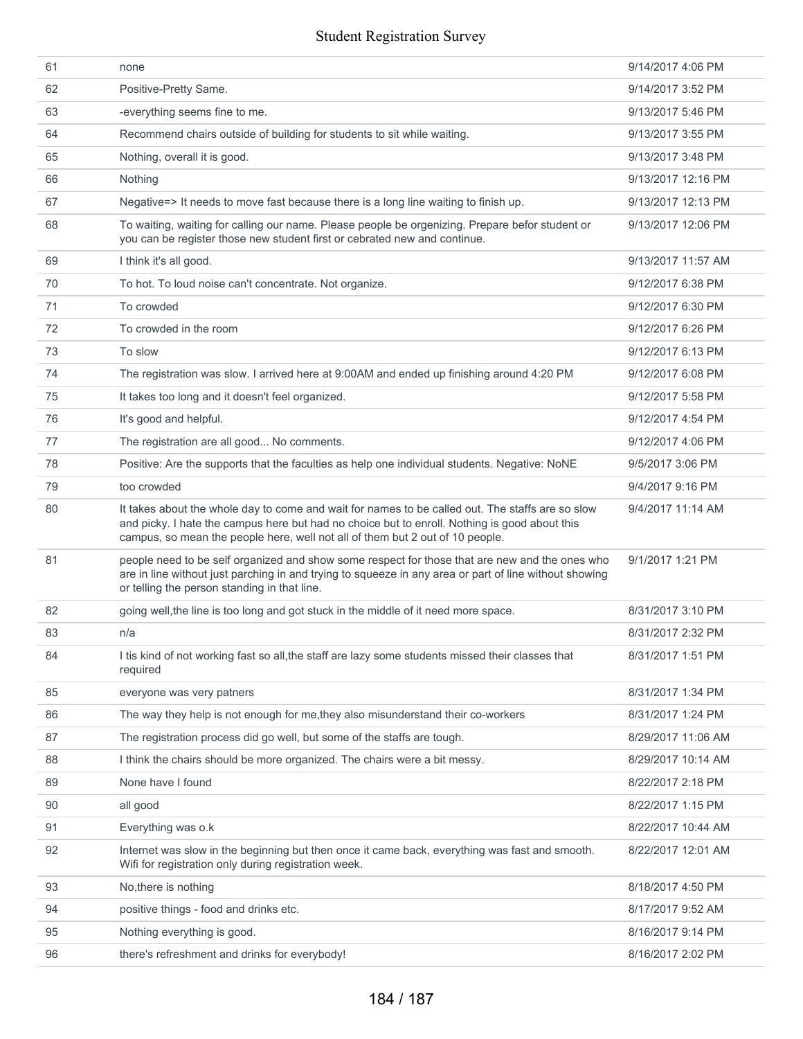| 61 | none                                                                                                                                                                                                                                                                               | 9/14/2017 4:06 PM  |
|----|------------------------------------------------------------------------------------------------------------------------------------------------------------------------------------------------------------------------------------------------------------------------------------|--------------------|
| 62 | Positive-Pretty Same.                                                                                                                                                                                                                                                              | 9/14/2017 3:52 PM  |
| 63 | -everything seems fine to me.                                                                                                                                                                                                                                                      | 9/13/2017 5:46 PM  |
| 64 | Recommend chairs outside of building for students to sit while waiting.                                                                                                                                                                                                            | 9/13/2017 3:55 PM  |
| 65 | Nothing, overall it is good.                                                                                                                                                                                                                                                       | 9/13/2017 3:48 PM  |
| 66 | Nothing                                                                                                                                                                                                                                                                            | 9/13/2017 12:16 PM |
| 67 | Negative=> It needs to move fast because there is a long line waiting to finish up.                                                                                                                                                                                                | 9/13/2017 12:13 PM |
| 68 | To waiting, waiting for calling our name. Please people be orgenizing. Prepare befor student or<br>you can be register those new student first or cebrated new and continue.                                                                                                       | 9/13/2017 12:06 PM |
| 69 | I think it's all good.                                                                                                                                                                                                                                                             | 9/13/2017 11:57 AM |
| 70 | To hot. To loud noise can't concentrate. Not organize.                                                                                                                                                                                                                             | 9/12/2017 6:38 PM  |
| 71 | To crowded                                                                                                                                                                                                                                                                         | 9/12/2017 6:30 PM  |
| 72 | To crowded in the room                                                                                                                                                                                                                                                             | 9/12/2017 6:26 PM  |
| 73 | To slow                                                                                                                                                                                                                                                                            | 9/12/2017 6:13 PM  |
| 74 | The registration was slow. I arrived here at 9:00AM and ended up finishing around 4:20 PM                                                                                                                                                                                          | 9/12/2017 6:08 PM  |
| 75 | It takes too long and it doesn't feel organized.                                                                                                                                                                                                                                   | 9/12/2017 5:58 PM  |
| 76 | It's good and helpful.                                                                                                                                                                                                                                                             | 9/12/2017 4:54 PM  |
| 77 | The registration are all good No comments.                                                                                                                                                                                                                                         | 9/12/2017 4:06 PM  |
| 78 | Positive: Are the supports that the faculties as help one individual students. Negative: NoNE                                                                                                                                                                                      | 9/5/2017 3:06 PM   |
| 79 | too crowded                                                                                                                                                                                                                                                                        | 9/4/2017 9:16 PM   |
| 80 | It takes about the whole day to come and wait for names to be called out. The staffs are so slow<br>and picky. I hate the campus here but had no choice but to enroll. Nothing is good about this<br>campus, so mean the people here, well not all of them but 2 out of 10 people. | 9/4/2017 11:14 AM  |
| 81 | people need to be self organized and show some respect for those that are new and the ones who<br>are in line without just parching in and trying to squeeze in any area or part of line without showing<br>or telling the person standing in that line.                           | 9/1/2017 1:21 PM   |
| 82 | going well, the line is too long and got stuck in the middle of it need more space.                                                                                                                                                                                                | 8/31/2017 3:10 PM  |
| 83 | n/a                                                                                                                                                                                                                                                                                | 8/31/2017 2:32 PM  |
| 84 | I tis kind of not working fast so all, the staff are lazy some students missed their classes that<br>required                                                                                                                                                                      | 8/31/2017 1:51 PM  |
| 85 | everyone was very patners                                                                                                                                                                                                                                                          | 8/31/2017 1:34 PM  |
| 86 | The way they help is not enough for me, they also misunderstand their co-workers                                                                                                                                                                                                   | 8/31/2017 1:24 PM  |
| 87 | The registration process did go well, but some of the staffs are tough.                                                                                                                                                                                                            | 8/29/2017 11:06 AM |
| 88 | I think the chairs should be more organized. The chairs were a bit messy.                                                                                                                                                                                                          | 8/29/2017 10:14 AM |
| 89 | None have I found                                                                                                                                                                                                                                                                  | 8/22/2017 2:18 PM  |
| 90 | all good                                                                                                                                                                                                                                                                           | 8/22/2017 1:15 PM  |
| 91 | Everything was o.k                                                                                                                                                                                                                                                                 | 8/22/2017 10:44 AM |
| 92 | Internet was slow in the beginning but then once it came back, everything was fast and smooth.<br>Wifi for registration only during registration week.                                                                                                                             | 8/22/2017 12:01 AM |
| 93 |                                                                                                                                                                                                                                                                                    |                    |
|    | No, there is nothing                                                                                                                                                                                                                                                               | 8/18/2017 4:50 PM  |
| 94 | positive things - food and drinks etc.                                                                                                                                                                                                                                             | 8/17/2017 9:52 AM  |
| 95 | Nothing everything is good.                                                                                                                                                                                                                                                        | 8/16/2017 9:14 PM  |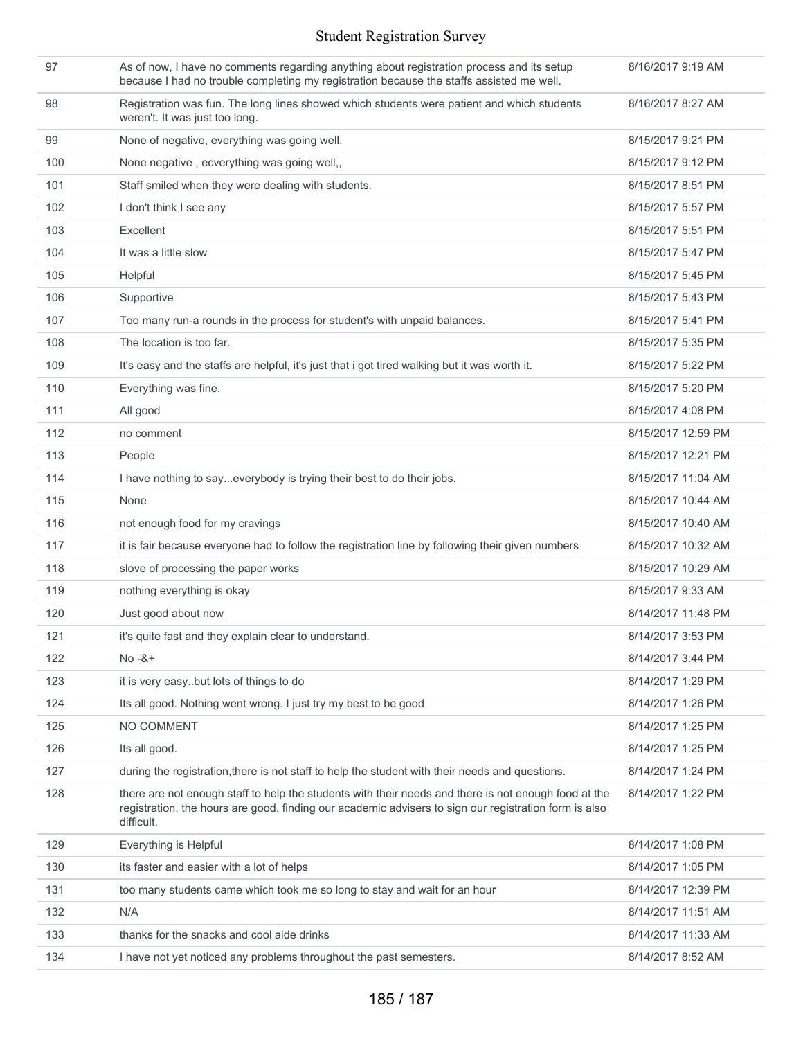| 97  | As of now, I have no comments regarding anything about registration process and its setup<br>because I had no trouble completing my registration because the staffs assisted me well.                                       | 8/16/2017 9:19 AM  |
|-----|-----------------------------------------------------------------------------------------------------------------------------------------------------------------------------------------------------------------------------|--------------------|
| 98  | Registration was fun. The long lines showed which students were patient and which students<br>weren't. It was just too long.                                                                                                | 8/16/2017 8:27 AM  |
| 99  | None of negative, everything was going well.                                                                                                                                                                                | 8/15/2017 9:21 PM  |
| 100 | None negative, ecverything was going well,,                                                                                                                                                                                 | 8/15/2017 9:12 PM  |
| 101 | Staff smiled when they were dealing with students.                                                                                                                                                                          | 8/15/2017 8:51 PM  |
| 102 | I don't think I see any                                                                                                                                                                                                     | 8/15/2017 5:57 PM  |
| 103 | Excellent                                                                                                                                                                                                                   | 8/15/2017 5:51 PM  |
| 104 | It was a little slow                                                                                                                                                                                                        | 8/15/2017 5:47 PM  |
| 105 | Helpful                                                                                                                                                                                                                     | 8/15/2017 5:45 PM  |
| 106 | Supportive                                                                                                                                                                                                                  | 8/15/2017 5:43 PM  |
| 107 | Too many run-a rounds in the process for student's with unpaid balances.                                                                                                                                                    | 8/15/2017 5:41 PM  |
| 108 | The location is too far.                                                                                                                                                                                                    | 8/15/2017 5:35 PM  |
| 109 | It's easy and the staffs are helpful, it's just that i got tired walking but it was worth it.                                                                                                                               | 8/15/2017 5:22 PM  |
| 110 | Everything was fine.                                                                                                                                                                                                        | 8/15/2017 5:20 PM  |
| 111 | All good                                                                                                                                                                                                                    | 8/15/2017 4:08 PM  |
| 112 | no comment                                                                                                                                                                                                                  | 8/15/2017 12:59 PM |
| 113 | People                                                                                                                                                                                                                      | 8/15/2017 12:21 PM |
| 114 | I have nothing to sayeverybody is trying their best to do their jobs.                                                                                                                                                       | 8/15/2017 11:04 AM |
| 115 | None                                                                                                                                                                                                                        | 8/15/2017 10:44 AM |
| 116 | not enough food for my cravings                                                                                                                                                                                             | 8/15/2017 10:40 AM |
| 117 | it is fair because everyone had to follow the registration line by following their given numbers                                                                                                                            | 8/15/2017 10:32 AM |
| 118 | slove of processing the paper works                                                                                                                                                                                         | 8/15/2017 10:29 AM |
| 119 | nothing everything is okay                                                                                                                                                                                                  | 8/15/2017 9:33 AM  |
| 120 | Just good about now                                                                                                                                                                                                         | 8/14/2017 11:48 PM |
| 121 | it's quite fast and they explain clear to understand.                                                                                                                                                                       | 8/14/2017 3:53 PM  |
| 122 | $No - 8 +$                                                                                                                                                                                                                  | 8/14/2017 3:44 PM  |
| 123 | it is very easybut lots of things to do                                                                                                                                                                                     | 8/14/2017 1:29 PM  |
| 124 | Its all good. Nothing went wrong. I just try my best to be good                                                                                                                                                             | 8/14/2017 1:26 PM  |
| 125 | NO COMMENT                                                                                                                                                                                                                  | 8/14/2017 1:25 PM  |
| 126 | Its all good.                                                                                                                                                                                                               | 8/14/2017 1:25 PM  |
| 127 | during the registration, there is not staff to help the student with their needs and questions.                                                                                                                             | 8/14/2017 1:24 PM  |
| 128 | there are not enough staff to help the students with their needs and there is not enough food at the<br>registration, the hours are good, finding our academic advisers to sign our registration form is also<br>difficult. | 8/14/2017 1:22 PM  |
| 129 | Everything is Helpful                                                                                                                                                                                                       | 8/14/2017 1:08 PM  |
| 130 | its faster and easier with a lot of helps                                                                                                                                                                                   | 8/14/2017 1:05 PM  |
| 131 | too many students came which took me so long to stay and wait for an hour                                                                                                                                                   | 8/14/2017 12:39 PM |
| 132 | N/A                                                                                                                                                                                                                         | 8/14/2017 11:51 AM |
| 133 | thanks for the snacks and cool aide drinks                                                                                                                                                                                  | 8/14/2017 11:33 AM |
| 134 | I have not yet noticed any problems throughout the past semesters.                                                                                                                                                          | 8/14/2017 8:52 AM  |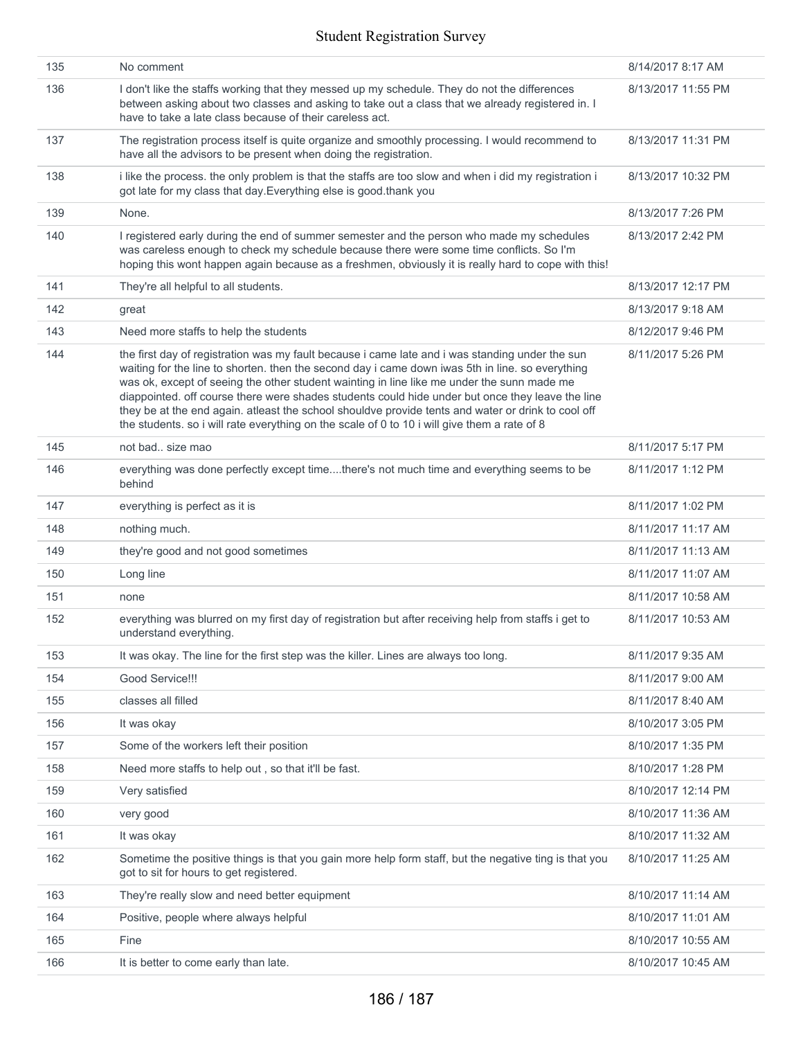| 135 | No comment                                                                                                                                                                                                                                                                                                                                                                                                                                                                                                                                                                                                  | 8/14/2017 8:17 AM  |
|-----|-------------------------------------------------------------------------------------------------------------------------------------------------------------------------------------------------------------------------------------------------------------------------------------------------------------------------------------------------------------------------------------------------------------------------------------------------------------------------------------------------------------------------------------------------------------------------------------------------------------|--------------------|
| 136 | I don't like the staffs working that they messed up my schedule. They do not the differences<br>between asking about two classes and asking to take out a class that we already registered in. I<br>have to take a late class because of their careless act.                                                                                                                                                                                                                                                                                                                                                | 8/13/2017 11:55 PM |
| 137 | The registration process itself is quite organize and smoothly processing. I would recommend to<br>have all the advisors to be present when doing the registration.                                                                                                                                                                                                                                                                                                                                                                                                                                         | 8/13/2017 11:31 PM |
| 138 | i like the process. the only problem is that the staffs are too slow and when i did my registration i<br>got late for my class that day. Everything else is good thank you                                                                                                                                                                                                                                                                                                                                                                                                                                  | 8/13/2017 10:32 PM |
| 139 | None.                                                                                                                                                                                                                                                                                                                                                                                                                                                                                                                                                                                                       | 8/13/2017 7:26 PM  |
| 140 | I registered early during the end of summer semester and the person who made my schedules<br>was careless enough to check my schedule because there were some time conflicts. So I'm<br>hoping this wont happen again because as a freshmen, obviously it is really hard to cope with this!                                                                                                                                                                                                                                                                                                                 | 8/13/2017 2:42 PM  |
| 141 | They're all helpful to all students.                                                                                                                                                                                                                                                                                                                                                                                                                                                                                                                                                                        | 8/13/2017 12:17 PM |
| 142 | great                                                                                                                                                                                                                                                                                                                                                                                                                                                                                                                                                                                                       | 8/13/2017 9:18 AM  |
| 143 | Need more staffs to help the students                                                                                                                                                                                                                                                                                                                                                                                                                                                                                                                                                                       | 8/12/2017 9:46 PM  |
| 144 | the first day of registration was my fault because i came late and i was standing under the sun<br>waiting for the line to shorten. then the second day i came down iwas 5th in line. so everything<br>was ok, except of seeing the other student wainting in line like me under the sunn made me<br>diappointed. off course there were shades students could hide under but once they leave the line<br>they be at the end again. atleast the school shouldve provide tents and water or drink to cool off<br>the students. so i will rate everything on the scale of 0 to 10 i will give them a rate of 8 | 8/11/2017 5:26 PM  |
| 145 | not bad size mao                                                                                                                                                                                                                                                                                                                                                                                                                                                                                                                                                                                            | 8/11/2017 5:17 PM  |
| 146 | everything was done perfectly except timethere's not much time and everything seems to be<br>behind                                                                                                                                                                                                                                                                                                                                                                                                                                                                                                         | 8/11/2017 1:12 PM  |
| 147 | everything is perfect as it is                                                                                                                                                                                                                                                                                                                                                                                                                                                                                                                                                                              | 8/11/2017 1:02 PM  |
| 148 | nothing much.                                                                                                                                                                                                                                                                                                                                                                                                                                                                                                                                                                                               | 8/11/2017 11:17 AM |
| 149 | they're good and not good sometimes                                                                                                                                                                                                                                                                                                                                                                                                                                                                                                                                                                         | 8/11/2017 11:13 AM |
| 150 | Long line                                                                                                                                                                                                                                                                                                                                                                                                                                                                                                                                                                                                   | 8/11/2017 11:07 AM |
| 151 | none                                                                                                                                                                                                                                                                                                                                                                                                                                                                                                                                                                                                        | 8/11/2017 10:58 AM |
| 152 | everything was blurred on my first day of registration but after receiving help from staffs i get to<br>understand everything.                                                                                                                                                                                                                                                                                                                                                                                                                                                                              | 8/11/2017 10:53 AM |
| 153 | It was okay. The line for the first step was the killer. Lines are always too long.                                                                                                                                                                                                                                                                                                                                                                                                                                                                                                                         | 8/11/2017 9:35 AM  |
| 154 | Good Service!!!                                                                                                                                                                                                                                                                                                                                                                                                                                                                                                                                                                                             | 8/11/2017 9:00 AM  |
| 155 | classes all filled                                                                                                                                                                                                                                                                                                                                                                                                                                                                                                                                                                                          | 8/11/2017 8:40 AM  |
| 156 | It was okay                                                                                                                                                                                                                                                                                                                                                                                                                                                                                                                                                                                                 | 8/10/2017 3:05 PM  |
| 157 | Some of the workers left their position                                                                                                                                                                                                                                                                                                                                                                                                                                                                                                                                                                     | 8/10/2017 1:35 PM  |
| 158 | Need more staffs to help out, so that it'll be fast.                                                                                                                                                                                                                                                                                                                                                                                                                                                                                                                                                        | 8/10/2017 1:28 PM  |
| 159 | Very satisfied                                                                                                                                                                                                                                                                                                                                                                                                                                                                                                                                                                                              | 8/10/2017 12:14 PM |
| 160 | very good                                                                                                                                                                                                                                                                                                                                                                                                                                                                                                                                                                                                   | 8/10/2017 11:36 AM |
| 161 | It was okay                                                                                                                                                                                                                                                                                                                                                                                                                                                                                                                                                                                                 | 8/10/2017 11:32 AM |
| 162 | Sometime the positive things is that you gain more help form staff, but the negative ting is that you<br>got to sit for hours to get registered.                                                                                                                                                                                                                                                                                                                                                                                                                                                            | 8/10/2017 11:25 AM |
| 163 | They're really slow and need better equipment                                                                                                                                                                                                                                                                                                                                                                                                                                                                                                                                                               | 8/10/2017 11:14 AM |
| 164 | Positive, people where always helpful                                                                                                                                                                                                                                                                                                                                                                                                                                                                                                                                                                       | 8/10/2017 11:01 AM |
| 165 | Fine                                                                                                                                                                                                                                                                                                                                                                                                                                                                                                                                                                                                        | 8/10/2017 10:55 AM |
| 166 | It is better to come early than late.                                                                                                                                                                                                                                                                                                                                                                                                                                                                                                                                                                       | 8/10/2017 10:45 AM |
|     |                                                                                                                                                                                                                                                                                                                                                                                                                                                                                                                                                                                                             |                    |